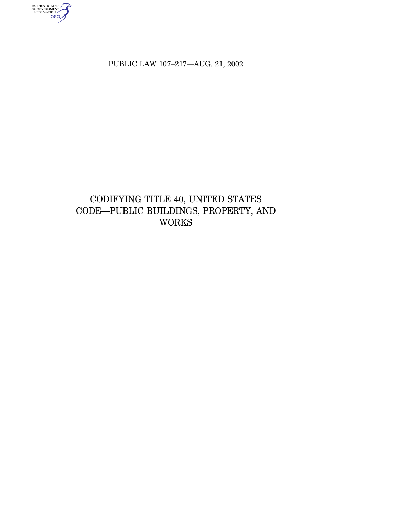AUTHENTICATED<br>U.S. GOVERNMENT<br>INFORMATION<br>GPO

PUBLIC LAW 107–217—AUG. 21, 2002

# CODIFYING TITLE 40, UNITED STATES CODE—PUBLIC BUILDINGS, PROPERTY, AND WORKS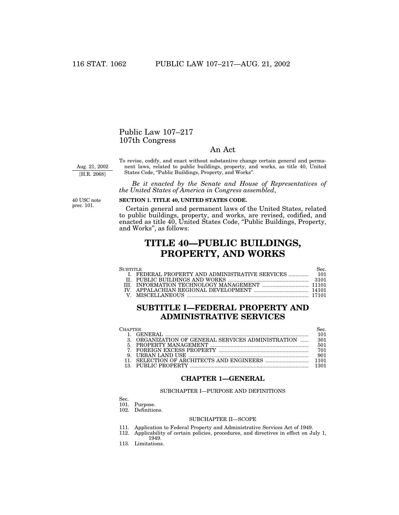# Public Law 107–217 107th Congress

# An Act

Aug. 21, 2002 [H.R. 2068]

To revise, codify, and enact without substantive change certain general and permanent laws, related to public buildings, property, and works, as title 40, United States Code, "Public Buildings, Property, and Works".

*Be it enacted by the Senate and House of Representatives of the United States of America in Congress assembled*,

40 USC note prec. 101.

# **SECTION 1. TITLE 40, UNITED STATES CODE.**

Certain general and permanent laws of the United States, related to public buildings, property, and works, are revised, codified, and enacted as title 40, United States Code, ''Public Buildings, Property, and Works'', as follows:

# **TITLE 40—PUBLIC BUILDINGS, PROPERTY, AND WORKS**

| Surtitle. |  |  |
|-----------|--|--|
|           |  |  |
|           |  |  |
|           |  |  |
|           |  |  |
|           |  |  |

# **SUBTITLE I—FEDERAL PROPERTY AND ADMINISTRATIVE SERVICES**

| Chapter. |                                                    |      |
|----------|----------------------------------------------------|------|
|          |                                                    | 101  |
|          | 3. ORGANIZATION OF GENERAL SERVICES ADMINISTRATION | 301  |
|          |                                                    |      |
|          |                                                    | 701  |
|          |                                                    | 901  |
|          |                                                    |      |
|          |                                                    | 1301 |

# **CHAPTER 1—GENERAL**

#### SUBCHAPTER I—PURPOSE AND DEFINITIONS

Sec.

| 101. | Purpose. |
|------|----------|
|      |          |

102. Definitions.

#### SUBCHAPTER II—SCOPE

- 111. Application to Federal Property and Administrative Services Act of 1949.
- 112. Applicability of certain policies, procedures, and directives in effect on July 1, 1949.
- 113. Limitations.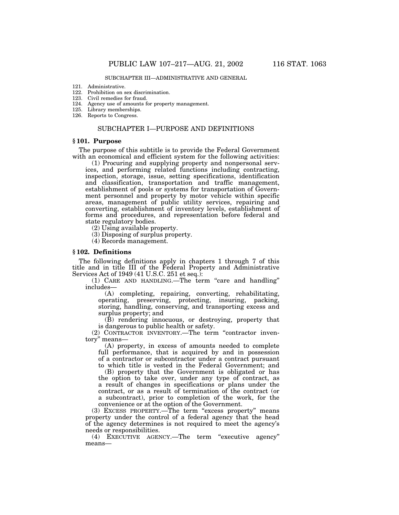#### SUBCHAPTER III—ADMINISTRATIVE AND GENERAL

- 121. Administrative.<br>122. Prohibition on s
- Prohibition on sex discrimination.
- 123. Civil remedies for fraud.
- 124. Agency use of amounts for property management.
- 125. Library memberships.
- 126. Reports to Congress.

# SUBCHAPTER I—PURPOSE AND DEFINITIONS

# **§ 101. Purpose**

The purpose of this subtitle is to provide the Federal Government with an economical and efficient system for the following activities:

(1) Procuring and supplying property and nonpersonal services, and performing related functions including contracting, inspection, storage, issue, setting specifications, identification and classification, transportation and traffic management, establishment of pools or systems for transportation of Government personnel and property by motor vehicle within specific areas, management of public utility services, repairing and converting, establishment of inventory levels, establishment of forms and procedures, and representation before federal and state regulatory bodies.

(2) Using available property.

(3) Disposing of surplus property.

(4) Records management.

#### **§ 102. Definitions**

The following definitions apply in chapters 1 through 7 of this title and in title III of the Federal Property and Administrative Services Act of 1949 (41 U.S.C. 251 et seq.):

(1) CARE AND HANDLING.—The term ''care and handling'' includes—

(A) completing, repairing, converting, rehabilitating, operating, preserving, protecting, insuring, packing, storing, handling, conserving, and transporting excess and surplus property; and

(B) rendering innocuous, or destroying, property that is dangerous to public health or safety.

(2) CONTRACTOR INVENTORY.—The term ''contractor inventory'' means—

(A) property, in excess of amounts needed to complete full performance, that is acquired by and in possession of a contractor or subcontractor under a contract pursuant to which title is vested in the Federal Government; and

(B) property that the Government is obligated or has the option to take over, under any type of contract, as a result of changes in specifications or plans under the contract, or as a result of termination of the contract (or a subcontract), prior to completion of the work, for the convenience or at the option of the Government.

(3) EXCESS PROPERTY.—The term "excess property" means property under the control of a federal agency that the head of the agency determines is not required to meet the agency's needs or responsibilities.

(4) EXECUTIVE AGENCY.—The term ''executive agency'' means—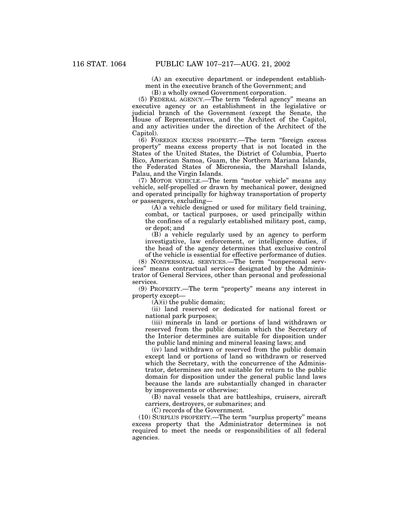(A) an executive department or independent establishment in the executive branch of the Government; and

(B) a wholly owned Government corporation.

(5) FEDERAL AGENCY.—The term ''federal agency'' means an executive agency or an establishment in the legislative or judicial branch of the Government (except the Senate, the House of Representatives, and the Architect of the Capitol, and any activities under the direction of the Architect of the Capitol).

(6) FOREIGN EXCESS PROPERTY.—The term ''foreign excess property'' means excess property that is not located in the States of the United States, the District of Columbia, Puerto Rico, American Samoa, Guam, the Northern Mariana Islands, the Federated States of Micronesia, the Marshall Islands, Palau, and the Virgin Islands.

(7) MOTOR VEHICLE.—The term ''motor vehicle'' means any vehicle, self-propelled or drawn by mechanical power, designed and operated principally for highway transportation of property or passengers, excluding—

(A) a vehicle designed or used for military field training, combat, or tactical purposes, or used principally within the confines of a regularly established military post, camp, or depot; and

(B) a vehicle regularly used by an agency to perform investigative, law enforcement, or intelligence duties, if the head of the agency determines that exclusive control of the vehicle is essential for effective performance of duties.

(8) NONPERSONAL SERVICES.—The term ''nonpersonal services'' means contractual services designated by the Administrator of General Services, other than personal and professional services.

(9) PROPERTY.—The term ''property'' means any interest in property except—

 $(A)(i)$  the public domain;

(ii) land reserved or dedicated for national forest or national park purposes;

(iii) minerals in land or portions of land withdrawn or reserved from the public domain which the Secretary of the Interior determines are suitable for disposition under the public land mining and mineral leasing laws; and

(iv) land withdrawn or reserved from the public domain except land or portions of land so withdrawn or reserved which the Secretary, with the concurrence of the Administrator, determines are not suitable for return to the public domain for disposition under the general public land laws because the lands are substantially changed in character by improvements or otherwise;

(B) naval vessels that are battleships, cruisers, aircraft carriers, destroyers, or submarines; and

(C) records of the Government.

(10) SURPLUS PROPERTY.—The term ''surplus property'' means excess property that the Administrator determines is not required to meet the needs or responsibilities of all federal agencies.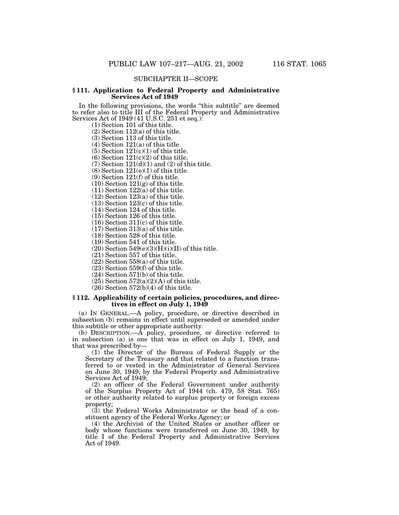# SUBCHAPTER II—SCOPE

#### **§ 111. Application to Federal Property and Administrative Services Act of 1949**

In the following provisions, the words ''this subtitle'' are deemed to refer also to title III of the Federal Property and Administrative Services Act of 1949 (41 U.S.C. 251 et seq.):

(1) Section 101 of this title.

(2) Section 112(a) of this title.

(3) Section 113 of this title.

(4) Section 121(a) of this title.

 $(5)$  Section  $121(c)(1)$  of this title.

 $(6)$  Section  $121(c)(2)$  of this title.

 $(7)$  Section  $121(d)(1)$  and  $(2)$  of this title.

 $(8)$  Section  $121(e)(1)$  of this title.

(9) Section 121(f) of this title.

 $(10)$  Section  $121(g)$  of this title.

 $(11)$  Section  $122(a)$  of this title.

(12) Section 123(a) of this title.

(13) Section 123(c) of this title.

(14) Section 124 of this title.

(15) Section 126 of this title.

 $(16)$  Section  $311(c)$  of this title.

(17) Section 313(a) of this title.

(18) Section 528 of this title.

(19) Section 541 of this title.

 $(20)$  Section 549 $(e)(3)(H)(i)(II)$  of this title.

(21) Section 557 of this title.

(22) Section 558(a) of this title.

(23) Section 559(f) of this title.

(24) Section 571(b) of this title.

 $(25)$  Section  $572(a)(2)(A)$  of this title.

 $(26)$  Section 572(b)(4) of this title.

# **§ 112. Applicability of certain policies, procedures, and directives in effect on July 1, 1949**

(a) IN GENERAL.—A policy, procedure, or directive described in subsection (b) remains in effect until superseded or amended under this subtitle or other appropriate authority.

(b) DESCRIPTION.—A policy, procedure, or directive referred to in subsection (a) is one that was in effect on July 1, 1949, and that was prescribed by—

(1) the Director of the Bureau of Federal Supply or the Secretary of the Treasury and that related to a function transferred to or vested in the Administrator of General Services on June 30, 1949, by the Federal Property and Administrative Services Act of 1949;

(2) an officer of the Federal Government under authority of the Surplus Property Act of 1944 (ch. 479, 58 Stat. 765) or other authority related to surplus property or foreign excess property;

(3) the Federal Works Administrator or the head of a constituent agency of the Federal Works Agency; or

(4) the Archivist of the United States or another officer or body whose functions were transferred on June 30, 1949, by title I of the Federal Property and Administrative Services Act of 1949.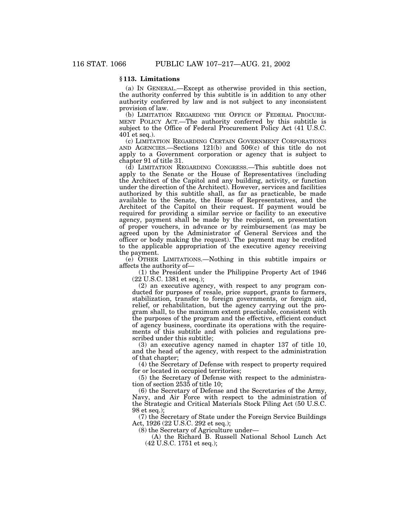# **§ 113. Limitations**

(a) IN GENERAL.—Except as otherwise provided in this section, the authority conferred by this subtitle is in addition to any other authority conferred by law and is not subject to any inconsistent provision of law.

(b) LIMITATION REGARDING THE OFFICE OF FEDERAL PROCURE-MENT POLICY ACT.—The authority conferred by this subtitle is subject to the Office of Federal Procurement Policy Act (41 U.S.C. 401 et seq.).

(c) LIMITATION REGARDING CERTAIN GOVERNMENT CORPORATIONS AND AGENCIES.—Sections 121(b) and 506(c) of this title do not apply to a Government corporation or agency that is subject to chapter 91 of title 31.

(d) LIMITATION REGARDING CONGRESS.—This subtitle does not apply to the Senate or the House of Representatives (including the Architect of the Capitol and any building, activity, or function under the direction of the Architect). However, services and facilities authorized by this subtitle shall, as far as practicable, be made available to the Senate, the House of Representatives, and the Architect of the Capitol on their request. If payment would be required for providing a similar service or facility to an executive agency, payment shall be made by the recipient, on presentation of proper vouchers, in advance or by reimbursement (as may be agreed upon by the Administrator of General Services and the officer or body making the request). The payment may be credited to the applicable appropriation of the executive agency receiving the payment.

(e) OTHER LIMITATIONS.—Nothing in this subtitle impairs or affects the authority of—

(1) the President under the Philippine Property Act of 1946 (22 U.S.C. 1381 et seq.);

(2) an executive agency, with respect to any program conducted for purposes of resale, price support, grants to farmers, stabilization, transfer to foreign governments, or foreign aid, relief, or rehabilitation, but the agency carrying out the program shall, to the maximum extent practicable, consistent with the purposes of the program and the effective, efficient conduct of agency business, coordinate its operations with the requirements of this subtitle and with policies and regulations prescribed under this subtitle;

(3) an executive agency named in chapter 137 of title 10, and the head of the agency, with respect to the administration of that chapter;

(4) the Secretary of Defense with respect to property required for or located in occupied territories;

(5) the Secretary of Defense with respect to the administration of section 2535 of title 10;

(6) the Secretary of Defense and the Secretaries of the Army, Navy, and Air Force with respect to the administration of the Strategic and Critical Materials Stock Piling Act (50 U.S.C. 98 et seq.);

(7) the Secretary of State under the Foreign Service Buildings Act, 1926 (22 U.S.C. 292 et seq.);

(8) the Secretary of Agriculture under—

(A) the Richard B. Russell National School Lunch Act (42 U.S.C. 1751 et seq.);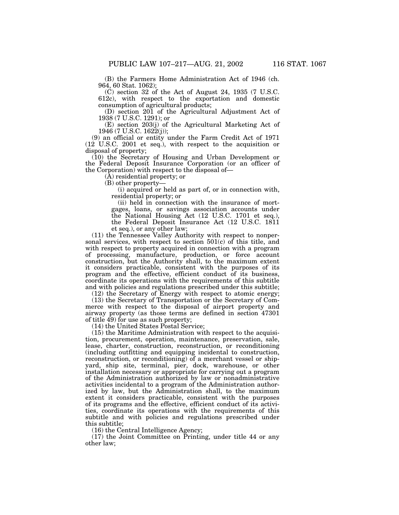(B) the Farmers Home Administration Act of 1946 (ch. 964, 60 Stat. 1062);

 $(C)$  section 32 of the Act of August 24, 1935 (7 U.S.C. 612c), with respect to the exportation and domestic consumption of agricultural products;

(D) section 201 of the Agricultural Adjustment Act of 1938 (7 U.S.C. 1291); or

(E) section 203(j) of the Agricultural Marketing Act of 1946 (7 U.S.C. 1622(j));

(9) an official or entity under the Farm Credit Act of 1971 (12 U.S.C. 2001 et seq.), with respect to the acquisition or disposal of property;

(10) the Secretary of Housing and Urban Development or the Federal Deposit Insurance Corporation (or an officer of the Corporation) with respect to the disposal of—

(A) residential property; or

(B) other property—

(i) acquired or held as part of, or in connection with, residential property; or

(ii) held in connection with the insurance of mortgages, loans, or savings association accounts under the National Housing Act (12 U.S.C. 1701 et seq.), the Federal Deposit Insurance Act (12 U.S.C. 1811 et seq.), or any other law;

(11) the Tennessee Valley Authority with respect to nonpersonal services, with respect to section  $501(c)$  of this title, and with respect to property acquired in connection with a program of processing, manufacture, production, or force account construction, but the Authority shall, to the maximum extent it considers practicable, consistent with the purposes of its program and the effective, efficient conduct of its business, coordinate its operations with the requirements of this subtitle and with policies and regulations prescribed under this subtitle;

(12) the Secretary of Energy with respect to atomic energy;

(13) the Secretary of Transportation or the Secretary of Commerce with respect to the disposal of airport property and airway property (as those terms are defined in section 47301 of title 49) for use as such property;

(14) the United States Postal Service;

(15) the Maritime Administration with respect to the acquisition, procurement, operation, maintenance, preservation, sale, lease, charter, construction, reconstruction, or reconditioning (including outfitting and equipping incidental to construction, reconstruction, or reconditioning) of a merchant vessel or shipyard, ship site, terminal, pier, dock, warehouse, or other installation necessary or appropriate for carrying out a program of the Administration authorized by law or nonadministrative activities incidental to a program of the Administration authorized by law, but the Administration shall, to the maximum extent it considers practicable, consistent with the purposes of its programs and the effective, efficient conduct of its activities, coordinate its operations with the requirements of this subtitle and with policies and regulations prescribed under this subtitle;

(16) the Central Intelligence Agency;

(17) the Joint Committee on Printing, under title 44 or any other law;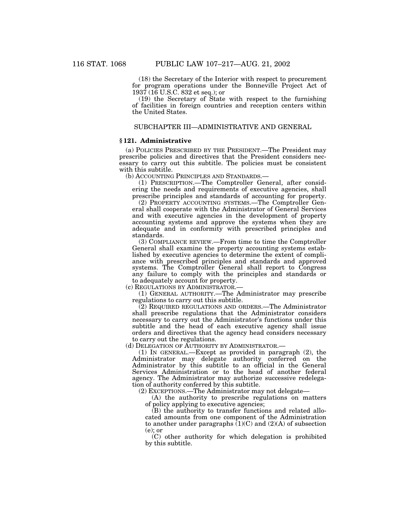(18) the Secretary of the Interior with respect to procurement for program operations under the Bonneville Project Act of 1937 (16 U.S.C. 832 et seq.); or

(19) the Secretary of State with respect to the furnishing of facilities in foreign countries and reception centers within the United States.

# SUBCHAPTER III—ADMINISTRATIVE AND GENERAL

# **§ 121. Administrative**

(a) POLICIES PRESCRIBED BY THE PRESIDENT.—The President may prescribe policies and directives that the President considers necessary to carry out this subtitle. The policies must be consistent with this subtitle.

(b) ACCOUNTING PRINCIPLES AND STANDARDS.—

(1) PRESCRIPTION.—The Comptroller General, after considering the needs and requirements of executive agencies, shall prescribe principles and standards of accounting for property.

(2) PROPERTY ACCOUNTING SYSTEMS.—The Comptroller General shall cooperate with the Administrator of General Services and with executive agencies in the development of property accounting systems and approve the systems when they are adequate and in conformity with prescribed principles and standards.

(3) COMPLIANCE REVIEW.—From time to time the Comptroller General shall examine the property accounting systems established by executive agencies to determine the extent of compliance with prescribed principles and standards and approved systems. The Comptroller General shall report to Congress any failure to comply with the principles and standards or to adequately account for property.

(c) REGULATIONS BY ADMINISTRATOR.—

(1) GENERAL AUTHORITY.—The Administrator may prescribe regulations to carry out this subtitle.

(2) REQUIRED REGULATIONS AND ORDERS.—The Administrator shall prescribe regulations that the Administrator considers necessary to carry out the Administrator's functions under this subtitle and the head of each executive agency shall issue orders and directives that the agency head considers necessary to carry out the regulations.

(d) DELEGATION OF AUTHORITY BY ADMINISTRATOR.—

(1) IN GENERAL.—Except as provided in paragraph (2), the Administrator may delegate authority conferred on the Administrator by this subtitle to an official in the General Services Administration or to the head of another federal agency. The Administrator may authorize successive redelegation of authority conferred by this subtitle.

(2) EXCEPTIONS.—The Administrator may not delegate—

(A) the authority to prescribe regulations on matters of policy applying to executive agencies;

(B) the authority to transfer functions and related allocated amounts from one component of the Administration to another under paragraphs  $(1)(C)$  and  $(2)(A)$  of subsection (e); or

(C) other authority for which delegation is prohibited by this subtitle.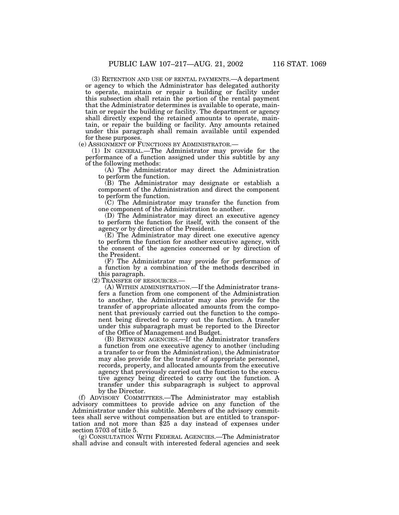(3) RETENTION AND USE OF RENTAL PAYMENTS.—A department or agency to which the Administrator has delegated authority to operate, maintain or repair a building or facility under this subsection shall retain the portion of the rental payment that the Administrator determines is available to operate, maintain or repair the building or facility. The department or agency shall directly expend the retained amounts to operate, maintain, or repair the building or facility. Any amounts retained under this paragraph shall remain available until expended

for these purposes.<br>(e) ASSIGNMENT OF FUNCTIONS BY ADMINISTRATOR.—

(1) IN GENERAL.—The Administrator may provide for the performance of a function assigned under this subtitle by any of the following methods:

(A) The Administrator may direct the Administration to perform the function.

(B) The Administrator may designate or establish a component of the Administration and direct the component to perform the function.

(C) The Administrator may transfer the function from one component of the Administration to another.

(D) The Administrator may direct an executive agency to perform the function for itself, with the consent of the agency or by direction of the President.

(E) The Administrator may direct one executive agency to perform the function for another executive agency, with the consent of the agencies concerned or by direction of the President.

(F) The Administrator may provide for performance of a function by a combination of the methods described in this paragraph.

(2) TRANSFER OF RESOURCES.—

(A) WITHIN ADMINISTRATION.—If the Administrator transfers a function from one component of the Administration to another, the Administrator may also provide for the transfer of appropriate allocated amounts from the component that previously carried out the function to the component being directed to carry out the function. A transfer under this subparagraph must be reported to the Director of the Office of Management and Budget.

(B) BETWEEN AGENCIES.—If the Administrator transfers a function from one executive agency to another (including a transfer to or from the Administration), the Administrator may also provide for the transfer of appropriate personnel, records, property, and allocated amounts from the executive agency that previously carried out the function to the executive agency being directed to carry out the function. A transfer under this subparagraph is subject to approval by the Director.

(f) ADVISORY COMMITTEES.—The Administrator may establish advisory committees to provide advice on any function of the Administrator under this subtitle. Members of the advisory committees shall serve without compensation but are entitled to transportation and not more than \$25 a day instead of expenses under section 5703 of title 5.

(g) CONSULTATION WITH FEDERAL AGENCIES.—The Administrator shall advise and consult with interested federal agencies and seek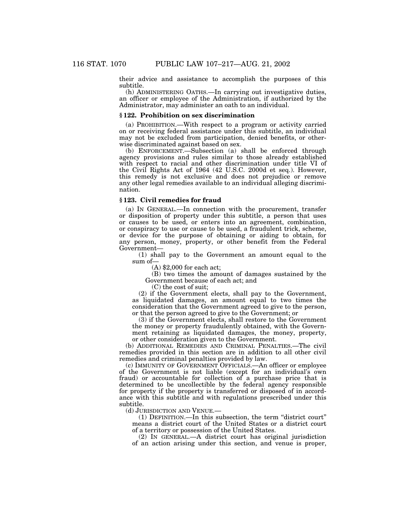their advice and assistance to accomplish the purposes of this subtitle.

(h) ADMINISTERING OATHS.—In carrying out investigative duties, an officer or employee of the Administration, if authorized by the Administrator, may administer an oath to an individual.

#### **§ 122. Prohibition on sex discrimination**

(a) PROHIBITION.—With respect to a program or activity carried on or receiving federal assistance under this subtitle, an individual may not be excluded from participation, denied benefits, or otherwise discriminated against based on sex.

(b) ENFORCEMENT.—Subsection (a) shall be enforced through agency provisions and rules similar to those already established with respect to racial and other discrimination under title VI of the Civil Rights Act of 1964 (42 U.S.C. 2000d et seq.). However, this remedy is not exclusive and does not prejudice or remove any other legal remedies available to an individual alleging discrimination.

#### **§ 123. Civil remedies for fraud**

(a) IN GENERAL.—In connection with the procurement, transfer or disposition of property under this subtitle, a person that uses or causes to be used, or enters into an agreement, combination, or conspiracy to use or cause to be used, a fraudulent trick, scheme, or device for the purpose of obtaining or aiding to obtain, for any person, money, property, or other benefit from the Federal Government—

(1) shall pay to the Government an amount equal to the sum of—

(A) \$2,000 for each act;

(B) two times the amount of damages sustained by the Government because of each act; and

(C) the cost of suit;

(2) if the Government elects, shall pay to the Government, as liquidated damages, an amount equal to two times the consideration that the Government agreed to give to the person, or that the person agreed to give to the Government; or

(3) if the Government elects, shall restore to the Government the money or property fraudulently obtained, with the Government retaining as liquidated damages, the money, property, or other consideration given to the Government.

(b) ADDITIONAL REMEDIES AND CRIMINAL PENALTIES.—The civil remedies provided in this section are in addition to all other civil remedies and criminal penalties provided by law.

(c) IMMUNITY OF GOVERNMENT OFFICIALS.—An officer or employee of the Government is not liable (except for an individual's own fraud) or accountable for collection of a purchase price that is determined to be uncollectible by the federal agency responsible for property if the property is transferred or disposed of in accordance with this subtitle and with regulations prescribed under this subtitle.

(d) JURISDICTION AND VENUE.—

(1) DEFINITION.—In this subsection, the term ''district court'' means a district court of the United States or a district court of a territory or possession of the United States.

(2) IN GENERAL.—A district court has original jurisdiction of an action arising under this section, and venue is proper,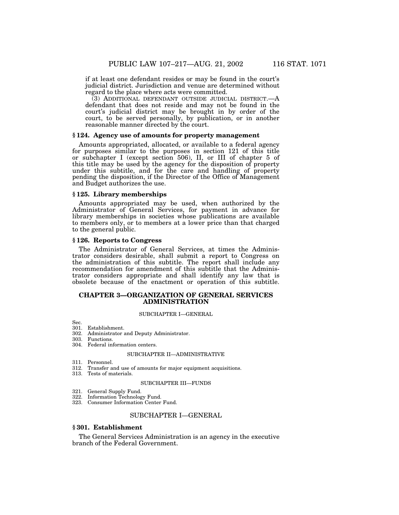if at least one defendant resides or may be found in the court's judicial district. Jurisdiction and venue are determined without regard to the place where acts were committed.

(3) ADDITIONAL DEFENDANT OUTSIDE JUDICIAL DISTRICT.—A defendant that does not reside and may not be found in the court's judicial district may be brought in by order of the court, to be served personally, by publication, or in another reasonable manner directed by the court.

## **§ 124. Agency use of amounts for property management**

Amounts appropriated, allocated, or available to a federal agency for purposes similar to the purposes in section 121 of this title or subchapter I (except section 506), II, or III of chapter 5 of this title may be used by the agency for the disposition of property under this subtitle, and for the care and handling of property pending the disposition, if the Director of the Office of Management and Budget authorizes the use.

#### **§ 125. Library memberships**

Amounts appropriated may be used, when authorized by the Administrator of General Services, for payment in advance for library memberships in societies whose publications are available to members only, or to members at a lower price than that charged to the general public.

#### **§ 126. Reports to Congress**

The Administrator of General Services, at times the Administrator considers desirable, shall submit a report to Congress on the administration of this subtitle. The report shall include any recommendation for amendment of this subtitle that the Administrator considers appropriate and shall identify any law that is obsolete because of the enactment or operation of this subtitle.

# **CHAPTER 3—ORGANIZATION OF GENERAL SERVICES ADMINISTRATION**

#### SUBCHAPTER I—GENERAL

Sec.

- 301. Establishment.
- 302. Administrator and Deputy Administrator.
- 303. Functions.
- 304. Federal information centers.

# SUBCHAPTER II—ADMINISTRATIVE

- 311. Personnel.
- 312. Transfer and use of amounts for major equipment acquisitions.
- 313. Tests of materials.

#### SUBCHAPTER III—FUNDS

- 321. General Supply Fund.<br>322. Information Technolog
- Information Technology Fund.
- 323. Consumer Information Center Fund.

# SUBCHAPTER I—GENERAL

# **§ 301. Establishment**

The General Services Administration is an agency in the executive branch of the Federal Government.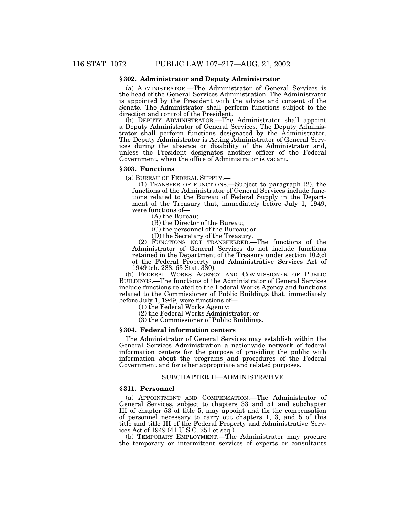# **§ 302. Administrator and Deputy Administrator**

(a) ADMINISTRATOR.—The Administrator of General Services is the head of the General Services Administration. The Administrator is appointed by the President with the advice and consent of the Senate. The Administrator shall perform functions subject to the direction and control of the President.

(b) DEPUTY ADMINISTRATOR.—The Administrator shall appoint a Deputy Administrator of General Services. The Deputy Administrator shall perform functions designated by the Administrator. The Deputy Administrator is Acting Administrator of General Services during the absence or disability of the Administrator and, unless the President designates another officer of the Federal Government, when the office of Administrator is vacant.

#### **§ 303. Functions**

(a) BUREAU OF FEDERAL SUPPLY.— (1) TRANSFER OF FUNCTIONS.—Subject to paragraph (2), the functions of the Administrator of General Services include functions related to the Bureau of Federal Supply in the Department of the Treasury that, immediately before July 1, 1949, were functions of  $(A)$  the Bureau:

(B) the Director of the Bureau;

(C) the personnel of the Bureau; or

(D) the Secretary of the Treasury.

(2) FUNCTIONS NOT TRANSFERRED.—The functions of the Administrator of General Services do not include functions retained in the Department of the Treasury under section 102(c) of the Federal Property and Administrative Services Act of 1949 (ch. 288, 63 Stat. 380).

(b) FEDERAL WORKS AGENCY AND COMMISSIONER OF PUBLIC BUILDINGS.—The functions of the Administrator of General Services include functions related to the Federal Works Agency and functions related to the Commissioner of Public Buildings that, immediately before July 1, 1949, were functions of—

(1) the Federal Works Agency;

(2) the Federal Works Administrator; or

(3) the Commissioner of Public Buildings.

# **§ 304. Federal information centers**

The Administrator of General Services may establish within the General Services Administration a nationwide network of federal information centers for the purpose of providing the public with information about the programs and procedures of the Federal Government and for other appropriate and related purposes.

# SUBCHAPTER II—ADMINISTRATIVE

#### **§ 311. Personnel**

(a) APPOINTMENT AND COMPENSATION.—The Administrator of General Services, subject to chapters 33 and 51 and subchapter III of chapter 53 of title 5, may appoint and fix the compensation of personnel necessary to carry out chapters 1, 3, and 5 of this title and title III of the Federal Property and Administrative Services Act of 1949 (41 U.S.C. 251 et seq.).

(b) TEMPORARY EMPLOYMENT.—The Administrator may procure the temporary or intermittent services of experts or consultants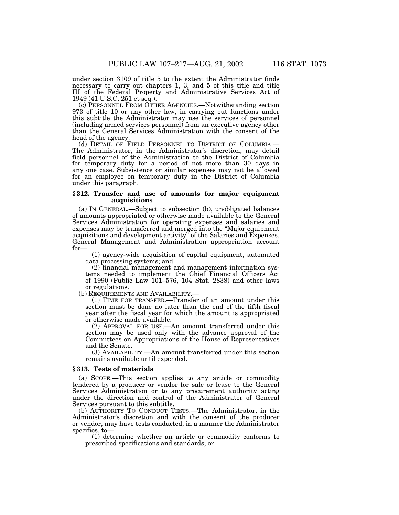under section 3109 of title 5 to the extent the Administrator finds necessary to carry out chapters 1, 3, and 5 of this title and title III of the Federal Property and Administrative Services Act of 1949 (41 U.S.C. 251 et seq.).

(c) PERSONNEL FROM OTHER AGENCIES.—Notwithstanding section 973 of title 10 or any other law, in carrying out functions under this subtitle the Administrator may use the services of personnel (including armed services personnel) from an executive agency other than the General Services Administration with the consent of the head of the agency.<br>(d) DETAIL OF FIELD PERSONNEL TO DISTRICT OF COLUMBIA.

The Administrator, in the Administrator's discretion, may detail field personnel of the Administration to the District of Columbia for temporary duty for a period of not more than 30 days in any one case. Subsistence or similar expenses may not be allowed for an employee on temporary duty in the District of Columbia under this paragraph.

#### **§ 312. Transfer and use of amounts for major equipment acquisitions**

(a) IN GENERAL.—Subject to subsection (b), unobligated balances of amounts appropriated or otherwise made available to the General Services Administration for operating expenses and salaries and expenses may be transferred and merged into the ''Major equipment acquisitions and development activity" of the Salaries and Expenses, General Management and Administration appropriation account for—

(1) agency-wide acquisition of capital equipment, automated data processing systems; and

(2) financial management and management information systems needed to implement the Chief Financial Officers Act of 1990 (Public Law 101–576, 104 Stat. 2838) and other laws or regulations.

(b) REQUIREMENTS AND AVAILABILITY.—

(1) TIME FOR TRANSFER.—Transfer of an amount under this section must be done no later than the end of the fifth fiscal year after the fiscal year for which the amount is appropriated or otherwise made available.

(2) APPROVAL FOR USE.—An amount transferred under this section may be used only with the advance approval of the Committees on Appropriations of the House of Representatives and the Senate.

(3) AVAILABILITY.—An amount transferred under this section remains available until expended.

#### **§ 313. Tests of materials**

(a) SCOPE.—This section applies to any article or commodity tendered by a producer or vendor for sale or lease to the General Services Administration or to any procurement authority acting under the direction and control of the Administrator of General Services pursuant to this subtitle.

(b) AUTHORITY TO CONDUCT TESTS.—The Administrator, in the Administrator's discretion and with the consent of the producer or vendor, may have tests conducted, in a manner the Administrator specifies, to—

(1) determine whether an article or commodity conforms to prescribed specifications and standards; or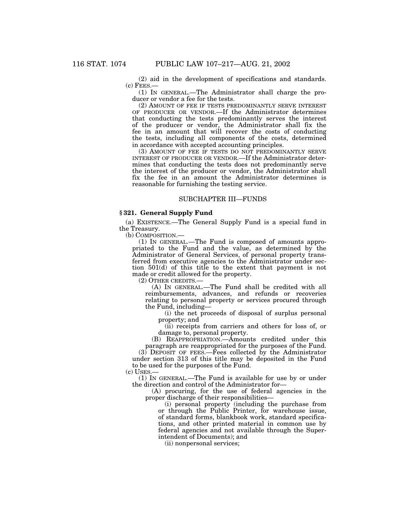(2) aid in the development of specifications and standards.  $(c)$  FEES. $-$ 

(1) IN GENERAL.—The Administrator shall charge the producer or vendor a fee for the tests.

(2) AMOUNT OF FEE IF TESTS PREDOMINANTLY SERVE INTEREST OF PRODUCER OR VENDOR.—If the Administrator determines that conducting the tests predominantly serves the interest of the producer or vendor, the Administrator shall fix the fee in an amount that will recover the costs of conducting the tests, including all components of the costs, determined in accordance with accepted accounting principles.

(3) AMOUNT OF FEE IF TESTS DO NOT PREDOMINANTLY SERVE INTEREST OF PRODUCER OR VENDOR.—If the Administrator determines that conducting the tests does not predominantly serve the interest of the producer or vendor, the Administrator shall fix the fee in an amount the Administrator determines is reasonable for furnishing the testing service.

#### SUBCHAPTER III—FUNDS

# **§ 321. General Supply Fund**

(a) EXISTENCE.—The General Supply Fund is a special fund in the Treasury.<br>(b) COMPOSITION.—

 $(1)$  In GENERAL.—The Fund is composed of amounts appropriated to the Fund and the value, as determined by the Administrator of General Services, of personal property transferred from executive agencies to the Administrator under section 501(d) of this title to the extent that payment is not made or credit allowed for the property.

(2) OTHER CREDITS.—

(A) IN GENERAL.—The Fund shall be credited with all reimbursements, advances, and refunds or recoveries relating to personal property or services procured through the Fund, including—

(i) the net proceeds of disposal of surplus personal property; and

(ii) receipts from carriers and others for loss of, or damage to, personal property.

(B) REAPPROPRIATION.—Amounts credited under this paragraph are reappropriated for the purposes of the Fund.

 $(3)$  DEPOSIT OF FEES.—Fees collected by the Administrator under section 313 of this title may be deposited in the Fund to be used for the purposes of the Fund.

(c) USES.—

(1) IN GENERAL.—The Fund is available for use by or under the direction and control of the Administrator for—

(A) procuring, for the use of federal agencies in the proper discharge of their responsibilities—

(i) personal property (including the purchase from or through the Public Printer, for warehouse issue, of standard forms, blankbook work, standard specifications, and other printed material in common use by federal agencies and not available through the Superintendent of Documents); and

(ii) nonpersonal services;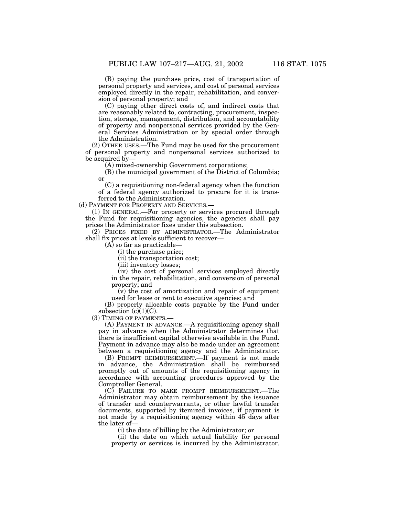(B) paying the purchase price, cost of transportation of personal property and services, and cost of personal services employed directly in the repair, rehabilitation, and conversion of personal property; and

(C) paying other direct costs of, and indirect costs that are reasonably related to, contracting, procurement, inspection, storage, management, distribution, and accountability of property and nonpersonal services provided by the General Services Administration or by special order through the Administration.

(2) OTHER USES.—The Fund may be used for the procurement of personal property and nonpersonal services authorized to be acquired by—

(A) mixed-ownership Government corporations;

(B) the municipal government of the District of Columbia; or

(C) a requisitioning non-federal agency when the function of a federal agency authorized to procure for it is transferred to the Administration.

(d) PAYMENT FOR PROPERTY AND SERVICES.—

(1) IN GENERAL.—For property or services procured through the Fund for requisitioning agencies, the agencies shall pay prices the Administrator fixes under this subsection.

(2) PRICES FIXED BY ADMINISTRATOR.—The Administrator shall fix prices at levels sufficient to recover—

(A) so far as practicable—

(i) the purchase price;

(ii) the transportation cost;

(iii) inventory losses;

(iv) the cost of personal services employed directly in the repair, rehabilitation, and conversion of personal property; and

(v) the cost of amortization and repair of equipment used for lease or rent to executive agencies; and

(B) properly allocable costs payable by the Fund under subsection  $(c)(1)(C)$ .

(3) TIMING OF PAYMENTS.—

(A) PAYMENT IN ADVANCE.—A requisitioning agency shall pay in advance when the Administrator determines that there is insufficient capital otherwise available in the Fund. Payment in advance may also be made under an agreement between a requisitioning agency and the Administrator.

(B) PROMPT REIMBURSEMENT.—If payment is not made in advance, the Administration shall be reimbursed promptly out of amounts of the requisitioning agency in accordance with accounting procedures approved by the Comptroller General.

(C) FAILURE TO MAKE PROMPT REIMBURSEMENT.—The Administrator may obtain reimbursement by the issuance of transfer and counterwarrants, or other lawful transfer documents, supported by itemized invoices, if payment is not made by a requisitioning agency within 45 days after the later of—

(i) the date of billing by the Administrator; or

(ii) the date on which actual liability for personal property or services is incurred by the Administrator.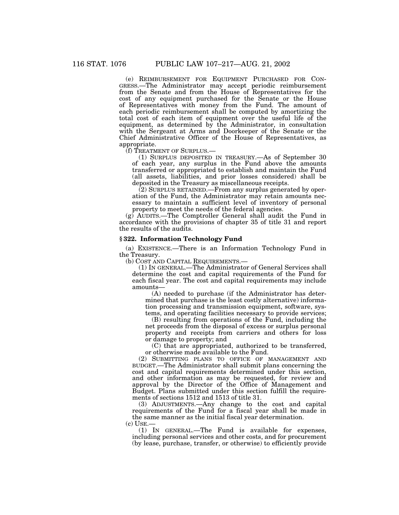(e) REIMBURSEMENT FOR EQUIPMENT PURCHASED FOR CON- GRESS.—The Administrator may accept periodic reimbursement from the Senate and from the House of Representatives for the cost of any equipment purchased for the Senate or the House of Representatives with money from the Fund. The amount of each periodic reimbursement shall be computed by amortizing the total cost of each item of equipment over the useful life of the equipment, as determined by the Administrator, in consultation with the Sergeant at Arms and Doorkeeper of the Senate or the Chief Administrative Officer of the House of Representatives, as appropriate.

(f) TREATMENT OF SURPLUS.— (1) SURPLUS DEPOSITED IN TREASURY.—As of September 30 of each year, any surplus in the Fund above the amounts transferred or appropriated to establish and maintain the Fund (all assets, liabilities, and prior losses considered) shall be deposited in the Treasury as miscellaneous receipts.

 $(2)$  SURPLUS RETAINED.—From any surplus generated by operation of the Fund, the Administrator may retain amounts necessary to maintain a sufficient level of inventory of personal property to meet the needs of the federal agencies.

(g) AUDITS.—The Comptroller General shall audit the Fund in accordance with the provisions of chapter 35 of title 31 and report the results of the audits.

#### **§ 322. Information Technology Fund**

(a) EXISTENCE.—There is an Information Technology Fund in the Treasury.

(b) COST AND CAPITAL REQUIREMENTS.—

(1) IN GENERAL.—The Administrator of General Services shall determine the cost and capital requirements of the Fund for each fiscal year. The cost and capital requirements may include amounts—

(A) needed to purchase (if the Administrator has determined that purchase is the least costly alternative) information processing and transmission equipment, software, systems, and operating facilities necessary to provide services;

(B) resulting from operations of the Fund, including the net proceeds from the disposal of excess or surplus personal property and receipts from carriers and others for loss or damage to property; and

(C) that are appropriated, authorized to be transferred, or otherwise made available to the Fund.

(2) SUBMITTING PLANS TO OFFICE OF MANAGEMENT AND BUDGET.—The Administrator shall submit plans concerning the cost and capital requirements determined under this section, and other information as may be requested, for review and approval by the Director of the Office of Management and Budget. Plans submitted under this section fulfill the requirements of sections 1512 and 1513 of title 31.

(3) ADJUSTMENTS.—Any change to the cost and capital requirements of the Fund for a fiscal year shall be made in the same manner as the initial fiscal year determination. (c) USE.—

(1) IN GENERAL.—The Fund is available for expenses, including personal services and other costs, and for procurement (by lease, purchase, transfer, or otherwise) to efficiently provide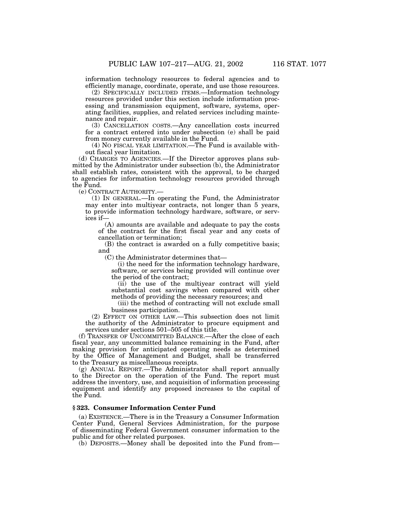information technology resources to federal agencies and to efficiently manage, coordinate, operate, and use those resources.

(2) SPECIFICALLY INCLUDED ITEMS.—Information technology resources provided under this section include information processing and transmission equipment, software, systems, operating facilities, supplies, and related services including maintenance and repair.

(3) CANCELLATION COSTS.—Any cancellation costs incurred for a contract entered into under subsection (e) shall be paid from money currently available in the Fund.

(4) NO FISCAL YEAR LIMITATION.—The Fund is available without fiscal year limitation.

(d) CHARGES TO AGENCIES.—If the Director approves plans submitted by the Administrator under subsection (b), the Administrator shall establish rates, consistent with the approval, to be charged to agencies for information technology resources provided through the Fund.

(e) CONTRACT AUTHORITY.—

(1) IN GENERAL.—In operating the Fund, the Administrator may enter into multiyear contracts, not longer than 5 years, to provide information technology hardware, software, or services if—

(A) amounts are available and adequate to pay the costs of the contract for the first fiscal year and any costs of cancellation or termination;

(B) the contract is awarded on a fully competitive basis; and

(C) the Administrator determines that—

(i) the need for the information technology hardware, software, or services being provided will continue over the period of the contract;

(ii) the use of the multiyear contract will yield substantial cost savings when compared with other methods of providing the necessary resources; and

(iii) the method of contracting will not exclude small business participation.

(2) EFFECT ON OTHER LAW.—This subsection does not limit the authority of the Administrator to procure equipment and services under sections 501–505 of this title.

(f) TRANSFER OF UNCOMMITTED BALANCE.—After the close of each fiscal year, any uncommitted balance remaining in the Fund, after making provision for anticipated operating needs as determined by the Office of Management and Budget, shall be transferred to the Treasury as miscellaneous receipts.

(g) ANNUAL REPORT.—The Administrator shall report annually to the Director on the operation of the Fund. The report must address the inventory, use, and acquisition of information processing equipment and identify any proposed increases to the capital of the Fund.

# **§ 323. Consumer Information Center Fund**

(a) EXISTENCE.—There is in the Treasury a Consumer Information Center Fund, General Services Administration, for the purpose of disseminating Federal Government consumer information to the public and for other related purposes.

(b) DEPOSITS.—Money shall be deposited into the Fund from—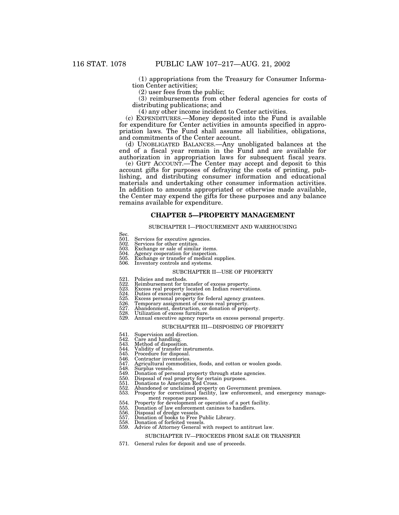(1) appropriations from the Treasury for Consumer Information Center activities;

(2) user fees from the public;

(3) reimbursements from other federal agencies for costs of distributing publications; and

(4) any other income incident to Center activities.

(c) EXPENDITURES.—Money deposited into the Fund is available for expenditure for Center activities in amounts specified in appropriation laws. The Fund shall assume all liabilities, obligations, and commitments of the Center account.

(d) UNOBLIGATED BALANCES.—Any unobligated balances at the end of a fiscal year remain in the Fund and are available for authorization in appropriation laws for subsequent fiscal years.

(e) GIFT ACCOUNT.—The Center may accept and deposit to this account gifts for purposes of defraying the costs of printing, publishing, and distributing consumer information and educational materials and undertaking other consumer information activities. In addition to amounts appropriated or otherwise made available, the Center may expend the gifts for these purposes and any balance remains available for expenditure.

# **CHAPTER 5—PROPERTY MANAGEMENT**

#### SUBCHAPTER I—PROCUREMENT AND WAREHOUSING

- Sec.<br>501.
- 501. Services for executive agencies. 502. Services for other entities.
- 
- 503. Exchange or sale of similar items.
- Agency cooperation for inspection.
- 505. Exchange or transfer of medical supplies. 506. Inventory controls and systems.
- 

# SUBCHAPTER II—USE OF PROPERTY

- 
- 521. Policies and methods. 522. Reimbursement for transfer of excess property. 523. Excess real property located on Indian reservations. 524. Duties of executive agencies.
- 
- 
- 525. Excess personal property for federal agency grantees. 526. Temporary assignment of excess real property.
- 
- 527. Abandonment, destruction, or donation of property. 528. Utilization of excess furniture.
- 
- 529. Annual executive agency reports on excess personal property.

#### SUBCHAPTER III—DISPOSING OF PROPERTY

- 541. Supervision and direction.<br>542. Care and handling.
- 
- 542. Care and handling.<br>543. Method of dispositions 544. Validity of transfer
- 543. Method of disposition. 544. Validity of transfer instruments.
- 545. Procedure for disposal.<br>546. Contractor inventories.
- 
- 546. Contractor inventories.<br>547. Agricultural commoditi 547. Agricultural commodities, foods, and cotton or woolen goods. 548. Surplus vessels.
- 
- 548. Surplus vessels.<br>549. Donation of personal property through state agencies.<br>550. Disposal of real property for certain purposes.
- 550. Disposal of real property for certain purposes. 551. Donations to American Red Cross.
- 
- 
- 552. Abandoned or unclaimed property on Government premises. 553. Property for correctional facility, law enforcement, and emergency management response purposes.<br>554. Property for development or operation of a port facility.<br>555. Donation of law enforcement canines to handlers.
- 
- 555. Donation of law enforcement canines to handlers.
- 
- 556. Disposal of dredge vessels. 557. Donation of books to Free Public Library.
- 558. Donation of forfeited vessels.<br>559. Advice of Attorney General w 559. Advice of Attorney General with respect to antitrust law.

#### SUBCHAPTER IV—PROCEEDS FROM SALE OR TRANSFER

571. General rules for deposit and use of proceeds.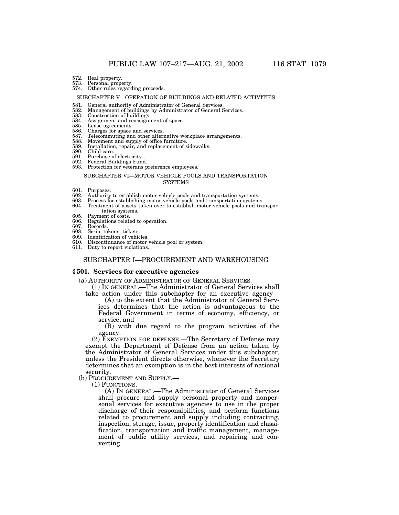- 572. Real property.
- 573. Personal property.
- 574. Other rules regarding proceeds.

#### SUBCHAPTER V—OPERATION OF BUILDINGS AND RELATED ACTIVITIES

- 581. General authority of Administrator of General Services.<br>582. Management of buildings by Administrator of General S
- 582. Management of buildings by Administrator of General Services.
- 583. Construction of buildings.<br>584. Assignment and reassign
- 584. Assignment and reassignment of space.
- 585. Lease agreements.<br>586. Charges for space a
- 586. Charges for space and services.
- 587. Telecommuting and other alternative workplace arrangements. 588. Movement and supply of office furniture.
- 589. Installation, repair, and replacement of sidewalks.<br>590. Child care.
- 
- 590. Child care.
- 591. Purchase of electricity.<br>592. Federal Buildings Fun Federal Buildings Fund.
- 593. Protection for veterans preference employees.

#### SUBCHAPTER VI—MOTOR VEHICLE POOLS AND TRANSPORTATION SYSTEMS

- 601. Purposes.
- 602. Authority to establish motor vehicle pools and transportation systems.
- 603. Process for establishing motor vehicle pools and transportation systems.
- 604. Treatment of assets taken over to establish motor vehicle pools and transportation systems.
- 605. Payment of costs.
- 606. Regulations related to operation.
- 607. Records.
- 608. Scrip, tokens, tickets.<br>609. Identification of vehic
- Identification of vehicles.
- 610. Discontinuance of motor vehicle pool or system.
- 611. Duty to report violations.

# SUBCHAPTER I—PROCUREMENT AND WAREHOUSING

#### **§ 501. Services for executive agencies**

(a) AUTHORITY OF ADMINISTRATOR OF GENERAL SERVICES.—

(1) IN GENERAL.—The Administrator of General Services shall take action under this subchapter for an executive agency—

(A) to the extent that the Administrator of General Services determines that the action is advantageous to the Federal Government in terms of economy, efficiency, or service; and

(B) with due regard to the program activities of the agency.

(2) EXEMPTION FOR DEFENSE.—The Secretary of Defense may exempt the Department of Defense from an action taken by the Administrator of General Services under this subchapter, unless the President directs otherwise, whenever the Secretary determines that an exemption is in the best interests of national security.

(b) PROCUREMENT AND SUPPLY.—

(1) FUNCTIONS.—

(A) IN GENERAL.—The Administrator of General Services shall procure and supply personal property and nonpersonal services for executive agencies to use in the proper discharge of their responsibilities, and perform functions related to procurement and supply including contracting, inspection, storage, issue, property identification and classification, transportation and traffic management, management of public utility services, and repairing and converting.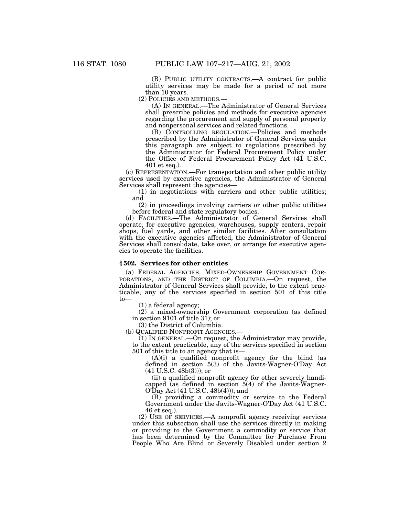(B) PUBLIC UTILITY CONTRACTS.—A contract for public utility services may be made for a period of not more than 10 years.

(2) POLICIES AND METHODS.—

(A) IN GENERAL.—The Administrator of General Services shall prescribe policies and methods for executive agencies regarding the procurement and supply of personal property and nonpersonal services and related functions.

(B) CONTROLLING REGULATION.—Policies and methods prescribed by the Administrator of General Services under this paragraph are subject to regulations prescribed by the Administrator for Federal Procurement Policy under the Office of Federal Procurement Policy Act (41 U.S.C. 401 et seq.).

(c) REPRESENTATION.—For transportation and other public utility services used by executive agencies, the Administrator of General Services shall represent the agencies—

(1) in negotiations with carriers and other public utilities; and

(2) in proceedings involving carriers or other public utilities before federal and state regulatory bodies.

(d) FACILITIES.—The Administrator of General Services shall operate, for executive agencies, warehouses, supply centers, repair shops, fuel yards, and other similar facilities. After consultation with the executive agencies affected, the Administrator of General Services shall consolidate, take over, or arrange for executive agencies to operate the facilities.

#### **§ 502. Services for other entities**

(a) FEDERAL AGENCIES, MIXED-OWNERSHIP GOVERNMENT COR-PORATIONS, AND THE DISTRICT OF COLUMBIA.—On request, the Administrator of General Services shall provide, to the extent practicable, any of the services specified in section 501 of this title to—

(1) a federal agency;

(2) a mixed-ownership Government corporation (as defined in section 9101 of title  $3\overline{1}$ ; or

(3) the District of Columbia.

(b) QUALIFIED NONPROFIT AGENCIES.—

(1) IN GENERAL.—On request, the Administrator may provide, to the extent practicable, any of the services specified in section 501 of this title to an agency that is—

 $(A)(i)$  a qualified nonprofit agency for the blind (as defined in section 5(3) of the Javits-Wagner-O'Day Act  $(41 U.S.C. 48b(3))$ ; or

(ii) a qualified nonprofit agency for other severely handicapped (as defined in section 5(4) of the Javits-Wagner- $O'Day$  Act (41 U.S.C. 48b(4))); and

(B) providing a commodity or service to the Federal Government under the Javits-Wagner-O'Day Act (41 U.S.C. 46 et seq.).

(2) USE OF SERVICES.—A nonprofit agency receiving services under this subsection shall use the services directly in making or providing to the Government a commodity or service that has been determined by the Committee for Purchase From People Who Are Blind or Severely Disabled under section 2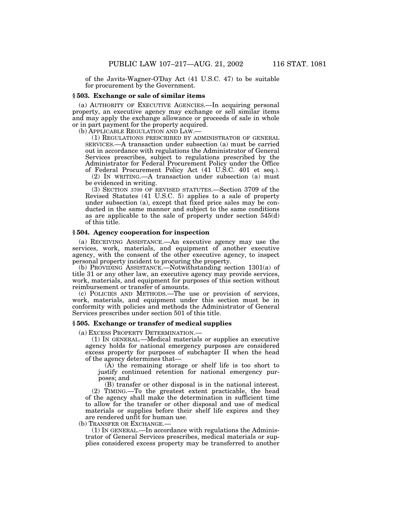of the Javits-Wagner-O'Day Act (41 U.S.C. 47) to be suitable for procurement by the Government.

#### **§ 503. Exchange or sale of similar items**

(a) AUTHORITY OF EXECUTIVE AGENCIES.—In acquiring personal property, an executive agency may exchange or sell similar items and may apply the exchange allowance or proceeds of sale in whole or in part payment for the property acquired.

(b) APPLICABLE REGULATION AND LAW.— (1) REGULATIONS PRESCRIBED BY ADMINISTRATOR OF GENERAL SERVICES.—A transaction under subsection (a) must be carried out in accordance with regulations the Administrator of General Services prescribes, subject to regulations prescribed by the Administrator for Federal Procurement Policy under the Office of Federal Procurement Policy Act (41 U.S.C. 401 et seq.).

(2) IN WRITING.—A transaction under subsection (a) must be evidenced in writing.

(3) SECTION 3709 OF REVISED STATUTES.—Section 3709 of the Revised Statutes (41 U.S.C. 5) applies to a sale of property under subsection (a), except that fixed price sales may be conducted in the same manner and subject to the same conditions as are applicable to the sale of property under section 545(d) of this title.

# **§ 504. Agency cooperation for inspection**

(a) RECEIVING ASSISTANCE.—An executive agency may use the services, work, materials, and equipment of another executive agency, with the consent of the other executive agency, to inspect personal property incident to procuring the property.

(b) PROVIDING ASSISTANCE.—Notwithstanding section 1301(a) of title 31 or any other law, an executive agency may provide services, work, materials, and equipment for purposes of this section without reimbursement or transfer of amounts.

(c) POLICIES AND METHODS.—The use or provision of services, work, materials, and equipment under this section must be in conformity with policies and methods the Administrator of General Services prescribes under section 501 of this title.

#### **§ 505. Exchange or transfer of medical supplies**

(a) EXCESS PROPERTY DETERMINATION.—

(1) IN GENERAL.—Medical materials or supplies an executive agency holds for national emergency purposes are considered excess property for purposes of subchapter II when the head of the agency determines that—

 $(\overline{A})$  the remaining storage or shelf life is too short to justify continued retention for national emergency purposes; and

(B) transfer or other disposal is in the national interest. (2) TIMING.—To the greatest extent practicable, the head of the agency shall make the determination in sufficient time to allow for the transfer or other disposal and use of medical materials or supplies before their shelf life expires and they are rendered unfit for human use.

(b) TRANSFER OR EXCHANGE.—

(1) IN GENERAL.—In accordance with regulations the Administrator of General Services prescribes, medical materials or supplies considered excess property may be transferred to another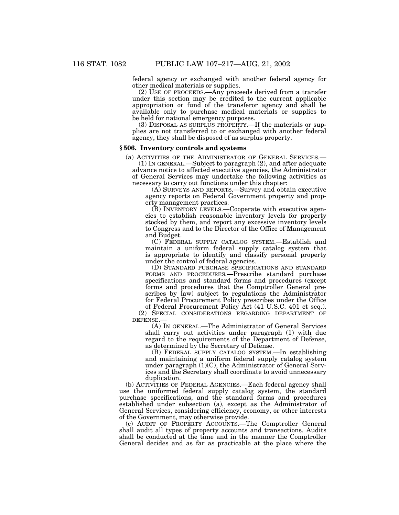federal agency or exchanged with another federal agency for other medical materials or supplies.

(2) USE OF PROCEEDS.—Any proceeds derived from a transfer under this section may be credited to the current applicable appropriation or fund of the transferor agency and shall be available only to purchase medical materials or supplies to be held for national emergency purposes.

(3) DISPOSAL AS SURPLUS PROPERTY.—If the materials or supplies are not transferred to or exchanged with another federal agency, they shall be disposed of as surplus property.

## **§ 506. Inventory controls and systems**

(a) ACTIVITIES OF THE ADMINISTRATOR OF GENERAL SERVICES.— (1) IN GENERAL.—Subject to paragraph (2), and after adequate

advance notice to affected executive agencies, the Administrator of General Services may undertake the following activities as necessary to carry out functions under this chapter:

(A) SURVEYS AND REPORTS.—Survey and obtain executive agency reports on Federal Government property and property management practices.

(B) INVENTORY LEVELS.—Cooperate with executive agencies to establish reasonable inventory levels for property stocked by them, and report any excessive inventory levels to Congress and to the Director of the Office of Management and Budget.

(C) FEDERAL SUPPLY CATALOG SYSTEM.—Establish and maintain a uniform federal supply catalog system that is appropriate to identify and classify personal property under the control of federal agencies.

(D) STANDARD PURCHASE SPECIFICATIONS AND STANDARD FORMS AND PROCEDURES.—Prescribe standard purchase specifications and standard forms and procedures (except forms and procedures that the Comptroller General prescribes by law) subject to regulations the Administrator for Federal Procurement Policy prescribes under the Office

of Federal Procurement Policy Act (41 U.S.C. 401 et seq.). (2) SPECIAL CONSIDERATIONS REGARDING DEPARTMENT OF DEFENSE.—

(A) IN GENERAL.—The Administrator of General Services shall carry out activities under paragraph (1) with due regard to the requirements of the Department of Defense, as determined by the Secretary of Defense.

(B) FEDERAL SUPPLY CATALOG SYSTEM.—In establishing and maintaining a uniform federal supply catalog system under paragraph (1)(C), the Administrator of General Services and the Secretary shall coordinate to avoid unnecessary duplication.

(b) ACTIVITIES OF FEDERAL AGENCIES.—Each federal agency shall use the uniformed federal supply catalog system, the standard purchase specifications, and the standard forms and procedures established under subsection (a), except as the Administrator of General Services, considering efficiency, economy, or other interests of the Government, may otherwise provide.

(c) AUDIT OF PROPERTY ACCOUNTS.—The Comptroller General shall audit all types of property accounts and transactions. Audits shall be conducted at the time and in the manner the Comptroller General decides and as far as practicable at the place where the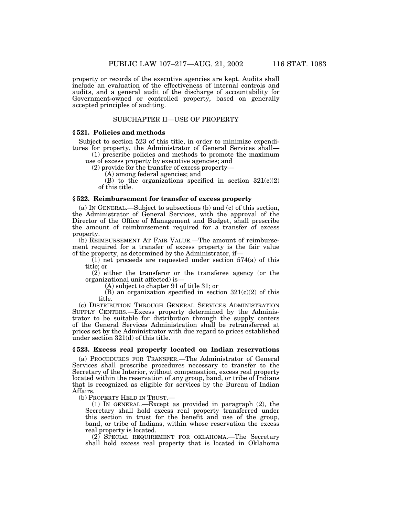property or records of the executive agencies are kept. Audits shall include an evaluation of the effectiveness of internal controls and audits, and a general audit of the discharge of accountability for Government-owned or controlled property, based on generally accepted principles of auditing.

# SUBCHAPTER II—USE OF PROPERTY

# **§ 521. Policies and methods**

Subject to section 523 of this title, in order to minimize expenditures for property, the Administrator of General Services shall— (1) prescribe policies and methods to promote the maximum

use of excess property by executive agencies; and

(2) provide for the transfer of excess property— (A) among federal agencies; and

(B) to the organizations specified in section  $321(c)(2)$ of this title.

#### **§ 522. Reimbursement for transfer of excess property**

(a) IN GENERAL.—Subject to subsections (b) and (c) of this section, the Administrator of General Services, with the approval of the Director of the Office of Management and Budget, shall prescribe the amount of reimbursement required for a transfer of excess property.

(b) REIMBURSEMENT AT FAIR VALUE.—The amount of reimbursement required for a transfer of excess property is the fair value of the property, as determined by the Administrator, if—

 $(1)$  net proceeds are requested under section 574(a) of this title; or

(2) either the transferor or the transferee agency (or the organizational unit affected) is—

(A) subject to chapter 91 of title 31; or

(B) an organization specified in section  $321(c)(2)$  of this title.

(c) DISTRIBUTION THROUGH GENERAL SERVICES ADMINISTRATION SUPPLY CENTERS.—Excess property determined by the Administrator to be suitable for distribution through the supply centers of the General Services Administration shall be retransferred at prices set by the Administrator with due regard to prices established under section 321(d) of this title.

# **§ 523. Excess real property located on Indian reservations**

(a) PROCEDURES FOR TRANSFER.—The Administrator of General Services shall prescribe procedures necessary to transfer to the Secretary of the Interior, without compensation, excess real property located within the reservation of any group, band, or tribe of Indians that is recognized as eligible for services by the Bureau of Indian Affairs.

(b) PROPERTY HELD IN TRUST.—

(1) IN GENERAL.—Except as provided in paragraph (2), the Secretary shall hold excess real property transferred under this section in trust for the benefit and use of the group, band, or tribe of Indians, within whose reservation the excess real property is located.

(2) SPECIAL REQUIREMENT FOR OKLAHOMA.—The Secretary shall hold excess real property that is located in Oklahoma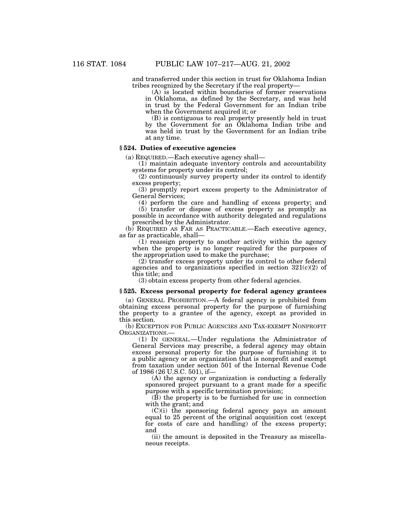and transferred under this section in trust for Oklahoma Indian tribes recognized by the Secretary if the real property—

 $(A)$  is located within boundaries of former reservations in Oklahoma, as defined by the Secretary, and was held in trust by the Federal Government for an Indian tribe when the Government acquired it; or

(B) is contiguous to real property presently held in trust by the Government for an Oklahoma Indian tribe and was held in trust by the Government for an Indian tribe at any time.

# **§ 524. Duties of executive agencies**

(a) REQUIRED.—Each executive agency shall— (1) maintain adequate inventory controls and accountability systems for property under its control;

(2) continuously survey property under its control to identify excess property;

(3) promptly report excess property to the Administrator of General Services;

(4) perform the care and handling of excess property; and

(5) transfer or dispose of excess property as promptly as possible in accordance with authority delegated and regulations prescribed by the Administrator.

(b) REQUIRED AS FAR AS PRACTICABLE.—Each executive agency, as far as practicable, shall—

(1) reassign property to another activity within the agency when the property is no longer required for the purposes of the appropriation used to make the purchase;

(2) transfer excess property under its control to other federal agencies and to organizations specified in section  $321(c)(2)$  of this title; and

(3) obtain excess property from other federal agencies.

# **§ 525. Excess personal property for federal agency grantees**

(a) GENERAL PROHIBITION.—A federal agency is prohibited from obtaining excess personal property for the purpose of furnishing the property to a grantee of the agency, except as provided in this section.

(b) EXCEPTION FOR PUBLIC AGENCIES AND TAX-EXEMPT NONPROFIT ORGANIZATIONS.—

(1) IN GENERAL.—Under regulations the Administrator of General Services may prescribe, a federal agency may obtain excess personal property for the purpose of furnishing it to a public agency or an organization that is nonprofit and exempt from taxation under section 501 of the Internal Revenue Code of 1986 (26 U.S.C. 501), if—

(A) the agency or organization is conducting a federally sponsored project pursuant to a grant made for a specific purpose with a specific termination provision;

(B) the property is to be furnished for use in connection with the grant; and

(C)(i) the sponsoring federal agency pays an amount equal to 25 percent of the original acquisition cost (except for costs of care and handling) of the excess property; and

(ii) the amount is deposited in the Treasury as miscellaneous receipts.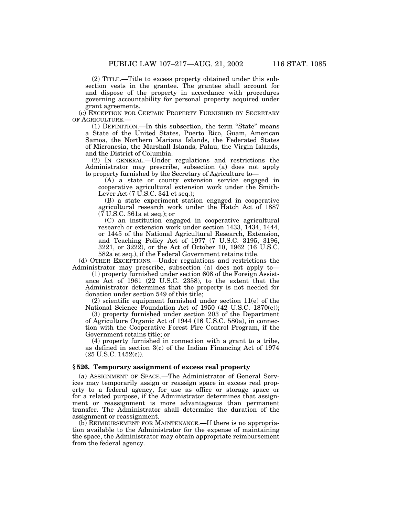(2) TITLE.—Title to excess property obtained under this subsection vests in the grantee. The grantee shall account for and dispose of the property in accordance with procedures governing accountability for personal property acquired under grant agreements.

(c) EXCEPTION FOR CERTAIN PROPERTY FURNISHED BY SECRETARY OF AGRICULTURE.—

(1) DEFINITION.—In this subsection, the term ''State'' means a State of the United States, Puerto Rico, Guam, American Samoa, the Northern Mariana Islands, the Federated States of Micronesia, the Marshall Islands, Palau, the Virgin Islands, and the District of Columbia.

(2) IN GENERAL.—Under regulations and restrictions the Administrator may prescribe, subsection (a) does not apply to property furnished by the Secretary of Agriculture to—

(A) a state or county extension service engaged in cooperative agricultural extension work under the Smith-Lever Act (7 U.S.C. 341 et seq.);

(B) a state experiment station engaged in cooperative agricultural research work under the Hatch Act of 1887 (7 U.S.C. 361a et seq.); or

(C) an institution engaged in cooperative agricultural research or extension work under section 1433, 1434, 1444, or 1445 of the National Agricultural Research, Extension, and Teaching Policy Act of 1977 (7 U.S.C. 3195, 3196, 3221, or 3222), or the Act of October 10, 1962 (16 U.S.C. 582a et seq.), if the Federal Government retains title.

(d) OTHER EXCEPTIONS.—Under regulations and restrictions the Administrator may prescribe, subsection (a) does not apply to—

(1) property furnished under section 608 of the Foreign Assistance Act of 1961 (22 U.S.C. 2358), to the extent that the Administrator determines that the property is not needed for donation under section 549 of this title;

(2) scientific equipment furnished under section 11(e) of the National Science Foundation Act of 1950 (42 U.S.C. 1870(e));

(3) property furnished under section 203 of the Department of Agriculture Organic Act of 1944 (16 U.S.C. 580a), in connection with the Cooperative Forest Fire Control Program, if the Government retains title; or

(4) property furnished in connection with a grant to a tribe, as defined in section 3(c) of the Indian Financing Act of 1974 (25 U.S.C. 1452(c)).

#### **§ 526. Temporary assignment of excess real property**

(a) ASSIGNMENT OF SPACE.—The Administrator of General Services may temporarily assign or reassign space in excess real property to a federal agency, for use as office or storage space or for a related purpose, if the Administrator determines that assignment or reassignment is more advantageous than permanent transfer. The Administrator shall determine the duration of the assignment or reassignment.

(b) REIMBURSEMENT FOR MAINTENANCE.—If there is no appropriation available to the Administrator for the expense of maintaining the space, the Administrator may obtain appropriate reimbursement from the federal agency.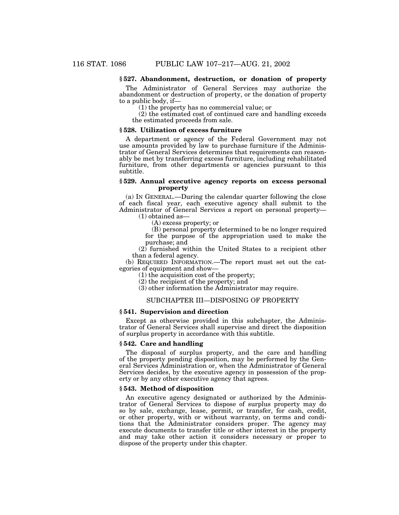# **§ 527. Abandonment, destruction, or donation of property**

The Administrator of General Services may authorize the abandonment or destruction of property, or the donation of property<br>to a public body, if—

 $(1)$  the property has no commercial value; or

(2) the estimated cost of continued care and handling exceeds the estimated proceeds from sale.

#### **§ 528. Utilization of excess furniture**

A department or agency of the Federal Government may not use amounts provided by law to purchase furniture if the Administrator of General Services determines that requirements can reasonably be met by transferring excess furniture, including rehabilitated furniture, from other departments or agencies pursuant to this subtitle.

# **§ 529. Annual executive agency reports on excess personal property**

(a) IN GENERAL.—During the calendar quarter following the close of each fiscal year, each executive agency shall submit to the Administrator of General Services a report on personal property—

(1) obtained as—

(A) excess property; or

(B) personal property determined to be no longer required for the purpose of the appropriation used to make the purchase; and

(2) furnished within the United States to a recipient other than a federal agency.

(b) REQUIRED INFORMATION.—The report must set out the cat-

- $(1)$  the acquisition cost of the property;
- (2) the recipient of the property; and

(3) other information the Administrator may require.

# SUBCHAPTER III—DISPOSING OF PROPERTY

# **§ 541. Supervision and direction**

Except as otherwise provided in this subchapter, the Administrator of General Services shall supervise and direct the disposition of surplus property in accordance with this subtitle.

#### **§ 542. Care and handling**

The disposal of surplus property, and the care and handling of the property pending disposition, may be performed by the General Services Administration or, when the Administrator of General Services decides, by the executive agency in possession of the property or by any other executive agency that agrees.

#### **§ 543. Method of disposition**

An executive agency designated or authorized by the Administrator of General Services to dispose of surplus property may do so by sale, exchange, lease, permit, or transfer, for cash, credit, or other property, with or without warranty, on terms and conditions that the Administrator considers proper. The agency may execute documents to transfer title or other interest in the property and may take other action it considers necessary or proper to dispose of the property under this chapter.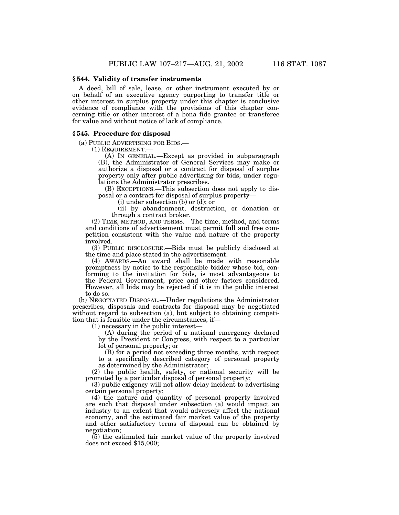A deed, bill of sale, lease, or other instrument executed by or on behalf of an executive agency purporting to transfer title or other interest in surplus property under this chapter is conclusive evidence of compliance with the provisions of this chapter concerning title or other interest of a bona fide grantee or transferee for value and without notice of lack of compliance.

#### **§ 545. Procedure for disposal**

(a) PUBLIC ADVERTISING FOR BIDS.—

(1) REQUIREMENT.—

(A) IN GENERAL.—Except as provided in subparagraph (B), the Administrator of General Services may make or authorize a disposal or a contract for disposal of surplus property only after public advertising for bids, under regulations the Administrator prescribes.

(B) EXCEPTIONS.—This subsection does not apply to disposal or a contract for disposal of surplus property—

 $(i)$  under subsection  $(b)$  or  $(d)$ ; or

(ii) by abandonment, destruction, or donation or through a contract broker.

(2) TIME, METHOD, AND TERMS.—The time, method, and terms and conditions of advertisement must permit full and free competition consistent with the value and nature of the property involved.

(3) PUBLIC DISCLOSURE.—Bids must be publicly disclosed at the time and place stated in the advertisement.

(4) AWARDS.—An award shall be made with reasonable promptness by notice to the responsible bidder whose bid, conforming to the invitation for bids, is most advantageous to the Federal Government, price and other factors considered. However, all bids may be rejected if it is in the public interest to do so.

(b) NEGOTIATED DISPOSAL.—Under regulations the Administrator prescribes, disposals and contracts for disposal may be negotiated without regard to subsection (a), but subject to obtaining competition that is feasible under the circumstances, if—

(1) necessary in the public interest—

(A) during the period of a national emergency declared by the President or Congress, with respect to a particular lot of personal property; or

(B) for a period not exceeding three months, with respect to a specifically described category of personal property as determined by the Administrator;

(2) the public health, safety, or national security will be promoted by a particular disposal of personal property;

(3) public exigency will not allow delay incident to advertising certain personal property;

(4) the nature and quantity of personal property involved are such that disposal under subsection (a) would impact an industry to an extent that would adversely affect the national economy, and the estimated fair market value of the property and other satisfactory terms of disposal can be obtained by negotiation;

(5) the estimated fair market value of the property involved does not exceed \$15,000;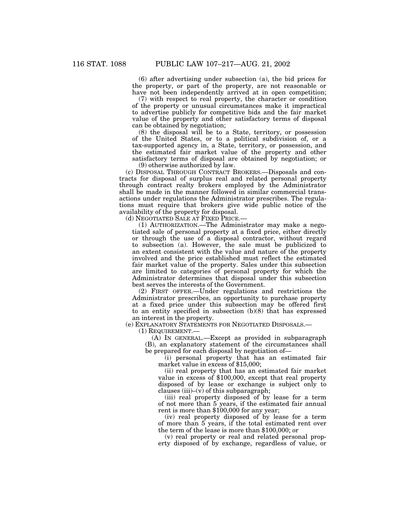(6) after advertising under subsection (a), the bid prices for the property, or part of the property, are not reasonable or have not been independently arrived at in open competition;

(7) with respect to real property, the character or condition of the property or unusual circumstances make it impractical to advertise publicly for competitive bids and the fair market value of the property and other satisfactory terms of disposal can be obtained by negotiation;

(8) the disposal will be to a State, territory, or possession of the United States, or to a political subdivision of, or a tax-supported agency in, a State, territory, or possession, and the estimated fair market value of the property and other satisfactory terms of disposal are obtained by negotiation; or (9) otherwise authorized by law.

(c) DISPOSAL THROUGH CONTRACT BROKERS.—Disposals and contracts for disposal of surplus real and related personal property through contract realty brokers employed by the Administrator shall be made in the manner followed in similar commercial transactions under regulations the Administrator prescribes. The regulations must require that brokers give wide public notice of the availability of the property for disposal.

(d) NEGOTIATED SALE AT FIXED PRICE.—

(1) AUTHORIZATION.—The Administrator may make a negotiated sale of personal property at a fixed price, either directly or through the use of a disposal contractor, without regard to subsection (a). However, the sale must be publicized to an extent consistent with the value and nature of the property involved and the price established must reflect the estimated fair market value of the property. Sales under this subsection are limited to categories of personal property for which the Administrator determines that disposal under this subsection best serves the interests of the Government.

(2) FIRST OFFER.—Under regulations and restrictions the Administrator prescribes, an opportunity to purchase property at a fixed price under this subsection may be offered first to an entity specified in subsection (b)(8) that has expressed an interest in the property.

(e) EXPLANATORY STATEMENTS FOR NEGOTIATED DISPOSALS.—

(1) REQUIREMENT.—

(A) IN GENERAL.—Except as provided in subparagraph (B), an explanatory statement of the circumstances shall be prepared for each disposal by negotiation of—

(i) personal property that has an estimated fair market value in excess of \$15,000;

(ii) real property that has an estimated fair market value in excess of \$100,000, except that real property disposed of by lease or exchange is subject only to clauses (iii)–(v) of this subparagraph;

(iii) real property disposed of by lease for a term of not more than 5 years, if the estimated fair annual rent is more than \$100,000 for any year;

(iv) real property disposed of by lease for a term of more than 5 years, if the total estimated rent over the term of the lease is more than \$100,000; or

(v) real property or real and related personal property disposed of by exchange, regardless of value, or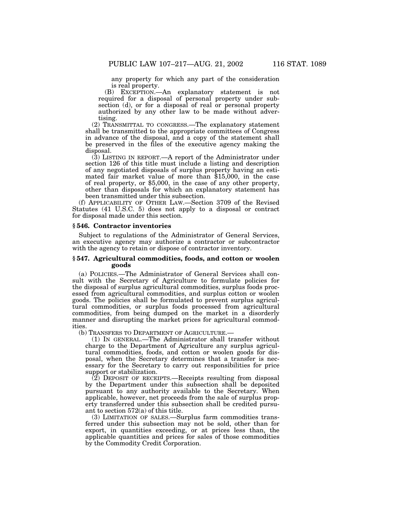any property for which any part of the consideration is real property.

(B) EXCEPTION.—An explanatory statement is not required for a disposal of personal property under subsection (d), or for a disposal of real or personal property authorized by any other law to be made without advertising.

(2) TRANSMITTAL TO CONGRESS.—The explanatory statement shall be transmitted to the appropriate committees of Congress in advance of the disposal, and a copy of the statement shall be preserved in the files of the executive agency making the disposal.

(3) LISTING IN REPORT.—A report of the Administrator under section 126 of this title must include a listing and description of any negotiated disposals of surplus property having an estimated fair market value of more than \$15,000, in the case of real property, or \$5,000, in the case of any other property, other than disposals for which an explanatory statement has been transmitted under this subsection.

(f) APPLICABILITY OF OTHER LAW.—Section 3709 of the Revised Statutes (41 U.S.C. 5) does not apply to a disposal or contract for disposal made under this section.

#### **§ 546. Contractor inventories**

Subject to regulations of the Administrator of General Services, an executive agency may authorize a contractor or subcontractor with the agency to retain or dispose of contractor inventory.

#### **§ 547. Agricultural commodities, foods, and cotton or woolen goods**

(a) POLICIES.—The Administrator of General Services shall consult with the Secretary of Agriculture to formulate policies for the disposal of surplus agricultural commodities, surplus foods processed from agricultural commodities, and surplus cotton or woolen goods. The policies shall be formulated to prevent surplus agricultural commodities, or surplus foods processed from agricultural commodities, from being dumped on the market in a disorderly manner and disrupting the market prices for agricultural commodities.

(b) TRANSFERS TO DEPARTMENT OF AGRICULTURE.—

(1) IN GENERAL.—The Administrator shall transfer without charge to the Department of Agriculture any surplus agricultural commodities, foods, and cotton or woolen goods for disposal, when the Secretary determines that a transfer is necessary for the Secretary to carry out responsibilities for price support or stabilization.

 $(2)$  DEPOSIT OF RECEIPTS.—Receipts resulting from disposal by the Department under this subsection shall be deposited pursuant to any authority available to the Secretary. When applicable, however, net proceeds from the sale of surplus property transferred under this subsection shall be credited pursuant to section 572(a) of this title.

(3) LIMITATION OF SALES.—Surplus farm commodities transferred under this subsection may not be sold, other than for export, in quantities exceeding, or at prices less than, the applicable quantities and prices for sales of those commodities by the Commodity Credit Corporation.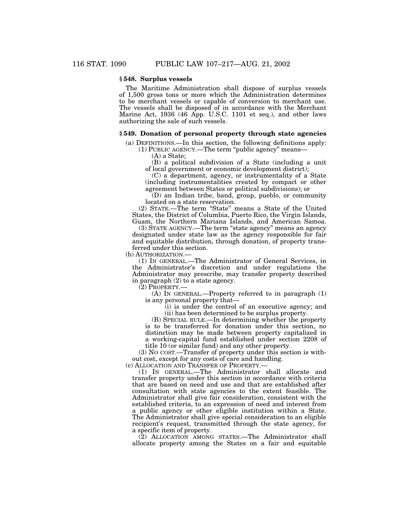# **§ 548. Surplus vessels**

The Maritime Administration shall dispose of surplus vessels of 1,500 gross tons or more which the Administration determines to be merchant vessels or capable of conversion to merchant use. The vessels shall be disposed of in accordance with the Merchant Marine Act, 1936 (46 App. U.S.C. 1101 et seq.), and other laws authorizing the sale of such vessels.

#### **§ 549. Donation of personal property through state agencies**

(a) DEFINITIONS.—In this section, the following definitions apply:

(1) PUBLIC AGENCY.—The term ''public agency'' means—

(A) a State;

(B) a political subdivision of a State (including a unit of local government or economic development district);

(C) a department, agency, or instrumentality of a State (including instrumentalities created by compact or other agreement between States or political subdivisions); or

(D) an Indian tribe, band, group, pueblo, or community located on a state reservation.

(2) STATE.—The term ''State'' means a State of the United States, the District of Columbia, Puerto Rico, the Virgin Islands, Guam, the Northern Mariana Islands, and American Samoa.

(3) STATE AGENCY.—The term ''state agency'' means an agency designated under state law as the agency responsible for fair and equitable distribution, through donation, of property transferred under this section.

(b) AUTHORIZATION.—

(1) IN GENERAL.—The Administrator of General Services, in the Administrator's discretion and under regulations the Administrator may prescribe, may transfer property described in paragraph (2) to a state agency.

(2) PROPERTY.—

(A) IN GENERAL.—Property referred to in paragraph  $(1)$  is any personal property that—

 $(i)$  is under the control of an executive agency; and (ii) has been determined to be surplus property.

(B) SPECIAL RULE.—In determining whether the property is to be transferred for donation under this section, no distinction may be made between property capitalized in a working-capital fund established under section 2208 of title 10 (or similar fund) and any other property.

(3) NO COST.—Transfer of property under this section is without cost, except for any costs of care and handling.

(c) ALLOCATION AND TRANSFER OF PROPERTY.—

(1) IN GENERAL.—The Administrator shall allocate and transfer property under this section in accordance with criteria that are based on need and use and that are established after consultation with state agencies to the extent feasible. The Administrator shall give fair consideration, consistent with the established criteria, to an expression of need and interest from a public agency or other eligible institution within a State. The Administrator shall give special consideration to an eligible recipient's request, transmitted through the state agency, for a specific item of property.

(2) ALLOCATION AMONG STATES.—The Administrator shall allocate property among the States on a fair and equitable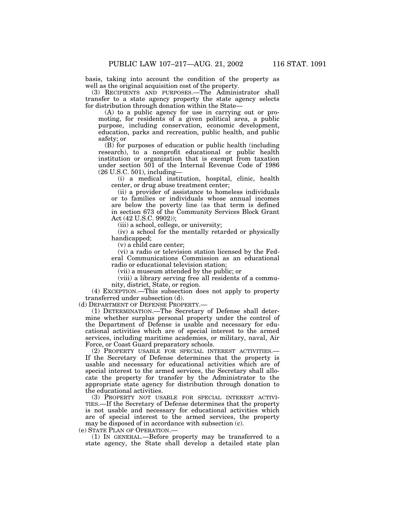basis, taking into account the condition of the property as well as the original acquisition cost of the property.

(3) RECIPIENTS AND PURPOSES.—The Administrator shall transfer to a state agency property the state agency selects for distribution through donation within the State—

(A) to a public agency for use in carrying out or promoting, for residents of a given political area, a public purpose, including conservation, economic development, education, parks and recreation, public health, and public safety; or

(B) for purposes of education or public health (including research), to a nonprofit educational or public health institution or organization that is exempt from taxation under section 501 of the Internal Revenue Code of 1986 (26 U.S.C. 501), including—

(i) a medical institution, hospital, clinic, health center, or drug abuse treatment center;

(ii) a provider of assistance to homeless individuals or to families or individuals whose annual incomes are below the poverty line (as that term is defined in section 673 of the Community Services Block Grant Act (42 U.S.C. 9902));

(iii) a school, college, or university;

(iv) a school for the mentally retarded or physically handicapped;

(v) a child care center;

(vi) a radio or television station licensed by the Federal Communications Commission as an educational radio or educational television station;

(vii) a museum attended by the public; or

(viii) a library serving free all residents of a community, district, State, or region.

(4) EXCEPTION.—This subsection does not apply to property transferred under subsection (d).

(d) DEPARTMENT OF DEFENSE PROPERTY.—

(1) DETERMINATION.—The Secretary of Defense shall determine whether surplus personal property under the control of the Department of Defense is usable and necessary for educational activities which are of special interest to the armed services, including maritime academies, or military, naval, Air Force, or Coast Guard preparatory schools.

(2) PROPERTY USABLE FOR SPECIAL INTEREST ACTIVITIES.— If the Secretary of Defense determines that the property is usable and necessary for educational activities which are of special interest to the armed services, the Secretary shall allocate the property for transfer by the Administrator to the appropriate state agency for distribution through donation to the educational activities.

(3) PROPERTY NOT USABLE FOR SPECIAL INTEREST ACTIVI-TIES.—If the Secretary of Defense determines that the property is not usable and necessary for educational activities which are of special interest to the armed services, the property may be disposed of in accordance with subsection (c).

(e) STATE PLAN OF OPERATION.—

(1) IN GENERAL.—Before property may be transferred to a state agency, the State shall develop a detailed state plan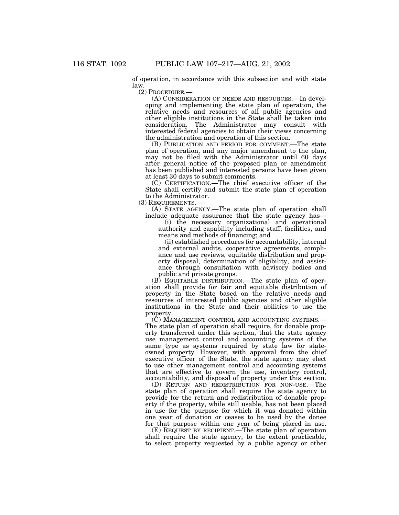of operation, in accordance with this subsection and with state law.

(2) PROCEDURE.—

(A) CONSIDERATION OF NEEDS AND RESOURCES.—In developing and implementing the state plan of operation, the relative needs and resources of all public agencies and other eligible institutions in the State shall be taken into consideration. The Administrator may consult with interested federal agencies to obtain their views concerning the administration and operation of this section.

(B) PUBLICATION AND PERIOD FOR COMMENT.—The state plan of operation, and any major amendment to the plan, may not be filed with the Administrator until 60 days after general notice of the proposed plan or amendment has been published and interested persons have been given at least 30 days to submit comments.

(C) CERTIFICATION.—The chief executive officer of the State shall certify and submit the state plan of operation to the Administrator.

(3) REQUIREMENTS.—

(A) STATE AGENCY.—The state plan of operation shall include adequate assurance that the state agency has—

(i) the necessary organizational and operational authority and capability including staff, facilities, and means and methods of financing; and

(ii) established procedures for accountability, internal and external audits, cooperative agreements, compliance and use reviews, equitable distribution and property disposal, determination of eligibility, and assistance through consultation with advisory bodies and public and private groups.

(B) EQUITABLE DISTRIBUTION.—The state plan of operation shall provide for fair and equitable distribution of property in the State based on the relative needs and resources of interested public agencies and other eligible institutions in the State and their abilities to use the property.

(C) MANAGEMENT CONTROL AND ACCOUNTING SYSTEMS.— The state plan of operation shall require, for donable property transferred under this section, that the state agency use management control and accounting systems of the same type as systems required by state law for stateowned property. However, with approval from the chief executive officer of the State, the state agency may elect to use other management control and accounting systems that are effective to govern the use, inventory control, accountability, and disposal of property under this section.

(D) RETURN AND REDISTRIBUTION FOR NON-USE.—The state plan of operation shall require the state agency to provide for the return and redistribution of donable property if the property, while still usable, has not been placed in use for the purpose for which it was donated within one year of donation or ceases to be used by the donee for that purpose within one year of being placed in use.

(E) REQUEST BY RECIPIENT.—The state plan of operation shall require the state agency, to the extent practicable, to select property requested by a public agency or other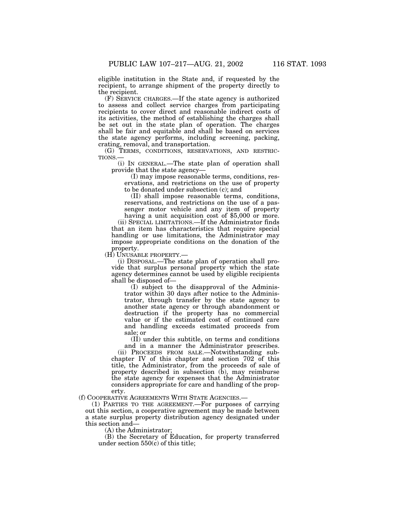eligible institution in the State and, if requested by the recipient, to arrange shipment of the property directly to the recipient.

(F) SERVICE CHARGES.—If the state agency is authorized to assess and collect service charges from participating recipients to cover direct and reasonable indirect costs of its activities, the method of establishing the charges shall be set out in the state plan of operation. The charges shall be fair and equitable and shall be based on services the state agency performs, including screening, packing, crating, removal, and transportation.

(G) TERMS, CONDITIONS, RESERVATIONS, AND RESTRIC- TIONS.—

(i) IN GENERAL.—The state plan of operation shall

(I) may impose reasonable terms, conditions, reservations, and restrictions on the use of property to be donated under subsection (c); and

(II) shall impose reasonable terms, conditions, reservations, and restrictions on the use of a passenger motor vehicle and any item of property

having a unit acquisition cost of \$5,000 or more. (ii) SPECIAL LIMITATIONS.—If the Administrator finds that an item has characteristics that require special handling or use limitations, the Administrator may impose appropriate conditions on the donation of the property.

(H) UNUSABLE PROPERTY.—

(i) DISPOSAL.—The state plan of operation shall provide that surplus personal property which the state agency determines cannot be used by eligible recipients shall be disposed of—

(I) subject to the disapproval of the Administrator within 30 days after notice to the Administrator, through transfer by the state agency to another state agency or through abandonment or destruction if the property has no commercial value or if the estimated cost of continued care and handling exceeds estimated proceeds from sale; or

(II) under this subtitle, on terms and conditions

and in a manner the Administrator prescribes. (ii) PROCEEDS FROM SALE.—Notwithstanding subchapter IV of this chapter and section 702 of this title, the Administrator, from the proceeds of sale of property described in subsection (b), may reimburse the state agency for expenses that the Administrator considers appropriate for care and handling of the property.

(f) COOPERATIVE AGREEMENTS WITH STATE AGENCIES.—

(1) PARTIES TO THE AGREEMENT.—For purposes of carrying out this section, a cooperative agreement may be made between a state surplus property distribution agency designated under this section and—

(A) the Administrator;

(B) the Secretary of Education, for property transferred under section 550(c) of this title;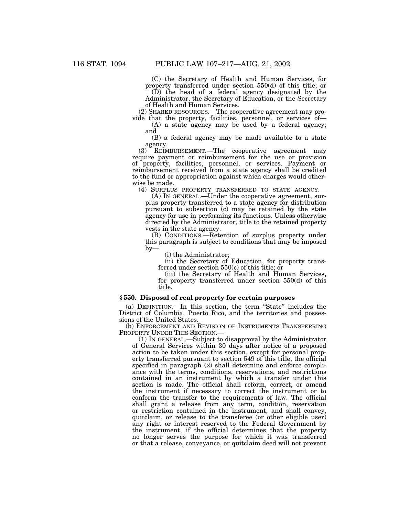(C) the Secretary of Health and Human Services, for property transferred under section 550(d) of this title; or

(D) the head of a federal agency designated by the Administrator, the Secretary of Education, or the Secretary of Health and Human Services.

(2) SHARED RESOURCES.—The cooperative agreement may pro-

vide that the property, facilities, personnel, or services of— (A) a state agency may be used by a federal agency; and

(B) a federal agency may be made available to a state agency.

(3) REIMBURSEMENT.—The cooperative agreement may require payment or reimbursement for the use or provision of property, facilities, personnel, or services. Payment or reimbursement received from a state agency shall be credited to the fund or appropriation against which charges would otherwise be made.

(4) SURPLUS PROPERTY TRANSFERRED TO STATE AGENCY.—

(A) IN GENERAL.—Under the cooperative agreement, surplus property transferred to a state agency for distribution pursuant to subsection (c) may be retained by the state agency for use in performing its functions. Unless otherwise directed by the Administrator, title to the retained property vests in the state agency.

(B) CONDITIONS.—Retention of surplus property under this paragraph is subject to conditions that may be imposed by—

(i) the Administrator;

(ii) the Secretary of Education, for property transferred under section 550(c) of this title; or

(iii) the Secretary of Health and Human Services, for property transferred under section  $550(d)$  of this title.

# **§ 550. Disposal of real property for certain purposes**

(a) DEFINITION.—In this section, the term ''State'' includes the District of Columbia, Puerto Rico, and the territories and possessions of the United States.

(b) ENFORCEMENT AND REVISION OF INSTRUMENTS TRANSFERRING PROPERTY UNDER THIS SECTION.—

(1) IN GENERAL.—Subject to disapproval by the Administrator of General Services within 30 days after notice of a proposed action to be taken under this section, except for personal property transferred pursuant to section 549 of this title, the official specified in paragraph (2) shall determine and enforce compliance with the terms, conditions, reservations, and restrictions contained in an instrument by which a transfer under this section is made. The official shall reform, correct, or amend the instrument if necessary to correct the instrument or to conform the transfer to the requirements of law. The official shall grant a release from any term, condition, reservation or restriction contained in the instrument, and shall convey, quitclaim, or release to the transferee (or other eligible user) any right or interest reserved to the Federal Government by the instrument, if the official determines that the property no longer serves the purpose for which it was transferred or that a release, conveyance, or quitclaim deed will not prevent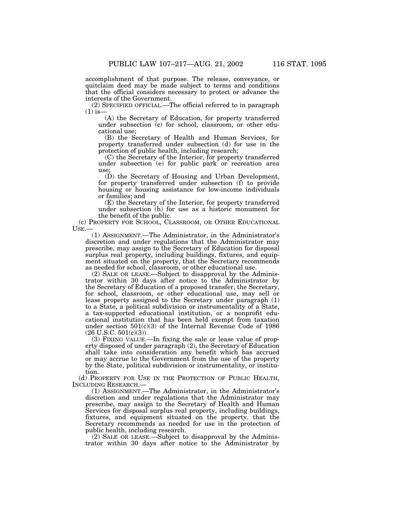accomplishment of that purpose. The release, conveyance, or quitclaim deed may be made subject to terms and conditions that the official considers necessary to protect or advance the interests of the Government.

(2) SPECIFIED OFFICIAL.—The official referred to in paragraph  $(1)$  is-

(A) the Secretary of Education, for property transferred under subsection (c) for school, classroom, or other educational use;

(B) the Secretary of Health and Human Services, for property transferred under subsection (d) for use in the protection of public health, including research;

(C) the Secretary of the Interior, for property transferred under subsection (e) for public park or recreation area use;

(D) the Secretary of Housing and Urban Development, for property transferred under subsection (f) to provide housing or housing assistance for low-income individuals or families; and

(E) the Secretary of the Interior, for property transferred under subsection (h) for use as a historic monument for the benefit of the public.

(c) PROPERTY FOR SCHOOL, CLASSROOM, OR OTHER EDUCATIONAL USE.—

(1) ASSIGNMENT.—The Administrator, in the Administrator's discretion and under regulations that the Administrator may prescribe, may assign to the Secretary of Education for disposal surplus real property, including buildings, fixtures, and equipment situated on the property, that the Secretary recommends as needed for school, classroom, or other educational use.

(2) SALE OR LEASE.—Subject to disapproval by the Administrator within 30 days after notice to the Administrator by the Secretary of Education of a proposed transfer, the Secretary, for school, classroom, or other educational use, may sell or lease property assigned to the Secretary under paragraph (1) to a State, a political subdivision or instrumentality of a State, a tax-supported educational institution, or a nonprofit educational institution that has been held exempt from taxation under section 501(c)(3) of the Internal Revenue Code of 1986  $(26 \text{ U.S.C. } 501 \text{ (c)}(3)).$ 

(3) FIXING VALUE.—In fixing the sale or lease value of property disposed of under paragraph (2), the Secretary of Education shall take into consideration any benefit which has accrued or may accrue to the Government from the use of the property by the State, political subdivision or instrumentality, or institution.

(d) PROPERTY FOR USE IN THE PROTECTION OF PUBLIC HEALTH, INCLUDING RESEARCH.—

(1) ASSIGNMENT.—The Administrator, in the Administrator's discretion and under regulations that the Administrator may prescribe, may assign to the Secretary of Health and Human Services for disposal surplus real property, including buildings, fixtures, and equipment situated on the property, that the Secretary recommends as needed for use in the protection of public health, including research.

(2) SALE OR LEASE.—Subject to disapproval by the Administrator within 30 days after notice to the Administrator by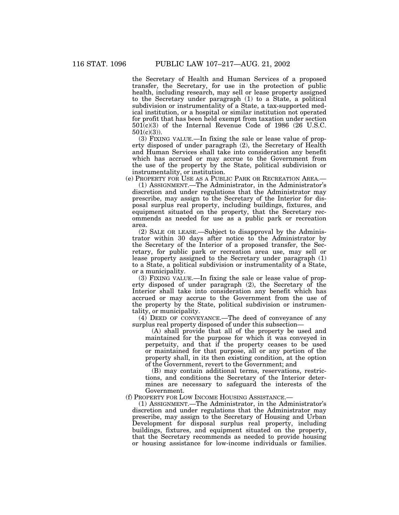the Secretary of Health and Human Services of a proposed transfer, the Secretary, for use in the protection of public health, including research, may sell or lease property assigned to the Secretary under paragraph (1) to a State, a political subdivision or instrumentality of a State, a tax-supported medical institution, or a hospital or similar institution not operated for profit that has been held exempt from taxation under section  $501(c)(3)$  of the Internal Revenue Code of 1986 (26 U.S.C.  $501(c)(3)$ ).

(3) FIXING VALUE.—In fixing the sale or lease value of property disposed of under paragraph (2), the Secretary of Health and Human Services shall take into consideration any benefit which has accrued or may accrue to the Government from the use of the property by the State, political subdivision or instrumentality, or institution.

(e) PROPERTY FOR USE AS A PUBLIC PARK OR RECREATION AREA.— (1) ASSIGNMENT.—The Administrator, in the Administrator's discretion and under regulations that the Administrator may prescribe, may assign to the Secretary of the Interior for disposal surplus real property, including buildings, fixtures, and equipment situated on the property, that the Secretary recommends as needed for use as a public park or recreation area.

(2) SALE OR LEASE.—Subject to disapproval by the Administrator within 30 days after notice to the Administrator by the Secretary of the Interior of a proposed transfer, the Secretary, for public park or recreation area use, may sell or lease property assigned to the Secretary under paragraph (1) to a State, a political subdivision or instrumentality of a State, or a municipality.

(3) FIXING VALUE.—In fixing the sale or lease value of property disposed of under paragraph (2), the Secretary of the Interior shall take into consideration any benefit which has accrued or may accrue to the Government from the use of the property by the State, political subdivision or instrumentality, or municipality.

(4) DEED OF CONVEYANCE.—The deed of conveyance of any surplus real property disposed of under this subsection—

(A) shall provide that all of the property be used and maintained for the purpose for which it was conveyed in perpetuity, and that if the property ceases to be used or maintained for that purpose, all or any portion of the property shall, in its then existing condition, at the option of the Government, revert to the Government; and

(B) may contain additional terms, reservations, restrictions, and conditions the Secretary of the Interior determines are necessary to safeguard the interests of the Government.

(f) PROPERTY FOR LOW INCOME HOUSING ASSISTANCE.—

(1) ASSIGNMENT.—The Administrator, in the Administrator's discretion and under regulations that the Administrator may prescribe, may assign to the Secretary of Housing and Urban Development for disposal surplus real property, including buildings, fixtures, and equipment situated on the property, that the Secretary recommends as needed to provide housing or housing assistance for low-income individuals or families.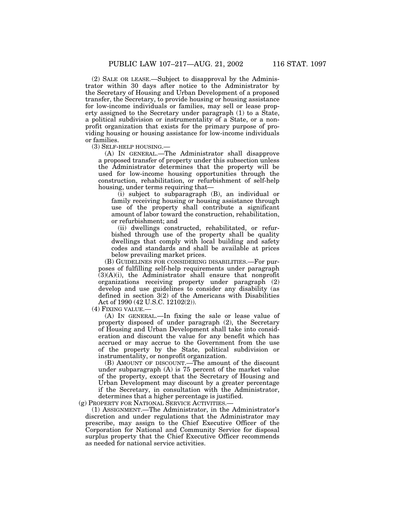(2) SALE OR LEASE.—Subject to disapproval by the Administrator within 30 days after notice to the Administrator by the Secretary of Housing and Urban Development of a proposed transfer, the Secretary, to provide housing or housing assistance for low-income individuals or families, may sell or lease property assigned to the Secretary under paragraph (1) to a State, a political subdivision or instrumentality of a State, or a nonprofit organization that exists for the primary purpose of providing housing or housing assistance for low-income individuals or families.

(3) SELF-HELP HOUSING.—

(A) IN GENERAL.—The Administrator shall disapprove a proposed transfer of property under this subsection unless the Administrator determines that the property will be used for low-income housing opportunities through the construction, rehabilitation, or refurbishment of self-help housing, under terms requiring that—

(i) subject to subparagraph (B), an individual or family receiving housing or housing assistance through use of the property shall contribute a significant amount of labor toward the construction, rehabilitation, or refurbishment; and

(ii) dwellings constructed, rehabilitated, or refurbished through use of the property shall be quality dwellings that comply with local building and safety codes and standards and shall be available at prices below prevailing market prices.

(B) GUIDELINES FOR CONSIDERING DISABILITIES.—For purposes of fulfilling self-help requirements under paragraph  $(3)(A)(i)$ , the Administrator shall ensure that nonprofit organizations receiving property under paragraph (2) develop and use guidelines to consider any disability (as defined in section 3(2) of the Americans with Disabilities Act of 1990 (42 U.S.C. 12102(2)).

(4) FIXING VALUE.—

(A) IN GENERAL.—In fixing the sale or lease value of property disposed of under paragraph (2), the Secretary of Housing and Urban Development shall take into consideration and discount the value for any benefit which has accrued or may accrue to the Government from the use of the property by the State, political subdivision or instrumentality, or nonprofit organization.

(B) AMOUNT OF DISCOUNT.—The amount of the discount under subparagraph (A) is 75 percent of the market value of the property, except that the Secretary of Housing and Urban Development may discount by a greater percentage if the Secretary, in consultation with the Administrator, determines that a higher percentage is justified.

(g) PROPERTY FOR NATIONAL SERVICE ACTIVITIES.—

(1) ASSIGNMENT.—The Administrator, in the Administrator's discretion and under regulations that the Administrator may prescribe, may assign to the Chief Executive Officer of the Corporation for National and Community Service for disposal surplus property that the Chief Executive Officer recommends as needed for national service activities.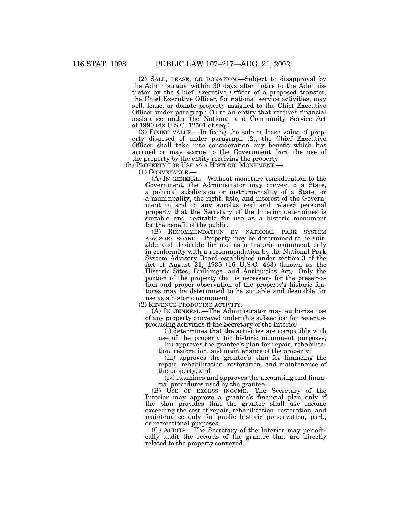(2) SALE, LEASE, OR DONATION.—Subject to disapproval by the Administrator within 30 days after notice to the Administrator by the Chief Executive Officer of a proposed transfer, the Chief Executive Officer, for national service activities, may sell, lease, or donate property assigned to the Chief Executive Officer under paragraph (1) to an entity that receives financial assistance under the National and Community Service Act of 1990 (42 U.S.C. 12501 et seq.).

(3) FIXING VALUE.—In fixing the sale or lease value of property disposed of under paragraph (2), the Chief Executive Officer shall take into consideration any benefit which has accrued or may accrue to the Government from the use of the property by the entity receiving the property.

(h) PROPERTY FOR USE AS A HISTORIC MONUMENT.—

(1) CONVEYANCE.—

(A) IN GENERAL.—Without monetary consideration to the Government, the Administrator may convey to a State, a political subdivision or instrumentality of a State, or a municipality, the right, title, and interest of the Government in and to any surplus real and related personal property that the Secretary of the Interior determines is suitable and desirable for use as a historic monument for the benefit of the public.

(B) RECOMMENDATION BY NATIONAL PARK SYSTEM ADVISORY BOARD.—Property may be determined to be suitable and desirable for use as a historic monument only in conformity with a recommendation by the National Park System Advisory Board established under section 3 of the Act of August 21, 1935 (16 U.S.C. 463) (known as the Historic Sites, Buildings, and Antiquities Act). Only the portion of the property that is necessary for the preservation and proper observation of the property's historic features may be determined to be suitable and desirable for use as a historic monument.

(2) REVENUE-PRODUCING ACTIVITY.—

(A) IN GENERAL.—The Administrator may authorize use of any property conveyed under this subsection for revenueproducing activities if the Secretary of the Interior—

(i) determines that the activities are compatible with use of the property for historic monument purposes; (ii) approves the grantee's plan for repair, rehabilita-

tion, restoration, and maintenance of the property;

(iii) approves the grantee's plan for financing the repair, rehabilitation, restoration, and maintenance of the property; and

(iv) examines and approves the accounting and financial procedures used by the grantee.

(B) USE OF EXCESS INCOME.—The Secretary of the Interior may approve a grantee's financial plan only if the plan provides that the grantee shall use income exceeding the cost of repair, rehabilitation, restoration, and maintenance only for public historic preservation, park, or recreational purposes.

(C) AUDITS.—The Secretary of the Interior may periodically audit the records of the grantee that are directly related to the property conveyed.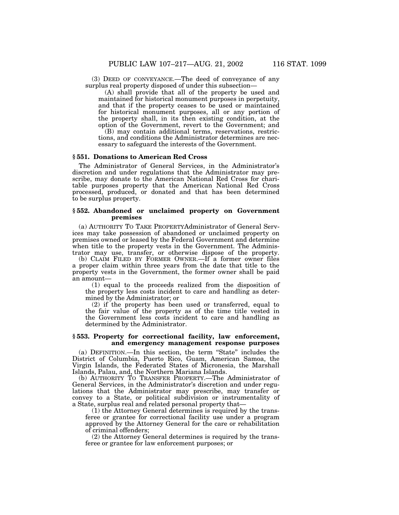(3) DEED OF CONVEYANCE.—The deed of conveyance of any surplus real property disposed of under this subsection—

(A) shall provide that all of the property be used and maintained for historical monument purposes in perpetuity, and that if the property ceases to be used or maintained for historical monument purposes, all or any portion of the property shall, in its then existing condition, at the option of the Government, revert to the Government; and

(B) may contain additional terms, reservations, restrictions, and conditions the Administrator determines are necessary to safeguard the interests of the Government.

## **§ 551. Donations to American Red Cross**

The Administrator of General Services, in the Administrator's discretion and under regulations that the Administrator may prescribe, may donate to the American National Red Cross for charitable purposes property that the American National Red Cross processed, produced, or donated and that has been determined to be surplus property.

### **§ 552. Abandoned or unclaimed property on Government premises**

(a) AUTHORITY TO TAKE PROPERTYAdministrator of General Services may take possession of abandoned or unclaimed property on premises owned or leased by the Federal Government and determine when title to the property vests in the Government. The Administrator may use, transfer, or otherwise dispose of the property.

(b) CLAIM FILED BY FORMER OWNER.—If a former owner files a proper claim within three years from the date that title to the property vests in the Government, the former owner shall be paid

 $(1)$  equal to the proceeds realized from the disposition of the property less costs incident to care and handling as determined by the Administrator; or

(2) if the property has been used or transferred, equal to the fair value of the property as of the time title vested in the Government less costs incident to care and handling as determined by the Administrator.

# **§ 553. Property for correctional facility, law enforcement, and emergency management response purposes**

(a) DEFINITION.—In this section, the term ''State'' includes the District of Columbia, Puerto Rico, Guam, American Samoa, the Virgin Islands, the Federated States of Micronesia, the Marshall Islands, Palau, and, the Northern Mariana Islands.

(b) AUTHORITY TO TRANSFER PROPERTY.—The Administrator of General Services, in the Administrator's discretion and under regulations that the Administrator may prescribe, may transfer or convey to a State, or political subdivision or instrumentality of a State, surplus real and related personal property that—

(1) the Attorney General determines is required by the transferee or grantee for correctional facility use under a program approved by the Attorney General for the care or rehabilitation of criminal offenders;

(2) the Attorney General determines is required by the transferee or grantee for law enforcement purposes; or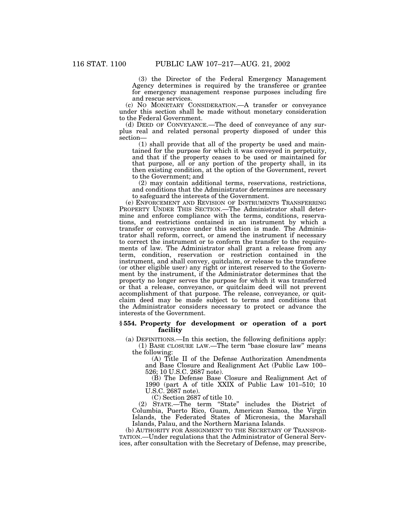(3) the Director of the Federal Emergency Management Agency determines is required by the transferee or grantee for emergency management response purposes including fire and rescue services.

(c) NO MONETARY CONSIDERATION.—A transfer or conveyance under this section shall be made without monetary consideration to the Federal Government.

(d) DEED OF CONVEYANCE.—The deed of conveyance of any surplus real and related personal property disposed of under this section—

(1) shall provide that all of the property be used and maintained for the purpose for which it was conveyed in perpetuity, and that if the property ceases to be used or maintained for that purpose, all or any portion of the property shall, in its then existing condition, at the option of the Government, revert to the Government; and

(2) may contain additional terms, reservations, restrictions, and conditions that the Administrator determines are necessary to safeguard the interests of the Government.

(e) ENFORCEMENT AND REVISION OF INSTRUMENTS TRANSFERRING PROPERTY UNDER THIS SECTION.—The Administrator shall determine and enforce compliance with the terms, conditions, reservations, and restrictions contained in an instrument by which a transfer or conveyance under this section is made. The Administrator shall reform, correct, or amend the instrument if necessary to correct the instrument or to conform the transfer to the requirements of law. The Administrator shall grant a release from any term, condition, reservation or restriction contained in the instrument, and shall convey, quitclaim, or release to the transferee (or other eligible user) any right or interest reserved to the Government by the instrument, if the Administrator determines that the property no longer serves the purpose for which it was transferred or that a release, conveyance, or quitclaim deed will not prevent accomplishment of that purpose. The release, conveyance, or quitclaim deed may be made subject to terms and conditions that the Administrator considers necessary to protect or advance the interests of the Government.

#### **§ 554. Property for development or operation of a port facility**

(a) DEFINITIONS.—In this section, the following definitions apply: (1) BASE CLOSURE LAW.—The term ''base closure law'' means the following:

(A) Title II of the Defense Authorization Amendments and Base Closure and Realignment Act (Public Law 100– 526; 10 U.S.C. 2687 note).

(B) The Defense Base Closure and Realignment Act of 1990 (part A of title XXIX of Public Law 101–510; 10 U.S.C. 2687 note).

(C) Section 2687 of title 10.

(2) STATE.—The term ''State'' includes the District of Columbia, Puerto Rico, Guam, American Samoa, the Virgin Islands, the Federated States of Micronesia, the Marshall Islands, Palau, and the Northern Mariana Islands.

(b) AUTHORITY FOR ASSIGNMENT TO THE SECRETARY OF TRANSPOR- TATION.—Under regulations that the Administrator of General Services, after consultation with the Secretary of Defense, may prescribe,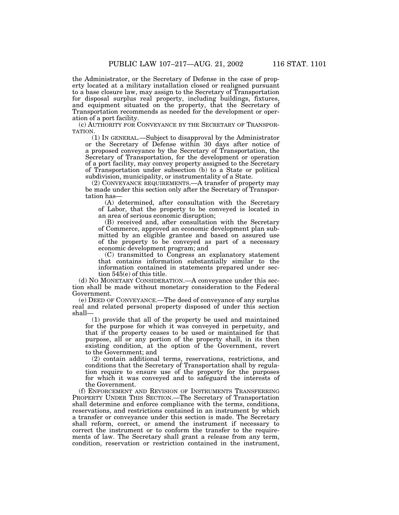the Administrator, or the Secretary of Defense in the case of property located at a military installation closed or realigned pursuant to a base closure law, may assign to the Secretary of Transportation for disposal surplus real property, including buildings, fixtures, and equipment situated on the property, that the Secretary of Transportation recommends as needed for the development or operation of a port facility.

(c) AUTHORITY FOR CONVEYANCE BY THE SECRETARY OF TRANSPOR- TATION.

(1) IN GENERAL.—Subject to disapproval by the Administrator or the Secretary of Defense within 30 days after notice of a proposed conveyance by the Secretary of Transportation, the Secretary of Transportation, for the development or operation of a port facility, may convey property assigned to the Secretary of Transportation under subsection (b) to a State or political subdivision, municipality, or instrumentality of a State.

(2) CONVEYANCE REQUIREMENTS.—A transfer of property may be made under this section only after the Secretary of Transportation has—

(A) determined, after consultation with the Secretary of Labor, that the property to be conveyed is located in an area of serious economic disruption;

(B) received and, after consultation with the Secretary of Commerce, approved an economic development plan submitted by an eligible grantee and based on assured use of the property to be conveyed as part of a necessary economic development program; and

(C) transmitted to Congress an explanatory statement that contains information substantially similar to the information contained in statements prepared under section 545(e) of this title.

(d) NO MONETARY CONSIDERATION.—A conveyance under this section shall be made without monetary consideration to the Federal Government.

(e) DEED OF CONVEYANCE.—The deed of conveyance of any surplus real and related personal property disposed of under this section shall—

(1) provide that all of the property be used and maintained for the purpose for which it was conveyed in perpetuity, and that if the property ceases to be used or maintained for that purpose, all or any portion of the property shall, in its then existing condition, at the option of the Government, revert to the Government; and

(2) contain additional terms, reservations, restrictions, and conditions that the Secretary of Transportation shall by regulation require to ensure use of the property for the purposes for which it was conveyed and to safeguard the interests of the Government.

(f) ENFORCEMENT AND REVISION OF INSTRUMENTS TRANSFERRING PROPERTY UNDER THIS SECTION.—The Secretary of Transportation shall determine and enforce compliance with the terms, conditions, reservations, and restrictions contained in an instrument by which a transfer or conveyance under this section is made. The Secretary shall reform, correct, or amend the instrument if necessary to correct the instrument or to conform the transfer to the requirements of law. The Secretary shall grant a release from any term, condition, reservation or restriction contained in the instrument,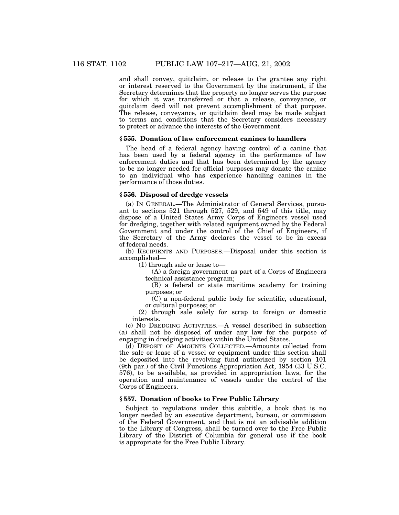and shall convey, quitclaim, or release to the grantee any right or interest reserved to the Government by the instrument, if the Secretary determines that the property no longer serves the purpose for which it was transferred or that a release, conveyance, or quitclaim deed will not prevent accomplishment of that purpose. The release, conveyance, or quitclaim deed may be made subject to terms and conditions that the Secretary considers necessary to protect or advance the interests of the Government.

# **§ 555. Donation of law enforcement canines to handlers**

The head of a federal agency having control of a canine that has been used by a federal agency in the performance of law enforcement duties and that has been determined by the agency to be no longer needed for official purposes may donate the canine to an individual who has experience handling canines in the performance of those duties.

## **§ 556. Disposal of dredge vessels**

(a) IN GENERAL.—The Administrator of General Services, pursuant to sections 521 through 527, 529, and 549 of this title, may dispose of a United States Army Corps of Engineers vessel used for dredging, together with related equipment owned by the Federal Government and under the control of the Chief of Engineers, if the Secretary of the Army declares the vessel to be in excess of federal needs.

(b) RECIPIENTS AND PURPOSES.—Disposal under this section is accomplished—

(1) through sale or lease to—

(A) a foreign government as part of a Corps of Engineers technical assistance program;

(B) a federal or state maritime academy for training purposes; or

(C) a non-federal public body for scientific, educational, or cultural purposes; or

(2) through sale solely for scrap to foreign or domestic interests.

(c) NO DREDGING ACTIVITIES.—A vessel described in subsection (a) shall not be disposed of under any law for the purpose of engaging in dredging activities within the United States.

(d) DEPOSIT OF AMOUNTS COLLECTED.—Amounts collected from the sale or lease of a vessel or equipment under this section shall be deposited into the revolving fund authorized by section 101 (9th par.) of the Civil Functions Appropriation Act, 1954 (33 U.S.C. 576), to be available, as provided in appropriation laws, for the operation and maintenance of vessels under the control of the Corps of Engineers.

#### **§ 557. Donation of books to Free Public Library**

Subject to regulations under this subtitle, a book that is no longer needed by an executive department, bureau, or commission of the Federal Government, and that is not an advisable addition to the Library of Congress, shall be turned over to the Free Public Library of the District of Columbia for general use if the book is appropriate for the Free Public Library.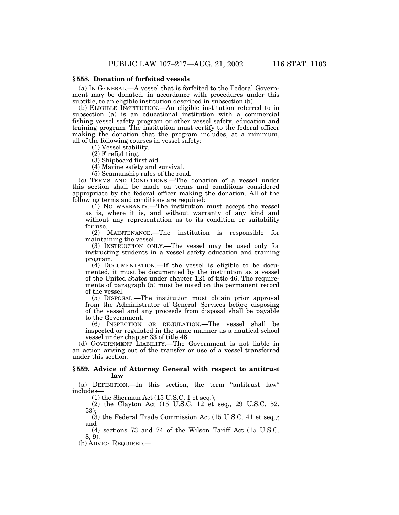(a) IN GENERAL.—A vessel that is forfeited to the Federal Government may be donated, in accordance with procedures under this subtitle, to an eligible institution described in subsection (b).

(b) ELIGIBLE INSTITUTION.—An eligible institution referred to in subsection (a) is an educational institution with a commercial fishing vessel safety program or other vessel safety, education and training program. The institution must certify to the federal officer making the donation that the program includes, at a minimum, all of the following courses in vessel safety:

(1) Vessel stability.

(2) Firefighting.

(3) Shipboard first aid.

(4) Marine safety and survival.

(5) Seamanship rules of the road.

(c) TERMS AND CONDITIONS.—The donation of a vessel under this section shall be made on terms and conditions considered appropriate by the federal officer making the donation. All of the following terms and conditions are required:

(1) NO WARRANTY.—The institution must accept the vessel as is, where it is, and without warranty of any kind and without any representation as to its condition or suitability for use.

(2) MAINTENANCE.—The institution is responsible for maintaining the vessel.

(3) INSTRUCTION ONLY.—The vessel may be used only for instructing students in a vessel safety education and training program.

 $(4)$  DOCUMENTATION.—If the vessel is eligible to be documented, it must be documented by the institution as a vessel of the United States under chapter 121 of title 46. The requirements of paragraph (5) must be noted on the permanent record of the vessel.

(5) DISPOSAL.—The institution must obtain prior approval from the Administrator of General Services before disposing of the vessel and any proceeds from disposal shall be payable to the Government.

(6) INSPECTION OR REGULATION.—The vessel shall be inspected or regulated in the same manner as a nautical school vessel under chapter 33 of title 46.

(d) GOVERNMENT LIABILITY.—The Government is not liable in an action arising out of the transfer or use of a vessel transferred under this section.

# **§ 559. Advice of Attorney General with respect to antitrust law**

(a) DEFINITION.—In this section, the term ''antitrust law'' includes—

 $(1)$  the Sherman Act  $(15 \text{ U.S.C. 1 et seq.});$ 

(2) the Clayton Act (15 U.S.C. 12 et seq., 29 U.S.C. 52, 53);

(3) the Federal Trade Commission Act (15 U.S.C. 41 et seq.); and

(4) sections 73 and 74 of the Wilson Tariff Act (15 U.S.C. 8, 9).

(b) ADVICE REQUIRED.—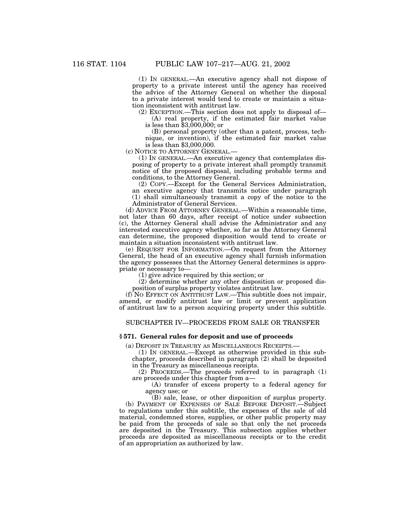(1) IN GENERAL.—An executive agency shall not dispose of property to a private interest until the agency has received the advice of the Attorney General on whether the disposal to a private interest would tend to create or maintain a situation inconsistent with antitrust law.

(2) EXCEPTION.—This section does not apply to disposal of— (A) real property, if the estimated fair market value

is less than \$3,000,000; or

(B) personal property (other than a patent, process, technique, or invention), if the estimated fair market value is less than \$3,000,000.

(c) NOTICE TO ATTORNEY GENERAL.—

(1) IN GENERAL.—An executive agency that contemplates disposing of property to a private interest shall promptly transmit notice of the proposed disposal, including probable terms and conditions, to the Attorney General.

(2) COPY.—Except for the General Services Administration, an executive agency that transmits notice under paragraph (1) shall simultaneously transmit a copy of the notice to the Administrator of General Services.

(d) ADVICE FROM ATTORNEY GENERAL.—Within a reasonable time, not later than 60 days, after receipt of notice under subsection (c), the Attorney General shall advise the Administrator and any interested executive agency whether, so far as the Attorney General can determine, the proposed disposition would tend to create or maintain a situation inconsistent with antitrust law.

(e) REQUEST FOR INFORMATION.—On request from the Attorney General, the head of an executive agency shall furnish information the agency possesses that the Attorney General determines is appropriate or necessary to—

(1) give advice required by this section; or

(2) determine whether any other disposition or proposed disposition of surplus property violates antitrust law.

(f) NO EFFECT ON ANTITRUST LAW.—This subtitle does not impair, amend, or modify antitrust law or limit or prevent application of antitrust law to a person acquiring property under this subtitle.

## SUBCHAPTER IV—PROCEEDS FROM SALE OR TRANSFER

# **§ 571. General rules for deposit and use of proceeds**

(a) DEPOSIT IN TREASURY AS MISCELLANEOUS RECEIPTS.—

(1) IN GENERAL.—Except as otherwise provided in this subchapter, proceeds described in paragraph  $(2)$  shall be deposited in the Treasury as miscellaneous receipts.

(2) PROCEEDS.—The proceeds referred to in paragraph (1) are proceeds under this chapter from a—

(A) transfer of excess property to a federal agency for agency use; or

(B) sale, lease, or other disposition of surplus property. (b) PAYMENT OF EXPENSES OF SALE BEFORE DEPOSIT.—Subject to regulations under this subtitle, the expenses of the sale of old material, condemned stores, supplies, or other public property may be paid from the proceeds of sale so that only the net proceeds are deposited in the Treasury. This subsection applies whether proceeds are deposited as miscellaneous receipts or to the credit of an appropriation as authorized by law.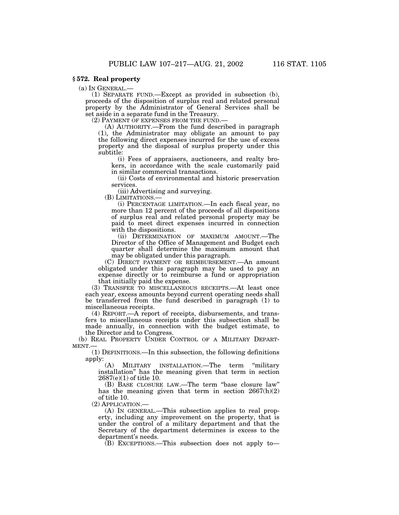# **§ 572. Real property**

(a) IN GENERAL.—<br>(1) SEPARATE FUND.—Except as provided in subsection (b), proceeds of the disposition of surplus real and related personal property by the Administrator of General Services shall be set aside in a separate fund in the Treasury.

(2) PAYMENT OF EXPENSES FROM THE FUND.— (A) AUTHORITY.—From the fund described in paragraph

(1), the Administrator may obligate an amount to pay the following direct expenses incurred for the use of excess property and the disposal of surplus property under this subtitle:

(i) Fees of appraisers, auctioneers, and realty brokers, in accordance with the scale customarily paid in similar commercial transactions.

(ii) Costs of environmental and historic preservation services.

(iii) Advertising and surveying.<br>(B) LIMITATIONS.—

(i) PERCENTAGE LIMITATION.—In each fiscal year, no more than 12 percent of the proceeds of all dispositions of surplus real and related personal property may be paid to meet direct expenses incurred in connection with the dispositions.

(ii) DETERMINATION OF MAXIMUM AMOUNT.—The Director of the Office of Management and Budget each quarter shall determine the maximum amount that may be obligated under this paragraph.

(C) DIRECT PAYMENT OR REIMBURSEMENT.—An amount obligated under this paragraph may be used to pay an expense directly or to reimburse a fund or appropriation that initially paid the expense.

(3) TRANSFER TO MISCELLANEOUS RECEIPTS.—At least once each year, excess amounts beyond current operating needs shall be transferred from the fund described in paragraph (1) to miscellaneous receipts.

(4) REPORT.—A report of receipts, disbursements, and transfers to miscellaneous receipts under this subsection shall be made annually, in connection with the budget estimate, to the Director and to Congress.

(b) REAL PROPERTY UNDER CONTROL OF A MILITARY DEPART-MENT.—

(1) DEFINITIONS.—In this subsection, the following definitions apply:

(A) MILITARY INSTALLATION.—The term ''military installation'' has the meaning given that term in section 2687(e)(1) of title 10.

(B) BASE CLOSURE LAW.—The term ''base closure law'' has the meaning given that term in section  $2667(h)(2)$ of title 10.<br>(2) APPLICATION.-

 $(A)$  In GENERAL.—This subsection applies to real property, including any improvement on the property, that is under the control of a military department and that the Secretary of the department determines is excess to the department's needs.

(B) EXCEPTIONS.—This subsection does not apply to—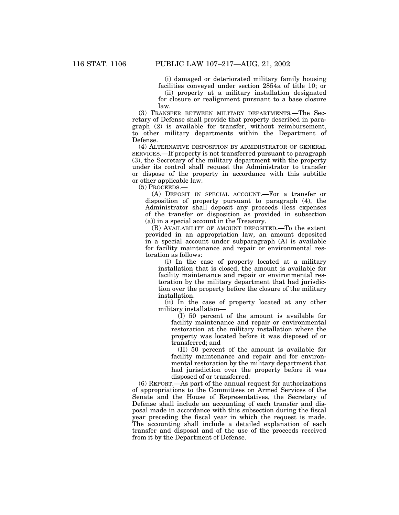(i) damaged or deteriorated military family housing facilities conveyed under section 2854a of title 10; or (ii) property at a military installation designated for closure or realignment pursuant to a base closure law.

(3) TRANSFER BETWEEN MILITARY DEPARTMENTS.—The Secretary of Defense shall provide that property described in paragraph (2) is available for transfer, without reimbursement, to other military departments within the Department of Defense.

(4) ALTERNATIVE DISPOSITION BY ADMINISTRATOR OF GENERAL SERVICES.—If property is not transferred pursuant to paragraph (3), the Secretary of the military department with the property under its control shall request the Administrator to transfer or dispose of the property in accordance with this subtitle or other applicable law.

(5) PROCEEDS.—

(A) DEPOSIT IN SPECIAL ACCOUNT.—For a transfer or disposition of property pursuant to paragraph (4), the Administrator shall deposit any proceeds (less expenses of the transfer or disposition as provided in subsection (a)) in a special account in the Treasury.

(B) AVAILABILITY OF AMOUNT DEPOSITED.—To the extent provided in an appropriation law, an amount deposited in a special account under subparagraph (A) is available for facility maintenance and repair or environmental restoration as follows:

(i) In the case of property located at a military installation that is closed, the amount is available for facility maintenance and repair or environmental restoration by the military department that had jurisdiction over the property before the closure of the military installation.

(ii) In the case of property located at any other military installation—

(I) 50 percent of the amount is available for facility maintenance and repair or environmental restoration at the military installation where the property was located before it was disposed of or transferred; and

(II) 50 percent of the amount is available for facility maintenance and repair and for environmental restoration by the military department that had jurisdiction over the property before it was disposed of or transferred.

(6) REPORT.—As part of the annual request for authorizations of appropriations to the Committees on Armed Services of the Senate and the House of Representatives, the Secretary of Defense shall include an accounting of each transfer and disposal made in accordance with this subsection during the fiscal year preceding the fiscal year in which the request is made. The accounting shall include a detailed explanation of each transfer and disposal and of the use of the proceeds received from it by the Department of Defense.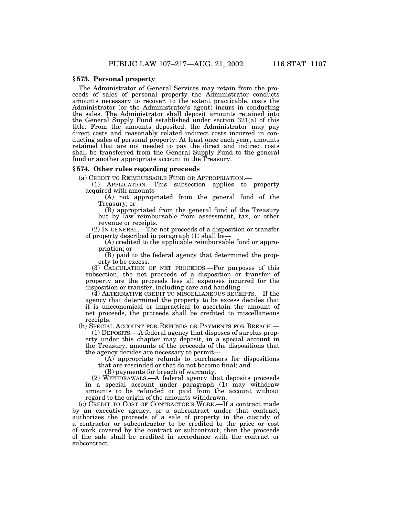# **§ 573. Personal property**

The Administrator of General Services may retain from the proceeds of sales of personal property the Administrator conducts amounts necessary to recover, to the extent practicable, costs the Administrator (or the Administrator's agent) incurs in conducting the sales. The Administrator shall deposit amounts retained into the General Supply Fund established under section 321(a) of this title. From the amounts deposited, the Administrator may pay direct costs and reasonably related indirect costs incurred in conducting sales of personal property. At least once each year, amounts retained that are not needed to pay the direct and indirect costs shall be transferred from the General Supply Fund to the general fund or another appropriate account in the Treasury.

#### **§ 574. Other rules regarding proceeds**

(a) CREDIT TO REIMBURSABLE FUND OR APPROPRIATION.— (1) APPLICATION.—This subsection applies to property acquired with amounts— (A) not appropriated from the general fund of the

Treasury; or

(B) appropriated from the general fund of the Treasury but by law reimbursable from assessment, tax, or other revenue or receipts.

(2) IN GENERAL.—The net proceeds of a disposition or transfer of property described in paragraph (1) shall be— (A) credited to the applicable reimbursable fund or appro-

priation; or

(B) paid to the federal agency that determined the property to be excess.

(3) CALCULATION OF NET PROCEEDS.—For purposes of this subsection, the net proceeds of a disposition or transfer of property are the proceeds less all expenses incurred for the disposition or transfer, including care and handling.

(4) ALTERNATIVE CREDIT TO MISCELLANEOUS RECEIPTS.—If the agency that determined the property to be excess decides that it is uneconomical or impractical to ascertain the amount of net proceeds, the proceeds shall be credited to miscellaneous receipts.

(b) SPECIAL ACCOUNT FOR REFUNDS OR PAYMENTS FOR BREACH.—

(1) DEPOSITS.—A federal agency that disposes of surplus property under this chapter may deposit, in a special account in the Treasury, amounts of the proceeds of the dispositions that the agency decides are necessary to permit—

(A) appropriate refunds to purchasers for dispositions that are rescinded or that do not become final; and

(B) payments for breach of warranty.

(2) WITHDRAWALS.—A federal agency that deposits proceeds in a special account under paragraph (1) may withdraw amounts to be refunded or paid from the account without regard to the origin of the amounts withdrawn.

(c) CREDIT TO COST OF CONTRACTOR'S WORK.—If a contract made by an executive agency, or a subcontract under that contract, authorizes the proceeds of a sale of property in the custody of a contractor or subcontractor to be credited to the price or cost of work covered by the contract or subcontract, then the proceeds of the sale shall be credited in accordance with the contract or subcontract.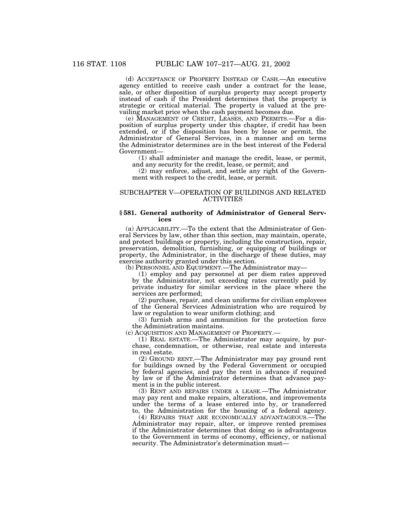(d) ACCEPTANCE OF PROPERTY INSTEAD OF CASH.—An executive agency entitled to receive cash under a contract for the lease, sale, or other disposition of surplus property may accept property instead of cash if the President determines that the property is strategic or critical material. The property is valued at the prevailing market price when the cash payment becomes due.

(e) MANAGEMENT OF CREDIT, LEASES, AND PERMITS.—For a disposition of surplus property under this chapter, if credit has been extended, or if the disposition has been by lease or permit, the Administrator of General Services, in a manner and on terms the Administrator determines are in the best interest of the Federal Government—

(1) shall administer and manage the credit, lease, or permit, and any security for the credit, lease, or permit; and

(2) may enforce, adjust, and settle any right of the Government with respect to the credit, lease, or permit.

# SUBCHAPTER V—OPERATION OF BUILDINGS AND RELATED ACTIVITIES

# **§ 581. General authority of Administrator of General Services**

(a) APPLICABILITY.—To the extent that the Administrator of General Services by law, other than this section, may maintain, operate, and protect buildings or property, including the construction, repair, preservation, demolition, furnishing, or equipping of buildings or property, the Administrator, in the discharge of these duties, may exercise authority granted under this section.<br>
(b) PERSONNEL AND EQUIPMENT.—The Administrator may—

(b) PERSONNEL AND EQUIPMENT.—The Administrator may— (1) employ and pay personnel at per diem rates approved by the Administrator, not exceeding rates currently paid by private industry for similar services in the place where the services are performed;

(2) purchase, repair, and clean uniforms for civilian employees of the General Services Administration who are required by law or regulation to wear uniform clothing; and

(3) furnish arms and ammunition for the protection force the Administration maintains.<br>
(c) ACQUISITION AND MANAGEMENT OF PROPERTY.—

 $(1)$  REAL ESTATE.—The Administrator may acquire, by purchase, condemnation, or otherwise, real estate and interests in real estate.

(2) GROUND RENT.—The Administrator may pay ground rent for buildings owned by the Federal Government or occupied by federal agencies, and pay the rent in advance if required by law or if the Administrator determines that advance payment is in the public interest.

(3) RENT AND REPAIRS UNDER A LEASE.—The Administrator may pay rent and make repairs, alterations, and improvements under the terms of a lease entered into by, or transferred to, the Administration for the housing of a federal agency.

(4) REPAIRS THAT ARE ECONOMICALLY ADVANTAGEOUS.—The Administrator may repair, alter, or improve rented premises if the Administrator determines that doing so is advantageous to the Government in terms of economy, efficiency, or national security. The Administrator's determination must—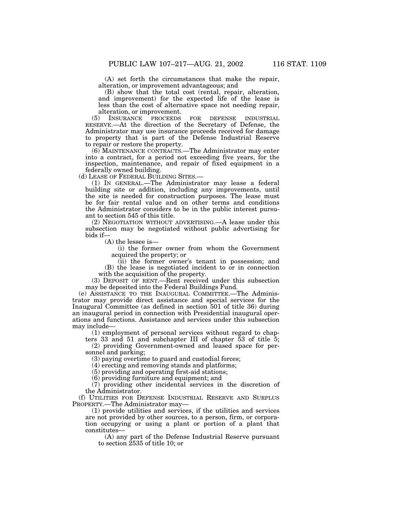(A) set forth the circumstances that make the repair, alteration, or improvement advantageous; and

(B) show that the total cost (rental, repair, alteration, and improvement) for the expected life of the lease is less than the cost of alternative space not needing repair, alteration, or improvement.<br>
) INSURANCE PROCEEDS

(5) INSURANCE PROCEEDS FOR DEFENSE INDUSTRIAL RESERVE.—At the direction of the Secretary of Defense, the Administrator may use insurance proceeds received for damage to property that is part of the Defense Industrial Reserve to repair or restore the property.

(6) MAINTENANCE CONTRACTS.—The Administrator may enter into a contract, for a period not exceeding five years, for the inspection, maintenance, and repair of fixed equipment in a federally owned building.<br>(d) LEASE OF FEDERAL BUILDING SITES.

(1) IN GENERAL.—The Administrator may lease a federal building site or addition, including any improvements, until the site is needed for construction purposes. The lease must be for fair rental value and on other terms and conditions the Administrator considers to be in the public interest pursuant to section 545 of this title.

(2) NEGOTIATION WITHOUT ADVERTISING.—A lease under this subsection may be negotiated without public advertising for bids if—

(A) the lessee is—

(i) the former owner from whom the Government acquired the property; or

(ii) the former owner's tenant in possession; and (B) the lease is negotiated incident to or in connection with the acquisition of the property.

(3) DEPOSIT OF RENT.—Rent received under this subsection may be deposited into the Federal Buildings Fund.

(e) ASSISTANCE TO THE INAUGURAL COMMITTEE.—The Administrator may provide direct assistance and special services for the Inaugural Committee (as defined in section 501 of title 36) during an inaugural period in connection with Presidential inaugural operations and functions. Assistance and services under this subsection may include—

(1) employment of personal services without regard to chapters 33 and 51 and subchapter III of chapter 53 of title 5;

(2) providing Government-owned and leased space for personnel and parking;

(3) paying overtime to guard and custodial forces;

(4) erecting and removing stands and platforms;

(5) providing and operating first-aid stations;

(6) providing furniture and equipment; and

(7) providing other incidental services in the discretion of the Administrator.

(f) UTILITIES FOR DEFENSE INDUSTRIAL RESERVE AND SURPLUS PROPERTY.—The Administrator may—

 $(1)$  provide utilities and services, if the utilities and services are not provided by other sources, to a person, firm, or corporation occupying or using a plant or portion of a plant that constitutes—

(A) any part of the Defense Industrial Reserve pursuant to section 2535 of title 10; or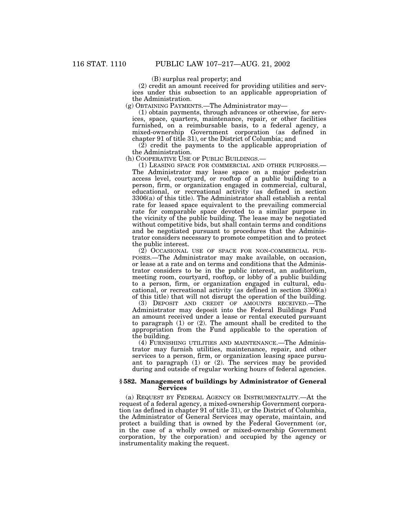(B) surplus real property; and

(2) credit an amount received for providing utilities and services under this subsection to an applicable appropriation of the Administration.

(g) OBTAINING PAYMENTS.—The Administrator may—

(1) obtain payments, through advances or otherwise, for services, space, quarters, maintenance, repair, or other facilities furnished, on a reimbursable basis, to a federal agency, a mixed-ownership Government corporation (as defined in chapter 91 of title 31), or the District of Columbia; and

(2) credit the payments to the applicable appropriation of the Administration.

(h) COOPERATIVE USE OF PUBLIC BUILDINGS.—

(1) LEASING SPACE FOR COMMERCIAL AND OTHER PURPOSES.— The Administrator may lease space on a major pedestrian access level, courtyard, or rooftop of a public building to a person, firm, or organization engaged in commercial, cultural, educational, or recreational activity (as defined in section 3306(a) of this title). The Administrator shall establish a rental rate for leased space equivalent to the prevailing commercial rate for comparable space devoted to a similar purpose in the vicinity of the public building. The lease may be negotiated without competitive bids, but shall contain terms and conditions and be negotiated pursuant to procedures that the Administrator considers necessary to promote competition and to protect the public interest.

(2) OCCASIONAL USE OF SPACE FOR NON-COMMERCIAL PUR-POSES.—The Administrator may make available, on occasion, or lease at a rate and on terms and conditions that the Administrator considers to be in the public interest, an auditorium, meeting room, courtyard, rooftop, or lobby of a public building to a person, firm, or organization engaged in cultural, educational, or recreational activity (as defined in section 3306(a) of this title) that will not disrupt the operation of the building.

(3) DEPOSIT AND CREDIT OF AMOUNTS RECEIVED.—The Administrator may deposit into the Federal Buildings Fund an amount received under a lease or rental executed pursuant to paragraph (1) or (2). The amount shall be credited to the appropriation from the Fund applicable to the operation of the building.

(4) FURNISHING UTILITIES AND MAINTENANCE.—The Administrator may furnish utilities, maintenance, repair, and other services to a person, firm, or organization leasing space pursuant to paragraph (1) or (2). The services may be provided during and outside of regular working hours of federal agencies.

## **§ 582. Management of buildings by Administrator of General Services**

(a) REQUEST BY FEDERAL AGENCY OR INSTRUMENTALITY.—At the request of a federal agency, a mixed-ownership Government corporation (as defined in chapter 91 of title 31), or the District of Columbia, the Administrator of General Services may operate, maintain, and protect a building that is owned by the Federal Government (or, in the case of a wholly owned or mixed-ownership Government corporation, by the corporation) and occupied by the agency or instrumentality making the request.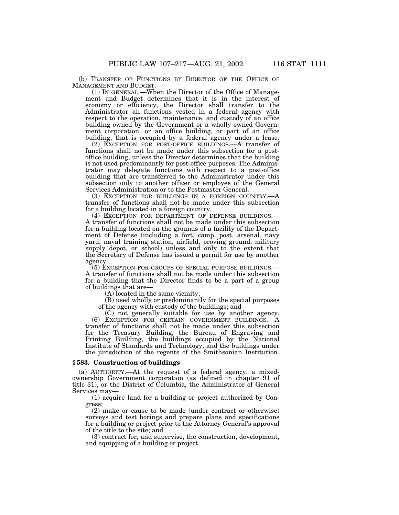(b) TRANSFER OF FUNCTIONS BY DIRECTOR OF THE OFFICE OF MANAGEMENT AND BUDGET.—

 $(1)$  In GENERAL.—When the Director of the Office of Management and Budget determines that it is in the interest of economy or efficiency, the Director shall transfer to the Administrator all functions vested in a federal agency with respect to the operation, maintenance, and custody of an office building owned by the Government or a wholly owned Government corporation, or an office building, or part of an office building, that is occupied by a federal agency under a lease.

(2) EXCEPTION FOR POST-OFFICE BUILDINGS.—A transfer of functions shall not be made under this subsection for a postoffice building, unless the Director determines that the building is not used predominantly for post-office purposes. The Administrator may delegate functions with respect to a post-office building that are transferred to the Administrator under this subsection only to another officer or employee of the General Services Administration or to the Postmaster General.

(3) EXCEPTION FOR BUILDINGS IN A FOREIGN COUNTRY.—A transfer of functions shall not be made under this subsection for a building located in a foreign country.

(4) EXCEPTION FOR DEPARTMENT OF DEFENSE BUILDINGS.— A transfer of functions shall not be made under this subsection for a building located on the grounds of a facility of the Department of Defense (including a fort, camp, post, arsenal, navy yard, naval training station, airfield, proving ground, military supply depot, or school) unless and only to the extent that the Secretary of Defense has issued a permit for use by another agency.

(5) EXCEPTION FOR GROUPS OF SPECIAL PURPOSE BUILDINGS.— A transfer of functions shall not be made under this subsection for a building that the Director finds to be a part of a group of buildings that are—

(A) located in the same vicinity;

(B) used wholly or predominantly for the special purposes of the agency with custody of the buildings; and

(C) not generally suitable for use by another agency. (6) EXCEPTION FOR CERTAIN GOVERNMENT BUILDINGS.—A transfer of functions shall not be made under this subsection for the Treasury Building, the Bureau of Engraving and Printing Building, the buildings occupied by the National Institute of Standards and Technology, and the buildings under the jurisdiction of the regents of the Smithsonian Institution.

#### **§ 583. Construction of buildings**

(a) AUTHORITY.—At the request of a federal agency, a mixedownership Government corporation (as defined in chapter 91 of title 31), or the District of Columbia, the Administrator of General Services may—

(1) acquire land for a building or project authorized by Congress;

(2) make or cause to be made (under contract or otherwise) surveys and test borings and prepare plans and specifications for a building or project prior to the Attorney General's approval of the title to the site; and

(3) contract for, and supervise, the construction, development, and equipping of a building or project.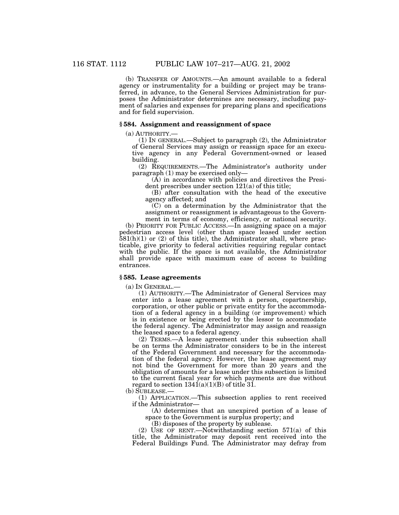(b) TRANSFER OF AMOUNTS.—An amount available to a federal agency or instrumentality for a building or project may be transferred, in advance, to the General Services Administration for purposes the Administrator determines are necessary, including payment of salaries and expenses for preparing plans and specifications and for field supervision.

## **§ 584. Assignment and reassignment of space**

(a) AUTHORITY.—

(1) IN GENERAL.—Subject to paragraph (2), the Administrator of General Services may assign or reassign space for an executive agency in any Federal Government-owned or leased building.

(2) REQUIREMENTS.—The Administrator's authority under paragraph (1) may be exercised only—

(A) in accordance with policies and directives the President prescribes under section 121(a) of this title;

(B) after consultation with the head of the executive agency affected; and

(C) on a determination by the Administrator that the assignment or reassignment is advantageous to the Govern-

ment in terms of economy, efficiency, or national security. (b) PRIORITY FOR PUBLIC ACCESS.—In assigning space on a major pedestrian access level (other than space leased under section  $581(h)(1)$  or (2) of this title), the Administrator shall, where practicable, give priority to federal activities requiring regular contact with the public. If the space is not available, the Administrator shall provide space with maximum ease of access to building entrances.

#### **§ 585. Lease agreements**

(a) IN GENERAL.—

(1) AUTHORITY.—The Administrator of General Services may enter into a lease agreement with a person, copartnership, corporation, or other public or private entity for the accommodation of a federal agency in a building (or improvement) which is in existence or being erected by the lessor to accommodate the federal agency. The Administrator may assign and reassign the leased space to a federal agency.

(2) TERMS.—A lease agreement under this subsection shall be on terms the Administrator considers to be in the interest of the Federal Government and necessary for the accommodation of the federal agency. However, the lease agreement may not bind the Government for more than 20 years and the obligation of amounts for a lease under this subsection is limited to the current fiscal year for which payments are due without regard to section  $1341(a)(1)(B)$  of title 31.

(b) SUBLEASE.—

(1) APPLICATION.—This subsection applies to rent received

 $(A)$  determines that an unexpired portion of a lease of space to the Government is surplus property; and

(B) disposes of the property by sublease.

(2) USE OF RENT.—Notwithstanding section 571(a) of this title, the Administrator may deposit rent received into the Federal Buildings Fund. The Administrator may defray from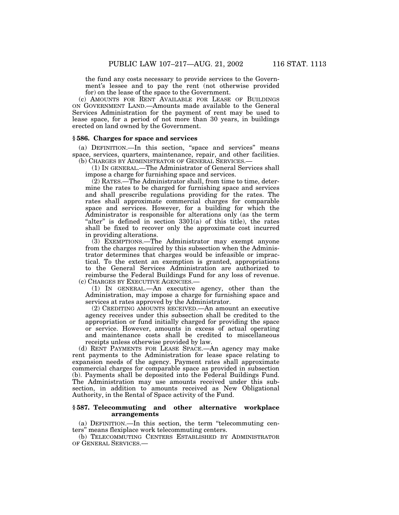the fund any costs necessary to provide services to the Government's lessee and to pay the rent (not otherwise provided for) on the lease of the space to the Government.

(c) AMOUNTS FOR RENT AVAILABLE FOR LEASE OF BUILDINGS ON GOVERNMENT LAND.—Amounts made available to the General Services Administration for the payment of rent may be used to lease space, for a period of not more than 30 years, in buildings erected on land owned by the Government.

## **§ 586. Charges for space and services**

(a) DEFINITION.—In this section, ''space and services'' means space, services, quarters, maintenance, repair, and other facilities. (b) CHARGES BY ADMINISTRATOR OF GENERAL SERVICES.—

(1) IN GENERAL.—The Administrator of General Services shall impose a charge for furnishing space and services.

(2) RATES.—The Administrator shall, from time to time, determine the rates to be charged for furnishing space and services and shall prescribe regulations providing for the rates. The rates shall approximate commercial charges for comparable space and services. However, for a building for which the Administrator is responsible for alterations only (as the term "alter" is defined in section  $3301(a)$  of this title), the rates shall be fixed to recover only the approximate cost incurred in providing alterations.

(3) EXEMPTIONS.—The Administrator may exempt anyone from the charges required by this subsection when the Administrator determines that charges would be infeasible or impractical. To the extent an exemption is granted, appropriations to the General Services Administration are authorized to reimburse the Federal Buildings Fund for any loss of revenue. (c) CHARGES BY EXECUTIVE AGENCIES.—

(1) IN GENERAL.—An executive agency, other than the Administration, may impose a charge for furnishing space and services at rates approved by the Administrator.

(2) CREDITING AMOUNTS RECEIVED.—An amount an executive agency receives under this subsection shall be credited to the appropriation or fund initially charged for providing the space or service. However, amounts in excess of actual operating and maintenance costs shall be credited to miscellaneous receipts unless otherwise provided by law.

(d) RENT PAYMENTS FOR LEASE SPACE.—An agency may make rent payments to the Administration for lease space relating to expansion needs of the agency. Payment rates shall approximate commercial charges for comparable space as provided in subsection (b). Payments shall be deposited into the Federal Buildings Fund. The Administration may use amounts received under this subsection, in addition to amounts received as New Obligational Authority, in the Rental of Space activity of the Fund.

# **§ 587. Telecommuting and other alternative workplace arrangements**

(a) DEFINITION.—In this section, the term ''telecommuting centers'' means flexiplace work telecommuting centers.

(b) TELECOMMUTING CENTERS ESTABLISHED BY ADMINISTRATOR OF GENERAL SERVICES.—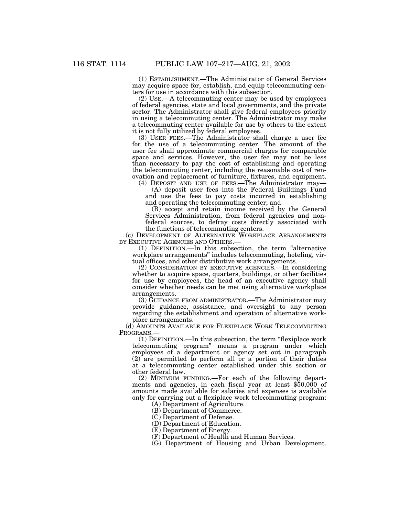(1) ESTABLISHMENT.—The Administrator of General Services may acquire space for, establish, and equip telecommuting centers for use in accordance with this subsection.

(2) USE.—A telecommuting center may be used by employees of federal agencies, state and local governments, and the private sector. The Administrator shall give federal employees priority in using a telecommuting center. The Administrator may make a telecommuting center available for use by others to the extent it is not fully utilized by federal employees.

(3) USER FEES.—The Administrator shall charge a user fee for the use of a telecommuting center. The amount of the user fee shall approximate commercial charges for comparable space and services. However, the user fee may not be less than necessary to pay the cost of establishing and operating the telecommuting center, including the reasonable cost of renovation and replacement of furniture, fixtures, and equipment.

(4) DEPOSIT AND USE OF FEES.—The Administrator may— (A) deposit user fees into the Federal Buildings Fund and use the fees to pay costs incurred in establishing and operating the telecommuting center; and

(B) accept and retain income received by the General Services Administration, from federal agencies and nonfederal sources, to defray costs directly associated with the functions of telecommuting centers.

(c) DEVELOPMENT OF ALTERNATIVE WORKPLACE ARRANGEMENTS BY EXECUTIVE AGENCIES AND OTHERS.—

(1) DEFINITION.—In this subsection, the term ''alternative workplace arrangements'' includes telecommuting, hoteling, virtual offices, and other distributive work arrangements.

(2) CONSIDERATION BY EXECUTIVE AGENCIES.—In considering whether to acquire space, quarters, buildings, or other facilities for use by employees, the head of an executive agency shall consider whether needs can be met using alternative workplace arrangements.

(3) GUIDANCE FROM ADMINISTRATOR.—The Administrator may provide guidance, assistance, and oversight to any person regarding the establishment and operation of alternative workplace arrangements.

(d) AMOUNTS AVAILABLE FOR FLEXIPLACE WORK TELECOMMUTING PROGRAMS.—

(1) DEFINITION.—In this subsection, the term ''flexiplace work telecommuting program'' means a program under which employees of a department or agency set out in paragraph (2) are permitted to perform all or a portion of their duties at a telecommuting center established under this section or other federal law.

(2) MINIMUM FUNDING.—For each of the following departments and agencies, in each fiscal year at least \$50,000 of amounts made available for salaries and expenses is available only for carrying out a flexiplace work telecommuting program:

(A) Department of Agriculture.

(B) Department of Commerce.

(C) Department of Defense.

(D) Department of Education.

(E) Department of Energy.

- (F) Department of Health and Human Services.
- (G) Department of Housing and Urban Development.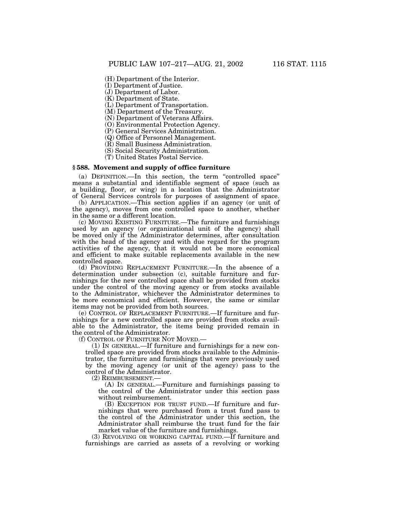(H) Department of the Interior.

(I) Department of Justice.

(J) Department of Labor.

(K) Department of State.

(L) Department of Transportation.

(M) Department of the Treasury.

(N) Department of Veterans Affairs.

(O) Environmental Protection Agency.

(P) General Services Administration.

(Q) Office of Personnel Management.

(R) Small Business Administration.

(S) Social Security Administration.

(T) United States Postal Service.

### **§ 588. Movement and supply of office furniture**

(a) DEFINITION.—In this section, the term ''controlled space'' means a substantial and identifiable segment of space (such as a building, floor, or wing) in a location that the Administrator of General Services controls for purposes of assignment of space.

(b) APPLICATION.—This section applies if an agency (or unit of the agency), moves from one controlled space to another, whether in the same or a different location.

(c) MOVING EXISTING FURNITURE.—The furniture and furnishings used by an agency (or organizational unit of the agency) shall be moved only if the Administrator determines, after consultation with the head of the agency and with due regard for the program activities of the agency, that it would not be more economical and efficient to make suitable replacements available in the new controlled space.

(d) PROVIDING REPLACEMENT FURNITURE.—In the absence of a determination under subsection (c), suitable furniture and furnishings for the new controlled space shall be provided from stocks under the control of the moving agency or from stocks available to the Administrator, whichever the Administrator determines to be more economical and efficient. However, the same or similar items may not be provided from both sources.

(e) CONTROL OF REPLACEMENT FURNITURE.—If furniture and furnishings for a new controlled space are provided from stocks available to the Administrator, the items being provided remain in the control of the Administrator.

(f) CONTROL OF FURNITURE NOT MOVED.—

(1) IN GENERAL.—If furniture and furnishings for a new controlled space are provided from stocks available to the Administrator, the furniture and furnishings that were previously used by the moving agency (or unit of the agency) pass to the control of the Administrator.

(2) REIMBURSEMENT.—

(A) IN GENERAL.—Furniture and furnishings passing to the control of the Administrator under this section pass without reimbursement.

(B) EXCEPTION FOR TRUST FUND.—If furniture and furnishings that were purchased from a trust fund pass to the control of the Administrator under this section, the Administrator shall reimburse the trust fund for the fair market value of the furniture and furnishings.

(3) REVOLVING OR WORKING CAPITAL FUND.—If furniture and furnishings are carried as assets of a revolving or working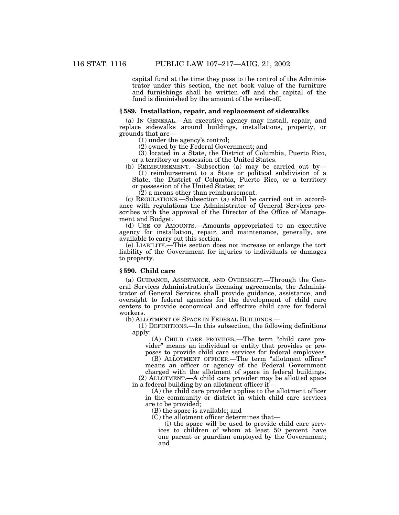capital fund at the time they pass to the control of the Administrator under this section, the net book value of the furniture and furnishings shall be written off and the capital of the fund is diminished by the amount of the write-off.

# **§ 589. Installation, repair, and replacement of sidewalks**

(a) IN GENERAL.—An executive agency may install, repair, and replace sidewalks around buildings, installations, property, or grounds that are—

(1) under the agency's control;

(2) owned by the Federal Government; and

(3) located in a State, the District of Columbia, Puerto Rico, or a territory or possession of the United States.

(b) REIMBURSEMENT.—Subsection (a) may be carried out by—

(1) reimbursement to a State or political subdivision of a State, the District of Columbia, Puerto Rico, or a territory or possession of the United States; or

(2) a means other than reimbursement.

(c) REGULATIONS.—Subsection (a) shall be carried out in accordance with regulations the Administrator of General Services prescribes with the approval of the Director of the Office of Management and Budget.

(d) USE OF AMOUNTS.—Amounts appropriated to an executive agency for installation, repair, and maintenance, generally, are available to carry out this section.

(e) LIABILITY.—This section does not increase or enlarge the tort liability of the Government for injuries to individuals or damages to property.

# **§ 590. Child care**

(a) GUIDANCE, ASSISTANCE, AND OVERSIGHT.—Through the General Services Administration's licensing agreements, the Administrator of General Services shall provide guidance, assistance, and oversight to federal agencies for the development of child care centers to provide economical and effective child care for federal workers.

(b) ALLOTMENT OF SPACE IN FEDERAL BUILDINGS.—

(1) DEFINITIONS.—In this subsection, the following definitions apply:

(A) CHILD CARE PROVIDER.—The term ''child care provider'' means an individual or entity that provides or proposes to provide child care services for federal employees.

(B) ALLOTMENT OFFICER.—The term ''allotment officer'' means an officer or agency of the Federal Government charged with the allotment of space in federal buildings.

(2) ALLOTMENT.—A child care provider may be allotted space in a federal building by an allotment officer if—

(A) the child care provider applies to the allotment officer in the community or district in which child care services are to be provided;

(B) the space is available; and

(C) the allotment officer determines that—

(i) the space will be used to provide child care services to children of whom at least 50 percent have one parent or guardian employed by the Government; and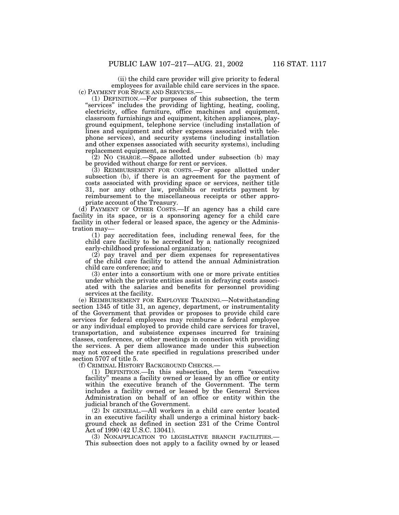(ii) the child care provider will give priority to federal employees for available child care services in the space. (c) PAYMENT FOR SPACE AND SERVICES.—<br>(1) DEFINITION.—For purposes of this subsection, the term

"services" includes the providing of lighting, heating, cooling, electricity, office furniture, office machines and equipment, classroom furnishings and equipment, kitchen appliances, playground equipment, telephone service (including installation of lines and equipment and other expenses associated with telephone services), and security systems (including installation and other expenses associated with security systems), including replacement equipment, as needed.

(2) NO CHARGE.—Space allotted under subsection (b) may be provided without charge for rent or services.

(3) REIMBURSEMENT FOR COSTS.—For space allotted under subsection (b), if there is an agreement for the payment of costs associated with providing space or services, neither title 31, nor any other law, prohibits or restricts payment by reimbursement to the miscellaneous receipts or other appropriate account of the Treasury.

(d) PAYMENT OF OTHER COSTS.—If an agency has a child care facility in its space, or is a sponsoring agency for a child care facility in other federal or leased space, the agency or the Administration may—

(1) pay accreditation fees, including renewal fees, for the child care facility to be accredited by a nationally recognized early-childhood professional organization;

(2) pay travel and per diem expenses for representatives of the child care facility to attend the annual Administration child care conference; and

(3) enter into a consortium with one or more private entities under which the private entities assist in defraying costs associated with the salaries and benefits for personnel providing services at the facility.

(e) REIMBURSEMENT FOR EMPLOYEE TRAINING.—Notwithstanding section 1345 of title 31, an agency, department, or instrumentality of the Government that provides or proposes to provide child care services for federal employees may reimburse a federal employee or any individual employed to provide child care services for travel, transportation, and subsistence expenses incurred for training classes, conferences, or other meetings in connection with providing the services. A per diem allowance made under this subsection may not exceed the rate specified in regulations prescribed under section 5707 of title 5.

(f) CRIMINAL HISTORY BACKGROUND CHECKS.—

(1) DEFINITION.—In this subsection, the term ''executive facility'' means a facility owned or leased by an office or entity within the executive branch of the Government. The term includes a facility owned or leased by the General Services Administration on behalf of an office or entity within the judicial branch of the Government.

(2) IN GENERAL.—All workers in a child care center located in an executive facility shall undergo a criminal history background check as defined in section 231 of the Crime Control Act of 1990 (42 U.S.C. 13041).<br>(3) NONAPPLICATION TO LEGISLATIVE BRANCH FACILITIES.—

This subsection does not apply to a facility owned by or leased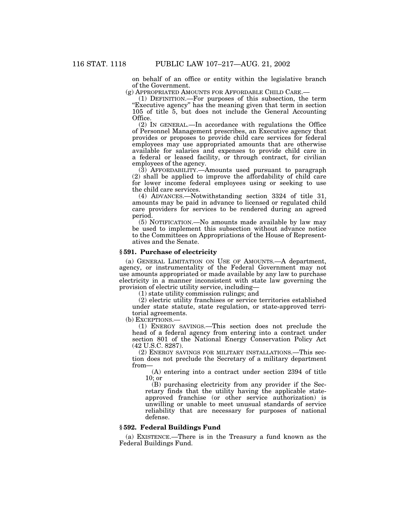on behalf of an office or entity within the legislative branch of the Government.

(g) APPROPRIATED AMOUNTS FOR AFFORDABLE CHILD CARE.—

(1) DEFINITION.—For purposes of this subsection, the term ''Executive agency'' has the meaning given that term in section 105 of title 5, but does not include the General Accounting Office.

(2) IN GENERAL.—In accordance with regulations the Office of Personnel Management prescribes, an Executive agency that provides or proposes to provide child care services for federal employees may use appropriated amounts that are otherwise available for salaries and expenses to provide child care in a federal or leased facility, or through contract, for civilian employees of the agency.

(3) AFFORDABILITY.—Amounts used pursuant to paragraph (2) shall be applied to improve the affordability of child care for lower income federal employees using or seeking to use the child care services.

(4) ADVANCES.—Notwithstanding section 3324 of title 31, amounts may be paid in advance to licensed or regulated child care providers for services to be rendered during an agreed period.

(5) NOTIFICATION.—No amounts made available by law may be used to implement this subsection without advance notice to the Committees on Appropriations of the House of Representatives and the Senate.

#### **§ 591. Purchase of electricity**

(a) GENERAL LIMITATION ON USE OF AMOUNTS.—A department, agency, or instrumentality of the Federal Government may not use amounts appropriated or made available by any law to purchase electricity in a manner inconsistent with state law governing the provision of electric utility service, including—

(1) state utility commission rulings; and

(2) electric utility franchises or service territories established under state statute, state regulation, or state-approved territorial agreements.

(b) EXCEPTIONS.—

(1) ENERGY SAVINGS.—This section does not preclude the head of a federal agency from entering into a contract under section 801 of the National Energy Conservation Policy Act (42 U.S.C. 8287).

(2) ENERGY SAVINGS FOR MILITARY INSTALLATIONS.—This section does not preclude the Secretary of a military department from—

(A) entering into a contract under section 2394 of title 10; or

(B) purchasing electricity from any provider if the Secretary finds that the utility having the applicable stateapproved franchise (or other service authorization) is unwilling or unable to meet unusual standards of service reliability that are necessary for purposes of national defense.

#### **§ 592. Federal Buildings Fund**

(a) EXISTENCE.—There is in the Treasury a fund known as the Federal Buildings Fund.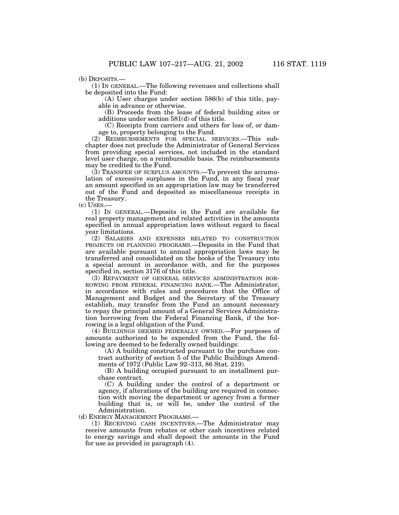(b) DEPOSITS.—

(1) IN GENERAL.—The following revenues and collections shall be deposited into the Fund:

(A) User charges under section 586(b) of this title, payable in advance or otherwise.

(B) Proceeds from the lease of federal building sites or additions under section 581(d) of this title.

(C) Receipts from carriers and others for loss of, or damage to, property belonging to the Fund.

(2) REIMBURSEMENTS FOR SPECIAL SERVICES.—This subchapter does not preclude the Administrator of General Services from providing special services, not included in the standard level user charge, on a reimbursable basis. The reimbursements may be credited to the Fund.

(3) TRANSFER OF SURPLUS AMOUNTS.—To prevent the accumulation of excessive surpluses in the Fund, in any fiscal year an amount specified in an appropriation law may be transferred out of the Fund and deposited as miscellaneous receipts in the Treasury.

 $(c)$  USES.

(1) IN GENERAL.—Deposits in the Fund are available for real property management and related activities in the amounts specified in annual appropriation laws without regard to fiscal year limitations.

(2) SALARIES AND EXPENSES RELATED TO CONSTRUCTION PROJECTS OR PLANNING PROGRAMS.—Deposits in the Fund that are available pursuant to annual appropriation laws may be transferred and consolidated on the books of the Treasury into a special account in accordance with, and for the purposes specified in, section 3176 of this title.

(3) REPAYMENT OF GENERAL SERVICES ADMINISTRATION BOR-ROWING FROM FEDERAL FINANCING BANK.—The Administrator, in accordance with rules and procedures that the Office of Management and Budget and the Secretary of the Treasury establish, may transfer from the Fund an amount necessary to repay the principal amount of a General Services Administration borrowing from the Federal Financing Bank, if the borrowing is a legal obligation of the Fund.

(4) BUILDINGS DEEMED FEDERALLY OWNED.—For purposes of amounts authorized to be expended from the Fund, the following are deemed to be federally owned buildings:

(A) A building constructed pursuant to the purchase contract authority of section 5 of the Public Buildings Amendments of 1972 (Public Law 92–313, 86 Stat. 219).

(B) A building occupied pursuant to an installment purchase contract.

(C) A building under the control of a department or agency, if alterations of the building are required in connection with moving the department or agency from a former building that is, or will be, under the control of the Administration.

(d) ENERGY MANAGEMENT PROGRAMS.—

(1) RECEIVING CASH INCENTIVES.—The Administrator may receive amounts from rebates or other cash incentives related to energy savings and shall deposit the amounts in the Fund for use as provided in paragraph  $(4)$ .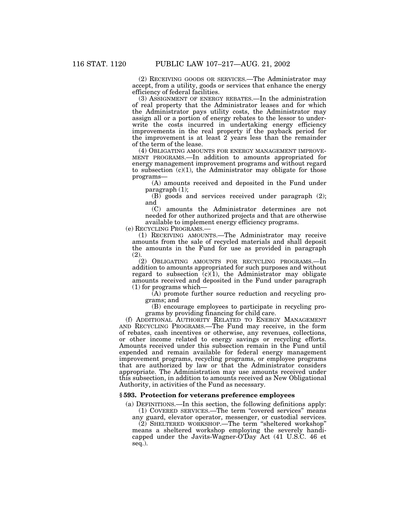(2) RECEIVING GOODS OR SERVICES.—The Administrator may accept, from a utility, goods or services that enhance the energy efficiency of federal facilities.

(3) ASSIGNMENT OF ENERGY REBATES.—In the administration of real property that the Administrator leases and for which the Administrator pays utility costs, the Administrator may assign all or a portion of energy rebates to the lessor to underwrite the costs incurred in undertaking energy efficiency improvements in the real property if the payback period for the improvement is at least  $2$  years less than the remainder of the term of the lease.

(4) OBLIGATING AMOUNTS FOR ENERGY MANAGEMENT IMPROVE- MENT PROGRAMS.—In addition to amounts appropriated for energy management improvement programs and without regard to subsection  $(c)(1)$ , the Administrator may obligate for those programs— (A) amounts received and deposited in the Fund under

paragraph (1);

(B) goods and services received under paragraph (2); and

(C) amounts the Administrator determines are not needed for other authorized projects and that are otherwise available to implement energy efficiency programs.

(e) RECYCLING PROGRAMS.—

(1) RECEIVING AMOUNTS.—The Administrator may receive amounts from the sale of recycled materials and shall deposit the amounts in the Fund for use as provided in paragraph (2).

(2) OBLIGATING AMOUNTS FOR RECYCLING PROGRAMS.—In addition to amounts appropriated for such purposes and without regard to subsection (c)(1), the Administrator may obligate amounts received and deposited in the Fund under paragraph (1) for programs which—

(A) promote further source reduction and recycling programs; and

(B) encourage employees to participate in recycling programs by providing financing for child care.

(f) ADDITIONAL AUTHORITY RELATED TO ENERGY MANAGEMENT AND RECYCLING PROGRAMS.—The Fund may receive, in the form of rebates, cash incentives or otherwise, any revenues, collections, or other income related to energy savings or recycling efforts. Amounts received under this subsection remain in the Fund until expended and remain available for federal energy management improvement programs, recycling programs, or employee programs that are authorized by law or that the Administrator considers appropriate. The Administration may use amounts received under this subsection, in addition to amounts received as New Obligational Authority, in activities of the Fund as necessary.

#### **§ 593. Protection for veterans preference employees**

(a) DEFINITIONS.—In this section, the following definitions apply: (1) COVERED SERVICES.—The term ''covered services'' means

any guard, elevator operator, messenger, or custodial services. (2) SHELTERED WORKSHOP.—The term ''sheltered workshop''

means a sheltered workshop employing the severely handicapped under the Javits-Wagner-O'Day Act (41 U.S.C. 46 et seq.).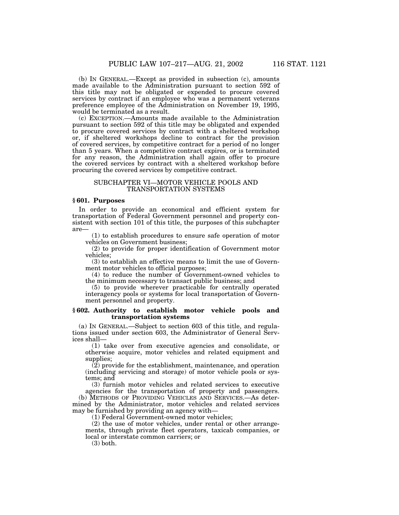(b) IN GENERAL.—Except as provided in subsection (c), amounts made available to the Administration pursuant to section 592 of this title may not be obligated or expended to procure covered services by contract if an employee who was a permanent veterans preference employee of the Administration on November 19, 1995, would be terminated as a result.

(c) EXCEPTION.—Amounts made available to the Administration pursuant to section 592 of this title may be obligated and expended to procure covered services by contract with a sheltered workshop or, if sheltered workshops decline to contract for the provision of covered services, by competitive contract for a period of no longer than 5 years. When a competitive contract expires, or is terminated for any reason, the Administration shall again offer to procure the covered services by contract with a sheltered workshop before procuring the covered services by competitive contract.

# SUBCHAPTER VI—MOTOR VEHICLE POOLS AND TRANSPORTATION SYSTEMS

# **§ 601. Purposes**

In order to provide an economical and efficient system for transportation of Federal Government personnel and property consistent with section 101 of this title, the purposes of this subchapter are—

(1) to establish procedures to ensure safe operation of motor vehicles on Government business;

(2) to provide for proper identification of Government motor vehicles;

(3) to establish an effective means to limit the use of Government motor vehicles to official purposes;

(4) to reduce the number of Government-owned vehicles to the minimum necessary to transact public business; and

(5) to provide wherever practicable for centrally operated interagency pools or systems for local transportation of Government personnel and property.

### **§ 602. Authority to establish motor vehicle pools and transportation systems**

(a) IN GENERAL.—Subject to section 603 of this title, and regulations issued under section 603, the Administrator of General Services shall—

(1) take over from executive agencies and consolidate, or otherwise acquire, motor vehicles and related equipment and supplies;

 $(2)$  provide for the establishment, maintenance, and operation (including servicing and storage) of motor vehicle pools or systems; and

(3) furnish motor vehicles and related services to executive agencies for the transportation of property and passengers. (b) METHODS OF PROVIDING VEHICLES AND SERVICES.—As determined by the Administrator, motor vehicles and related services may be furnished by providing an agency with—

(1) Federal Government-owned motor vehicles;

(2) the use of motor vehicles, under rental or other arrangements, through private fleet operators, taxicab companies, or local or interstate common carriers; or

(3) both.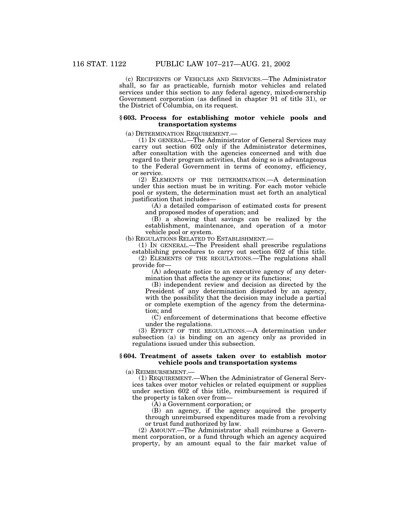(c) RECIPIENTS OF VEHICLES AND SERVICES.—The Administrator shall, so far as practicable, furnish motor vehicles and related services under this section to any federal agency, mixed-ownership Government corporation (as defined in chapter 91 of title 31), or the District of Columbia, on its request.

# **§ 603. Process for establishing motor vehicle pools and transportation systems**

(a) DETERMINATION REQUIREMENT.—

(1) IN GENERAL.—The Administrator of General Services may carry out section 602 only if the Administrator determines, after consultation with the agencies concerned and with due regard to their program activities, that doing so is advantageous to the Federal Government in terms of economy, efficiency, or service.

(2) ELEMENTS OF THE DETERMINATION.—A determination under this section must be in writing. For each motor vehicle pool or system, the determination must set forth an analytical justification that includes—

(A) a detailed comparison of estimated costs for present and proposed modes of operation; and

(B) a showing that savings can be realized by the establishment, maintenance, and operation of a motor vehicle pool or system.

(b) REGULATIONS RELATED TO ESTABLISHMENT.—

(1) IN GENERAL.—The President shall prescribe regulations

establishing procedures to carry out section 602 of this title. (2) ELEMENTS OF THE REGULATIONS.—The regulations shall provide for—

(A) adequate notice to an executive agency of any determination that affects the agency or its functions;

(B) independent review and decision as directed by the President of any determination disputed by an agency, with the possibility that the decision may include a partial or complete exemption of the agency from the determination; and

(C) enforcement of determinations that become effective under the regulations.

(3) EFFECT OF THE REGULATIONS.—A determination under subsection (a) is binding on an agency only as provided in regulations issued under this subsection.

#### **§ 604. Treatment of assets taken over to establish motor vehicle pools and transportation systems**

(a) REIMBURSEMENT.—

(1) REQUIREMENT.—When the Administrator of General Services takes over motor vehicles or related equipment or supplies under section 602 of this title, reimbursement is required if the property is taken over from—

(A) a Government corporation; or

(B) an agency, if the agency acquired the property through unreimbursed expenditures made from a revolving or trust fund authorized by law.

(2) AMOUNT.—The Administrator shall reimburse a Government corporation, or a fund through which an agency acquired property, by an amount equal to the fair market value of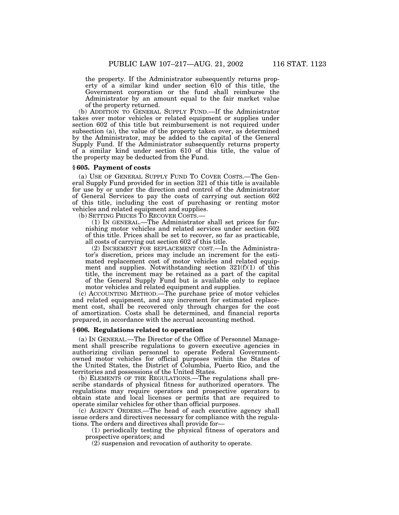the property. If the Administrator subsequently returns property of a similar kind under section 610 of this title, the Government corporation or the fund shall reimburse the Administrator by an amount equal to the fair market value of the property returned.

(b) ADDITION TO GENERAL SUPPLY FUND.—If the Administrator takes over motor vehicles or related equipment or supplies under section 602 of this title but reimbursement is not required under subsection (a), the value of the property taken over, as determined by the Administrator, may be added to the capital of the General Supply Fund. If the Administrator subsequently returns property of a similar kind under section 610 of this title, the value of the property may be deducted from the Fund.

### **§ 605. Payment of costs**

(a) USE OF GENERAL SUPPLY FUND TO COVER COSTS.—The General Supply Fund provided for in section 321 of this title is available for use by or under the direction and control of the Administrator of General Services to pay the costs of carrying out section 602 of this title, including the cost of purchasing or renting motor vehicles and related equipment and supplies.

(b) SETTING PRICES TO RECOVER COSTS.—

(1) IN GENERAL.—The Administrator shall set prices for furnishing motor vehicles and related services under section 602 of this title. Prices shall be set to recover, so far as practicable, all costs of carrying out section 602 of this title.

(2) INCREMENT FOR REPLACEMENT COST.—In the Administrator's discretion, prices may include an increment for the estimated replacement cost of motor vehicles and related equipment and supplies. Notwithstanding section  $321(f)(1)$  of this title, the increment may be retained as a part of the capital of the General Supply Fund but is available only to replace motor vehicles and related equipment and supplies.

(c) ACCOUNTING METHOD.—The purchase price of motor vehicles and related equipment, and any increment for estimated replacement cost, shall be recovered only through charges for the cost of amortization. Costs shall be determined, and financial reports prepared, in accordance with the accrual accounting method.

#### **§ 606. Regulations related to operation**

(a) IN GENERAL.—The Director of the Office of Personnel Management shall prescribe regulations to govern executive agencies in authorizing civilian personnel to operate Federal Governmentowned motor vehicles for official purposes within the States of the United States, the District of Columbia, Puerto Rico, and the territories and possessions of the United States.

(b) ELEMENTS OF THE REGULATIONS.—The regulations shall prescribe standards of physical fitness for authorized operators. The regulations may require operators and prospective operators to obtain state and local licenses or permits that are required to operate similar vehicles for other than official purposes.

(c) AGENCY ORDERS.—The head of each executive agency shall issue orders and directives necessary for compliance with the regulations. The orders and directives shall provide for—

(1) periodically testing the physical fitness of operators and prospective operators; and

 $(2)$  suspension and revocation of authority to operate.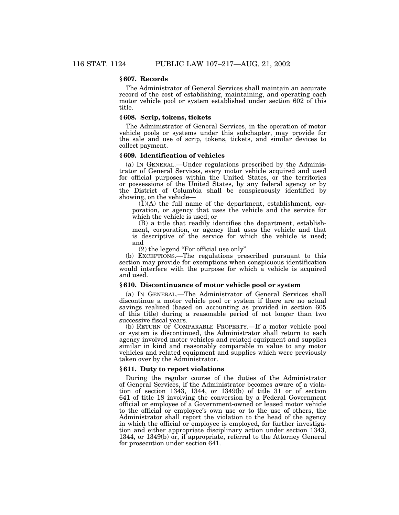# **§ 607. Records**

The Administrator of General Services shall maintain an accurate record of the cost of establishing, maintaining, and operating each motor vehicle pool or system established under section 602 of this title.

# **§ 608. Scrip, tokens, tickets**

The Administrator of General Services, in the operation of motor vehicle pools or systems under this subchapter, may provide for the sale and use of scrip, tokens, tickets, and similar devices to collect payment.

## **§ 609. Identification of vehicles**

(a) IN GENERAL.—Under regulations prescribed by the Administrator of General Services, every motor vehicle acquired and used for official purposes within the United States, or the territories or possessions of the United States, by any federal agency or by the District of Columbia shall be conspicuously identified by

 $\tilde{1}(A)$  the full name of the department, establishment, corporation, or agency that uses the vehicle and the service for which the vehicle is used; or

(B) a title that readily identifies the department, establishment, corporation, or agency that uses the vehicle and that is descriptive of the service for which the vehicle is used; and<br>(2) the legend "For official use only".

(b) EXCEPTIONS.—The regulations prescribed pursuant to this section may provide for exemptions when conspicuous identification would interfere with the purpose for which a vehicle is acquired and used.

# **§ 610. Discontinuance of motor vehicle pool or system**

(a) IN GENERAL.—The Administrator of General Services shall discontinue a motor vehicle pool or system if there are no actual savings realized (based on accounting as provided in section 605 of this title) during a reasonable period of not longer than two successive fiscal years.

(b) RETURN OF COMPARABLE PROPERTY.—If a motor vehicle pool or system is discontinued, the Administrator shall return to each agency involved motor vehicles and related equipment and supplies similar in kind and reasonably comparable in value to any motor vehicles and related equipment and supplies which were previously taken over by the Administrator.

# **§ 611. Duty to report violations**

During the regular course of the duties of the Administrator of General Services, if the Administrator becomes aware of a violation of section 1343, 1344, or 1349(b) of title 31 or of section 641 of title 18 involving the conversion by a Federal Government official or employee of a Government-owned or leased motor vehicle to the official or employee's own use or to the use of others, the Administrator shall report the violation to the head of the agency in which the official or employee is employed, for further investigation and either appropriate disciplinary action under section 1343, 1344, or 1349(b) or, if appropriate, referral to the Attorney General for prosecution under section 641.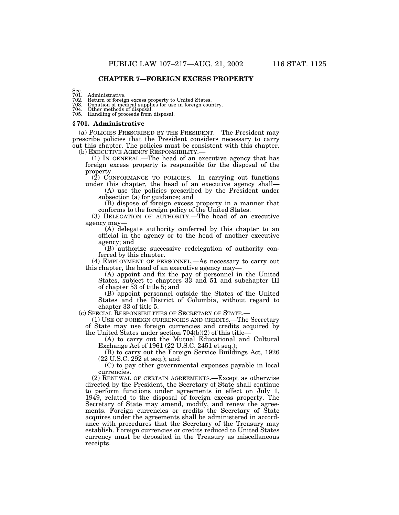# **CHAPTER 7—FOREIGN EXCESS PROPERTY**

Sec.<br>701

701. Administrative.<br>702. Return of foreig<br>703. Donation of mee 702. Return of foreign excess property to United States. 703. Donation of medical supplies for use in foreign country.

704. Other methods of disposal. 705. Handling of proceeds from disposal.

#### **§ 701. Administrative**

(a) POLICIES PRESCRIBED BY THE PRESIDENT.—The President may prescribe policies that the President considers necessary to carry out this chapter. The policies must be consistent with this chapter.

(b) EXECUTIVE AGENCY RESPONSIBILITY.— (1) IN GENERAL.—The head of an executive agency that has foreign excess property is responsible for the disposal of the property.

(2) CONFORMANCE TO POLICIES.—In carrying out functions

under this chapter, the head of an executive agency shall— (A) use the policies prescribed by the President under subsection (a) for guidance; and

(B) dispose of foreign excess property in a manner that conforms to the foreign policy of the United States.

(3) DELEGATION OF AUTHORITY.—The head of an executive agency may—<br>(A) delegate authority conferred by this chapter to an

official in the agency or to the head of another executive agency; and

(B) authorize successive redelegation of authority conferred by this chapter.

(4) EMPLOYMENT OF PERSONNEL.—As necessary to carry out this chapter, the head of an executive agency may—

this chapter, the head of an executive agency may— (A) appoint and fix the pay of personnel in the United States, subject to chapters 33 and 51 and subchapter III of chapter 53 of title 5; and

(B) appoint personnel outside the States of the United States and the District of Columbia, without regard to chapter 33 of title 5.

(c) SPECIAL RESPONSIBILITIES OF SECRETARY OF STATE.—

(1) USE OF FOREIGN CURRENCIES AND CREDITS.—The Secretary of State may use foreign currencies and credits acquired by the United States under section 704(b)(2) of this title—

(A) to carry out the Mutual Educational and Cultural Exchange Act of 1961 (22 U.S.C. 2451 et seq.);

(B) to carry out the Foreign Service Buildings Act, 1926 (22 U.S.C. 292 et seq.); and

(C) to pay other governmental expenses payable in local currencies.

(2) RENEWAL OF CERTAIN AGREEMENTS.—Except as otherwise directed by the President, the Secretary of State shall continue to perform functions under agreements in effect on July 1, 1949, related to the disposal of foreign excess property. The Secretary of State may amend, modify, and renew the agreements. Foreign currencies or credits the Secretary of State acquires under the agreements shall be administered in accordance with procedures that the Secretary of the Treasury may establish. Foreign currencies or credits reduced to United States currency must be deposited in the Treasury as miscellaneous receipts.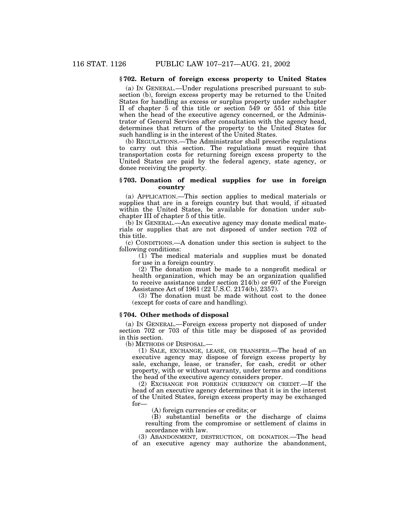# **§ 702. Return of foreign excess property to United States**

(a) IN GENERAL.—Under regulations prescribed pursuant to subsection (b), foreign excess property may be returned to the United States for handling as excess or surplus property under subchapter II of chapter 5 of this title or section 549 or 551 of this title when the head of the executive agency concerned, or the Administrator of General Services after consultation with the agency head, determines that return of the property to the United States for such handling is in the interest of the United States.

(b) REGULATIONS.—The Administrator shall prescribe regulations to carry out this section. The regulations must require that transportation costs for returning foreign excess property to the United States are paid by the federal agency, state agency, or donee receiving the property.

# **§ 703. Donation of medical supplies for use in foreign country**

(a) APPLICATION.—This section applies to medical materials or supplies that are in a foreign country but that would, if situated within the United States, be available for donation under subchapter III of chapter 5 of this title.

(b) IN GENERAL.—An executive agency may donate medical materials or supplies that are not disposed of under section 702 of this title.

(c) CONDITIONS.—A donation under this section is subject to the following conditions:

(1) The medical materials and supplies must be donated for use in a foreign country.

(2) The donation must be made to a nonprofit medical or health organization, which may be an organization qualified to receive assistance under section 214(b) or 607 of the Foreign Assistance Act of 1961 (22 U.S.C. 2174(b), 2357).

(3) The donation must be made without cost to the donee (except for costs of care and handling).

## **§ 704. Other methods of disposal**

(a) IN GENERAL.—Foreign excess property not disposed of under section 702 or 703 of this title may be disposed of as provided in this section.

(b) METHODS OF DISPOSAL.—

(1) SALE, EXCHANGE, LEASE, OR TRANSFER.—The head of an executive agency may dispose of foreign excess property by sale, exchange, lease, or transfer, for cash, credit or other property, with or without warranty, under terms and conditions the head of the executive agency considers proper.

(2) EXCHANGE FOR FOREIGN CURRENCY OR CREDIT.—If the head of an executive agency determines that it is in the interest of the United States, foreign excess property may be exchanged for—

(A) foreign currencies or credits; or

(B) substantial benefits or the discharge of claims resulting from the compromise or settlement of claims in accordance with law.

(3) ABANDONMENT, DESTRUCTION, OR DONATION.—The head of an executive agency may authorize the abandonment,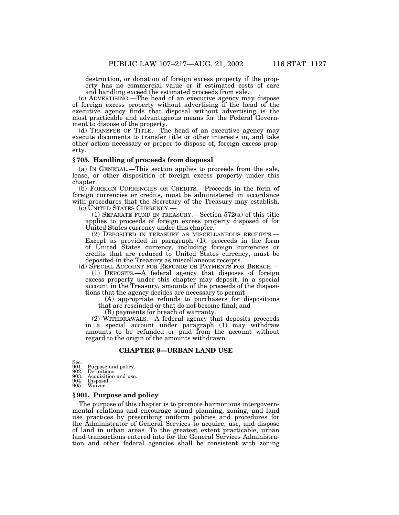destruction, or donation of foreign excess property if the property has no commercial value or if estimated costs of care and handling exceed the estimated proceeds from sale.

(c) ADVERTISING.—The head of an executive agency may dispose of foreign excess property without advertising if the head of the executive agency finds that disposal without advertising is the most practicable and advantageous means for the Federal Government to dispose of the property.

(d) TRANSFER OF TITLE.—The head of an executive agency may execute documents to transfer title or other interests in, and take other action necessary or proper to dispose of, foreign excess property.

## **§ 705. Handling of proceeds from disposal**

(a) IN GENERAL.—This section applies to proceeds from the sale, lease, or other disposition of foreign excess property under this chapter.

(b) FOREIGN CURRENCIES OR CREDITS.—Proceeds in the form of foreign currencies or credits, must be administered in accordance with procedures that the Secretary of the Treasury may establish.<br>(c) UNITED STATES CURRENCY.—

(1) SEPARATE FUND IN TREASURY.—Section  $572(a)$  of this title applies to proceeds of foreign excess property disposed of for United States currency under this chapter.

(2) DEPOSITED IN TREASURY AS MISCELLANEOUS RECEIPTS.— Except as provided in paragraph (1), proceeds in the form of United States currency, including foreign currencies or credits that are reduced to United States currency, must be deposited in the Treasury as miscellaneous receipts.<br>(d) SPECIAL ACCOUNT FOR REFUNDS OR PAYMENTS FOR BREACH.—

 $(1)$  DEPOSITS.—A federal agency that disposes of foreign excess property under this chapter may deposit, in a special account in the Treasury, amounts of the proceeds of the disposi-

 $(A)$  appropriate refunds to purchasers for dispositions that are rescinded or that do not become final; and

(B) payments for breach of warranty.

(2) WITHDRAWALS.—A federal agency that deposits proceeds in a special account under paragraph (1) may withdraw amounts to be refunded or paid from the account without regard to the origin of the amounts withdrawn.

# **CHAPTER 9—URBAN LAND USE**

Sec.<br>901.

901. Purpose and policy.<br>902 Definitions

902. Definitions. 903. Acquisition and use.

904. Disposal. 905. Waiver.

#### **§ 901. Purpose and policy**

The purpose of this chapter is to promote harmonious intergovernmental relations and encourage sound planning, zoning, and land use practices by prescribing uniform policies and procedures for the Administrator of General Services to acquire, use, and dispose of land in urban areas. To the greatest extent practicable, urban land transactions entered into for the General Services Administration and other federal agencies shall be consistent with zoning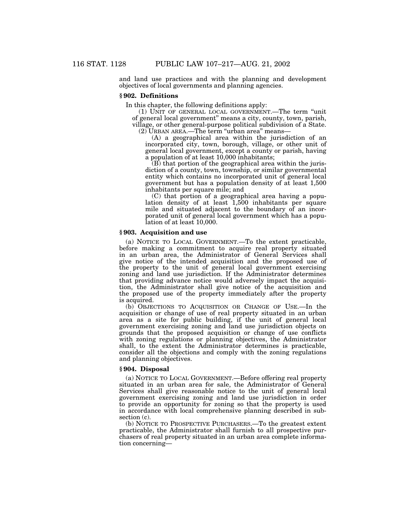and land use practices and with the planning and development objectives of local governments and planning agencies.

# **§ 902. Definitions**

In this chapter, the following definitions apply:

(1) UNIT OF GENERAL LOCAL GOVERNMENT.—The term ''unit of general local government'' means a city, county, town, parish, village, or other general-purpose political subdivision of a State.<br>(2) URBAN AREA.—The term "urban area" means—

 $(A)$  a geographical area within the jurisdiction of an incorporated city, town, borough, village, or other unit of general local government, except a county or parish, having a population of at least 10,000 inhabitants;

(B) that portion of the geographical area within the jurisdiction of a county, town, township, or similar governmental entity which contains no incorporated unit of general local government but has a population density of at least 1,500 inhabitants per square mile; and

(C) that portion of a geographical area having a population density of at least 1,500 inhabitants per square mile and situated adjacent to the boundary of an incorporated unit of general local government which has a population of at least 10,000.

# **§ 903. Acquisition and use**

(a) NOTICE TO LOCAL GOVERNMENT.—To the extent practicable, before making a commitment to acquire real property situated in an urban area, the Administrator of General Services shall give notice of the intended acquisition and the proposed use of the property to the unit of general local government exercising zoning and land use jurisdiction. If the Administrator determines that providing advance notice would adversely impact the acquisition, the Administrator shall give notice of the acquisition and the proposed use of the property immediately after the property is acquired.

(b) OBJECTIONS TO ACQUISITION OR CHANGE OF USE.—In the acquisition or change of use of real property situated in an urban area as a site for public building, if the unit of general local government exercising zoning and land use jurisdiction objects on grounds that the proposed acquisition or change of use conflicts with zoning regulations or planning objectives, the Administrator shall, to the extent the Administrator determines is practicable, consider all the objections and comply with the zoning regulations and planning objectives.

### **§ 904. Disposal**

(a) NOTICE TO LOCAL GOVERNMENT.—Before offering real property situated in an urban area for sale, the Administrator of General Services shall give reasonable notice to the unit of general local government exercising zoning and land use jurisdiction in order to provide an opportunity for zoning so that the property is used in accordance with local comprehensive planning described in subsection  $(c)$ .

(b) NOTICE TO PROSPECTIVE PURCHASERS.—To the greatest extent practicable, the Administrator shall furnish to all prospective purchasers of real property situated in an urban area complete information concerning—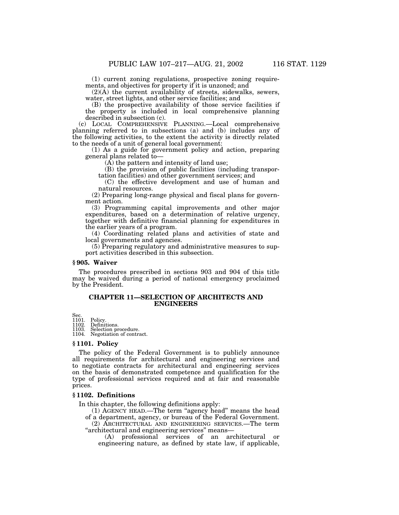(1) current zoning regulations, prospective zoning requirements, and objectives for property if it is unzoned; and

(2)(A) the current availability of streets, sidewalks, sewers, water, street lights, and other service facilities; and

(B) the prospective availability of those service facilities if the property is included in local comprehensive planning described in subsection (c).

(c) LOCAL COMPREHENSIVE PLANNING.—Local comprehensive planning referred to in subsections (a) and (b) includes any of the following activities, to the extent the activity is directly related to the needs of a unit of general local government:

(1) As a guide for government policy and action, preparing

 $(A)$  the pattern and intensity of land use;

(B) the provision of public facilities (including transportation facilities) and other government services; and

(C) the effective development and use of human and natural resources.

(2) Preparing long-range physical and fiscal plans for government action.

(3) Programming capital improvements and other major expenditures, based on a determination of relative urgency, together with definitive financial planning for expenditures in the earlier years of a program.

(4) Coordinating related plans and activities of state and local governments and agencies.

(5) Preparing regulatory and administrative measures to support activities described in this subsection.

#### **§ 905. Waiver**

The procedures prescribed in sections 903 and 904 of this title may be waived during a period of national emergency proclaimed by the President.

# **CHAPTER 11—SELECTION OF ARCHITECTS AND ENGINEERS**

Sec.  $1101$ .

1101. Policy.<br>1102. Definit<br>1103. Selecti 1102. Definitions. 1103. Selection procedure.

1104. Negotiation of contract.

### **§ 1101. Policy**

The policy of the Federal Government is to publicly announce all requirements for architectural and engineering services and to negotiate contracts for architectural and engineering services on the basis of demonstrated competence and qualification for the type of professional services required and at fair and reasonable prices.

#### **§ 1102. Definitions**

In this chapter, the following definitions apply:

(1) AGENCY HEAD.—The term ''agency head'' means the head of a department, agency, or bureau of the Federal Government.

(2) ARCHITECTURAL AND ENGINEERING SERVICES.—The term "architectural and engineering services" means-

(A) professional services of an architectural or engineering nature, as defined by state law, if applicable,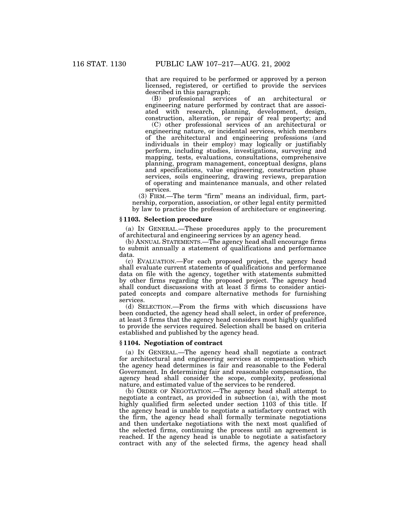that are required to be performed or approved by a person licensed, registered, or certified to provide the services described in this paragraph;

(B) professional services of an architectural or engineering nature performed by contract that are associated with research, planning, development, design, construction, alteration, or repair of real property; and

(C) other professional services of an architectural or engineering nature, or incidental services, which members of the architectural and engineering professions (and individuals in their employ) may logically or justifiably perform, including studies, investigations, surveying and mapping, tests, evaluations, consultations, comprehensive planning, program management, conceptual designs, plans and specifications, value engineering, construction phase services, soils engineering, drawing reviews, preparation of operating and maintenance manuals, and other related services.

(3) FIRM.—The term "firm" means an individual, firm, partnership, corporation, association, or other legal entity permitted by law to practice the profession of architecture or engineering.

#### **§ 1103. Selection procedure**

(a) IN GENERAL.—These procedures apply to the procurement of architectural and engineering services by an agency head.

(b) ANNUAL STATEMENTS.—The agency head shall encourage firms to submit annually a statement of qualifications and performance data.

(c) EVALUATION.—For each proposed project, the agency head shall evaluate current statements of qualifications and performance data on file with the agency, together with statements submitted by other firms regarding the proposed project. The agency head shall conduct discussions with at least 3 firms to consider anticipated concepts and compare alternative methods for furnishing services.

(d) SELECTION.—From the firms with which discussions have been conducted, the agency head shall select, in order of preference, at least 3 firms that the agency head considers most highly qualified to provide the services required. Selection shall be based on criteria established and published by the agency head.

### **§ 1104. Negotiation of contract**

(a) IN GENERAL.—The agency head shall negotiate a contract for architectural and engineering services at compensation which the agency head determines is fair and reasonable to the Federal Government. In determining fair and reasonable compensation, the agency head shall consider the scope, complexity, professional nature, and estimated value of the services to be rendered.

(b) ORDER OF NEGOTIATION.—The agency head shall attempt to negotiate a contract, as provided in subsection (a), with the most highly qualified firm selected under section 1103 of this title. If the agency head is unable to negotiate a satisfactory contract with the firm, the agency head shall formally terminate negotiations and then undertake negotiations with the next most qualified of the selected firms, continuing the process until an agreement is reached. If the agency head is unable to negotiate a satisfactory contract with any of the selected firms, the agency head shall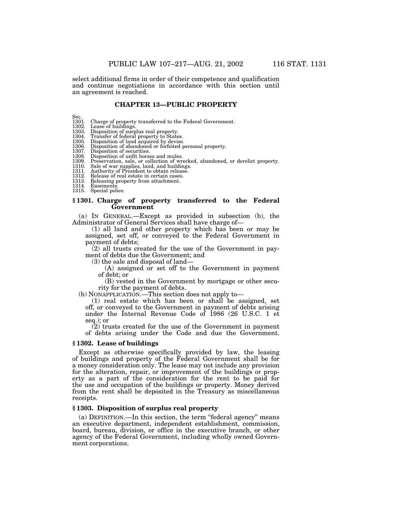select additional firms in order of their competence and qualification and continue negotiations in accordance with this section until an agreement is reached.

### **CHAPTER 13—PUBLIC PROPERTY**

Sec.<br>1301. 1301. Charge of property transferred to the Federal Government.<br>1302. Lease of buildings.

1302. Lease of buildings.<br>1303. Disposition of surp

1303. Disposition of surplus real property. 1304. Transfer of federal property to States.

1305. Disposition of land acquired by devise.<br>1306. Disposition of abandoned or forfeited p 1306. Disposition of abandoned or forfeited personal property.<br>1307. Disposition of securities.<br>1308. Disposition of unfit horses and mules.

Disposition of securities.

1308. Disposition of unfit horses and mules.<br>1309. Preservation, sale, or collection of wr 1309. Preservation, sale, or collection of wrecked, abandoned, or derelict property.<br>1310. Sale of war supplies, land, and buildings.

1310. Sale of war supplies, land, and buildings. 1311. Authority of President to obtain release.

1312. Release of real estate in certain cases.<br>1313. Releasing property from attachment.

Releasing property from attachment. 1314. Easements.

1315. Special police.

### **§ 1301. Charge of property transferred to the Federal Government**

(a) IN GENERAL.—Except as provided in subsection (b), the Administrator of General Services shall have charge of—

(1) all land and other property which has been or may be assigned, set off, or conveyed to the Federal Government in payment of debts;

(2) all trusts created for the use of the Government in payment of debts due the Government; and

(3) the sale and disposal of land—

(A) assigned or set off to the Government in payment of debt; or

(B) vested in the Government by mortgage or other security for the payment of debts.

(b) NONAPPLICATION.—This section does not apply to—

(1) real estate which has been or shall be assigned, set off, or conveyed to the Government in payment of debts arising under the Internal Revenue Code of 1986 (26 U.S.C. 1 et seq.); or

(2) trusts created for the use of the Government in payment of debts arising under the Code and due the Government.

### **§ 1302. Lease of buildings**

Except as otherwise specifically provided by law, the leasing of buildings and property of the Federal Government shall be for a money consideration only. The lease may not include any provision for the alteration, repair, or improvement of the buildings or property as a part of the consideration for the rent to be paid for the use and occupation of the buildings or property. Money derived from the rent shall be deposited in the Treasury as miscellaneous receipts.

# **§ 1303. Disposition of surplus real property**

(a) DEFINITION.—In this section, the term ''federal agency'' means an executive department, independent establishment, commission, board, bureau, division, or office in the executive branch, or other agency of the Federal Government, including wholly owned Government corporations.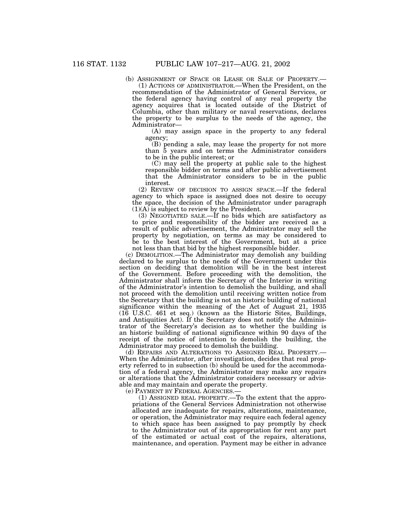(b) ASSIGNMENT OF SPACE OR LEASE OR SALE OF PROPERTY.— (1) ACTIONS OF ADMINISTRATOR.—When the President, on the recommendation of the Administrator of General Services, or the federal agency having control of any real property the agency acquires that is located outside of the District of Columbia, other than military or naval reservations, declares the property to be surplus to the needs of the agency, the Administrator—

(A) may assign space in the property to any federal agency;

(B) pending a sale, may lease the property for not more than 5 years and on terms the Administrator considers to be in the public interest; or

(C) may sell the property at public sale to the highest responsible bidder on terms and after public advertisement that the Administrator considers to be in the public interest.

(2) REVIEW OF DECISION TO ASSIGN SPACE.—If the federal agency to which space is assigned does not desire to occupy the space, the decision of the Administrator under paragraph (1)(A) is subject to review by the President.

(3) NEGOTIATED SALE.—If no bids which are satisfactory as to price and responsibility of the bidder are received as a result of public advertisement, the Administrator may sell the property by negotiation, on terms as may be considered to be to the best interest of the Government, but at a price not less than that bid by the highest responsible bidder.

(c) DEMOLITION.—The Administrator may demolish any building declared to be surplus to the needs of the Government under this section on deciding that demolition will be in the best interest of the Government. Before proceeding with the demolition, the Administrator shall inform the Secretary of the Interior in writing of the Administrator's intention to demolish the building, and shall not proceed with the demolition until receiving written notice from the Secretary that the building is not an historic building of national significance within the meaning of the Act of August 21, 1935 (16 U.S.C. 461 et seq.) (known as the Historic Sites, Buildings, and Antiquities Act). If the Secretary does not notify the Administrator of the Secretary's decision as to whether the building is an historic building of national significance within 90 days of the receipt of the notice of intention to demolish the building, the Administrator may proceed to demolish the building.

(d) REPAIRS AND ALTERATIONS TO ASSIGNED REAL PROPERTY.— When the Administrator, after investigation, decides that real property referred to in subsection (b) should be used for the accommodation of a federal agency, the Administrator may make any repairs or alterations that the Administrator considers necessary or advisable and may maintain and operate the property.

(e) PAYMENT BY FEDERAL AGENCIES.—

(1) ASSIGNED REAL PROPERTY.—To the extent that the appropriations of the General Services Administration not otherwise allocated are inadequate for repairs, alterations, maintenance, or operation, the Administrator may require each federal agency to which space has been assigned to pay promptly by check to the Administrator out of its appropriation for rent any part of the estimated or actual cost of the repairs, alterations, maintenance, and operation. Payment may be either in advance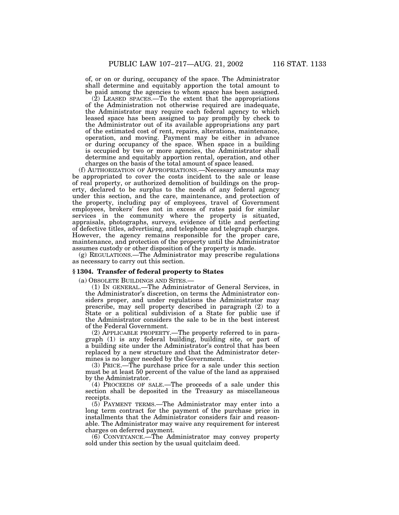of, or on or during, occupancy of the space. The Administrator shall determine and equitably apportion the total amount to be paid among the agencies to whom space has been assigned.

 $(2)$  LEASED SPACES.—To the extent that the appropriations of the Administration not otherwise required are inadequate, the Administrator may require each federal agency to which leased space has been assigned to pay promptly by check to the Administrator out of its available appropriations any part of the estimated cost of rent, repairs, alterations, maintenance, operation, and moving. Payment may be either in advance or during occupancy of the space. When space in a building is occupied by two or more agencies, the Administrator shall determine and equitably apportion rental, operation, and other charges on the basis of the total amount of space leased.

(f) AUTHORIZATION OF APPROPRIATIONS.—Necessary amounts may be appropriated to cover the costs incident to the sale or lease of real property, or authorized demolition of buildings on the property, declared to be surplus to the needs of any federal agency under this section, and the care, maintenance, and protection of the property, including pay of employees, travel of Government employees, brokers' fees not in excess of rates paid for similar services in the community where the property is situated, appraisals, photographs, surveys, evidence of title and perfecting of defective titles, advertising, and telephone and telegraph charges. However, the agency remains responsible for the proper care, maintenance, and protection of the property until the Administrator assumes custody or other disposition of the property is made.

(g) REGULATIONS.—The Administrator may prescribe regulations as necessary to carry out this section.

### **§ 1304. Transfer of federal property to States**

(a) OBSOLETE BUILDINGS AND SITES.—

(1) IN GENERAL.—The Administrator of General Services, in the Administrator's discretion, on terms the Administrator considers proper, and under regulations the Administrator may prescribe, may sell property described in paragraph (2) to a State or a political subdivision of a State for public use if the Administrator considers the sale to be in the best interest of the Federal Government.

(2) APPLICABLE PROPERTY.—The property referred to in paragraph (1) is any federal building, building site, or part of a building site under the Administrator's control that has been replaced by a new structure and that the Administrator determines is no longer needed by the Government.

(3) PRICE.—The purchase price for a sale under this section must be at least 50 percent of the value of the land as appraised by the Administrator.

(4) PROCEEDS OF SALE.—The proceeds of a sale under this section shall be deposited in the Treasury as miscellaneous receipts.

(5) PAYMENT TERMS.—The Administrator may enter into a long term contract for the payment of the purchase price in installments that the Administrator considers fair and reasonable. The Administrator may waive any requirement for interest charges on deferred payment.

(6) CONVEYANCE.—The Administrator may convey property sold under this section by the usual quitclaim deed.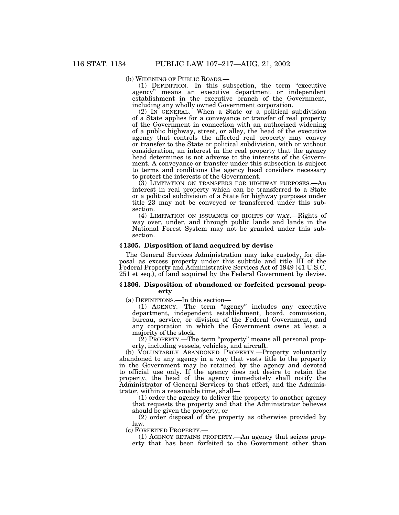(b) WIDENING OF PUBLIC ROADS.— (1) DEFINITION.—In this subsection, the term ''executive agency'' means an executive department or independent establishment in the executive branch of the Government, including any wholly owned Government corporation.

(2) IN GENERAL.—When a State or a political subdivision of a State applies for a conveyance or transfer of real property of the Government in connection with an authorized widening of a public highway, street, or alley, the head of the executive agency that controls the affected real property may convey or transfer to the State or political subdivision, with or without consideration, an interest in the real property that the agency head determines is not adverse to the interests of the Government. A conveyance or transfer under this subsection is subject to terms and conditions the agency head considers necessary to protect the interests of the Government.

(3) LIMITATION ON TRANSFERS FOR HIGHWAY PURPOSES.—An interest in real property which can be transferred to a State or a political subdivision of a State for highway purposes under title 23 may not be conveyed or transferred under this subsection.

(4) LIMITATION ON ISSUANCE OF RIGHTS OF WAY.—Rights of way over, under, and through public lands and lands in the National Forest System may not be granted under this subsection.

### **§ 1305. Disposition of land acquired by devise**

The General Services Administration may take custody, for disposal as excess property under this subtitle and title III of the Federal Property and Administrative Services Act of 1949 (41 U.S.C. 251 et seq.), of land acquired by the Federal Government by devise.

### **§ 1306. Disposition of abandoned or forfeited personal property**

(a) DEFINITIONS.—In this section—

(1) AGENCY.—The term ''agency'' includes any executive department, independent establishment, board, commission, bureau, service, or division of the Federal Government, and any corporation in which the Government owns at least a majority of the stock.

(2) PROPERTY.—The term ''property'' means all personal property, including vessels, vehicles, and aircraft.

(b) VOLUNTARILY ABANDONED PROPERTY.—Property voluntarily abandoned to any agency in a way that vests title to the property in the Government may be retained by the agency and devoted to official use only. If the agency does not desire to retain the property, the head of the agency immediately shall notify the Administrator of General Services to that effect, and the Administrator, within a reasonable time, shall—

(1) order the agency to deliver the property to another agency that requests the property and that the Administrator believes should be given the property; or

(2) order disposal of the property as otherwise provided by law.

(c) FORFEITED PROPERTY.—

(1) AGENCY RETAINS PROPERTY.—An agency that seizes property that has been forfeited to the Government other than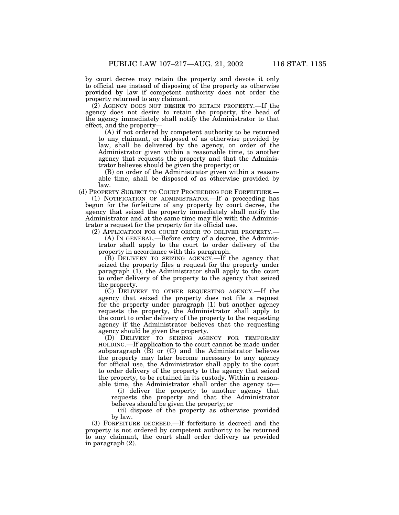by court decree may retain the property and devote it only to official use instead of disposing of the property as otherwise provided by law if competent authority does not order the property returned to any claimant.

(2) AGENCY DOES NOT DESIRE TO RETAIN PROPERTY.—If the agency does not desire to retain the property, the head of the agency immediately shall notify the Administrator to that effect, and the property—

(A) if not ordered by competent authority to be returned to any claimant, or disposed of as otherwise provided by law, shall be delivered by the agency, on order of the Administrator given within a reasonable time, to another agency that requests the property and that the Administrator believes should be given the property; or

(B) on order of the Administrator given within a reasonable time, shall be disposed of as otherwise provided by law.

(d) PROPERTY SUBJECT TO COURT PROCEEDING FOR FORFEITURE.—

(1) NOTIFICATION OF ADMINISTRATOR.—If a proceeding has begun for the forfeiture of any property by court decree, the agency that seized the property immediately shall notify the Administrator and at the same time may file with the Administrator a request for the property for its official use.

(2) APPLICATION FOR COURT ORDER TO DELIVER PROPERTY.—

(A) IN GENERAL.—Before entry of a decree, the Administrator shall apply to the court to order delivery of the property in accordance with this paragraph.

(B) DELIVERY TO SEIZING AGENCY.—If the agency that seized the property files a request for the property under paragraph  $(1)$ , the Administrator shall apply to the court to order delivery of the property to the agency that seized the property.

(C) DELIVERY TO OTHER REQUESTING AGENCY.—If the agency that seized the property does not file a request for the property under paragraph (1) but another agency requests the property, the Administrator shall apply to the court to order delivery of the property to the requesting agency if the Administrator believes that the requesting agency should be given the property.

(D) DELIVERY TO SEIZING AGENCY FOR TEMPORARY HOLDING.—If application to the court cannot be made under subparagraph (B) or (C) and the Administrator believes the property may later become necessary to any agency for official use, the Administrator shall apply to the court to order delivery of the property to the agency that seized the property, to be retained in its custody. Within a reasonable time, the Administrator shall order the agency to—

(i) deliver the property to another agency that requests the property and that the Administrator believes should be given the property; or

(ii) dispose of the property as otherwise provided by law.

(3) FORFEITURE DECREED.—If forfeiture is decreed and the property is not ordered by competent authority to be returned to any claimant, the court shall order delivery as provided in paragraph (2).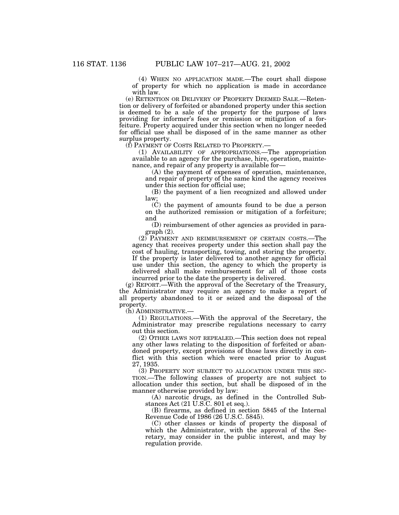(4) WHEN NO APPLICATION MADE.—The court shall dispose of property for which no application is made in accordance with law.

(e) RETENTION OR DELIVERY OF PROPERTY DEEMED SALE.—Retention or delivery of forfeited or abandoned property under this section is deemed to be a sale of the property for the purpose of laws providing for informer's fees or remission or mitigation of a forfeiture. Property acquired under this section when no longer needed for official use shall be disposed of in the same manner as other surplus property.

(f) PAYMENT OF COSTS RELATED TO PROPERTY.—

(1) AVAILABILITY OF APPROPRIATIONS.—The appropriation available to an agency for the purchase, hire, operation, maintenance, and repair of any property is available for—

(A) the payment of expenses of operation, maintenance, and repair of property of the same kind the agency receives under this section for official use;

(B) the payment of a lien recognized and allowed under law;

(C) the payment of amounts found to be due a person on the authorized remission or mitigation of a forfeiture; and

(D) reimbursement of other agencies as provided in paragraph (2).

(2) PAYMENT AND REIMBURSEMENT OF CERTAIN COSTS.—The agency that receives property under this section shall pay the cost of hauling, transporting, towing, and storing the property. If the property is later delivered to another agency for official use under this section, the agency to which the property is delivered shall make reimbursement for all of those costs incurred prior to the date the property is delivered.

(g) REPORT.—With the approval of the Secretary of the Treasury, the Administrator may require an agency to make a report of all property abandoned to it or seized and the disposal of the property.

(h) ADMINISTRATIVE.—

(1) REGULATIONS.—With the approval of the Secretary, the Administrator may prescribe regulations necessary to carry out this section.

(2) OTHER LAWS NOT REPEALED.—This section does not repeal any other laws relating to the disposition of forfeited or abandoned property, except provisions of those laws directly in conflict with this section which were enacted prior to August 27, 1935.

(3) PROPERTY NOT SUBJECT TO ALLOCATION UNDER THIS SEC-TION.—The following classes of property are not subject to allocation under this section, but shall be disposed of in the manner otherwise provided by law:

(A) narcotic drugs, as defined in the Controlled Substances Act (21 U.S.C. 801 et seq.).

(B) firearms, as defined in section 5845 of the Internal Revenue Code of 1986 (26 U.S.C. 5845).

(C) other classes or kinds of property the disposal of which the Administrator, with the approval of the Secretary, may consider in the public interest, and may by regulation provide.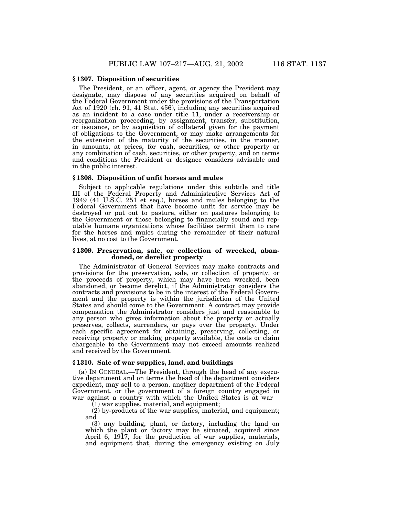## **§ 1307. Disposition of securities**

The President, or an officer, agent, or agency the President may designate, may dispose of any securities acquired on behalf of the Federal Government under the provisions of the Transportation Act of 1920 (ch. 91, 41 Stat. 456), including any securities acquired as an incident to a case under title 11, under a receivership or reorganization proceeding, by assignment, transfer, substitution, or issuance, or by acquisition of collateral given for the payment of obligations to the Government, or may make arrangements for the extension of the maturity of the securities, in the manner, in amounts, at prices, for cash, securities, or other property or any combination of cash, securities, or other property, and on terms and conditions the President or designee considers advisable and in the public interest.

## **§ 1308. Disposition of unfit horses and mules**

Subject to applicable regulations under this subtitle and title III of the Federal Property and Administrative Services Act of 1949 (41 U.S.C. 251 et seq.), horses and mules belonging to the Federal Government that have become unfit for service may be destroyed or put out to pasture, either on pastures belonging to the Government or those belonging to financially sound and reputable humane organizations whose facilities permit them to care for the horses and mules during the remainder of their natural lives, at no cost to the Government.

### **§ 1309. Preservation, sale, or collection of wrecked, abandoned, or derelict property**

The Administrator of General Services may make contracts and provisions for the preservation, sale, or collection of property, or the proceeds of property, which may have been wrecked, been abandoned, or become derelict, if the Administrator considers the contracts and provisions to be in the interest of the Federal Government and the property is within the jurisdiction of the United States and should come to the Government. A contract may provide compensation the Administrator considers just and reasonable to any person who gives information about the property or actually preserves, collects, surrenders, or pays over the property. Under each specific agreement for obtaining, preserving, collecting, or receiving property or making property available, the costs or claim chargeable to the Government may not exceed amounts realized and received by the Government.

### **§ 1310. Sale of war supplies, land, and buildings**

(a) IN GENERAL.—The President, through the head of any executive department and on terms the head of the department considers expedient, may sell to a person, another department of the Federal Government, or the government of a foreign country engaged in war against a country with which the United States is at war—

 $(1)$  war supplies, material, and equipment;

(2) by-products of the war supplies, material, and equipment; and

(3) any building, plant, or factory, including the land on which the plant or factory may be situated, acquired since April 6, 1917, for the production of war supplies, materials, and equipment that, during the emergency existing on July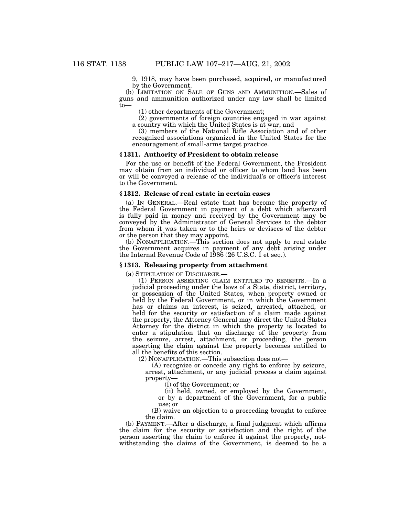9, 1918, may have been purchased, acquired, or manufactured by the Government.

(b) LIMITATION ON SALE OF GUNS AND AMMUNITION.—Sales of guns and ammunition authorized under any law shall be limited to— (1) other departments of the Government;

(2) governments of foreign countries engaged in war against a country with which the United States is at war; and

(3) members of the National Rifle Association and of other recognized associations organized in the United States for the encouragement of small-arms target practice.

### **§ 1311. Authority of President to obtain release**

For the use or benefit of the Federal Government, the President may obtain from an individual or officer to whom land has been or will be conveyed a release of the individual's or officer's interest to the Government.

### **§ 1312. Release of real estate in certain cases**

(a) IN GENERAL.—Real estate that has become the property of the Federal Government in payment of a debt which afterward is fully paid in money and received by the Government may be conveyed by the Administrator of General Services to the debtor from whom it was taken or to the heirs or devisees of the debtor or the person that they may appoint.

(b) NONAPPLICATION.—This section does not apply to real estate the Government acquires in payment of any debt arising under the Internal Revenue Code of 1986 (26 U.S.C. 1 et seq.).

### **§ 1313. Releasing property from attachment**

(a) STIPULATION OF DISCHARGE.—

(1) PERSON ASSERTING CLAIM ENTITLED TO BENEFITS.—In a judicial proceeding under the laws of a State, district, territory, or possession of the United States, when property owned or held by the Federal Government, or in which the Government has or claims an interest, is seized, arrested, attached, or held for the security or satisfaction of a claim made against the property, the Attorney General may direct the United States Attorney for the district in which the property is located to enter a stipulation that on discharge of the property from the seizure, arrest, attachment, or proceeding, the person asserting the claim against the property becomes entitled to all the benefits of this section.

(2) NONAPPLICATION.—This subsection does not—

(A) recognize or concede any right to enforce by seizure, arrest, attachment, or any judicial process a claim against property—

(i) of the Government; or

(ii) held, owned, or employed by the Government, or by a department of the Government, for a public use; or

(B) waive an objection to a proceeding brought to enforce the claim.

(b) PAYMENT.—After a discharge, a final judgment which affirms the claim for the security or satisfaction and the right of the person asserting the claim to enforce it against the property, notwithstanding the claims of the Government, is deemed to be a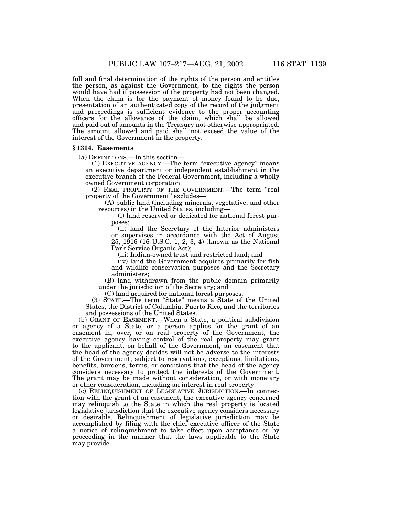full and final determination of the rights of the person and entitles the person, as against the Government, to the rights the person would have had if possession of the property had not been changed. When the claim is for the payment of money found to be due, presentation of an authenticated copy of the record of the judgment and proceedings is sufficient evidence to the proper accounting officers for the allowance of the claim, which shall be allowed and paid out of amounts in the Treasury not otherwise appropriated. The amount allowed and paid shall not exceed the value of the interest of the Government in the property.

### **§ 1314. Easements**

(a) DEFINITIONS.—In this section— (1) EXECUTIVE AGENCY.—The term ''executive agency'' means an executive department or independent establishment in the executive branch of the Federal Government, including a wholly owned Government corporation.

(2) REAL PROPERTY OF THE GOVERNMENT.—The term ''real property of the Government'' excludes—

(A) public land (including minerals, vegetative, and other resources) in the United States, including—

(i) land reserved or dedicated for national forest purposes;

(ii) land the Secretary of the Interior administers or supervises in accordance with the Act of August 25, 1916 (16 U.S.C. 1, 2, 3, 4) (known as the National Park Service Organic Act);

(iii) Indian-owned trust and restricted land; and

(iv) land the Government acquires primarily for fish and wildlife conservation purposes and the Secretary administers;

(B) land withdrawn from the public domain primarily under the jurisdiction of the Secretary; and

(C) land acquired for national forest purposes.

(3) STATE.—The term ''State'' means a State of the United States, the District of Columbia, Puerto Rico, and the territories and possessions of the United States.

(b) GRANT OF EASEMENT.—When a State, a political subdivision or agency of a State, or a person applies for the grant of an easement in, over, or on real property of the Government, the executive agency having control of the real property may grant to the applicant, on behalf of the Government, an easement that the head of the agency decides will not be adverse to the interests of the Government, subject to reservations, exceptions, limitations, benefits, burdens, terms, or conditions that the head of the agency considers necessary to protect the interests of the Government. The grant may be made without consideration, or with monetary or other consideration, including an interest in real property.

(c) RELINQUISHMENT OF LEGISLATIVE JURISDICTION.—In connection with the grant of an easement, the executive agency concerned may relinquish to the State in which the real property is located legislative jurisdiction that the executive agency considers necessary or desirable. Relinquishment of legislative jurisdiction may be accomplished by filing with the chief executive officer of the State a notice of relinquishment to take effect upon acceptance or by proceeding in the manner that the laws applicable to the State may provide.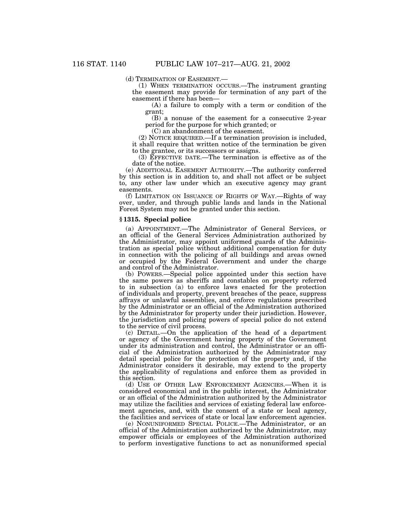(d) TERMINATION OF EASEMENT.— (1) WHEN TERMINATION OCCURS.—The instrument granting the easement may provide for termination of any part of the easement if there has been—

(A) a failure to comply with a term or condition of the grant;

(B) a nonuse of the easement for a consecutive 2-year period for the purpose for which granted; or

(C) an abandonment of the easement.

(2) NOTICE REQUIRED.—If a termination provision is included, it shall require that written notice of the termination be given to the grantee, or its successors or assigns.

(3) EFFECTIVE DATE.—The termination is effective as of the date of the notice.

(e) ADDITIONAL EASEMENT AUTHORITY.—The authority conferred by this section is in addition to, and shall not affect or be subject to, any other law under which an executive agency may grant easements.

(f) LIMITATION ON ISSUANCE OF RIGHTS OF WAY.—Rights of way over, under, and through public lands and lands in the National Forest System may not be granted under this section.

### **§ 1315. Special police**

(a) APPOINTMENT.—The Administrator of General Services, or an official of the General Services Administration authorized by the Administrator, may appoint uniformed guards of the Administration as special police without additional compensation for duty in connection with the policing of all buildings and areas owned or occupied by the Federal Government and under the charge and control of the Administrator.

(b) POWERS.—Special police appointed under this section have the same powers as sheriffs and constables on property referred to in subsection (a) to enforce laws enacted for the protection of individuals and property, prevent breaches of the peace, suppress affrays or unlawful assemblies, and enforce regulations prescribed by the Administrator or an official of the Administration authorized by the Administrator for property under their jurisdiction. However, the jurisdiction and policing powers of special police do not extend to the service of civil process.

(c) DETAIL.—On the application of the head of a department or agency of the Government having property of the Government under its administration and control, the Administrator or an official of the Administration authorized by the Administrator may detail special police for the protection of the property and, if the Administrator considers it desirable, may extend to the property the applicability of regulations and enforce them as provided in this section.

(d) USE OF OTHER LAW ENFORCEMENT AGENCIES.—When it is considered economical and in the public interest, the Administrator or an official of the Administration authorized by the Administrator may utilize the facilities and services of existing federal law enforcement agencies, and, with the consent of a state or local agency, the facilities and services of state or local law enforcement agencies.

(e) NONUNIFORMED SPECIAL POLICE.—The Administrator, or an official of the Administration authorized by the Administrator, may empower officials or employees of the Administration authorized to perform investigative functions to act as nonuniformed special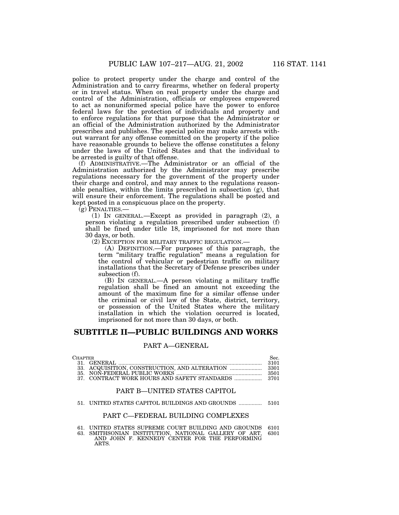police to protect property under the charge and control of the Administration and to carry firearms, whether on federal property or in travel status. When on real property under the charge and control of the Administration, officials or employees empowered to act as nonuniformed special police have the power to enforce federal laws for the protection of individuals and property and to enforce regulations for that purpose that the Administrator or an official of the Administration authorized by the Administrator prescribes and publishes. The special police may make arrests without warrant for any offense committed on the property if the police have reasonable grounds to believe the offense constitutes a felony under the laws of the United States and that the individual to be arrested is guilty of that offense.

(f) ADMINISTRATIVE.—The Administrator or an official of the Administration authorized by the Administrator may prescribe regulations necessary for the government of the property under their charge and control, and may annex to the regulations reasonable penalties, within the limits prescribed in subsection (g), that will ensure their enforcement. The regulations shall be posted and kept posted in a conspicuous place on the property.

(g) PENALTIES.—

(1) IN GENERAL.—Except as provided in paragraph (2), a person violating a regulation prescribed under subsection (f) shall be fined under title 18, imprisoned for not more than 30 days, or both.

(2) EXCEPTION FOR MILITARY TRAFFIC REGULATION.—

(A) DEFINITION.—For purposes of this paragraph, the term ''military traffic regulation'' means a regulation for the control of vehicular or pedestrian traffic on military installations that the Secretary of Defense prescribes under subsection (f).

(B) IN GENERAL.—A person violating a military traffic regulation shall be fined an amount not exceeding the amount of the maximum fine for a similar offense under the criminal or civil law of the State, district, territory, or possession of the United States where the military installation in which the violation occurred is located, imprisoned for not more than 30 days, or both.

# **SUBTITLE II—PUBLIC BUILDINGS AND WORKS**

# PART A—GENERAL

| Chapter. |  |
|----------|--|
|          |  |
|          |  |
|          |  |
|          |  |

## PART B—UNITED STATES CAPITOL

51. UNITED STATES CAPITOL BUILDINGS AND GROUNDS ................ 5101

# PART C—FEDERAL BUILDING COMPLEXES

61. UNITED STATES SUPREME COURT BUILDING AND GROUNDS 6101 63. SMITHSONIAN INSTITUTION, NATIONAL GALLERY OF ART, AND JOHN F. KENNEDY CENTER FOR THE PERFORMING ARTS. 6301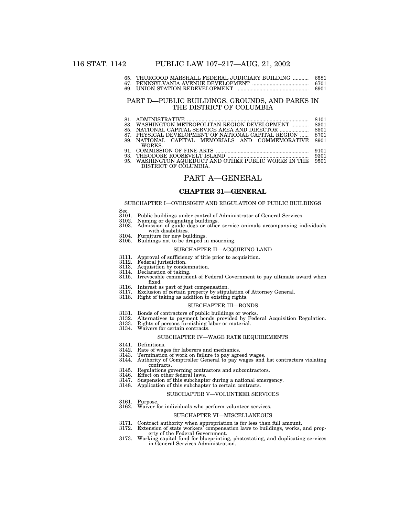| THURGOOD MARSHALL FEDERAL JUDICIARY BUILDING | 6581 |
|----------------------------------------------|------|
|                                              | 6701 |
| 69. UNION STATION REDEVELOPMENT              | 6901 |

### PART D—PUBLIC BUILDINGS, GROUNDS, AND PARKS IN THE DISTRICT OF COLUMBIA

|     | 83. WASHINGTON METROPOLITAN REGION DEVELOPMENT  8301<br>85. NATIONAL CAPITAL SERVICE AREA AND DIRECTOR<br>87. PHYSICAL DEVELOPMENT OF NATIONAL CAPITAL REGION<br>89. NATIONAL CAPITAL MEMORIALS AND COMMEMORATIVE | 8101<br>8501<br>8701<br>8901 |
|-----|-------------------------------------------------------------------------------------------------------------------------------------------------------------------------------------------------------------------|------------------------------|
| 93. | WORKS.<br>95. WASHINGTON AQUEDUCT AND OTHER PUBLIC WORKS IN THE<br>DISTRICT OF COLUMBIA.                                                                                                                          | 9101<br>9301<br>9501         |

# PART A—GENERAL

### **CHAPTER 31—GENERAL**

# SUBCHAPTER I—OVERSIGHT AND REGULATION OF PUBLIC BUILDINGS

- 
- Sec.<br>3101. 3101. Public buildings under control of Administrator of General Services.<br>3102. Naming or designating buildings.
- 
- 3102. Naming or designating buildings. Admission of guide dogs or other service animals accompanying individuals with disabilities.
	-
- 3104. Furniture for new buildings. 3105. Buildings not to be draped in mourning.

### SUBCHAPTER II—ACQUIRING LAND

- 3111. Approval of sufficiency of title prior to acquisition. 3112. Federal jurisdiction.
- 
- 
- 
- 3113. Acquisition by condemnation. 3114. Declaration of taking. 3115. Irrevocable commitment of Federal Government to pay ultimate award when fixed.
	-
	- 3116. Interest as part of just compensation. 3117. Exclusion of certain property by stipulation of Attorney General. 3118. Right of taking as addition to existing rights.
		-

#### SUBCHAPTER III—BONDS

- 3131. Bonds of contractors of public buildings or works.
- 3132. Alternatives to payment bonds provided by Federal Acquisition Regulation. 3133. Rights of persons furnishing labor or material. 3134. Waivers for certain contracts.
	-
	-

### SUBCHAPTER IV—WAGE RATE REQUIREMENTS

- 
- 
- 3141. Definitions. 3142. Rate of wages for laborers and mechanics. 3143. Termination of work on failure to pay agreed wages.
- 3144. Authority of Comptroller General to pay wages and list contractors violating contracts.
- 3145. Regulations governing contractors and subcontractors.
- 
- 3146. Effect on other federal laws. 3147. Suspension of this subchapter during a national emergency.
- 3148. Application of this subchapter to certain contracts.

#### SUBCHAPTER V—VOLUNTEER SERVICES

3161. Purpose.

### 3162. Waiver for individuals who perform volunteer services.

#### SUBCHAPTER VI—MISCELLANEOUS

- 3171. Contract authority when appropriation is for less than full amount.
- 3172. Extension of state workers' compensation laws to buildings, works, and property of the Federal Government.
- 3173. Working capital fund for blueprinting, photostating, and duplicating services in General Services Administration.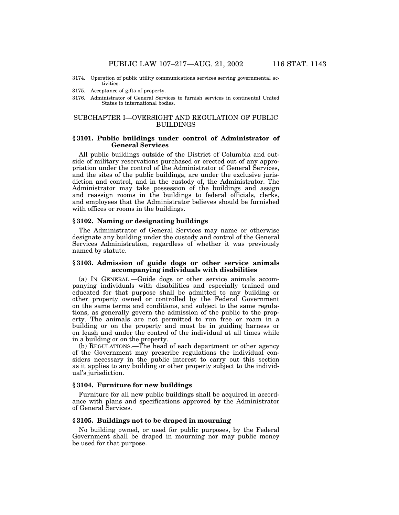- 3174. Operation of public utility communications services serving governmental activities.
- 3175. Acceptance of gifts of property.
- 3176. Administrator of General Services to furnish services in continental United States to international bodies.

# SUBCHAPTER I—OVERSIGHT AND REGULATION OF PUBLIC BUILDINGS

# **§ 3101. Public buildings under control of Administrator of General Services**

All public buildings outside of the District of Columbia and outside of military reservations purchased or erected out of any appropriation under the control of the Administrator of General Services, and the sites of the public buildings, are under the exclusive jurisdiction and control, and in the custody of, the Administrator. The Administrator may take possession of the buildings and assign and reassign rooms in the buildings to federal officials, clerks, and employees that the Administrator believes should be furnished with offices or rooms in the buildings.

### **§ 3102. Naming or designating buildings**

The Administrator of General Services may name or otherwise designate any building under the custody and control of the General Services Administration, regardless of whether it was previously named by statute.

# **§ 3103. Admission of guide dogs or other service animals accompanying individuals with disabilities**

(a) IN GENERAL.—Guide dogs or other service animals accompanying individuals with disabilities and especially trained and educated for that purpose shall be admitted to any building or other property owned or controlled by the Federal Government on the same terms and conditions, and subject to the same regulations, as generally govern the admission of the public to the property. The animals are not permitted to run free or roam in a building or on the property and must be in guiding harness or on leash and under the control of the individual at all times while in a building or on the property.

(b) REGULATIONS.—The head of each department or other agency of the Government may prescribe regulations the individual considers necessary in the public interest to carry out this section as it applies to any building or other property subject to the individual's jurisdiction.

### **§ 3104. Furniture for new buildings**

Furniture for all new public buildings shall be acquired in accordance with plans and specifications approved by the Administrator of General Services.

### **§ 3105. Buildings not to be draped in mourning**

No building owned, or used for public purposes, by the Federal Government shall be draped in mourning nor may public money be used for that purpose.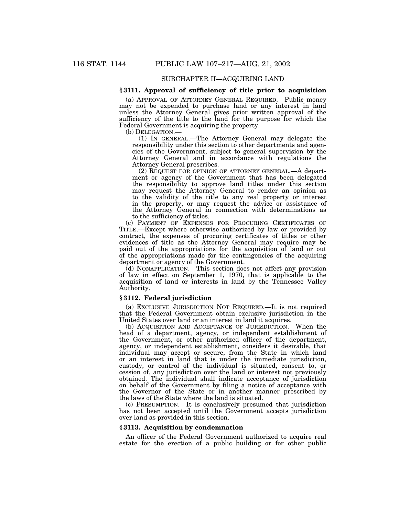# SUBCHAPTER II—ACQUIRING LAND

### **§ 3111. Approval of sufficiency of title prior to acquisition**

(a) APPROVAL OF ATTORNEY GENERAL REQUIRED.—Public money may not be expended to purchase land or any interest in land unless the Attorney General gives prior written approval of the sufficiency of the title to the land for the purpose for which the Federal Government is acquiring the property.<br>(b) DELEGATION.—

(1) IN GENERAL.—The Attorney General may delegate the responsibility under this section to other departments and agencies of the Government, subject to general supervision by the Attorney General and in accordance with regulations the Attorney General prescribes.

(2) REQUEST FOR OPINION OF ATTORNEY GENERAL.—A department or agency of the Government that has been delegated the responsibility to approve land titles under this section may request the Attorney General to render an opinion as to the validity of the title to any real property or interest in the property, or may request the advice or assistance of the Attorney General in connection with determinations as to the sufficiency of titles.

(c) PAYMENT OF EXPENSES FOR PROCURING CERTIFICATES OF TITLE.—Except where otherwise authorized by law or provided by contract, the expenses of procuring certificates of titles or other evidences of title as the Attorney General may require may be paid out of the appropriations for the acquisition of land or out of the appropriations made for the contingencies of the acquiring department or agency of the Government.

(d) NONAPPLICATION.—This section does not affect any provision of law in effect on September 1, 1970, that is applicable to the acquisition of land or interests in land by the Tennessee Valley Authority.

# **§ 3112. Federal jurisdiction**

(a) EXCLUSIVE JURISDICTION NOT REQUIRED.—It is not required that the Federal Government obtain exclusive jurisdiction in the United States over land or an interest in land it acquires.

(b) ACQUISITION AND ACCEPTANCE OF JURISDICTION.—When the head of a department, agency, or independent establishment of the Government, or other authorized officer of the department, agency, or independent establishment, considers it desirable, that individual may accept or secure, from the State in which land or an interest in land that is under the immediate jurisdiction, custody, or control of the individual is situated, consent to, or cession of, any jurisdiction over the land or interest not previously obtained. The individual shall indicate acceptance of jurisdiction on behalf of the Government by filing a notice of acceptance with the Governor of the State or in another manner prescribed by the laws of the State where the land is situated.

(c) PRESUMPTION.—It is conclusively presumed that jurisdiction has not been accepted until the Government accepts jurisdiction over land as provided in this section.

### **§ 3113. Acquisition by condemnation**

An officer of the Federal Government authorized to acquire real estate for the erection of a public building or for other public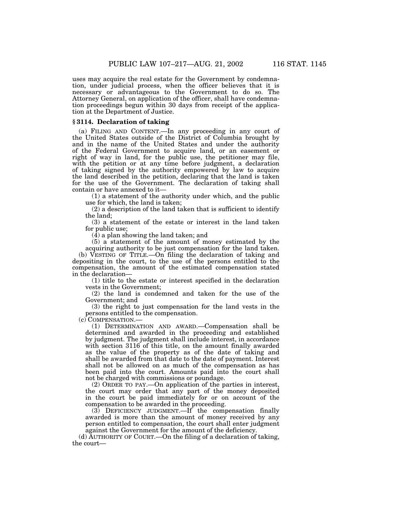uses may acquire the real estate for the Government by condemnation, under judicial process, when the officer believes that it is necessary or advantageous to the Government to do so. The Attorney General, on application of the officer, shall have condemnation proceedings begun within 30 days from receipt of the application at the Department of Justice.

# **§ 3114. Declaration of taking**

(a) FILING AND CONTENT.—In any proceeding in any court of the United States outside of the District of Columbia brought by and in the name of the United States and under the authority of the Federal Government to acquire land, or an easement or right of way in land, for the public use, the petitioner may file, with the petition or at any time before judgment, a declaration of taking signed by the authority empowered by law to acquire the land described in the petition, declaring that the land is taken for the use of the Government. The declaration of taking shall

contain or have annexed to it— (1) a statement of the authority under which, and the public use for which, the land is taken;

(2) a description of the land taken that is sufficient to identify the land;

(3) a statement of the estate or interest in the land taken for public use;

 $(\overline{4})$  a plan showing the land taken; and

(5) a statement of the amount of money estimated by the acquiring authority to be just compensation for the land taken. (b) VESTING OF TITLE.—On filing the declaration of taking and

depositing in the court, to the use of the persons entitled to the compensation, the amount of the estimated compensation stated in the declaration—

(1) title to the estate or interest specified in the declaration vests in the Government;

(2) the land is condemned and taken for the use of the Government; and

(3) the right to just compensation for the land vests in the persons entitled to the compensation.

(c) COMPENSATION.—

(1) DETERMINATION AND AWARD.—Compensation shall be determined and awarded in the proceeding and established by judgment. The judgment shall include interest, in accordance with section 3116 of this title, on the amount finally awarded as the value of the property as of the date of taking and shall be awarded from that date to the date of payment. Interest shall not be allowed on as much of the compensation as has been paid into the court. Amounts paid into the court shall not be charged with commissions or poundage.

(2) ORDER TO PAY.—On application of the parties in interest, the court may order that any part of the money deposited in the court be paid immediately for or on account of the compensation to be awarded in the proceeding.

(3) DEFICIENCY JUDGMENT.—If the compensation finally awarded is more than the amount of money received by any person entitled to compensation, the court shall enter judgment against the Government for the amount of the deficiency.

(d) AUTHORITY OF COURT.—On the filing of a declaration of taking, the court—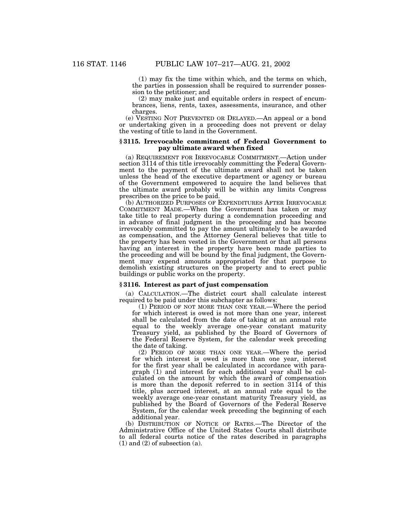(1) may fix the time within which, and the terms on which, the parties in possession shall be required to surrender possession to the petitioner; and

(2) may make just and equitable orders in respect of encumbrances, liens, rents, taxes, assessments, insurance, and other charges.

(e) VESTING NOT PREVENTED OR DELAYED.—An appeal or a bond or undertaking given in a proceeding does not prevent or delay the vesting of title to land in the Government.

### **§ 3115. Irrevocable commitment of Federal Government to pay ultimate award when fixed**

(a) REQUIREMENT FOR IRREVOCABLE COMMITMENT.—Action under section 3114 of this title irrevocably committing the Federal Government to the payment of the ultimate award shall not be taken unless the head of the executive department or agency or bureau of the Government empowered to acquire the land believes that the ultimate award probably will be within any limits Congress prescribes on the price to be paid.

(b) AUTHORIZED PURPOSES OF EXPENDITURES AFTER IRREVOCABLE COMMITMENT MADE.—When the Government has taken or may take title to real property during a condemnation proceeding and in advance of final judgment in the proceeding and has become irrevocably committed to pay the amount ultimately to be awarded as compensation, and the Attorney General believes that title to the property has been vested in the Government or that all persons having an interest in the property have been made parties to the proceeding and will be bound by the final judgment, the Government may expend amounts appropriated for that purpose to demolish existing structures on the property and to erect public buildings or public works on the property.

### **§ 3116. Interest as part of just compensation**

(a) CALCULATION.—The district court shall calculate interest required to be paid under this subchapter as follows:

(1) PERIOD OF NOT MORE THAN ONE YEAR.—Where the period for which interest is owed is not more than one year, interest shall be calculated from the date of taking at an annual rate equal to the weekly average one-year constant maturity Treasury yield, as published by the Board of Governors of the Federal Reserve System, for the calendar week preceding the date of taking.

(2) PERIOD OF MORE THAN ONE YEAR.—Where the period for which interest is owed is more than one year, interest for the first year shall be calculated in accordance with paragraph (1) and interest for each additional year shall be calculated on the amount by which the award of compensation is more than the deposit referred to in section 3114 of this title, plus accrued interest, at an annual rate equal to the weekly average one-year constant maturity Treasury yield, as published by the Board of Governors of the Federal Reserve System, for the calendar week preceding the beginning of each additional year.

(b) DISTRIBUTION OF NOTICE OF RATES.—The Director of the Administrative Office of the United States Courts shall distribute to all federal courts notice of the rates described in paragraphs  $(1)$  and  $(2)$  of subsection  $(a)$ .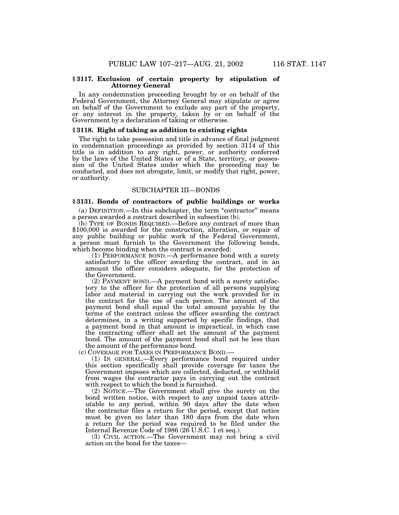### **§ 3117. Exclusion of certain property by stipulation of Attorney General**

In any condemnation proceeding brought by or on behalf of the Federal Government, the Attorney General may stipulate or agree on behalf of the Government to exclude any part of the property, or any interest in the property, taken by or on behalf of the Government by a declaration of taking or otherwise.

### **§ 3118. Right of taking as addition to existing rights**

The right to take possession and title in advance of final judgment in condemnation proceedings as provided by section 3114 of this title is in addition to any right, power, or authority conferred by the laws of the United States or of a State, territory, or possession of the United States under which the proceeding may be conducted, and does not abrogate, limit, or modify that right, power, or authority.

# SUBCHAPTER III—BONDS

### **§ 3131. Bonds of contractors of public buildings or works**

(a) DEFINITION.—In this subchapter, the term ''contractor'' means a person awarded a contract described in subsection (b).

 $$100,000$  is awarded for the construction, alteration, or repair of any public building or public work of the Federal Government, a person must furnish to the Government the following bonds, which become binding when the contract is awarded:

(1) PERFORMANCE BOND.—A performance bond with a surety satisfactory to the officer awarding the contract, and in an amount the officer considers adequate, for the protection of the Government.

(2) PAYMENT BOND.—A payment bond with a surety satisfactory to the officer for the protection of all persons supplying labor and material in carrying out the work provided for in the contract for the use of each person. The amount of the payment bond shall equal the total amount payable by the terms of the contract unless the officer awarding the contract determines, in a writing supported by specific findings, that a payment bond in that amount is impractical, in which case the contracting officer shall set the amount of the payment bond. The amount of the payment bond shall not be less than the amount of the performance bond.

(c) COVERAGE FOR TAXES IN PERFORMANCE BOND.—

(1) IN GENERAL.—Every performance bond required under this section specifically shall provide coverage for taxes the Government imposes which are collected, deducted, or withheld from wages the contractor pays in carrying out the contract with respect to which the bond is furnished.

(2) NOTICE.—The Government shall give the surety on the bond written notice, with respect to any unpaid taxes attributable to any period, within 90 days after the date when the contractor files a return for the period, except that notice must be given no later than 180 days from the date when a return for the period was required to be filed under the Internal Revenue Code of 1986 (26 U.S.C. 1 et seq.).

(3) CIVIL ACTION.—The Government may not bring a civil action on the bond for the taxes—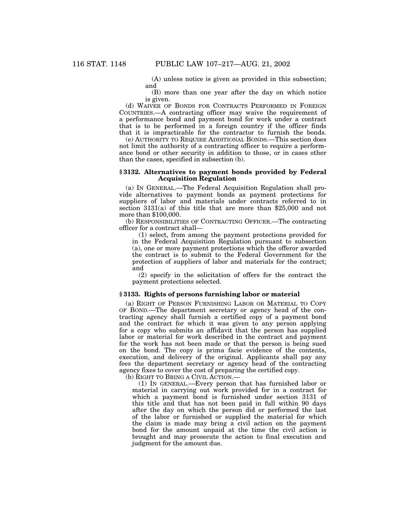(A) unless notice is given as provided in this subsection; and

(B) more than one year after the day on which notice is given.

(d) WAIVER OF BONDS FOR CONTRACTS PERFORMED IN FOREIGN COUNTRIES.—A contracting officer may waive the requirement of a performance bond and payment bond for work under a contract that is to be performed in a foreign country if the officer finds that it is impracticable for the contractor to furnish the bonds.

(e) AUTHORITY TO REQUIRE ADDITIONAL BONDS.—This section does not limit the authority of a contracting officer to require a performance bond or other security in addition to those, or in cases other than the cases, specified in subsection (b).

## **§ 3132. Alternatives to payment bonds provided by Federal Acquisition Regulation**

(a) IN GENERAL.—The Federal Acquisition Regulation shall provide alternatives to payment bonds as payment protections for suppliers of labor and materials under contracts referred to in section 3131(a) of this title that are more than \$25,000 and not more than \$100,000.

(b) RESPONSIBILITIES OF CONTRACTING OFFICER.—The contracting officer for a contract shall—

(1) select, from among the payment protections provided for in the Federal Acquisition Regulation pursuant to subsection (a), one or more payment protections which the offeror awarded the contract is to submit to the Federal Government for the protection of suppliers of labor and materials for the contract; and

(2) specify in the solicitation of offers for the contract the payment protections selected.

### **§ 3133. Rights of persons furnishing labor or material**

(a) RIGHT OF PERSON FURNISHING LABOR OR MATERIAL TO COPY OF BOND.—The department secretary or agency head of the contracting agency shall furnish a certified copy of a payment bond and the contract for which it was given to any person applying for a copy who submits an affidavit that the person has supplied labor or material for work described in the contract and payment for the work has not been made or that the person is being sued on the bond. The copy is prima facie evidence of the contents, execution, and delivery of the original. Applicants shall pay any fees the department secretary or agency head of the contracting agency fixes to cover the cost of preparing the certified copy.

(b) RIGHT TO BRING A CIVIL ACTION.—

(1) IN GENERAL.—Every person that has furnished labor or material in carrying out work provided for in a contract for which a payment bond is furnished under section 3131 of this title and that has not been paid in full within 90 days after the day on which the person did or performed the last of the labor or furnished or supplied the material for which the claim is made may bring a civil action on the payment bond for the amount unpaid at the time the civil action is brought and may prosecute the action to final execution and judgment for the amount due.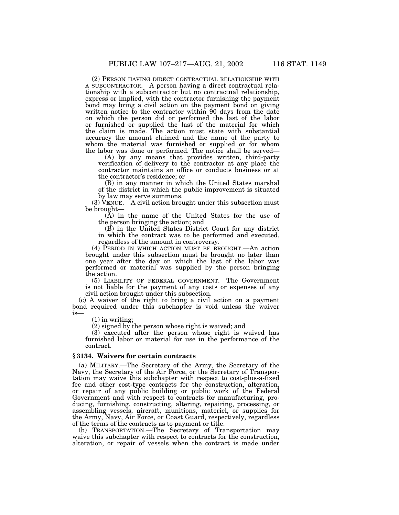(2) PERSON HAVING DIRECT CONTRACTUAL RELATIONSHIP WITH A SUBCONTRACTOR.—A person having a direct contractual relationship with a subcontractor but no contractual relationship, express or implied, with the contractor furnishing the payment bond may bring a civil action on the payment bond on giving written notice to the contractor within 90 days from the date on which the person did or performed the last of the labor or furnished or supplied the last of the material for which the claim is made. The action must state with substantial accuracy the amount claimed and the name of the party to whom the material was furnished or supplied or for whom the labor was done or performed. The notice shall be served—

(A) by any means that provides written, third-party verification of delivery to the contractor at any place the contractor maintains an office or conducts business or at the contractor's residence; or

(B) in any manner in which the United States marshal of the district in which the public improvement is situated by law may serve summons.

(3) VENUE.—A civil action brought under this subsection must be brought—

(A) in the name of the United States for the use of the person bringing the action; and

(B) in the United States District Court for any district in which the contract was to be performed and executed, regardless of the amount in controversy.

(4) PERIOD IN WHICH ACTION MUST BE BROUGHT.—An action brought under this subsection must be brought no later than one year after the day on which the last of the labor was performed or material was supplied by the person bringing the action.

(5) LIABILITY OF FEDERAL GOVERNMENT.—The Government is not liable for the payment of any costs or expenses of any civil action brought under this subsection.

(c) A waiver of the right to bring a civil action on a payment bond required under this subchapter is void unless the waiver is—

(1) in writing;

(2) signed by the person whose right is waived; and

(3) executed after the person whose right is waived has furnished labor or material for use in the performance of the contract.

### **§ 3134. Waivers for certain contracts**

(a) MILITARY.—The Secretary of the Army, the Secretary of the Navy, the Secretary of the Air Force, or the Secretary of Transportation may waive this subchapter with respect to cost-plus-a-fixed fee and other cost-type contracts for the construction, alteration, or repair of any public building or public work of the Federal Government and with respect to contracts for manufacturing, producing, furnishing, constructing, altering, repairing, processing, or assembling vessels, aircraft, munitions, materiel, or supplies for the Army, Navy, Air Force, or Coast Guard, respectively, regardless of the terms of the contracts as to payment or title.

(b) TRANSPORTATION.—The Secretary of Transportation may waive this subchapter with respect to contracts for the construction, alteration, or repair of vessels when the contract is made under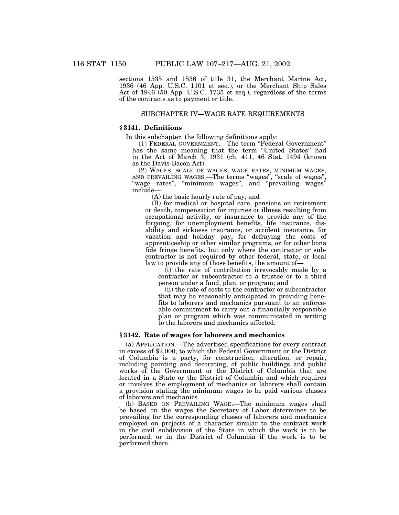sections 1535 and 1536 of title 31, the Merchant Marine Act, 1936 (46 App. U.S.C. 1101 et seq.), or the Merchant Ship Sales Act of 1946 (50 App. U.S.C. 1735 et seq.), regardless of the terms of the contracts as to payment or title.

# SUBCHAPTER IV—WAGE RATE REQUIREMENTS

### **§ 3141. Definitions**

In this subchapter, the following definitions apply:

(1) FEDERAL GOVERNMENT.—The term ''Federal Government'' has the same meaning that the term ''United States'' had in the Act of March 3, 1931 (ch. 411, 46 Stat. 1494 (known as the Davis-Bacon Act).

(2) WAGES, SCALE OF WAGES, WAGE RATES, MINIMUM WAGES, AND PREVAILING WAGES.—The terms ''wages'', ''scale of wages'', "wage rates", "minimum wages", and "prevailing wages" include—

(A) the basic hourly rate of pay; and

(B) for medical or hospital care, pensions on retirement or death, compensation for injuries or illness resulting from occupational activity, or insurance to provide any of the forgoing, for unemployment benefits, life insurance, disability and sickness insurance, or accident insurance, for vacation and holiday pay, for defraying the costs of apprenticeship or other similar programs, or for other bona fide fringe benefits, but only where the contractor or subcontractor is not required by other federal, state, or local law to provide any of those benefits, the amount of—

(i) the rate of contribution irrevocably made by a contractor or subcontractor to a trustee or to a third person under a fund, plan, or program; and

(ii) the rate of costs to the contractor or subcontractor that may be reasonably anticipated in providing benefits to laborers and mechanics pursuant to an enforceable commitment to carry out a financially responsible plan or program which was communicated in writing to the laborers and mechanics affected.

# **§ 3142. Rate of wages for laborers and mechanics**

(a) APPLICATION.—The advertised specifications for every contract in excess of \$2,000, to which the Federal Government or the District of Columbia is a party, for construction, alteration, or repair, including painting and decorating, of public buildings and public works of the Government or the District of Columbia that are located in a State or the District of Columbia and which requires or involves the employment of mechanics or laborers shall contain a provision stating the minimum wages to be paid various classes of laborers and mechanics.

(b) BASED ON PREVAILING WAGE.—The minimum wages shall be based on the wages the Secretary of Labor determines to be prevailing for the corresponding classes of laborers and mechanics employed on projects of a character similar to the contract work in the civil subdivision of the State in which the work is to be performed, or in the District of Columbia if the work is to be performed there.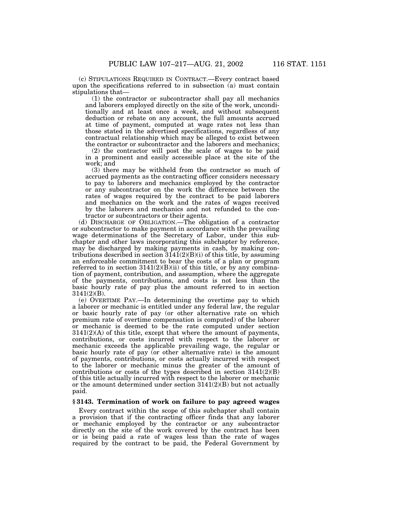(c) STIPULATIONS REQUIRED IN CONTRACT.—Every contract based upon the specifications referred to in subsection (a) must contain stipulations that— (1) the contractor or subcontractor shall pay all mechanics

and laborers employed directly on the site of the work, unconditionally and at least once a week, and without subsequent deduction or rebate on any account, the full amounts accrued at time of payment, computed at wage rates not less than those stated in the advertised specifications, regardless of any contractual relationship which may be alleged to exist between the contractor or subcontractor and the laborers and mechanics;

(2) the contractor will post the scale of wages to be paid in a prominent and easily accessible place at the site of the work; and

(3) there may be withheld from the contractor so much of accrued payments as the contracting officer considers necessary to pay to laborers and mechanics employed by the contractor or any subcontractor on the work the difference between the rates of wages required by the contract to be paid laborers and mechanics on the work and the rates of wages received by the laborers and mechanics and not refunded to the contractor or subcontractors or their agents.

(d) DISCHARGE OF OBLIGATION.—The obligation of a contractor or subcontractor to make payment in accordance with the prevailing wage determinations of the Secretary of Labor, under this subchapter and other laws incorporating this subchapter by reference, may be discharged by making payments in cash, by making contributions described in section  $3141(2)(B)(i)$  of this title, by assuming an enforceable commitment to bear the costs of a plan or program referred to in section  $3141(2)(B)(ii)$  of this title, or by any combination of payment, contribution, and assumption, where the aggregate of the payments, contributions, and costs is not less than the basic hourly rate of pay plus the amount referred to in section 3141(2)(B).

(e) OVERTIME PAY.—In determining the overtime pay to which a laborer or mechanic is entitled under any federal law, the regular or basic hourly rate of pay (or other alternative rate on which premium rate of overtime compensation is computed) of the laborer or mechanic is deemed to be the rate computed under section 3141(2)(A) of this title, except that where the amount of payments, contributions, or costs incurred with respect to the laborer or mechanic exceeds the applicable prevailing wage, the regular or basic hourly rate of pay (or other alternative rate) is the amount of payments, contributions, or costs actually incurred with respect to the laborer or mechanic minus the greater of the amount of contributions or costs of the types described in section 3141(2)(B) of this title actually incurred with respect to the laborer or mechanic or the amount determined under section 3141(2)(B) but not actually paid.

# **§ 3143. Termination of work on failure to pay agreed wages**

Every contract within the scope of this subchapter shall contain a provision that if the contracting officer finds that any laborer or mechanic employed by the contractor or any subcontractor directly on the site of the work covered by the contract has been or is being paid a rate of wages less than the rate of wages required by the contract to be paid, the Federal Government by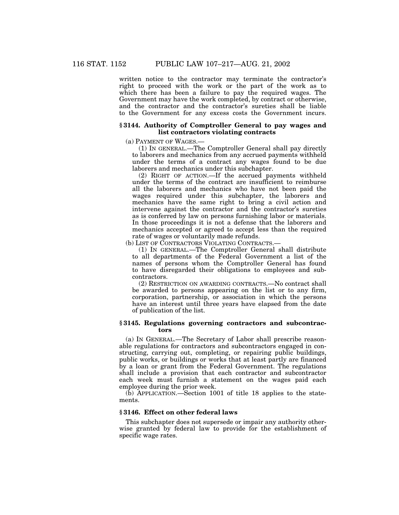written notice to the contractor may terminate the contractor's right to proceed with the work or the part of the work as to which there has been a failure to pay the required wages. The Government may have the work completed, by contract or otherwise, and the contractor and the contractor's sureties shall be liable to the Government for any excess costs the Government incurs.

### **§ 3144. Authority of Comptroller General to pay wages and list contractors violating contracts**

(a) PAYMENT OF WAGES.—

(1) IN GENERAL.—The Comptroller General shall pay directly to laborers and mechanics from any accrued payments withheld under the terms of a contract any wages found to be due laborers and mechanics under this subchapter.

(2) RIGHT OF ACTION.—If the accrued payments withheld under the terms of the contract are insufficient to reimburse all the laborers and mechanics who have not been paid the wages required under this subchapter, the laborers and mechanics have the same right to bring a civil action and intervene against the contractor and the contractor's sureties as is conferred by law on persons furnishing labor or materials. In those proceedings it is not a defense that the laborers and mechanics accepted or agreed to accept less than the required rate of wages or voluntarily made refunds.

(b) LIST OF CONTRACTORS VIOLATING CONTRACTS.—

(1) IN GENERAL.—The Comptroller General shall distribute to all departments of the Federal Government a list of the names of persons whom the Comptroller General has found to have disregarded their obligations to employees and subcontractors.

(2) RESTRICTION ON AWARDING CONTRACTS.—No contract shall be awarded to persons appearing on the list or to any firm, corporation, partnership, or association in which the persons have an interest until three years have elapsed from the date of publication of the list.

### **§ 3145. Regulations governing contractors and subcontractors**

(a) IN GENERAL.—The Secretary of Labor shall prescribe reasonable regulations for contractors and subcontractors engaged in constructing, carrying out, completing, or repairing public buildings, public works, or buildings or works that at least partly are financed by a loan or grant from the Federal Government. The regulations shall include a provision that each contractor and subcontractor each week must furnish a statement on the wages paid each employee during the prior week.

(b) APPLICATION.—Section 1001 of title 18 applies to the statements.

### **§ 3146. Effect on other federal laws**

This subchapter does not supersede or impair any authority otherwise granted by federal law to provide for the establishment of specific wage rates.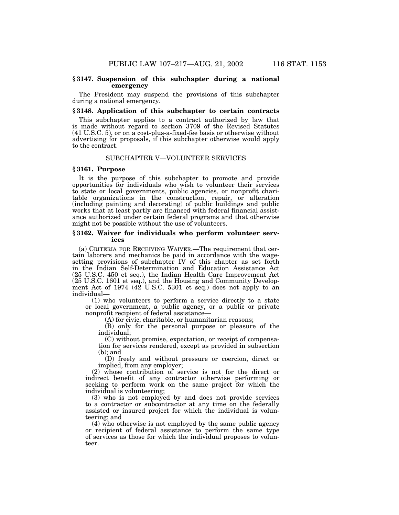## **§ 3147. Suspension of this subchapter during a national emergency**

The President may suspend the provisions of this subchapter during a national emergency.

## **§ 3148. Application of this subchapter to certain contracts**

This subchapter applies to a contract authorized by law that is made without regard to section 3709 of the Revised Statutes (41 U.S.C. 5), or on a cost-plus-a-fixed-fee basis or otherwise without advertising for proposals, if this subchapter otherwise would apply to the contract.

## SUBCHAPTER V—VOLUNTEER SERVICES

#### **§ 3161. Purpose**

It is the purpose of this subchapter to promote and provide opportunities for individuals who wish to volunteer their services to state or local governments, public agencies, or nonprofit charitable organizations in the construction, repair, or alteration (including painting and decorating) of public buildings and public works that at least partly are financed with federal financial assistance authorized under certain federal programs and that otherwise might not be possible without the use of volunteers.

### **§ 3162. Waiver for individuals who perform volunteer services**

(a) CRITERIA FOR RECEIVING WAIVER.—The requirement that certain laborers and mechanics be paid in accordance with the wagesetting provisions of subchapter IV of this chapter as set forth in the Indian Self-Determination and Education Assistance Act (25 U.S.C. 450 et seq.), the Indian Health Care Improvement Act (25 U.S.C. 1601 et seq.), and the Housing and Community Development Act of 1974 (42 U.S.C. 5301 et seq.) does not apply to an individual— (1) who volunteers to perform a service directly to a state

or local government, a public agency, or a public or private nonprofit recipient of federal assistance—

(A) for civic, charitable, or humanitarian reasons;

(B) only for the personal purpose or pleasure of the individual;

(C) without promise, expectation, or receipt of compensation for services rendered, except as provided in subsection (b); and

(D) freely and without pressure or coercion, direct or implied, from any employer;

(2) whose contribution of service is not for the direct or indirect benefit of any contractor otherwise performing or seeking to perform work on the same project for which the individual is volunteering;

(3) who is not employed by and does not provide services to a contractor or subcontractor at any time on the federally assisted or insured project for which the individual is volunteering; and

(4) who otherwise is not employed by the same public agency or recipient of federal assistance to perform the same type of services as those for which the individual proposes to volunteer.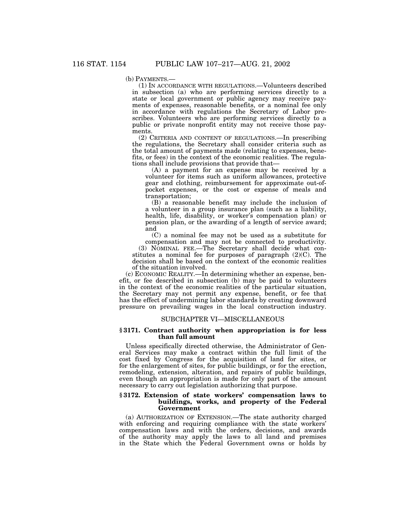(b) PAYMENTS.— (1) IN ACCORDANCE WITH REGULATIONS.—Volunteers described in subsection (a) who are performing services directly to a state or local government or public agency may receive payments of expenses, reasonable benefits, or a nominal fee only in accordance with regulations the Secretary of Labor prescribes. Volunteers who are performing services directly to a public or private nonprofit entity may not receive those payments.

(2) CRITERIA AND CONTENT OF REGULATIONS.—In prescribing the regulations, the Secretary shall consider criteria such as the total amount of payments made (relating to expenses, benefits, or fees) in the context of the economic realities. The regula-

 $(A)$  a payment for an expense may be received by a volunteer for items such as uniform allowances, protective gear and clothing, reimbursement for approximate out-ofpocket expenses, or the cost or expense of meals and transportation;

(B) a reasonable benefit may include the inclusion of a volunteer in a group insurance plan (such as a liability, health, life, disability, or worker's compensation plan) or pension plan, or the awarding of a length of service award; and

(C) a nominal fee may not be used as a substitute for compensation and may not be connected to productivity.

(3) NOMINAL FEE.—The Secretary shall decide what constitutes a nominal fee for purposes of paragraph (2)(C). The decision shall be based on the context of the economic realities of the situation involved.

(c) ECONOMIC REALITY.—In determining whether an expense, benefit, or fee described in subsection (b) may be paid to volunteers in the context of the economic realities of the particular situation, the Secretary may not permit any expense, benefit, or fee that has the effect of undermining labor standards by creating downward pressure on prevailing wages in the local construction industry.

### SUBCHAPTER VI—MISCELLANEOUS

### **§ 3171. Contract authority when appropriation is for less than full amount**

Unless specifically directed otherwise, the Administrator of General Services may make a contract within the full limit of the cost fixed by Congress for the acquisition of land for sites, or for the enlargement of sites, for public buildings, or for the erection, remodeling, extension, alteration, and repairs of public buildings, even though an appropriation is made for only part of the amount necessary to carry out legislation authorizing that purpose.

### **§ 3172. Extension of state workers' compensation laws to buildings, works, and property of the Federal Government**

(a) AUTHORIZATION OF EXTENSION.—The state authority charged with enforcing and requiring compliance with the state workers' compensation laws and with the orders, decisions, and awards of the authority may apply the laws to all land and premises in the State which the Federal Government owns or holds by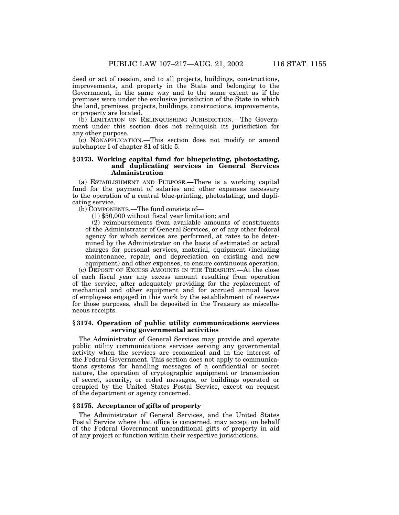deed or act of cession, and to all projects, buildings, constructions, improvements, and property in the State and belonging to the Government, in the same way and to the same extent as if the premises were under the exclusive jurisdiction of the State in which the land, premises, projects, buildings, constructions, improvements, or property are located.

(b) LIMITATION ON RELINQUISHING JURISDICTION.—The Government under this section does not relinquish its jurisdiction for any other purpose.

(c) NONAPPLICATION.—This section does not modify or amend subchapter I of chapter 81 of title 5.

# **§ 3173. Working capital fund for blueprinting, photostating, and duplicating services in General Services Administration**

(a) ESTABLISHMENT AND PURPOSE.—There is a working capital fund for the payment of salaries and other expenses necessary to the operation of a central blue-printing, photostating, and duplicating service.

(b) COMPONENTS.—The fund consists of—

(1) \$50,000 without fiscal year limitation; and

(2) reimbursements from available amounts of constituents of the Administrator of General Services, or of any other federal agency for which services are performed, at rates to be determined by the Administrator on the basis of estimated or actual charges for personal services, material, equipment (including maintenance, repair, and depreciation on existing and new equipment) and other expenses, to ensure continuous operation.

(c) DEPOSIT OF EXCESS AMOUNTS IN THE TREASURY.—At the close of each fiscal year any excess amount resulting from operation of the service, after adequately providing for the replacement of mechanical and other equipment and for accrued annual leave of employees engaged in this work by the establishment of reserves for those purposes, shall be deposited in the Treasury as miscellaneous receipts.

# **§ 3174. Operation of public utility communications services serving governmental activities**

The Administrator of General Services may provide and operate public utility communications services serving any governmental activity when the services are economical and in the interest of the Federal Government. This section does not apply to communications systems for handling messages of a confidential or secret nature, the operation of cryptographic equipment or transmission of secret, security, or coded messages, or buildings operated or occupied by the United States Postal Service, except on request of the department or agency concerned.

### **§ 3175. Acceptance of gifts of property**

The Administrator of General Services, and the United States Postal Service where that office is concerned, may accept on behalf of the Federal Government unconditional gifts of property in aid of any project or function within their respective jurisdictions.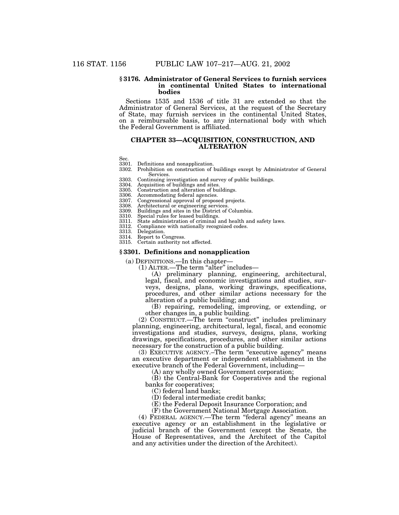### **§ 3176. Administrator of General Services to furnish services in continental United States to international bodies**

Sections 1535 and 1536 of title 31 are extended so that the Administrator of General Services, at the request of the Secretary of State, may furnish services in the continental United States, on a reimbursable basis, to any international body with which the Federal Government is affiliated.

# **CHAPTER 33—ACQUISITION, CONSTRUCTION, AND ALTERATION**

Sec.<br>3301

- Definitions and nonapplication.
- 3302. Prohibition on construction of buildings except by Administrator of General Services.
	- 3303. Continuing investigation and survey of public buildings.
	- 3304. Acquisition of buildings and sites.

Construction and alteration of buildings.

3306. Accommodating federal agencies.

- Congressional approval of proposed projects. 3307. Congressional approval of proposed j<br>3308. Architectural or engineering services
- 
- 3309. Buildings and sites in the District of Columbia.
- 3310. Special rules for leased buildings.<br>3311. State administration of criminal a
- 3311. State administration of criminal and health and safety laws.<br>3312. Compliance with nationally recognized codes.
- Compliance with nationally recognized codes.
- 3313. Delegation.<br>3314. Report to C
- Report to Congress.
- 3315. Certain authority not affected.

### **§ 3301. Definitions and nonapplication**

- (a) DEFINITIONS.—In this chapter—
	- (1) ALTER.—The term "alter" includes—

(A) preliminary planning, engineering, architectural, legal, fiscal, and economic investigations and studies, surveys, designs, plans, working drawings, specifications, procedures, and other similar actions necessary for the alteration of a public building; and

(B) repairing, remodeling, improving, or extending, or other changes in, a public building.

(2) CONSTRUCT.—The term ''construct'' includes preliminary planning, engineering, architectural, legal, fiscal, and economic investigations and studies, surveys, designs, plans, working drawings, specifications, procedures, and other similar actions necessary for the construction of a public building.

(3) EXECUTIVE AGENCY.–The term ''executive agency'' means an executive department or independent establishment in the executive branch of the Federal Government, including—

(A) any wholly owned Government corporation;

(B) the Central-Bank for Cooperatives and the regional banks for cooperatives;

(C) federal land banks;

(D) federal intermediate credit banks;

(E) the Federal Deposit Insurance Corporation; and

(F) the Government National Mortgage Association.

(4) FEDERAL AGENCY.—The term ''federal agency'' means an executive agency or an establishment in the legislative or judicial branch of the Government (except the Senate, the House of Representatives, and the Architect of the Capitol and any activities under the direction of the Architect).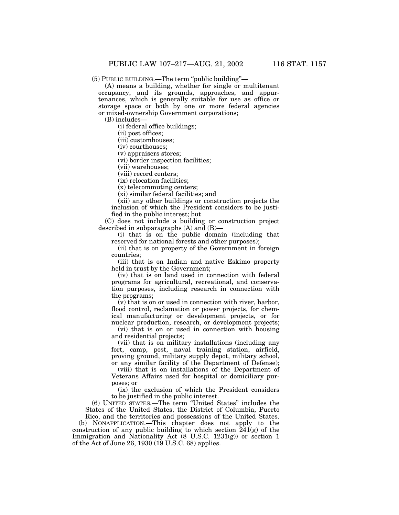(5) PUBLIC BUILDING.—The term ''public building''—

(A) means a building, whether for single or multitenant occupancy, and its grounds, approaches, and appurtenances, which is generally suitable for use as office or storage space or both by one or more federal agencies or mixed-ownership Government corporations;

(B) includes—

(i) federal office buildings;

(ii) post offices;

(iii) customhouses;

(iv) courthouses;

(v) appraisers stores;

(vi) border inspection facilities;

(vii) warehouses;

(viii) record centers;

(ix) relocation facilities;

(x) telecommuting centers;

(xi) similar federal facilities; and

(xii) any other buildings or construction projects the inclusion of which the President considers to be justified in the public interest; but

(C) does not include a building or construction project described in subparagraphs (A) and (B)—

(i) that is on the public domain (including that reserved for national forests and other purposes);

(ii) that is on property of the Government in foreign countries;

(iii) that is on Indian and native Eskimo property held in trust by the Government;

(iv) that is on land used in connection with federal programs for agricultural, recreational, and conservation purposes, including research in connection with the programs;

(v) that is on or used in connection with river, harbor, flood control, reclamation or power projects, for chemical manufacturing or development projects, or for nuclear production, research, or development projects;

(vi) that is on or used in connection with housing and residential projects;

(vii) that is on military installations (including any fort, camp, post, naval training station, airfield, proving ground, military supply depot, military school, or any similar facility of the Department of Defense);

(viii) that is on installations of the Department of Veterans Affairs used for hospital or domiciliary purposes; or

(ix) the exclusion of which the President considers to be justified in the public interest.

(6) UNITED STATES.—The term ''United States'' includes the States of the United States, the District of Columbia, Puerto Rico, and the territories and possessions of the United States.

(b) NONAPPLICATION.—This chapter does not apply to the construction of any public building to which section  $241(g)$  of the Immigration and Nationality Act (8 U.S.C. 1231(g)) or section 1 of the Act of June 26, 1930 (19 U.S.C. 68) applies.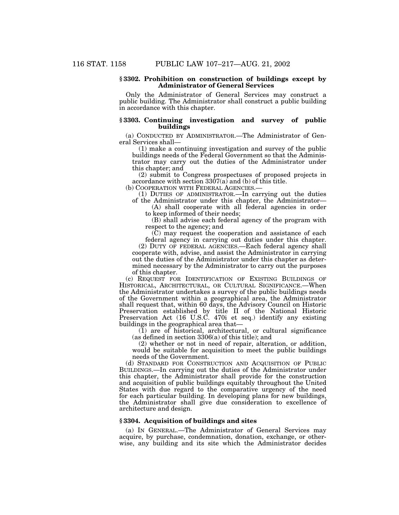### **§ 3302. Prohibition on construction of buildings except by Administrator of General Services**

Only the Administrator of General Services may construct a public building. The Administrator shall construct a public building in accordance with this chapter.

### **§ 3303. Continuing investigation and survey of public buildings**

(a) CONDUCTED BY ADMINISTRATOR.—The Administrator of General Services shall—

(1) make a continuing investigation and survey of the public buildings needs of the Federal Government so that the Administrator may carry out the duties of the Administrator under this chapter; and

(2) submit to Congress prospectuses of proposed projects in accordance with section 3307(a) and (b) of this title.

(b) COOPERATION WITH FEDERAL AGENCIES.—

(1) DUTIES OF ADMINISTRATOR.—In carrying out the duties of the Administrator under this chapter, the Administrator—

(A) shall cooperate with all federal agencies in order to keep informed of their needs;

(B) shall advise each federal agency of the program with respect to the agency; and

(C) may request the cooperation and assistance of each federal agency in carrying out duties under this chapter.

(2) DUTY OF FEDERAL AGENCIES.—Each federal agency shall cooperate with, advise, and assist the Administrator in carrying out the duties of the Administrator under this chapter as determined necessary by the Administrator to carry out the purposes of this chapter.

(c) REQUEST FOR IDENTIFICATION OF EXISTING BUILDINGS OF HISTORICAL, ARCHITECTURAL, OR CULTURAL SIGNIFICANCE.—When the Administrator undertakes a survey of the public buildings needs of the Government within a geographical area, the Administrator shall request that, within 60 days, the Advisory Council on Historic Preservation established by title II of the National Historic Preservation Act (16 U.S.C. 470i et seq.) identify any existing buildings in the geographical area that—

(1) are of historical, architectural, or cultural significance (as defined in section 3306(a) of this title); and

(2) whether or not in need of repair, alteration, or addition, would be suitable for acquisition to meet the public buildings needs of the Government.

(d) STANDARD FOR CONSTRUCTION AND ACQUISITION OF PUBLIC BUILDINGS.—In carrying out the duties of the Administrator under this chapter, the Administrator shall provide for the construction and acquisition of public buildings equitably throughout the United States with due regard to the comparative urgency of the need for each particular building. In developing plans for new buildings, the Administrator shall give due consideration to excellence of architecture and design.

### **§ 3304. Acquisition of buildings and sites**

(a) IN GENERAL.—The Administrator of General Services may acquire, by purchase, condemnation, donation, exchange, or otherwise, any building and its site which the Administrator decides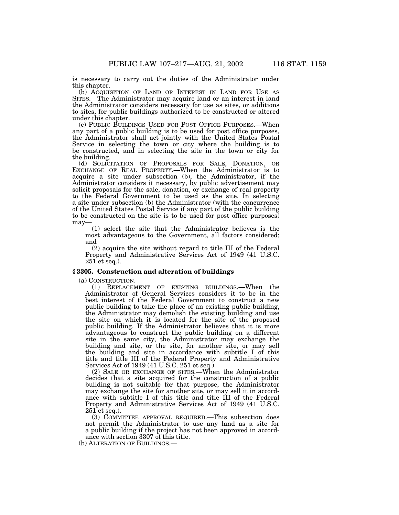is necessary to carry out the duties of the Administrator under this chapter.

(b) ACQUISITION OF LAND OR INTEREST IN LAND FOR USE AS SITES.—The Administrator may acquire land or an interest in land the Administrator considers necessary for use as sites, or additions to sites, for public buildings authorized to be constructed or altered under this chapter.

(c) PUBLIC BUILDINGS USED FOR POST OFFICE PURPOSES.—When any part of a public building is to be used for post office purposes, the Administrator shall act jointly with the United States Postal Service in selecting the town or city where the building is to be constructed, and in selecting the site in the town or city for the building.

(d) SOLICITATION OF PROPOSALS FOR SALE, DONATION, OR EXCHANGE OF REAL PROPERTY.—When the Administrator is to acquire a site under subsection (b), the Administrator, if the Administrator considers it necessary, by public advertisement may solicit proposals for the sale, donation, or exchange of real property to the Federal Government to be used as the site. In selecting a site under subsection (b) the Administrator (with the concurrence of the United States Postal Service if any part of the public building to be constructed on the site is to be used for post office purposes)

may—(1) select the site that the Administrator believes is the most advantageous to the Government, all factors considered; and

(2) acquire the site without regard to title III of the Federal Property and Administrative Services Act of 1949 (41 U.S.C. 251 et seq.).

### **§ 3305. Construction and alteration of buildings**

(a) CONSTRUCTION.—

(1) REPLACEMENT OF EXISTING BUILDINGS.—When the Administrator of General Services considers it to be in the best interest of the Federal Government to construct a new public building to take the place of an existing public building, the Administrator may demolish the existing building and use the site on which it is located for the site of the proposed public building. If the Administrator believes that it is more advantageous to construct the public building on a different site in the same city, the Administrator may exchange the building and site, or the site, for another site, or may sell the building and site in accordance with subtitle I of this title and title III of the Federal Property and Administrative Services Act of 1949 (41 U.S.C. 251 et seq.).

(2) SALE OR EXCHANGE OF SITES.—When the Administrator decides that a site acquired for the construction of a public building is not suitable for that purpose, the Administrator may exchange the site for another site, or may sell it in accordance with subtitle I of this title and title III of the Federal Property and Administrative Services Act of 1949 (41 U.S.C. 251 et seq.).

(3) COMMITTEE APPROVAL REQUIRED.—This subsection does not permit the Administrator to use any land as a site for a public building if the project has not been approved in accordance with section 3307 of this title.

(b) ALTERATION OF BUILDINGS.—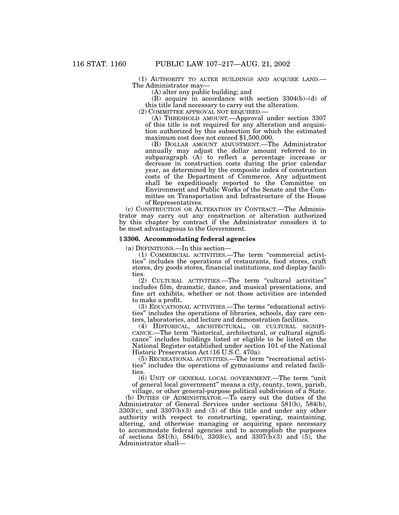(1) AUTHORITY TO ALTER BUILDINGS AND ACQUIRE LAND.— The Administrator may— (A) alter any public building; and

(B) acquire in accordance with section 3304(b)–(d) of this title land necessary to carry out the alteration.<br>(2) COMMITTEE APPROVAL NOT REQUIRED.—

(A) THRESHOLD AMOUNT.—Approval under section 3307 of this title is not required for any alteration and acquisition authorized by this subsection for which the estimated maximum cost does not exceed \$1,500,000.

(B) DOLLAR AMOUNT ADJUSTMENT.—The Administrator annually may adjust the dollar amount referred to in subparagraph (A) to reflect a percentage increase or decrease in construction costs during the prior calendar year, as determined by the composite index of construction costs of the Department of Commerce. Any adjustment shall be expeditiously reported to the Committee on Environment and Public Works of the Senate and the Committee on Transportation and Infrastructure of the House of Representatives.

(c) CONSTRUCTION OR ALTERATION BY CONTRACT.—The Administrator may carry out any construction or alteration authorized by this chapter by contract if the Administrator considers it to be most advantageous to the Government.

### **§ 3306. Accommodating federal agencies**

(a) DEFINITIONS.—In this section—

Administrator shall—

(1) COMMERCIAL ACTIVITIES.—The term ''commercial activities'' includes the operations of restaurants, food stores, craft stores, dry goods stores, financial institutions, and display facilities.

(2) CULTURAL ACTIVITIES.—The term ''cultural activities'' includes film, dramatic, dance, and musical presentations, and fine art exhibits, whether or not those activities are intended to make a profit.

(3) EDUCATIONAL ACTIVITIES.—The terms ''educational activities'' includes the operations of libraries, schools, day care centers, laboratories, and lecture and demonstration facilities.

(4) HISTORICAL, ARCHITECTURAL, OR CULTURAL SIGNIFI-CANCE.—The term ''historical, architectural, or cultural significance'' includes buildings listed or eligible to be listed on the National Register established under section 101 of the National Historic Preservation Act (16 U.S.C. 470a).

(5) RECREATIONAL ACTIVITIES.—The term ''recreational activities'' includes the operations of gymnasiums and related facilities.

(6) UNIT OF GENERAL LOCAL GOVERNMENT.—The term ''unit of general local government'' means a city, county, town, parish,

village, or other general-purpose political subdivision of a State. (b) DUTIES OF ADMINISTRATOR.—To carry out the duties of the Administrator of General Services under sections 581(h), 584(b), 3303(c), and 3307(b)(3) and (5) of this title and under any other authority with respect to constructing, operating, maintaining, altering, and otherwise managing or acquiring space necessary to accommodate federal agencies and to accomplish the purposes of sections 581(h), 584(b), 3303(c), and 3307( $\bar{b}$ )(3) and  $\bar{b}$ ), the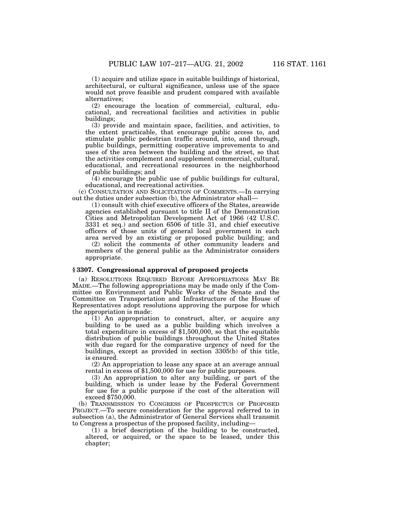(1) acquire and utilize space in suitable buildings of historical, architectural, or cultural significance, unless use of the space would not prove feasible and prudent compared with available alternatives;

(2) encourage the location of commercial, cultural, educational, and recreational facilities and activities in public buildings;

(3) provide and maintain space, facilities, and activities, to the extent practicable, that encourage public access to, and stimulate public pedestrian traffic around, into, and through, public buildings, permitting cooperative improvements to and uses of the area between the building and the street, so that the activities complement and supplement commercial, cultural, educational, and recreational resources in the neighborhood of public buildings; and

(4) encourage the public use of public buildings for cultural, educational, and recreational activities.

(c) CONSULTATION AND SOLICITATION OF COMMENTS.—In carrying out the duties under subsection (b), the Administrator shall—

(1) consult with chief executive officers of the States, areawide agencies established pursuant to title II of the Demonstration Cities and Metropolitan Development Act of 1966 (42 U.S.C. 3331 et seq.) and section 6506 of title 31, and chief executive officers of those units of general local government in each area served by an existing or proposed public building; and

(2) solicit the comments of other community leaders and members of the general public as the Administrator considers appropriate.

## **§ 3307. Congressional approval of proposed projects**

(a) RESOLUTIONS REQUIRED BEFORE APPROPRIATIONS MAY BE MADE.—The following appropriations may be made only if the Committee on Environment and Public Works of the Senate and the Committee on Transportation and Infrastructure of the House of Representatives adopt resolutions approving the purpose for which the appropriation is made:

(1) An appropriation to construct, alter, or acquire any building to be used as a public building which involves a total expenditure in excess of \$1,500,000, so that the equitable distribution of public buildings throughout the United States with due regard for the comparative urgency of need for the buildings, except as provided in section 3305(b) of this title, is ensured.

(2) An appropriation to lease any space at an average annual rental in excess of \$1,500,000 for use for public purposes.

(3) An appropriation to alter any building, or part of the building, which is under lease by the Federal Government for use for a public purpose if the cost of the alteration will exceed \$750,000.

(b) TRANSMISSION TO CONGRESS OF PROSPECTUS OF PROPOSED PROJECT.—To secure consideration for the approval referred to in subsection (a), the Administrator of General Services shall transmit to Congress a prospectus of the proposed facility, including—

 $(1)$  a brief description of the building to be constructed, altered, or acquired, or the space to be leased, under this chapter;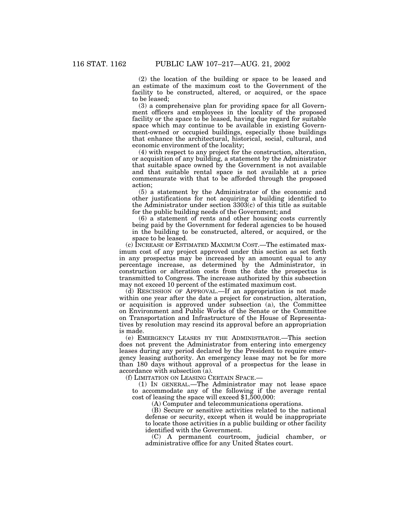(2) the location of the building or space to be leased and an estimate of the maximum cost to the Government of the facility to be constructed, altered, or acquired, or the space to be leased;

(3) a comprehensive plan for providing space for all Government officers and employees in the locality of the proposed facility or the space to be leased, having due regard for suitable space which may continue to be available in existing Government-owned or occupied buildings, especially those buildings that enhance the architectural, historical, social, cultural, and economic environment of the locality;

(4) with respect to any project for the construction, alteration, or acquisition of any building, a statement by the Administrator that suitable space owned by the Government is not available and that suitable rental space is not available at a price commensurate with that to be afforded through the proposed action;

(5) a statement by the Administrator of the economic and other justifications for not acquiring a building identified to the Administrator under section  $330\overline{3}$ (c) of this title as suitable for the public building needs of the Government; and

(6) a statement of rents and other housing costs currently being paid by the Government for federal agencies to be housed in the building to be constructed, altered, or acquired, or the space to be leased.

(c) INCREASE OF ESTIMATED MAXIMUM COST.—The estimated maximum cost of any project approved under this section as set forth in any prospectus may be increased by an amount equal to any percentage increase, as determined by the Administrator, in construction or alteration costs from the date the prospectus is transmitted to Congress. The increase authorized by this subsection may not exceed 10 percent of the estimated maximum cost.

(d) RESCISSION OF APPROVAL.—If an appropriation is not made within one year after the date a project for construction, alteration, or acquisition is approved under subsection (a), the Committee on Environment and Public Works of the Senate or the Committee on Transportation and Infrastructure of the House of Representatives by resolution may rescind its approval before an appropriation is made.

(e) EMERGENCY LEASES BY THE ADMINISTRATOR.—This section does not prevent the Administrator from entering into emergency leases during any period declared by the President to require emergency leasing authority. An emergency lease may not be for more than 180 days without approval of a prospectus for the lease in accordance with subsection (a).

(f) LIMITATION ON LEASING CERTAIN SPACE.—

(1) IN GENERAL.—The Administrator may not lease space to accommodate any of the following if the average rental cost of leasing the space will exceed \$1,500,000:

(A) Computer and telecommunications operations.

(B) Secure or sensitive activities related to the national defense or security, except when it would be inappropriate to locate those activities in a public building or other facility identified with the Government.

(C) A permanent courtroom, judicial chamber, or administrative office for any United States court.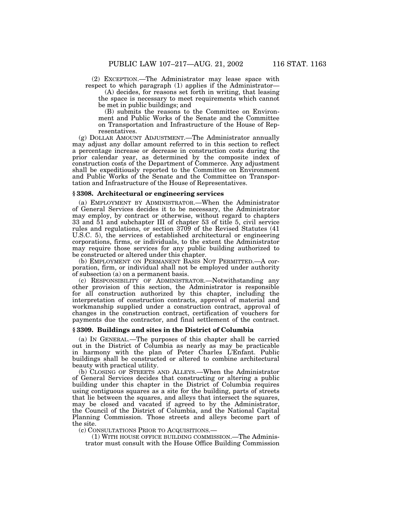(2) EXCEPTION.—The Administrator may lease space with respect to which paragraph (1) applies if the Administrator— (A) decides, for reasons set forth in writing, that leasing

the space is necessary to meet requirements which cannot be met in public buildings; and

(B) submits the reasons to the Committee on Environment and Public Works of the Senate and the Committee on Transportation and Infrastructure of the House of Representatives.

(g) DOLLAR AMOUNT ADJUSTMENT.—The Administrator annually may adjust any dollar amount referred to in this section to reflect a percentage increase or decrease in construction costs during the prior calendar year, as determined by the composite index of construction costs of the Department of Commerce. Any adjustment shall be expeditiously reported to the Committee on Environment and Public Works of the Senate and the Committee on Transportation and Infrastructure of the House of Representatives.

### **§ 3308. Architectural or engineering services**

(a) EMPLOYMENT BY ADMINISTRATOR.—When the Administrator of General Services decides it to be necessary, the Administrator may employ, by contract or otherwise, without regard to chapters 33 and 51 and subchapter III of chapter 53 of title 5, civil service rules and regulations, or section 3709 of the Revised Statutes (41 U.S.C. 5), the services of established architectural or engineering corporations, firms, or individuals, to the extent the Administrator may require those services for any public building authorized to be constructed or altered under this chapter.

(b) EMPLOYMENT ON PERMANENT BASIS NOT PERMITTED.—A corporation, firm, or individual shall not be employed under authority of subsection (a) on a permanent basis.

(c) RESPONSIBILITY OF ADMINISTRATOR.—Notwithstanding any other provision of this section, the Administrator is responsible for all construction authorized by this chapter, including the interpretation of construction contracts, approval of material and workmanship supplied under a construction contract, approval of changes in the construction contract, certification of vouchers for payments due the contractor, and final settlement of the contract.

### **§ 3309. Buildings and sites in the District of Columbia**

(a) IN GENERAL.—The purposes of this chapter shall be carried out in the District of Columbia as nearly as may be practicable in harmony with the plan of Peter Charles L'Enfant. Public buildings shall be constructed or altered to combine architectural beauty with practical utility.

(b) CLOSING OF STREETS AND ALLEYS.—When the Administrator of General Services decides that constructing or altering a public building under this chapter in the District of Columbia requires using contiguous squares as a site for the building, parts of streets that lie between the squares, and alleys that intersect the squares, may be closed and vacated if agreed to by the Administrator, the Council of the District of Columbia, and the National Capital Planning Commission. Those streets and alleys become part of the site.<br>(c) CONSULTATIONS PRIOR TO ACQUISITIONS.—

(1) WITH HOUSE OFFICE BUILDING COMMISSION.—The Administrator must consult with the House Office Building Commission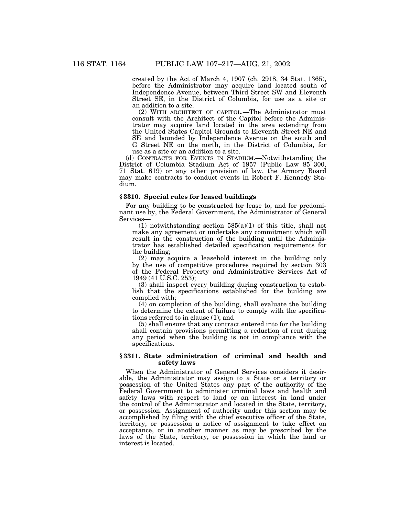created by the Act of March 4, 1907 (ch. 2918, 34 Stat. 1365), before the Administrator may acquire land located south of Independence Avenue, between Third Street SW and Eleventh Street SE, in the District of Columbia, for use as a site or an addition to a site.

(2) WITH ARCHITECT OF CAPITOL.—The Administrator must consult with the Architect of the Capitol before the Administrator may acquire land located in the area extending from the United States Capitol Grounds to Eleventh Street NE and SE and bounded by Independence Avenue on the south and G Street NE on the north, in the District of Columbia, for use as a site or an addition to a site.

(d) CONTRACTS FOR EVENTS IN STADIUM.—Notwithstanding the District of Columbia Stadium Act of 1957 (Public Law 85–300, 71 Stat. 619) or any other provision of law, the Armory Board may make contracts to conduct events in Robert F. Kennedy Stadium.

### **§ 3310. Special rules for leased buildings**

For any building to be constructed for lease to, and for predominant use by, the Federal Government, the Administrator of General Services—

(1) notwithstanding section  $585(a)(1)$  of this title, shall not make any agreement or undertake any commitment which will result in the construction of the building until the Administrator has established detailed specification requirements for the building;

(2) may acquire a leasehold interest in the building only by the use of competitive procedures required by section 303 of the Federal Property and Administrative Services Act of 1949 (41 U.S.C. 253);

(3) shall inspect every building during construction to establish that the specifications established for the building are complied with;

(4) on completion of the building, shall evaluate the building to determine the extent of failure to comply with the specifications referred to in clause (1); and

(5) shall ensure that any contract entered into for the building shall contain provisions permitting a reduction of rent during any period when the building is not in compliance with the specifications.

### **§ 3311. State administration of criminal and health and safety laws**

When the Administrator of General Services considers it desirable, the Administrator may assign to a State or a territory or possession of the United States any part of the authority of the Federal Government to administer criminal laws and health and safety laws with respect to land or an interest in land under the control of the Administrator and located in the State, territory, or possession. Assignment of authority under this section may be accomplished by filing with the chief executive officer of the State, territory, or possession a notice of assignment to take effect on acceptance, or in another manner as may be prescribed by the laws of the State, territory, or possession in which the land or interest is located.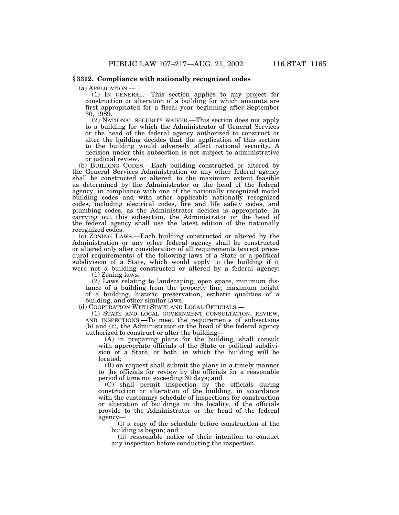### **§ 3312. Compliance with nationally recognized codes**

(a)  $APPLICATION$ —<br>(1) IN GENERAL.—This section applies to any project for construction or alteration of a building for which amounts are first appropriated for a fiscal year beginning after September 30, 1989.

(2) NATIONAL SECURITY WAIVER.—This section does not apply to a building for which the Administrator of General Services or the head of the federal agency authorized to construct or alter the building decides that the application of this section to the building would adversely affect national security. A decision under this subsection is not subject to administrative or judicial review.

(b) BUILDING CODES.—Each building constructed or altered by the General Services Administration or any other federal agency shall be constructed or altered, to the maximum extent feasible as determined by the Administrator or the head of the federal agency, in compliance with one of the nationally recognized model building codes and with other applicable nationally recognized codes, including electrical codes, fire and life safety codes, and plumbing codes, as the Administrator decides is appropriate. In carrying out this subsection, the Administrator or the head of the federal agency shall use the latest edition of the nationally recognized codes.

(c) ZONING LAWS.—Each building constructed or altered by the Administration or any other federal agency shall be constructed or altered only after consideration of all requirements (except procedural requirements) of the following laws of a State or a political subdivision of a State, which would apply to the building if it were not a building constructed or altered by a federal agency:

(1) Zoning laws.

(2) Laws relating to landscaping, open space, minimum distance of a building from the property line, maximum height of a building, historic preservation, esthetic qualities of a building, and other similar laws.<br>(d) COOPERATION WITH STATE AND LOCAL OFFICIALS.

(1) STATE AND LOCAL GOVERNMENT CONSULTATION, REVIEW, AND INSPECTIONS.—To meet the requirements of subsections (b) and (c), the Administrator or the head of the federal agency authorized to construct or alter the building— (A) in preparing plans for the building, shall consult

with appropriate officials of the State or political subdivision of a State, or both, in which the building will be located;

(B) on request shall submit the plans in a timely manner to the officials for review by the officials for a reasonable period of time not exceeding 30 days; and

(C) shall permit inspection by the officials during construction or alteration of the building, in accordance with the customary schedule of inspections for construction or alteration of buildings in the locality, if the officials provide to the Administrator or the head of the federal agency—

(i) a copy of the schedule before construction of the building is begun; and

(ii) reasonable notice of their intention to conduct any inspection before conducting the inspection.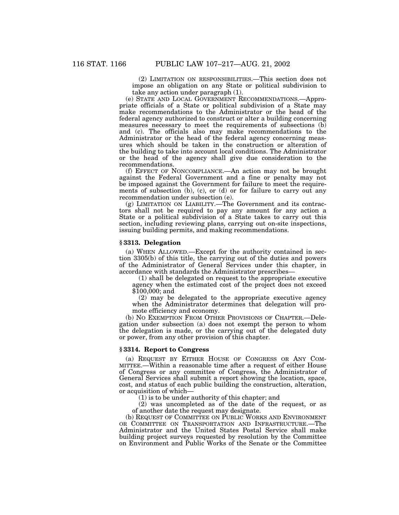(2) LIMITATION ON RESPONSIBILITIES.—This section does not impose an obligation on any State or political subdivision to take any action under paragraph (1).

(e) STATE AND LOCAL GOVERNMENT RECOMMENDATIONS.—Appropriate officials of a State or political subdivision of a State may make recommendations to the Administrator or the head of the federal agency authorized to construct or alter a building concerning measures necessary to meet the requirements of subsections (b) and (c). The officials also may make recommendations to the Administrator or the head of the federal agency concerning measures which should be taken in the construction or alteration of the building to take into account local conditions. The Administrator or the head of the agency shall give due consideration to the recommendations.

(f) EFFECT OF NONCOMPLIANCE.—An action may not be brought against the Federal Government and a fine or penalty may not be imposed against the Government for failure to meet the requirements of subsection (b), (c), or (d) or for failure to carry out any recommendation under subsection (e).

(g) LIMITATION ON LIABILITY.—The Government and its contractors shall not be required to pay any amount for any action a State or a political subdivision of a State takes to carry out this section, including reviewing plans, carrying out on-site inspections, issuing building permits, and making recommendations.

### **§ 3313. Delegation**

(a) WHEN ALLOWED.—Except for the authority contained in section 3305(b) of this title, the carrying out of the duties and powers of the Administrator of General Services under this chapter, in accordance with standards the Administrator prescribes—

(1) shall be delegated on request to the appropriate executive agency when the estimated cost of the project does not exceed \$100,000; and

(2) may be delegated to the appropriate executive agency when the Administrator determines that delegation will promote efficiency and economy.

(b) NO EXEMPTION FROM OTHER PROVISIONS OF CHAPTER.—Delegation under subsection (a) does not exempt the person to whom the delegation is made, or the carrying out of the delegated duty or power, from any other provision of this chapter.

### **§ 3314. Report to Congress**

(a) REQUEST BY EITHER HOUSE OF CONGRESS OR ANY COM-MITTEE.—Within a reasonable time after a request of either House of Congress or any committee of Congress, the Administrator of General Services shall submit a report showing the location, space, cost, and status of each public building the construction, alteration, or acquisition of which—

(1) is to be under authority of this chapter; and

(2) was uncompleted as of the date of the request, or as of another date the request may designate.

(b) REQUEST OF COMMITTEE ON PUBLIC WORKS AND ENVIRONMENT OR COMMITTEE ON TRANSPORTATION AND INFRASTRUCTURE.—The Administrator and the United States Postal Service shall make building project surveys requested by resolution by the Committee on Environment and Public Works of the Senate or the Committee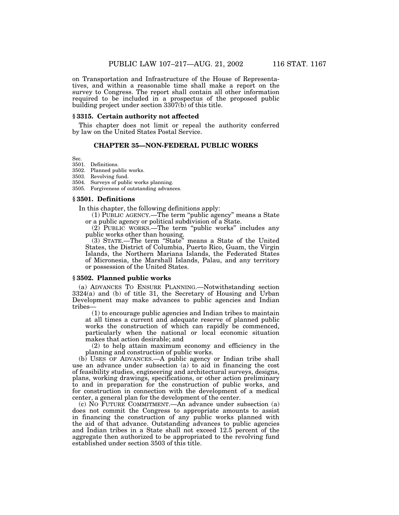on Transportation and Infrastructure of the House of Representatives, and within a reasonable time shall make a report on the survey to Congress. The report shall contain all other information required to be included in a prospectus of the proposed public building project under section 3307(b) of this title.

### **§ 3315. Certain authority not affected**

This chapter does not limit or repeal the authority conferred by law on the United States Postal Service.

### **CHAPTER 35—NON-FEDERAL PUBLIC WORKS**

Sec.

3501. Definitions.

3502. Planned public works.

3503. Revolving fund.

3504. Surveys of public works planning.

3505. Forgiveness of outstanding advances.

# **§ 3501. Definitions**

In this chapter, the following definitions apply:

(1) PUBLIC AGENCY.—The term ''public agency'' means a State or a public agency or political subdivision of a State.

 $(2)$  PUBLIC WORKS.—The term "public works" includes any public works other than housing.

(3) STATE.—The term ''State'' means a State of the United States, the District of Columbia, Puerto Rico, Guam, the Virgin Islands, the Northern Mariana Islands, the Federated States of Micronesia, the Marshall Islands, Palau, and any territory or possession of the United States.

### **§ 3502. Planned public works**

(a) ADVANCES TO ENSURE PLANNING.—Notwithstanding section 3324(a) and (b) of title 31, the Secretary of Housing and Urban Development may make advances to public agencies and Indian tribes—

(1) to encourage public agencies and Indian tribes to maintain at all times a current and adequate reserve of planned public works the construction of which can rapidly be commenced, particularly when the national or local economic situation makes that action desirable; and

(2) to help attain maximum economy and efficiency in the planning and construction of public works.

(b) USES OF ADVANCES.—A public agency or Indian tribe shall use an advance under subsection (a) to aid in financing the cost of feasibility studies, engineering and architectural surveys, designs, plans, working drawings, specifications, or other action preliminary to and in preparation for the construction of public works, and for construction in connection with the development of a medical center, a general plan for the development of the center.

(c) NO FUTURE COMMITMENT.—An advance under subsection (a) does not commit the Congress to appropriate amounts to assist in financing the construction of any public works planned with the aid of that advance. Outstanding advances to public agencies and Indian tribes in a State shall not exceed 12.5 percent of the aggregate then authorized to be appropriated to the revolving fund established under section 3503 of this title.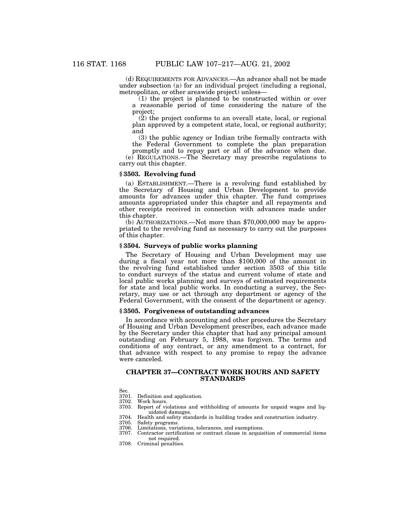(d) REQUIREMENTS FOR ADVANCES.—An advance shall not be made under subsection (a) for an individual project (including a regional, metropolitan, or other areawide project) unless—<br>
(1) the project is planned to be constructed within or over

a reasonable period of time considering the nature of the project;

(2) the project conforms to an overall state, local, or regional plan approved by a competent state, local, or regional authority; and

(3) the public agency or Indian tribe formally contracts with the Federal Government to complete the plan preparation

promptly and to repay part or all of the advance when due. (e) REGULATIONS.—The Secretary may prescribe regulations to carry out this chapter.

# **§ 3503. Revolving fund**

(a) ESTABLISHMENT.—There is a revolving fund established by the Secretary of Housing and Urban Development to provide amounts for advances under this chapter. The fund comprises amounts appropriated under this chapter and all repayments and other receipts received in connection with advances made under this chapter.

(b) AUTHORIZATIONS.—Not more than \$70,000,000 may be appropriated to the revolving fund as necessary to carry out the purposes of this chapter.

# **§ 3504. Surveys of public works planning**

The Secretary of Housing and Urban Development may use during a fiscal year not more than \$100,000 of the amount in the revolving fund established under section 3503 of this title to conduct surveys of the status and current volume of state and local public works planning and surveys of estimated requirements for state and local public works. In conducting a survey, the Secretary, may use or act through any department or agency of the Federal Government, with the consent of the department or agency.

## **§ 3505. Forgiveness of outstanding advances**

In accordance with accounting and other procedures the Secretary of Housing and Urban Development prescribes, each advance made by the Secretary under this chapter that had any principal amount outstanding on February 5, 1988, was forgiven. The terms and conditions of any contract, or any amendment to a contract, for that advance with respect to any promise to repay the advance were canceled.

# **CHAPTER 37—CONTRACT WORK HOURS AND SAFETY STANDARDS**

- 3704. Health and safety standards in building trades and construction industry.
- Safety programs.
- 3706. Limitations, variations, tolerances, and exemptions.
- 3707. Contractor certification or contract clause in acquisition of commercial items not required.
- 3708. Criminal penalties.

Sec.

<sup>3701.</sup> Definition and application.<br>3702. Work hours.

Work hours.

<sup>3703.</sup> Report of violations and withholding of amounts for unpaid wages and liquidated damages.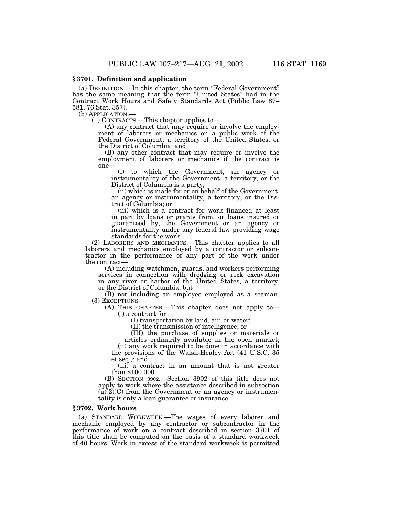## **§ 3701. Definition and application**

(a) DEFINITION.—In this chapter, the term ''Federal Government'' has the same meaning that the term ''United States'' had in the Contract Work Hours and Safety Standards Act (Public Law 87– 581, 76 Stat. 357).

(1) CONTRACTS.—This chapter applies to—<br>(A) any contract that may require or involve the employment of laborers or mechanics on a public work of the Federal Government, a territory of the United States, or the District of Columbia; and

(B) any other contract that may require or involve the employment of laborers or mechanics if the contract is one— (i) to which the Government, an agency or

instrumentality of the Government, a territory, or the District of Columbia is a party;

(ii) which is made for or on behalf of the Government, an agency or instrumentality, a territory, or the District of Columbia; or

(iii) which is a contract for work financed at least in part by loans or grants from, or loans insured or guaranteed by, the Government or an agency or instrumentality under any federal law providing wage standards for the work.

(2) LABORERS AND MECHANICS.—This chapter applies to all laborers and mechanics employed by a contractor or subcontractor in the performance of any part of the work under the contract— (A) including watchmen, guards, and workers performing

services in connection with dredging or rock excavation in any river or harbor of the United States, a territory, or the District of Columbia; but

(B) not including an employee employed as a seaman. (3) EXCEPTIONS.—

(A) THIS CHAPTER.—This chapter does not apply to— (i) a contract for—

(I) transportation by land, air, or water;

(II) the transmission of intelligence; or

(III) the purchase of supplies or materials or articles ordinarily available in the open market; (ii) any work required to be done in accordance with

the provisions of the Walsh-Healey Act (41 U.S.C. 35 et seq.); and (iii) a contract in an amount that is not greater

than \$100,000.

(B) SECTION 3902.—Section 3902 of this title does not apply to work where the assistance described in subsection  $(a)(2)(C)$  from the Government or an agency or instrumentality is only a loan guarantee or insurance.

## **§ 3702. Work hours**

(a) STANDARD WORKWEEK.—The wages of every laborer and mechanic employed by any contractor or subcontractor in the performance of work on a contract described in section 3701 of this title shall be computed on the basis of a standard workweek of 40 hours. Work in excess of the standard workweek is permitted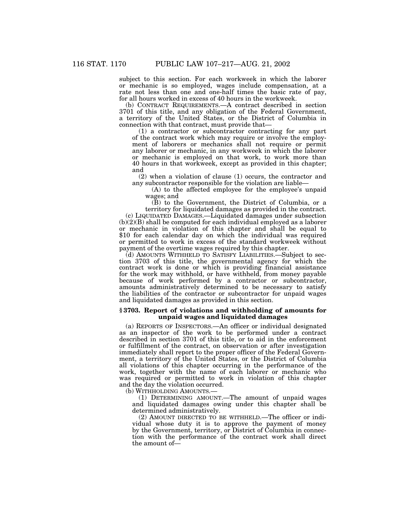subject to this section. For each workweek in which the laborer or mechanic is so employed, wages include compensation, at a rate not less than one and one-half times the basic rate of pay, for all hours worked in excess of 40 hours in the workweek.

(b) CONTRACT REQUIREMENTS.—A contract described in section 3701 of this title, and any obligation of the Federal Government, a territory of the United States, or the District of Columbia in

 $(1)$  a contractor or subcontractor contracting for any part of the contract work which may require or involve the employment of laborers or mechanics shall not require or permit any laborer or mechanic, in any workweek in which the laborer or mechanic is employed on that work, to work more than 40 hours in that workweek, except as provided in this chapter; and

(2) when a violation of clause (1) occurs, the contractor and

any subcontractor responsible for the violation are liable— (A) to the affected employee for the employee's unpaid wages; and

(B) to the Government, the District of Columbia, or a territory for liquidated damages as provided in the contract.

(c) LIQUIDATED DAMAGES.—Liquidated damages under subsection (b)(2)(B) shall be computed for each individual employed as a laborer or mechanic in violation of this chapter and shall be equal to \$10 for each calendar day on which the individual was required or permitted to work in excess of the standard workweek without payment of the overtime wages required by this chapter.

(d) AMOUNTS WITHHELD TO SATISFY LIABILITIES.—Subject to section 3703 of this title, the governmental agency for which the contract work is done or which is providing financial assistance for the work may withhold, or have withheld, from money payable because of work performed by a contractor or subcontractor, amounts administratively determined to be necessary to satisfy the liabilities of the contractor or subcontractor for unpaid wages and liquidated damages as provided in this section.

#### **§ 3703. Report of violations and withholding of amounts for unpaid wages and liquidated damages**

(a) REPORTS OF INSPECTORS.—An officer or individual designated as an inspector of the work to be performed under a contract described in section 3701 of this title, or to aid in the enforcement or fulfillment of the contract, on observation or after investigation immediately shall report to the proper officer of the Federal Government, a territory of the United States, or the District of Columbia all violations of this chapter occurring in the performance of the work, together with the name of each laborer or mechanic who was required or permitted to work in violation of this chapter and the day the violation occurred.

(b) WITHHOLDING AMOUNTS.—

(1) DETERMINING AMOUNT.—The amount of unpaid wages and liquidated damages owing under this chapter shall be determined administratively.

(2) AMOUNT DIRECTED TO BE WITHHELD.—The officer or individual whose duty it is to approve the payment of money by the Government, territory, or District of Columbia in connection with the performance of the contract work shall direct the amount of—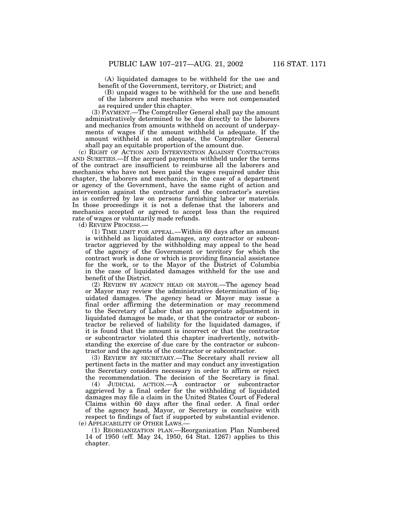(A) liquidated damages to be withheld for the use and benefit of the Government, territory, or District; and

(B) unpaid wages to be withheld for the use and benefit of the laborers and mechanics who were not compensated as required under this chapter.

(3) PAYMENT.—The Comptroller General shall pay the amount administratively determined to be due directly to the laborers and mechanics from amounts withheld on account of underpayments of wages if the amount withheld is adequate. If the amount withheld is not adequate, the Comptroller General shall pay an equitable proportion of the amount due.

(c) RIGHT OF ACTION AND INTERVENTION AGAINST CONTRACTORS AND SURETIES.—If the accrued payments withheld under the terms of the contract are insufficient to reimburse all the laborers and mechanics who have not been paid the wages required under this chapter, the laborers and mechanics, in the case of a department or agency of the Government, have the same right of action and intervention against the contractor and the contractor's sureties as is conferred by law on persons furnishing labor or materials. In those proceedings it is not a defense that the laborers and mechanics accepted or agreed to accept less than the required rate of wages or voluntarily made refunds.

(d) REVIEW PROCESS.—

(1) TIME LIMIT FOR APPEAL.—Within 60 days after an amount is withheld as liquidated damages, any contractor or subcontractor aggrieved by the withholding may appeal to the head of the agency of the Government or territory for which the contract work is done or which is providing financial assistance for the work, or to the Mayor of the District of Columbia in the case of liquidated damages withheld for the use and benefit of the District.

(2) REVIEW BY AGENCY HEAD OR MAYOR.—The agency head or Mayor may review the administrative determination of liquidated damages. The agency head or Mayor may issue a final order affirming the determination or may recommend to the Secretary of Labor that an appropriate adjustment in liquidated damages be made, or that the contractor or subcontractor be relieved of liability for the liquidated damages, if it is found that the amount is incorrect or that the contractor or subcontractor violated this chapter inadvertently, notwithstanding the exercise of due care by the contractor or subcontractor and the agents of the contractor or subcontractor.

(3) REVIEW BY SECRETARY.—The Secretary shall review all pertinent facts in the matter and may conduct any investigation the Secretary considers necessary in order to affirm or reject the recommendation. The decision of the Secretary is final.

(4) JUDICIAL ACTION.—A contractor or subcontractor aggrieved by a final order for the withholding of liquidated damages may file a claim in the United States Court of Federal Claims within 60 days after the final order. A final order of the agency head, Mayor, or Secretary is conclusive with respect to findings of fact if supported by substantial evidence. (e) APPLICABILITY OF OTHER LAWS.—

(1) REORGANIZATION PLAN.—Reorganization Plan Numbered 14 of 1950 (eff. May 24, 1950, 64 Stat. 1267) applies to this chapter.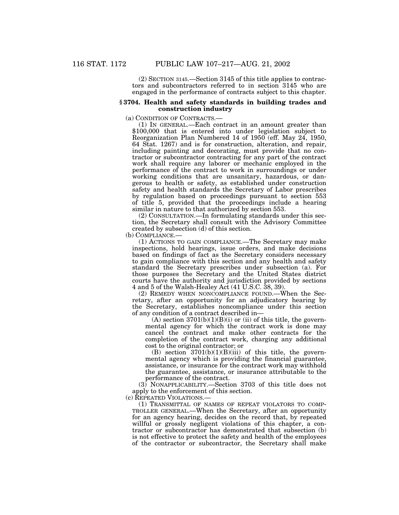(2) SECTION 3145.—Section 3145 of this title applies to contractors and subcontractors referred to in section 3145 who are engaged in the performance of contracts subject to this chapter.

#### **§ 3704. Health and safety standards in building trades and construction industry**

(a) CONDITION OF CONTRACTS.— (1) IN GENERAL.—Each contract in an amount greater than \$100,000 that is entered into under legislation subject to Reorganization Plan Numbered 14 of 1950 (eff. May 24, 1950, 64 Stat. 1267) and is for construction, alteration, and repair, including painting and decorating, must provide that no contractor or subcontractor contracting for any part of the contract work shall require any laborer or mechanic employed in the performance of the contract to work in surroundings or under working conditions that are unsanitary, hazardous, or dangerous to health or safety, as established under construction safety and health standards the Secretary of Labor prescribes by regulation based on proceedings pursuant to section 553 of title 5, provided that the proceedings include a hearing similar in nature to that authorized by section 553.

(2) CONSULTATION.—In formulating standards under this section, the Secretary shall consult with the Advisory Committee created by subsection (d) of this section.

(b) COMPLIANCE.—

(1) ACTIONS TO GAIN COMPLIANCE.—The Secretary may make inspections, hold hearings, issue orders, and make decisions based on findings of fact as the Secretary considers necessary to gain compliance with this section and any health and safety standard the Secretary prescribes under subsection (a). For those purposes the Secretary and the United States district courts have the authority and jurisdiction provided by sections 4 and 5 of the Walsh-Healey Act (41 U.S.C. 38, 39).

(2) REMEDY WHEN NONCOMPLIANCE FOUND.—When the Secretary, after an opportunity for an adjudicatory hearing by the Secretary, establishes noncompliance under this section of any condition of a contract described in—

 $(A)$  section 3701 $(b)(1)(B)(i)$  or  $(ii)$  of this title, the governmental agency for which the contract work is done may cancel the contract and make other contracts for the completion of the contract work, charging any additional cost to the original contractor; or

(B) section  $3701(b)(1)(B)(iii)$  of this title, the governmental agency which is providing the financial guarantee, assistance, or insurance for the contract work may withhold the guarantee, assistance, or insurance attributable to the performance of the contract.

(3) NONAPPLICABILITY.—Section 3703 of this title does not apply to the enforcement of this section.

(c) REPEATED VIOLATIONS.—<br>
(1) TRANSMITTAL OF NAMES OF REPEAT VIOLATORS TO COMP-TROLLER GENERAL.—When the Secretary, after an opportunity for an agency hearing, decides on the record that, by repeated willful or grossly negligent violations of this chapter, a contractor or subcontractor has demonstrated that subsection (b) is not effective to protect the safety and health of the employees of the contractor or subcontractor, the Secretary shall make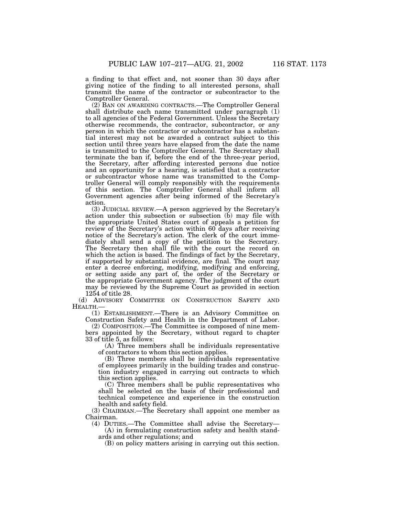a finding to that effect and, not sooner than 30 days after giving notice of the finding to all interested persons, shall transmit the name of the contractor or subcontractor to the Comptroller General.

(2) BAN ON AWARDING CONTRACTS.—The Comptroller General shall distribute each name transmitted under paragraph (1) to all agencies of the Federal Government. Unless the Secretary otherwise recommends, the contractor, subcontractor, or any person in which the contractor or subcontractor has a substantial interest may not be awarded a contract subject to this section until three years have elapsed from the date the name is transmitted to the Comptroller General. The Secretary shall terminate the ban if, before the end of the three-year period, the Secretary, after affording interested persons due notice and an opportunity for a hearing, is satisfied that a contractor or subcontractor whose name was transmitted to the Comptroller General will comply responsibly with the requirements of this section. The Comptroller General shall inform all Government agencies after being informed of the Secretary's action.

(3) JUDICIAL REVIEW.—A person aggrieved by the Secretary's action under this subsection or subsection (b) may file with the appropriate United States court of appeals a petition for review of the Secretary's action within 60 days after receiving notice of the Secretary's action. The clerk of the court immediately shall send a copy of the petition to the Secretary. The Secretary then shall file with the court the record on which the action is based. The findings of fact by the Secretary, if supported by substantial evidence, are final. The court may enter a decree enforcing, modifying, modifying and enforcing, or setting aside any part of, the order of the Secretary or the appropriate Government agency. The judgment of the court may be reviewed by the Supreme Court as provided in section 1254 of title 28.

(d) ADVISORY COMMITTEE ON CONSTRUCTION SAFETY AND HEALTH.—

(1) ESTABLISHMENT.—There is an Advisory Committee on Construction Safety and Health in the Department of Labor.

(2) COMPOSITION.—The Committee is composed of nine members appointed by the Secretary, without regard to chapter 33 of title 5, as follows:

(A) Three members shall be individuals representative of contractors to whom this section applies.

(B) Three members shall be individuals representative of employees primarily in the building trades and construction industry engaged in carrying out contracts to which this section applies.

(C) Three members shall be public representatives who shall be selected on the basis of their professional and technical competence and experience in the construction health and safety field.

(3) CHAIRMAN.—The Secretary shall appoint one member as Chairman.

(4) DUTIES.—The Committee shall advise the Secretary— (A) in formulating construction safety and health standards and other regulations; and

(B) on policy matters arising in carrying out this section.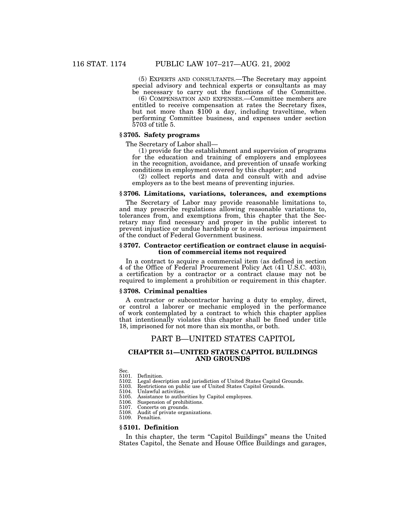(5) EXPERTS AND CONSULTANTS.—The Secretary may appoint special advisory and technical experts or consultants as may be necessary to carry out the functions of the Committee.

(6) COMPENSATION AND EXPENSES.—Committee members are entitled to receive compensation at rates the Secretary fixes, but not more than \$100 a day, including traveltime, when performing Committee business, and expenses under section 5703 of title 5.

## **§ 3705. Safety programs**

The Secretary of Labor shall— (1) provide for the establishment and supervision of programs for the education and training of employers and employees in the recognition, avoidance, and prevention of unsafe working conditions in employment covered by this chapter; and

(2) collect reports and data and consult with and advise employers as to the best means of preventing injuries.

#### **§ 3706. Limitations, variations, tolerances, and exemptions**

The Secretary of Labor may provide reasonable limitations to, and may prescribe regulations allowing reasonable variations to, tolerances from, and exemptions from, this chapter that the Secretary may find necessary and proper in the public interest to prevent injustice or undue hardship or to avoid serious impairment of the conduct of Federal Government business.

#### **§ 3707. Contractor certification or contract clause in acquisition of commercial items not required**

In a contract to acquire a commercial item (as defined in section 4 of the Office of Federal Procurement Policy Act (41 U.S.C. 403)), a certification by a contractor or a contract clause may not be required to implement a prohibition or requirement in this chapter.

#### **§ 3708. Criminal penalties**

A contractor or subcontractor having a duty to employ, direct, or control a laborer or mechanic employed in the performance of work contemplated by a contract to which this chapter applies that intentionally violates this chapter shall be fined under title 18, imprisoned for not more than six months, or both.

## PART B—UNITED STATES CAPITOL

## **CHAPTER 51—UNITED STATES CAPITOL BUILDINGS AND GROUNDS**

Sec.<br>5101.

5101. Definition.<br>5102. Legal descri Legal description and jurisdiction of United States Capitol Grounds.

- 5103. Restrictions on public use of United States Capitol Grounds.<br>5104. Unlawful activities.
- 5104. Unlawful activities.<br>5105. Assistance to author
- 5105. Assistance to authorities by Capitol employees.<br>5106. Suspension of prohibitions.
- 5106. Suspension of prohibitions.
- 5107. Concerts on grounds.<br>5108. Audit of private orga
- Audit of private organizations. 5109. Penalties.

#### **§ 5101. Definition**

In this chapter, the term "Capitol Buildings" means the United States Capitol, the Senate and House Office Buildings and garages,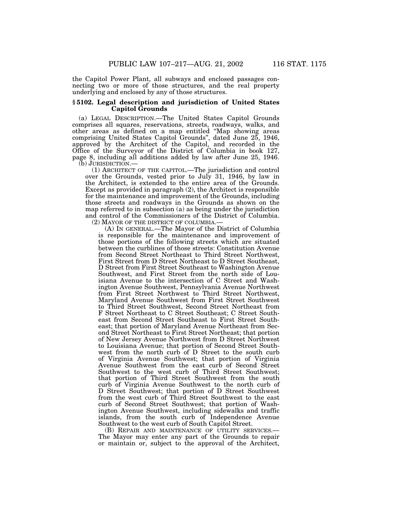the Capitol Power Plant, all subways and enclosed passages connecting two or more of those structures, and the real property underlying and enclosed by any of those structures.

#### **§ 5102. Legal description and jurisdiction of United States Capitol Grounds**

(a) LEGAL DESCRIPTION.—The United States Capitol Grounds comprises all squares, reservations, streets, roadways, walks, and other areas as defined on a map entitled ''Map showing areas comprising United States Capitol Grounds'', dated June 25, 1946, approved by the Architect of the Capitol, and recorded in the Office of the Surveyor of the District of Columbia in book 127, page 8, including all additions added by law after June 25, 1946.

 $(1)$  ARCHITECT OF THE CAPITOL.—The jurisdiction and control over the Grounds, vested prior to July 31, 1946, by law in the Architect, is extended to the entire area of the Grounds. Except as provided in paragraph (2), the Architect is responsible for the maintenance and improvement of the Grounds, including those streets and roadways in the Grounds as shown on the map referred to in subsection (a) as being under the jurisdiction and control of the Commissioners of the District of Columbia.

(2) MAYOR OF THE DISTRICT OF COLUMBIA.— (A) IN GENERAL.—The Mayor of the District of Columbia

is responsible for the maintenance and improvement of those portions of the following streets which are situated between the curblines of those streets: Constitution Avenue from Second Street Northeast to Third Street Northwest, First Street from D Street Northeast to D Street Southeast, D Street from First Street Southeast to Washington Avenue Southwest, and First Street from the north side of Louisiana Avenue to the intersection of C Street and Washington Avenue Southwest, Pennsylvania Avenue Northwest from First Street Northwest to Third Street Northwest, Maryland Avenue Southwest from First Street Southwest to Third Street Southwest, Second Street Northeast from F Street Northeast to C Street Southeast; C Street Southeast from Second Street Southeast to First Street Southeast; that portion of Maryland Avenue Northeast from Second Street Northeast to First Street Northeast; that portion of New Jersey Avenue Northwest from D Street Northwest to Louisiana Avenue; that portion of Second Street Southwest from the north curb of D Street to the south curb of Virginia Avenue Southwest; that portion of Virginia Avenue Southwest from the east curb of Second Street Southwest to the west curb of Third Street Southwest; that portion of Third Street Southwest from the south curb of Virginia Avenue Southwest to the north curb of D Street Southwest; that portion of D Street Southwest from the west curb of Third Street Southwest to the east curb of Second Street Southwest; that portion of Washington Avenue Southwest, including sidewalks and traffic islands, from the south curb of Independence Avenue Southwest to the west curb of South Capitol Street.

(B) REPAIR AND MAINTENANCE OF UTILITY SERVICES.— The Mayor may enter any part of the Grounds to repair or maintain or, subject to the approval of the Architect,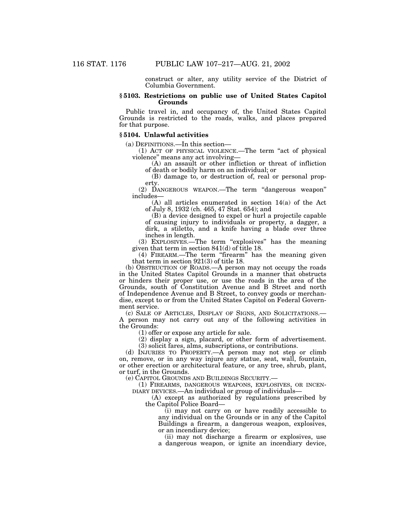construct or alter, any utility service of the District of Columbia Government.

## **§ 5103. Restrictions on public use of United States Capitol Grounds**

Public travel in, and occupancy of, the United States Capitol Grounds is restricted to the roads, walks, and places prepared for that purpose.

## **§ 5104. Unlawful activities**

(a) DEFINITIONS.—In this section—<br>
(1) ACT OF PHYSICAL VIOLENCE.—The term "act of physical<br>
violence" means any act involving—

(A) an assault or other infliction or threat of infliction of death or bodily harm on an individual; or

(B) damage to, or destruction of, real or personal property.

(2) DANGEROUS WEAPON.—The term ''dangerous weapon'' includes—

(A) all articles enumerated in section 14(a) of the Act of July 8, 1932 (ch. 465, 47 Stat. 654); and

(B) a device designed to expel or hurl a projectile capable of causing injury to individuals or property, a dagger, a dirk, a stiletto, and a knife having a blade over three inches in length.

(3) EXPLOSIVES.—The term ''explosives'' has the meaning given that term in section 841(d) of title 18.

(4) FIREARM.—The term "firearm" has the meaning given that term in section 921(3) of title 18.

(b) OBSTRUCTION OF ROADS.—A person may not occupy the roads in the United States Capitol Grounds in a manner that obstructs or hinders their proper use, or use the roads in the area of the Grounds, south of Constitution Avenue and B Street and north of Independence Avenue and B Street, to convey goods or merchandise, except to or from the United States Capitol on Federal Government service.

(c) SALE OF ARTICLES, DISPLAY OF SIGNS, AND SOLICITATIONS.— A person may not carry out any of the following activities in the Grounds:

(1) offer or expose any article for sale.

(2) display a sign, placard, or other form of advertisement. (3) solicit fares, alms, subscriptions, or contributions.

(d) INJURIES TO PROPERTY.—A person may not step or climb on, remove, or in any way injure any statue, seat, wall, fountain, or other erection or architectural feature, or any tree, shrub, plant, or turf, in the Grounds.

(e) CAPITOL GROUNDS AND BUILDINGS SECURITY.—

(1) FIREARMS, DANGEROUS WEAPONS, EXPLOSIVES, OR INCEN-DIARY DEVICES.—An individual or group of individuals—

(A) except as authorized by regulations prescribed by the Capitol Police Board—

(i) may not carry on or have readily accessible to any individual on the Grounds or in any of the Capitol Buildings a firearm, a dangerous weapon, explosives, or an incendiary device;

(ii) may not discharge a firearm or explosives, use a dangerous weapon, or ignite an incendiary device,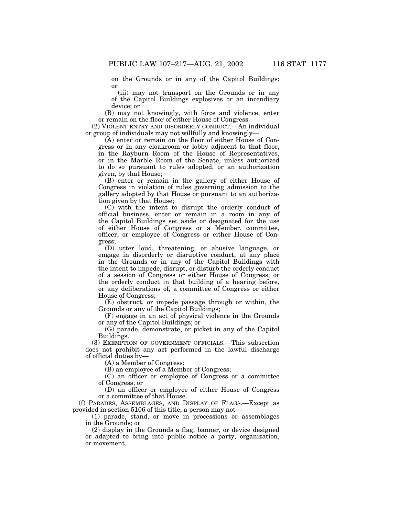on the Grounds or in any of the Capitol Buildings; or

(iii) may not transport on the Grounds or in any of the Capitol Buildings explosives or an incendiary device; or

(B) may not knowingly, with force and violence, enter or remain on the floor of either House of Congress.

(2) VIOLENT ENTRY AND DISORDERLY CONDUCT.—An individual or group of individuals may not willfully and knowingly—

(A) enter or remain on the floor of either House of Congress or in any cloakroom or lobby adjacent to that floor, in the Rayburn Room of the House of Representatives, or in the Marble Room of the Senate, unless authorized to do so pursuant to rules adopted, or an authorization given, by that House;

(B) enter or remain in the gallery of either House of Congress in violation of rules governing admission to the gallery adopted by that House or pursuant to an authorization given by that House;

(C) with the intent to disrupt the orderly conduct of official business, enter or remain in a room in any of the Capitol Buildings set aside or designated for the use of either House of Congress or a Member, committee, officer, or employee of Congress or either House of Congress;

(D) utter loud, threatening, or abusive language, or engage in disorderly or disruptive conduct, at any place in the Grounds or in any of the Capitol Buildings with the intent to impede, disrupt, or disturb the orderly conduct of a session of Congress or either House of Congress, or the orderly conduct in that building of a hearing before, or any deliberations of, a committee of Congress or either House of Congress;

(E) obstruct, or impede passage through or within, the Grounds or any of the Capitol Buildings;

(F) engage in an act of physical violence in the Grounds or any of the Capitol Buildings; or

(G) parade, demonstrate, or picket in any of the Capitol Buildings.

(3) EXEMPTION OF GOVERNMENT OFFICIALS.—This subsection does not prohibit any act performed in the lawful discharge of official duties by—

(A) a Member of Congress;

(B) an employee of a Member of Congress;

(C) an officer or employee of Congress or a committee of Congress; or

(D) an officer or employee of either House of Congress or a committee of that House.

(f) PARADES, ASSEMBLAGES, AND DISPLAY OF FLAGS.—Except as provided in section 5106 of this title, a person may not—

(1) parade, stand, or move in processions or assemblages in the Grounds; or

(2) display in the Grounds a flag, banner, or device designed or adapted to bring into public notice a party, organization, or movement.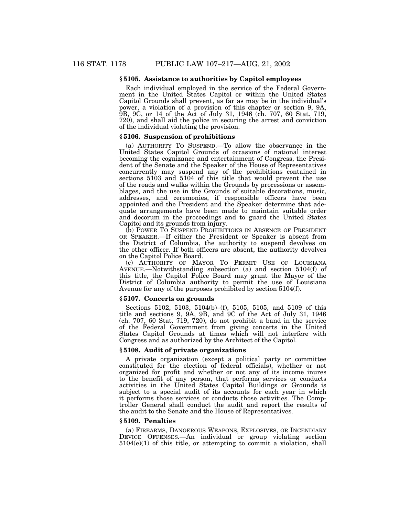## **§ 5105. Assistance to authorities by Capitol employees**

Each individual employed in the service of the Federal Government in the United States Capitol or within the United States Capitol Grounds shall prevent, as far as may be in the individual's power, a violation of a provision of this chapter or section 9, 9A, 9B, 9C, or 14 of the Act of July 31, 1946 (ch. 707, 60 Stat. 719, 720), and shall aid the police in securing the arrest and conviction of the individual violating the provision.

## **§ 5106. Suspension of prohibitions**

(a) AUTHORITY TO SUSPEND.—To allow the observance in the United States Capitol Grounds of occasions of national interest becoming the cognizance and entertainment of Congress, the President of the Senate and the Speaker of the House of Representatives concurrently may suspend any of the prohibitions contained in sections 5103 and 5104 of this title that would prevent the use of the roads and walks within the Grounds by processions or assemblages, and the use in the Grounds of suitable decorations, music, addresses, and ceremonies, if responsible officers have been appointed and the President and the Speaker determine that adequate arrangements have been made to maintain suitable order and decorum in the proceedings and to guard the United States Capitol and its grounds from injury.

(b) POWER TO SUSPEND PROHIBITIONS IN ABSENCE OF PRESIDENT OR SPEAKER.—If either the President or Speaker is absent from the District of Columbia, the authority to suspend devolves on the other officer. If both officers are absent, the authority devolves on the Capitol Police Board.

(c) AUTHORITY OF MAYOR TO PERMIT USE OF LOUISIANA AVENUE.—Notwithstanding subsection (a) and section 5104(f) of this title, the Capitol Police Board may grant the Mayor of the District of Columbia authority to permit the use of Louisiana Avenue for any of the purposes prohibited by section 5104(f).

#### **§ 5107. Concerts on grounds**

Sections 5102, 5103, 5104(b)–(f), 5105, 5105, and 5109 of this title and sections 9, 9A, 9B, and 9C of the Act of July 31, 1946 (ch. 707, 60 Stat. 719, 720), do not prohibit a band in the service of the Federal Government from giving concerts in the United States Capitol Grounds at times which will not interfere with Congress and as authorized by the Architect of the Capitol.

#### **§ 5108. Audit of private organizations**

A private organization (except a political party or committee constituted for the election of federal officials), whether or not organized for profit and whether or not any of its income inures to the benefit of any person, that performs services or conducts activities in the United States Capitol Buildings or Grounds is subject to a special audit of its accounts for each year in which it performs those services or conducts those activities. The Comptroller General shall conduct the audit and report the results of the audit to the Senate and the House of Representatives.

#### **§ 5109. Penalties**

(a) FIREARMS, DANGEROUS WEAPONS, EXPLOSIVES, OR INCENDIARY DEVICE OFFENSES.—An individual or group violating section  $5104(e)(1)$  of this title, or attempting to commit a violation, shall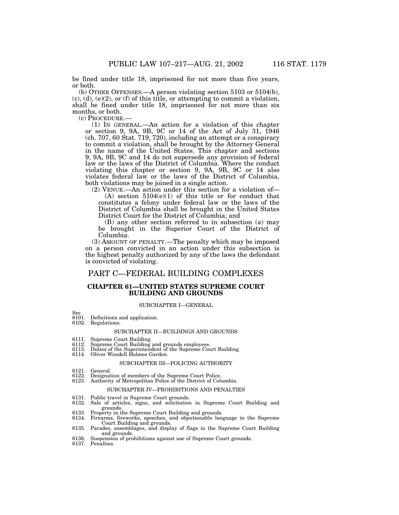be fined under title 18, imprisoned for not more than five years, or both.

(b) OTHER OFFENSES.—A person violating section 5103 or 5104(b),  $(c)$ ,  $(d)$ ,  $(e)(2)$ , or  $(f)$  of this title, or attempting to commit a violation, shall be fined under title 18, imprisoned for not more than six months, or both.<br>(c) PROCEDURE.—

 $(1)$  In GENERAL.—An action for a violation of this chapter or section 9, 9A, 9B, 9C or 14 of the Act of July 31, 1946 (ch. 707, 60 Stat. 719, 720), including an attempt or a conspiracy to commit a violation, shall be brought by the Attorney General in the name of the United States. This chapter and sections 9, 9A, 9B, 9C and 14 do not supersede any provision of federal law or the laws of the District of Columbia. Where the conduct violating this chapter or section 9, 9A, 9B, 9C or 14 also violates federal law or the laws of the District of Columbia, both violations may be joined in a single action.

(2) VENUE.—An action under this section for a violation of— (A) section 5104(e)(1) of this title or for conduct that constitutes a felony under federal law or the laws of the District of Columbia shall be brought in the United States District Court for the District of Columbia; and

(B) any other section referred to in subsection (a) may be brought in the Superior Court of the District of Columbia.

(3) AMOUNT OF PENALTY.—The penalty which may be imposed on a person convicted in an action under this subsection is the highest penalty authorized by any of the laws the defendant is convicted of violating.

# PART C—FEDERAL BUILDING COMPLEXES

#### **CHAPTER 61—UNITED STATES SUPREME COURT BUILDING AND GROUNDS**

## SUBCHAPTER I—GENERAL

Sec.

- 6101. Definitions and application.
- 6102. Regulations.

#### SUBCHAPTER II—BUILDINGS AND GROUNDS

- 6111. Supreme Court Building.<br>6112. Supreme Court Building 6112. Supreme Court Building and grounds employees.
- 6113. Duties of the Superintendent of the Supreme Court Building. 6114. Oliver Wendell Holmes Garden.
- 

#### SUBCHAPTER III—POLICING AUTHORITY

- 6121. General.<br>6122. Designat
- 6122. Designation of members of the Supreme Court Police.<br>6123. Authority of Metropolitan Police of the District of Coli
- Authority of Metropolitan Police of the District of Columbia.

#### SUBCHAPTER IV—PROHIBITIONS AND PENALTIES

- 6131. Public travel in Supreme Court grounds.<br>6132. Sale of articles, signs, and solicitation
- Sale of articles, signs, and solicitation in Supreme Court Building and grounds.
- 6133. Property in the Supreme Court Building and grounds.<br>6134. Firearms, fireworks, speeches, and objectionable lan
- Firearms, fireworks, speeches, and objectionable language in the Supreme Court Building and grounds.
- 6135. Parades, assemblages, and display of flags in the Supreme Court Building and grounds.
- 6136. Suspension of prohibitions against use of Supreme Court grounds.
- 6137. Penalties.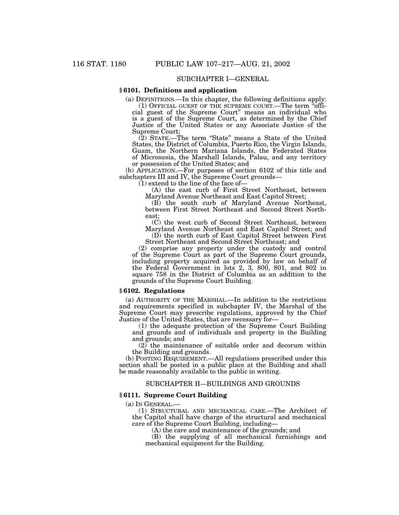## SUBCHAPTER I—GENERAL

#### **§ 6101. Definitions and application**

(a) DEFINITIONS.—In this chapter, the following definitions apply:

(1) OFFICIAL GUEST OF THE SUPREME COURT.—The term ''official guest of the Supreme Court'' means an individual who is a guest of the Supreme Court, as determined by the Chief Justice of the United States or any Associate Justice of the Supreme Court;

(2) STATE.—The term ''State'' means a State of the United States, the District of Columbia, Puerto Rico, the Virgin Islands, Guam, the Northern Mariana Islands, the Federated States of Micronesia, the Marshall Islands, Palau, and any territory or possession of the United States; and

(b) APPLICATION.—For purposes of section 6102 of this title and subchapters III and IV, the Supreme Court grounds—

 $(1)$  extend to the line of the face of-

(A) the east curb of First Street Northeast, between Maryland Avenue Northeast and East Capitol Street;

(B) the south curb of Maryland Avenue Northeast, between First Street Northeast and Second Street Northeast;

(C) the west curb of Second Street Northeast, between Maryland Avenue Northeast and East Capitol Street; and

(D) the north curb of East Capitol Street between First Street Northeast and Second Street Northeast; and

(2) comprise any property under the custody and control of the Supreme Court as part of the Supreme Court grounds, including property acquired as provided by law on behalf of the Federal Government in lots 2, 3, 800, 801, and 802 in square 758 in the District of Columbia as an addition to the grounds of the Supreme Court Building.

#### **§ 6102. Regulations**

(a) AUTHORITY OF THE MARSHAL.—In addition to the restrictions and requirements specified in subchapter IV, the Marshal of the Supreme Court may prescribe regulations, approved by the Chief Justice of the United States, that are necessary for—

(1) the adequate protection of the Supreme Court Building and grounds and of individuals and property in the Building and grounds; and

(2) the maintenance of suitable order and decorum within the Building and grounds.

(b) POSTING REQUIREMENT.—All regulations prescribed under this section shall be posted in a public place at the Building and shall be made reasonably available to the public in writing.

#### SUBCHAPTER II—BUILDINGS AND GROUNDS

#### **§ 6111. Supreme Court Building**

(a) IN GENERAL.— (1) STRUCTURAL AND MECHANICAL CARE.—The Architect of the Capitol shall have charge of the structural and mechanical care of the Supreme Court Building, including—

(A) the care and maintenance of the grounds; and

(B) the supplying of all mechanical furnishings and mechanical equipment for the Building.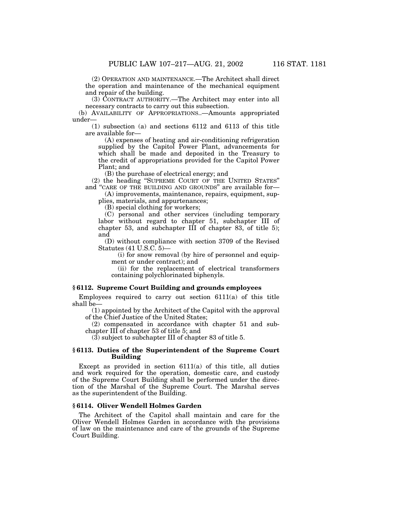(2) OPERATION AND MAINTENANCE.—The Architect shall direct the operation and maintenance of the mechanical equipment and repair of the building.

(3) CONTRACT AUTHORITY.—The Architect may enter into all necessary contracts to carry out this subsection.

(b) AVAILABILITY OF APPROPRIATIONS..—Amounts appropriated under—

(1) subsection (a) and sections 6112 and 6113 of this title are available for—

(A) expenses of heating and air-conditioning refrigeration supplied by the Capitol Power Plant, advancements for which shall be made and deposited in the Treasury to the credit of appropriations provided for the Capitol Power Plant; and

(B) the purchase of electrical energy; and

(2) the heading ''SUPREME COURT OF THE UNITED STATES'' and "CARE OF THE BUILDING AND GROUNDS" are available for-

(A) improvements, maintenance, repairs, equipment, supplies, materials, and appurtenances;

(B) special clothing for workers;

(C) personal and other services (including temporary labor without regard to chapter 51, subchapter III of chapter 53, and subchapter III of chapter 83, of title 5); and

(D) without compliance with section 3709 of the Revised Statutes (41 U.S.C. 5)—

(i) for snow removal (by hire of personnel and equipment or under contract); and

(ii) for the replacement of electrical transformers containing polychlorinated biphenyls.

## **§ 6112. Supreme Court Building and grounds employees**

Employees required to carry out section 6111(a) of this title shall be—

(1) appointed by the Architect of the Capitol with the approval of the Chief Justice of the United States;

(2) compensated in accordance with chapter 51 and subchapter III of chapter 53 of title 5; and

(3) subject to subchapter III of chapter 83 of title 5.

## **§ 6113. Duties of the Superintendent of the Supreme Court Building**

Except as provided in section 6111(a) of this title, all duties and work required for the operation, domestic care, and custody of the Supreme Court Building shall be performed under the direction of the Marshal of the Supreme Court. The Marshal serves as the superintendent of the Building.

## **§ 6114. Oliver Wendell Holmes Garden**

The Architect of the Capitol shall maintain and care for the Oliver Wendell Holmes Garden in accordance with the provisions of law on the maintenance and care of the grounds of the Supreme Court Building.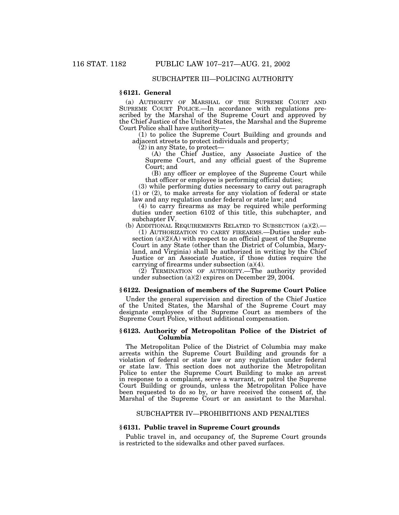# SUBCHAPTER III—POLICING AUTHORITY

## **§ 6121. General**

(a) AUTHORITY OF MARSHAL OF THE SUPREME COURT AND SUPREME COURT POLICE.—In accordance with regulations prescribed by the Marshal of the Supreme Court and approved by the Chief Justice of the United States, the Marshal and the Supreme Court Police shall have authority—

(1) to police the Supreme Court Building and grounds and adjacent streets to protect individuals and property;

(2) in any State, to protect—

(A) the Chief Justice, any Associate Justice of the Supreme Court, and any official guest of the Supreme Court; and

(B) any officer or employee of the Supreme Court while that officer or employee is performing official duties;

(3) while performing duties necessary to carry out paragraph (1) or (2), to make arrests for any violation of federal or state law and any regulation under federal or state law; and

(4) to carry firearms as may be required while performing duties under section 6102 of this title, this subchapter, and subchapter IV.

(b) ADDITIONAL REQUIREMENTS RELATED TO SUBSECTION (a)(2).—

(1) AUTHORIZATION TO CARRY FIREARMS.—Duties under subsection  $(a)(2)(A)$  with respect to an official guest of the Supreme Court in any State (other than the District of Columbia, Maryland, and Virginia) shall be authorized in writing by the Chief Justice or an Associate Justice, if those duties require the carrying of firearms under subsection (a)(4).

(2) TERMINATION OF AUTHORITY.—The authority provided under subsection (a)(2) expires on December 29, 2004.

## **§ 6122. Designation of members of the Supreme Court Police**

Under the general supervision and direction of the Chief Justice of the United States, the Marshal of the Supreme Court may designate employees of the Supreme Court as members of the Supreme Court Police, without additional compensation.

#### **§ 6123. Authority of Metropolitan Police of the District of Columbia**

The Metropolitan Police of the District of Columbia may make arrests within the Supreme Court Building and grounds for a violation of federal or state law or any regulation under federal or state law. This section does not authorize the Metropolitan Police to enter the Supreme Court Building to make an arrest in response to a complaint, serve a warrant, or patrol the Supreme Court Building or grounds, unless the Metropolitan Police have been requested to do so by, or have received the consent of, the Marshal of the Supreme Court or an assistant to the Marshal.

#### SUBCHAPTER IV—PROHIBITIONS AND PENALTIES

#### **§ 6131. Public travel in Supreme Court grounds**

Public travel in, and occupancy of, the Supreme Court grounds is restricted to the sidewalks and other paved surfaces.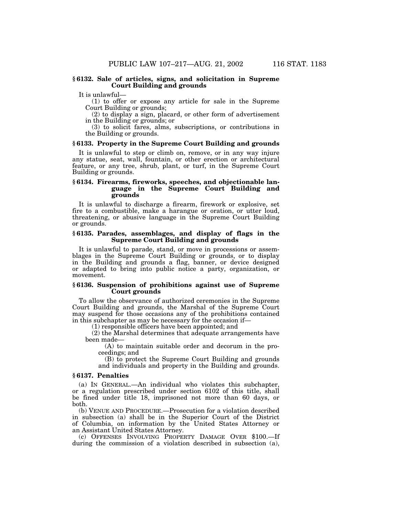#### **§ 6132. Sale of articles, signs, and solicitation in Supreme Court Building and grounds**

It is unlawful-

(1) to offer or expose any article for sale in the Supreme Court Building or grounds;

(2) to display a sign, placard, or other form of advertisement in the Building or grounds; or

(3) to solicit fares, alms, subscriptions, or contributions in the Building or grounds.

#### **§ 6133. Property in the Supreme Court Building and grounds**

It is unlawful to step or climb on, remove, or in any way injure any statue, seat, wall, fountain, or other erection or architectural feature, or any tree, shrub, plant, or turf, in the Supreme Court Building or grounds.

#### **§ 6134. Firearms, fireworks, speeches, and objectionable language in the Supreme Court Building and grounds**

It is unlawful to discharge a firearm, firework or explosive, set fire to a combustible, make a harangue or oration, or utter loud, threatening, or abusive language in the Supreme Court Building or grounds.

## **§ 6135. Parades, assemblages, and display of flags in the Supreme Court Building and grounds**

It is unlawful to parade, stand, or move in processions or assemblages in the Supreme Court Building or grounds, or to display in the Building and grounds a flag, banner, or device designed or adapted to bring into public notice a party, organization, or movement.

#### **§ 6136. Suspension of prohibitions against use of Supreme Court grounds**

To allow the observance of authorized ceremonies in the Supreme Court Building and grounds, the Marshal of the Supreme Court may suspend for those occasions any of the prohibitions contained in this subchapter as may be necessary for the occasion if— (1) responsible officers have been appointed; and

 $(2)$  the Marshal determines that adequate arrangements have been made—

 $(A)$  to maintain suitable order and decorum in the proceedings; and

(B) to protect the Supreme Court Building and grounds and individuals and property in the Building and grounds.

## **§ 6137. Penalties**

(a) IN GENERAL.—An individual who violates this subchapter, or a regulation prescribed under section 6102 of this title, shall be fined under title 18, imprisoned not more than 60 days, or both.

(b) VENUE AND PROCEDURE.—Prosecution for a violation described in subsection (a) shall be in the Superior Court of the District of Columbia, on information by the United States Attorney or an Assistant United States Attorney.

(c) OFFENSES INVOLVING PROPERTY DAMAGE OVER \$100.—If during the commission of a violation described in subsection (a),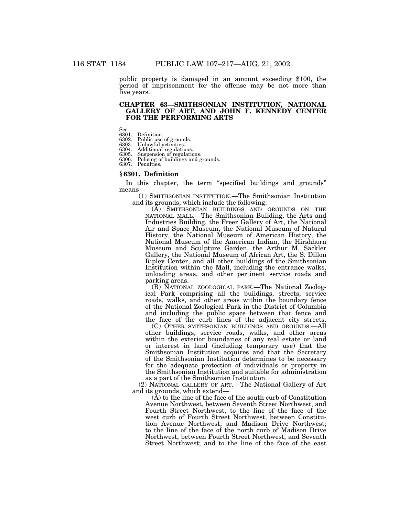public property is damaged in an amount exceeding \$100, the period of imprisonment for the offense may be not more than five years.

## **CHAPTER 63—SMITHSONIAN INSTITUTION, NATIONAL GALLERY OF ART, AND JOHN F. KENNEDY CENTER FOR THE PERFORMING ARTS**

Sec.<br>6301.

Public use of grounds.

6301. Definition.<br>6302. Public use<br>6303. Unlawful a

6303. Unlawful activities.<br>6304. Additional regulation

6304. Additional regulations.<br>6305. Suspension of regulations. Suspension of regulations.

6306. Policing of buildings and grounds. 6307. Penalties.

#### **§ 6301. Definition**

In this chapter, the term ''specified buildings and grounds'' means—

(1) SMITHSONIAN INSTITUTION.—The Smithsonian Institution and its grounds, which include the following:

(A) SMITHSONIAN BUILDINGS AND GROUNDS ON THE NATIONAL MALL.—The Smithsonian Building, the Arts and Industries Building, the Freer Gallery of Art, the National Air and Space Museum, the National Museum of Natural History, the National Museum of American History, the National Museum of the American Indian, the Hirshhorn Museum and Sculpture Garden, the Arthur M. Sackler Gallery, the National Museum of African Art, the S. Dillon Ripley Center, and all other buildings of the Smithsonian Institution within the Mall, including the entrance walks, unloading areas, and other pertinent service roads and parking areas.

(B) NATIONAL ZOOLOGICAL PARK.—The National Zoological Park comprising all the buildings, streets, service roads, walks, and other areas within the boundary fence of the National Zoological Park in the District of Columbia and including the public space between that fence and the face of the curb lines of the adjacent city streets.

(C) OTHER SMITHSONIAN BUILDINGS AND GROUNDS.—All other buildings, service roads, walks, and other areas within the exterior boundaries of any real estate or land or interest in land (including temporary use) that the Smithsonian Institution acquires and that the Secretary of the Smithsonian Institution determines to be necessary for the adequate protection of individuals or property in the Smithsonian Institution and suitable for administration as a part of the Smithsonian Institution.

(2) NATIONAL GALLERY OF ART.—The National Gallery of Art and its grounds, which extend—

 $(\tilde{A})$  to the line of the face of the south curb of Constitution Avenue Northwest, between Seventh Street Northwest, and Fourth Street Northwest, to the line of the face of the west curb of Fourth Street Northwest, between Constitution Avenue Northwest, and Madison Drive Northwest; to the line of the face of the north curb of Madison Drive Northwest, between Fourth Street Northwest, and Seventh Street Northwest; and to the line of the face of the east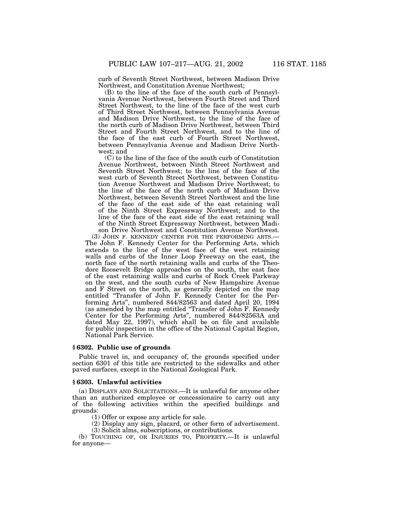curb of Seventh Street Northwest, between Madison Drive Northwest, and Constitution Avenue Northwest;

(B) to the line of the face of the south curb of Pennsylvania Avenue Northwest, between Fourth Street and Third Street Northwest, to the line of the face of the west curb of Third Street Northwest, between Pennsylvania Avenue and Madison Drive Northwest, to the line of the face of the north curb of Madison Drive Northwest, between Third Street and Fourth Street Northwest, and to the line of the face of the east curb of Fourth Street Northwest, between Pennsylvania Avenue and Madison Drive Northwest; and

(C) to the line of the face of the south curb of Constitution Avenue Northwest, between Ninth Street Northwest and Seventh Street Northwest; to the line of the face of the west curb of Seventh Street Northwest, between Constitution Avenue Northwest and Madison Drive Northwest; to the line of the face of the north curb of Madison Drive Northwest, between Seventh Street Northwest and the line of the face of the east side of the east retaining wall of the Ninth Street Expressway Northwest; and to the line of the face of the east side of the east retaining wall of the Ninth Street Expressway Northwest, between Madison Drive Northwest and Constitution Avenue Northwest.

(3) JOHN F. KENNEDY CENTER FOR THE PERFORMING ARTS.— The John F. Kennedy Center for the Performing Arts, which extends to the line of the west face of the west retaining walls and curbs of the Inner Loop Freeway on the east, the north face of the north retaining walls and curbs of the Theodore Roosevelt Bridge approaches on the south, the east face of the east retaining walls and curbs of Rock Creek Parkway on the west, and the south curbs of New Hampshire Avenue and F Street on the north, as generally depicted on the map entitled ''Transfer of John F. Kennedy Center for the Performing Arts'', numbered 844/82563 and dated April 20, 1994 (as amended by the map entitled ''Transfer of John F. Kennedy Center for the Performing Arts'', numbered 844/82563A and dated May 22, 1997), which shall be on file and available for public inspection in the office of the National Capital Region, National Park Service.

#### **§ 6302. Public use of grounds**

Public travel in, and occupancy of, the grounds specified under section 6301 of this title are restricted to the sidewalks and other paved surfaces, except in the National Zoological Park.

#### **§ 6303. Unlawful activities**

(a) DISPLAYS AND SOLICITATIONS.—It is unlawful for anyone other than an authorized employee or concessionaire to carry out any of the following activities within the specified buildings and grounds:

(1) Offer or expose any article for sale.

(2) Display any sign, placard, or other form of advertisement. (3) Solicit alms, subscriptions, or contributions.

(b) TOUCHING OF, OR INJURIES TO, PROPERTY.—It is unlawful for anyone—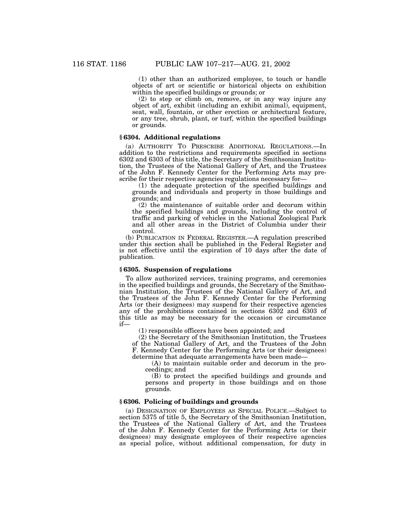(1) other than an authorized employee, to touch or handle objects of art or scientific or historical objects on exhibition within the specified buildings or grounds; or

(2) to step or climb on, remove, or in any way injure any object of art, exhibit (including an exhibit animal), equipment, seat, wall, fountain, or other erection or architectural feature, or any tree, shrub, plant, or turf, within the specified buildings or grounds.

## **§ 6304. Additional regulations**

(a) AUTHORITY TO PRESCRIBE ADDITIONAL REGULATIONS.—In addition to the restrictions and requirements specified in sections 6302 and 6303 of this title, the Secretary of the Smithsonian Institution, the Trustees of the National Gallery of Art, and the Trustees of the John F. Kennedy Center for the Performing Arts may prescribe for their respective agencies regulations necessary for—

 $(1)$  the adequate protection of the specified buildings and grounds and individuals and property in those buildings and grounds; and

(2) the maintenance of suitable order and decorum within the specified buildings and grounds, including the control of traffic and parking of vehicles in the National Zoological Park and all other areas in the District of Columbia under their control.

(b) PUBLICATION IN FEDERAL REGISTER.—A regulation prescribed under this section shall be published in the Federal Register and is not effective until the expiration of 10 days after the date of publication.

#### **§ 6305. Suspension of regulations**

To allow authorized services, training programs, and ceremonies in the specified buildings and grounds, the Secretary of the Smithsonian Institution, the Trustees of the National Gallery of Art, and the Trustees of the John F. Kennedy Center for the Performing Arts (or their designees) may suspend for their respective agencies any of the prohibitions contained in sections 6302 and 6303 of this title as may be necessary for the occasion or circumstance if—

(1) responsible officers have been appointed; and

(2) the Secretary of the Smithsonian Institution, the Trustees of the National Gallery of Art, and the Trustees of the John F. Kennedy Center for the Performing Arts (or their designees) determine that adequate arrangements have been made—

(A) to maintain suitable order and decorum in the proceedings; and

(B) to protect the specified buildings and grounds and persons and property in those buildings and on those grounds.

## **§ 6306. Policing of buildings and grounds**

(a) DESIGNATION OF EMPLOYEES AS SPECIAL POLICE.—Subject to section 5375 of title 5, the Secretary of the Smithsonian Institution, the Trustees of the National Gallery of Art, and the Trustees of the John F. Kennedy Center for the Performing Arts (or their designees) may designate employees of their respective agencies as special police, without additional compensation, for duty in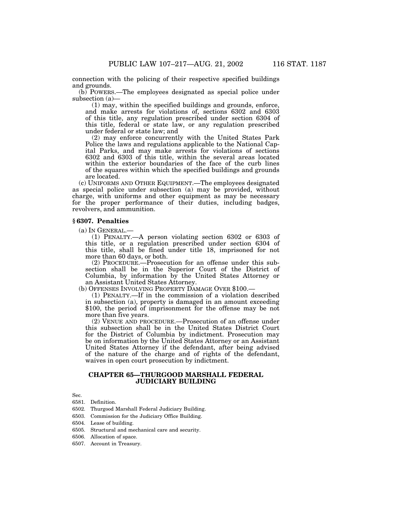connection with the policing of their respective specified buildings and grounds.

(b) POWERS.—The employees designated as special police under subsection  $(a)$ —

 $(1)$  may, within the specified buildings and grounds, enforce, and make arrests for violations of, sections 6302 and 6303 of this title, any regulation prescribed under section 6304 of this title, federal or state law, or any regulation prescribed under federal or state law; and

(2) may enforce concurrently with the United States Park Police the laws and regulations applicable to the National Capital Parks, and may make arrests for violations of sections 6302 and 6303 of this title, within the several areas located within the exterior boundaries of the face of the curb lines of the squares within which the specified buildings and grounds are located.

(c) UNIFORMS AND OTHER EQUIPMENT.—The employees designated as special police under subsection (a) may be provided, without charge, with uniforms and other equipment as may be necessary for the proper performance of their duties, including badges, revolvers, and ammunition.

#### **§ 6307. Penalties**

 $(a)$  In GENERAL.

(1) PENALTY.—A person violating section 6302 or 6303 of this title, or a regulation prescribed under section 6304 of this title, shall be fined under title 18, imprisoned for not more than 60 days, or both.

(2) PROCEDURE.—Prosecution for an offense under this subsection shall be in the Superior Court of the District of Columbia, by information by the United States Attorney or an Assistant United States Attorney.

(b) OFFENSES INVOLVING PROPERTY DAMAGE OVER \$100.—

(1) PENALTY.—If in the commission of a violation described in subsection (a), property is damaged in an amount exceeding \$100, the period of imprisonment for the offense may be not more than five years.

(2) VENUE AND PROCEDURE.—Prosecution of an offense under this subsection shall be in the United States District Court for the District of Columbia by indictment. Prosecution may be on information by the United States Attorney or an Assistant United States Attorney if the defendant, after being advised of the nature of the charge and of rights of the defendant, waives in open court prosecution by indictment.

## **CHAPTER 65—THURGOOD MARSHALL FEDERAL JUDICIARY BUILDING**

Sec.

6581. Definition.

6502. Thurgood Marshall Federal Judiciary Building.

6503. Commission for the Judiciary Office Building.

6504. Lease of building.

6505. Structural and mechanical care and security.

6506. Allocation of space.

6507. Account in Treasury.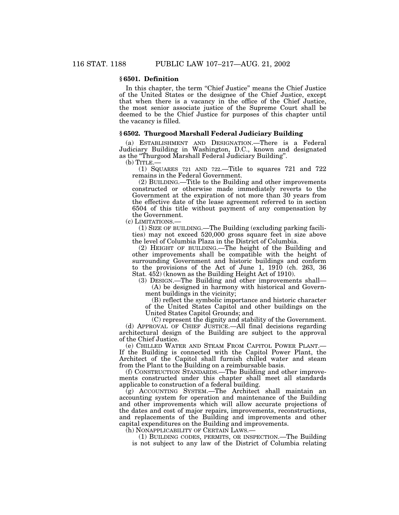## **§ 6501. Definition**

In this chapter, the term ''Chief Justice'' means the Chief Justice of the United States or the designee of the Chief Justice, except that when there is a vacancy in the office of the Chief Justice, the most senior associate justice of the Supreme Court shall be deemed to be the Chief Justice for purposes of this chapter until the vacancy is filled.

## **§ 6502. Thurgood Marshall Federal Judiciary Building**

(a) ESTABLISHMENT AND DESIGNATION.—There is a Federal Judiciary Building in Washington, D.C., known and designated as the ''Thurgood Marshall Federal Judiciary Building''.

 $(b)$  TITLE. $-$ 

(1) SQUARES 721 AND 722.—Title to squares 721 and 722 remains in the Federal Government.

(2) BUILDING.—Title to the Building and other improvements constructed or otherwise made immediately reverts to the Government at the expiration of not more than 30 years from the effective date of the lease agreement referred to in section 6504 of this title without payment of any compensation by the Government.

(c) LIMITATIONS.—

(1) SIZE OF BUILDING.—The Building (excluding parking facilities) may not exceed 520,000 gross square feet in size above the level of Columbia Plaza in the District of Columbia.

(2) HEIGHT OF BUILDING.—The height of the Building and other improvements shall be compatible with the height of surrounding Government and historic buildings and conform to the provisions of the Act of June 1, 1910 (ch. 263, 36 Stat. 452) (known as the Building Height Act of 1910).

(3) DESIGN.—The Building and other improvements shall— (A) be designed in harmony with historical and Government buildings in the vicinity;

(B) reflect the symbolic importance and historic character of the United States Capitol and other buildings on the United States Capitol Grounds; and

(C) represent the dignity and stability of the Government. (d) APPROVAL OF CHIEF JUSTICE.—All final decisions regarding architectural design of the Building are subject to the approval of the Chief Justice.

(e) CHILLED WATER AND STEAM FROM CAPITOL POWER PLANT.— If the Building is connected with the Capitol Power Plant, the Architect of the Capitol shall furnish chilled water and steam from the Plant to the Building on a reimbursable basis.

(f) CONSTRUCTION STANDARDS.—The Building and other improvements constructed under this chapter shall meet all standards applicable to construction of a federal building.

(g) ACCOUNTING SYSTEM.—The Architect shall maintain an accounting system for operation and maintenance of the Building and other improvements which will allow accurate projections of the dates and cost of major repairs, improvements, reconstructions, and replacements of the Building and improvements and other capital expenditures on the Building and improvements.

(h) NONAPPLICABILITY OF CERTAIN LAWS.— (1) BUILDING CODES, PERMITS, OR INSPECTION.—The Building is not subject to any law of the District of Columbia relating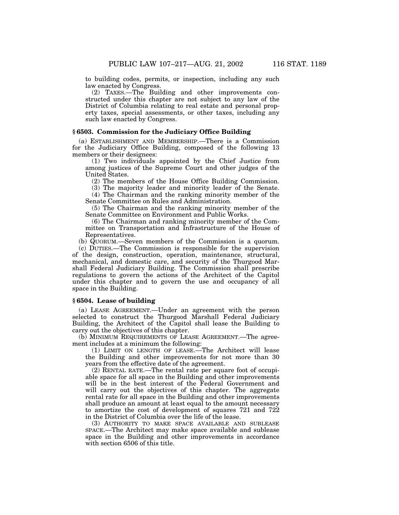to building codes, permits, or inspection, including any such law enacted by Congress.

(2) TAXES.—The Building and other improvements constructed under this chapter are not subject to any law of the District of Columbia relating to real estate and personal property taxes, special assessments, or other taxes, including any such law enacted by Congress.

## **§ 6503. Commission for the Judiciary Office Building**

(a) ESTABLISHMENT AND MEMBERSHIP.—There is a Commission for the Judiciary Office Building, composed of the following 13 members or their designees:

(1) Two individuals appointed by the Chief Justice from among justices of the Supreme Court and other judges of the United States.

(2) The members of the House Office Building Commission.

(3) The majority leader and minority leader of the Senate.

(4) The Chairman and the ranking minority member of the Senate Committee on Rules and Administration.

(5) The Chairman and the ranking minority member of the Senate Committee on Environment and Public Works.

(6) The Chairman and ranking minority member of the Committee on Transportation and Infrastructure of the House of Representatives.

(b) QUORUM.—Seven members of the Commission is a quorum.

(c) DUTIES.—The Commission is responsible for the supervision of the design, construction, operation, maintenance, structural, mechanical, and domestic care, and security of the Thurgood Marshall Federal Judiciary Building. The Commission shall prescribe regulations to govern the actions of the Architect of the Capitol under this chapter and to govern the use and occupancy of all space in the Building.

## **§ 6504. Lease of building**

(a) LEASE AGREEMENT.—Under an agreement with the person selected to construct the Thurgood Marshall Federal Judiciary Building, the Architect of the Capitol shall lease the Building to carry out the objectives of this chapter.

(b) MINIMUM REQUIREMENTS OF LEASE AGREEMENT.—The agreement includes at a minimum the following:

(1) LIMIT ON LENGTH OF LEASE.—The Architect will lease the Building and other improvements for not more than 30 years from the effective date of the agreement.

(2) RENTAL RATE.—The rental rate per square foot of occupiable space for all space in the Building and other improvements will be in the best interest of the Federal Government and will carry out the objectives of this chapter. The aggregate rental rate for all space in the Building and other improvements shall produce an amount at least equal to the amount necessary to amortize the cost of development of squares 721 and 722 in the District of Columbia over the life of the lease.

(3) AUTHORITY TO MAKE SPACE AVAILABLE AND SUBLEASE SPACE.—The Architect may make space available and sublease space in the Building and other improvements in accordance with section 6506 of this title.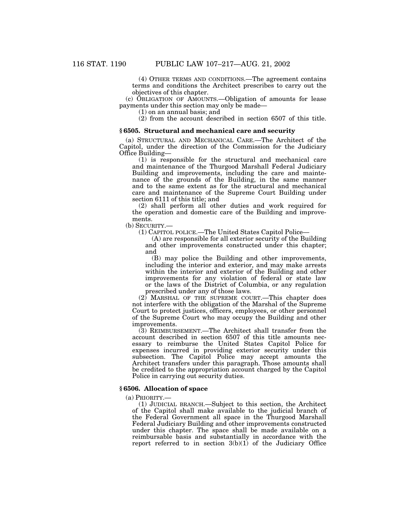(4) OTHER TERMS AND CONDITIONS.—The agreement contains terms and conditions the Architect prescribes to carry out the objectives of this chapter.

(c) OBLIGATION OF AMOUNTS.—Obligation of amounts for lease payments under this section may only be made—

(1) on an annual basis; and

(2) from the account described in section 6507 of this title.

## **§ 6505. Structural and mechanical care and security**

(a) STRUCTURAL AND MECHANICAL CARE.—The Architect of the Capitol, under the direction of the Commission for the Judiciary Office Building—

(1) is responsible for the structural and mechanical care and maintenance of the Thurgood Marshall Federal Judiciary Building and improvements, including the care and maintenance of the grounds of the Building, in the same manner and to the same extent as for the structural and mechanical care and maintenance of the Supreme Court Building under section 6111 of this title; and

(2) shall perform all other duties and work required for the operation and domestic care of the Building and improvements.

(b) SECURITY.—

(1) CAPITOL POLICE.—The United States Capitol Police—

(A) are responsible for all exterior security of the Building and other improvements constructed under this chapter; and

(B) may police the Building and other improvements, including the interior and exterior, and may make arrests within the interior and exterior of the Building and other improvements for any violation of federal or state law or the laws of the District of Columbia, or any regulation prescribed under any of those laws.

(2) MARSHAL OF THE SUPREME COURT.—This chapter does not interfere with the obligation of the Marshal of the Supreme Court to protect justices, officers, employees, or other personnel of the Supreme Court who may occupy the Building and other improvements.

(3) REIMBURSEMENT.—The Architect shall transfer from the account described in section 6507 of this title amounts necessary to reimburse the United States Capitol Police for expenses incurred in providing exterior security under this subsection. The Capitol Police may accept amounts the Architect transfers under this paragraph. Those amounts shall be credited to the appropriation account charged by the Capitol Police in carrying out security duties.

# **§ 6506. Allocation of space**

(a) PRIORITY.—

(1) JUDICIAL BRANCH.—Subject to this section, the Architect of the Capitol shall make available to the judicial branch of the Federal Government all space in the Thurgood Marshall Federal Judiciary Building and other improvements constructed under this chapter. The space shall be made available on a reimbursable basis and substantially in accordance with the report referred to in section  $3(b)(1)$  of the Judiciary Office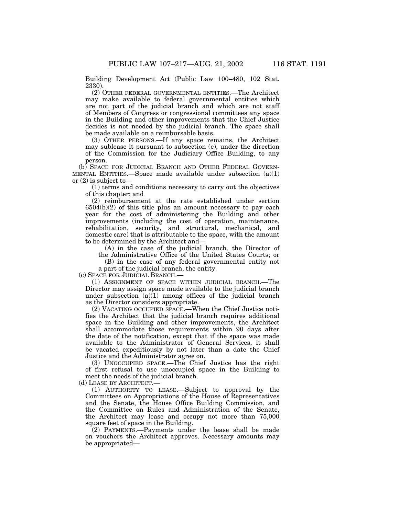Building Development Act (Public Law 100–480, 102 Stat. 2330).

(2) OTHER FEDERAL GOVERNMENTAL ENTITIES.—The Architect may make available to federal governmental entities which are not part of the judicial branch and which are not staff of Members of Congress or congressional committees any space in the Building and other improvements that the Chief Justice decides is not needed by the judicial branch. The space shall be made available on a reimbursable basis.

(3) OTHER PERSONS.—If any space remains, the Architect may sublease it pursuant to subsection (e), under the direction of the Commission for the Judiciary Office Building, to any person.

(b) SPACE FOR JUDICIAL BRANCH AND OTHER FEDERAL GOVERN-MENTAL ENTITIES.—Space made available under subsection  $(a)(1)$ or (2) is subject to—

(1) terms and conditions necessary to carry out the objectives of this chapter; and

(2) reimbursement at the rate established under section  $6504(b)(2)$  of this title plus an amount necessary to pay each year for the cost of administering the Building and other improvements (including the cost of operation, maintenance, rehabilitation, security, and structural, mechanical, and domestic care) that is attributable to the space, with the amount to be determined by the Architect and—

(A) in the case of the judicial branch, the Director of the Administrative Office of the United States Courts; or

(B) in the case of any federal governmental entity not

a part of the judicial branch, the entity.

(c) SPACE FOR JUDICIAL BRANCH.—

(1) ASSIGNMENT OF SPACE WITHIN JUDICIAL BRANCH.—The Director may assign space made available to the judicial branch under subsection  $(a)(1)$  among offices of the judicial branch as the Director considers appropriate.

(2) VACATING OCCUPIED SPACE.—When the Chief Justice notifies the Architect that the judicial branch requires additional space in the Building and other improvements, the Architect shall accommodate those requirements within 90 days after the date of the notification, except that if the space was made available to the Administrator of General Services, it shall be vacated expeditiously by not later than a date the Chief Justice and the Administrator agree on.

(3) UNOCCUPIED SPACE.—The Chief Justice has the right of first refusal to use unoccupied space in the Building to meet the needs of the judicial branch.

(d) LEASE BY ARCHITECT.—

(1) AUTHORITY TO LEASE.—Subject to approval by the Committees on Appropriations of the House of Representatives and the Senate, the House Office Building Commission, and the Committee on Rules and Administration of the Senate, the Architect may lease and occupy not more than 75,000 square feet of space in the Building.

(2) PAYMENTS.—Payments under the lease shall be made on vouchers the Architect approves. Necessary amounts may be appropriated—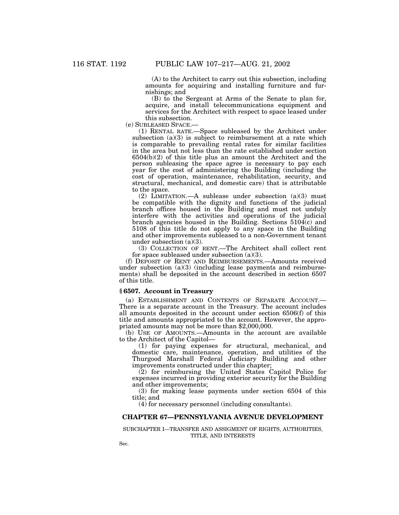(A) to the Architect to carry out this subsection, including amounts for acquiring and installing furniture and furnishings; and

(B) to the Sergeant at Arms of the Senate to plan for, acquire, and install telecommunications equipment and services for the Architect with respect to space leased under

this subsection.<br>(e) SUBLEASED SPACE.

(1) RENTAL RATE.—Space subleased by the Architect under subsection  $(a)(3)$  is subject to reimbursement at a rate which is comparable to prevailing rental rates for similar facilities in the area but not less than the rate established under section 6504(b)(2) of this title plus an amount the Architect and the person subleasing the space agree is necessary to pay each year for the cost of administering the Building (including the cost of operation, maintenance, rehabilitation, security, and structural, mechanical, and domestic care) that is attributable to the space.

(2) LIMITATION.—A sublease under subsection (a)(3) must be compatible with the dignity and functions of the judicial branch offices housed in the Building and must not unduly interfere with the activities and operations of the judicial branch agencies housed in the Building. Sections 5104(c) and 5108 of this title do not apply to any space in the Building and other improvements subleased to a non-Government tenant under subsection (a)(3).

(3) COLLECTION OF RENT.—The Architect shall collect rent for space subleased under subsection (a)(3).

(f) DEPOSIT OF RENT AND REIMBURSEMENTS.—Amounts received under subsection (a)(3) (including lease payments and reimbursements) shall be deposited in the account described in section 6507 of this title.

#### **§ 6507. Account in Treasury**

(a) ESTABLISHMENT AND CONTENTS OF SEPARATE ACCOUNT.— There is a separate account in the Treasury. The account includes all amounts deposited in the account under section 6506(f) of this title and amounts appropriated to the account. However, the appropriated amounts may not be more than \$2,000,000.

(b) USE OF AMOUNTS.—Amounts in the account are available to the Architect of the Capitol—

(1) for paying expenses for structural, mechanical, and domestic care, maintenance, operation, and utilities of the Thurgood Marshall Federal Judiciary Building and other improvements constructed under this chapter;

(2) for reimbursing the United States Capitol Police for expenses incurred in providing exterior security for the Building and other improvements;

(3) for making lease payments under section 6504 of this title; and

(4) for necessary personnel (including consultants).

## **CHAPTER 67—PENNSYLVANIA AVENUE DEVELOPMENT**

#### SUBCHAPTER I—TRANSFER AND ASSIGMENT OF RIGHTS, AUTHORITIES, TITLE, AND INTERESTS

Sec.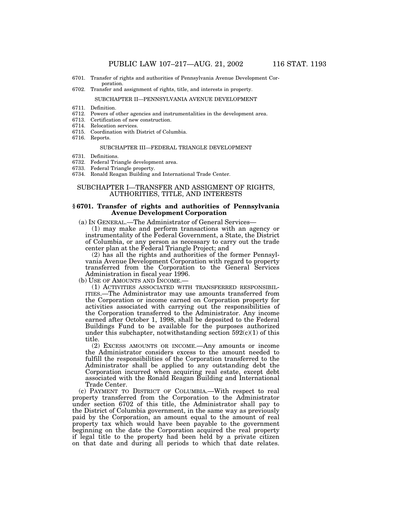- 6701. Transfer of rights and authorities of Pennsylvania Avenue Development Corporation.
- 6702. Transfer and assignment of rights, title, and interests in property.

#### SUBCHAPTER II—PENNSYLVANIA AVENUE DEVELOPMENT

- 6711. Definition.
- 6712. Powers of other agencies and instrumentalities in the development area.
- 6713. Certification of new construction.
- 6714. Relocation services.
- 6715. Coordination with District of Columbia.
- 6716. Reports.

#### SUBCHAPTER III—FEDERAL TRIANGLE DEVELOPMENT

- 6731. Definitions.
- 6732. Federal Triangle development area.
- 6733. Federal Triangle property.
- 6734. Ronald Reagan Building and International Trade Center.

#### SUBCHAPTER I—TRANSFER AND ASSIGMENT OF RIGHTS, AUTHORITIES, TITLE, AND INTERESTS

#### **§ 6701. Transfer of rights and authorities of Pennsylvania Avenue Development Corporation**

(a) IN GENERAL.—The Administrator of General Services— (1) may make and perform transactions with an agency or instrumentality of the Federal Government, a State, the District of Columbia, or any person as necessary to carry out the trade center plan at the Federal Triangle Project; and

(2) has all the rights and authorities of the former Pennsylvania Avenue Development Corporation with regard to property transferred from the Corporation to the General Services Administration in fiscal year 1996.

(b) USE OF AMOUNTS AND INCOME.

(1) ACTIVITIES ASSOCIATED WITH TRANSFERRED RESPONSIBIL-ITIES.—The Administrator may use amounts transferred from the Corporation or income earned on Corporation property for activities associated with carrying out the responsibilities of the Corporation transferred to the Administrator. Any income earned after October 1, 1998, shall be deposited to the Federal Buildings Fund to be available for the purposes authorized under this subchapter, notwithstanding section  $592(c)(1)$  of this title.

(2) EXCESS AMOUNTS OR INCOME.—Any amounts or income the Administrator considers excess to the amount needed to fulfill the responsibilities of the Corporation transferred to the Administrator shall be applied to any outstanding debt the Corporation incurred when acquiring real estate, except debt associated with the Ronald Reagan Building and International Trade Center.

(c) PAYMENT TO DISTRICT OF COLUMBIA.—With respect to real property transferred from the Corporation to the Administrator under section 6702 of this title, the Administrator shall pay to the District of Columbia government, in the same way as previously paid by the Corporation, an amount equal to the amount of real property tax which would have been payable to the government beginning on the date the Corporation acquired the real property if legal title to the property had been held by a private citizen on that date and during all periods to which that date relates.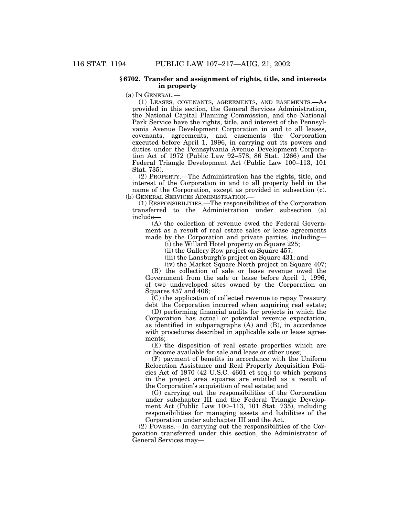## **§ 6702. Transfer and assignment of rights, title, and interests in property**

(a) IN GENERAL.—

(1) LEASES, COVENANTS, AGREEMENTS, AND EASEMENTS.—As provided in this section, the General Services Administration, the National Capital Planning Commission, and the National Park Service have the rights, title, and interest of the Pennsylvania Avenue Development Corporation in and to all leases, covenants, agreements, and easements the Corporation executed before April 1, 1996, in carrying out its powers and duties under the Pennsylvania Avenue Development Corporation Act of 1972 (Public Law 92–578, 86 Stat. 1266) and the Federal Triangle Development Act (Public Law 100–113, 101 Stat. 735).

(2) PROPERTY.—The Administration has the rights, title, and interest of the Corporation in and to all property held in the name of the Corporation, except as provided in subsection (c). (b) GENERAL SERVICES ADMINISTRATION.—

(1) RESPONSIBILITIES.—The responsibilities of the Corporation transferred to the Administration under subsection (a) include—

(A) the collection of revenue owed the Federal Government as a result of real estate sales or lease agreements made by the Corporation and private parties, including—

(i) the Willard Hotel property on Square 225;

(ii) the Gallery Row project on Square 457;

(iii) the Lansburgh's project on Square 431; and

(iv) the Market Square North project on Square 407;

(B) the collection of sale or lease revenue owed the Government from the sale or lease before April 1, 1996, of two undeveloped sites owned by the Corporation on Squares 457 and 406;

(C) the application of collected revenue to repay Treasury debt the Corporation incurred when acquiring real estate;

(D) performing financial audits for projects in which the Corporation has actual or potential revenue expectation, as identified in subparagraphs (A) and (B), in accordance with procedures described in applicable sale or lease agreements;

(E) the disposition of real estate properties which are or become available for sale and lease or other uses;

(F) payment of benefits in accordance with the Uniform Relocation Assistance and Real Property Acquisition Policies Act of 1970 (42 U.S.C. 4601 et seq.) to which persons in the project area squares are entitled as a result of the Corporation's acquisition of real estate; and

(G) carrying out the responsibilities of the Corporation under subchapter III and the Federal Triangle Development Act (Public Law 100–113, 101 Stat. 735), including responsibilities for managing assets and liabilities of the Corporation under subchapter III and the Act.

(2) POWERS.—In carrying out the responsibilities of the Corporation transferred under this section, the Administrator of General Services may—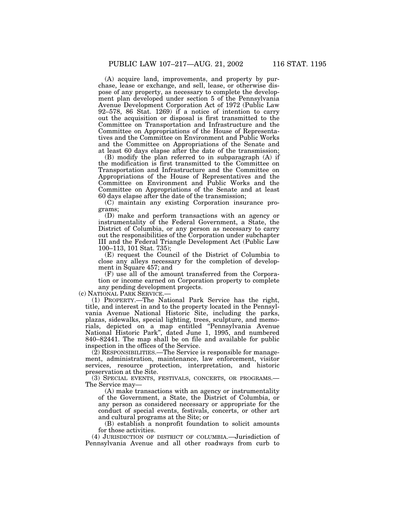(A) acquire land, improvements, and property by purchase, lease or exchange, and sell, lease, or otherwise dispose of any property, as necessary to complete the development plan developed under section 5 of the Pennsylvania Avenue Development Corporation Act of 1972 (Public Law 92–578, 86 Stat. 1269) if a notice of intention to carry out the acquisition or disposal is first transmitted to the Committee on Transportation and Infrastructure and the Committee on Appropriations of the House of Representatives and the Committee on Environment and Public Works and the Committee on Appropriations of the Senate and at least 60 days elapse after the date of the transmission;

(B) modify the plan referred to in subparagraph (A) if the modification is first transmitted to the Committee on Transportation and Infrastructure and the Committee on Appropriations of the House of Representatives and the Committee on Environment and Public Works and the Committee on Appropriations of the Senate and at least 60 days elapse after the date of the transmission;

(C) maintain any existing Corporation insurance programs;

(D) make and perform transactions with an agency or instrumentality of the Federal Government, a State, the District of Columbia, or any person as necessary to carry out the responsibilities of the Corporation under subchapter III and the Federal Triangle Development Act (Public Law 100–113, 101 Stat. 735);

(E) request the Council of the District of Columbia to close any alleys necessary for the completion of development in Square 457; and

(F) use all of the amount transferred from the Corporation or income earned on Corporation property to complete any pending development projects.

(c) NATIONAL PARK SERVICE.—

(1) PROPERTY.—The National Park Service has the right, title, and interest in and to the property located in the Pennsylvania Avenue National Historic Site, including the parks, plazas, sidewalks, special lighting, trees, sculpture, and memorials, depicted on a map entitled ''Pennsylvania Avenue National Historic Park'', dated June 1, 1995, and numbered 840–82441. The map shall be on file and available for public inspection in the offices of the Service.

(2) RESPONSIBILITIES.—The Service is responsible for management, administration, maintenance, law enforcement, visitor services, resource protection, interpretation, and historic preservation at the Site.

(3) SPECIAL EVENTS, FESTIVALS, CONCERTS, OR PROGRAMS.— The Service may—

(A) make transactions with an agency or instrumentality of the Government, a State, the District of Columbia, or any person as considered necessary or appropriate for the conduct of special events, festivals, concerts, or other art and cultural programs at the Site; or

(B) establish a nonprofit foundation to solicit amounts for those activities.

(4) JURISDICTION OF DISTRICT OF COLUMBIA.—Jurisdiction of Pennsylvania Avenue and all other roadways from curb to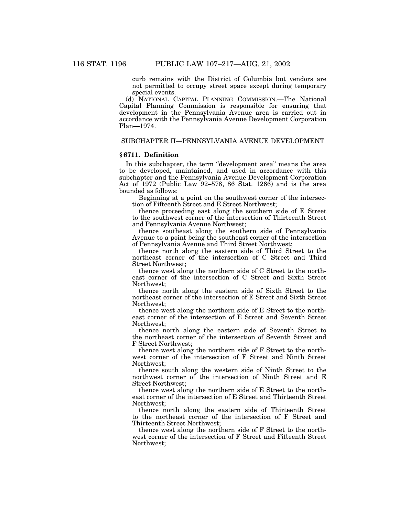curb remains with the District of Columbia but vendors are not permitted to occupy street space except during temporary special events.

(d) NATIONAL CAPITAL PLANNING COMMISSION.—The National Capital Planning Commission is responsible for ensuring that development in the Pennsylvania Avenue area is carried out in accordance with the Pennsylvania Avenue Development Corporation Plan—1974.

## SUBCHAPTER II—PENNSYLVANIA AVENUE DEVELOPMENT

## **§ 6711. Definition**

In this subchapter, the term ''development area'' means the area to be developed, maintained, and used in accordance with this subchapter and the Pennsylvania Avenue Development Corporation Act of 1972 (Public Law 92–578, 86 Stat. 1266) and is the area bounded as follows:

Beginning at a point on the southwest corner of the intersection of Fifteenth Street and E Street Northwest;

thence proceeding east along the southern side of E Street to the southwest corner of the intersection of Thirteenth Street and Pennsylvania Avenue Northwest;

thence southeast along the southern side of Pennsylvania Avenue to a point being the southeast corner of the intersection of Pennsylvania Avenue and Third Street Northwest;

thence north along the eastern side of Third Street to the northeast corner of the intersection of C Street and Third Street Northwest;

thence west along the northern side of C Street to the northeast corner of the intersection of C Street and Sixth Street Northwest;

thence north along the eastern side of Sixth Street to the northeast corner of the intersection of E Street and Sixth Street Northwest;

thence west along the northern side of E Street to the northeast corner of the intersection of E Street and Seventh Street Northwest;

thence north along the eastern side of Seventh Street to the northeast corner of the intersection of Seventh Street and F Street Northwest;

thence west along the northern side of F Street to the northwest corner of the intersection of F Street and Ninth Street Northwest;

thence south along the western side of Ninth Street to the northwest corner of the intersection of Ninth Street and E Street Northwest;

thence west along the northern side of E Street to the northeast corner of the intersection of E Street and Thirteenth Street Northwest;

thence north along the eastern side of Thirteenth Street to the northeast corner of the intersection of F Street and Thirteenth Street Northwest;

thence west along the northern side of F Street to the northwest corner of the intersection of F Street and Fifteenth Street Northwest;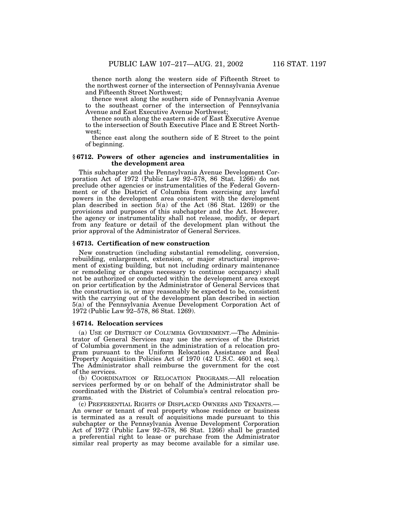thence north along the western side of Fifteenth Street to the northwest corner of the intersection of Pennsylvania Avenue and Fifteenth Street Northwest;

thence west along the southern side of Pennsylvania Avenue to the southeast corner of the intersection of Pennsylvania Avenue and East Executive Avenue Northwest;

thence south along the eastern side of East Executive Avenue to the intersection of South Executive Place and E Street Northwest;

thence east along the southern side of E Street to the point of beginning.

#### **§ 6712. Powers of other agencies and instrumentalities in the development area**

This subchapter and the Pennsylvania Avenue Development Corporation Act of 1972 (Public Law 92–578, 86 Stat. 1266) do not preclude other agencies or instrumentalities of the Federal Government or of the District of Columbia from exercising any lawful powers in the development area consistent with the development plan described in section 5(a) of the Act (86 Stat. 1269) or the provisions and purposes of this subchapter and the Act. However, the agency or instrumentality shall not release, modify, or depart from any feature or detail of the development plan without the prior approval of the Administrator of General Services.

#### **§ 6713. Certification of new construction**

New construction (including substantial remodeling, conversion, rebuilding, enlargement, extension, or major structural improvement of existing building, but not including ordinary maintenance or remodeling or changes necessary to continue occupancy) shall not be authorized or conducted within the development area except on prior certification by the Administrator of General Services that the construction is, or may reasonably be expected to be, consistent with the carrying out of the development plan described in section 5(a) of the Pennsylvania Avenue Development Corporation Act of 1972 (Public Law 92–578, 86 Stat. 1269).

#### **§ 6714. Relocation services**

(a) USE OF DISTRICT OF COLUMBIA GOVERNMENT.—The Administrator of General Services may use the services of the District of Columbia government in the administration of a relocation program pursuant to the Uniform Relocation Assistance and Real Property Acquisition Policies Act of 1970 (42 U.S.C. 4601 et seq.). The Administrator shall reimburse the government for the cost of the services.

(b) COORDINATION OF RELOCATION PROGRAMS.—All relocation services performed by or on behalf of the Administrator shall be coordinated with the District of Columbia's central relocation programs.<br>
(c) PREFERENTIAL RIGHTS OF DISPLACED OWNERS AND TENANTS.—

An owner or tenant of real property whose residence or business is terminated as a result of acquisitions made pursuant to this subchapter or the Pennsylvania Avenue Development Corporation Act of 1972 (Public Law 92–578, 86 Stat. 1266) shall be granted a preferential right to lease or purchase from the Administrator similar real property as may become available for a similar use.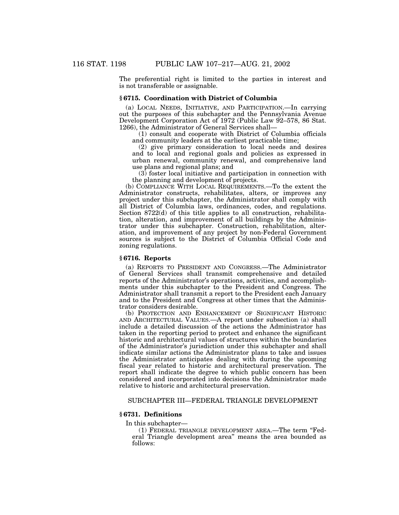The preferential right is limited to the parties in interest and is not transferable or assignable.

## **§ 6715. Coordination with District of Columbia**

(a) LOCAL NEEDS, INITIATIVE, AND PARTICIPATION.—In carrying out the purposes of this subchapter and the Pennsylvania Avenue Development Corporation Act of 1972 (Public Law 92–578, 86 Stat. 1266), the Administrator of General Services shall—

(1) consult and cooperate with District of Columbia officials and community leaders at the earliest practicable time;

(2) give primary consideration to local needs and desires and to local and regional goals and policies as expressed in urban renewal, community renewal, and comprehensive land use plans and regional plans; and

(3) foster local initiative and participation in connection with the planning and development of projects.

(b) COMPLIANCE WITH LOCAL REQUIREMENTS.—To the extent the Administrator constructs, rehabilitates, alters, or improves any project under this subchapter, the Administrator shall comply with all District of Columbia laws, ordinances, codes, and regulations. Section 8722(d) of this title applies to all construction, rehabilitation, alteration, and improvement of all buildings by the Administrator under this subchapter. Construction, rehabilitation, alteration, and improvement of any project by non-Federal Government sources is subject to the District of Columbia Official Code and zoning regulations.

#### **§ 6716. Reports**

(a) REPORTS TO PRESIDENT AND CONGRESS.—The Administrator of General Services shall transmit comprehensive and detailed reports of the Administrator's operations, activities, and accomplishments under this subchapter to the President and Congress. The Administrator shall transmit a report to the President each January and to the President and Congress at other times that the Administrator considers desirable.

(b) PROTECTION AND ENHANCEMENT OF SIGNIFICANT HISTORIC AND ARCHITECTURAL VALUES.—A report under subsection (a) shall include a detailed discussion of the actions the Administrator has taken in the reporting period to protect and enhance the significant historic and architectural values of structures within the boundaries of the Administrator's jurisdiction under this subchapter and shall indicate similar actions the Administrator plans to take and issues the Administrator anticipates dealing with during the upcoming fiscal year related to historic and architectural preservation. The report shall indicate the degree to which public concern has been considered and incorporated into decisions the Administrator made relative to historic and architectural preservation.

## SUBCHAPTER III—FEDERAL TRIANGLE DEVELOPMENT

## **§ 6731. Definitions**

In this subchapter—

(1) FEDERAL TRIANGLE DEVELOPMENT AREA.—The term ''Federal Triangle development area'' means the area bounded as follows: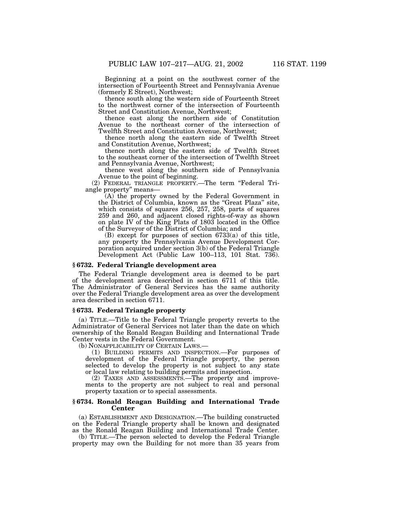Beginning at a point on the southwest corner of the intersection of Fourteenth Street and Pennsylvania Avenue (formerly E Street), Northwest;

thence south along the western side of Fourteenth Street to the northwest corner of the intersection of Fourteenth Street and Constitution Avenue, Northwest;

thence east along the northern side of Constitution Avenue to the northeast corner of the intersection of Twelfth Street and Constitution Avenue, Northwest;

thence north along the eastern side of Twelfth Street and Constitution Avenue, Northwest;

thence north along the eastern side of Twelfth Street to the southeast corner of the intersection of Twelfth Street and Pennsylvania Avenue, Northwest;

thence west along the southern side of Pennsylvania Avenue to the point of beginning.

(2) FEDERAL TRIANGLE PROPERTY.—The term ''Federal Triangle property'' means—

(A) the property owned by the Federal Government in the District of Columbia, known as the ''Great Plaza'' site, which consists of squares 256, 257, 258, parts of squares 259 and 260, and adjacent closed rights-of-way as shown on plate IV of the King Plats of 1803 located in the Office of the Surveyor of the District of Columbia; and

(B) except for purposes of section 6733(a) of this title, any property the Pennsylvania Avenue Development Corporation acquired under section 3(b) of the Federal Triangle Development Act (Public Law 100–113, 101 Stat. 736).

## **§ 6732. Federal Triangle development area**

The Federal Triangle development area is deemed to be part of the development area described in section 6711 of this title. The Administrator of General Services has the same authority over the Federal Triangle development area as over the development area described in section 6711.

## **§ 6733. Federal Triangle property**

(a) TITLE.—Title to the Federal Triangle property reverts to the Administrator of General Services not later than the date on which ownership of the Ronald Reagan Building and International Trade Center vests in the Federal Government.

(b) NONAPPLICABILITY OF CERTAIN LAWS.—

(1) BUILDING PERMITS AND INSPECTION.—For purposes of development of the Federal Triangle property, the person selected to develop the property is not subject to any state or local law relating to building permits and inspection.

(2) TAXES AND ASSESSMENTS.—The property and improvements to the property are not subject to real and personal property taxation or to special assessments.

## **§ 6734. Ronald Reagan Building and International Trade Center**

(a) ESTABLISHMENT AND DESIGNATION.—The building constructed on the Federal Triangle property shall be known and designated as the Ronald Reagan Building and International Trade Center.

(b) TITLE.—The person selected to develop the Federal Triangle property may own the Building for not more than 35 years from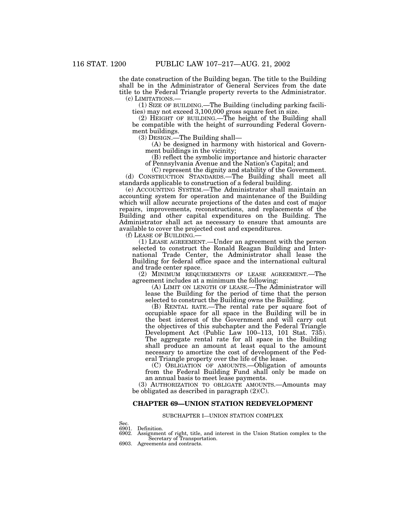the date construction of the Building began. The title to the Building shall be in the Administrator of General Services from the date title to the Federal Triangle property reverts to the Administrator. (c) LIMITATIONS.— (1) SIZE OF BUILDING.—The Building (including parking facili-

ties) may not exceed 3,100,000 gross square feet in size.

 $(2)$  HEIGHT OF BUILDING.—The height of the Building shall be compatible with the height of surrounding Federal Government buildings.<br>(3) DESIGN.—The Building shall—

 $(A)$  be designed in harmony with historical and Government buildings in the vicinity;

(B) reflect the symbolic importance and historic character of Pennsylvania Avenue and the Nation's Capital; and

(C) represent the dignity and stability of the Government. (d) CONSTRUCTION STANDARDS.—The Building shall meet all standards applicable to construction of a federal building.

(e) ACCOUNTING SYSTEM.—The Administrator shall maintain an accounting system for operation and maintenance of the Building which will allow accurate projections of the dates and cost of major repairs, improvements, reconstructions, and replacements of the Building and other capital expenditures on the Building. The Administrator shall act as necessary to ensure that amounts are available to cover the projected cost and expenditures.

(f) LEASE OF BUILDING.—

(1) LEASE AGREEMENT.—Under an agreement with the person selected to construct the Ronald Reagan Building and International Trade Center, the Administrator shall lease the Building for federal office space and the international cultural and trade center space.

(2) MINIMUM REQUIREMENTS OF LEASE AGREEMENT.—The agreement includes at a minimum the following:

(A) LIMIT ON LENGTH OF LEASE.—The Administrator will lease the Building for the period of time that the person selected to construct the Building owns the Building.

(B) RENTAL RATE.—The rental rate per square foot of occupiable space for all space in the Building will be in the best interest of the Government and will carry out the objectives of this subchapter and the Federal Triangle Development Act (Public Law 100–113, 101 Stat. 735). The aggregate rental rate for all space in the Building shall produce an amount at least equal to the amount necessary to amortize the cost of development of the Federal Triangle property over the life of the lease.

(C) OBLIGATION OF AMOUNTS.—Obligation of amounts from the Federal Building Fund shall only be made on an annual basis to meet lease payments.

(3) AUTHORIZATION TO OBLIGATE AMOUNTS.—Amounts may be obligated as described in paragraph  $(2)(C)$ .

## **CHAPTER 69—UNION STATION REDEVELOPMENT**

## SUBCHAPTER I—UNION STATION COMPLEX

Sec.

6901. Definition.<br>6902. Assignmen 6902. Assignment of right, title, and interest in the Union Station complex to the

Secretary of Transportation.

6903. Agreements and contracts.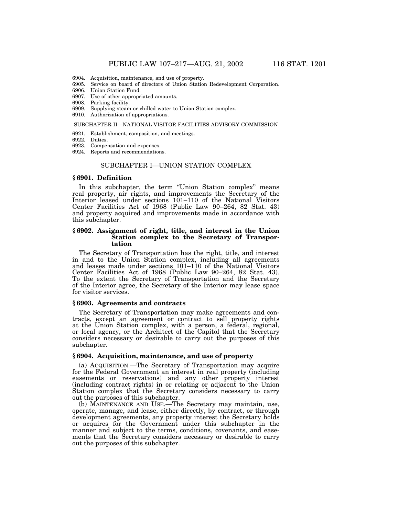- 6904. Acquisition, maintenance, and use of property.
- 6905. Service on board of directors of Union Station Redevelopment Corporation.
- 6906. Union Station Fund.

6907. Use of other appropriated amounts.

- 6908. Parking facility.
- 6909. Supplying steam or chilled water to Union Station complex.
- 6910. Authorization of appropriations.

#### SUBCHAPTER II—NATIONAL VISITOR FACILITIES ADVISORY COMMISSION

- 6921. Establishment, composition, and meetings.
- 6922. Duties.
- 6923. Compensation and expenses.
- 6924. Reports and recommendations.

## SUBCHAPTER I—UNION STATION COMPLEX

#### **§ 6901. Definition**

In this subchapter, the term "Union Station complex" means real property, air rights, and improvements the Secretary of the Interior leased under sections 101–110 of the National Visitors Center Facilities Act of 1968 (Public Law 90–264, 82 Stat. 43) and property acquired and improvements made in accordance with this subchapter.

#### **§ 6902. Assignment of right, title, and interest in the Union Station complex to the Secretary of Transportation**

The Secretary of Transportation has the right, title, and interest in and to the Union Station complex, including all agreements and leases made under sections 101–110 of the National Visitors Center Facilities Act of 1968 (Public Law 90–264, 82 Stat. 43). To the extent the Secretary of Transportation and the Secretary of the Interior agree, the Secretary of the Interior may lease space for visitor services.

#### **§ 6903. Agreements and contracts**

The Secretary of Transportation may make agreements and contracts, except an agreement or contract to sell property rights at the Union Station complex, with a person, a federal, regional, or local agency, or the Architect of the Capitol that the Secretary considers necessary or desirable to carry out the purposes of this subchapter.

#### **§ 6904. Acquisition, maintenance, and use of property**

(a) ACQUISITION.—The Secretary of Transportation may acquire for the Federal Government an interest in real property (including easements or reservations) and any other property interest (including contract rights) in or relating or adjacent to the Union Station complex that the Secretary considers necessary to carry out the purposes of this subchapter.

(b) MAINTENANCE AND USE.—The Secretary may maintain, use, operate, manage, and lease, either directly, by contract, or through development agreements, any property interest the Secretary holds or acquires for the Government under this subchapter in the manner and subject to the terms, conditions, covenants, and easements that the Secretary considers necessary or desirable to carry out the purposes of this subchapter.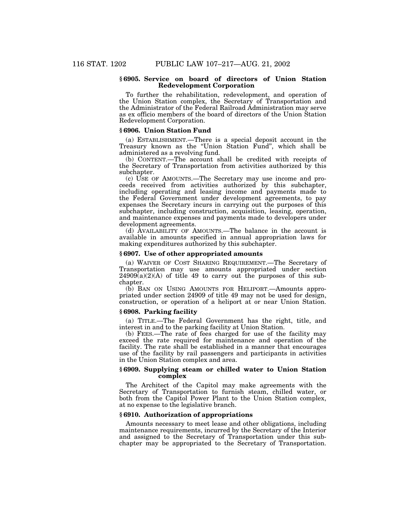## **§ 6905. Service on board of directors of Union Station Redevelopment Corporation**

To further the rehabilitation, redevelopment, and operation of the Union Station complex, the Secretary of Transportation and the Administrator of the Federal Railroad Administration may serve as ex officio members of the board of directors of the Union Station Redevelopment Corporation.

## **§ 6906. Union Station Fund**

(a) ESTABLISHMENT.—There is a special deposit account in the Treasury known as the ''Union Station Fund'', which shall be administered as a revolving fund.

(b) CONTENT.—The account shall be credited with receipts of the Secretary of Transportation from activities authorized by this subchapter.

(c) USE OF AMOUNTS.—The Secretary may use income and proceeds received from activities authorized by this subchapter, including operating and leasing income and payments made to the Federal Government under development agreements, to pay expenses the Secretary incurs in carrying out the purposes of this subchapter, including construction, acquisition, leasing, operation, and maintenance expenses and payments made to developers under development agreements.

(d) AVAILABILITY OF AMOUNTS.—The balance in the account is available in amounts specified in annual appropriation laws for making expenditures authorized by this subchapter.

#### **§ 6907. Use of other appropriated amounts**

(a) WAIVER OF COST SHARING REQUIREMENT.—The Secretary of Transportation may use amounts appropriated under section  $24909(a)(2)(A)$  of title 49 to carry out the purposes of this subchapter.

(b) BAN ON USING AMOUNTS FOR HELIPORT.—Amounts appropriated under section 24909 of title 49 may not be used for design, construction, or operation of a heliport at or near Union Station.

#### **§ 6908. Parking facility**

(a) TITLE.—The Federal Government has the right, title, and interest in and to the parking facility at Union Station.

(b) FEES.—The rate of fees charged for use of the facility may exceed the rate required for maintenance and operation of the facility. The rate shall be established in a manner that encourages use of the facility by rail passengers and participants in activities in the Union Station complex and area.

#### **§ 6909. Supplying steam or chilled water to Union Station complex**

The Architect of the Capitol may make agreements with the Secretary of Transportation to furnish steam, chilled water, or both from the Capitol Power Plant to the Union Station complex, at no expense to the legislative branch.

#### **§ 6910. Authorization of appropriations**

Amounts necessary to meet lease and other obligations, including maintenance requirements, incurred by the Secretary of the Interior and assigned to the Secretary of Transportation under this subchapter may be appropriated to the Secretary of Transportation.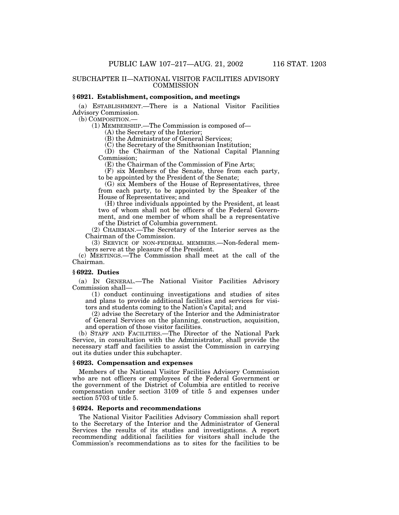#### SUBCHAPTER II—NATIONAL VISITOR FACILITIES ADVISORY **COMMISSION**

## **§ 6921. Establishment, composition, and meetings**

(a) ESTABLISHMENT.—There is a National Visitor Facilities Advisory Commission.<br>(b) COMPOSITION.—

(1) MEMBERSHIP.—The Commission is composed of—<br>(A) the Secretary of the Interior;

(B) the Administrator of General Services;

(C) the Secretary of the Smithsonian Institution;

(D) the Chairman of the National Capital Planning Commission;

(E) the Chairman of the Commission of Fine Arts;

(F) six Members of the Senate, three from each party, to be appointed by the President of the Senate;

(G) six Members of the House of Representatives, three from each party, to be appointed by the Speaker of the House of Representatives; and

(H) three individuals appointed by the President, at least two of whom shall not be officers of the Federal Government, and one member of whom shall be a representative of the District of Columbia government.

(2) CHAIRMAN.—The Secretary of the Interior serves as the Chairman of the Commission.

(3) SERVICE OF NON-FEDERAL MEMBERS.—Non-federal members serve at the pleasure of the President.

(c) MEETINGS.—The Commission shall meet at the call of the Chairman.

## **§ 6922. Duties**

(a) IN GENERAL.—The National Visitor Facilities Advisory Commission shall—

(1) conduct continuing investigations and studies of sites and plans to provide additional facilities and services for visitors and students coming to the Nation's Capital; and

(2) advise the Secretary of the Interior and the Administrator of General Services on the planning, construction, acquisition, and operation of those visitor facilities.

(b) STAFF AND FACILITIES.—The Director of the National Park Service, in consultation with the Administrator, shall provide the necessary staff and facilities to assist the Commission in carrying out its duties under this subchapter.

#### **§ 6923. Compensation and expenses**

Members of the National Visitor Facilities Advisory Commission who are not officers or employees of the Federal Government or the government of the District of Columbia are entitled to receive compensation under section 3109 of title 5 and expenses under section 5703 of title 5.

#### **§ 6924. Reports and recommendations**

The National Visitor Facilities Advisory Commission shall report to the Secretary of the Interior and the Administrator of General Services the results of its studies and investigations. A report recommending additional facilities for visitors shall include the Commission's recommendations as to sites for the facilities to be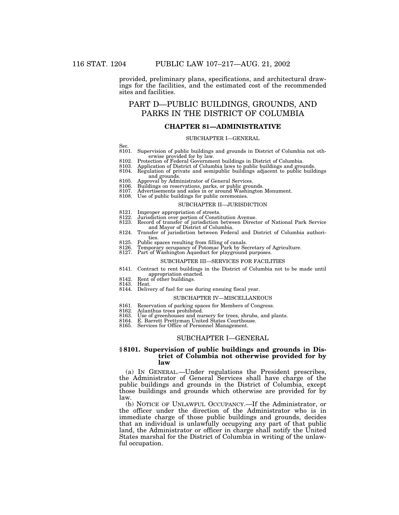provided, preliminary plans, specifications, and architectural drawings for the facilities, and the estimated cost of the recommended sites and facilities.

# PART D—PUBLIC BUILDINGS, GROUNDS, AND PARKS IN THE DISTRICT OF COLUMBIA

#### **CHAPTER 81—ADMINISTRATIVE**

#### SUBCHAPTER I—GENERAL

- Sec.<br>8101.
- Supervision of public buildings and grounds in District of Columbia not otherwise provided for by law.
- 8102. Protection of Federal Government buildings in District of Columbia.<br>8103. Application of District of Columbia laws to public buildings and grou
- 8103. Application of District of Columbia laws to public buildings and grounds. Regulation of private and semipublic buildings adjacent to public buildings
- and grounds.
- 8105. Approval by Administrator of General Services.<br>8106. Buildings on reservations, parks, or public grou
- 8106. Buildings on reservations, parks, or public grounds. 8107. Advertisements and sales in or around Washington Monument.
- 
- 8108. Use of public buildings for public ceremonies.

#### SUBCHAPTER II—JURISDICTION

- 
- 8121. Improper appropriation of streets.<br>8122. Jurisdiction over portion of Consti
- 8122. Jurisdiction over portion of Constitution Avenue. Record of transfer of jurisdiction between Director of National Park Service
- and Mayor of District of Columbia. 8124. Transfer of jurisdiction between Federal and District of Columbia authorities.
- 
- 8125. Public spaces resulting from filling of canals. 8126. Temporary occupancy of Potomac Park by Secretary of Agriculture. 8127. Part of Washington Aqueduct for playground purposes.
- 

#### SUBCHAPTER III—SERVICES FOR FACILITIES

- 8141. Contract to rent buildings in the District of Columbia not to be made until appropriation enacted.
- 8142. Rent of other buildings.
- 8143. Heat.
- 8144. Delivery of fuel for use during ensuing fiscal year.

#### SUBCHAPTER IV—MISCELLANEOUS

- 8161. Reservation of parking spaces for Members of Congress.
- 8162. Ailanthus trees prohibited.<br>8163. Use of greenhouses and nu
- Use of greenhouses and nursery for trees, shrubs, and plants.
- 8164. E. Barrett Prettyman United States Courthouse.
- 8165. Services for Office of Personnel Management.

## SUBCHAPTER I—GENERAL

#### **§ 8101. Supervision of public buildings and grounds in District of Columbia not otherwise provided for by law**

(a) IN GENERAL.—Under regulations the President prescribes, the Administrator of General Services shall have charge of the public buildings and grounds in the District of Columbia, except those buildings and grounds which otherwise are provided for by law.

(b) NOTICE OF UNLAWFUL OCCUPANCY.—If the Administrator, or the officer under the direction of the Administrator who is in immediate charge of those public buildings and grounds, decides that an individual is unlawfully occupying any part of that public land, the Administrator or officer in charge shall notify the United States marshal for the District of Columbia in writing of the unlawful occupation.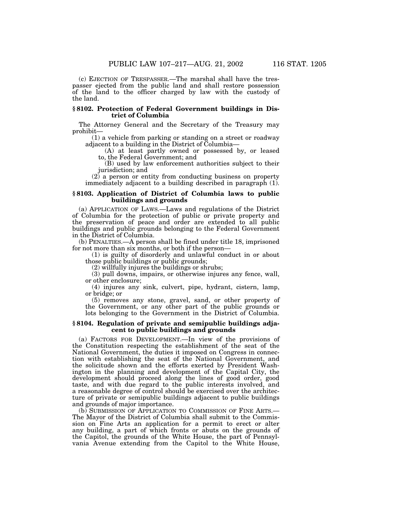(c) EJECTION OF TRESPASSER.—The marshal shall have the trespasser ejected from the public land and shall restore possession of the land to the officer charged by law with the custody of the land.

#### **§ 8102. Protection of Federal Government buildings in District of Columbia**

The Attorney General and the Secretary of the Treasury may prohibit—

(1) a vehicle from parking or standing on a street or roadway adjacent to a building in the District of Columbia—

(A) at least partly owned or possessed by, or leased to, the Federal Government; and

(B) used by law enforcement authorities subject to their jurisdiction; and

(2) a person or entity from conducting business on property immediately adjacent to a building described in paragraph (1).

## **§ 8103. Application of District of Columbia laws to public buildings and grounds**

(a) APPLICATION OF LAWS.—Laws and regulations of the District of Columbia for the protection of public or private property and the preservation of peace and order are extended to all public buildings and public grounds belonging to the Federal Government in the District of Columbia.

(b) PENALTIES.—A person shall be fined under title 18, imprisoned for not more than six months, or both if the person—

(1) is guilty of disorderly and unlawful conduct in or about those public buildings or public grounds;

(2) willfully injures the buildings or shrubs;

(3) pull downs, impairs, or otherwise injures any fence, wall, or other enclosure;

(4) injures any sink, culvert, pipe, hydrant, cistern, lamp, or bridge; or

(5) removes any stone, gravel, sand, or other property of the Government, or any other part of the public grounds or lots belonging to the Government in the District of Columbia.

# **§ 8104. Regulation of private and semipublic buildings adjacent to public buildings and grounds**

(a) FACTORS FOR DEVELOPMENT.—In view of the provisions of the Constitution respecting the establishment of the seat of the National Government, the duties it imposed on Congress in connection with establishing the seat of the National Government, and the solicitude shown and the efforts exerted by President Washington in the planning and development of the Capital City, the development should proceed along the lines of good order, good taste, and with due regard to the public interests involved, and a reasonable degree of control should be exercised over the architecture of private or semipublic buildings adjacent to public buildings and grounds of major importance.

(b) SUBMISSION OF APPLICATION TO COMMISSION OF FINE ARTS.— The Mayor of the District of Columbia shall submit to the Commission on Fine Arts an application for a permit to erect or alter any building, a part of which fronts or abuts on the grounds of the Capitol, the grounds of the White House, the part of Pennsylvania Avenue extending from the Capitol to the White House,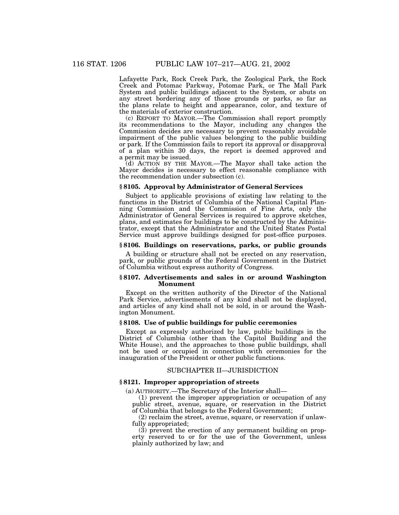Lafayette Park, Rock Creek Park, the Zoological Park, the Rock Creek and Potomac Parkway, Potomac Park, or The Mall Park System and public buildings adjacent to the System, or abuts on any street bordering any of those grounds or parks, so far as the plans relate to height and appearance, color, and texture of the materials of exterior construction.

(c) REPORT TO MAYOR.—The Commission shall report promptly its recommendations to the Mayor, including any changes the Commission decides are necessary to prevent reasonably avoidable impairment of the public values belonging to the public building or park. If the Commission fails to report its approval or disapproval of a plan within 30 days, the report is deemed approved and a permit may be issued.

(d) ACTION BY THE MAYOR.—The Mayor shall take action the Mayor decides is necessary to effect reasonable compliance with the recommendation under subsection (c).

#### **§ 8105. Approval by Administrator of General Services**

Subject to applicable provisions of existing law relating to the functions in the District of Columbia of the National Capital Planning Commission and the Commission of Fine Arts, only the Administrator of General Services is required to approve sketches, plans, and estimates for buildings to be constructed by the Administrator, except that the Administrator and the United States Postal Service must approve buildings designed for post-office purposes.

#### **§ 8106. Buildings on reservations, parks, or public grounds**

A building or structure shall not be erected on any reservation, park, or public grounds of the Federal Government in the District of Columbia without express authority of Congress.

#### **§ 8107. Advertisements and sales in or around Washington Monument**

Except on the written authority of the Director of the National Park Service, advertisements of any kind shall not be displayed, and articles of any kind shall not be sold, in or around the Washington Monument.

## **§ 8108. Use of public buildings for public ceremonies**

Except as expressly authorized by law, public buildings in the District of Columbia (other than the Capitol Building and the White House), and the approaches to those public buildings, shall not be used or occupied in connection with ceremonies for the inauguration of the President or other public functions.

#### SUBCHAPTER II—JURISDICTION

## **§ 8121. Improper appropriation of streets**

(a) AUTHORITY.—The Secretary of the Interior shall—

(1) prevent the improper appropriation or occupation of any public street, avenue, square, or reservation in the District of Columbia that belongs to the Federal Government;

(2) reclaim the street, avenue, square, or reservation if unlawfully appropriated;

(3) prevent the erection of any permanent building on property reserved to or for the use of the Government, unless plainly authorized by law; and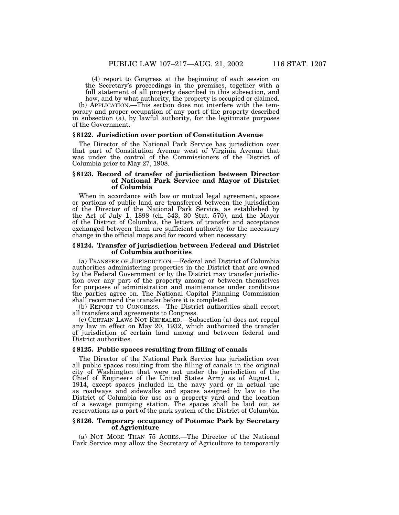(4) report to Congress at the beginning of each session on the Secretary's proceedings in the premises, together with a full statement of all property described in this subsection, and how, and by what authority, the property is occupied or claimed.

(b) APPLICATION.—This section does not interfere with the temporary and proper occupation of any part of the property described in subsection (a), by lawful authority, for the legitimate purposes of the Government.

#### **§ 8122. Jurisdiction over portion of Constitution Avenue**

The Director of the National Park Service has jurisdiction over that part of Constitution Avenue west of Virginia Avenue that was under the control of the Commissioners of the District of Columbia prior to May 27, 1908.

# **§ 8123. Record of transfer of jurisdiction between Director of National Park Service and Mayor of District of Columbia**

When in accordance with law or mutual legal agreement, spaces or portions of public land are transferred between the jurisdiction of the Director of the National Park Service, as established by the Act of July 1, 1898 (ch. 543, 30 Stat. 570), and the Mayor of the District of Columbia, the letters of transfer and acceptance exchanged between them are sufficient authority for the necessary change in the official maps and for record when necessary.

#### **§ 8124. Transfer of jurisdiction between Federal and District of Columbia authorities**

(a) TRANSFER OF JURISDICTION.—Federal and District of Columbia authorities administering properties in the District that are owned by the Federal Government or by the District may transfer jurisdiction over any part of the property among or between themselves for purposes of administration and maintenance under conditions the parties agree on. The National Capital Planning Commission shall recommend the transfer before it is completed.

(b) REPORT TO CONGRESS.—The District authorities shall report all transfers and agreements to Congress.

(c) CERTAIN LAWS NOT REPEALED.—Subsection (a) does not repeal any law in effect on May 20, 1932, which authorized the transfer of jurisdiction of certain land among and between federal and District authorities.

#### **§ 8125. Public spaces resulting from filling of canals**

The Director of the National Park Service has jurisdiction over all public spaces resulting from the filling of canals in the original city of Washington that were not under the jurisdiction of the Chief of Engineers of the United States Army as of August 1, 1914, except spaces included in the navy yard or in actual use as roadways and sidewalks and spaces assigned by law to the District of Columbia for use as a property yard and the location of a sewage pumping station. The spaces shall be laid out as reservations as a part of the park system of the District of Columbia.

#### **§ 8126. Temporary occupancy of Potomac Park by Secretary of Agriculture**

(a) NOT MORE THAN 75 ACRES.—The Director of the National Park Service may allow the Secretary of Agriculture to temporarily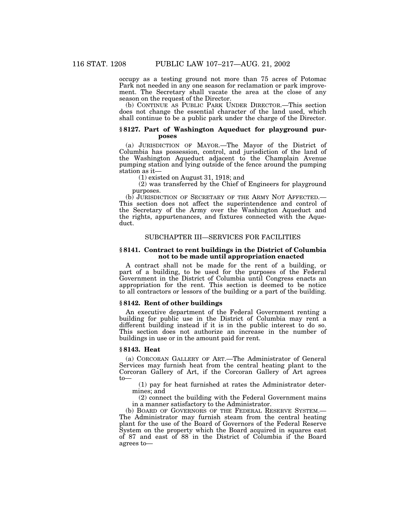occupy as a testing ground not more than 75 acres of Potomac Park not needed in any one season for reclamation or park improvement. The Secretary shall vacate the area at the close of any season on the request of the Director.

(b) CONTINUE AS PUBLIC PARK UNDER DIRECTOR.—This section does not change the essential character of the land used, which shall continue to be a public park under the charge of the Director.

## **§ 8127. Part of Washington Aqueduct for playground purposes**

(a) JURISDICTION OF MAYOR.—The Mayor of the District of Columbia has possession, control, and jurisdiction of the land of the Washington Aqueduct adjacent to the Champlain Avenue pumping station and lying outside of the fence around the pumping station as it—

(1) existed on August 31, 1918; and

(2) was transferred by the Chief of Engineers for playground purposes.

(b) JURISDICTION OF SECRETARY OF THE ARMY NOT AFFECTED.— This section does not affect the superintendence and control of the Secretary of the Army over the Washington Aqueduct and the rights, appurtenances, and fixtures connected with the Aqueduct.

# SUBCHAPTER III—SERVICES FOR FACILITIES

#### **§ 8141. Contract to rent buildings in the District of Columbia not to be made until appropriation enacted**

A contract shall not be made for the rent of a building, or part of a building, to be used for the purposes of the Federal Government in the District of Columbia until Congress enacts an appropriation for the rent. This section is deemed to be notice to all contractors or lessors of the building or a part of the building.

## **§ 8142. Rent of other buildings**

An executive department of the Federal Government renting a building for public use in the District of Columbia may rent a different building instead if it is in the public interest to do so. This section does not authorize an increase in the number of buildings in use or in the amount paid for rent.

# **§ 8143. Heat**

(a) CORCORAN GALLERY OF ART.—The Administrator of General Services may furnish heat from the central heating plant to the Corcoran Gallery of Art, if the Corcoran Gallery of Art agrees to—

(1) pay for heat furnished at rates the Administrator determines; and

(2) connect the building with the Federal Government mains in a manner satisfactory to the Administrator.

(b) BOARD OF GOVERNORS OF THE FEDERAL RESERVE SYSTEM.— The Administrator may furnish steam from the central heating plant for the use of the Board of Governors of the Federal Reserve System on the property which the Board acquired in squares east of 87 and east of 88 in the District of Columbia if the Board agrees to—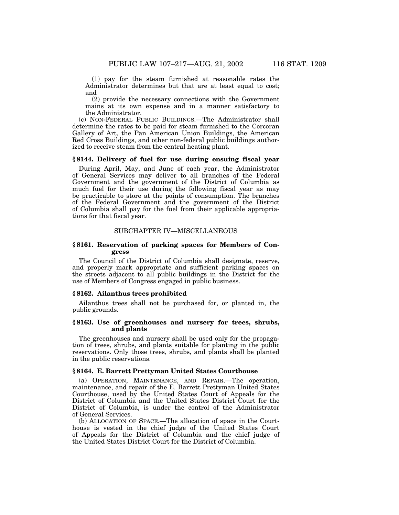(1) pay for the steam furnished at reasonable rates the Administrator determines but that are at least equal to cost; and

(2) provide the necessary connections with the Government mains at its own expense and in a manner satisfactory to the Administrator.

(c) NON-FEDERAL PUBLIC BUILDINGS.—The Administrator shall determine the rates to be paid for steam furnished to the Corcoran Gallery of Art, the Pan American Union Buildings, the American Red Cross Buildings, and other non-federal public buildings authorized to receive steam from the central heating plant.

#### **§ 8144. Delivery of fuel for use during ensuing fiscal year**

During April, May, and June of each year, the Administrator of General Services may deliver to all branches of the Federal Government and the government of the District of Columbia as much fuel for their use during the following fiscal year as may be practicable to store at the points of consumption. The branches of the Federal Government and the government of the District of Columbia shall pay for the fuel from their applicable appropriations for that fiscal year.

# SUBCHAPTER IV—MISCELLANEOUS

## **§ 8161. Reservation of parking spaces for Members of Congress**

The Council of the District of Columbia shall designate, reserve, and properly mark appropriate and sufficient parking spaces on the streets adjacent to all public buildings in the District for the use of Members of Congress engaged in public business.

## **§ 8162. Ailanthus trees prohibited**

Ailanthus trees shall not be purchased for, or planted in, the public grounds.

# **§ 8163. Use of greenhouses and nursery for trees, shrubs, and plants**

The greenhouses and nursery shall be used only for the propagation of trees, shrubs, and plants suitable for planting in the public reservations. Only those trees, shrubs, and plants shall be planted in the public reservations.

#### **§ 8164. E. Barrett Prettyman United States Courthouse**

(a) OPERATION, MAINTENANCE, AND REPAIR.—The operation, maintenance, and repair of the E. Barrett Prettyman United States Courthouse, used by the United States Court of Appeals for the District of Columbia and the United States District Court for the District of Columbia, is under the control of the Administrator of General Services.

(b) ALLOCATION OF SPACE.—The allocation of space in the Courthouse is vested in the chief judge of the United States Court of Appeals for the District of Columbia and the chief judge of the United States District Court for the District of Columbia.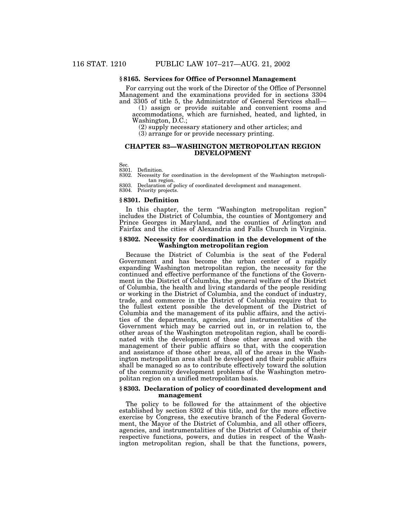# **§ 8165. Services for Office of Personnel Management**

For carrying out the work of the Director of the Office of Personnel Management and the examinations provided for in sections 3304 and 3305 of title 5, the Administrator of General Services shall—

(1) assign or provide suitable and convenient rooms and accommodations, which are furnished, heated, and lighted, in Washington, D.C.;

(2) supply necessary stationery and other articles; and

(3) arrange for or provide necessary printing.

#### **CHAPTER 83—WASHINGTON METROPOLITAN REGION DEVELOPMENT**

Sec.

8301. Definition.

8302. Necessity for coordination in the development of the Washington metropolitan region.

8303. Declaration of policy of coordinated development and management. 8303. Declaration of po<br>8304. Priority projects.

## **§ 8301. Definition**

In this chapter, the term ''Washington metropolitan region'' includes the District of Columbia, the counties of Montgomery and Prince Georges in Maryland, and the counties of Arlington and Fairfax and the cities of Alexandria and Falls Church in Virginia.

## **§ 8302. Necessity for coordination in the development of the Washington metropolitan region**

Because the District of Columbia is the seat of the Federal Government and has become the urban center of a rapidly expanding Washington metropolitan region, the necessity for the continued and effective performance of the functions of the Government in the District of Columbia, the general welfare of the District of Columbia, the health and living standards of the people residing or working in the District of Columbia, and the conduct of industry, trade, and commerce in the District of Columbia require that to the fullest extent possible the development of the District of Columbia and the management of its public affairs, and the activities of the departments, agencies, and instrumentalities of the Government which may be carried out in, or in relation to, the other areas of the Washington metropolitan region, shall be coordinated with the development of those other areas and with the management of their public affairs so that, with the cooperation and assistance of those other areas, all of the areas in the Washington metropolitan area shall be developed and their public affairs shall be managed so as to contribute effectively toward the solution of the community development problems of the Washington metropolitan region on a unified metropolitan basis.

#### **§ 8303. Declaration of policy of coordinated development and management**

The policy to be followed for the attainment of the objective established by section 8302 of this title, and for the more effective exercise by Congress, the executive branch of the Federal Government, the Mayor of the District of Columbia, and all other officers, agencies, and instrumentalities of the District of Columbia of their respective functions, powers, and duties in respect of the Washington metropolitan region, shall be that the functions, powers,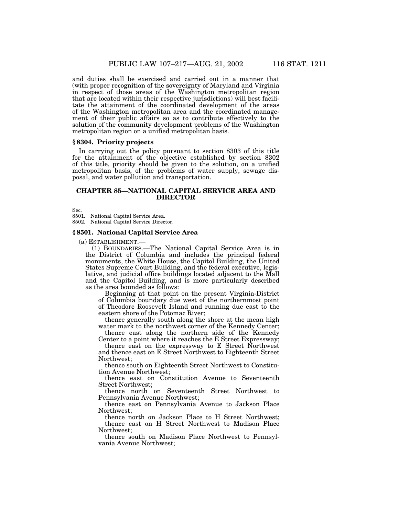and duties shall be exercised and carried out in a manner that (with proper recognition of the sovereignty of Maryland and Virginia in respect of those areas of the Washington metropolitan region that are located within their respective jurisdictions) will best facilitate the attainment of the coordinated development of the areas of the Washington metropolitan area and the coordinated management of their public affairs so as to contribute effectively to the solution of the community development problems of the Washington metropolitan region on a unified metropolitan basis.

#### **§ 8304. Priority projects**

In carrying out the policy pursuant to section 8303 of this title for the attainment of the objective established by section 8302 of this title, priority should be given to the solution, on a unified metropolitan basis, of the problems of water supply, sewage disposal, and water pollution and transportation.

#### **CHAPTER 85—NATIONAL CAPITAL SERVICE AREA AND DIRECTOR**

Sec.

8501. National Capital Service Area.

8502. National Capital Service Director.

#### **§ 8501. National Capital Service Area**

(a) ESTABLISHMENT.—

(1) BOUNDARIES.—The National Capital Service Area is in the District of Columbia and includes the principal federal monuments, the White House, the Capitol Building, the United States Supreme Court Building, and the federal executive, legislative, and judicial office buildings located adjacent to the Mall and the Capitol Building, and is more particularly described as the area bounded as follows:

Beginning at that point on the present Virginia-District of Columbia boundary due west of the northernmost point of Theodore Roosevelt Island and running due east to the eastern shore of the Potomac River;

thence generally south along the shore at the mean high water mark to the northwest corner of the Kennedy Center;

thence east along the northern side of the Kennedy Center to a point where it reaches the E Street Expressway;

thence east on the expressway to E Street Northwest and thence east on E Street Northwest to Eighteenth Street Northwest;

thence south on Eighteenth Street Northwest to Constitution Avenue Northwest;

thence east on Constitution Avenue to Seventeenth Street Northwest;

thence north on Seventeenth Street Northwest to Pennsylvania Avenue Northwest;

thence east on Pennsylvania Avenue to Jackson Place Northwest;

thence north on Jackson Place to H Street Northwest; thence east on H Street Northwest to Madison Place Northwest;

thence south on Madison Place Northwest to Pennsylvania Avenue Northwest;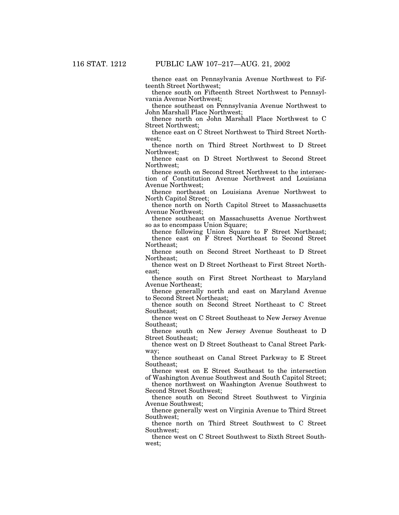thence east on Pennsylvania Avenue Northwest to Fifteenth Street Northwest;

thence south on Fifteenth Street Northwest to Pennsylvania Avenue Northwest;

thence southeast on Pennsylvania Avenue Northwest to John Marshall Place Northwest;

thence north on John Marshall Place Northwest to C Street Northwest;

thence east on C Street Northwest to Third Street Northwest;

thence north on Third Street Northwest to D Street Northwest;

thence east on D Street Northwest to Second Street Northwest;

thence south on Second Street Northwest to the intersection of Constitution Avenue Northwest and Louisiana Avenue Northwest;

thence northeast on Louisiana Avenue Northwest to North Capitol Street;

thence north on North Capitol Street to Massachusetts Avenue Northwest;

thence southeast on Massachusetts Avenue Northwest so as to encompass Union Square;

thence following Union Square to F Street Northeast; thence east on F Street Northeast to Second Street Northeast;

thence south on Second Street Northeast to D Street Northeast;

thence west on D Street Northeast to First Street Northeast;

thence south on First Street Northeast to Maryland Avenue Northeast;

thence generally north and east on Maryland Avenue to Second Street Northeast;

thence south on Second Street Northeast to C Street Southeast;

thence west on C Street Southeast to New Jersey Avenue Southeast;

thence south on New Jersey Avenue Southeast to D Street Southeast;

thence west on D Street Southeast to Canal Street Parkway;

thence southeast on Canal Street Parkway to E Street Southeast;

thence west on E Street Southeast to the intersection of Washington Avenue Southwest and South Capitol Street;

thence northwest on Washington Avenue Southwest to Second Street Southwest;

thence south on Second Street Southwest to Virginia Avenue Southwest;

thence generally west on Virginia Avenue to Third Street Southwest;

thence north on Third Street Southwest to C Street Southwest;

thence west on C Street Southwest to Sixth Street Southwest;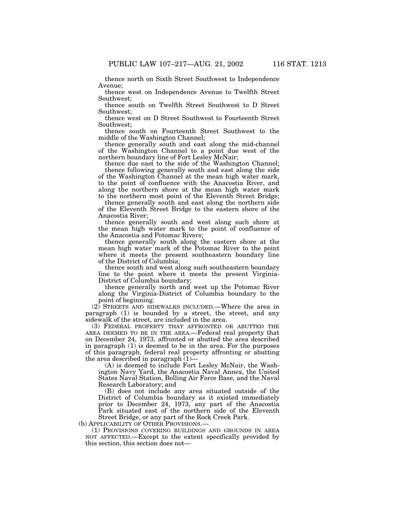thence north on Sixth Street Southwest to Independence Avenue;

thence west on Independence Avenue to Twelfth Street Southwest;

thence south on Twelfth Street Southwest to D Street Southwest;

thence west on D Street Southwest to Fourteenth Street Southwest;

thence south on Fourteenth Street Southwest to the middle of the Washington Channel;

thence generally south and east along the mid-channel of the Washington Channel to a point due west of the northern boundary line of Fort Lesley McNair;

thence due east to the side of the Washington Channel;

thence following generally south and east along the side of the Washington Channel at the mean high water mark, to the point of confluence with the Anacostia River, and along the northern shore at the mean high water mark to the northern most point of the Eleventh Street Bridge;

thence generally south and east along the northern side of the Eleventh Street Bridge to the eastern shore of the Anacostia River;

thence generally south and west along such shore at the mean high water mark to the point of confluence of the Anacostia and Potomac Rivers;

thence generally south along the eastern shore at the mean high water mark of the Potomac River to the point where it meets the present southeastern boundary line of the District of Columbia;

thence south and west along such southeastern boundary line to the point where it meets the present Virginia-District of Columbia boundary;

thence generally north and west up the Potomac River along the Virginia-District of Columbia boundary to the point of beginning.

(2) STREETS AND SIDEWALKS INCLUDED.—Where the area in paragraph (1) is bounded by a street, the street, and any sidewalk of the street, are included in the area.

(3) FEDERAL PROPERTY THAT AFFRONTED OR ABUTTED THE AREA DEEMED TO BE IN THE AREA.—Federal real property that on December 24, 1973, affronted or abutted the area described in paragraph  $(1)$  is deemed to be in the area. For the purposes of this paragraph, federal real property affronting or abutting the area described in paragraph  $(1)$ —

(A) is deemed to include Fort Lesley McNair, the Washington Navy Yard, the Anacostia Naval Annex, the United States Naval Station, Bolling Air Force Base, and the Naval Research Laboratory; and

(B) does not include any area situated outside of the District of Columbia boundary as it existed immediately prior to December 24, 1973, any part of the Anacostia Park situated east of the northern side of the Eleventh Street Bridge, or any part of the Rock Creek Park.

(b) APPLICABILITY OF OTHER PROVISIONS.—

(1) PROVISIONS COVERING BUILDINGS AND GROUNDS IN AREA NOT AFFECTED.—Except to the extent specifically provided by this section, this section does not—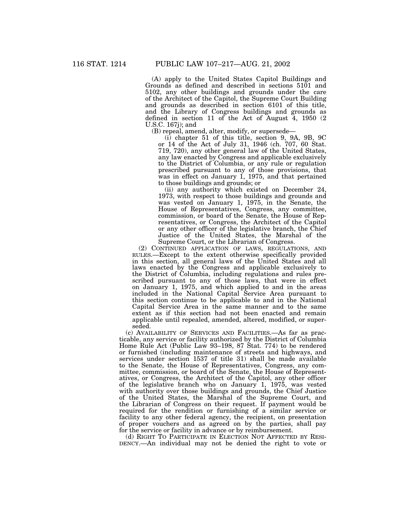(A) apply to the United States Capitol Buildings and Grounds as defined and described in sections 5101 and 5102, any other buildings and grounds under the care of the Architect of the Capitol, the Supreme Court Building and grounds as described in section 6101 of this title, and the Library of Congress buildings and grounds as defined in section 11 of the Act of August 4, 1950 (2 U.S.C. 167j); and

(B) repeal, amend, alter, modify, or supersede—

(i) chapter 51 of this title, section 9, 9A, 9B, 9C or 14 of the Act of July 31, 1946 (ch. 707, 60 Stat. 719, 720), any other general law of the United States, any law enacted by Congress and applicable exclusively to the District of Columbia, or any rule or regulation prescribed pursuant to any of those provisions, that was in effect on January 1, 1975, and that pertained to those buildings and grounds; or

(ii) any authority which existed on December 24, 1973, with respect to those buildings and grounds and was vested on January 1, 1975, in the Senate, the House of Representatives, Congress, any committee, commission, or board of the Senate, the House of Representatives, or Congress, the Architect of the Capitol or any other officer of the legislative branch, the Chief Justice of the United States, the Marshal of the Supreme Court, or the Librarian of Congress.

(2) CONTINUED APPLICATION OF LAWS, REGULATIONS, AND RULES.—Except to the extent otherwise specifically provided in this section, all general laws of the United States and all laws enacted by the Congress and applicable exclusively to the District of Columbia, including regulations and rules prescribed pursuant to any of those laws, that were in effect on January 1, 1975, and which applied to and in the areas included in the National Capital Service Area pursuant to this section continue to be applicable to and in the National Capital Service Area in the same manner and to the same extent as if this section had not been enacted and remain applicable until repealed, amended, altered, modified, or superseded.

(c) AVAILABILITY OF SERVICES AND FACILITIES.—As far as practicable, any service or facility authorized by the District of Columbia Home Rule Act (Public Law 93–198, 87 Stat. 774) to be rendered or furnished (including maintenance of streets and highways, and services under section 1537 of title 31) shall be made available to the Senate, the House of Representatives, Congress, any committee, commission, or board of the Senate, the House of Representatives, or Congress, the Architect of the Capitol, any other officer of the legislative branch who on January 1, 1975, was vested with authority over those buildings and grounds, the Chief Justice of the United States, the Marshal of the Supreme Court, and the Librarian of Congress on their request. If payment would be required for the rendition or furnishing of a similar service or facility to any other federal agency, the recipient, on presentation of proper vouchers and as agreed on by the parties, shall pay

for the service or facility in advance or by reimbursement.<br>(d) RIGHT TO PARTICIPATE IN ELECTION NOT AFFECTED BY RESI-DENCY.—An individual may not be denied the right to vote or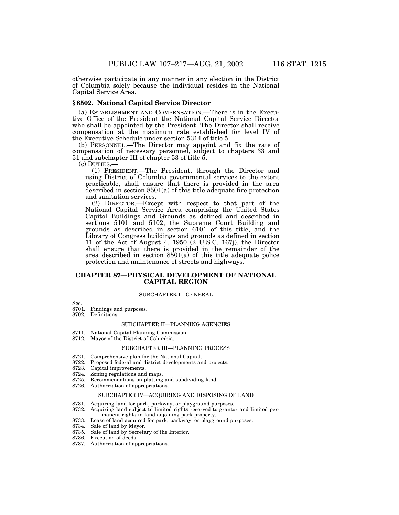otherwise participate in any manner in any election in the District of Columbia solely because the individual resides in the National Capital Service Area.

# **§ 8502. National Capital Service Director**

(a) ESTABLISHMENT AND COMPENSATION.—There is in the Executive Office of the President the National Capital Service Director who shall be appointed by the President. The Director shall receive compensation at the maximum rate established for level IV of the Executive Schedule under section 5314 of title 5.

(b) PERSONNEL.—The Director may appoint and fix the rate of compensation of necessary personnel, subject to chapters 33 and 51 and subchapter III of chapter 53 of title 5.

(c) DUTIES.— (1) PRESIDENT.—The President, through the Director and using District of Columbia governmental services to the extent practicable, shall ensure that there is provided in the area described in section 8501(a) of this title adequate fire protection and sanitation services.

(2) DIRECTOR.—Except with respect to that part of the National Capital Service Area comprising the United States Capitol Buildings and Grounds as defined and described in sections 5101 and 5102, the Supreme Court Building and grounds as described in section 6101 of this title, and the Library of Congress buildings and grounds as defined in section 11 of the Act of August 4, 1950 (2 U.S.C. 167j), the Director shall ensure that there is provided in the remainder of the area described in section 8501(a) of this title adequate police protection and maintenance of streets and highways.

# **CHAPTER 87—PHYSICAL DEVELOPMENT OF NATIONAL CAPITAL REGION**

#### SUBCHAPTER I—GENERAL

- Sec.<br>8701. Findings and purposes.
- 8702. Definitions.

#### SUBCHAPTER II—PLANNING AGENCIES

- 8711. National Capital Planning Commission.
- 8712. Mayor of the District of Columbia.

#### SUBCHAPTER III—PLANNING PROCESS

- 8721. Comprehensive plan for the National Capital.
- 8722. Proposed federal and district developments and projects.
- 8723. Capital improvements.<br>8724. Zoning regulations and
- Zoning regulations and maps.
- 8725. Recommendations on platting and subdividing land.
- 8726. Authorization of appropriations.

#### SUBCHAPTER IV—ACQUIRING AND DISPOSING OF LAND

- 8731. Acquiring land for park, parkway, or playground purposes.
- 8732. Acquiring land subject to limited rights reserved to grantor and limited permanent rights in land adjoining park property.
- 8733. Lease of land acquired for park, parkway, or playground purposes.
- 
- 8734. Sale of land by Mayor.<br>8735. Sale of land by Secreta Sale of land by Secretary of the Interior.
- 8736. Execution of deeds.
- 8737. Authorization of appropriations.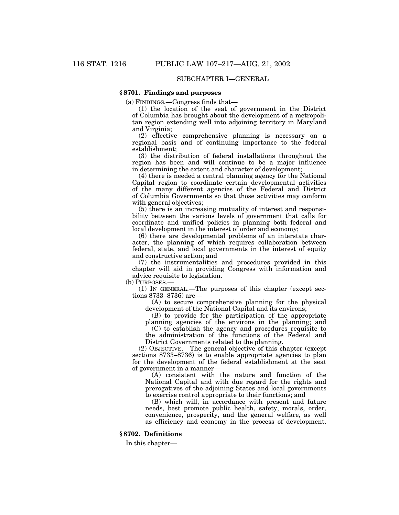# SUBCHAPTER I—GENERAL

# **§ 8701. Findings and purposes**

(a) FINDINGS.—Congress finds that—

(1) the location of the seat of government in the District of Columbia has brought about the development of a metropolitan region extending well into adjoining territory in Maryland and Virginia;

(2) effective comprehensive planning is necessary on a regional basis and of continuing importance to the federal establishment;

(3) the distribution of federal installations throughout the region has been and will continue to be a major influence in determining the extent and character of development;

(4) there is needed a central planning agency for the National Capital region to coordinate certain developmental activities of the many different agencies of the Federal and District of Columbia Governments so that those activities may conform with general objectives;

(5) there is an increasing mutuality of interest and responsibility between the various levels of government that calls for coordinate and unified policies in planning both federal and local development in the interest of order and economy;

(6) there are developmental problems of an interstate character, the planning of which requires collaboration between federal, state, and local governments in the interest of equity and constructive action; and

(7) the instrumentalities and procedures provided in this chapter will aid in providing Congress with information and advice requisite to legislation.

(b) PURPOSES.—

(1) IN GENERAL.—The purposes of this chapter (except sections 8733–8736) are—

(A) to secure comprehensive planning for the physical development of the National Capital and its environs;

(B) to provide for the participation of the appropriate planning agencies of the environs in the planning; and

(C) to establish the agency and procedures requisite to the administration of the functions of the Federal and District Governments related to the planning.

(2) OBJECTIVE.—The general objective of this chapter (except sections 8733–8736) is to enable appropriate agencies to plan for the development of the federal establishment at the seat of government in a manner—

(A) consistent with the nature and function of the National Capital and with due regard for the rights and prerogatives of the adjoining States and local governments to exercise control appropriate to their functions; and

(B) which will, in accordance with present and future needs, best promote public health, safety, morals, order, convenience, prosperity, and the general welfare, as well as efficiency and economy in the process of development.

#### **§ 8702. Definitions**

In this chapter—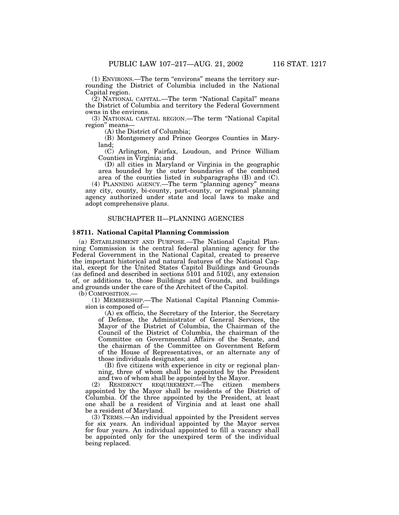(1) ENVIRONS.—The term ''environs'' means the territory surrounding the District of Columbia included in the National Capital region.

(2) NATIONAL CAPITAL.—The term ''National Capital'' means the District of Columbia and territory the Federal Government owns in the environs.

(3) NATIONAL CAPITAL REGION.—The term ''National Capital region'' means—

(A) the District of Columbia;

(B) Montgomery and Prince Georges Counties in Maryland;

(C) Arlington, Fairfax, Loudoun, and Prince William Counties in Virginia; and

(D) all cities in Maryland or Virginia in the geographic area bounded by the outer boundaries of the combined area of the counties listed in subparagraphs (B) and (C).

(4) PLANNING AGENCY.—The term ''planning agency'' means any city, county, bi-county, part-county, or regional planning agency authorized under state and local laws to make and adopt comprehensive plans.

# SUBCHAPTER II—PLANNING AGENCIES

# **§ 8711. National Capital Planning Commission**

(a) ESTABLISHMENT AND PURPOSE.—The National Capital Planning Commission is the central federal planning agency for the Federal Government in the National Capital, created to preserve the important historical and natural features of the National Capital, except for the United States Capitol Buildings and Grounds (as defined and described in sections 5101 and 5102), any extension of, or additions to, those Buildings and Grounds, and buildings and grounds under the care of the Architect of the Capitol.

(b) COMPOSITION.—

(1) MEMBERSHIP.—The National Capital Planning Commission is composed of—

(A) ex officio, the Secretary of the Interior, the Secretary of Defense, the Administrator of General Services, the Mayor of the District of Columbia, the Chairman of the Council of the District of Columbia, the chairman of the Committee on Governmental Affairs of the Senate, and the chairman of the Committee on Government Reform of the House of Representatives, or an alternate any of those individuals designates; and

(B) five citizens with experience in city or regional planning, three of whom shall be appointed by the President and two of whom shall be appointed by the Mayor.

(2) RESIDENCY REQUIREMENT.—The citizen members appointed by the Mayor shall be residents of the District of Columbia. Of the three appointed by the President, at least one shall be a resident of Virginia and at least one shall be a resident of Maryland.

(3) TERMS.—An individual appointed by the President serves for six years. An individual appointed by the Mayor serves for four years. An individual appointed to fill a vacancy shall be appointed only for the unexpired term of the individual being replaced.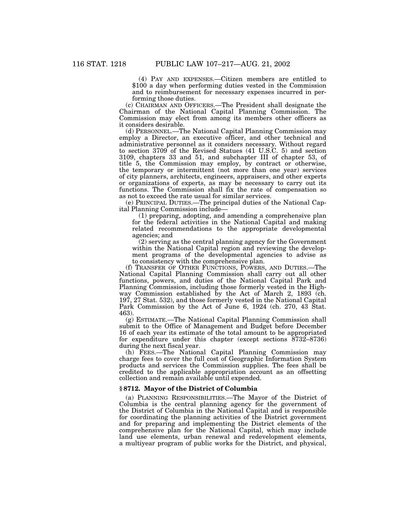(4) PAY AND EXPENSES.—Citizen members are entitled to \$100 a day when performing duties vested in the Commission and to reimbursement for necessary expenses incurred in performing those duties.

(c) CHAIRMAN AND OFFICERS.—The President shall designate the Chairman of the National Capital Planning Commission. The Commission may elect from among its members other officers as it considers desirable.

(d) PERSONNEL.—The National Capital Planning Commission may employ a Director, an executive officer, and other technical and administrative personnel as it considers necessary. Without regard to section 3709 of the Revised Statues (41 U.S.C. 5) and section 3109, chapters 33 and 51, and subchapter III of chapter 53, of title 5, the Commission may employ, by contract or otherwise, the temporary or intermittent (not more than one year) services of city planners, architects, engineers, appraisers, and other experts or organizations of experts, as may be necessary to carry out its functions. The Commission shall fix the rate of compensation so as not to exceed the rate usual for similar services.

(e) PRINCIPAL DUTIES.—The principal duties of the National Capital Planning Commission include—

(1) preparing, adopting, and amending a comprehensive plan for the federal activities in the National Capital and making related recommendations to the appropriate developmental agencies; and

(2) serving as the central planning agency for the Government within the National Capital region and reviewing the development programs of the developmental agencies to advise as to consistency with the comprehensive plan.

(f) TRANSFER OF OTHER FUNCTIONS, POWERS, AND DUTIES.—The National Capital Planning Commission shall carry out all other functions, powers, and duties of the National Capital Park and Planning Commission, including those formerly vested in the Highway Commission established by the Act of March 2, 1893 (ch. 197, 27 Stat. 532), and those formerly vested in the National Capital Park Commission by the Act of June 6, 1924 (ch. 270, 43 Stat. 463).

(g) ESTIMATE.—The National Capital Planning Commission shall submit to the Office of Management and Budget before December 16 of each year its estimate of the total amount to be appropriated for expenditure under this chapter (except sections 8732–8736) during the next fiscal year.

(h) FEES.—The National Capital Planning Commission may charge fees to cover the full cost of Geographic Information System products and services the Commission supplies. The fees shall be credited to the applicable appropriation account as an offsetting collection and remain available until expended.

#### **§ 8712. Mayor of the District of Columbia**

(a) PLANNING RESPONSIBILITIES.—The Mayor of the District of Columbia is the central planning agency for the government of the District of Columbia in the National Capital and is responsible for coordinating the planning activities of the District government and for preparing and implementing the District elements of the comprehensive plan for the National Capital, which may include land use elements, urban renewal and redevelopment elements, a multiyear program of public works for the District, and physical,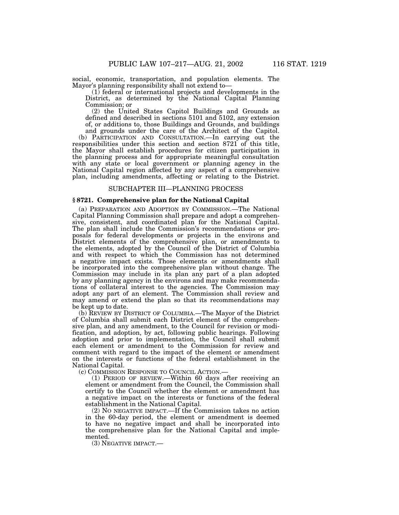social, economic, transportation, and population elements. The Mayor's planning responsibility shall not extend to—

 $(1)$  federal or international projects and developments in the District, as determined by the National Capital Planning Commission; or

(2) the United States Capitol Buildings and Grounds as defined and described in sections 5101 and 5102, any extension of, or additions to, those Buildings and Grounds, and buildings

and grounds under the care of the Architect of the Capitol. (b) PARTICIPATION AND CONSULTATION.—In carrying out the responsibilities under this section and section 8721 of this title, the Mayor shall establish procedures for citizen participation in the planning process and for appropriate meaningful consultation with any state or local government or planning agency in the National Capital region affected by any aspect of a comprehensive plan, including amendments, affecting or relating to the District.

#### SUBCHAPTER III—PLANNING PROCESS

#### **§ 8721. Comprehensive plan for the National Capital**

(a) PREPARATION AND ADOPTION BY COMMISSION.—The National Capital Planning Commission shall prepare and adopt a comprehensive, consistent, and coordinated plan for the National Capital. The plan shall include the Commission's recommendations or proposals for federal developments or projects in the environs and District elements of the comprehensive plan, or amendments to the elements, adopted by the Council of the District of Columbia and with respect to which the Commission has not determined a negative impact exists. Those elements or amendments shall be incorporated into the comprehensive plan without change. The Commission may include in its plan any part of a plan adopted by any planning agency in the environs and may make recommendations of collateral interest to the agencies. The Commission may adopt any part of an element. The Commission shall review and may amend or extend the plan so that its recommendations may be kept up to date.

(b) REVIEW BY DISTRICT OF COLUMBIA.—The Mayor of the District of Columbia shall submit each District element of the comprehensive plan, and any amendment, to the Council for revision or modification, and adoption, by act, following public hearings. Following adoption and prior to implementation, the Council shall submit each element or amendment to the Commission for review and comment with regard to the impact of the element or amendment on the interests or functions of the federal establishment in the National Capital.

(c) COMMISSION RESPONSE TO COUNCIL ACTION.—

(1) PERIOD OF REVIEW.—Within 60 days after receiving an element or amendment from the Council, the Commission shall certify to the Council whether the element or amendment has a negative impact on the interests or functions of the federal establishment in the National Capital.

(2) NO NEGATIVE IMPACT.—If the Commission takes no action in the 60-day period, the element or amendment is deemed to have no negative impact and shall be incorporated into the comprehensive plan for the National Capital and implemented.

(3) NEGATIVE IMPACT.—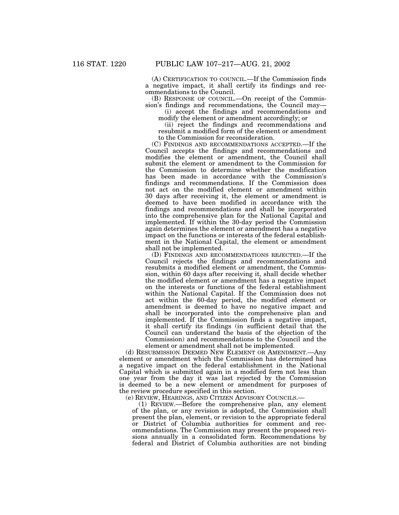(A) CERTIFICATION TO COUNCIL.—If the Commission finds a negative impact, it shall certify its findings and recommendations to the Council.

(B) RESPONSE OF COUNCIL.—On receipt of the Commission's findings and recommendations, the Council may— (i) accept the findings and recommendations and

modify the element or amendment accordingly; or

(ii) reject the findings and recommendations and resubmit a modified form of the element or amendment to the Commission for reconsideration.

(C) FINDINGS AND RECOMMENDATIONS ACCEPTED.—If the Council accepts the findings and recommendations and modifies the element or amendment, the Council shall submit the element or amendment to the Commission for the Commission to determine whether the modification has been made in accordance with the Commission's findings and recommendations. If the Commission does not act on the modified element or amendment within 30 days after receiving it, the element or amendment is deemed to have been modified in accordance with the findings and recommendations and shall be incorporated into the comprehensive plan for the National Capital and implemented. If within the 30-day period the Commission again determines the element or amendment has a negative impact on the functions or interests of the federal establishment in the National Capital, the element or amendment shall not be implemented.

(D) FINDINGS AND RECOMMENDATIONS REJECTED.—If the Council rejects the findings and recommendations and resubmits a modified element or amendment, the Commission, within 60 days after receiving it, shall decide whether the modified element or amendment has a negative impact on the interests or functions of the federal establishment within the National Capital. If the Commission does not act within the 60-day period, the modified element or amendment is deemed to have no negative impact and shall be incorporated into the comprehensive plan and implemented. If the Commission finds a negative impact, it shall certify its findings (in sufficient detail that the Council can understand the basis of the objection of the Commission) and recommendations to the Council and the element or amendment shall not be implemented.

(d) RESUBMISSION DEEMED NEW ELEMENT OR AMENDMENT.—Any element or amendment which the Commission has determined has a negative impact on the federal establishment in the National Capital which is submitted again in a modified form not less than one year from the day it was last rejected by the Commission is deemed to be a new element or amendment for purposes of the review procedure specified in this section.

(e) REVIEW, HEARINGS, AND CITIZEN ADVISORY COUNCILS.—

(1) REVIEW.—Before the comprehensive plan, any element of the plan, or any revision is adopted, the Commission shall present the plan, element, or revision to the appropriate federal or District of Columbia authorities for comment and recommendations. The Commission may present the proposed revisions annually in a consolidated form. Recommendations by federal and District of Columbia authorities are not binding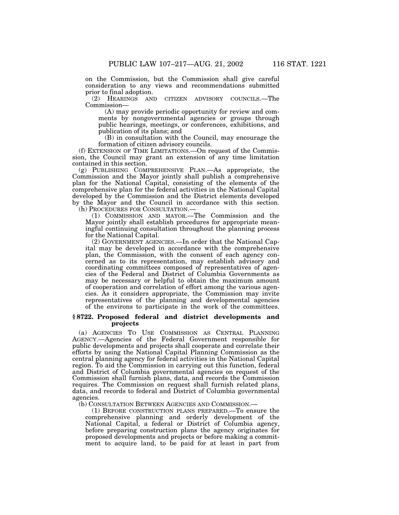on the Commission, but the Commission shall give careful consideration to any views and recommendations submitted prior to final adoption.

(2) HEARINGS AND CITIZEN ADVISORY COUNCILS.—The

 $(A)$  may provide periodic opportunity for review and comments by nongovernmental agencies or groups through public hearings, meetings, or conferences, exhibitions, and publication of its plans; and

(B) in consultation with the Council, may encourage the formation of citizen advisory councils.

(f) EXTENSION OF TIME LIMITATIONS.—On request of the Commission, the Council may grant an extension of any time limitation contained in this section.

(g) PUBLISHING COMPREHENSIVE PLAN.—As appropriate, the Commission and the Mayor jointly shall publish a comprehensive plan for the National Capital, consisting of the elements of the comprehensive plan for the federal activities in the National Capital developed by the Commission and the District elements developed by the Mayor and the Council in accordance with this section. (h) PROCEDURES FOR CONSULTATION.—

(1) COMMISSION AND MAYOR.—The Commission and the Mayor jointly shall establish procedures for appropriate meaningful continuing consultation throughout the planning process for the National Capital.

(2) GOVERNMENT AGENCIES.—In order that the National Capital may be developed in accordance with the comprehensive plan, the Commission, with the consent of each agency concerned as to its representation, may establish advisory and coordinating committees composed of representatives of agencies of the Federal and District of Columbia Governments as may be necessary or helpful to obtain the maximum amount of cooperation and correlation of effort among the various agencies. As it considers appropriate, the Commission may invite representatives of the planning and developmental agencies of the environs to participate in the work of the committees.

#### **§ 8722. Proposed federal and district developments and projects**

(a) AGENCIES TO USE COMMISSION AS CENTRAL PLANNING AGENCY.—Agencies of the Federal Government responsible for public developments and projects shall cooperate and correlate their efforts by using the National Capital Planning Commission as the central planning agency for federal activities in the National Capital region. To aid the Commission in carrying out this function, federal and District of Columbia governmental agencies on request of the Commission shall furnish plans, data, and records the Commission requires. The Commission on request shall furnish related plans, data, and records to federal and District of Columbia governmental agencies.<br>(b) CONSULTATION BETWEEN AGENCIES AND COMMISSION.—

(1) BEFORE CONSTRUCTION PLANS PREPARED.— To ensure the comprehensive planning and orderly development of the National Capital, a federal or District of Columbia agency, before preparing construction plans the agency originates for proposed developments and projects or before making a commitment to acquire land, to be paid for at least in part from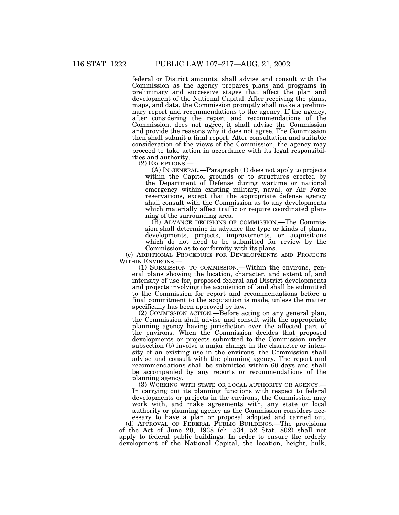federal or District amounts, shall advise and consult with the Commission as the agency prepares plans and programs in preliminary and successive stages that affect the plan and development of the National Capital. After receiving the plans, maps, and data, the Commission promptly shall make a preliminary report and recommendations to the agency. If the agency, after considering the report and recommendations of the Commission, does not agree, it shall advise the Commission and provide the reasons why it does not agree. The Commission then shall submit a final report. After consultation and suitable consideration of the views of the Commission, the agency may proceed to take action in accordance with its legal responsibilities and authority.<br>(2) EXCEPTIONS.

 $(A)$  In GENERAL.—Paragraph  $(1)$  does not apply to projects within the Capitol grounds or to structures erected by the Department of Defense during wartime or national emergency within existing military, naval, or Air Force reservations, except that the appropriate defense agency shall consult with the Commission as to any developments which materially affect traffic or require coordinated planning of the surrounding area.

(B) ADVANCE DECISIONS OF COMMISSION.—The Commission shall determine in advance the type or kinds of plans, developments, projects, improvements, or acquisitions which do not need to be submitted for review by the Commission as to conformity with its plans.

(c) ADDITIONAL PROCEDURE FOR DEVELOPMENTS AND PROJECTS WITHIN ENVIRONS.—

(1) SUBMISSION TO COMMISSION.—Within the environs, general plans showing the location, character, and extent of, and intensity of use for, proposed federal and District developments and projects involving the acquisition of land shall be submitted to the Commission for report and recommendations before a final commitment to the acquisition is made, unless the matter specifically has been approved by law.

(2) COMMISSION ACTION.—Before acting on any general plan, the Commission shall advise and consult with the appropriate planning agency having jurisdiction over the affected part of the environs. When the Commission decides that proposed developments or projects submitted to the Commission under subsection (b) involve a major change in the character or intensity of an existing use in the environs, the Commission shall advise and consult with the planning agency. The report and recommendations shall be submitted within 60 days and shall be accompanied by any reports or recommendations of the planning agency.

(3) WORKING WITH STATE OR LOCAL AUTHORITY OR AGENCY.— In carrying out its planning functions with respect to federal developments or projects in the environs, the Commission may work with, and make agreements with, any state or local authority or planning agency as the Commission considers nec-

essary to have a plan or proposal adopted and carried out. (d) APPROVAL OF FEDERAL PUBLIC BUILDINGS.—The provisions of the Act of June 20, 1938 (ch. 534, 52 Stat. 802) shall not apply to federal public buildings. In order to ensure the orderly development of the National Capital, the location, height, bulk,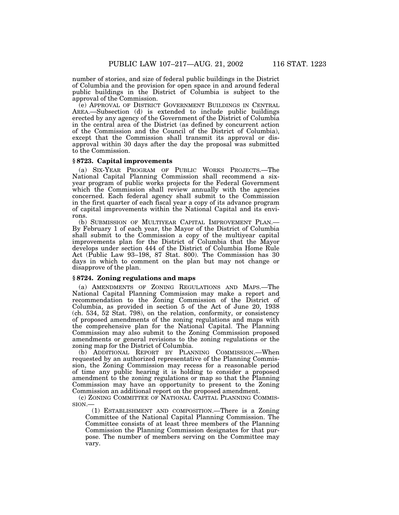number of stories, and size of federal public buildings in the District of Columbia and the provision for open space in and around federal public buildings in the District of Columbia is subject to the approval of the Commission.

(e) APPROVAL OF DISTRICT GOVERNMENT BUILDINGS IN CENTRAL AREA.—Subsection (d) is extended to include public buildings erected by any agency of the Government of the District of Columbia in the central area of the District (as defined by concurrent action of the Commission and the Council of the District of Columbia), except that the Commission shall transmit its approval or disapproval within 30 days after the day the proposal was submitted to the Commission.

#### **§ 8723. Capital improvements**

(a) SIX-YEAR PROGRAM OF PUBLIC WORKS PROJECTS.—The National Capital Planning Commission shall recommend a sixyear program of public works projects for the Federal Government which the Commission shall review annually with the agencies concerned. Each federal agency shall submit to the Commission in the first quarter of each fiscal year a copy of its advance program of capital improvements within the National Capital and its environs.

(b) SUBMISSION OF MULTIYEAR CAPITAL IMPROVEMENT PLAN.— By February 1 of each year, the Mayor of the District of Columbia shall submit to the Commission a copy of the multiyear capital improvements plan for the District of Columbia that the Mayor develops under section 444 of the District of Columbia Home Rule Act (Public Law 93–198, 87 Stat. 800). The Commission has 30 days in which to comment on the plan but may not change or disapprove of the plan.

#### **§ 8724. Zoning regulations and maps**

(a) AMENDMENTS OF ZONING REGULATIONS AND MAPS.—The National Capital Planning Commission may make a report and recommendation to the Zoning Commission of the District of Columbia, as provided in section 5 of the Act of June 20, 1938 (ch. 534, 52 Stat. 798), on the relation, conformity, or consistency of proposed amendments of the zoning regulations and maps with the comprehensive plan for the National Capital. The Planning Commission may also submit to the Zoning Commission proposed amendments or general revisions to the zoning regulations or the zoning map for the District of Columbia.

(b) ADDITIONAL REPORT BY PLANNING COMMISSION.—When requested by an authorized representative of the Planning Commission, the Zoning Commission may recess for a reasonable period of time any public hearing it is holding to consider a proposed amendment to the zoning regulations or map so that the Planning Commission may have an opportunity to present to the Zoning Commission an additional report on the proposed amendment.

(c) ZONING COMMITTEE OF NATIONAL CAPITAL PLANNING COMMIS-SION.—

(1) ESTABLISHMENT AND COMPOSITION.—There is a Zoning Committee of the National Capital Planning Commission. The Committee consists of at least three members of the Planning Commission the Planning Commission designates for that purpose. The number of members serving on the Committee may vary.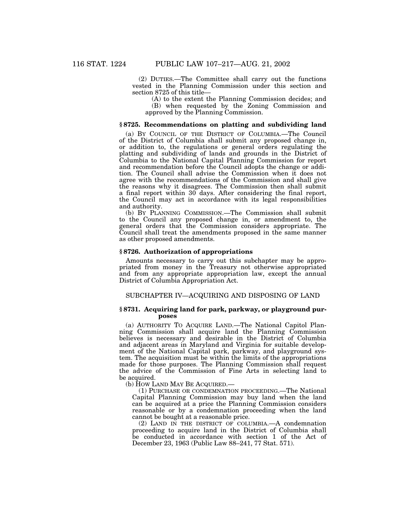(2) DUTIES.—The Committee shall carry out the functions vested in the Planning Commission under this section and section 8725 of this title—

(A) to the extent the Planning Commission decides; and (B) when requested by the Zoning Commission and approved by the Planning Commission.

## **§ 8725. Recommendations on platting and subdividing land**

(a) BY COUNCIL OF THE DISTRICT OF COLUMBIA.—The Council of the District of Columbia shall submit any proposed change in, or addition to, the regulations or general orders regulating the platting and subdividing of lands and grounds in the District of Columbia to the National Capital Planning Commission for report and recommendation before the Council adopts the change or addition. The Council shall advise the Commission when it does not agree with the recommendations of the Commission and shall give the reasons why it disagrees. The Commission then shall submit a final report within 30 days. After considering the final report, the Council may act in accordance with its legal responsibilities and authority.

(b) BY PLANNING COMMISSION.—The Commission shall submit to the Council any proposed change in, or amendment to, the general orders that the Commission considers appropriate. The Council shall treat the amendments proposed in the same manner as other proposed amendments.

#### **§ 8726. Authorization of appropriations**

Amounts necessary to carry out this subchapter may be appropriated from money in the Treasury not otherwise appropriated and from any appropriate appropriation law, except the annual District of Columbia Appropriation Act.

#### SUBCHAPTER IV—ACQUIRING AND DISPOSING OF LAND

#### **§ 8731. Acquiring land for park, parkway, or playground purposes**

(a) AUTHORITY TO ACQUIRE LAND.—The National Capitol Planning Commission shall acquire land the Planning Commission believes is necessary and desirable in the District of Columbia and adjacent areas in Maryland and Virginia for suitable development of the National Capital park, parkway, and playground system. The acquisition must be within the limits of the appropriations made for those purposes. The Planning Commission shall request the advice of the Commission of Fine Arts in selecting land to be acquired.

(b) HOW LAND MAY BE ACQUIRED.—

(1) PURCHASE OR CONDEMNATION PROCEEDING.—The National Capital Planning Commission may buy land when the land can be acquired at a price the Planning Commission considers reasonable or by a condemnation proceeding when the land cannot be bought at a reasonable price.

(2) LAND IN THE DISTRICT OF COLUMBIA.—A condemnation proceeding to acquire land in the District of Columbia shall be conducted in accordance with section 1 of the Act of December 23, 1963 (Public Law 88–241, 77 Stat. 571).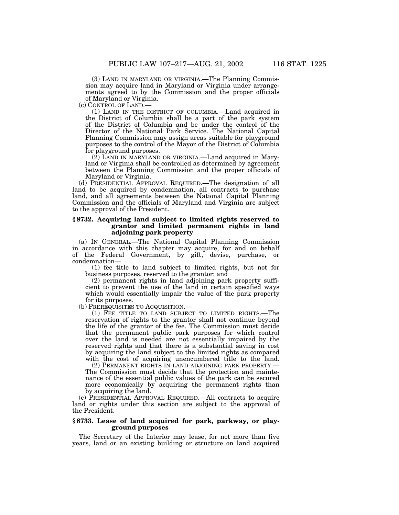(3) LAND IN MARYLAND OR VIRGINIA.—The Planning Commission may acquire land in Maryland or Virginia under arrangements agreed to by the Commission and the proper officials of Maryland or Virginia.<br>(c) CONTROL OF LAND.—

(1) LAND IN THE DISTRICT OF COLUMBIA.—Land acquired in the District of Columbia shall be a part of the park system of the District of Columbia and be under the control of the Director of the National Park Service. The National Capital Planning Commission may assign areas suitable for playground purposes to the control of the Mayor of the District of Columbia for playground purposes.

(2) LAND IN MARYLAND OR VIRGINIA.—Land acquired in Maryland or Virginia shall be controlled as determined by agreement between the Planning Commission and the proper officials of Maryland or Virginia.

(d) PRESIDENTIAL APPROVAL REQUIRED.—The designation of all land to be acquired by condemnation, all contracts to purchase land, and all agreements between the National Capital Planning Commission and the officials of Maryland and Virginia are subject to the approval of the President.

#### **§ 8732. Acquiring land subject to limited rights reserved to grantor and limited permanent rights in land adjoining park property**

(a) IN GENERAL.—The National Capital Planning Commission in accordance with this chapter may acquire, for and on behalf of the Federal Government, by gift, devise, purchase, or condemnation—

(1) fee title to land subject to limited rights, but not for business purposes, reserved to the grantor; and

(2) permanent rights in land adjoining park property sufficient to prevent the use of the land in certain specified ways which would essentially impair the value of the park property for its purposes.

(b) PREREQUISITES TO ACQUISITION.—

(1) FEE TITLE TO LAND SUBJECT TO LIMITED RIGHTS.—The reservation of rights to the grantor shall not continue beyond the life of the grantor of the fee. The Commission must decide that the permanent public park purposes for which control over the land is needed are not essentially impaired by the reserved rights and that there is a substantial saving in cost by acquiring the land subject to the limited rights as compared with the cost of acquiring unencumbered title to the land.

(2) PERMANENT RIGHTS IN LAND ADJOINING PARK PROPERTY.— The Commission must decide that the protection and maintenance of the essential public values of the park can be secured more economically by acquiring the permanent rights than by acquiring the land.

(c) PRESIDENTIAL APPROVAL REQUIRED.—All contracts to acquire land or rights under this section are subject to the approval of the President.

#### **§ 8733. Lease of land acquired for park, parkway, or playground purposes**

The Secretary of the Interior may lease, for not more than five years, land or an existing building or structure on land acquired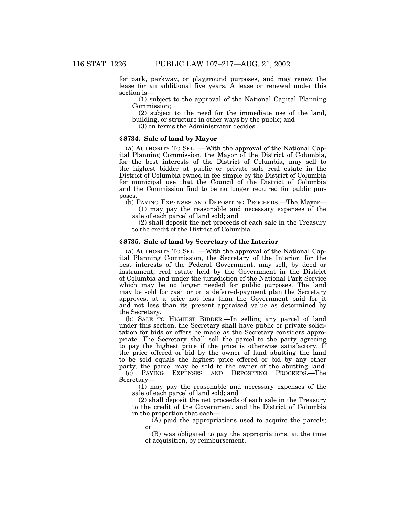for park, parkway, or playground purposes, and may renew the lease for an additional five years. A lease or renewal under this section is—

(1) subject to the approval of the National Capital Planning Commission;

(2) subject to the need for the immediate use of the land, building, or structure in other ways by the public; and

(3) on terms the Administrator decides.

## **§ 8734. Sale of land by Mayor**

(a) AUTHORITY TO SELL.—With the approval of the National Capital Planning Commission, the Mayor of the District of Columbia, for the best interests of the District of Columbia, may sell to the highest bidder at public or private sale real estate in the District of Columbia owned in fee simple by the District of Columbia for municipal use that the Council of the District of Columbia and the Commission find to be no longer required for public purposes.

(b) PAYING EXPENSES AND DEPOSITING PROCEEDS.—The Mayor—

(1) may pay the reasonable and necessary expenses of the sale of each parcel of land sold; and

(2) shall deposit the net proceeds of each sale in the Treasury to the credit of the District of Columbia.

#### **§ 8735. Sale of land by Secretary of the Interior**

(a) AUTHORITY TO SELL.—With the approval of the National Capital Planning Commission, the Secretary of the Interior, for the best interests of the Federal Government, may sell, by deed or instrument, real estate held by the Government in the District of Columbia and under the jurisdiction of the National Park Service which may be no longer needed for public purposes. The land may be sold for cash or on a deferred-payment plan the Secretary approves, at a price not less than the Government paid for it and not less than its present appraised value as determined by the Secretary.

(b) SALE TO HIGHEST BIDDER.—In selling any parcel of land under this section, the Secretary shall have public or private solicitation for bids or offers be made as the Secretary considers appropriate. The Secretary shall sell the parcel to the party agreeing to pay the highest price if the price is otherwise satisfactory. If the price offered or bid by the owner of land abutting the land to be sold equals the highest price offered or bid by any other party, the parcel may be sold to the owner of the abutting land. (c) PAYING EXPENSES AND DEPOSITING PROCEEDS.—The

Secretary—

(1) may pay the reasonable and necessary expenses of the sale of each parcel of land sold; and

(2) shall deposit the net proceeds of each sale in the Treasury to the credit of the Government and the District of Columbia in the proportion that each—

 $(A)$  paid the appropriations used to acquire the parcels; or

(B) was obligated to pay the appropriations, at the time of acquisition, by reimbursement.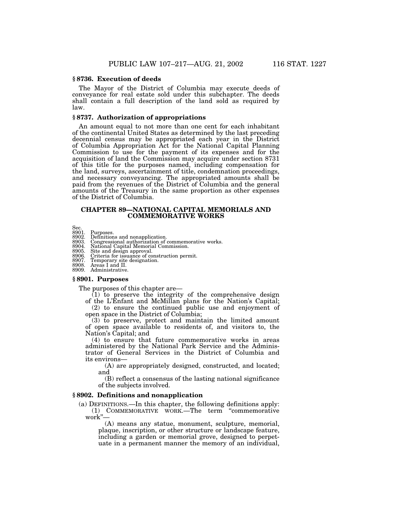#### **§ 8736. Execution of deeds**

The Mayor of the District of Columbia may execute deeds of conveyance for real estate sold under this subchapter. The deeds shall contain a full description of the land sold as required by law.

#### **§ 8737. Authorization of appropriations**

An amount equal to not more than one cent for each inhabitant of the continental United States as determined by the last preceding decennial census may be appropriated each year in the District of Columbia Appropriation Act for the National Capital Planning Commission to use for the payment of its expenses and for the acquisition of land the Commission may acquire under section 8731 of this title for the purposes named, including compensation for the land, surveys, ascertainment of title, condemnation proceedings, and necessary conveyancing. The appropriated amounts shall be paid from the revenues of the District of Columbia and the general amounts of the Treasury in the same proportion as other expenses of the District of Columbia.

#### **CHAPTER 89—NATIONAL CAPITAL MEMORIALS AND COMMEMORATIVE WORKS**

- Sec. 8901. Purposes.
- 8902. Definitions and nonapplication. 8903. Congressional authorization of commemorative works. 8902. Definitions and nonapplication.<br>8903. Congressional authorization of commem<br>8904. National Capital Memorial Commission.<br>8905. Site and design approval.
- 
- 8905. Site and design approval. 8906. Criteria for issuance of construction permit.
- 
- 8907. Temporary site designation. 8908. Areas I and II.
- 8909. Administrative.

#### **§ 8901. Purposes**

The purposes of this chapter are— (1) to preserve the integrity of the comprehensive design of the L'Enfant and McMillan plans for the Nation's Capital; (2) to ensure the continued public use and enjoyment of

open space in the District of Columbia;

(3) to preserve, protect and maintain the limited amount of open space available to residents of, and visitors to, the Nation's Capital; and

(4) to ensure that future commemorative works in areas administered by the National Park Service and the Administrator of General Services in the District of Columbia and its environs—

(A) are appropriately designed, constructed, and located; and

(B) reflect a consensus of the lasting national significance of the subjects involved.

#### **§ 8902. Definitions and nonapplication**

(a) DEFINITIONS.—In this chapter, the following definitions apply: (1) COMMEMORATIVE WORK.—The term ''commemorative work''—

(A) means any statue, monument, sculpture, memorial, plaque, inscription, or other structure or landscape feature, including a garden or memorial grove, designed to perpetuate in a permanent manner the memory of an individual,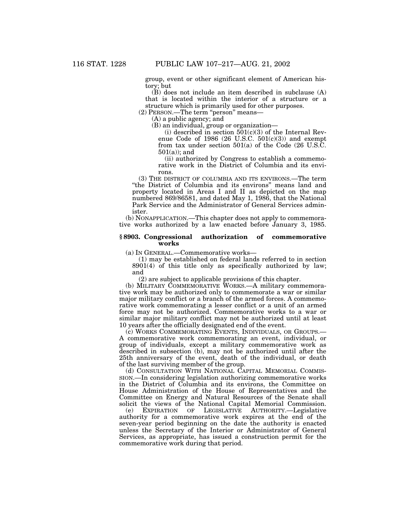group, event or other significant element of American history; but

(B) does not include an item described in subclause (A) that is located within the interior of a structure or a structure which is primarily used for other purposes.

(2) PERSON.—The term ''person'' means—

(A) a public agency; and

(B) an individual, group or organization—

(i) described in section  $501(c)(3)$  of the Internal Revenue Code of 1986 (26 U.S.C.  $501(c)(3)$ ) and exempt from tax under section 501(a) of the Code (26 U.S.C.  $501(a)$ ; and

(ii) authorized by Congress to establish a commemorative work in the District of Columbia and its environs.

(3) THE DISTRICT OF COLUMBIA AND ITS ENVIRONS.—The term ''the District of Columbia and its environs'' means land and property located in Areas I and II as depicted on the map numbered 869/86581, and dated May 1, 1986, that the National Park Service and the Administrator of General Services administer.

(b) NONAPPLICATION.—This chapter does not apply to commemorative works authorized by a law enacted before January 3, 1985.

#### **§ 8903. Congressional authorization of commemorative works**

(a) IN GENERAL.—Commemorative works—

(1) may be established on federal lands referred to in section 8901(4) of this title only as specifically authorized by law; and

(2) are subject to applicable provisions of this chapter.

(b) MILITARY COMMEMORATIVE WORKS.—A military commemorative work may be authorized only to commemorate a war or similar major military conflict or a branch of the armed forces. A commemorative work commemorating a lesser conflict or a unit of an armed force may not be authorized. Commemorative works to a war or similar major military conflict may not be authorized until at least 10 years after the officially designated end of the event.

(c) WORKS COMMEMORATING EVENTS, INDIVIDUALS, OR GROUPS.— A commemorative work commemorating an event, individual, or group of individuals, except a military commemorative work as described in subsection (b), may not be authorized until after the 25th anniversary of the event, death of the individual, or death of the last surviving member of the group.

(d) CONSULTATION WITH NATIONAL CAPITAL MEMORIAL COMMIS-SION.—In considering legislation authorizing commemorative works in the District of Columbia and its environs, the Committee on House Administration of the House of Representatives and the Committee on Energy and Natural Resources of the Senate shall solicit the views of the National Capital Memorial Commission.

(e) EXPIRATION OF LEGISLATIVE AUTHORITY.—Legislative authority for a commemorative work expires at the end of the seven-year period beginning on the date the authority is enacted unless the Secretary of the Interior or Administrator of General Services, as appropriate, has issued a construction permit for the commemorative work during that period.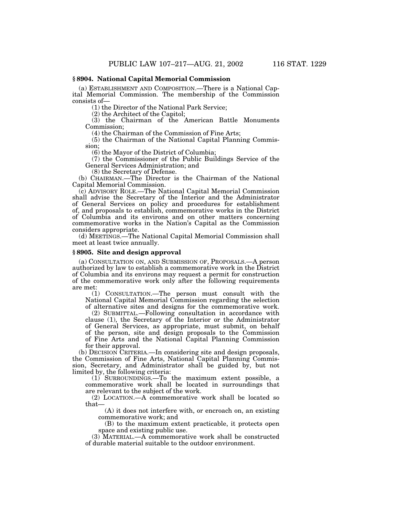#### **§ 8904. National Capital Memorial Commission**

(a) ESTABLISHMENT AND COMPOSITION.—There is a National Capital Memorial Commission. The membership of the Commission consists of— (1) the Director of the National Park Service;

(2) the Architect of the Capitol;

(3) the Chairman of the American Battle Monuments Commission;

(4) the Chairman of the Commission of Fine Arts;

(5) the Chairman of the National Capital Planning Commission;

(6) the Mayor of the District of Columbia;

(7) the Commissioner of the Public Buildings Service of the General Services Administration; and

(8) the Secretary of Defense.

(b) CHAIRMAN.—The Director is the Chairman of the National Capital Memorial Commission.

(c) ADVISORY ROLE.—The National Capital Memorial Commission shall advise the Secretary of the Interior and the Administrator of General Services on policy and procedures for establishment of, and proposals to establish, commemorative works in the District of Columbia and its environs and on other matters concerning commemorative works in the Nation's Capital as the Commission considers appropriate.

(d) MEETINGS.—The National Capital Memorial Commission shall meet at least twice annually.

# **§ 8905. Site and design approval**

(a) CONSULTATION ON, AND SUBMISSION OF, PROPOSALS.—A person authorized by law to establish a commemorative work in the District of Columbia and its environs may request a permit for construction of the commemorative work only after the following requirements are met:

(1) CONSULTATION.—The person must consult with the National Capital Memorial Commission regarding the selection of alternative sites and designs for the commemorative work.

(2) SUBMITTAL.—Following consultation in accordance with clause (1), the Secretary of the Interior or the Administrator of General Services, as appropriate, must submit, on behalf of the person, site and design proposals to the Commission of Fine Arts and the National Capital Planning Commission for their approval.

(b) DECISION CRITERIA.—In considering site and design proposals, the Commission of Fine Arts, National Capital Planning Commission, Secretary, and Administrator shall be guided by, but not limited by, the following criteria:

(1) SURROUNDINGS.—To the maximum extent possible, a commemorative work shall be located in surroundings that are relevant to the subject of the work.

(2) LOCATION.—A commemorative work shall be located so that—

(A) it does not interfere with, or encroach on, an existing commemorative work; and

(B) to the maximum extent practicable, it protects open space and existing public use.

(3) MATERIAL.—A commemorative work shall be constructed of durable material suitable to the outdoor environment.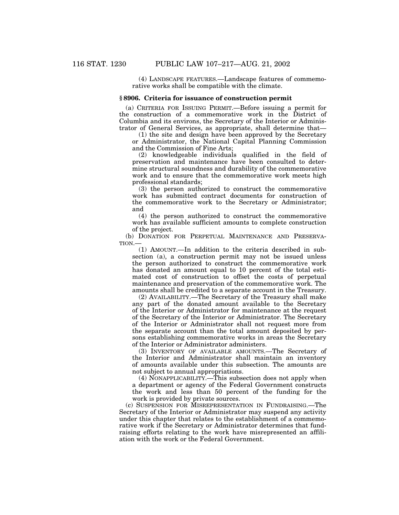(4) LANDSCAPE FEATURES.—Landscape features of commemorative works shall be compatible with the climate.

#### **§ 8906. Criteria for issuance of construction permit**

(a) CRITERIA FOR ISSUING PERMIT.—Before issuing a permit for the construction of a commemorative work in the District of Columbia and its environs, the Secretary of the Interior or Administrator of General Services, as appropriate, shall determine that—

(1) the site and design have been approved by the Secretary or Administrator, the National Capital Planning Commission and the Commission of Fine Arts;

(2) knowledgeable individuals qualified in the field of preservation and maintenance have been consulted to determine structural soundness and durability of the commemorative work and to ensure that the commemorative work meets high professional standards;

(3) the person authorized to construct the commemorative work has submitted contract documents for construction of the commemorative work to the Secretary or Administrator; and

(4) the person authorized to construct the commemorative work has available sufficient amounts to complete construction of the project.

(b) DONATION FOR PERPETUAL MAINTENANCE AND PRESERVA-TION.—

(1) AMOUNT.—In addition to the criteria described in subsection (a), a construction permit may not be issued unless the person authorized to construct the commemorative work has donated an amount equal to 10 percent of the total estimated cost of construction to offset the costs of perpetual maintenance and preservation of the commemorative work. The amounts shall be credited to a separate account in the Treasury.

(2) AVAILABILITY.—The Secretary of the Treasury shall make any part of the donated amount available to the Secretary of the Interior or Administrator for maintenance at the request of the Secretary of the Interior or Administrator. The Secretary of the Interior or Administrator shall not request more from the separate account than the total amount deposited by persons establishing commemorative works in areas the Secretary of the Interior or Administrator administers.

(3) INVENTORY OF AVAILABLE AMOUNTS.—The Secretary of the Interior and Administrator shall maintain an inventory of amounts available under this subsection. The amounts are not subject to annual appropriations.

(4) NONAPPLICABILITY.—This subsection does not apply when a department or agency of the Federal Government constructs the work and less than 50 percent of the funding for the work is provided by private sources.

(c) SUSPENSION FOR MISREPRESENTATION IN FUNDRAISING.—The Secretary of the Interior or Administrator may suspend any activity under this chapter that relates to the establishment of a commemorative work if the Secretary or Administrator determines that fundraising efforts relating to the work have misrepresented an affiliation with the work or the Federal Government.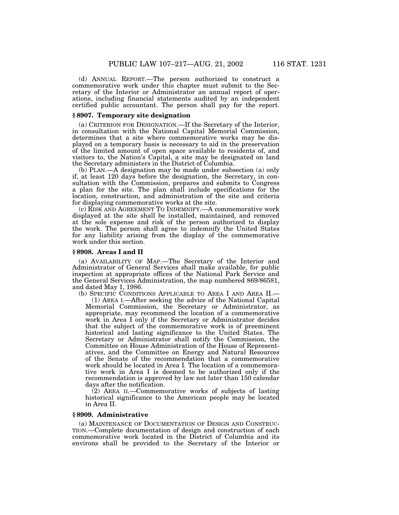(d) ANNUAL REPORT.—The person authorized to construct a commemorative work under this chapter must submit to the Secretary of the Interior or Administrator an annual report of operations, including financial statements audited by an independent certified public accountant. The person shall pay for the report.

#### **§ 8907. Temporary site designation**

(a) CRITERION FOR DESIGNATION.—If the Secretary of the Interior, in consultation with the National Capital Memorial Commission, determines that a site where commemorative works may be displayed on a temporary basis is necessary to aid in the preservation of the limited amount of open space available to residents of, and visitors to, the Nation's Capital, a site may be designated on land the Secretary administers in the District of Columbia.

(b) PLAN.—A designation may be made under subsection (a) only if, at least 120 days before the designation, the Secretary, in consultation with the Commission, prepares and submits to Congress a plan for the site. The plan shall include specifications for the location, construction, and administration of the site and criteria for displaying commemorative works at the site.

(c) RISK AND AGREEMENT TO INDEMNIFY.—A commemorative work displayed at the site shall be installed, maintained, and removed at the sole expense and risk of the person authorized to display the work. The person shall agree to indemnify the United States for any liability arising from the display of the commemorative work under this section.

#### **§ 8908. Areas I and II**

(a) AVAILABILITY OF MAP.—The Secretary of the Interior and Administrator of General Services shall make available, for public inspection at appropriate offices of the National Park Service and the General Services Administration, the map numbered 869/86581, and dated May 1, 1986.

(b) SPECIFIC CONDITIONS APPLICABLE TO AREA I AND AREA II.—

(1) AREA I.—After seeking the advice of the National Capital Memorial Commission, the Secretary or Administrator, as appropriate, may recommend the location of a commemorative work in Area I only if the Secretary or Administrator decides that the subject of the commemorative work is of preeminent historical and lasting significance to the United States. The Secretary or Administrator shall notify the Commission, the Committee on House Administration of the House of Representatives, and the Committee on Energy and Natural Resources of the Senate of the recommendation that a commemorative work should be located in Area I. The location of a commemorative work in Area I is deemed to be authorized only if the recommendation is approved by law not later than 150 calendar days after the notification.

(2) AREA II.—Commemorative works of subjects of lasting historical significance to the American people may be located in Area II.

## **§ 8909. Administrative**

(a) MAINTENANCE OF DOCUMENTATION OF DESIGN AND CONSTRUC-TION.—Complete documentation of design and construction of each commemorative work located in the District of Columbia and its environs shall be provided to the Secretary of the Interior or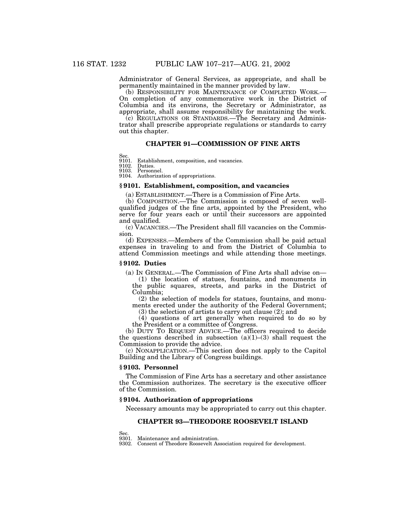Administrator of General Services, as appropriate, and shall be permanently maintained in the manner provided by law.

(b) RESPONSIBILITY FOR MAINTENANCE OF COMPLETED WORK.— On completion of any commemorative work in the District of Columbia and its environs, the Secretary or Administrator, as appropriate, shall assume responsibility for maintaining the work.

(c) REGULATIONS OR STANDARDS.—The Secretary and Administrator shall prescribe appropriate regulations or standards to carry out this chapter.

#### **CHAPTER 91—COMMISSION OF FINE ARTS**

Sec. 9101. Establishment, composition, and vacancies.

9102. Duties. 9103. Personnel.

9104. Authorization of appropriations.

#### **§ 9101. Establishment, composition, and vacancies**

(a) ESTABLISHMENT.—There is a Commission of Fine Arts.

(b) COMPOSITION.—The Commission is composed of seven wellqualified judges of the fine arts, appointed by the President, who serve for four years each or until their successors are appointed and qualified.

(c) VACANCIES.—The President shall fill vacancies on the Commission.

(d) EXPENSES.—Members of the Commission shall be paid actual expenses in traveling to and from the District of Columbia to attend Commission meetings and while attending those meetings.

## **§ 9102. Duties**

(a) IN GENERAL.—The Commission of Fine Arts shall advise on— (1) the location of statues, fountains, and monuments in

the public squares, streets, and parks in the District of Columbia;

(2) the selection of models for statues, fountains, and monuments erected under the authority of the Federal Government;

(3) the selection of artists to carry out clause (2); and

(4) questions of art generally when required to do so by the President or a committee of Congress.

(b) DUTY TO REQUEST ADVICE.—The officers required to decide the questions described in subsection  $(a)(1)$ –(3) shall request the Commission to provide the advice.

(c) NONAPPLICATION.—This section does not apply to the Capitol Building and the Library of Congress buildings.

#### **§ 9103. Personnel**

The Commission of Fine Arts has a secretary and other assistance the Commission authorizes. The secretary is the executive officer of the Commission.

# **§ 9104. Authorization of appropriations**

Necessary amounts may be appropriated to carry out this chapter.

# **CHAPTER 93—THEODORE ROOSEVELT ISLAND**

Sec.<br>9301

Maintenance and administration.

9302. Consent of Theodore Roosevelt Association required for development.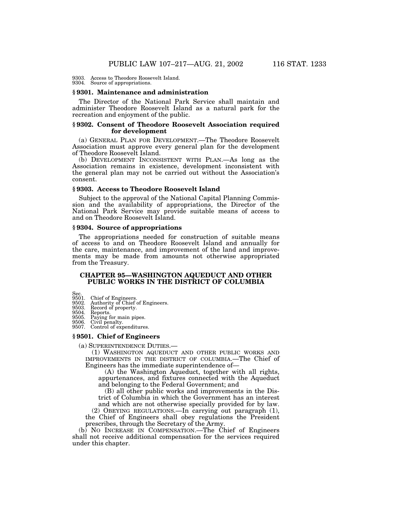9303. Access to Theodore Roosevelt Island. 9304. Source of appropriations.

#### **§ 9301. Maintenance and administration**

The Director of the National Park Service shall maintain and administer Theodore Roosevelt Island as a natural park for the recreation and enjoyment of the public.

## **§ 9302. Consent of Theodore Roosevelt Association required for development**

(a) GENERAL PLAN FOR DEVELOPMENT.—The Theodore Roosevelt Association must approve every general plan for the development of Theodore Roosevelt Island.

(b) DEVELOPMENT INCONSISTENT WITH PLAN.—As long as the Association remains in existence, development inconsistent with the general plan may not be carried out without the Association's consent.

#### **§ 9303. Access to Theodore Roosevelt Island**

Subject to the approval of the National Capital Planning Commission and the availability of appropriations, the Director of the National Park Service may provide suitable means of access to and on Theodore Roosevelt Island.

#### **§ 9304. Source of appropriations**

The appropriations needed for construction of suitable means of access to and on Theodore Roosevelt Island and annually for the care, maintenance, and improvement of the land and improvements may be made from amounts not otherwise appropriated from the Treasury.

# **CHAPTER 95—WASHINGTON AQUEDUCT AND OTHER PUBLIC WORKS IN THE DISTRICT OF COLUMBIA**

Sec. 9501. Chief of Engineers.

9502. Authority of Chief of Engineers. 9503. Record of property.

9504. Reports. 9505. Paying for main pipes.

9506. Civil penalty. 9507. Control of expenditures.

# **§ 9501. Chief of Engineers**

(a) SUPERINTENDENCE DUTIES.—

(1) WASHINGTON AQUEDUCT AND OTHER PUBLIC WORKS AND IMPROVEMENTS IN THE DISTRICT OF COLUMBIA.—The Chief of Engineers has the immediate superintendence of—

(A) the Washington Aqueduct, together with all rights, appurtenances, and fixtures connected with the Aqueduct and belonging to the Federal Government; and

(B) all other public works and improvements in the District of Columbia in which the Government has an interest and which are not otherwise specially provided for by law.

(2) OBEYING REGULATIONS.—In carrying out paragraph (1), the Chief of Engineers shall obey regulations the President prescribes, through the Secretary of the Army.

(b) NO INCREASE IN COMPENSATION.—The Chief of Engineers shall not receive additional compensation for the services required under this chapter.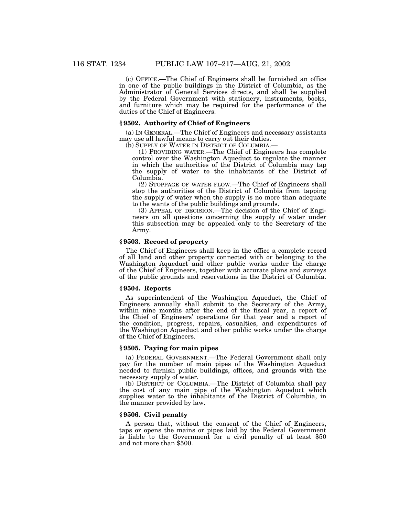(c) OFFICE.—The Chief of Engineers shall be furnished an office in one of the public buildings in the District of Columbia, as the Administrator of General Services directs, and shall be supplied by the Federal Government with stationery, instruments, books, and furniture which may be required for the performance of the duties of the Chief of Engineers.

#### **§ 9502. Authority of Chief of Engineers**

(a) IN GENERAL.—The Chief of Engineers and necessary assistants may use all lawful means to carry out their duties.

(b) SUPPLY OF WATER IN DISTRICT OF COLUMBIA.—

(1) PROVIDING WATER.—The Chief of Engineers has complete control over the Washington Aqueduct to regulate the manner in which the authorities of the District of Columbia may tap the supply of water to the inhabitants of the District of Columbia.

(2) STOPPAGE OF WATER FLOW.—The Chief of Engineers shall stop the authorities of the District of Columbia from tapping the supply of water when the supply is no more than adequate to the wants of the public buildings and grounds.

(3) APPEAL OF DECISION.—The decision of the Chief of Engineers on all questions concerning the supply of water under this subsection may be appealed only to the Secretary of the Army.

#### **§ 9503. Record of property**

The Chief of Engineers shall keep in the office a complete record of all land and other property connected with or belonging to the Washington Aqueduct and other public works under the charge of the Chief of Engineers, together with accurate plans and surveys of the public grounds and reservations in the District of Columbia.

#### **§ 9504. Reports**

As superintendent of the Washington Aqueduct, the Chief of Engineers annually shall submit to the Secretary of the Army, within nine months after the end of the fiscal year, a report of the Chief of Engineers' operations for that year and a report of the condition, progress, repairs, casualties, and expenditures of the Washington Aqueduct and other public works under the charge of the Chief of Engineers.

# **§ 9505. Paying for main pipes**

(a) FEDERAL GOVERNMENT.—The Federal Government shall only pay for the number of main pipes of the Washington Aqueduct needed to furnish public buildings, offices, and grounds with the necessary supply of water.

(b) DISTRICT OF COLUMBIA.—The District of Columbia shall pay the cost of any main pipe of the Washington Aqueduct which supplies water to the inhabitants of the District of Columbia, in the manner provided by law.

#### **§ 9506. Civil penalty**

A person that, without the consent of the Chief of Engineers, taps or opens the mains or pipes laid by the Federal Government is liable to the Government for a civil penalty of at least \$50 and not more than \$500.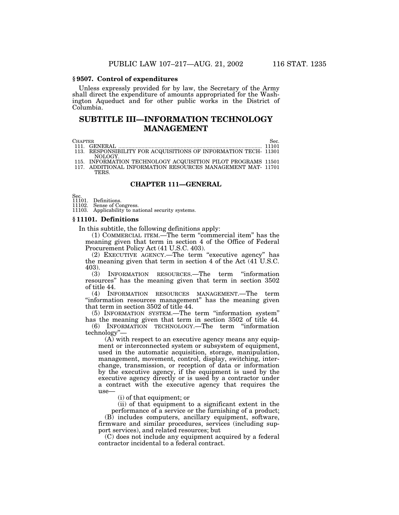#### **§ 9507. Control of expenditures**

Unless expressly provided for by law, the Secretary of the Army shall direct the expenditure of amounts appropriated for the Washington Aqueduct and for other public works in the District of Columbia.

# **SUBTITLE III—INFORMATION TECHNOLOGY MANAGEMENT**

CHAPTER Sec.

111. GENERAL ................................................................................................... 11101 113. RESPONSIBILITY FOR ACQUISITIONS OF INFORMATION TECH-11301 NOLOGY.

115. INFORMATION TECHNOLOGY ACQUISITION PILOT PROGRAMS 11501 117. ADDITIONAL INFORMATION RESOURCES MANAGEMENT MAT-11701 TERS.

# **CHAPTER 111—GENERAL**

Sec. 11101. Definitions.

11102. Sense of Congress. 11103. Applicability to national security systems.

#### **§ 11101. Definitions**

In this subtitle, the following definitions apply:

(1) COMMERCIAL ITEM.—The term ''commercial item'' has the meaning given that term in section 4 of the Office of Federal Procurement Policy Act (41 U.S.C. 403).

(2) EXECUTIVE AGENCY.—The term ''executive agency'' has the meaning given that term in section 4 of the Act (41 U.S.C. 403).

(3) INFORMATION RESOURCES.—The term ''information resources'' has the meaning given that term in section 3502 of title 44.

(4) INFORMATION RESOURCES MANAGEMENT.—The term "information resources management" has the meaning given that term in section 3502 of title 44.

(5) INFORMATION SYSTEM.—The term ''information system'' has the meaning given that term in section 3502 of title 44.

(6) INFORMATION TECHNOLOGY.—The term ''information technology''—

(A) with respect to an executive agency means any equipment or interconnected system or subsystem of equipment, used in the automatic acquisition, storage, manipulation, management, movement, control, display, switching, interchange, transmission, or reception of data or information by the executive agency, if the equipment is used by the executive agency directly or is used by a contractor under a contract with the executive agency that requires the use—

(i) of that equipment; or

(ii) of that equipment to a significant extent in the performance of a service or the furnishing of a product;

(B) includes computers, ancillary equipment, software, firmware and similar procedures, services (including support services), and related resources; but

(C) does not include any equipment acquired by a federal contractor incidental to a federal contract.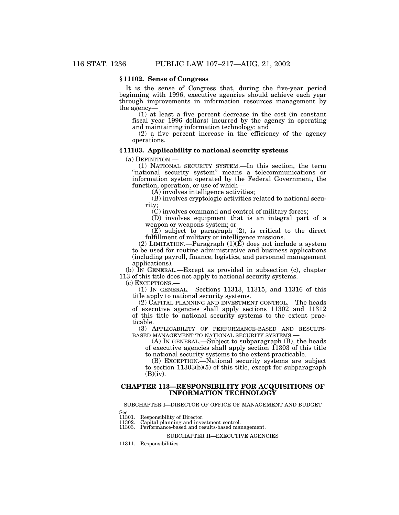# **§ 11102. Sense of Congress**

It is the sense of Congress that, during the five-year period beginning with 1996, executive agencies should achieve each year through improvements in information resources management by the agency—

(1) at least a five percent decrease in the cost (in constant fiscal year 1996 dollars) incurred by the agency in operating and maintaining information technology; and

(2) a five percent increase in the efficiency of the agency operations.

## **§ 11103. Applicability to national security systems**

(a) DEFINITION.— (1) NATIONAL SECURITY SYSTEM.—In this section, the term ''national security system'' means a telecommunications or information system operated by the Federal Government, the function, operation, or use of which—<br>(A) involves intelligence activities;

(B) involves cryptologic activities related to national security;

 $\ddot{C}$ ) involves command and control of military forces;

(D) involves equipment that is an integral part of a weapon or weapons system; or

 $(E)$  subject to paragraph  $(2)$ , is critical to the direct fulfillment of military or intelligence missions.

(2) LIMITATION.—Paragraph  $(1)(\overline{E})$  does not include a system to be used for routine administrative and business applications (including payroll, finance, logistics, and personnel management applications).

(b) IN GENERAL.—Except as provided in subsection (c), chapter 113 of this title does not apply to national security systems.

(c) EXCEPTIONS.—

(1) IN GENERAL.—Sections 11313, 11315, and 11316 of this title apply to national security systems.

(2) CAPITAL PLANNING AND INVESTMENT CONTROL.—The heads of executive agencies shall apply sections 11302 and 11312 of this title to national security systems to the extent practicable.

(3) APPLICABILITY OF PERFORMANCE-BASED AND RESULTS-BASED MANAGEMENT TO NATIONAL SECURITY SYSTEMS.-

(A) IN GENERAL.—Subject to subparagraph (B), the heads of executive agencies shall apply section 11303 of this title to national security systems to the extent practicable.

(B) EXCEPTION.—National security systems are subject

to section 11303(b)(5) of this title, except for subparagraph  $(B)(iv)$ .

# **CHAPTER 113—RESPONSIBILITY FOR ACQUISITIONS OF INFORMATION TECHNOLOGY**

#### SUBCHAPTER I—DIRECTOR OF OFFICE OF MANAGEMENT AND BUDGET

Sec.

11301. Responsibility of Director.<br>11302. Capital planning and inver

Capital planning and investment control.

11303. Performance-based and results-based management.

## SUBCHAPTER II—EXECUTIVE AGENCIES

11311. Responsibilities.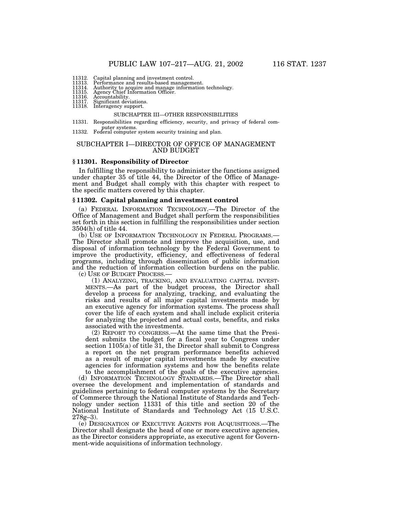- 11312. Capital planning and investment control.<br>11313. Performance and results-based managem<br>11314. Authority to acquire and manage informa
- 
- 11313. Performance and results-based management. 11314. Authority to acquire and manage information technology.
- 11315. Agency Chief Information Officer.<br>11316. Accountability.
- 11316. Accountability. 11317. Significant deviations.
- 11318. Interagency support.
- 

#### SUBCHAPTER III—OTHER RESPONSIBILITIES

- 11331. Responsibilities regarding efficiency, security, and privacy of federal com-
- puter systems.<br>11332. Federal computer system security training and plan.

#### SUBCHAPTER I—DIRECTOR OF OFFICE OF MANAGEMENT AND BUDGET

#### **§ 11301. Responsibility of Director**

In fulfilling the responsibility to administer the functions assigned under chapter 35 of title 44, the Director of the Office of Management and Budget shall comply with this chapter with respect to the specific matters covered by this chapter.

#### **§ 11302. Capital planning and investment control**

(a) FEDERAL INFORMATION TECHNOLOGY.—The Director of the Office of Management and Budget shall perform the responsibilities set forth in this section in fulfilling the responsibilities under section 3504(h) of title 44.

(b) USE OF INFORMATION TECHNOLOGY IN FEDERAL PROGRAMS.— The Director shall promote and improve the acquisition, use, and disposal of information technology by the Federal Government to improve the productivity, efficiency, and effectiveness of federal programs, including through dissemination of public information and the reduction of information collection burdens on the public.

(c) USE OF BUDGET PROCESS.—

(1) ANALYZING, TRACKING, AND EVALUATING CAPITAL INVEST-MENTS.—As part of the budget process, the Director shall develop a process for analyzing, tracking, and evaluating the risks and results of all major capital investments made by an executive agency for information systems. The process shall cover the life of each system and shall include explicit criteria for analyzing the projected and actual costs, benefits, and risks associated with the investments.

(2) REPORT TO CONGRESS.—At the same time that the President submits the budget for a fiscal year to Congress under section 1105(a) of title 31, the Director shall submit to Congress a report on the net program performance benefits achieved as a result of major capital investments made by executive agencies for information systems and how the benefits relate to the accomplishment of the goals of the executive agencies.

(d) INFORMATION TECHNOLOGY STANDARDS.—The Director shall oversee the development and implementation of standards and guidelines pertaining to federal computer systems by the Secretary of Commerce through the National Institute of Standards and Technology under section 11331 of this title and section 20 of the National Institute of Standards and Technology Act (15 U.S.C. 278g–3).

(e) DESIGNATION OF EXECUTIVE AGENTS FOR ACQUISITIONS.—The Director shall designate the head of one or more executive agencies, as the Director considers appropriate, as executive agent for Government-wide acquisitions of information technology.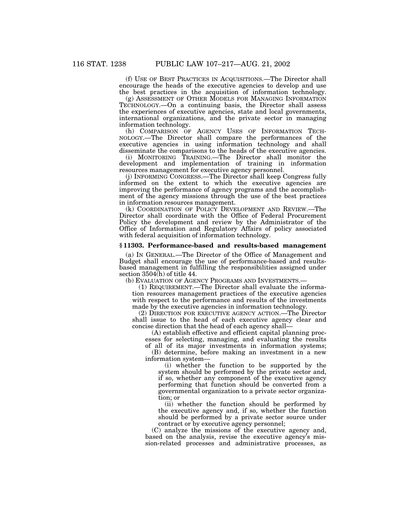(f) USE OF BEST PRACTICES IN ACQUISITIONS.—The Director shall encourage the heads of the executive agencies to develop and use the best practices in the acquisition of information technology.

(g) ASSESSMENT OF OTHER MODELS FOR MANAGING INFORMATION TECHNOLOGY.—On a continuing basis, the Director shall assess the experiences of executive agencies, state and local governments, international organizations, and the private sector in managing

information technology.<br>
(h) COMPARISON OF AGENCY USES OF INFORMATION TECH-NOLOGY.—The Director shall compare the performances of the executive agencies in using information technology and shall disseminate the comparisons to the heads of the executive agencies.

(i) MONITORING TRAINING.—The Director shall monitor the development and implementation of training in information resources management for executive agency personnel.

(j) INFORMING CONGRESS.—The Director shall keep Congress fully informed on the extent to which the executive agencies are improving the performance of agency programs and the accomplishment of the agency missions through the use of the best practices in information resources management.

(k) COORDINATION OF POLICY DEVELOPMENT AND REVIEW.—The Director shall coordinate with the Office of Federal Procurement Policy the development and review by the Administrator of the Office of Information and Regulatory Affairs of policy associated with federal acquisition of information technology.

## **§ 11303. Performance-based and results-based management**

(a) IN GENERAL.—The Director of the Office of Management and Budget shall encourage the use of performance-based and resultsbased management in fulfilling the responsibilities assigned under section 3504(h) of title 44.

(b) EVALUATION OF AGENCY PROGRAMS AND INVESTMENTS.—

(1) REQUIREMENT.—The Director shall evaluate the information resources management practices of the executive agencies with respect to the performance and results of the investments made by the executive agencies in information technology.

(2) DIRECTION FOR EXECUTIVE AGENCY ACTION.—The Director shall issue to the head of each executive agency clear and concise direction that the head of each agency shall—

(A) establish effective and efficient capital planning processes for selecting, managing, and evaluating the results

of all of its major investments in information systems; (B) determine, before making an investment in a new information system—

(i) whether the function to be supported by the system should be performed by the private sector and, if so, whether any component of the executive agency performing that function should be converted from a governmental organization to a private sector organization; or

(ii) whether the function should be performed by the executive agency and, if so, whether the function should be performed by a private sector source under contract or by executive agency personnel;

(C) analyze the missions of the executive agency and, based on the analysis, revise the executive agency's mission-related processes and administrative processes, as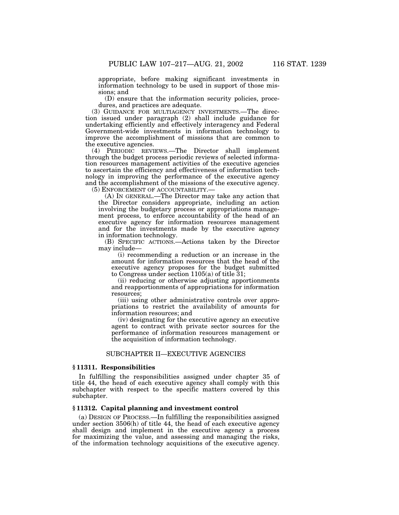appropriate, before making significant investments in information technology to be used in support of those missions; and

(D) ensure that the information security policies, procedures, and practices are adequate.

(3) GUIDANCE FOR MULTIAGENCY INVESTMENTS.—The direction issued under paragraph (2) shall include guidance for undertaking efficiently and effectively interagency and Federal Government-wide investments in information technology to improve the accomplishment of missions that are common to the executive agencies.

(4) PERIODIC REVIEWS.—The Director shall implement through the budget process periodic reviews of selected information resources management activities of the executive agencies to ascertain the efficiency and effectiveness of information technology in improving the performance of the executive agency and the accomplishment of the missions of the executive agency.

(5) ENFORCEMENT OF ACCOUNTABILITY.—

(A) IN GENERAL.—The Director may take any action that the Director considers appropriate, including an action involving the budgetary process or appropriations management process, to enforce accountability of the head of an executive agency for information resources management and for the investments made by the executive agency in information technology.

(B) SPECIFIC ACTIONS.—Actions taken by the Director may include—

(i) recommending a reduction or an increase in the amount for information resources that the head of the executive agency proposes for the budget submitted to Congress under section 1105(a) of title 31;

(ii) reducing or otherwise adjusting apportionments and reapportionments of appropriations for information resources;

(iii) using other administrative controls over appropriations to restrict the availability of amounts for information resources; and

(iv) designating for the executive agency an executive agent to contract with private sector sources for the performance of information resources management or the acquisition of information technology.

# SUBCHAPTER II—EXECUTIVE AGENCIES

#### **§ 11311. Responsibilities**

In fulfilling the responsibilities assigned under chapter 35 of title 44, the head of each executive agency shall comply with this subchapter with respect to the specific matters covered by this subchapter.

#### **§ 11312. Capital planning and investment control**

(a) DESIGN OF PROCESS.—In fulfilling the responsibilities assigned under section 3506(h) of title 44, the head of each executive agency shall design and implement in the executive agency a process for maximizing the value, and assessing and managing the risks, of the information technology acquisitions of the executive agency.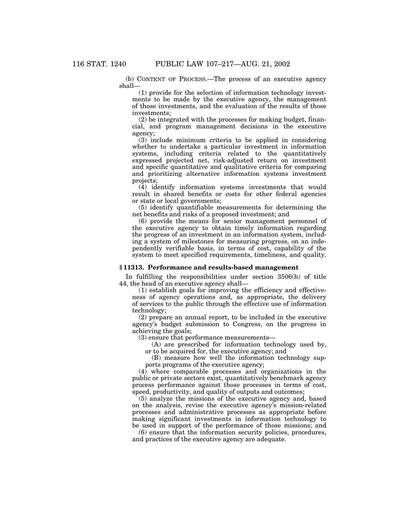(b) CONTENT OF PROCESS.—The process of an executive agency shall—

(1) provide for the selection of information technology investments to be made by the executive agency, the management of those investments, and the evaluation of the results of those investments;

(2) be integrated with the processes for making budget, financial, and program management decisions in the executive agency;

(3) include minimum criteria to be applied in considering whether to undertake a particular investment in information systems, including criteria related to the quantitatively expressed projected net, risk-adjusted return on investment and specific quantitative and qualitative criteria for comparing and prioritizing alternative information systems investment projects;

(4) identify information systems investments that would result in shared benefits or costs for other federal agencies or state or local governments;

(5) identify quantifiable measurements for determining the net benefits and risks of a proposed investment; and

(6) provide the means for senior management personnel of the executive agency to obtain timely information regarding the progress of an investment in an information system, including a system of milestones for measuring progress, on an independently verifiable basis, in terms of cost, capability of the system to meet specified requirements, timeliness, and quality.

# **§ 11313. Performance and results-based management**

In fulfilling the responsibilities under section 3506(h) of title 44, the head of an executive agency shall—

(1) establish goals for improving the efficiency and effectiveness of agency operations and, as appropriate, the delivery of services to the public through the effective use of information technology;

(2) prepare an annual report, to be included in the executive agency's budget submission to Congress, on the progress in achieving the goals;

(3) ensure that performance measurements—

(A) are prescribed for information technology used by,

or to be acquired for, the executive agency; and

(B) measure how well the information technology supports programs of the executive agency;

(4) where comparable processes and organizations in the public or private sectors exist, quantitatively benchmark agency process performance against those processes in terms of cost, speed, productivity, and quality of outputs and outcomes;

(5) analyze the missions of the executive agency and, based on the analysis, revise the executive agency's mission-related processes and administrative processes as appropriate before making significant investments in information technology to be used in support of the performance of those missions; and

(6) ensure that the information security policies, procedures, and practices of the executive agency are adequate.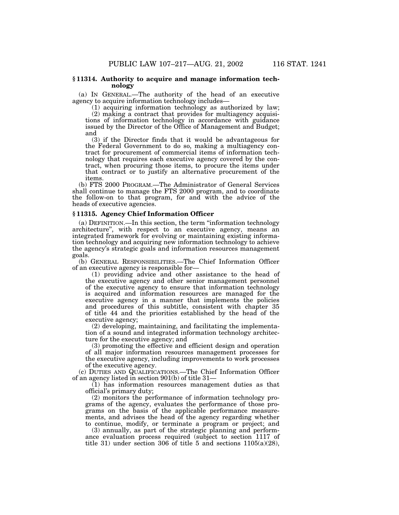### **§ 11314. Authority to acquire and manage information technology**

(a) IN GENERAL.—The authority of the head of an executive

 $(1)$  acquiring information technology as authorized by law;

(2) making a contract that provides for multiagency acquisitions of information technology in accordance with guidance issued by the Director of the Office of Management and Budget; and

(3) if the Director finds that it would be advantageous for the Federal Government to do so, making a multiagency contract for procurement of commercial items of information technology that requires each executive agency covered by the contract, when procuring those items, to procure the items under that contract or to justify an alternative procurement of the items.

(b) FTS 2000 PROGRAM.—The Administrator of General Services shall continue to manage the FTS 2000 program, and to coordinate the follow-on to that program, for and with the advice of the heads of executive agencies.

# **§ 11315. Agency Chief Information Officer**

(a) DEFINITION.—In this section, the term ''information technology architecture'', with respect to an executive agency, means an integrated framework for evolving or maintaining existing information technology and acquiring new information technology to achieve the agency's strategic goals and information resources management goals.

(b) GENERAL RESPONSIBILITIES.—The Chief Information Officer

 $(1)$  providing advice and other assistance to the head of the executive agency and other senior management personnel of the executive agency to ensure that information technology is acquired and information resources are managed for the executive agency in a manner that implements the policies and procedures of this subtitle, consistent with chapter 35 of title 44 and the priorities established by the head of the executive agency;

(2) developing, maintaining, and facilitating the implementation of a sound and integrated information technology architecture for the executive agency; and

(3) promoting the effective and efficient design and operation of all major information resources management processes for the executive agency, including improvements to work processes of the executive agency.

(c) DUTIES AND QUALIFICATIONS.—The Chief Information Officer of an agency listed in section 901(b) of title 31—

(1) has information resources management duties as that official's primary duty;

(2) monitors the performance of information technology programs of the agency, evaluates the performance of those programs on the basis of the applicable performance measurements, and advises the head of the agency regarding whether to continue, modify, or terminate a program or project; and

(3) annually, as part of the strategic planning and performance evaluation process required (subject to section 1117 of title 31) under section 306 of title 5 and sections 1105(a)(28),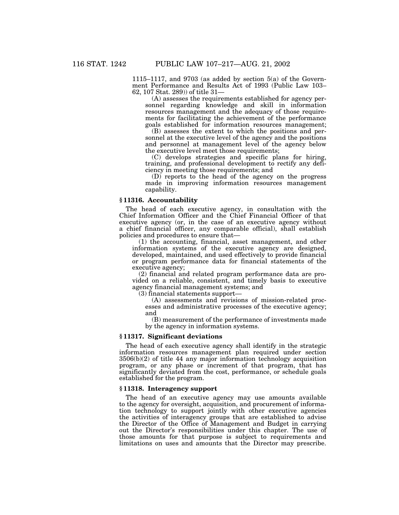1115–1117, and 9703 (as added by section 5(a) of the Govern-62, 107 Stat. 289)) of title 31—<br>(A) assesses the requirements established for agency per-

sonnel regarding knowledge and skill in information resources management and the adequacy of those requirements for facilitating the achievement of the performance goals established for information resources management;

(B) assesses the extent to which the positions and personnel at the executive level of the agency and the positions and personnel at management level of the agency below the executive level meet those requirements;

(C) develops strategies and specific plans for hiring, training, and professional development to rectify any deficiency in meeting those requirements; and

(D) reports to the head of the agency on the progress made in improving information resources management capability.

# **§ 11316. Accountability**

The head of each executive agency, in consultation with the Chief Information Officer and the Chief Financial Officer of that executive agency (or, in the case of an executive agency without a chief financial officer, any comparable official), shall establish policies and procedures to ensure that—

(1) the accounting, financial, asset management, and other information systems of the executive agency are designed, developed, maintained, and used effectively to provide financial or program performance data for financial statements of the executive agency;

(2) financial and related program performance data are provided on a reliable, consistent, and timely basis to executive agency financial management systems; and

(3) financial statements support—

(A) assessments and revisions of mission-related processes and administrative processes of the executive agency; and

(B) measurement of the performance of investments made by the agency in information systems.

# **§ 11317. Significant deviations**

The head of each executive agency shall identify in the strategic information resources management plan required under section 3506(b)(2) of title 44 any major information technology acquisition program, or any phase or increment of that program, that has significantly deviated from the cost, performance, or schedule goals established for the program.

#### **§ 11318. Interagency support**

The head of an executive agency may use amounts available to the agency for oversight, acquisition, and procurement of information technology to support jointly with other executive agencies the activities of interagency groups that are established to advise the Director of the Office of Management and Budget in carrying out the Director's responsibilities under this chapter. The use of those amounts for that purpose is subject to requirements and limitations on uses and amounts that the Director may prescribe.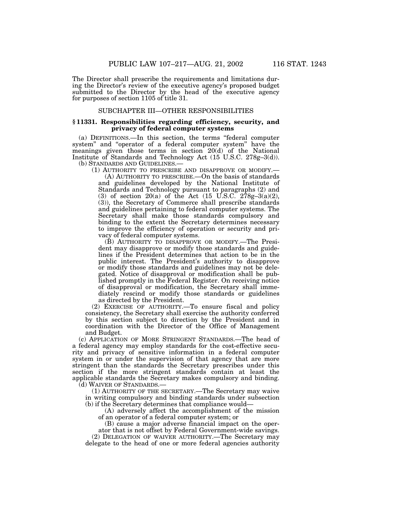The Director shall prescribe the requirements and limitations during the Director's review of the executive agency's proposed budget submitted to the Director by the head of the executive agency for purposes of section 1105 of title 31.

### SUBCHAPTER III—OTHER RESPONSIBILITIES

### **§ 11331. Responsibilities regarding efficiency, security, and privacy of federal computer systems**

(a) DEFINITIONS.—In this section, the terms ''federal computer system'' and ''operator of a federal computer system'' have the meanings given those terms in section 20(d) of the National Institute of Standards and Technology Act (15 U.S.C. 278g–3(d)).

(1) AUTHORITY TO PRESCRIBE AND DISAPPROVE OR MODIFY.—  $(A)$  AUTHORITY TO PRESCRIBE.—On the basis of standards

and guidelines developed by the National Institute of Standards and Technology pursuant to paragraphs (2) and (3) of section 20(a) of the Act (15 U.S.C.  $278g-3(a)(2)$ , (3)), the Secretary of Commerce shall prescribe standards and guidelines pertaining to federal computer systems. The Secretary shall make those standards compulsory and binding to the extent the Secretary determines necessary to improve the efficiency of operation or security and privacy of federal computer systems.

(B) AUTHORITY TO DISAPPROVE OR MODIFY.—The President may disapprove or modify those standards and guidelines if the President determines that action to be in the public interest. The President's authority to disapprove or modify those standards and guidelines may not be delegated. Notice of disapproval or modification shall be published promptly in the Federal Register. On receiving notice of disapproval or modification, the Secretary shall immediately rescind or modify those standards or guidelines as directed by the President.

(2) EXERCISE OF AUTHORITY.—To ensure fiscal and policy consistency, the Secretary shall exercise the authority conferred by this section subject to direction by the President and in coordination with the Director of the Office of Management and Budget.

(c) APPLICATION OF MORE STRINGENT STANDARDS.—The head of a federal agency may employ standards for the cost-effective security and privacy of sensitive information in a federal computer system in or under the supervision of that agency that are more stringent than the standards the Secretary prescribes under this section if the more stringent standards contain at least the applicable standards the Secretary makes compulsory and binding. (d) WAIVER OF STANDARDS.—

(1) AUTHORITY OF THE SECRETARY.—The Secretary may waive in writing compulsory and binding standards under subsection (b) if the Secretary determines that compliance would—

 $(A)$  adversely affect the accomplishment of the mission of an operator of a federal computer system; or

(B) cause a major adverse financial impact on the operator that is not offset by Federal Government-wide savings.

(2) DELEGATION OF WAIVER AUTHORITY.—The Secretary may delegate to the head of one or more federal agencies authority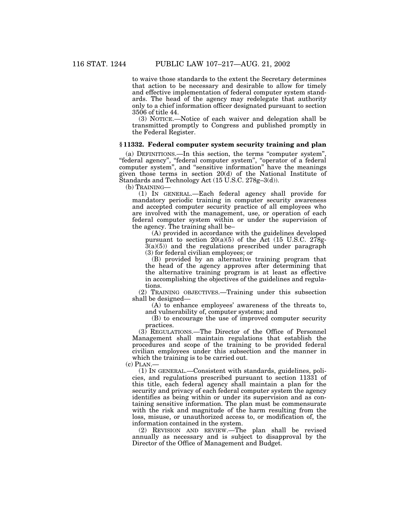to waive those standards to the extent the Secretary determines that action to be necessary and desirable to allow for timely and effective implementation of federal computer system standards. The head of the agency may redelegate that authority only to a chief information officer designated pursuant to section 3506 of title 44.

(3) NOTICE.—Notice of each waiver and delegation shall be transmitted promptly to Congress and published promptly in the Federal Register.

# **§ 11332. Federal computer system security training and plan**

(a) DEFINITIONS.—In this section, the terms ''computer system'', ''federal agency'', ''federal computer system'', ''operator of a federal computer system'', and ''sensitive information'' have the meanings given those terms in section 20(d) of the National Institute of Standards and Technology Act (15 U.S.C. 278g–3(d)).

(b) TRAINING—

(1) IN GENERAL.—Each federal agency shall provide for mandatory periodic training in computer security awareness and accepted computer security practice of all employees who are involved with the management, use, or operation of each federal computer system within or under the supervision of the agency. The training shall be–

(A) provided in accordance with the guidelines developed pursuant to section  $20(a)(5)$  of the Act (15 U.S.C. 278g- $3(a)(5)$  and the regulations prescribed under paragraph (3) for federal civilian employees; or

(B) provided by an alternative training program that the head of the agency approves after determining that the alternative training program is at least as effective in accomplishing the objectives of the guidelines and regulations.

(2) TRAINING OBJECTIVES.—Training under this subsection shall be designed—

(A) to enhance employees' awareness of the threats to, and vulnerability of, computer systems; and

(B) to encourage the use of improved computer security practices.

(3) REGULATIONS.—The Director of the Office of Personnel Management shall maintain regulations that establish the procedures and scope of the training to be provided federal civilian employees under this subsection and the manner in which the training is to be carried out.

 $(c)$  PLAN. $-$ 

(1) IN GENERAL.—Consistent with standards, guidelines, policies, and regulations prescribed pursuant to section 11331 of this title, each federal agency shall maintain a plan for the security and privacy of each federal computer system the agency identifies as being within or under its supervision and as containing sensitive information. The plan must be commensurate with the risk and magnitude of the harm resulting from the loss, misuse, or unauthorized access to, or modification of, the information contained in the system.

(2) REVISION AND REVIEW.—The plan shall be revised annually as necessary and is subject to disapproval by the Director of the Office of Management and Budget.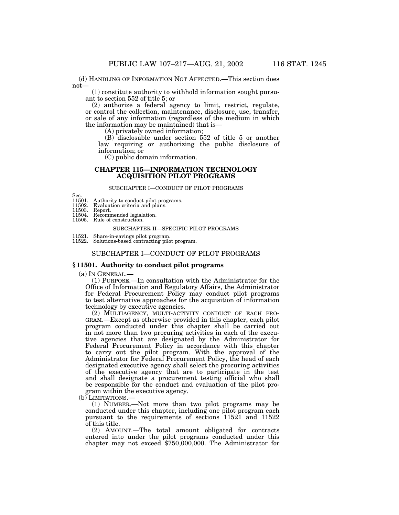(d) HANDLING OF INFORMATION NOT AFFECTED.—This section does not— (1) constitute authority to withhold information sought pursu-

ant to section 552 of title 5; or

(2) authorize a federal agency to limit, restrict, regulate, or control the collection, maintenance, disclosure, use, transfer, or sale of any information (regardless of the medium in which the information may be maintained) that is—

(A) privately owned information;

(B) disclosable under section 552 of title 5 or another law requiring or authorizing the public disclosure of information; or

(C) public domain information.

### **CHAPTER 115—INFORMATION TECHNOLOGY ACQUISITION PILOT PROGRAMS**

#### SUBCHAPTER I—CONDUCT OF PILOT PROGRAMS

Sec.

11501. Authority to conduct pilot programs.<br>11502. Evaluation criteria and plans.

Evaluation criteria and plans.

11503. Report.

- 11504. Recommended legislation.
- 11505. Rule of construction.

#### SUBCHAPTER II—SPECIFIC PILOT PROGRAMS

11521. Share-in-savings pilot program. 11522. Solutions-based contracting pilot program.

# SUBCHAPTER I—CONDUCT OF PILOT PROGRAMS

#### **§ 11501. Authority to conduct pilot programs**

(a) IN GENERAL.—

(1) PURPOSE.—In consultation with the Administrator for the Office of Information and Regulatory Affairs, the Administrator for Federal Procurement Policy may conduct pilot programs to test alternative approaches for the acquisition of information technology by executive agencies.

(2) MULTIAGENCY, MULTI-ACTIVITY CONDUCT OF EACH PRO-GRAM.—Except as otherwise provided in this chapter, each pilot program conducted under this chapter shall be carried out in not more than two procuring activities in each of the executive agencies that are designated by the Administrator for Federal Procurement Policy in accordance with this chapter to carry out the pilot program. With the approval of the Administrator for Federal Procurement Policy, the head of each designated executive agency shall select the procuring activities of the executive agency that are to participate in the test and shall designate a procurement testing official who shall be responsible for the conduct and evaluation of the pilot program within the executive agency.

(b) LIMITATIONS.—

(1) NUMBER.—Not more than two pilot programs may be conducted under this chapter, including one pilot program each pursuant to the requirements of sections 11521 and 11522 of this title.

(2) AMOUNT.—The total amount obligated for contracts entered into under the pilot programs conducted under this chapter may not exceed \$750,000,000. The Administrator for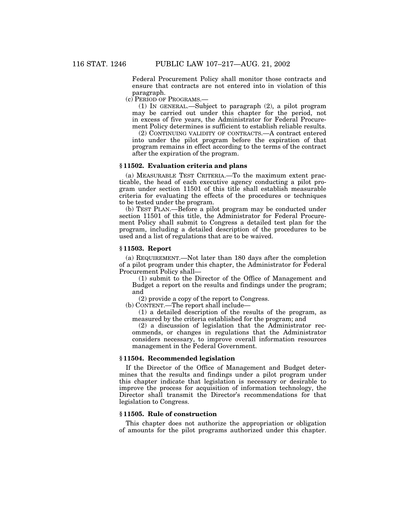Federal Procurement Policy shall monitor those contracts and ensure that contracts are not entered into in violation of this paragraph.

(c) PERIOD OF PROGRAMS.—

(1) IN GENERAL.—Subject to paragraph (2), a pilot program may be carried out under this chapter for the period, not in excess of five years, the Administrator for Federal Procurement Policy determines is sufficient to establish reliable results.

(2) CONTINUING VALIDITY OF CONTRACTS.—A contract entered into under the pilot program before the expiration of that program remains in effect according to the terms of the contract after the expiration of the program.

#### **§ 11502. Evaluation criteria and plans**

(a) MEASURABLE TEST CRITERIA.—To the maximum extent practicable, the head of each executive agency conducting a pilot program under section 11501 of this title shall establish measurable criteria for evaluating the effects of the procedures or techniques to be tested under the program.

(b) TEST PLAN.—Before a pilot program may be conducted under section 11501 of this title, the Administrator for Federal Procurement Policy shall submit to Congress a detailed test plan for the program, including a detailed description of the procedures to be used and a list of regulations that are to be waived.

### **§ 11503. Report**

(a) REQUIREMENT.—Not later than 180 days after the completion of a pilot program under this chapter, the Administrator for Federal Procurement Policy shall—

(1) submit to the Director of the Office of Management and Budget a report on the results and findings under the program; and

(2) provide a copy of the report to Congress.

(b) CONTENT.—The report shall include—

(1) a detailed description of the results of the program, as measured by the criteria established for the program; and

(2) a discussion of legislation that the Administrator recommends, or changes in regulations that the Administrator considers necessary, to improve overall information resources management in the Federal Government.

## **§ 11504. Recommended legislation**

If the Director of the Office of Management and Budget determines that the results and findings under a pilot program under this chapter indicate that legislation is necessary or desirable to improve the process for acquisition of information technology, the Director shall transmit the Director's recommendations for that legislation to Congress.

# **§ 11505. Rule of construction**

This chapter does not authorize the appropriation or obligation of amounts for the pilot programs authorized under this chapter.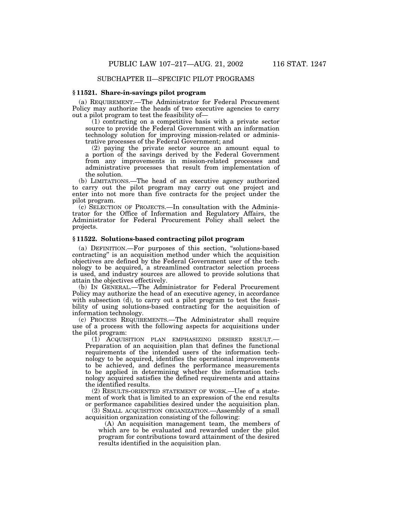# SUBCHAPTER II—SPECIFIC PILOT PROGRAMS

### **§ 11521. Share-in-savings pilot program**

(a) REQUIREMENT.—The Administrator for Federal Procurement Policy may authorize the heads of two executive agencies to carry out a pilot program to test the feasibility of—

(1) contracting on a competitive basis with a private sector source to provide the Federal Government with an information technology solution for improving mission-related or administrative processes of the Federal Government; and

(2) paying the private sector source an amount equal to a portion of the savings derived by the Federal Government from any improvements in mission-related processes and administrative processes that result from implementation of the solution.

(b) LIMITATIONS.—The head of an executive agency authorized to carry out the pilot program may carry out one project and enter into not more than five contracts for the project under the pilot program.

(c) SELECTION OF PROJECTS.—In consultation with the Administrator for the Office of Information and Regulatory Affairs, the Administrator for Federal Procurement Policy shall select the projects.

### **§ 11522. Solutions-based contracting pilot program**

(a) DEFINITION.—For purposes of this section, ''solutions-based contracting'' is an acquisition method under which the acquisition objectives are defined by the Federal Government user of the technology to be acquired, a streamlined contractor selection process is used, and industry sources are allowed to provide solutions that attain the objectives effectively.

(b) IN GENERAL.—The Administrator for Federal Procurement Policy may authorize the head of an executive agency, in accordance with subsection (d), to carry out a pilot program to test the feasibility of using solutions-based contracting for the acquisition of information technology.

(c) PROCESS REQUIREMENTS.—The Administrator shall require use of a process with the following aspects for acquisitions under the pilot program:

(1) ACQUISITION PLAN EMPHASIZING DESIRED RESULT.— Preparation of an acquisition plan that defines the functional requirements of the intended users of the information technology to be acquired, identifies the operational improvements to be achieved, and defines the performance measurements to be applied in determining whether the information technology acquired satisfies the defined requirements and attains the identified results.

(2) RESULTS-ORIENTED STATEMENT OF WORK.—Use of a statement of work that is limited to an expression of the end results or performance capabilities desired under the acquisition plan.

(3) SMALL ACQUISITION ORGANIZATION.—Assembly of a small acquisition organization consisting of the following:

(A) An acquisition management team, the members of which are to be evaluated and rewarded under the pilot program for contributions toward attainment of the desired results identified in the acquisition plan.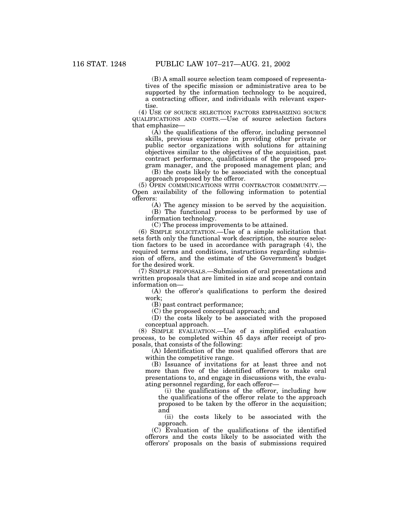(B) A small source selection team composed of representatives of the specific mission or administrative area to be supported by the information technology to be acquired, a contracting officer, and individuals with relevant expertise.

(4) USE OF SOURCE SELECTION FACTORS EMPHASIZING SOURCE QUALIFICATIONS AND COSTS.—Use of source selection factors that emphasize—

 $(\overline{A})$  the qualifications of the offeror, including personnel skills, previous experience in providing other private or public sector organizations with solutions for attaining objectives similar to the objectives of the acquisition, past contract performance, qualifications of the proposed program manager, and the proposed management plan; and

(B) the costs likely to be associated with the conceptual approach proposed by the offeror.

(5) OPEN COMMUNICATIONS WITH CONTRACTOR COMMUNITY.— Open availability of the following information to potential offerors:

(A) The agency mission to be served by the acquisition.

(B) The functional process to be performed by use of information technology.

(C) The process improvements to be attained.

(6) SIMPLE SOLICITATION.—Use of a simple solicitation that sets forth only the functional work description, the source selection factors to be used in accordance with paragraph (4), the required terms and conditions, instructions regarding submission of offers, and the estimate of the Government's budget for the desired work.

(7) SIMPLE PROPOSALS.—Submission of oral presentations and written proposals that are limited in size and scope and contain information on—

(A) the offeror's qualifications to perform the desired work;

(B) past contract performance;

(C) the proposed conceptual approach; and

(D) the costs likely to be associated with the proposed conceptual approach.

(8) SIMPLE EVALUATION.—Use of a simplified evaluation process, to be completed within 45 days after receipt of proposals, that consists of the following:

(A) Identification of the most qualified offerors that are within the competitive range.

(B) Issuance of invitations for at least three and not more than five of the identified offerors to make oral presentations to, and engage in discussions with, the evaluating personnel regarding, for each offeror—

(i) the qualifications of the offeror, including how the qualifications of the offeror relate to the approach proposed to be taken by the offeror in the acquisition; and

(ii) the costs likely to be associated with the approach.

(C) Evaluation of the qualifications of the identified offerors and the costs likely to be associated with the offerors' proposals on the basis of submissions required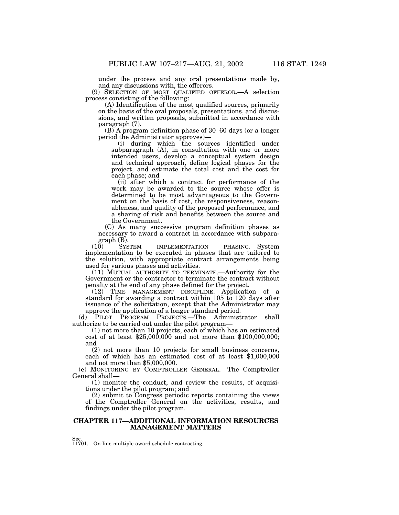under the process and any oral presentations made by, and any discussions with, the offerors.

(9) SELECTION OF MOST QUALIFIED OFFEROR.—A selection process consisting of the following:

(A) Identification of the most qualified sources, primarily on the basis of the oral proposals, presentations, and discussions, and written proposals, submitted in accordance with paragraph (7).

 $(B)$  A program definition phase of 30–60 days (or a longer period the Administrator approves)—

(i) during which the sources identified under subparagraph (A), in consultation with one or more intended users, develop a conceptual system design and technical approach, define logical phases for the project, and estimate the total cost and the cost for each phase; and

(ii) after which a contract for performance of the work may be awarded to the source whose offer is determined to be most advantageous to the Government on the basis of cost, the responsiveness, reasonableness, and quality of the proposed performance, and a sharing of risk and benefits between the source and the Government.

(C) As many successive program definition phases as necessary to award a contract in accordance with subparagraph  $(B)$ .<br>(10) Sys

SYSTEM IMPLEMENTATION PHASING.—System implementation to be executed in phases that are tailored to the solution, with appropriate contract arrangements being used for various phases and activities.

(11) MUTUAL AUTHORITY TO TERMINATE.—Authority for the Government or the contractor to terminate the contract without penalty at the end of any phase defined for the project.

(12) TIME MANAGEMENT DISCIPLINE.—Application of a standard for awarding a contract within 105 to 120 days after issuance of the solicitation, except that the Administrator may approve the application of a longer standard period.

(d) PILOT PROGRAM PROJECTS.—The Administrator shall

authorize to be carried out under the pilot program—<br>
(1) not more than 10 projects, each of which has an estimated<br>
cost of at least \$25,000,000 and not more than \$100,000,000; and<br>(2) not more than 10 projects for small business concerns,

each of which has an estimated cost of at least  $$1,000,000$ and not more than \$5,000,000.

(e) MONITORING BY COMPTROLLER GENERAL.—The Comptroller

 $(1)$  monitor the conduct, and review the results, of acquisitions under the pilot program; and

(2) submit to Congress periodic reports containing the views of the Comptroller General on the activities, results, and findings under the pilot program.

# **CHAPTER 117—ADDITIONAL INFORMATION RESOURCES MANAGEMENT MATTERS**

Sec. 11701. On-line multiple award schedule contracting.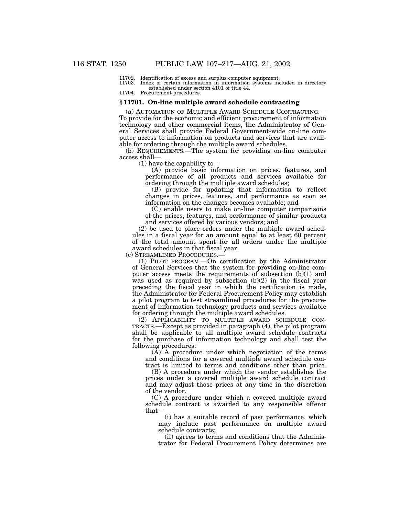11702. Identification of excess and surplus computer equipment.<br>11703. Index of certain information in information systems in

11703. Index of certain information in information systems included in directory established under section 4101 of title 44.

11704. Procurement procedures.

# **§ 11701. On-line multiple award schedule contracting**

(a) AUTOMATION OF MULTIPLE AWARD SCHEDULE CONTRACTING.— To provide for the economic and efficient procurement of information technology and other commercial items, the Administrator of General Services shall provide Federal Government-wide on-line computer access to information on products and services that are available for ordering through the multiple award schedules.

(b) REQUIREMENTS.—The system for providing on-line computer

(1) have the capability to—<br>  $(A)$  provide basic information on prices, features, and performance of all products and services available for ordering through the multiple award schedules;

(B) provide for updating that information to reflect changes in prices, features, and performance as soon as information on the changes becomes available; and

(C) enable users to make on-line computer comparisons of the prices, features, and performance of similar products and services offered by various vendors; and

(2) be used to place orders under the multiple award schedules in a fiscal year for an amount equal to at least 60 percent of the total amount spent for all orders under the multiple award schedules in that fiscal year.

(c) STREAMLINED PROCEDURES.—

(1) PILOT PROGRAM.—On certification by the Administrator of General Services that the system for providing on-line computer access meets the requirements of subsection (b)(1) and was used as required by subsection (b)(2) in the fiscal year preceding the fiscal year in which the certification is made, the Administrator for Federal Procurement Policy may establish a pilot program to test streamlined procedures for the procurement of information technology products and services available for ordering through the multiple award schedules.

(2) APPLICABILITY TO MULTIPLE AWARD SCHEDULE CON-TRACTS.—Except as provided in paragraph (4), the pilot program shall be applicable to all multiple award schedule contracts for the purchase of information technology and shall test the following procedures:

 $(A)$  A procedure under which negotiation of the terms and conditions for a covered multiple award schedule contract is limited to terms and conditions other than price.

(B) A procedure under which the vendor establishes the prices under a covered multiple award schedule contract and may adjust those prices at any time in the discretion of the vendor.

(C) A procedure under which a covered multiple award schedule contract is awarded to any responsible offeror that—

(i) has a suitable record of past performance, which may include past performance on multiple award schedule contracts;

(ii) agrees to terms and conditions that the Administrator for Federal Procurement Policy determines are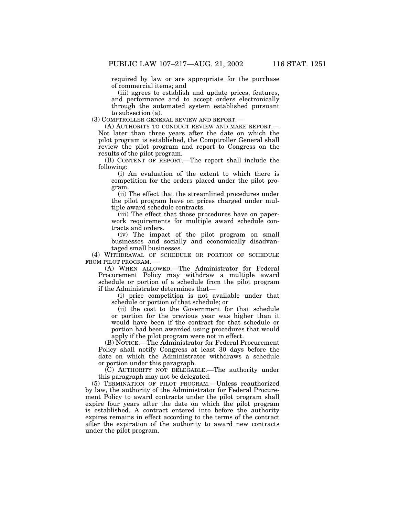required by law or are appropriate for the purchase of commercial items; and

(iii) agrees to establish and update prices, features, and performance and to accept orders electronically through the automated system established pursuant to subsection (a).

(3) COMPTROLLER GENERAL REVIEW AND REPORT.—

(A) AUTHORITY TO CONDUCT REVIEW AND MAKE REPORT.— Not later than three years after the date on which the pilot program is established, the Comptroller General shall review the pilot program and report to Congress on the results of the pilot program.

(B) CONTENT OF REPORT.—The report shall include the following:

(i) An evaluation of the extent to which there is competition for the orders placed under the pilot program.

(ii) The effect that the streamlined procedures under the pilot program have on prices charged under multiple award schedule contracts.

(iii) The effect that those procedures have on paperwork requirements for multiple award schedule contracts and orders.

(iv) The impact of the pilot program on small businesses and socially and economically disadvantaged small businesses.

(4) WITHDRAWAL OF SCHEDULE OR PORTION OF SCHEDULE FROM PILOT PROGRAM.—

(A) WHEN ALLOWED.—The Administrator for Federal Procurement Policy may withdraw a multiple award schedule or portion of a schedule from the pilot program if the Administrator determines that—

(i) price competition is not available under that schedule or portion of that schedule; or

(ii) the cost to the Government for that schedule or portion for the previous year was higher than it would have been if the contract for that schedule or portion had been awarded using procedures that would apply if the pilot program were not in effect.

(B) NOTICE.—The Administrator for Federal Procurement Policy shall notify Congress at least 30 days before the date on which the Administrator withdraws a schedule or portion under this paragraph.

(C) AUTHORITY NOT DELEGABLE.—The authority under this paragraph may not be delegated.

(5) TERMINATION OF PILOT PROGRAM.—Unless reauthorized by law, the authority of the Administrator for Federal Procurement Policy to award contracts under the pilot program shall expire four years after the date on which the pilot program is established. A contract entered into before the authority expires remains in effect according to the terms of the contract after the expiration of the authority to award new contracts under the pilot program.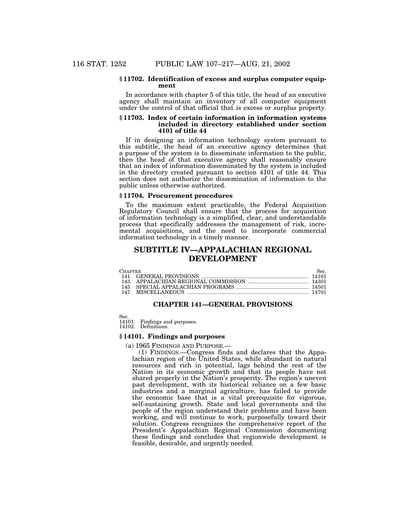### **§ 11702. Identification of excess and surplus computer equipment**

In accordance with chapter 5 of this title, the head of an executive agency shall maintain an inventory of all computer equipment under the control of that official that is excess or surplus property.

## **§ 11703. Index of certain information in information systems included in directory established under section 4101 of title 44**

If in designing an information technology system pursuant to this subtitle, the head of an executive agency determines that a purpose of the system is to disseminate information to the public, then the head of that executive agency shall reasonably ensure that an index of information disseminated by the system is included in the directory created pursuant to section 4101 of title 44. This section does not authorize the dissemination of information to the public unless otherwise authorized.

#### **§ 11704. Procurement procedures**

To the maximum extent practicable, the Federal Acquisition Regulatory Council shall ensure that the process for acquisition of information technology is a simplified, clear, and understandable process that specifically addresses the management of risk, incremental acquisitions, and the need to incorporate commercial information technology in a timely manner.

# **SUBTITLE IV—APPALACHIAN REGIONAL DEVELOPMENT**

| CHAPTER. |  | Sec |
|----------|--|-----|
|          |  |     |
|          |  |     |
|          |  |     |
|          |  |     |

# **CHAPTER 141—GENERAL PROVISIONS**

Sec. 14101. Findings and purposes. 14102. Definitions.

### **§ 14101. Findings and purposes**

(a) 1965 FINDINGS AND PURPOSE.—

(1) FINDINGS.—Congress finds and declares that the Appalachian region of the United States, while abundant in natural resources and rich in potential, lags behind the rest of the Nation in its economic growth and that its people have not shared properly in the Nation's prosperity. The region's uneven past development, with its historical reliance on a few basic industries and a marginal agriculture, has failed to provide the economic base that is a vital prerequisite for vigorous, self-sustaining growth. State and local governments and the people of the region understand their problems and have been working, and will continue to work, purposefully toward their solution. Congress recognizes the comprehensive report of the President's Appalachian Regional Commission documenting these findings and concludes that regionwide development is feasible, desirable, and urgently needed.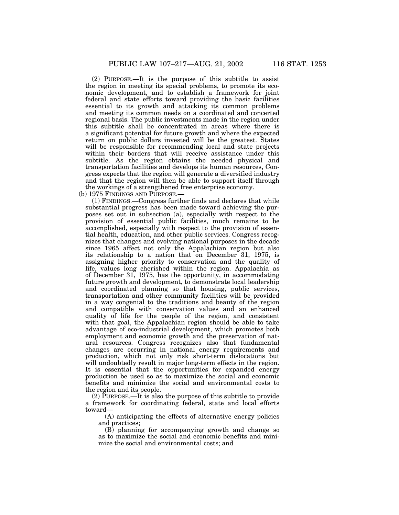(2) PURPOSE.—It is the purpose of this subtitle to assist the region in meeting its special problems, to promote its economic development, and to establish a framework for joint federal and state efforts toward providing the basic facilities essential to its growth and attacking its common problems and meeting its common needs on a coordinated and concerted regional basis. The public investments made in the region under this subtitle shall be concentrated in areas where there is a significant potential for future growth and where the expected return on public dollars invested will be the greatest. States will be responsible for recommending local and state projects within their borders that will receive assistance under this subtitle. As the region obtains the needed physical and transportation facilities and develops its human resources, Congress expects that the region will generate a diversified industry and that the region will then be able to support itself through the workings of a strengthened free enterprise economy.

(b) 1975 FINDINGS AND PURPOSE.—

(1) FINDINGS.—Congress further finds and declares that while substantial progress has been made toward achieving the purposes set out in subsection (a), especially with respect to the provision of essential public facilities, much remains to be accomplished, especially with respect to the provision of essential health, education, and other public services. Congress recognizes that changes and evolving national purposes in the decade since 1965 affect not only the Appalachian region but also its relationship to a nation that on December 31, 1975, is assigning higher priority to conservation and the quality of life, values long cherished within the region. Appalachia as of December 31, 1975, has the opportunity, in accommodating future growth and development, to demonstrate local leadership and coordinated planning so that housing, public services, transportation and other community facilities will be provided in a way congenial to the traditions and beauty of the region and compatible with conservation values and an enhanced quality of life for the people of the region, and consistent with that goal, the Appalachian region should be able to take advantage of eco-industrial development, which promotes both employment and economic growth and the preservation of natural resources. Congress recognizes also that fundamental changes are occurring in national energy requirements and production, which not only risk short-term dislocations but will undoubtedly result in major long-term effects in the region. It is essential that the opportunities for expanded energy production be used so as to maximize the social and economic benefits and minimize the social and environmental costs to the region and its people.

(2) PURPOSE.—It is also the purpose of this subtitle to provide a framework for coordinating federal, state and local efforts toward—

(A) anticipating the effects of alternative energy policies and practices;

(B) planning for accompanying growth and change so as to maximize the social and economic benefits and minimize the social and environmental costs; and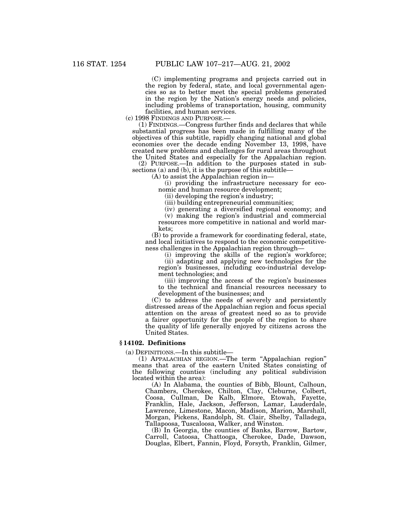(C) implementing programs and projects carried out in the region by federal, state, and local governmental agencies so as to better meet the special problems generated in the region by the Nation's energy needs and policies, including problems of transportation, housing, community facilities, and human services.<br>(c) 1998 FINDINGS AND PURPOSE.—

(1) FINDINGS.—Congress further finds and declares that while substantial progress has been made in fulfilling many of the objectives of this subtitle, rapidly changing national and global economies over the decade ending November 13, 1998, have created new problems and challenges for rural areas throughout the United States and especially for the Appalachian region.

(2) PURPOSE.—In addition to the purposes stated in subsections (a) and (b), it is the purpose of this subtitle—

(A) to assist the Appalachian region in—<br>(i) providing the infrastructure necessary for economic and human resource development;

(ii) developing the region's industry;

(iii) building entrepreneurial communities;

(iv) generating a diversified regional economy; and (v) making the region's industrial and commercial

resources more competitive in national and world markets;

(B) to provide a framework for coordinating federal, state, and local initiatives to respond to the economic competitiveness challenges in the Appalachian region through—

(i) improving the skills of the region's workforce;

(ii) adapting and applying new technologies for the region's businesses, including eco-industrial development technologies; and

(iii) improving the access of the region's businesses to the technical and financial resources necessary to development of the businesses; and

(C) to address the needs of severely and persistently distressed areas of the Appalachian region and focus special attention on the areas of greatest need so as to provide a fairer opportunity for the people of the region to share the quality of life generally enjoyed by citizens across the United States.

# **§ 14102. Definitions**

(a) DEFINITIONS.—In this subtitle—

(1) APPALACHIAN REGION.—The term ''Appalachian region'' means that area of the eastern United States consisting of the following counties (including any political subdivision located within the area):

(A) In Alabama, the counties of Bibb, Blount, Calhoun, Chambers, Cherokee, Chilton, Clay, Cleburne, Colbert, Coosa, Cullman, De Kalb, Elmore, Etowah, Fayette, Franklin, Hale, Jackson, Jefferson, Lamar, Lauderdale, Lawrence, Limestone, Macon, Madison, Marion, Marshall, Morgan, Pickens, Randolph, St. Clair, Shelby, Talladega, Tallapoosa, Tuscaloosa, Walker, and Winston.

(B) In Georgia, the counties of Banks, Barrow, Bartow, Carroll, Catoosa, Chattooga, Cherokee, Dade, Dawson, Douglas, Elbert, Fannin, Floyd, Forsyth, Franklin, Gilmer,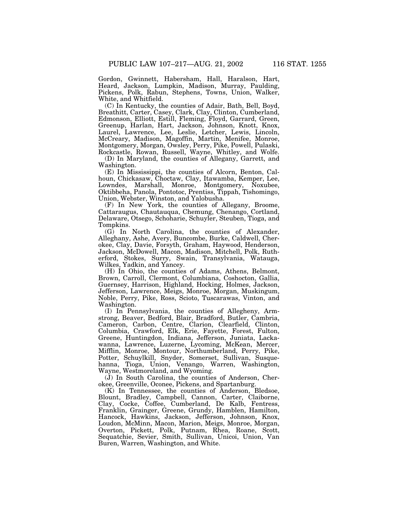Gordon, Gwinnett, Habersham, Hall, Haralson, Hart, Heard, Jackson, Lumpkin, Madison, Murray, Paulding, Pickens, Polk, Rabun, Stephens, Towns, Union, Walker, White, and Whitfield.

(C) In Kentucky, the counties of Adair, Bath, Bell, Boyd, Breathitt, Carter, Casey, Clark, Clay, Clinton, Cumberland, Edmonson, Elliott, Estill, Fleming, Floyd, Garrard, Green, Greenup, Harlan, Hart, Jackson, Johnson, Knott, Knox, Laurel, Lawrence, Lee, Leslie, Letcher, Lewis, Lincoln, McCreary, Madison, Magoffin, Martin, Menifee, Monroe, Montgomery, Morgan, Owsley, Perry, Pike, Powell, Pulaski, Rockcastle, Rowan, Russell, Wayne, Whitley, and Wolfe.

(D) In Maryland, the counties of Allegany, Garrett, and Washington.

(E) In Mississippi, the counties of Alcorn, Benton, Calhoun, Chickasaw, Choctaw, Clay, Itawamba, Kemper, Lee, Lowndes, Marshall, Monroe, Montgomery, Noxubee, Oktibbeha, Panola, Pontotoc, Prentiss, Tippah, Tishomingo, Union, Webster, Winston, and Yalobusha.

(F) In New York, the counties of Allegany, Broome, Cattaraugus, Chautauqua, Chemung, Chenango, Cortland, Delaware, Otsego, Schoharie, Schuyler, Steuben, Tioga, and Tompkins.

(G) In North Carolina, the counties of Alexander, Alleghany, Ashe, Avery, Buncombe, Burke, Caldwell, Cherokee, Clay, Davie, Forsyth, Graham, Haywood, Henderson, Jackson, McDowell, Macon, Madison, Mitchell, Polk, Rutherford, Stokes, Surry, Swain, Transylvania, Watauga, Wilkes, Yadkin, and Yancey.

(H) In Ohio, the counties of Adams, Athens, Belmont, Brown, Carroll, Clermont, Columbiana, Coshocton, Gallia, Guernsey, Harrison, Highland, Hocking, Holmes, Jackson, Jefferson, Lawrence, Meigs, Monroe, Morgan, Muskingum, Noble, Perry, Pike, Ross, Scioto, Tuscarawas, Vinton, and Washington.

(I) In Pennsylvania, the counties of Allegheny, Armstrong, Beaver, Bedford, Blair, Bradford, Butler, Cambria, Cameron, Carbon, Centre, Clarion, Clearfield, Clinton, Columbia, Crawford, Elk, Erie, Fayette, Forest, Fulton, Greene, Huntingdon, Indiana, Jefferson, Juniata, Lackawanna, Lawrence, Luzerne, Lycoming, McKean, Mercer, Mifflin, Monroe, Montour, Northumberland, Perry, Pike, Potter, Schuylkill, Snyder, Somerset, Sullivan, Susquehanna, Tioga, Union, Venango, Warren, Washington, Wayne, Westmoreland, and Wyoming.

(J) In South Carolina, the counties of Anderson, Cherokee, Greenville, Oconee, Pickens, and Spartanburg.

(K) In Tennessee, the counties of Anderson, Bledsoe, Blount, Bradley, Campbell, Cannon, Carter, Claiborne, Clay, Cocke, Coffee, Cumberland, De Kalb, Fentress, Franklin, Grainger, Greene, Grundy, Hamblen, Hamilton, Hancock, Hawkins, Jackson, Jefferson, Johnson, Knox, Loudon, McMinn, Macon, Marion, Meigs, Monroe, Morgan, Overton, Pickett, Polk, Putnam, Rhea, Roane, Scott, Sequatchie, Sevier, Smith, Sullivan, Unicoi, Union, Van Buren, Warren, Washington, and White.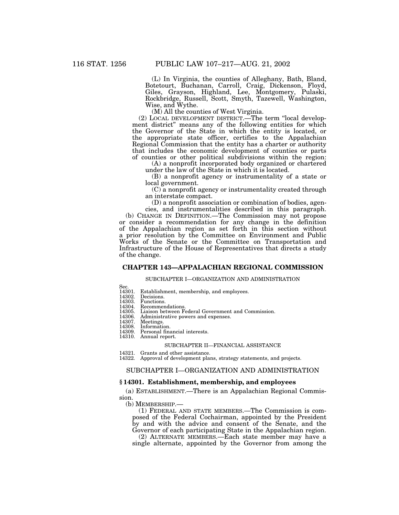(L) In Virginia, the counties of Alleghany, Bath, Bland, Botetourt, Buchanan, Carroll, Craig, Dickenson, Floyd, Giles, Grayson, Highland, Lee, Montgomery, Pulaski, Rockbridge, Russell, Scott, Smyth, Tazewell, Washington, Wise, and Wythe.

(M) All the counties of West Virginia.

(2) LOCAL DEVELOPMENT DISTRICT.—The term ''local development district'' means any of the following entities for which the Governor of the State in which the entity is located, or the appropriate state officer, certifies to the Appalachian Regional Commission that the entity has a charter or authority that includes the economic development of counties or parts of counties or other political subdivisions within the region:

(A) a nonprofit incorporated body organized or chartered under the law of the State in which it is located.

(B) a nonprofit agency or instrumentality of a state or

local government.

(C) a nonprofit agency or instrumentality created through an interstate compact.

(D) a nonprofit association or combination of bodies, agencies, and instrumentalities described in this paragraph.

(b) CHANGE IN DEFINITION.—The Commission may not propose or consider a recommendation for any change in the definition of the Appalachian region as set forth in this section without a prior resolution by the Committee on Environment and Public Works of the Senate or the Committee on Transportation and Infrastructure of the House of Representatives that directs a study of the change.

# **CHAPTER 143—APPALACHIAN REGIONAL COMMISSION**

#### SUBCHAPTER I—ORGANIZATION AND ADMINISTRATION

Sec.<br>14301.

14301. Establishment, membership, and employees.<br>14302. Decisions.

- 14302. Decisions.<br>14303. Functions
- 14303. Functions.<br>14304. Recommer
- 14304. Recommendations.<br>14305. Liaison between F
- 14305. Liaison between Federal Government and Commission.<br>14306. Administrative powers and expenses.<br>14307. Meetings. Administrative powers and expenses.
- 
- 14307. Meetings.<br>14308. Informati 14308. Information.<br>14309. Personal fina
- Personal financial interests.

# 14310. Annual report.

# SUBCHAPTER II—FINANCIAL ASSISTANCE

- 14321. Grants and other assistance.
- 14322. Approval of development plans, strategy statements, and projects.

# SUBCHAPTER I—ORGANIZATION AND ADMINISTRATION

# **§ 14301. Establishment, membership, and employees**

(a) ESTABLISHMENT.—There is an Appalachian Regional Commission.<br>(b) MEMBERSHIP.—

(1) FEDERAL AND STATE MEMBERS.—The Commission is composed of the Federal Cochairman, appointed by the President by and with the advice and consent of the Senate, and the Governor of each participating State in the Appalachian region.

(2) ALTERNATE MEMBERS.—Each state member may have a single alternate, appointed by the Governor from among the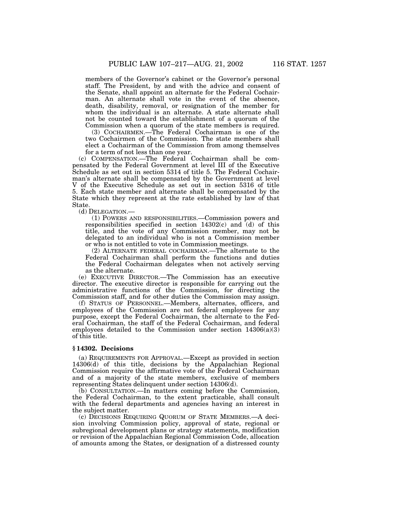members of the Governor's cabinet or the Governor's personal staff. The President, by and with the advice and consent of the Senate, shall appoint an alternate for the Federal Cochairman. An alternate shall vote in the event of the absence, death, disability, removal, or resignation of the member for whom the individual is an alternate. A state alternate shall not be counted toward the establishment of a quorum of the Commission when a quorum of the state members is required.

(3) COCHAIRMEN.—The Federal Cochairman is one of the two Cochairmen of the Commission. The state members shall elect a Cochairman of the Commission from among themselves for a term of not less than one year.

(c) COMPENSATION.—The Federal Cochairman shall be compensated by the Federal Government at level III of the Executive Schedule as set out in section 5314 of title 5. The Federal Cochairman's alternate shall be compensated by the Government at level V of the Executive Schedule as set out in section 5316 of title 5. Each state member and alternate shall be compensated by the State which they represent at the rate established by law of that State.

(d) DELEGATION.—

(1) POWERS AND RESPONSIBILITIES.—Commission powers and responsibilities specified in section  $14302(c)$  and (d) of this title, and the vote of any Commission member, may not be delegated to an individual who is not a Commission member or who is not entitled to vote in Commission meetings.

(2) ALTERNATE FEDERAL COCHAIRMAN.—The alternate to the Federal Cochairman shall perform the functions and duties the Federal Cochairman delegates when not actively serving as the alternate.

(e) EXECUTIVE DIRECTOR.—The Commission has an executive director. The executive director is responsible for carrying out the administrative functions of the Commission, for directing the Commission staff, and for other duties the Commission may assign.

(f) STATUS OF PERSONNEL.—Members, alternates, officers, and employees of the Commission are not federal employees for any purpose, except the Federal Cochairman, the alternate to the Federal Cochairman, the staff of the Federal Cochairman, and federal employees detailed to the Commission under section 14306(a)(3) of this title.

#### **§ 14302. Decisions**

(a) REQUIREMENTS FOR APPROVAL.—Except as provided in section 14306(d) of this title, decisions by the Appalachian Regional Commission require the affirmative vote of the Federal Cochairman and of a majority of the state members, exclusive of members representing States delinquent under section 14306(d).

(b) CONSULTATION.—In matters coming before the Commission, the Federal Cochairman, to the extent practicable, shall consult with the federal departments and agencies having an interest in the subject matter.

(c) DECISIONS REQUIRING QUORUM OF STATE MEMBERS.—A decision involving Commission policy, approval of state, regional or subregional development plans or strategy statements, modification or revision of the Appalachian Regional Commission Code, allocation of amounts among the States, or designation of a distressed county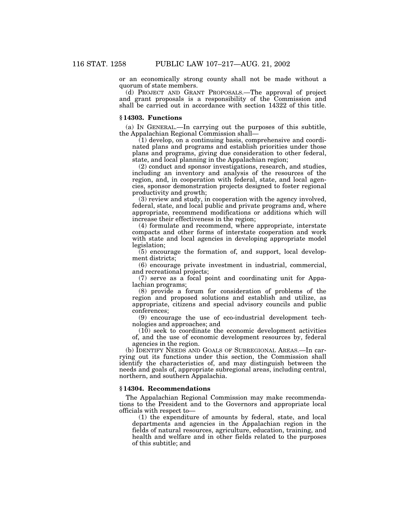or an economically strong county shall not be made without a quorum of state members.

(d) PROJECT AND GRANT PROPOSALS.—The approval of project and grant proposals is a responsibility of the Commission and shall be carried out in accordance with section 14322 of this title.

### **§ 14303. Functions**

(a) IN GENERAL.—In carrying out the purposes of this subtitle, the Appalachian Regional Commission shall—

 $(1)$  develop, on a continuing basis, comprehensive and coordinated plans and programs and establish priorities under those plans and programs, giving due consideration to other federal, state, and local planning in the Appalachian region;

(2) conduct and sponsor investigations, research, and studies, including an inventory and analysis of the resources of the region, and, in cooperation with federal, state, and local agencies, sponsor demonstration projects designed to foster regional productivity and growth;

(3) review and study, in cooperation with the agency involved, federal, state, and local public and private programs and, where appropriate, recommend modifications or additions which will increase their effectiveness in the region;

(4) formulate and recommend, where appropriate, interstate compacts and other forms of interstate cooperation and work with state and local agencies in developing appropriate model legislation;

(5) encourage the formation of, and support, local development districts;

(6) encourage private investment in industrial, commercial, and recreational projects;

(7) serve as a focal point and coordinating unit for Appalachian programs;

(8) provide a forum for consideration of problems of the region and proposed solutions and establish and utilize, as appropriate, citizens and special advisory councils and public conferences;

(9) encourage the use of eco-industrial development technologies and approaches; and

(10) seek to coordinate the economic development activities of, and the use of economic development resources by, federal agencies in the region.

(b) IDENTIFY NEEDS AND GOALS OF SUBREGIONAL AREAS.—In carrying out its functions under this section, the Commission shall identify the characteristics of, and may distinguish between the needs and goals of, appropriate subregional areas, including central, northern, and southern Appalachia.

#### **§ 14304. Recommendations**

The Appalachian Regional Commission may make recommendations to the President and to the Governors and appropriate local officials with respect to—

(1) the expenditure of amounts by federal, state, and local departments and agencies in the Appalachian region in the fields of natural resources, agriculture, education, training, and health and welfare and in other fields related to the purposes of this subtitle; and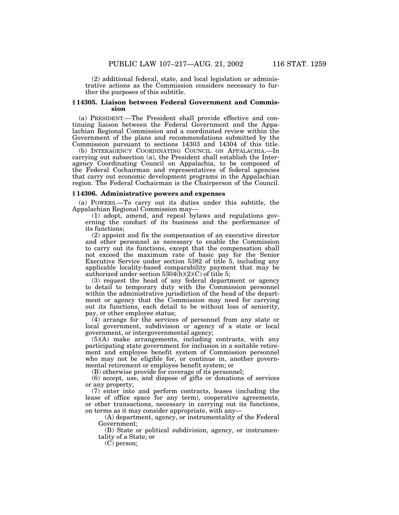(2) additional federal, state, and local legislation or administrative actions as the Commission considers necessary to further the purposes of this subtitle.

#### **§ 14305. Liaison between Federal Government and Commission**

(a) PRESIDENT.—The President shall provide effective and continuing liaison between the Federal Government and the Appalachian Regional Commission and a coordinated review within the Government of the plans and recommendations submitted by the Commission pursuant to sections 14303 and 14304 of this title.

(b) INTERAGENCY COORDINATING COUNCIL ON APPALACHIA.—In carrying out subsection (a), the President shall establish the Interagency Coordinating Council on Appalachia, to be composed of the Federal Cochairman and representatives of federal agencies that carry out economic development programs in the Appalachian region. The Federal Cochairman is the Chairperson of the Council.

#### **§ 14306. Administrative powers and expenses**

(a) POWERS.—To carry out its duties under this subtitle, the Appalachian Regional Commission may—

(1) adopt, amend, and repeal bylaws and regulations governing the conduct of its business and the performance of its functions;

(2) appoint and fix the compensation of an executive director and other personnel as necessary to enable the Commission to carry out its functions, except that the compensation shall not exceed the maximum rate of basic pay for the Senior Executive Service under section 5382 of title 5, including any applicable locality-based comparability payment that may be authorized under section  $5304(h)(2)(C)$  of title 5;

(3) request the head of any federal department or agency to detail to temporary duty with the Commission personnel within the administrative jurisdiction of the head of the department or agency that the Commission may need for carrying out its functions, each detail to be without loss of seniority, pay, or other employee status;

(4) arrange for the services of personnel from any state or local government, subdivision or agency of a state or local government, or intergovernmental agency;

(5)(A) make arrangements, including contracts, with any participating state government for inclusion in a suitable retirement and employee benefit system of Commission personnel who may not be eligible for, or continue in, another governmental retirement or employee benefit system; or

(B) otherwise provide for coverage of its personnel;

(6) accept, use, and dispose of gifts or donations of services or any property;

(7) enter into and perform contracts, leases (including the lease of office space for any term), cooperative agreements, or other transactions, necessary in carrying out its functions, on terms as it may consider appropriate, with any—

(A) department, agency, or instrumentality of the Federal Government;

(B) State or political subdivision, agency, or instrumentality of a State; or

(C) person;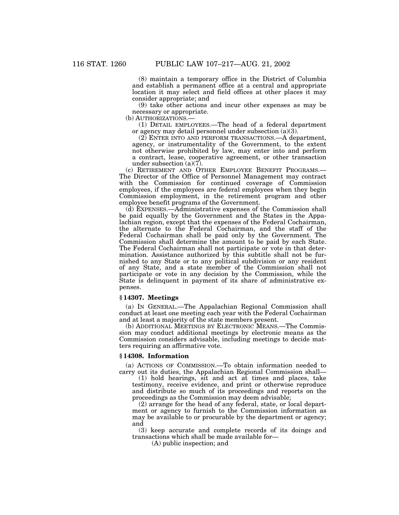(8) maintain a temporary office in the District of Columbia and establish a permanent office at a central and appropriate location it may select and field offices at other places it may consider appropriate; and

(9) take other actions and incur other expenses as may be necessary or appropriate.<br>(b) AUTHORIZATIONS.—

(1) DETAIL EMPLOYEES.—The head of a federal department or agency may detail personnel under subsection  $(a)(3)$ .

(2) ENTER INTO AND PERFORM TRANSACTIONS.—A department, agency, or instrumentality of the Government, to the extent not otherwise prohibited by law, may enter into and perform a contract, lease, cooperative agreement, or other transaction under subsection  $(a)(7)$ .<br>(c) RETIREMENT AND OTHER EMPLOYEE BENEFIT PROGRAMS.—

The Director of the Office of Personnel Management may contract with the Commission for continued coverage of Commission employees, if the employees are federal employees when they begin Commission employment, in the retirement program and other employee benefit programs of the Government.

(d) EXPENSES.—Administrative expenses of the Commission shall be paid equally by the Government and the States in the Appalachian region, except that the expenses of the Federal Cochairman, the alternate to the Federal Cochairman, and the staff of the Federal Cochairman shall be paid only by the Government. The Commission shall determine the amount to be paid by each State. The Federal Cochairman shall not participate or vote in that determination. Assistance authorized by this subtitle shall not be furnished to any State or to any political subdivision or any resident of any State, and a state member of the Commission shall not participate or vote in any decision by the Commission, while the State is delinquent in payment of its share of administrative expenses.

### **§ 14307. Meetings**

(a) IN GENERAL.—The Appalachian Regional Commission shall conduct at least one meeting each year with the Federal Cochairman and at least a majority of the state members present.

(b) ADDITIONAL MEETINGS BY ELECTRONIC MEANS.—The Commission may conduct additional meetings by electronic means as the Commission considers advisable, including meetings to decide matters requiring an affirmative vote.

#### **§ 14308. Information**

(a) ACTIONS OF COMMISSION.—To obtain information needed to carry out its duties, the Appalachian Regional Commission shall—

(1) hold hearings, sit and act at times and places, take testimony, receive evidence, and print or otherwise reproduce and distribute so much of its proceedings and reports on the proceedings as the Commission may deem advisable;

(2) arrange for the head of any federal, state, or local department or agency to furnish to the Commission information as may be available to or procurable by the department or agency; and

(3) keep accurate and complete records of its doings and transactions which shall be made available for—

(A) public inspection; and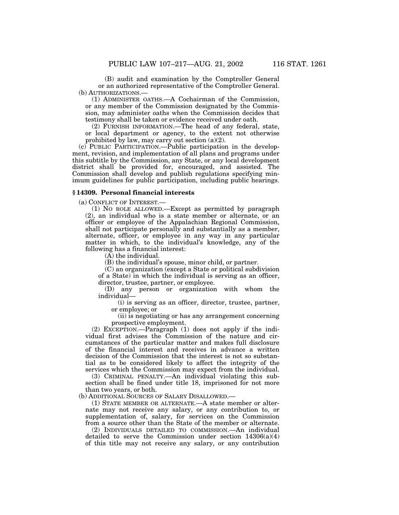(B) audit and examination by the Comptroller General or an authorized representative of the Comptroller General.

(b) AUTHORIZATIONS.—

(1) ADMINISTER OATHS.—A Cochairman of the Commission, or any member of the Commission designated by the Commission, may administer oaths when the Commission decides that testimony shall be taken or evidence received under oath.

(2) FURNISH INFORMATION.—The head of any federal, state, or local department or agency, to the extent not otherwise prohibited by law, may carry out section (a)(2).

(c) PUBLIC PARTICIPATION.—Public participation in the development, revision, and implementation of all plans and programs under this subtitle by the Commission, any State, or any local development district shall be provided for, encouraged, and assisted. The Commission shall develop and publish regulations specifying minimum guidelines for public participation, including public hearings.

#### **§ 14309. Personal financial interests**

(a) CONFLICT OF INTEREST.—

(1) NO ROLE ALLOWED.—Except as permitted by paragraph (2), an individual who is a state member or alternate, or an officer or employee of the Appalachian Regional Commission, shall not participate personally and substantially as a member, alternate, officer, or employee in any way in any particular matter in which, to the individual's knowledge, any of the following has a financial interest:

(A) the individual.

(B) the individual's spouse, minor child, or partner.

(C) an organization (except a State or political subdivision of a State) in which the individual is serving as an officer, director, trustee, partner, or employee.

(D) any person or organization with whom the individual—

(i) is serving as an officer, director, trustee, partner, or employee; or

(ii) is negotiating or has any arrangement concerning prospective employment.

(2) EXCEPTION.—Paragraph (1) does not apply if the individual first advises the Commission of the nature and circumstances of the particular matter and makes full disclosure of the financial interest and receives in advance a written decision of the Commission that the interest is not so substantial as to be considered likely to affect the integrity of the services which the Commission may expect from the individual.

(3) CRIMINAL PENALTY.—An individual violating this subsection shall be fined under title 18, imprisoned for not more than two years, or both.

(b) ADDITIONAL SOURCES OF SALARY DISALLOWED.—

(1) STATE MEMBER OR ALTERNATE.—A state member or alternate may not receive any salary, or any contribution to, or supplementation of, salary, for services on the Commission from a source other than the State of the member or alternate.

(2) INDIVIDUALS DETAILED TO COMMISSION.—An individual detailed to serve the Commission under section 14306(a)(4) of this title may not receive any salary, or any contribution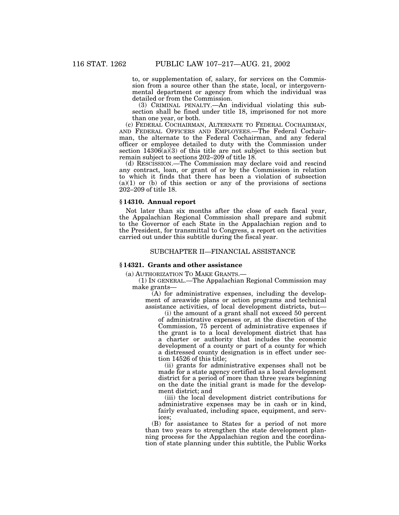to, or supplementation of, salary, for services on the Commission from a source other than the state, local, or intergovernmental department or agency from which the individual was detailed or from the Commission.

(3) CRIMINAL PENALTY.—An individual violating this subsection shall be fined under title 18, imprisoned for not more than one year, or both.

(c) FEDERAL COCHAIRMAN, ALTERNATE TO FEDERAL COCHAIRMAN, AND FEDERAL OFFICERS AND EMPLOYEES.—The Federal Cochairman, the alternate to the Federal Cochairman, and any federal officer or employee detailed to duty with the Commission under section  $14306(a)(3)$  of this title are not subject to this section but remain subject to sections 202–209 of title 18.

(d) RESCISSION.—The Commission may declare void and rescind any contract, loan, or grant of or by the Commission in relation to which it finds that there has been a violation of subsection  $(a)(1)$  or (b) of this section or any of the provisions of sections 202–209 of title 18.

#### **§ 14310. Annual report**

Not later than six months after the close of each fiscal year, the Appalachian Regional Commission shall prepare and submit to the Governor of each State in the Appalachian region and to the President, for transmittal to Congress, a report on the activities carried out under this subtitle during the fiscal year.

# SUBCHAPTER II—FINANCIAL ASSISTANCE

### **§ 14321. Grants and other assistance**

(a) AUTHORIZATION TO MAKE GRANTS.—

(1) IN GENERAL.—The Appalachian Regional Commission may make grants—

(A) for administrative expenses, including the development of areawide plans or action programs and technical assistance activities, of local development districts, but—

(i) the amount of a grant shall not exceed 50 percent of administrative expenses or, at the discretion of the Commission, 75 percent of administrative expenses if the grant is to a local development district that has a charter or authority that includes the economic development of a county or part of a county for which a distressed county designation is in effect under section 14526 of this title;

(ii) grants for administrative expenses shall not be made for a state agency certified as a local development district for a period of more than three years beginning on the date the initial grant is made for the development district; and

(iii) the local development district contributions for administrative expenses may be in cash or in kind, fairly evaluated, including space, equipment, and services;

(B) for assistance to States for a period of not more than two years to strengthen the state development planning process for the Appalachian region and the coordination of state planning under this subtitle, the Public Works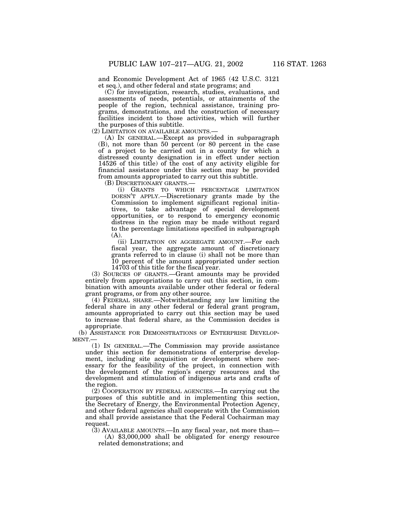and Economic Development Act of 1965 (42 U.S.C. 3121 et seq.), and other federal and state programs; and

(C) for investigation, research, studies, evaluations, and assessments of needs, potentials, or attainments of the people of the region, technical assistance, training programs, demonstrations, and the construction of necessary facilities incident to those activities, which will further the purposes of this subtitle.

(2) LIMITATION ON AVAILABLE AMOUNTS.— (A) IN GENERAL.—Except as provided in subparagraph (B), not more than 50 percent (or 80 percent in the case of a project to be carried out in a county for which a distressed county designation is in effect under section 14526 of this title) of the cost of any activity eligible for financial assistance under this section may be provided from amounts appropriated to carry out this subtitle.

(B) DISCRETIONARY GRANTS.—

(i) GRANTS TO WHICH PERCENTAGE LIMITATION DOESN'T APPLY.—Discretionary grants made by the Commission to implement significant regional initiatives, to take advantage of special development opportunities, or to respond to emergency economic distress in the region may be made without regard to the percentage limitations specified in subparagraph (A).

(ii) LIMITATION ON AGGREGATE AMOUNT.—For each fiscal year, the aggregate amount of discretionary grants referred to in clause (i) shall not be more than 10 percent of the amount appropriated under section 14703 of this title for the fiscal year.

(3) SOURCES OF GRANTS.—Grant amounts may be provided entirely from appropriations to carry out this section, in combination with amounts available under other federal or federal grant programs, or from any other source.

(4) FEDERAL SHARE.—Notwithstanding any law limiting the federal share in any other federal or federal grant program, amounts appropriated to carry out this section may be used to increase that federal share, as the Commission decides is appropriate.

(b) ASSISTANCE FOR DEMONSTRATIONS OF ENTERPRISE DEVELOP-MENT.—

(1) IN GENERAL.—The Commission may provide assistance under this section for demonstrations of enterprise development, including site acquisition or development where necessary for the feasibility of the project, in connection with the development of the region's energy resources and the development and stimulation of indigenous arts and crafts of the region.

(2) COOPERATION BY FEDERAL AGENCIES.—In carrying out the purposes of this subtitle and in implementing this section, the Secretary of Energy, the Environmental Protection Agency, and other federal agencies shall cooperate with the Commission and shall provide assistance that the Federal Cochairman may request.<br>
(3) AVAILABLE AMOUNTS.—In any fiscal year, not more than—

 $(A)$  \$3,000,000 shall be obligated for energy resource related demonstrations; and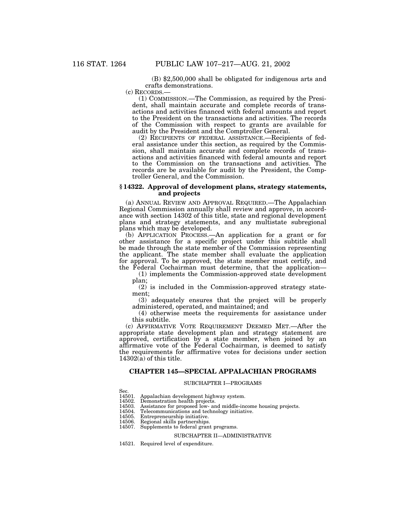(B) \$2,500,000 shall be obligated for indigenous arts and crafts demonstrations.

(c) RECORDS.—

(1) COMMISSION.—The Commission, as required by the President, shall maintain accurate and complete records of transactions and activities financed with federal amounts and report to the President on the transactions and activities. The records of the Commission with respect to grants are available for audit by the President and the Comptroller General.

(2) RECIPIENTS OF FEDERAL ASSISTANCE.—Recipients of federal assistance under this section, as required by the Commission, shall maintain accurate and complete records of transactions and activities financed with federal amounts and report to the Commission on the transactions and activities. The records are be available for audit by the President, the Comptroller General, and the Commission.

## **§ 14322. Approval of development plans, strategy statements, and projects**

(a) ANNUAL REVIEW AND APPROVAL REQUIRED.—The Appalachian Regional Commission annually shall review and approve, in accordance with section 14302 of this title, state and regional development plans and strategy statements, and any multistate subregional plans which may be developed.

(b) APPLICATION PROCESS.—An application for a grant or for other assistance for a specific project under this subtitle shall be made through the state member of the Commission representing the applicant. The state member shall evaluate the application for approval. To be approved, the state member must certify, and the Federal Cochairman must determine, that the application—

 $(1)$  implements the Commission-approved state development plan;

(2) is included in the Commission-approved strategy statement;

(3) adequately ensures that the project will be properly administered, operated, and maintained; and

(4) otherwise meets the requirements for assistance under this subtitle.

(c) AFFIRMATIVE VOTE REQUIREMENT DEEMED MET.—After the appropriate state development plan and strategy statement are approved, certification by a state member, when joined by an affirmative vote of the Federal Cochairman, is deemed to satisfy the requirements for affirmative votes for decisions under section  $14302(a)$  of this title.

# **CHAPTER 145—SPECIAL APPALACHIAN PROGRAMS**

# SUBCHAPTER I—PROGRAMS

Sec.<br>14501.<br>14502. Appalachian development highway system.

14502. Demonstration health projects.<br>14503. Assistance for proposed low- an

14503. Assistance for proposed low- and middle-income housing projects. 14504. Telecommunications and technology initiative.

- 14505. Entrepreneurship initiative.<br>14506. Regional skills partnerships.
- 14506. Regional skills partnerships.<br>14507. Supplements to federal gran

# Supplements to federal grant programs.

# SUBCHAPTER II—ADMINISTRATIVE

14521. Required level of expenditure.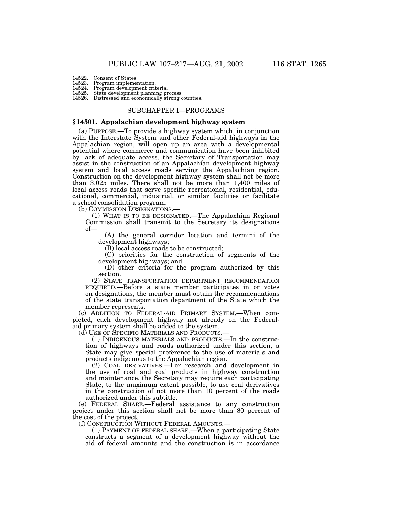- 14522. Consent of States.<br>14523. Program implement
- Program implementation.

14524. Program development criteria.

14525. State development planning process. 14526. Distressed and economically strong counties.

# SUBCHAPTER I—PROGRAMS

# **§ 14501. Appalachian development highway system**

(a) PURPOSE.—To provide a highway system which, in conjunction with the Interstate System and other Federal-aid highways in the Appalachian region, will open up an area with a developmental potential where commerce and communication have been inhibited by lack of adequate access, the Secretary of Transportation may assist in the construction of an Appalachian development highway system and local access roads serving the Appalachian region. Construction on the development highway system shall not be more than 3,025 miles. There shall not be more than 1,400 miles of local access roads that serve specific recreational, residential, educational, commercial, industrial, or similar facilities or facilitate a school consolidation program.

(b) COMMISSION DESIGNATIONS.—

(1) WHAT IS TO BE DESIGNATED.—The Appalachian Regional Commission shall transmit to the Secretary its designations of—

(A) the general corridor location and termini of the development highways;

(B) local access roads to be constructed;

(C) priorities for the construction of segments of the development highways; and

(D) other criteria for the program authorized by this section.

(2) STATE TRANSPORTATION DEPARTMENT RECOMMENDATION REQUIRED.—Before a state member participates in or votes on designations, the member must obtain the recommendations of the state transportation department of the State which the member represents.

(c) ADDITION TO FEDERAL-AID PRIMARY SYSTEM.—When completed, each development highway not already on the Federalaid primary system shall be added to the system.

(d) USE OF SPECIFIC MATERIALS AND PRODUCTS.—

(1) INDIGENOUS MATERIALS AND PRODUCTS.—In the construction of highways and roads authorized under this section, a State may give special preference to the use of materials and products indigenous to the Appalachian region.

(2) COAL DERIVATIVES.—For research and development in the use of coal and coal products in highway construction and maintenance, the Secretary may require each participating State, to the maximum extent possible, to use coal derivatives in the construction of not more than 10 percent of the roads authorized under this subtitle.

(e) FEDERAL SHARE.—Federal assistance to any construction project under this section shall not be more than 80 percent of the cost of the project.

(f) CONSTRUCTION WITHOUT FEDERAL AMOUNTS.—

(1) PAYMENT OF FEDERAL SHARE.—When a participating State constructs a segment of a development highway without the aid of federal amounts and the construction is in accordance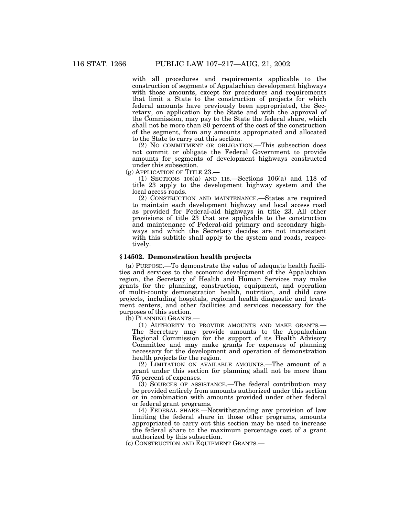with all procedures and requirements applicable to the construction of segments of Appalachian development highways with those amounts, except for procedures and requirements that limit a State to the construction of projects for which federal amounts have previously been appropriated, the Secretary, on application by the State and with the approval of the Commission, may pay to the State the federal share, which shall not be more than 80 percent of the cost of the construction of the segment, from any amounts appropriated and allocated to the State to carry out this section.

(2) NO COMMITMENT OR OBLIGATION.—This subsection does not commit or obligate the Federal Government to provide amounts for segments of development highways constructed under this subsection.

(g) APPLICATION OF TITLE 23.—

(1) SECTIONS 106(a) AND 118.—Sections 106(a) and 118 of title 23 apply to the development highway system and the local access roads.

(2) CONSTRUCTION AND MAINTENANCE.—States are required to maintain each development highway and local access road as provided for Federal-aid highways in title 23. All other provisions of title 23 that are applicable to the construction and maintenance of Federal-aid primary and secondary highways and which the Secretary decides are not inconsistent with this subtitle shall apply to the system and roads, respectively.

### **§ 14502. Demonstration health projects**

(a) PURPOSE.—To demonstrate the value of adequate health facilities and services to the economic development of the Appalachian region, the Secretary of Health and Human Services may make grants for the planning, construction, equipment, and operation of multi-county demonstration health, nutrition, and child care projects, including hospitals, regional health diagnostic and treatment centers, and other facilities and services necessary for the purposes of this section.

(b) PLANNING GRANTS.—

(1) AUTHORITY TO PROVIDE AMOUNTS AND MAKE GRANTS.— The Secretary may provide amounts to the Appalachian Regional Commission for the support of its Health Advisory Committee and may make grants for expenses of planning necessary for the development and operation of demonstration health projects for the region.

(2) LIMITATION ON AVAILABLE AMOUNTS.—The amount of a grant under this section for planning shall not be more than 75 percent of expenses.

(3) SOURCES OF ASSISTANCE.—The federal contribution may be provided entirely from amounts authorized under this section or in combination with amounts provided under other federal or federal grant programs.

(4) FEDERAL SHARE.—Notwithstanding any provision of law limiting the federal share in those other programs, amounts appropriated to carry out this section may be used to increase the federal share to the maximum percentage cost of a grant authorized by this subsection.

(c) CONSTRUCTION AND EQUIPMENT GRANTS.—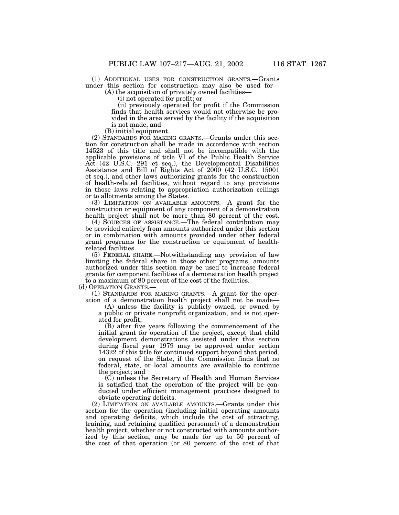(1) ADDITIONAL USES FOR CONSTRUCTION GRANTS.—Grants under this section for construction may also be used for— (A) the acquisition of privately owned facilities— (i) not operated for profit; or

(ii) previously operated for profit if the Commission finds that health services would not otherwise be provided in the area served by the facility if the acquisition is not made; and

(B) initial equipment.

(2) STANDARDS FOR MAKING GRANTS.—Grants under this section for construction shall be made in accordance with section 14523 of this title and shall not be incompatible with the applicable provisions of title VI of the Public Health Service Act (42 U.S.C. 291 et seq.), the Developmental Disabilities Assistance and Bill of Rights Act of 2000 (42 U.S.C. 15001 et seq.), and other laws authorizing grants for the construction of health-related facilities, without regard to any provisions in those laws relating to appropriation authorization ceilings or to allotments among the States.

(3) LIMITATION ON AVAILABLE AMOUNTS.—A grant for the construction or equipment of any component of a demonstration health project shall not be more than 80 percent of the cost.

(4) SOURCES OF ASSISTANCE.—The federal contribution may be provided entirely from amounts authorized under this section or in combination with amounts provided under other federal grant programs for the construction or equipment of healthrelated facilities.

(5) FEDERAL SHARE.—Notwithstanding any provision of law limiting the federal share in those other programs, amounts authorized under this section may be used to increase federal grants for component facilities of a demonstration health project to a maximum of 80 percent of the cost of the facilities.

(d) OPERATION GRANTS.—

(1) STANDARDS FOR MAKING GRANTS.—A grant for the operation of a demonstration health project shall not be made— (A) unless the facility is publicly owned, or owned by

a public or private nonprofit organization, and is not operated for profit;

(B) after five years following the commencement of the initial grant for operation of the project, except that child development demonstrations assisted under this section during fiscal year 1979 may be approved under section 14322 of this title for continued support beyond that period, on request of the State, if the Commission finds that no federal, state, or local amounts are available to continue the project; and

(C) unless the Secretary of Health and Human Services is satisfied that the operation of the project will be conducted under efficient management practices designed to obviate operating deficits.

(2) LIMITATION ON AVAILABLE AMOUNTS.—Grants under this section for the operation (including initial operating amounts and operating deficits, which include the cost of attracting, training, and retaining qualified personnel) of a demonstration health project, whether or not constructed with amounts authorized by this section, may be made for up to 50 percent of the cost of that operation (or 80 percent of the cost of that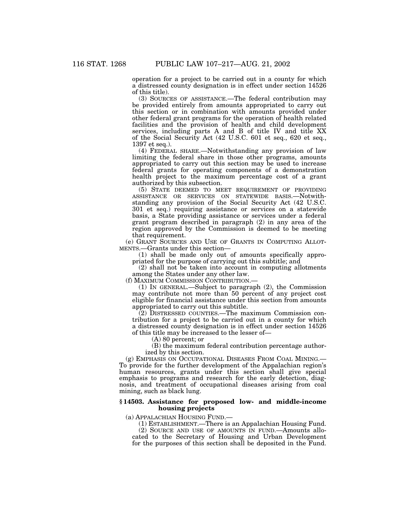operation for a project to be carried out in a county for which a distressed county designation is in effect under section 14526 of this title).

(3) SOURCES OF ASSISTANCE.—The federal contribution may be provided entirely from amounts appropriated to carry out this section or in combination with amounts provided under other federal grant programs for the operation of health related facilities and the provision of health and child development services, including parts A and B of title IV and title XX of the Social Security Act (42 U.S.C. 601 et seq., 620 et seq., 1397 et seq.).

(4) FEDERAL SHARE.—Notwithstanding any provision of law limiting the federal share in those other programs, amounts appropriated to carry out this section may be used to increase federal grants for operating components of a demonstration health project to the maximum percentage cost of a grant authorized by this subsection.

(5) STATE DEEMED TO MEET REQUIREMENT OF PROVIDING ASSISTANCE OR SERVICES ON STATEWIDE BASIS.—Notwithstanding any provision of the Social Security Act (42 U.S.C. 301 et seq.) requiring assistance or services on a statewide basis, a State providing assistance or services under a federal grant program described in paragraph (2) in any area of the region approved by the Commission is deemed to be meeting that requirement.

(e) GRANT SOURCES AND USE OF GRANTS IN COMPUTING ALLOT-MENTS.—Grants under this section—

(1) shall be made only out of amounts specifically appropriated for the purpose of carrying out this subtitle; and

(2) shall not be taken into account in computing allotments among the States under any other law.

(f) MAXIMUM COMMISSION CONTRIBUTION.—

(1) IN GENERAL.—Subject to paragraph (2), the Commission may contribute not more than 50 percent of any project cost eligible for financial assistance under this section from amounts appropriated to carry out this subtitle.

(2) DISTRESSED COUNTIES.—The maximum Commission contribution for a project to be carried out in a county for which a distressed county designation is in effect under section 14526 of this title may be increased to the lesser of—

(A) 80 percent; or

(B) the maximum federal contribution percentage authorized by this section.

(g) EMPHASIS ON OCCUPATIONAL DISEASES FROM COAL MINING.— To provide for the further development of the Appalachian region's human resources, grants under this section shall give special emphasis to programs and research for the early detection, diagnosis, and treatment of occupational diseases arising from coal mining, such as black lung.

### **§ 14503. Assistance for proposed low- and middle-income housing projects**

(a) APPALACHIAN HOUSING FUND.—

(1) ESTABLISHMENT.—There is an Appalachian Housing Fund.

(2) SOURCE AND USE OF AMOUNTS IN FUND.—Amounts allocated to the Secretary of Housing and Urban Development for the purposes of this section shall be deposited in the Fund.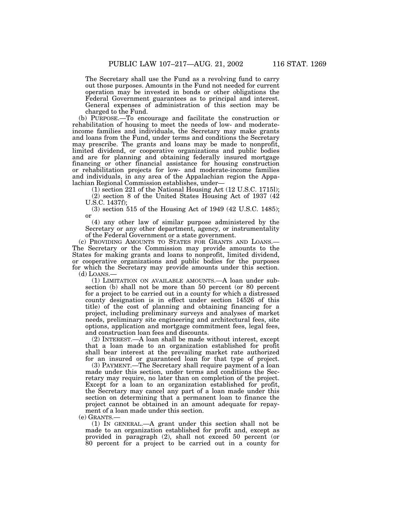The Secretary shall use the Fund as a revolving fund to carry out those purposes. Amounts in the Fund not needed for current operation may be invested in bonds or other obligations the Federal Government guarantees as to principal and interest. General expenses of administration of this section may be charged to the Fund.

(b) PURPOSE.—To encourage and facilitate the construction or rehabilitation of housing to meet the needs of low- and moderateincome families and individuals, the Secretary may make grants and loans from the Fund, under terms and conditions the Secretary may prescribe. The grants and loans may be made to nonprofit, limited dividend, or cooperative organizations and public bodies and are for planning and obtaining federally insured mortgage financing or other financial assistance for housing construction or rehabilitation projects for low- and moderate-income families and individuals, in any area of the Appalachian region the Appalachian Regional Commission establishes, under— (1) section 221 of the National Housing Act (12 U.S.C. 1715l);

(2) section 8 of the United States Housing Act of 1937 (42 U.S.C. 1437f);

(3) section 515 of the Housing Act of 1949 (42 U.S.C. 1485); or

(4) any other law of similar purpose administered by the Secretary or any other department, agency, or instrumentality of the Federal Government or a state government.

(c) PROVIDING AMOUNTS TO STATES FOR GRANTS AND LOANS.— The Secretary or the Commission may provide amounts to the States for making grants and loans to nonprofit, limited dividend, or cooperative organizations and public bodies for the purposes for which the Secretary may provide amounts under this section.  $(d)$  LOANS.

(1) LIMITATION ON AVAILABLE AMOUNTS.—A loan under subsection (b) shall not be more than 50 percent (or 80 percent for a project to be carried out in a county for which a distressed county designation is in effect under section 14526 of this title) of the cost of planning and obtaining financing for a project, including preliminary surveys and analyses of market needs, preliminary site engineering and architectural fees, site options, application and mortgage commitment fees, legal fees, and construction loan fees and discounts.

(2) INTEREST.—A loan shall be made without interest, except that a loan made to an organization established for profit shall bear interest at the prevailing market rate authorized for an insured or guaranteed loan for that type of project.

(3) PAYMENT.—The Secretary shall require payment of a loan made under this section, under terms and conditions the Secretary may require, no later than on completion of the project. Except for a loan to an organization established for profit, the Secretary may cancel any part of a loan made under this section on determining that a permanent loan to finance the project cannot be obtained in an amount adequate for repayment of a loan made under this section.

(e) GRANTS.—

(1) IN GENERAL.—A grant under this section shall not be made to an organization established for profit and, except as provided in paragraph (2), shall not exceed 50 percent (or 80 percent for a project to be carried out in a county for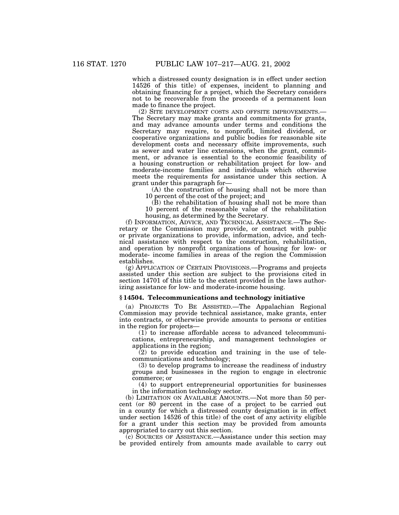which a distressed county designation is in effect under section 14526 of this title) of expenses, incident to planning and obtaining financing for a project, which the Secretary considers not to be recoverable from the proceeds of a permanent loan made to finance the project.<br>(2) SITE DEVELOPMENT COSTS AND OFFSITE IMPROVEMENTS.—

The Secretary may make grants and commitments for grants, and may advance amounts under terms and conditions the Secretary may require, to nonprofit, limited dividend, or cooperative organizations and public bodies for reasonable site development costs and necessary offsite improvements, such as sewer and water line extensions, when the grant, commitment, or advance is essential to the economic feasibility of a housing construction or rehabilitation project for low- and moderate-income families and individuals which otherwise meets the requirements for assistance under this section. A grant under this paragraph for—<br>(A) the construction of housing shall not be more than

10 percent of the cost of the project; and

(B) the rehabilitation of housing shall not be more than 10 percent of the reasonable value of the rehabilitation housing, as determined by the Secretary.

(f) INFORMATION, ADVICE, AND TECHNICAL ASSISTANCE.—The Secretary or the Commission may provide, or contract with public or private organizations to provide, information, advice, and technical assistance with respect to the construction, rehabilitation, and operation by nonprofit organizations of housing for low- or moderate- income families in areas of the region the Commission establishes.

(g) APPLICATION OF CERTAIN PROVISIONS.—Programs and projects assisted under this section are subject to the provisions cited in section 14701 of this title to the extent provided in the laws authorizing assistance for low- and moderate-income housing.

#### **§ 14504. Telecommunications and technology initiative**

(a) PROJECTS TO BE ASSISTED.—The Appalachian Regional Commission may provide technical assistance, make grants, enter into contracts, or otherwise provide amounts to persons or entities in the region for projects—

(1) to increase affordable access to advanced telecommunications, entrepreneurship, and management technologies or applications in the region;

(2) to provide education and training in the use of telecommunications and technology;

(3) to develop programs to increase the readiness of industry groups and businesses in the region to engage in electronic commerce; or

(4) to support entrepreneurial opportunities for businesses in the information technology sector.

(b) LIMITATION ON AVAILABLE AMOUNTS.—Not more than 50 percent (or 80 percent in the case of a project to be carried out in a county for which a distressed county designation is in effect under section 14526 of this title) of the cost of any activity eligible for a grant under this section may be provided from amounts appropriated to carry out this section.

(c) SOURCES OF ASSISTANCE.—Assistance under this section may be provided entirely from amounts made available to carry out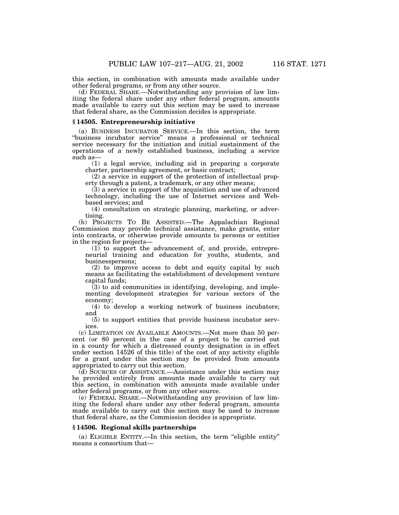this section, in combination with amounts made available under other federal programs, or from any other source.

(d) FEDERAL SHARE.—Notwithstanding any provision of law limiting the federal share under any other federal program, amounts made available to carry out this section may be used to increase that federal share, as the Commission decides is appropriate.

## **§ 14505. Entrepreneurship initiative**

(a) BUSINESS INCUBATOR SERVICE.—In this section, the term ''business incubator service'' means a professional or technical service necessary for the initiation and initial sustainment of the operations of a newly established business, including a service such as—

(1) a legal service, including aid in preparing a corporate charter, partnership agreement, or basic contract;

(2) a service in support of the protection of intellectual property through a patent, a trademark, or any other means;

(3) a service in support of the acquisition and use of advanced technology, including the use of Internet services and Webbased services; and

(4) consultation on strategic planning, marketing, or advertising.

(b) PROJECTS TO BE ASSISTED.—The Appalachian Regional Commission may provide technical assistance, make grants, enter into contracts, or otherwise provide amounts to persons or entities in the region for projects—

 $(1)$  to support the advancement of, and provide, entrepreneurial training and education for youths, students, and businesspersons;

(2) to improve access to debt and equity capital by such means as facilitating the establishment of development venture capital funds;

 $(3)$  to aid communities in identifying, developing, and implementing development strategies for various sectors of the economy;

(4) to develop a working network of business incubators; and

(5) to support entities that provide business incubator services.

(c) LIMITATION ON AVAILABLE AMOUNTS.—Not more than 50 percent (or 80 percent in the case of a project to be carried out in a county for which a distressed county designation is in effect under section 14526 of this title) of the cost of any activity eligible for a grant under this section may be provided from amounts appropriated to carry out this section.

(d) SOURCES OF ASSISTANCE.—Assistance under this section may be provided entirely from amounts made available to carry out this section, in combination with amounts made available under other federal programs, or from any other source.

(e) FEDERAL SHARE.—Notwithstanding any provision of law limiting the federal share under any other federal program, amounts made available to carry out this section may be used to increase that federal share, as the Commission decides is appropriate.

# **§ 14506. Regional skills partnerships**

(a) ELIGIBLE ENTITY.—In this section, the term ''eligible entity'' means a consortium that—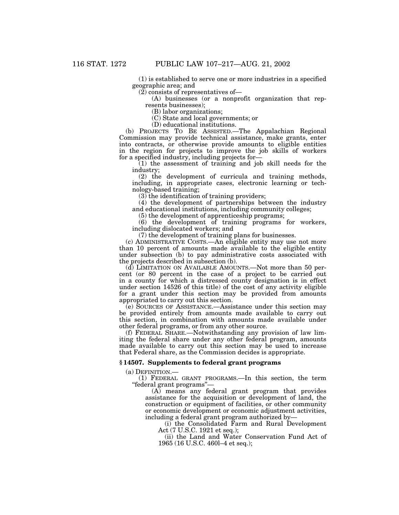(1) is established to serve one or more industries in a specified geographic area; and<br>(2) consists of representatives of—

 $(A)$  businesses (or a nonprofit organization that represents businesses);

(B) labor organizations;

(C) State and local governments; or

(D) educational institutions.

(b) PROJECTS TO BE ASSISTED.—The Appalachian Regional Commission may provide technical assistance, make grants, enter into contracts, or otherwise provide amounts to eligible entities in the region for projects to improve the job skills of workers for a specified industry, including projects for—

 $(1)$  the assessment of training and job skill needs for the industry;

(2) the development of curricula and training methods, including, in appropriate cases, electronic learning or technology-based training;

(3) the identification of training providers;

(4) the development of partnerships between the industry and educational institutions, including community colleges;

(5) the development of apprenticeship programs;

(6) the development of training programs for workers, including dislocated workers; and

(7) the development of training plans for businesses.

(c) ADMINISTRATIVE COSTS.—An eligible entity may use not more than 10 percent of amounts made available to the eligible entity under subsection (b) to pay administrative costs associated with the projects described in subsection (b).

(d) LIMITATION ON AVAILABLE AMOUNTS.—Not more than 50 percent (or 80 percent in the case of a project to be carried out in a county for which a distressed county designation is in effect under section 14526 of this title) of the cost of any activity eligible for a grant under this section may be provided from amounts appropriated to carry out this section.

(e) SOURCES OF ASSISTANCE.—Assistance under this section may be provided entirely from amounts made available to carry out this section, in combination with amounts made available under other federal programs, or from any other source.

(f) FEDERAL SHARE.—Notwithstanding any provision of law limiting the federal share under any other federal program, amounts made available to carry out this section may be used to increase that Federal share, as the Commission decides is appropriate.

# **§ 14507. Supplements to federal grant programs**

(a) DEFINITION.—

(1) FEDERAL GRANT PROGRAMS.—In this section, the term ''federal grant programs''—

(A) means any federal grant program that provides assistance for the acquisition or development of land, the construction or equipment of facilities, or other community or economic development or economic adjustment activities, including a federal grant program authorized by—

(i) the Consolidated Farm and Rural Development Act (7 U.S.C. 1921 et seq.);

(ii) the Land and Water Conservation Fund Act of 1965 (16 U.S.C. 460l–4 et seq.);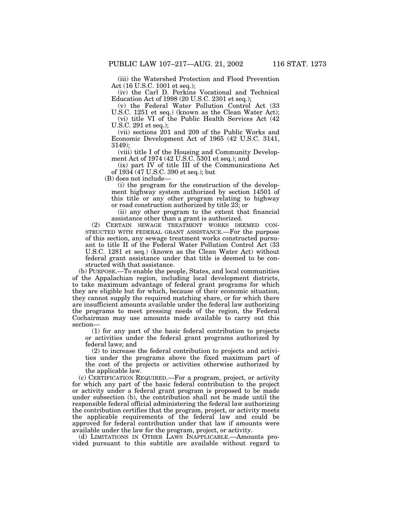(iii) the Watershed Protection and Flood Prevention Act (16 U.S.C. 1001 et seq.);

(iv) the Carl D. Perkins Vocational and Technical Education Act of 1998 (20 U.S.C. 2301 et seq.);

(v) the Federal Water Pollution Control Act (33 U.S.C. 1251 et seq.) (known as the Clean Water Act);

(vi) title VI of the Public Health Services Act (42 U.S.C. 291 et seq.);

(vii) sections  $\frac{201}{1}$  and 209 of the Public Works and Economic Development Act of 1965 (42 U.S.C. 3141, 3149);

(viii) title I of the Housing and Community Development Act of 1974 (42 U.S.C. 5301 et seq.); and

(ix) part IV of title III of the Communications Act of 1934 (47 U.S.C. 390 et seq.); but

(B) does not include—

(i) the program for the construction of the development highway system authorized by section 14501 of this title or any other program relating to highway or road construction authorized by title 23; or

(ii) any other program to the extent that financial assistance other than a grant is authorized.

(2) CERTAIN SEWAGE TREATMENT WORKS DEEMED CON-STRUCTED WITH FEDERAL GRANT ASSISTANCE.—For the purpose of this section, any sewage treatment works constructed pursuant to title II of the Federal Water Pollution Control Act (33 U.S.C. 1281 et seq.) (known as the Clean Water Act) without federal grant assistance under that title is deemed to be constructed with that assistance.

(b) PURPOSE.—To enable the people, States, and local communities of the Appalachian region, including local development districts, to take maximum advantage of federal grant programs for which they are eligible but for which, because of their economic situation, they cannot supply the required matching share, or for which there are insufficient amounts available under the federal law authorizing the programs to meet pressing needs of the region, the Federal Cochairman may use amounts made available to carry out this section—

(1) for any part of the basic federal contribution to projects or activities under the federal grant programs authorized by federal laws; and

(2) to increase the federal contribution to projects and activities under the programs above the fixed maximum part of the cost of the projects or activities otherwise authorized by the applicable law.

(c) CERTIFICATION REQUIRED.—For a program, project, or activity for which any part of the basic federal contribution to the project or activity under a federal grant program is proposed to be made under subsection (b), the contribution shall not be made until the responsible federal official administering the federal law authorizing the contribution certifies that the program, project, or activity meets the applicable requirements of the federal law and could be approved for federal contribution under that law if amounts were available under the law for the program, project, or activity.

(d) LIMITATIONS IN OTHER LAWS INAPPLICABLE.—Amounts provided pursuant to this subtitle are available without regard to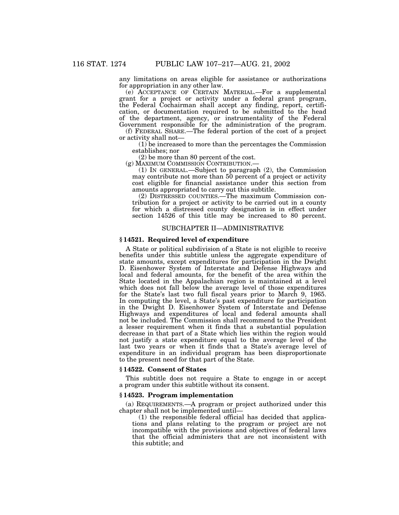any limitations on areas eligible for assistance or authorizations for appropriation in any other law.

(e) ACCEPTANCE OF CERTAIN MATERIAL.—For a supplemental grant for a project or activity under a federal grant program, the Federal Cochairman shall accept any finding, report, certification, or documentation required to be submitted to the head of the department, agency, or instrumentality of the Federal Government responsible for the administration of the program.

(f) FEDERAL SHARE.—The federal portion of the cost of a project

 $(1)$  be increased to more than the percentages the Commission establishes; nor

(2) be more than 80 percent of the cost.<br>(g) MAXIMUM COMMISSION CONTRIBUTION.—

(1) IN GENERAL.—Subject to paragraph  $(2)$ , the Commission may contribute not more than 50 percent of a project or activity cost eligible for financial assistance under this section from amounts appropriated to carry out this subtitle.

(2) DISTRESSED COUNTIES.—The maximum Commission contribution for a project or activity to be carried out in a county for which a distressed county designation is in effect under section 14526 of this title may be increased to 80 percent.

# SUBCHAPTER II—ADMINISTRATIVE

## **§ 14521. Required level of expenditure**

A State or political subdivision of a State is not eligible to receive benefits under this subtitle unless the aggregate expenditure of state amounts, except expenditures for participation in the Dwight D. Eisenhower System of Interstate and Defense Highways and local and federal amounts, for the benefit of the area within the State located in the Appalachian region is maintained at a level which does not fall below the average level of those expenditures for the State's last two full fiscal years prior to March 9, 1965. In computing the level, a State's past expenditure for participation in the Dwight D. Eisenhower System of Interstate and Defense Highways and expenditures of local and federal amounts shall not be included. The Commission shall recommend to the President a lesser requirement when it finds that a substantial population decrease in that part of a State which lies within the region would not justify a state expenditure equal to the average level of the last two years or when it finds that a State's average level of expenditure in an individual program has been disproportionate to the present need for that part of the State.

#### **§ 14522. Consent of States**

This subtitle does not require a State to engage in or accept a program under this subtitle without its consent.

#### **§ 14523. Program implementation**

(a) REQUIREMENTS.—A program or project authorized under this chapter shall not be implemented until—

(1) the responsible federal official has decided that applications and plans relating to the program or project are not incompatible with the provisions and objectives of federal laws that the official administers that are not inconsistent with this subtitle; and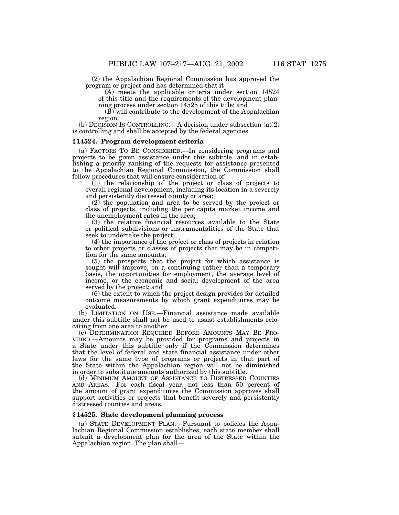(2) the Appalachian Regional Commission has approved the program or project and has determined that it—

(A) meets the applicable criteria under section 14524 of this title and the requirements of the development planning process under section 14525 of this title; and

 $(\overline{B})$  will contribute to the development of the Appalachian region.

(b) DECISION IS CONTROLLING.—A decision under subsection (a)(2) is controlling and shall be accepted by the federal agencies.

#### **§ 14524. Program development criteria**

(a) FACTORS TO BE CONSIDERED.—In considering programs and projects to be given assistance under this subtitle, and in establishing a priority ranking of the requests for assistance presented to the Appalachian Regional Commission, the Commission shall

 $(1)$  the relationship of the project or class of projects to overall regional development, including its location in a severely and persistently distressed county or area;

 $(2)$  the population and area to be served by the project or class of projects, including the per capita market income and the unemployment rates in the area;

(3) the relative financial resources available to the State or political subdivisions or instrumentalities of the State that seek to undertake the project;

(4) the importance of the project or class of projects in relation to other projects or classes of projects that may be in competition for the same amounts;

(5) the prospects that the project for which assistance is sought will improve, on a continuing rather than a temporary basis, the opportunities for employment, the average level of income, or the economic and social development of the area served by the project; and

(6) the extent to which the project design provides for detailed outcome measurements by which grant expenditures may be evaluated.

(b) LIMITATION ON USE.—Financial assistance made available under this subtitle shall not be used to assist establishments relocating from one area to another.

(c) DETERMINATION REQUIRED BEFORE AMOUNTS MAY BE PRO-VIDED.—Amounts may be provided for programs and projects in a State under this subtitle only if the Commission determines that the level of federal and state financial assistance under other laws for the same type of programs or projects in that part of the State within the Appalachian region will not be diminished in order to substitute amounts authorized by this subtitle.

(d) MINIMUM AMOUNT OF ASSISTANCE TO DISTRESSED COUNTIES AND AREAS.—For each fiscal year, not less than 50 percent of the amount of grant expenditures the Commission approves shall support activities or projects that benefit severely and persistently distressed counties and areas.

#### **§ 14525. State development planning process**

(a) STATE DEVELOPMENT PLAN.—Pursuant to policies the Appalachian Regional Commission establishes, each state member shall submit a development plan for the area of the State within the Appalachian region. The plan shall—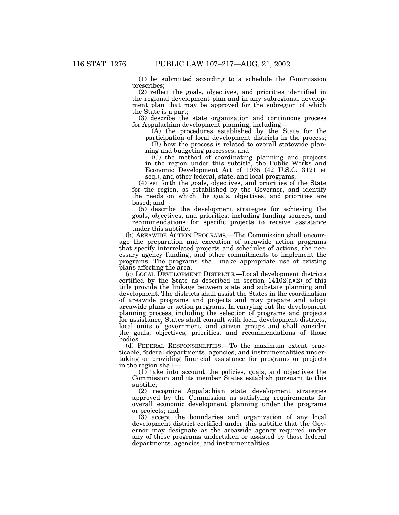(1) be submitted according to a schedule the Commission prescribes;

(2) reflect the goals, objectives, and priorities identified in the regional development plan and in any subregional development plan that may be approved for the subregion of which the State is a part;

(3) describe the state organization and continuous process for Appalachian development planning, including—

(A) the procedures established by the State for the

participation of local development districts in the process; (B) how the process is related to overall statewide plan-

ning and budgeting processes; and

(C) the method of coordinating planning and projects in the region under this subtitle, the Public Works and Economic Development Act of 1965 (42 U.S.C. 3121 et seq.), and other federal, state, and local programs;

(4) set forth the goals, objectives, and priorities of the State for the region, as established by the Governor, and identify the needs on which the goals, objectives, and priorities are based; and

(5) describe the development strategies for achieving the goals, objectives, and priorities, including funding sources, and recommendations for specific projects to receive assistance under this subtitle.

(b) AREAWIDE ACTION PROGRAMS.—The Commission shall encourage the preparation and execution of areawide action programs that specify interrelated projects and schedules of actions, the necessary agency funding, and other commitments to implement the programs. The programs shall make appropriate use of existing plans affecting the area.

(c) LOCAL DEVELOPMENT DISTRICTS.—Local development districts certified by the State as described in section  $14102(a)(2)$  of this title provide the linkage between state and substate planning and development. The districts shall assist the States in the coordination of areawide programs and projects and may prepare and adopt areawide plans or action programs. In carrying out the development planning process, including the selection of programs and projects for assistance, States shall consult with local development districts, local units of government, and citizen groups and shall consider the goals, objectives, priorities, and recommendations of those bodies.

(d) FEDERAL RESPONSIBILITIES.—To the maximum extent practicable, federal departments, agencies, and instrumentalities undertaking or providing financial assistance for programs or projects in the region shall—

(1) take into account the policies, goals, and objectives the Commission and its member States establish pursuant to this subtitle;

(2) recognize Appalachian state development strategies approved by the Commission as satisfying requirements for overall economic development planning under the programs or projects; and

(3) accept the boundaries and organization of any local development district certified under this subtitle that the Governor may designate as the areawide agency required under any of those programs undertaken or assisted by those federal departments, agencies, and instrumentalities.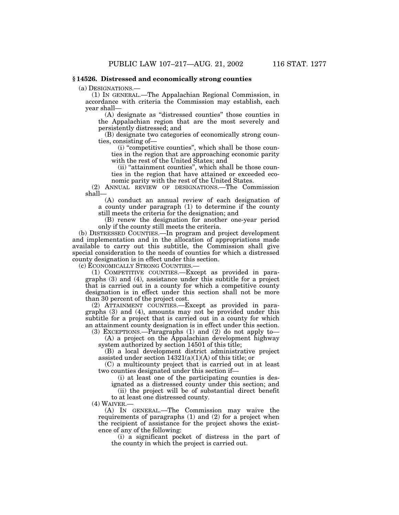#### **§ 14526. Distressed and economically strong counties**

(a) DESIGNATIONS.—

(1) IN GENERAL.—The Appalachian Regional Commission, in accordance with criteria the Commission may establish, each year shall—

(A) designate as ''distressed counties'' those counties in the Appalachian region that are the most severely and persistently distressed; and

(B) designate two categories of economically strong counties, consisting of—

(i) ''competitive counties'', which shall be those counties in the region that are approaching economic parity with the rest of the United States; and

(ii) ''attainment counties'', which shall be those counties in the region that have attained or exceeded economic parity with the rest of the United States.

(2) ANNUAL REVIEW OF DESIGNATIONS.—The Commission shall—

(A) conduct an annual review of each designation of a county under paragraph (1) to determine if the county still meets the criteria for the designation; and

(B) renew the designation for another one-year period only if the county still meets the criteria.

(b) DISTRESSED COUNTIES.—In program and project development and implementation and in the allocation of appropriations made available to carry out this subtitle, the Commission shall give special consideration to the needs of counties for which a distressed county designation is in effect under this section.

(c) ECONOMICALLY STRONG COUNTIES.—

(1) COMPETITIVE COUNTIES.—Except as provided in paragraphs (3) and (4), assistance under this subtitle for a project that is carried out in a county for which a competitive county designation is in effect under this section shall not be more than 30 percent of the project cost.

(2) ATTAINMENT COUNTIES.—Except as provided in paragraphs (3) and (4), amounts may not be provided under this subtitle for a project that is carried out in a county for which an attainment county designation is in effect under this section.

(3) EXCEPTIONS.—Paragraphs (1) and (2) do not apply to— (A) a project on the Appalachian development highway

system authorized by section 14501 of this title;

(B) a local development district administrative project assisted under section  $14321(a)(1)(A)$  of this title; or

(C) a multicounty project that is carried out in at least two counties designated under this section if—

(i) at least one of the participating counties is des-

ignated as a distressed county under this section; and

(ii) the project will be of substantial direct benefit to at least one distressed county.

 $(4)$  WAIVER.

(A) IN GENERAL.—The Commission may waive the requirements of paragraphs (1) and (2) for a project when the recipient of assistance for the project shows the existence of any of the following:

(i) a significant pocket of distress in the part of the county in which the project is carried out.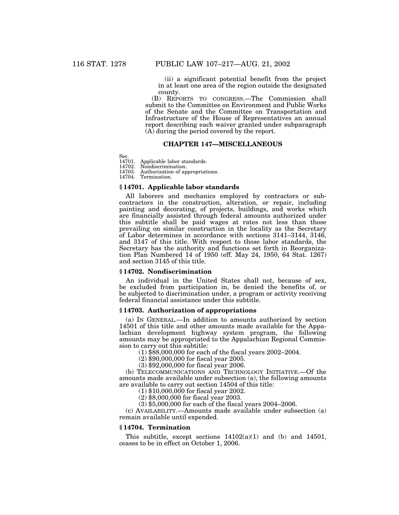(ii) a significant potential benefit from the project in at least one area of the region outside the designated county.

(B) REPORTS TO CONGRESS.—The Commission shall submit to the Committee on Environment and Public Works of the Senate and the Committee on Transportation and Infrastructure of the House of Representatives an annual report describing each waiver granted under subparagraph (A) during the period covered by the report.

#### **CHAPTER 147—MISCELLANEOUS**

Sec.<br>14701. 14701. Applicable labor standards.<br>14702. Nondiscrimination. 14702. Nondiscrimination.<br>14703. Authorization of ap

Authorization of appropriations.

14704. Termination.

# **§ 14701. Applicable labor standards**

All laborers and mechanics employed by contractors or subcontractors in the construction, alteration, or repair, including painting and decorating, of projects, buildings, and works which are financially assisted through federal amounts authorized under this subtitle shall be paid wages at rates not less than those prevailing on similar construction in the locality as the Secretary of Labor determines in accordance with sections 3141–3144, 3146, and 3147 of this title. With respect to those labor standards, the Secretary has the authority and functions set forth in Reorganization Plan Numbered 14 of 1950 (eff. May 24, 1950, 64 Stat. 1267) and section 3145 of this title.

#### **§ 14702. Nondiscrimination**

An individual in the United States shall not, because of sex, be excluded from participation in, be denied the benefits of, or be subjected to discrimination under, a program or activity receiving federal financial assistance under this subtitle.

#### **§ 14703. Authorization of appropriations**

(a) IN GENERAL.—In addition to amounts authorized by section 14501 of this title and other amounts made available for the Appalachian development highway system program, the following amounts may be appropriated to the Appalachian Regional Commission to carry out this subtitle:

(1) \$88,000,000 for each of the fiscal years 2002–2004.

(2) \$90,000,000 for fiscal year 2005.

(3) \$92,000,000 for fiscal year 2006.

(b) TELECOMMUNICATIONS AND TECHNOLOGY INITIATIVE.—Of the amounts made available under subsection (a), the following amounts are available to carry out section 14504 of this title:

(1) \$10,000,000 for fiscal year 2002.

(2) \$8,000,000 for fiscal year 2003.

(3) \$5,000,000 for each of the fiscal years 2004–2006.

(c) AVAILABILITY.—Amounts made available under subsection (a) remain available until expended.

### **§ 14704. Termination**

This subtitle, except sections  $14102(a)(1)$  and (b) and  $14501$ , ceases to be in effect on October 1, 2006.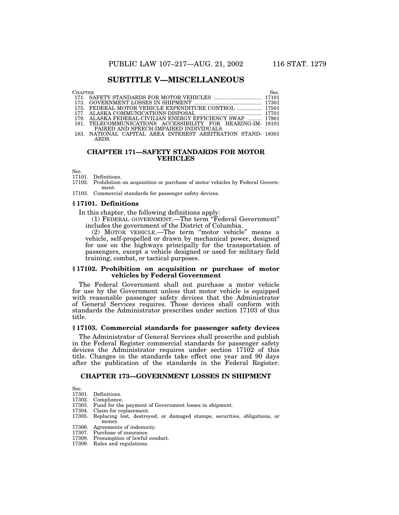# **SUBTITLE V—MISCELLANEOUS**

| CHAPTER.                                                   | Sec. |
|------------------------------------------------------------|------|
|                                                            |      |
|                                                            |      |
|                                                            |      |
|                                                            |      |
| 179. ALASKA FEDERAL-CIVILIAN ENERGY EFFICIENCY SWAP  17901 |      |
| 181. TELECOMMUNICATIONS ACCESSIBILITY FOR HEARING-IM-18101 |      |

- PAIRED AND SPEECH-IMPAIRED INDIVIDUALS.
- 183. NATIONAL CAPITAL AREA INTEREST ARBITRATION STAND-18301 ARDS.

#### **CHAPTER 171—SAFETY STANDARDS FOR MOTOR VEHICLES**

Sec.

- 17101. Definitions.
- 17102. Prohibition on acquisition or purchase of motor vehicles by Federal Government.
- 17103. Commercial standards for passenger safety devices.

#### **§ 17101. Definitions**

In this chapter, the following definitions apply:

(1) FEDERAL GOVERNMENT.—The term ''Federal Government'' includes the government of the District of Columbia.

(2) MOTOR VEHICLE.—The term ''motor vehicle'' means a vehicle, self-propelled or drawn by mechanical power, designed for use on the highways principally for the transportation of passengers, except a vehicle designed or used for military field training, combat, or tactical purposes.

#### **§ 17102. Prohibition on acquisition or purchase of motor vehicles by Federal Government**

The Federal Government shall not purchase a motor vehicle for use by the Government unless that motor vehicle is equipped with reasonable passenger safety devices that the Administrator of General Services requires. Those devices shall conform with standards the Administrator prescribes under section 17103 of this title.

#### **§ 17103. Commercial standards for passenger safety devices**

The Administrator of General Services shall prescribe and publish in the Federal Register commercial standards for passenger safety devices the Administrator requires under section 17102 of this title. Changes in the standards take effect one year and 90 days after the publication of the standards in the Federal Register.

# **CHAPTER 173—GOVERNMENT LOSSES IN SHIPMENT**

Sec.

- 17304. Claim for replacement.
- 17305. Replacing lost, destroyed, or damaged stamps, securities, obligations, or money.
- 17306. Agreements of indemnity.
- 17307. Purchase of insurance.
- 17308. Presumption of lawful conduct.
- 17309. Rules and regulations.

<sup>17301.</sup> Definitions. 17302. Compliance.

<sup>17303.</sup> Fund for the payment of Government losses in shipment.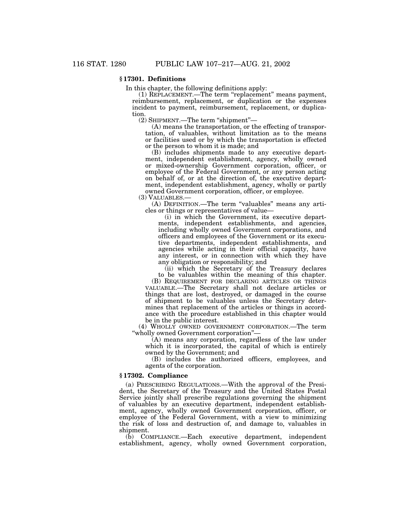## **§ 17301. Definitions**

In this chapter, the following definitions apply:

(1) REPLACEMENT.—The term ''replacement'' means payment, reimbursement, replacement, or duplication or the expenses incident to payment, reimbursement, replacement, or duplication.

 $(2)$  SHIPMENT.—The term "shipment"—

(A) means the transportation, or the effecting of transportation, of valuables, without limitation as to the means or facilities used or by which the transportation is effected or the person to whom it is made; and

(B) includes shipments made to any executive department, independent establishment, agency, wholly owned or mixed-ownership Government corporation, officer, or employee of the Federal Government, or any person acting on behalf of, or at the direction of, the executive department, independent establishment, agency, wholly or partly owned Government corporation, officer, or employee.<br>(3) VALUABLES.—

(A) DEFINITION.—The term "valuables" means any arti-<br>cles or things or representatives of value—

(i) in which the Government, its executive departments, independent establishments, and agencies, including wholly owned Government corporations, and officers and employees of the Government or its executive departments, independent establishments, and agencies while acting in their official capacity, have any interest, or in connection with which they have any obligation or responsibility; and

(ii) which the Secretary of the Treasury declares to be valuables within the meaning of this chapter.

(B) REQUIREMENT FOR DECLARING ARTICLES OR THINGS VALUABLE.—The Secretary shall not declare articles or things that are lost, destroyed, or damaged in the course of shipment to be valuables unless the Secretary determines that replacement of the articles or things in accordance with the procedure established in this chapter would be in the public interest.

(4) WHOLLY OWNED GOVERNMENT CORPORATION.—The term ''wholly owned Government corporation''—

(A) means any corporation, regardless of the law under which it is incorporated, the capital of which is entirely owned by the Government; and

(B) includes the authorized officers, employees, and agents of the corporation.

# **§ 17302. Compliance**

(a) PRESCRIBING REGULATIONS.—With the approval of the President, the Secretary of the Treasury and the United States Postal Service jointly shall prescribe regulations governing the shipment of valuables by an executive department, independent establishment, agency, wholly owned Government corporation, officer, or employee of the Federal Government, with a view to minimizing the risk of loss and destruction of, and damage to, valuables in shipment.

(b) COMPLIANCE.—Each executive department, independent establishment, agency, wholly owned Government corporation,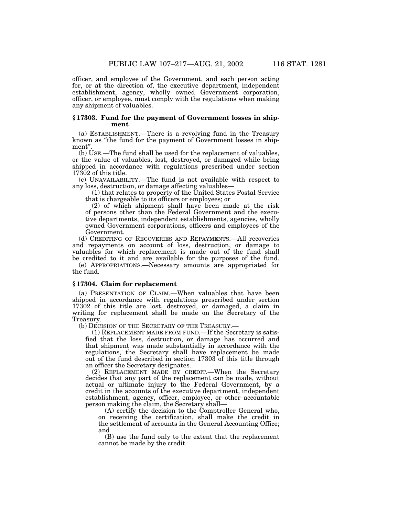officer, and employee of the Government, and each person acting for, or at the direction of, the executive department, independent

establishment, agency, wholly owned Government corporation, officer, or employee, must comply with the regulations when making any shipment of valuables.

#### **§ 17303. Fund for the payment of Government losses in shipment**

(a) ESTABLISHMENT.—There is a revolving fund in the Treasury known as ''the fund for the payment of Government losses in shipment''.

(b) USE.—The fund shall be used for the replacement of valuables, or the value of valuables, lost, destroyed, or damaged while being shipped in accordance with regulations prescribed under section 17302 of this title.

(c) UNAVAILABILITY.—The fund is not available with respect to any loss, destruction, or damage affecting valuables—

(1) that relates to property of the United States Postal Service that is chargeable to its officers or employees; or

(2) of which shipment shall have been made at the risk of persons other than the Federal Government and the executive departments, independent establishments, agencies, wholly owned Government corporations, officers and employees of the Government.

(d) CREDITING OF RECOVERIES AND REPAYMENTS.—All recoveries and repayments on account of loss, destruction, or damage to valuables for which replacement is made out of the fund shall be credited to it and are available for the purposes of the fund.

(e) APPROPRIATIONS.—Necessary amounts are appropriated for the fund.

#### **§ 17304. Claim for replacement**

(a) PRESENTATION OF CLAIM.—When valuables that have been shipped in accordance with regulations prescribed under section 17302 of this title are lost, destroyed, or damaged, a claim in writing for replacement shall be made on the Secretary of the Treasury.

(b) DECISION OF THE SECRETARY OF THE TREASURY.—

(1) REPLACEMENT MADE FROM FUND.—If the Secretary is satisfied that the loss, destruction, or damage has occurred and that shipment was made substantially in accordance with the regulations, the Secretary shall have replacement be made out of the fund described in section 17303 of this title through an officer the Secretary designates.

(2) REPLACEMENT MADE BY CREDIT.—When the Secretary decides that any part of the replacement can be made, without actual or ultimate injury to the Federal Government, by a credit in the accounts of the executive department, independent establishment, agency, officer, employee, or other accountable person making the claim, the Secretary shall—

 $(A)$  certify the decision to the Comptroller General who, on receiving the certification, shall make the credit in the settlement of accounts in the General Accounting Office; and

(B) use the fund only to the extent that the replacement cannot be made by the credit.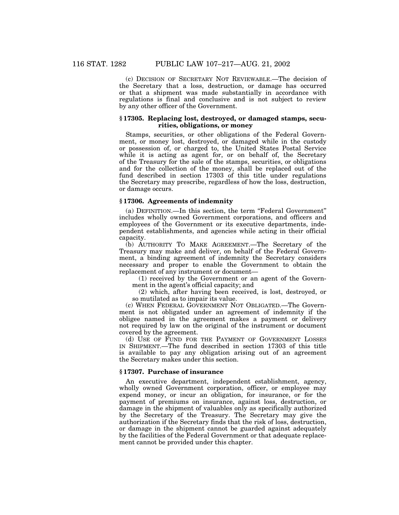(c) DECISION OF SECRETARY NOT REVIEWABLE.—The decision of the Secretary that a loss, destruction, or damage has occurred or that a shipment was made substantially in accordance with regulations is final and conclusive and is not subject to review by any other officer of the Government.

#### **§ 17305. Replacing lost, destroyed, or damaged stamps, securities, obligations, or money**

Stamps, securities, or other obligations of the Federal Government, or money lost, destroyed, or damaged while in the custody or possession of, or charged to, the United States Postal Service while it is acting as agent for, or on behalf of, the Secretary of the Treasury for the sale of the stamps, securities, or obligations and for the collection of the money, shall be replaced out of the fund described in section 17303 of this title under regulations the Secretary may prescribe, regardless of how the loss, destruction, or damage occurs.

#### **§ 17306. Agreements of indemnity**

(a) DEFINITION.—In this section, the term ''Federal Government'' includes wholly owned Government corporations, and officers and employees of the Government or its executive departments, independent establishments, and agencies while acting in their official capacity.

(b) AUTHORITY TO MAKE AGREEMENT.—The Secretary of the Treasury may make and deliver, on behalf of the Federal Government, a binding agreement of indemnity the Secretary considers necessary and proper to enable the Government to obtain the replacement of any instrument or document—

(1) received by the Government or an agent of the Government in the agent's official capacity; and

(2) which, after having been received, is lost, destroyed, or so mutilated as to impair its value.

(c) WHEN FEDERAL GOVERNMENT NOT OBLIGATED.—The Government is not obligated under an agreement of indemnity if the obligee named in the agreement makes a payment or delivery not required by law on the original of the instrument or document covered by the agreement.

(d) USE OF FUND FOR THE PAYMENT OF GOVERNMENT LOSSES IN SHIPMENT.—The fund described in section 17303 of this title is available to pay any obligation arising out of an agreement the Secretary makes under this section.

#### **§ 17307. Purchase of insurance**

An executive department, independent establishment, agency, wholly owned Government corporation, officer, or employee may expend money, or incur an obligation, for insurance, or for the payment of premiums on insurance, against loss, destruction, or damage in the shipment of valuables only as specifically authorized by the Secretary of the Treasury. The Secretary may give the authorization if the Secretary finds that the risk of loss, destruction, or damage in the shipment cannot be guarded against adequately by the facilities of the Federal Government or that adequate replacement cannot be provided under this chapter.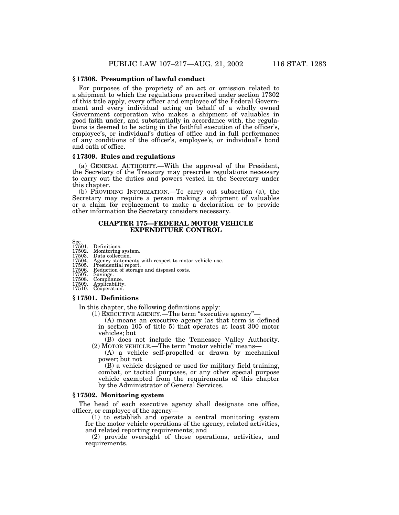### **§ 17308. Presumption of lawful conduct**

For purposes of the propriety of an act or omission related to a shipment to which the regulations prescribed under section 17302 of this title apply, every officer and employee of the Federal Government and every individual acting on behalf of a wholly owned Government corporation who makes a shipment of valuables in good faith under, and substantially in accordance with, the regulations is deemed to be acting in the faithful execution of the officer's, employee's, or individual's duties of office and in full performance of any conditions of the officer's, employee's, or individual's bond and oath of office.

#### **§ 17309. Rules and regulations**

(a) GENERAL AUTHORITY.—With the approval of the President, the Secretary of the Treasury may prescribe regulations necessary to carry out the duties and powers vested in the Secretary under this chapter.

(b) PROVIDING INFORMATION.—To carry out subsection (a), the Secretary may require a person making a shipment of valuables or a claim for replacement to make a declaration or to provide other information the Secretary considers necessary.

#### **CHAPTER 175—FEDERAL MOTOR VEHICLE EXPENDITURE CONTROL**

Sec.

- 17501. Definitions.
- 17502. Monitoring system. 17503. Data collection.

17504. Agency statements with respect to motor vehicle use. 17505. Presidential report.

- 
- 17506. Reduction of storage and disposal costs.<br>17507. Savings.
- 17507. Savings. 17508. Compliance.
- 
- 17509. Applicability. 17510. Cooperation.

#### **§ 17501. Definitions**

In this chapter, the following definitions apply:

(1) EXECUTIVE AGENCY.—The term ''executive agency''—

(A) means an executive agency (as that term is defined in section 105 of title 5) that operates at least 300 motor vehicles; but

(B) does not include the Tennessee Valley Authority. (2) MOTOR VEHICLE.—The term ''motor vehicle'' means—

(A) a vehicle self-propelled or drawn by mechanical power; but not

(B) a vehicle designed or used for military field training, combat, or tactical purposes, or any other special purpose vehicle exempted from the requirements of this chapter by the Administrator of General Services.

# **§ 17502. Monitoring system**

The head of each executive agency shall designate one office, officer, or employee of the agency—

 $(1)$  to establish and operate a central monitoring system for the motor vehicle operations of the agency, related activities, and related reporting requirements; and

(2) provide oversight of those operations, activities, and requirements.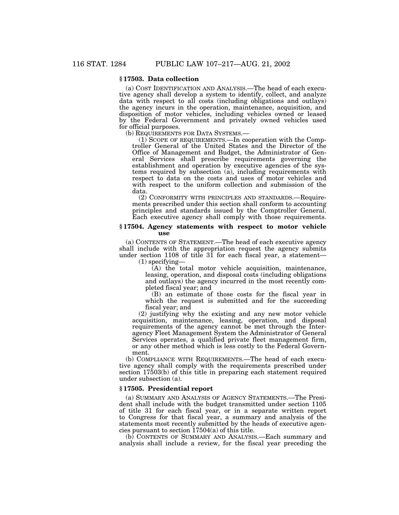# **§ 17503. Data collection**

(a) COST IDENTIFICATION AND ANALYSIS.—The head of each executive agency shall develop a system to identify, collect, and analyze data with respect to all costs (including obligations and outlays) the agency incurs in the operation, maintenance, acquisition, and disposition of motor vehicles, including vehicles owned or leased by the Federal Government and privately owned vehicles used for official purposes.<br>(b) REQUIREMENTS FOR DATA SYSTEMS.—

(b) REQUIREMENTS FOR DATA SYSTEMS.— (1) SCOPE OF REQUIREMENTS.—In cooperation with the Comptroller General of the United States and the Director of the Office of Management and Budget, the Administrator of General Services shall prescribe requirements governing the establishment and operation by executive agencies of the systems required by subsection (a), including requirements with respect to data on the costs and uses of motor vehicles and with respect to the uniform collection and submission of the data.

(2) CONFORMITY WITH PRINCIPLES AND STANDARDS.—Requirements prescribed under this section shall conform to accounting principles and standards issued by the Comptroller General. Each executive agency shall comply with those requirements.

#### **§ 17504. Agency statements with respect to motor vehicle use**

(a) CONTENTS OF STATEMENT.—The head of each executive agency shall include with the appropriation request the agency submits under section 1108 of title 31 for each fiscal year, a statement— (1) specifying—

> (A) the total motor vehicle acquisition, maintenance, leasing, operation, and disposal costs (including obligations and outlays) the agency incurred in the most recently completed fiscal year; and

(B) an estimate of those costs for the fiscal year in which the request is submitted and for the succeeding fiscal year; and

(2) justifying why the existing and any new motor vehicle acquisition, maintenance, leasing, operation, and disposal requirements of the agency cannot be met through the Interagency Fleet Management System the Administrator of General Services operates, a qualified private fleet management firm, or any other method which is less costly to the Federal Government.

(b) COMPLIANCE WITH REQUIREMENTS.—The head of each executive agency shall comply with the requirements prescribed under section 17503(b) of this title in preparing each statement required under subsection (a).

#### **§ 17505. Presidential report**

(a) SUMMARY AND ANALYSIS OF AGENCY STATEMENTS.—The President shall include with the budget transmitted under section 1105 of title 31 for each fiscal year, or in a separate written report to Congress for that fiscal year, a summary and analysis of the statements most recently submitted by the heads of executive agencies pursuant to section 17504(a) of this title.

(b) CONTENTS OF SUMMARY AND ANALYSIS.—Each summary and analysis shall include a review, for the fiscal year preceding the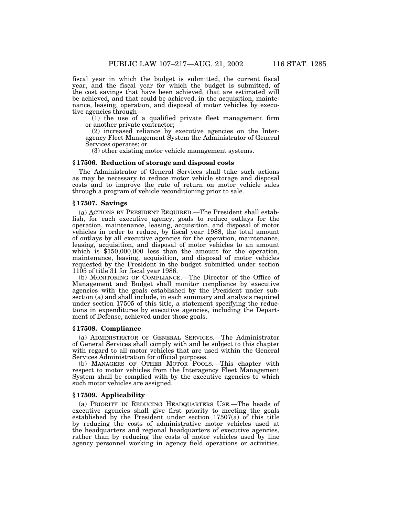fiscal year in which the budget is submitted, the current fiscal year, and the fiscal year for which the budget is submitted, of the cost savings that have been achieved, that are estimated will be achieved, and that could be achieved, in the acquisition, maintenance, leasing, operation, and disposal of motor vehicles by executive agencies through-

(1) the use of a qualified private fleet management firm or another private contractor;

(2) increased reliance by executive agencies on the Interagency Fleet Management System the Administrator of General Services operates; or

(3) other existing motor vehicle management systems.

#### **§ 17506. Reduction of storage and disposal costs**

The Administrator of General Services shall take such actions as may be necessary to reduce motor vehicle storage and disposal costs and to improve the rate of return on motor vehicle sales through a program of vehicle reconditioning prior to sale.

#### **§ 17507. Savings**

(a) ACTIONS BY PRESIDENT REQUIRED.—The President shall establish, for each executive agency, goals to reduce outlays for the operation, maintenance, leasing, acquisition, and disposal of motor vehicles in order to reduce, by fiscal year 1988, the total amount of outlays by all executive agencies for the operation, maintenance, leasing, acquisition, and disposal of motor vehicles to an amount which is \$150,000,000 less than the amount for the operation, maintenance, leasing, acquisition, and disposal of motor vehicles requested by the President in the budget submitted under section 1105 of title 31 for fiscal year 1986.

(b) MONITORING OF COMPLIANCE.—The Director of the Office of Management and Budget shall monitor compliance by executive agencies with the goals established by the President under subsection (a) and shall include, in each summary and analysis required under section 17505 of this title, a statement specifying the reductions in expenditures by executive agencies, including the Department of Defense, achieved under those goals.

#### **§ 17508. Compliance**

(a) ADMINISTRATOR OF GENERAL SERVICES.—The Administrator of General Services shall comply with and be subject to this chapter with regard to all motor vehicles that are used within the General Services Administration for official purposes.

(b) MANAGERS OF OTHER MOTOR POOLS.—This chapter with respect to motor vehicles from the Interagency Fleet Management System shall be complied with by the executive agencies to which such motor vehicles are assigned.

#### **§ 17509. Applicability**

(a) PRIORITY IN REDUCING HEADQUARTERS USE.—The heads of executive agencies shall give first priority to meeting the goals established by the President under section 17507(a) of this title by reducing the costs of administrative motor vehicles used at the headquarters and regional headquarters of executive agencies, rather than by reducing the costs of motor vehicles used by line agency personnel working in agency field operations or activities.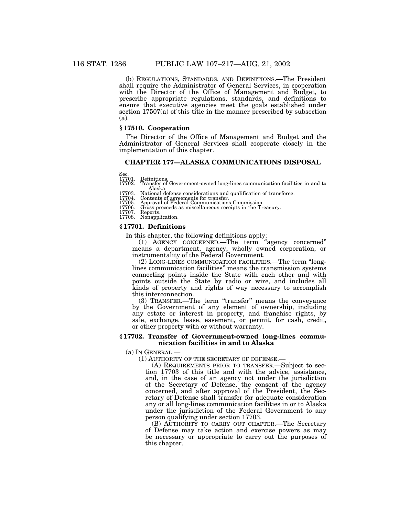(b) REGULATIONS, STANDARDS, AND DEFINITIONS.—The President shall require the Administrator of General Services, in cooperation with the Director of the Office of Management and Budget, to prescribe appropriate regulations, standards, and definitions to ensure that executive agencies meet the goals established under section 17507(a) of this title in the manner prescribed by subsection (a).

#### **§ 17510. Cooperation**

The Director of the Office of Management and Budget and the Administrator of General Services shall cooperate closely in the implementation of this chapter.

# **CHAPTER 177—ALASKA COMMUNICATIONS DISPOSAL**

Sec.<br>17701. Definitions.

17702. Transfer of Government-owned long-lines communication facilities in and to Alaska.

17703. National defense considerations and qualification of transferee.<br>17704. Contents of agreements for transfer.<br>17705. Approval of Federal Communications Commission.

17704. Contents of agreements for transfer. 17705. Approval of Federal Communications Commission.

17706. Gross proceeds as miscellaneous receipts in the Treasury.

Reports.

17708. Nonapplication.

#### **§ 17701. Definitions**

In this chapter, the following definitions apply:

(1) AGENCY CONCERNED.—The term ''agency concerned'' means a department, agency, wholly owned corporation, or instrumentality of the Federal Government.

(2) LONG-LINES COMMUNICATION FACILITIES.—The term ''longlines communication facilities'' means the transmission systems connecting points inside the State with each other and with points outside the State by radio or wire, and includes all kinds of property and rights of way necessary to accomplish this interconnection.

(3) TRANSFER.—The term ''transfer'' means the conveyance by the Government of any element of ownership, including any estate or interest in property, and franchise rights, by sale, exchange, lease, easement, or permit, for cash, credit, or other property with or without warranty.

#### **§ 17702. Transfer of Government-owned long-lines communication facilities in and to Alaska**

(a) IN GENERAL.—

(1) AUTHORITY OF THE SECRETARY OF DEFENSE.—

(A) REQUIREMENTS PRIOR TO TRANSFER.—Subject to section 17703 of this title and with the advice, assistance, and, in the case of an agency not under the jurisdiction of the Secretary of Defense, the consent of the agency concerned, and after approval of the President, the Secretary of Defense shall transfer for adequate consideration any or all long-lines communication facilities in or to Alaska under the jurisdiction of the Federal Government to any person qualifying under section 17703.

(B) AUTHORITY TO CARRY OUT CHAPTER.—The Secretary of Defense may take action and exercise powers as may be necessary or appropriate to carry out the purposes of this chapter.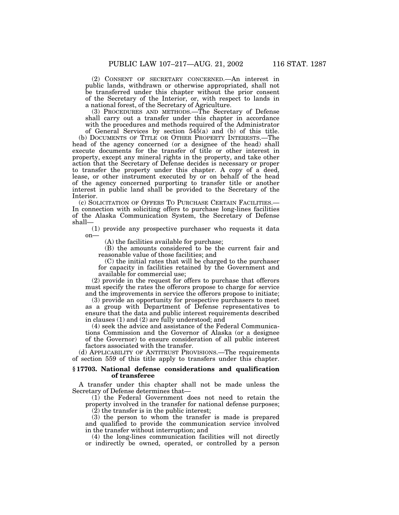(2) CONSENT OF SECRETARY CONCERNED.—An interest in public lands, withdrawn or otherwise appropriated, shall not be transferred under this chapter without the prior consent of the Secretary of the Interior, or, with respect to lands in a national forest, of the Secretary of Agriculture.

(3) PROCEDURES AND METHODS.—The Secretary of Defense shall carry out a transfer under this chapter in accordance with the procedures and methods required of the Administrator

of General Services by section 545(a) and (b) of this title. (b) DOCUMENTS OF TITLE OR OTHER PROPERTY INTERESTS.—The head of the agency concerned (or a designee of the head) shall execute documents for the transfer of title or other interest in property, except any mineral rights in the property, and take other action that the Secretary of Defense decides is necessary or proper to transfer the property under this chapter. A copy of a deed, lease, or other instrument executed by or on behalf of the head of the agency concerned purporting to transfer title or another interest in public land shall be provided to the Secretary of the Interior.

(c) SOLICITATION OF OFFERS TO PURCHASE CERTAIN FACILITIES.— In connection with soliciting offers to purchase long-lines facilities of the Alaska Communication System, the Secretary of Defense shall—

(1) provide any prospective purchaser who requests it data on—

(A) the facilities available for purchase;

(B) the amounts considered to be the current fair and reasonable value of those facilities; and

(C) the initial rates that will be charged to the purchaser for capacity in facilities retained by the Government and available for commercial use;

(2) provide in the request for offers to purchase that offerors must specify the rates the offerors propose to charge for service and the improvements in service the offerors propose to initiate;

(3) provide an opportunity for prospective purchasers to meet as a group with Department of Defense representatives to ensure that the data and public interest requirements described in clauses (1) and (2) are fully understood; and

(4) seek the advice and assistance of the Federal Communications Commission and the Governor of Alaska (or a designee of the Governor) to ensure consideration of all public interest factors associated with the transfer.

(d) APPLICABILITY OF ANTITRUST PROVISIONS.—The requirements of section 559 of this title apply to transfers under this chapter.

### **§ 17703. National defense considerations and qualification of transferee**

A transfer under this chapter shall not be made unless the Secretary of Defense determines that—

(1) the Federal Government does not need to retain the property involved in the transfer for national defense purposes;

(2) the transfer is in the public interest;

(3) the person to whom the transfer is made is prepared and qualified to provide the communication service involved in the transfer without interruption; and

(4) the long-lines communication facilities will not directly or indirectly be owned, operated, or controlled by a person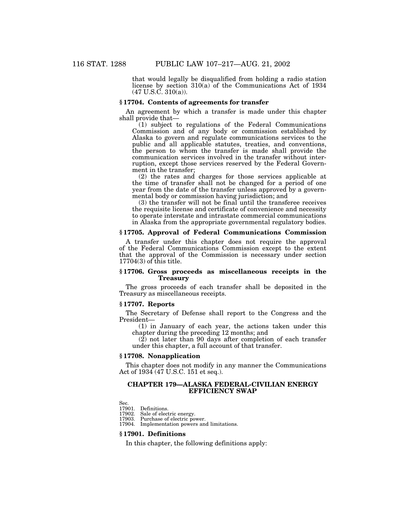that would legally be disqualified from holding a radio station license by section 310(a) of the Communications Act of 1934  $(47 \text{ U.S. C. } 310(a))$ .

#### **§ 17704. Contents of agreements for transfer**

An agreement by which a transfer is made under this chapter shall provide that—

(1) subject to regulations of the Federal Communications Commission and of any body or commission established by Alaska to govern and regulate communications services to the public and all applicable statutes, treaties, and conventions, the person to whom the transfer is made shall provide the communication services involved in the transfer without interruption, except those services reserved by the Federal Government in the transfer;

(2) the rates and charges for those services applicable at the time of transfer shall not be changed for a period of one year from the date of the transfer unless approved by a governmental body or commission having jurisdiction; and

(3) the transfer will not be final until the transferee receives the requisite license and certificate of convenience and necessity to operate interstate and intrastate commercial communications in Alaska from the appropriate governmental regulatory bodies.

#### **§ 17705. Approval of Federal Communications Commission**

A transfer under this chapter does not require the approval of the Federal Communications Commission except to the extent that the approval of the Commission is necessary under section  $17704(3)$  of this title.

#### **§ 17706. Gross proceeds as miscellaneous receipts in the Treasury**

The gross proceeds of each transfer shall be deposited in the Treasury as miscellaneous receipts.

#### **§ 17707. Reports**

The Secretary of Defense shall report to the Congress and the President—

(1) in January of each year, the actions taken under this chapter during the preceding 12 months; and

 $(2)$  not later than 90 days after completion of each transfer under this chapter, a full account of that transfer.

# **§ 17708. Nonapplication**

This chapter does not modify in any manner the Communications Act of 1934 (47 U.S.C. 151 et seq.).

### **CHAPTER 179—ALASKA FEDERAL-CIVILIAN ENERGY EFFICIENCY SWAP**

Sec.

17901. Definitions.<br>17902. Sale of elect

Sale of electric energy.

17903. Purchase of electric power.

17904. Implementation powers and limitations.

# **§ 17901. Definitions**

In this chapter, the following definitions apply: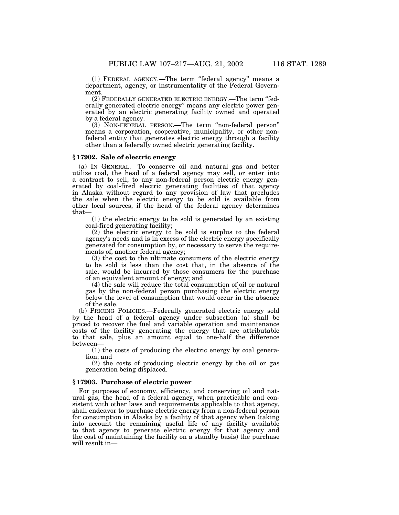(1) FEDERAL AGENCY.—The term ''federal agency'' means a department, agency, or instrumentality of the Federal Government.

(2) FEDERALLY GENERATED ELECTRIC ENERGY.—The term ''federally generated electric energy'' means any electric power generated by an electric generating facility owned and operated by a federal agency.

(3) NON-FEDERAL PERSON.—The term ''non-federal person'' means a corporation, cooperative, municipality, or other nonfederal entity that generates electric energy through a facility other than a federally owned electric generating facility.

### **§ 17902. Sale of electric energy**

(a) IN GENERAL.—To conserve oil and natural gas and better utilize coal, the head of a federal agency may sell, or enter into a contract to sell, to any non-federal person electric energy generated by coal-fired electric generating facilities of that agency in Alaska without regard to any provision of law that precludes the sale when the electric energy to be sold is available from other local sources, if the head of the federal agency determines that—

(1) the electric energy to be sold is generated by an existing coal-fired generating facility;

(2) the electric energy to be sold is surplus to the federal agency's needs and is in excess of the electric energy specifically generated for consumption by, or necessary to serve the requirements of, another federal agency;

(3) the cost to the ultimate consumers of the electric energy to be sold is less than the cost that, in the absence of the sale, would be incurred by those consumers for the purchase of an equivalent amount of energy; and

(4) the sale will reduce the total consumption of oil or natural gas by the non-federal person purchasing the electric energy below the level of consumption that would occur in the absence of the sale.

(b) PRICING POLICIES.—Federally generated electric energy sold by the head of a federal agency under subsection (a) shall be priced to recover the fuel and variable operation and maintenance costs of the facility generating the energy that are attributable to that sale, plus an amount equal to one-half the difference between—

(1) the costs of producing the electric energy by coal generation; and

(2) the costs of producing electric energy by the oil or gas generation being displaced.

#### **§ 17903. Purchase of electric power**

For purposes of economy, efficiency, and conserving oil and natural gas, the head of a federal agency, when practicable and consistent with other laws and requirements applicable to that agency, shall endeavor to purchase electric energy from a non-federal person for consumption in Alaska by a facility of that agency when (taking into account the remaining useful life of any facility available to that agency to generate electric energy for that agency and the cost of maintaining the facility on a standby basis) the purchase will result in—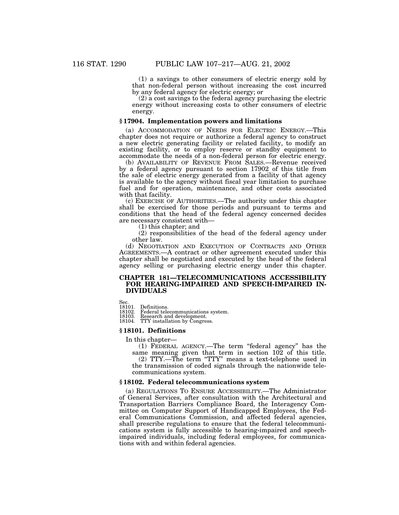(1) a savings to other consumers of electric energy sold by that non-federal person without increasing the cost incurred by any federal agency for electric energy; or

(2) a cost savings to the federal agency purchasing the electric energy without increasing costs to other consumers of electric energy.

#### **§ 17904. Implementation powers and limitations**

(a) ACCOMMODATION OF NEEDS FOR ELECTRIC ENERGY.—This chapter does not require or authorize a federal agency to construct a new electric generating facility or related facility, to modify an existing facility, or to employ reserve or standby equipment to accommodate the needs of a non-federal person for electric energy.

(b) AVAILABILITY OF REVENUE FROM SALES.—Revenue received by a federal agency pursuant to section 17902 of this title from the sale of electric energy generated from a facility of that agency is available to the agency without fiscal year limitation to purchase fuel and for operation, maintenance, and other costs associated with that facility.

(c) EXERCISE OF AUTHORITIES.—The authority under this chapter shall be exercised for those periods and pursuant to terms and conditions that the head of the federal agency concerned decides are necessary consistent with— (1) this chapter; and

(2) responsibilities of the head of the federal agency under other law.

(d) NEGOTIATION AND EXECUTION OF CONTRACTS AND OTHER AGREEMENTS.—A contract or other agreement executed under this chapter shall be negotiated and executed by the head of the federal agency selling or purchasing electric energy under this chapter.

### **CHAPTER 181—TELECOMMUNICATIONS ACCESSIBILITY FOR HEARING-IMPAIRED AND SPEECH-IMPAIRED IN-DIVIDUALS**

Sec. 18101. Definitions.

18102. Federal telecommunications system.

18103. Research and development. 18104. TTY installation by Congress.

#### **§ 18101. Definitions**

### In this chapter—

(1) FEDERAL AGENCY.—The term ''federal agency'' has the same meaning given that term in section  $10\overline{2}$  of this title.

(2) TTY.—The term "TTY" means a text-telephone used in the transmission of coded signals through the nationwide telecommunications system.

# **§ 18102. Federal telecommunications system**

(a) REGULATIONS TO ENSURE ACCESSIBILITY.—The Administrator of General Services, after consultation with the Architectural and Transportation Barriers Compliance Board, the Interagency Committee on Computer Support of Handicapped Employees, the Federal Communications Commission, and affected federal agencies, shall prescribe regulations to ensure that the federal telecommunications system is fully accessible to hearing-impaired and speechimpaired individuals, including federal employees, for communications with and within federal agencies.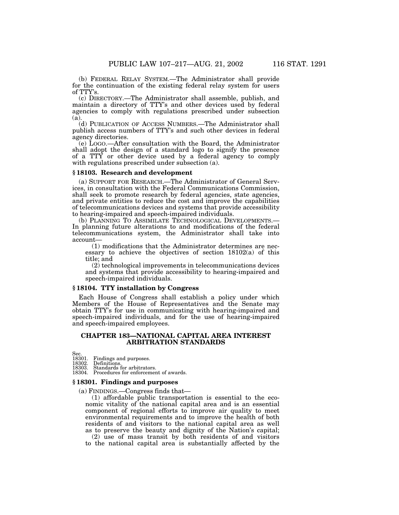(b) FEDERAL RELAY SYSTEM.—The Administrator shall provide for the continuation of the existing federal relay system for users of TTY's.

(c) DIRECTORY.—The Administrator shall assemble, publish, and maintain a directory of TTY's and other devices used by federal agencies to comply with regulations prescribed under subsection (a).

(d) PUBLICATION OF ACCESS NUMBERS.—The Administrator shall publish access numbers of TTY's and such other devices in federal agency directories.

(e) LOGO.—After consultation with the Board, the Administrator shall adopt the design of a standard logo to signify the presence of a TTY or other device used by a federal agency to comply with regulations prescribed under subsection (a).

#### **§ 18103. Research and development**

(a) SUPPORT FOR RESEARCH.—The Administrator of General Services, in consultation with the Federal Communications Commission, shall seek to promote research by federal agencies, state agencies, and private entities to reduce the cost and improve the capabilities of telecommunications devices and systems that provide accessibility to hearing-impaired and speech-impaired individuals.

(b) PLANNING TO ASSIMILATE TECHNOLOGICAL DEVELOPMENTS.— In planning future alterations to and modifications of the federal telecommunications system, the Administrator shall take into account—

(1) modifications that the Administrator determines are necessary to achieve the objectives of section 18102(a) of this title; and

(2) technological improvements in telecommunications devices and systems that provide accessibility to hearing-impaired and speech-impaired individuals.

#### **§ 18104. TTY installation by Congress**

Each House of Congress shall establish a policy under which Members of the House of Representatives and the Senate may obtain TTY's for use in communicating with hearing-impaired and speech-impaired individuals, and for the use of hearing-impaired and speech-impaired employees.

### **CHAPTER 183—NATIONAL CAPITAL AREA INTEREST ARBITRATION STANDARDS**

Sec.

18301. Findings and purposes.<br>18302. Definitions.

18302. Definitions. 18303. Standards for arbitrators.

18304. Procedures for enforcement of awards.

#### **§ 18301. Findings and purposes**

(a) FINDINGS.—Congress finds that—

(1) affordable public transportation is essential to the economic vitality of the national capital area and is an essential component of regional efforts to improve air quality to meet environmental requirements and to improve the health of both residents of and visitors to the national capital area as well as to preserve the beauty and dignity of the Nation's capital;

(2) use of mass transit by both residents of and visitors to the national capital area is substantially affected by the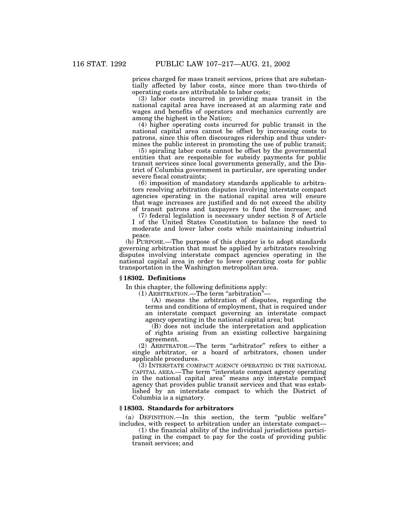prices charged for mass transit services, prices that are substantially affected by labor costs, since more than two-thirds of operating costs are attributable to labor costs;

(3) labor costs incurred in providing mass transit in the national capital area have increased at an alarming rate and wages and benefits of operators and mechanics currently are among the highest in the Nation;

(4) higher operating costs incurred for public transit in the national capital area cannot be offset by increasing costs to patrons, since this often discourages ridership and thus undermines the public interest in promoting the use of public transit;

(5) spiraling labor costs cannot be offset by the governmental entities that are responsible for subsidy payments for public transit services since local governments generally, and the District of Columbia government in particular, are operating under severe fiscal constraints;

(6) imposition of mandatory standards applicable to arbitrators resolving arbitration disputes involving interstate compact agencies operating in the national capital area will ensure that wage increases are justified and do not exceed the ability of transit patrons and taxpayers to fund the increase; and

(7) federal legislation is necessary under section 8 of Article I of the United States Constitution to balance the need to moderate and lower labor costs while maintaining industrial peace.

(b) PURPOSE.—The purpose of this chapter is to adopt standards governing arbitration that must be applied by arbitrators resolving disputes involving interstate compact agencies operating in the national capital area in order to lower operating costs for public transportation in the Washington metropolitan area.

#### **§ 18302. Definitions**

In this chapter, the following definitions apply:

(1) ARBITRATION.—The term "arbitration"-

(A) means the arbitration of disputes, regarding the terms and conditions of employment, that is required under an interstate compact governing an interstate compact agency operating in the national capital area; but

(B) does not include the interpretation and application of rights arising from an existing collective bargaining agreement.

(2) ARBITRATOR.—The term "arbitrator" refers to either a single arbitrator, or a board of arbitrators, chosen under applicable procedures.

(3) INTERSTATE COMPACT AGENCY OPERATING IN THE NATIONAL CAPITAL AREA.—The term ''interstate compact agency operating in the national capital area'' means any interstate compact agency that provides public transit services and that was established by an interstate compact to which the District of Columbia is a signatory.

#### **§ 18303. Standards for arbitrators**

(a) DEFINITION.—In this section, the term ''public welfare'' includes, with respect to arbitration under an interstate compact—

(1) the financial ability of the individual jurisdictions participating in the compact to pay for the costs of providing public transit services; and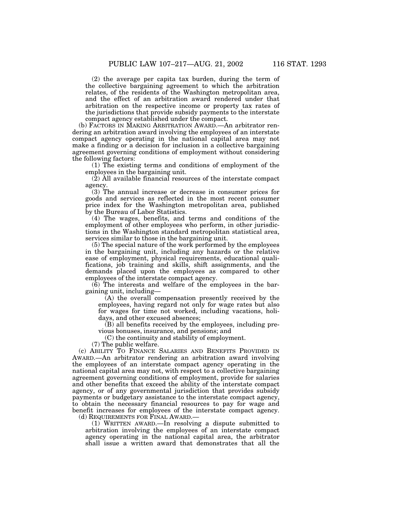(2) the average per capita tax burden, during the term of the collective bargaining agreement to which the arbitration relates, of the residents of the Washington metropolitan area, and the effect of an arbitration award rendered under that arbitration on the respective income or property tax rates of the jurisdictions that provide subsidy payments to the interstate compact agency established under the compact.

(b) FACTORS IN MAKING ARBITRATION AWARD.—An arbitrator rendering an arbitration award involving the employees of an interstate compact agency operating in the national capital area may not make a finding or a decision for inclusion in a collective bargaining agreement governing conditions of employment without considering the following factors:

(1) The existing terms and conditions of employment of the employees in the bargaining unit.

(2) All available financial resources of the interstate compact agency.

(3) The annual increase or decrease in consumer prices for goods and services as reflected in the most recent consumer price index for the Washington metropolitan area, published by the Bureau of Labor Statistics.

(4) The wages, benefits, and terms and conditions of the employment of other employees who perform, in other jurisdictions in the Washington standard metropolitan statistical area, services similar to those in the bargaining unit.

(5) The special nature of the work performed by the employees in the bargaining unit, including any hazards or the relative ease of employment, physical requirements, educational qualifications, job training and skills, shift assignments, and the demands placed upon the employees as compared to other employees of the interstate compact agency.

 $(6)$  The interests and welfare of the employees in the bargaining unit, including—

(A) the overall compensation presently received by the employees, having regard not only for wage rates but also for wages for time not worked, including vacations, holidays, and other excused absences;

(B) all benefits received by the employees, including previous bonuses, insurance, and pensions; and

(C) the continuity and stability of employment.

(7) The public welfare.

(c) ABILITY TO FINANCE SALARIES AND BENEFITS PROVIDED IN AWARD.—An arbitrator rendering an arbitration award involving the employees of an interstate compact agency operating in the national capital area may not, with respect to a collective bargaining agreement governing conditions of employment, provide for salaries and other benefits that exceed the ability of the interstate compact agency, or of any governmental jurisdiction that provides subsidy payments or budgetary assistance to the interstate compact agency, to obtain the necessary financial resources to pay for wage and benefit increases for employees of the interstate compact agency. (d) REQUIREMENTS FOR FINAL AWARD.—

(1) WRITTEN AWARD.—In resolving a dispute submitted to arbitration involving the employees of an interstate compact agency operating in the national capital area, the arbitrator shall issue a written award that demonstrates that all the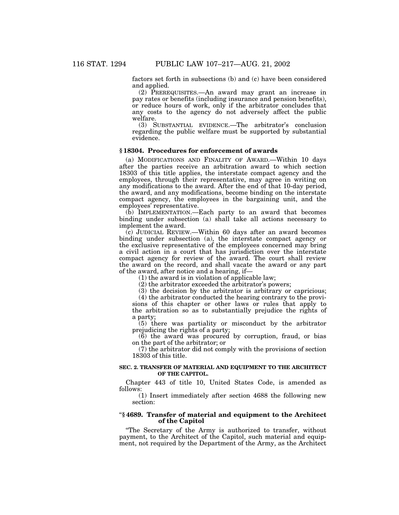factors set forth in subsections (b) and (c) have been considered and applied.

(2) PREREQUISITES.—An award may grant an increase in pay rates or benefits (including insurance and pension benefits), or reduce hours of work, only if the arbitrator concludes that any costs to the agency do not adversely affect the public welfare.

(3) SUBSTANTIAL EVIDENCE.—The arbitrator's conclusion regarding the public welfare must be supported by substantial evidence.

#### **§ 18304. Procedures for enforcement of awards**

(a) MODIFICATIONS AND FINALITY OF AWARD.—Within 10 days after the parties receive an arbitration award to which section 18303 of this title applies, the interstate compact agency and the employees, through their representative, may agree in writing on any modifications to the award. After the end of that 10-day period, the award, and any modifications, become binding on the interstate compact agency, the employees in the bargaining unit, and the employees' representative.

(b) IMPLEMENTATION.—Each party to an award that becomes binding under subsection (a) shall take all actions necessary to implement the award.

(c) JUDICIAL REVIEW.—Within 60 days after an award becomes binding under subsection (a), the interstate compact agency or the exclusive representative of the employees concerned may bring a civil action in a court that has jurisdiction over the interstate compact agency for review of the award. The court shall review the award on the record, and shall vacate the award or any part of the award, after notice and a hearing, if—

(1) the award is in violation of applicable law;

(2) the arbitrator exceeded the arbitrator's powers;

(3) the decision by the arbitrator is arbitrary or capricious;

(4) the arbitrator conducted the hearing contrary to the provisions of this chapter or other laws or rules that apply to the arbitration so as to substantially prejudice the rights of a party;

(5) there was partiality or misconduct by the arbitrator prejudicing the rights of a party;

(6) the award was procured by corruption, fraud, or bias on the part of the arbitrator; or

(7) the arbitrator did not comply with the provisions of section 18303 of this title.

#### **SEC. 2. TRANSFER OF MATERIAL AND EQUIPMENT TO THE ARCHITECT OF THE CAPITOL.**

Chapter 443 of title 10, United States Code, is amended as follows:

(1) Insert immediately after section 4688 the following new section:

#### ''**§ 4689. Transfer of material and equipment to the Architect of the Capitol**

''The Secretary of the Army is authorized to transfer, without payment, to the Architect of the Capitol, such material and equipment, not required by the Department of the Army, as the Architect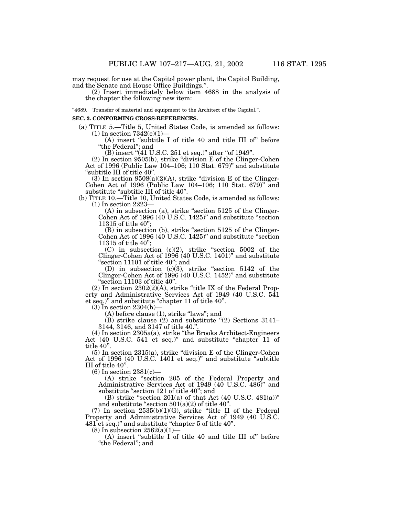may request for use at the Capitol power plant, the Capitol Building, and the Senate and House Office Buildings.".

 $(2)$  Insert immediately below item 4688 in the analysis of the chapter the following new item:

''4689. Transfer of material and equipment to the Architect of the Capitol.''.

#### **SEC. 3. CONFORMING CROSS-REFERENCES.**

(a) TITLE 5.—Title 5, United States Code, is amended as follows:

(1) In section 7342(e)(1)—<br>
(A) insert "subtitle I of title 40 and title III of" before "the Federal"; and

(B) insert "(41 U.S.C. 251 et seq.)" after "of 1949".<br>(2) In section 9505(b), strike "division E of the Clinger-Cohen<br>Act of 1996 (Public Law 104–106; 110 Stat. 679)" and substitute "subtitle III of title 40".<br>
(3) In section  $9508(a)(2)(A)$ , strike "division E of the Clinger-

Cohen Act of 1996 (Public Law 104–106; 110 Stat. 679)" and substitute "subtitle III of title 40".

(b) TITLE 10.—Title 10, United States Code, is amended as follows:<br>(1) In section 2223—

 $(A)$  in subsection (a), strike "section 5125 of the Clinger-Cohen Act of 1996 (40 U.S.C. 1425)'' and substitute ''section 11315 of title 40'';

(B) in subsection (b), strike ''section 5125 of the Clinger-Cohen Act of 1996 (40 U.S.C. 1425)'' and substitute ''section 11315 of title 40'';

(C) in subsection (c)(2), strike ''section 5002 of the Clinger-Cohen Act of 1996 (40 U.S.C. 1401)'' and substitute ''section 11101 of title 40''; and

(D) in subsection (c)(3), strike "section 5142 of the Clinger-Cohen Act of 1996 (40 U.S.C. 1452)" and substitute "section 11103 of title 40".<br>(2) In section 2302(2)(A), strike "title IX of the Federal Prop-

erty and Administrative Services Act of 1949 (40 U.S.C. 541

et seq.)" and substitute "chapter 11 of title 40".<br>
(3) In section 2304(h)—<br>
(A) before clause (1), strike "laws"; and<br>
(B) strike clause (2) and substitute "(2) Sections 3141– (B) strike clause (2) and substitute "(2) Sections 3141–3144, 3146, and 3147 of title 40.".<br>(4) In section 2305a(a), strike "the Brooks Architect-Engineers

Act (40 U.S.C. 541 et seq.)'' and substitute ''chapter 11 of title 40".<br>
(5) In section 2315(a), strike "division E of the Clinger-Cohen

Act of 1996 (40 U.S.C. 1401 et seq.)" and substitute "subtitle III of title 40".

 $\begin{array}{c}\n\text{(6) In section 2381(c)}\\
\text{(A) strike "section 205 of the Federal Property and}\n\end{array}$ Administrative Services Act of 1949 (40 U.S.C. 486)'' and substitute "section 121 of title 40"; and<br>(B) strike "section 201(a) of that Act (40 U.S.C. 481(a))"

and substitute "section 501(a)(2) of title 40".<br>(7) In section 2535(b)(1)(G), strike "title II of the Federal

Property and Administrative Services Act of 1949 (40 U.S.C. 481 et seq.)'' and substitute ''chapter 5 of title 40''.

 $(8)$  In subsection  $2562(a)(1)$ 

(A) insert ''subtitle I of title 40 and title III of'' before "the Federal"; and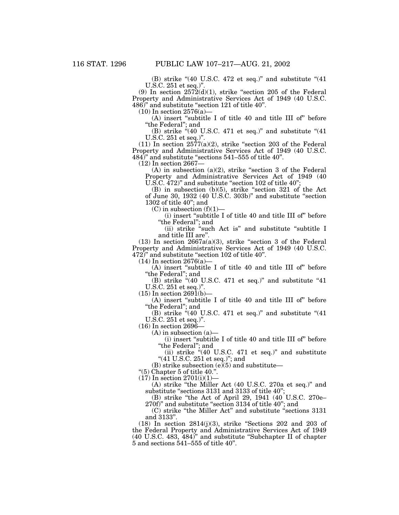(B) strike "(40 U.S.C. 472 et seq.)" and substitute "(41 U.S.C. 251 et seq.)".

(9) In section  $2572(d)(1)$ , strike "section 205 of the Federal Property and Administrative Services Act of 1949 (40 U.S.C. 486)'' and substitute ''section 121 of title 40''.

 $(10)$  In section 2576(a)–

(A) insert "subtitle I of title 40 and title III of" before "the Federal"; and

(B) strike  $\cdot(40 \text{ U.S.C. } 471 \text{ et seq.})$ " and substitute  $\cdot(41)$ U.S.C. 251 et seq.)''.

 $(11)$  In section  $2577(a)(2)$ , strike "section 203 of the Federal Property and Administrative Services Act of 1949 (40 U.S.C. 484)'' and substitute ''sections 541–555 of title 40''.

(12) In section 2667—

 $(A)$  in subsection  $(a)(2)$ , strike "section 3 of the Federal Property and Administrative Services Act of 1949 (40 U.S.C. 472)" and substitute "section 102 of title 40";

(B) in subsection (b)(5), strike ''section 321 of the Act of June 30, 1932 (40 U.S.C. 303b)'' and substitute ''section 1302 of title 40''; and

 $(C)$  in subsection  $(f)(1)$ —

(i) insert ''subtitle I of title 40 and title III of'' before ''the Federal''; and

(ii) strike ''such Act is'' and substitute ''subtitle I and title III are''.

(13) In section  $2667a(a)(3)$ , strike "section 3 of the Federal Property and Administrative Services Act of 1949 (40 U.S.C. 472)'' and substitute ''section 102 of title 40''.

(14) In section 2676(a)—

(A) insert ''subtitle I of title 40 and title III of'' before ''the Federal''; and

(B) strike " $(40 \text{ U.S.C. } 471 \text{ et seq.})$ " and substitute " $41$ U.S.C. 251 et seq.)''.

 $(15)$  In section 269 $\hat{1}(b)$ 

(A) insert ''subtitle I of title 40 and title III of'' before "the Federal"; and

(B) strike  $(40 \text{ U.S.C. } 471 \text{ et seq.})$ " and substitute  $(41 \text{ V. } 41 \text{ eV})$ U.S.C. 251 et seq.)''.

(16) In section 2696—

 $(A)$  in subsection  $(a)$ 

(i) insert ''subtitle I of title 40 and title III of'' before ''the Federal''; and

(ii) strike  $^{4}(40)$  U.S.C. 471 et seq.)" and substitute "(41 U.S.C. 251 et seq.)"; and

(B) strike subsection  $(e)(5)$  and substitute—

" $(5)$  Chapter 5 of title 40.".

 $(17)$  In section 2701(i)(1)-

(A) strike ''the Miller Act (40 U.S.C. 270a et seq.)'' and substitute "sections 3131 and 3133 of title 40";

(B) strike "the Act of April 29, 1941 (40 U.S.C. 270e– 270f)'' and substitute ''section 3134 of title 40''; and

(C) strike "the Miller Act" and substitute "sections 3131 and 3133''.

 $(18)$  In section  $2814(j)(3)$ , strike "Sections  $202$  and  $203$  of the Federal Property and Administrative Services Act of 1949 (40 U.S.C. 483, 484)'' and substitute ''Subchapter II of chapter 5 and sections 541–555 of title 40''.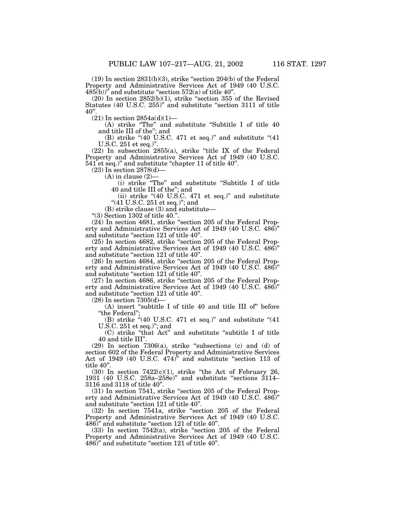$(19)$  In section 2831(b)(3), strike "section 204(b) of the Federal Property and Administrative Services Act of 1949 (40 U.S.C. 485(b))" and substitute "section 572(a) of title 40".

(20) In section 2852(b)(1), strike "section 355 of the Revised Statutes (40 U.S.C. 255)'' and substitute ''section 3111 of title 40''.

 $(21)$  In section  $2854a(d)(1)$ —

(A) strike "The" and substitute "Subtitle I of title 40 and title III of the''; and

(B) strike " $(40 \text{ U.S.C. } 471 \text{ et seq.})$ " and substitute " $(41)$ U.S.C. 251 et seq.)'

 $(22)$  In subsection  $2855(a)$ , strike "title IX of the Federal Property and Administrative Services Act of 1949 (40 U.S.C. 541 et seq.)'' and substitute ''chapter 11 of title 40''.

(23) In section 2878(d)—

 $(A)$  in clause  $(2)$ 

(i) strike ''The'' and substitute ''Subtitle I of title 40 and title III of the''; and

(ii) strike " $(40 \text{ U.S.C. } 471 \text{ et seq.})$ " and substitute "(41 U.S.C. 251 et seq.)"; and

(B) strike clause (3) and substitute—

" $(3)$  Section 1302 of title 40."

(24) In section 4681, strike ''section 205 of the Federal Property and Administrative Services Act of 1949 (40 U.S.C. 486)'' and substitute ''section 121 of title 40''.

(25) In section 4682, strike ''section 205 of the Federal Property and Administrative Services Act of 1949 (40 U.S.C. 486)'' and substitute ''section 121 of title 40''.

(26) In section 4684, strike ''section 205 of the Federal Property and Administrative Services Act of 1949 (40 U.S.C. 486)'' and substitute ''section 121 of title 40''.

(27) In section 4686, strike ''section 205 of the Federal Property and Administrative Services Act of 1949 (40 U.S.C. 486)'' and substitute ''section 121 of title 40''.

(28) In section 7305(d)—

(A) insert ''subtitle I of title 40 and title III of'' before ''the Federal'';

(B) strike "(40 U.S.C. 471 et seq.)" and substitute "(41) U.S.C. 251 et seq.)''; and

(C) strike ''that Act'' and substitute ''subtitle I of title 40 and title III''.

(29) In section 7306(a), strike ''subsections (c) and (d) of section 602 of the Federal Property and Administrative Services Act of 1949 (40 U.S.C. 474)<sup>"</sup> and substitute "section 113 of title 40".

(30) In section  $7422(c)(1)$ , strike "the Act of February 26, 1931 (40 U.S.C. 258a–258e)'' and substitute ''sections 3114– 3116 and 3118 of title 40''.

(31) In section 7541, strike ''section 205 of the Federal Property and Administrative Services Act of 1949 (40 U.S.C. 486)'' and substitute ''section 121 of title 40''.

(32) In section 7541a, strike ''section 205 of the Federal Property and Administrative Services Act of 1949 (40 U.S.C. 486)'' and substitute ''section 121 of title 40''.

(33) In section 7542(a), strike ''section 205 of the Federal Property and Administrative Services Act of 1949 (40 U.S.C. 486)'' and substitute ''section 121 of title 40''.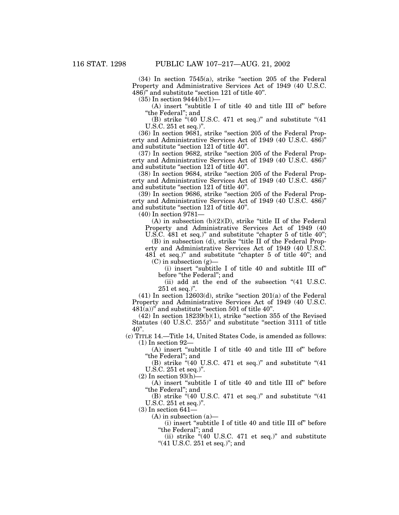(34) In section 7545(a), strike ''section 205 of the Federal Property and Administrative Services Act of 1949 (40 U.S.C. 486)'' and substitute ''section 121 of title 40''.

(35) In section 9444(b)(1)—

(A) insert ''subtitle I of title 40 and title III of'' before ''the Federal''; and

(B) strike " $(40 \text{ U.S.C. } 471 \text{ et seq.})$ " and substitute " $(41$ U.S.C. 251 et seq.)''.

(36) In section 9681, strike ''section 205 of the Federal Property and Administrative Services Act of 1949 (40 U.S.C. 486)'' and substitute "section 121 of title 40".

(37) In section 9682, strike ''section 205 of the Federal Property and Administrative Services Act of 1949 (40 U.S.C. 486)'' and substitute ''section 121 of title 40''.

(38) In section 9684, strike ''section 205 of the Federal Property and Administrative Services Act of 1949 (40 U.S.C. 486)'' and substitute ''section 121 of title 40''.

(39) In section 9686, strike ''section 205 of the Federal Property and Administrative Services Act of 1949 (40 U.S.C. 486)'' and substitute ''section 121 of title 40''.

(40) In section 9781—

(A) in subsection  $(b)(2)(D)$ , strike "title II of the Federal Property and Administrative Services Act of 1949 (40 U.S.C. 481 et seq.)" and substitute "chapter 5 of title 40";

(B) in subsection (d), strike "title II of the Federal Property and Administrative Services Act of 1949 (40 U.S.C. 481 et seq.)" and substitute "chapter 5 of title 40"; and  $(C)$  in subsection  $(g)$ —

(i) insert ''subtitle I of title 40 and subtitle III of'' before "the Federal"; and

(ii) add at the end of the subsection "(41 U.S.C.) 251 et seq.)''.

 $(41)$  In section  $12603(d)$ , strike "section  $201(a)$  of the Federal Property and Administrative Services Act of 1949 (40 U.S.C.  $481(a)$ <sup>"</sup> and substitute "section 501 of title 40".

 $(42)$  In section  $18239(b)(1)$ , strike "section 355 of the Revised Statutes (40 U.S.C. 255)" and substitute "section 3111 of title  $40$ ".

(c) TITLE 14.—Title 14, United States Code, is amended as follows: (1) In section 92—

(A) insert "subtitle I of title 40 and title III of" before ''the Federal''; and

(B) strike "(40 U.S.C. 471 et seq.)" and substitute "(41) U.S.C. 251 et seq.)''.

 $(2)$  In section 93 $(h)$ -

(A) insert "subtitle I of title 40 and title III of" before ''the Federal''; and

(B) strike  $(40 \text{ U.S.C. } 471 \text{ et seq.})$ " and substitute  $(41)$ U.S.C. 251 et seq.)''.

(3) In section 641—

 $(A)$  in subsection  $(a)$ —

(i) insert ''subtitle I of title 40 and title III of'' before "the Federal"; and

(ii) strike  $*(40 \text{ U.S.C. } 471 \text{ et seq.})"$  and substitute ''(41 U.S.C. 251 et seq.)''; and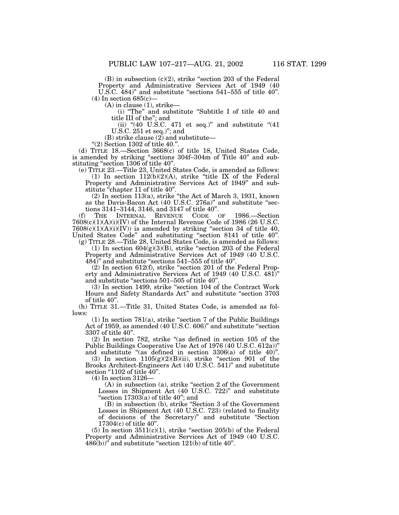(B) in subsection (c)(2), strike ''section 203 of the Federal Property and Administrative Services Act of 1949 (40 U.S.C. 484)" and substitute "sections 541–555 of title 40".<br>(4) In section  $685(c)$ —

(A) in clause (1), strike—

(i) ''The'' and substitute ''Subtitle I of title 40 and title III of the''; and

(ii) " $(40 \text{ U.S.C. } 471 \text{ et seq.})$ " and substitute " $(41$ U.S.C. 251 et seq.)''; and

(B) strike clause (2) and substitute—

''(2) Section 1302 of title 40.''.

(d) TITLE 18.—Section 3668(c) of title 18, United States Code, is amended by striking ''sections 304f–304m of Title 40'' and substituting ''section 1306 of title 40''. (e) TITLE 23.—Title 23, United States Code, is amended as follows:

(1) In section  $112(b)(2)(A)$ , strike "title IX of the Federal Property and Administrative Services Act of 1949'' and sub-

stitute "chapter 11 of title 40".<br>
(2) In section 113(a), strike "the Act of March 3, 1931, known as the Davis-Bacon Act (40 U.S.C. 276a)'' and substitute ''sec-

tions 3141–3144, 3146, and 3147 of title 40''. (f) THE INTERNAL REVENUE CODE OF 1986.—Section  $7608(c)(1)(A)(i)(IV)$  of the Internal Revenue Code of 1986 (26 U.S.C.  $7608(c)(1)(A)(i)(IV)$  is amended by striking "section 34 of title 40, United States Code'' and substituting ''section 8141 of title 40''.

(g) TITLE 28.—Title 28, United States Code, is amended as follows: (1) In section  $604(g)(3)(B)$ , strike "section 203 of the Federal

Property and Administrative Services Act of 1949 (40 U.S.C. 484)'' and substitute ''sections 541–555 of title 40''.

(2) In section 612(f), strike ''section 201 of the Federal Property and Administrative Services Act of 1949 (40 U.S.C. 481)'' and substitute ''sections 501–505 of title 40''.

(3) In section 1499, strike ''section 104 of the Contract Work Hours and Safety Standards Act'' and substitute ''section 3703

of title 40''. (h) TITLE 31.—Title 31, United States Code, is amended as follows:

 $(1)$  In section 781 $(a)$ , strike "section 7 of the Public Buildings Act of 1959, as amended (40 U.S.C. 606)'' and substitute ''section 3307 of title 40''.

(2) In section 782, strike ''(as defined in section 105 of the Public Buildings Cooperative Use Act of 1976 (40 U.S.C. 612a))'' and substitute "(as defined in section 3306(a) of title 40)".

(3) In section  $1105(g)(2)(B)(ii)$ , strike "section 901 of the Brooks Architect-Engineers Act (40 U.S.C. 541)'' and substitute section "1102 of title 40".

(4) In section 3126—

(A) in subsection (a), strike ''section 2 of the Government Losses in Shipment Act (40 U.S.C. 722)'' and substitute "section  $17303(a)$  of title 40"; and

(B) in subsection (b), strike ''Section 3 of the Government Losses in Shipment Act (40 U.S.C. 723) (related to finality of decisions of the Secretary)'' and substitute ''Section 17304(c) of title 40''.

 $(5)$  In section  $3511(c)(1)$ , strike "section  $205(b)$  of the Federal Property and Administrative Services Act of 1949 (40 U.S.C.  $486(b)$ <sup>"</sup> and substitute "section 121(b) of title 40".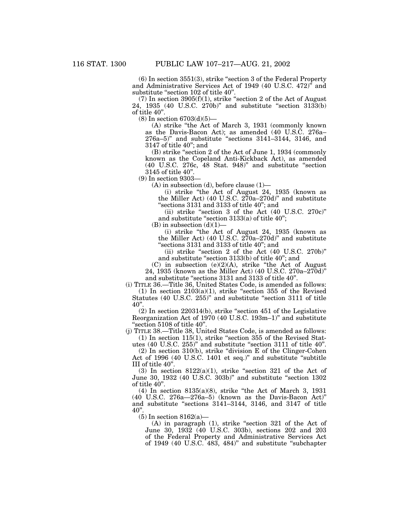$(6)$  In section 3551 $(3)$ , strike "section 3 of the Federal Property and Administrative Services Act of 1949 (40 U.S.C. 472)'' and substitute "section 102 of title 40".

(7) In section  $3905(f)(1)$ , strike "section 2 of the Act of August 24, 1935 (40 U.S.C. 270b)'' and substitute ''section 3133(b) of title 40''.

(8) In section 6703(d)(5)—

(A) strike ''the Act of March 3, 1931 (commonly known as the Davis-Bacon Act); as amended (40 U.S.C. 276a– 276a–5)'' and substitute ''sections 3141–3144, 3146, and 3147 of title 40''; and

(B) strike ''section 2 of the Act of June 1, 1934 (commonly known as the Copeland Anti-Kickback Act), as amended (40 U.S.C. 276c, 48 Stat. 948)'' and substitute ''section 3145 of title 40''.

(9) In section 9303—

(A) in subsection (d), before clause (1)—

(i) strike ''the Act of August 24, 1935 (known as the Miller Act) (40 U.S.C. 270a–270d)'' and substitute "sections 3131 and 3133 of title 40"; and

(ii) strike ''section 3 of the Act (40 U.S.C. 270c)'' and substitute "section 3133(a) of title 40";

 $(B)$  in subsection  $(d)(1)$ –

(i) strike ''the Act of August 24, 1935 (known as the Miller Act) (40 U.S.C. 270a–270d)'' and substitute ''sections 3131 and 3133 of title 40''; and

(ii) strike ''section 2 of the Act (40 U.S.C. 270b)'' and substitute ''section 3133(b) of title 40''; and

 $(C)$  in subsection  $(e)(2)(A)$ , strike "the Act of August 24, 1935 (known as the Miller Act) (40 U.S.C. 270a–270d)'' and substitute ''sections 3131 and 3133 of title 40''.

(i) TITLE 36.—Title 36, United States Code, is amended as follows: (1) In section  $2103(a)(1)$ , strike "section 355 of the Revised

Statutes (40 U.S.C. 255)" and substitute "section 3111 of title 40''.

(2) In section 220314(b), strike ''section 451 of the Legislative Reorganization Act of 1970 (40 U.S.C. 193m–1)'' and substitute ''section 5108 of title 40''.

(j) TITLE 38.—Title 38, United States Code, is amended as follows:  $(1)$  In section 115(1), strike "section 355 of the Revised Stat-

utes (40 U.S.C. 255)'' and substitute ''section 3111 of title 40''.

(2) In section 310(b), strike ''division E of the Clinger-Cohen Act of 1996 (40 U.S.C. 1401 et seq.)'' and substitute ''subtitle III of title 40''.

(3) In section 8122(a)(1), strike "section 321 of the Act of June 30, 1932 (40 U.S.C. 303b)'' and substitute ''section 1302 of title 40''.

(4) In section 8135(a)(8), strike ''the Act of March 3, 1931 (40 U.S.C. 276a—276a–5) (known as the Davis-Bacon Act)'' and substitute ''sections 3141–3144, 3146, and 3147 of title  $40"$ .

 $(5)$  In section 8162(a)—

(A) in paragraph (1), strike ''section 321 of the Act of June 30, 1932 (40 U.S.C. 303b), sections 202 and 203 of the Federal Property and Administrative Services Act of 1949 (40 U.S.C. 483, 484)'' and substitute ''subchapter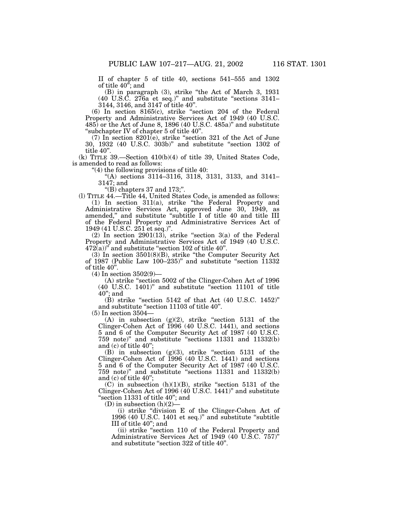II of chapter 5 of title 40, sections 541–555 and 1302 of title  $40^{\degree}$ ; and

(B) in paragraph (3), strike ''the Act of March 3, 1931 (40 U.S.C. 276a et seq.)'' and substitute ''sections 3141– 3144, 3146, and 3147 of title 40''.

(6) In section 8165(c), strike ''section 204 of the Federal Property and Administrative Services Act of 1949 (40 U.S.C. 485) or the Act of June 8, 1896 (40 U.S.C. 485a)'' and substitute ''subchapter IV of chapter 5 of title 40''.

(7) In section 8201(e), strike ''section 321 of the Act of June 30, 1932 (40 U.S.C. 303b)'' and substitute ''section 1302 of title 40".

(k) TITLE 39.—Section  $410(b)(4)$  of title 39, United States Code, is amended to read as follows:

"(4) the following provisions of title 40:<br>
"(A) sections 3114–3116, 3118, 3131, 3133, and 3141–<br>
3147; and<br>
"(B) chapters 37 and 173;".<br>
(l) TITLE 44.—Title 44, United States Code, is amended as follows:

(1) In section 311(a), strike ''the Federal Property and

Administrative Services Act, approved June 30, 1949, as amended,'' and substitute ''subtitle I of title 40 and title III of the Federal Property and Administrative Services Act of 1949 (41 U.S.C. 251 et seq.)''.

(2) In section 2901(13), strike "section  $3(a)$  of the Federal Property and Administrative Services Act of 1949 (40 U.S.C.  $472(a)$ " and substitute "section 102 of title 40".

(3) In section 3501(8)(B), strike ''the Computer Security Act of 1987 (Public Law 100–235)'' and substitute ''section 11332 of title 40''.

(4) In section 3502(9)—

(A) strike ''section 5002 of the Clinger-Cohen Act of 1996 (40 U.S.C. 1401)'' and substitute ''section 11101 of title 40''; and

(B) strike "section  $5142$  of that Act (40 U.S.C.  $1452$ )" and substitute "section  $11103$  of title 40".

(5) In section 3504—

 $(A)$  in subsection  $(g)(2)$ , strike "section 5131 of the Clinger-Cohen Act of 1996 (40 U.S.C. 1441), and sections 5 and 6 of the Computer Security Act of 1987 (40 U.S.C. 759 note)'' and substitute ''sections 11331 and 11332(b) and (c) of title 40'';

 $(B)$  in subsection  $(g)(3)$ , strike "section 5131 of the Clinger-Cohen Act of 1996 (40 U.S.C. 1441) and sections 5 and 6 of the Computer Security Act of 1987 (40 U.S.C. 759 note)'' and substitute ''sections 11331 and 11332(b) and (c) of title 40'';

 $(C)$  in subsection  $(h)(1)(B)$ , strike "section 5131 of the Clinger-Cohen Act of 1996 (40 U.S.C. 1441)'' and substitute 'section 11331 of title 40"; and

(D) in subsection  $(h)(2)$ -

(i) strike ''division E of the Clinger-Cohen Act of 1996 (40 U.S.C. 1401 et seq.)'' and substitute ''subtitle III of title 40''; and

(ii) strike ''section 110 of the Federal Property and Administrative Services Act of 1949 (40 U.S.C. 757)'' and substitute ''section 322 of title 40''.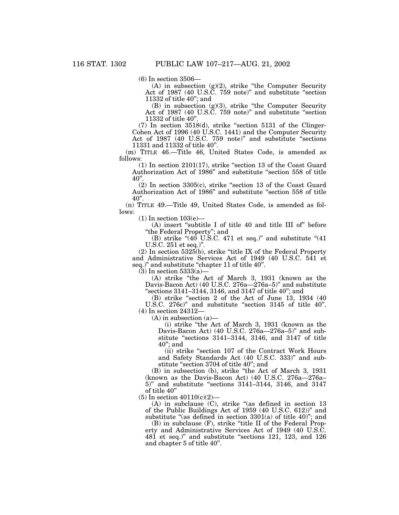(6) In section 3506—

 $(A)$  in subsection  $(g)(2)$ , strike "the Computer Security" Act of 1987 (40 U.S.C. 759 note)'' and substitute ''section 11332 of title 40''; and

 $(B)$  in subsection  $(g)(3)$ , strike "the Computer Security" Act of 1987 (40 U.S.C. 759 note)" and substitute "section 11332 of title 40".

(7) In section 3518(d), strike ''section 5131 of the Clinger-Cohen Act of 1996 (40 U.S.C. 1441) and the Computer Security Act of 1987 (40 U.S.C. 759 note)" and substitute "sections 11331 and 11332 of title 40''.

(m) TITLE 46.—Title 46, United States Code, is amended as follows:

(1) In section 2101(17), strike ''section 13 of the Coast Guard Authorization Act of 1986'' and substitute ''section 558 of title  $40$ ".

(2) In section 3305(c), strike ''section 13 of the Coast Guard Authorization Act of 1986'' and substitute ''section 558 of title  $40"$ 

(n) TITLE 49.—Title 49, United States Code, is amended as follows:

 $(1)$  In section  $103(e)$ 

(A) insert ''subtitle I of title 40 and title III of'' before ''the Federal Property''; and

(B) strike " $(40 \text{ U.S.C. } 471 \text{ et seq.})$ " and substitute " $(41 \text{ V. } 41 \text{ C. } 471 \text{ et seq.})$ " U.S.C. 251 et seq.)''.

 $(2)$  In section 5325 $(h)$ , strike "title IX of the Federal Property" and Administrative Services Act of 1949 (40 U.S.C. 541 et seq.)" and substitute "chapter 11 of title 40".

 $(3)$  In section 5333(a)—

(A) strike ''the Act of March 3, 1931 (known as the Davis-Bacon Act) (40 U.S.C. 276a—276a–5)'' and substitute ''sections 3141–3144, 3146, and 3147 of title 40''; and

(B) strike ''section 2 of the Act of June 13, 1934 (40 U.S.C. 276c)" and substitute "section 3145 of title 40". (4) In section 24312—

(A) in subsection (a)—

(i) strike ''the Act of March 3, 1931 (known as the Davis-Bacon Act) (40 U.S.C.  $276a - 276a - 5$ )" and substitute ''sections 3141–3144, 3146, and 3147 of title 40''; and

(ii) strike ''section 107 of the Contract Work Hours and Safety Standards Act (40 U.S.C. 333)'' and substitute "section 3704 of title 40"; and

(B) in subsection (b), strike ''the Act of March 3, 1931 (known as the Davis-Bacon Act) (40 U.S.C. 276a—276a– 5)'' and substitute ''sections 3141–3144, 3146, and 3147 of title 40''

(5) In section  $40110(c)(2)$ 

(A) in subclause (C), strike "(as defined in section 13 of the Public Buildings Act of 1959 (40 U.S.C. 612))'' and substitute "(as defined in section 3301(a) of title 40)"; and

(B) in subclause (F), strike "title II of the Federal Property and Administrative Services Act of 1949 (40 U.S.C. 481 et seq.)'' and substitute ''sections 121, 123, and 126 and chapter 5 of title 40''.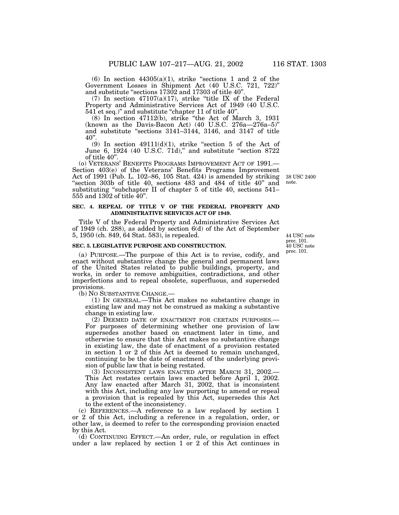$(6)$  In section  $44305(a)(1)$ , strike "sections 1 and 2 of the Government Losses in Shipment Act (40 U.S.C. 721, 722)' and substitute "sections 17302 and 17303 of title 40".

 $(7)$  In section 47107(a)(17), strike "title IX of the Federal Property and Administrative Services Act of 1949 (40 U.S.C. 541 et seq.)'' and substitute ''chapter 11 of title 40''.

(8) In section 47112(b), strike ''the Act of March 3, 1931 (known as the Davis-Bacon Act) (40 U.S.C. 276a—276a–5)'' and substitute ''sections 3141–3144, 3146, and 3147 of title  $40"$ .

(9) In section  $49111(d)(1)$ , strike "section 5 of the Act of June 6, 1924 (40 U.S.C. 71d)," and substitute "section 8722 of title 40''.

(o) VETERANS' BENEFITS PROGRAMS IMPROVEMENT ACT OF 1991.— Section 403(e) of the Veterans' Benefits Programs Improvement "section 303b of title 40, sections 483 and 484 of title  $40'$  and substituting "subchapter II of chapter 5 of title 40, sections 541–555 and 1302 of title 40".

#### **SEC. 4. REPEAL OF TITLE V OF THE FEDERAL PROPERTY AND ADMINISTRATIVE SERVICES ACT OF 1949.**

Title V of the Federal Property and Administrative Services Act of 1949 (ch. 288), as added by section 6(d) of the Act of September 5, 1950 (ch. 849, 64 Stat. 583), is repealed.

#### **SEC. 5. LEGISLATIVE PURPOSE AND CONSTRUCTION.**

(a) PURPOSE.—The purpose of this Act is to revise, codify, and enact without substantive change the general and permanent laws of the United States related to public buildings, property, and works, in order to remove ambiguities, contradictions, and other imperfections and to repeal obsolete, superfluous, and superseded provisions.

(b) NO SUBSTANTIVE CHANGE.—

(1) IN GENERAL.—This Act makes no substantive change in existing law and may not be construed as making a substantive change in existing law.

(2) DEEMED DATE OF ENACTMENT FOR CERTAIN PURPOSES.— For purposes of determining whether one provision of law supersedes another based on enactment later in time, and otherwise to ensure that this Act makes no substantive change in existing law, the date of enactment of a provision restated in section 1 or 2 of this Act is deemed to remain unchanged, continuing to be the date of enactment of the underlying provision of public law that is being restated.

(3) INCONSISTENT LAWS ENACTED AFTER MARCH 31, 2002.— This Act restates certain laws enacted before April 1, 2002. Any law enacted after March 31, 2002, that is inconsistent with this Act, including any law purporting to amend or repeal a provision that is repealed by this Act, supersedes this Act to the extent of the inconsistency.

(c) REFERENCES.—A reference to a law replaced by section 1 or 2 of this Act, including a reference in a regulation, order, or other law, is deemed to refer to the corresponding provision enacted by this Act.

(d) CONTINUING EFFECT.—An order, rule, or regulation in effect under a law replaced by section 1 or 2 of this Act continues in

40 USC note prec. 101. 44 USC note prec. 101.

38 USC 2400 note.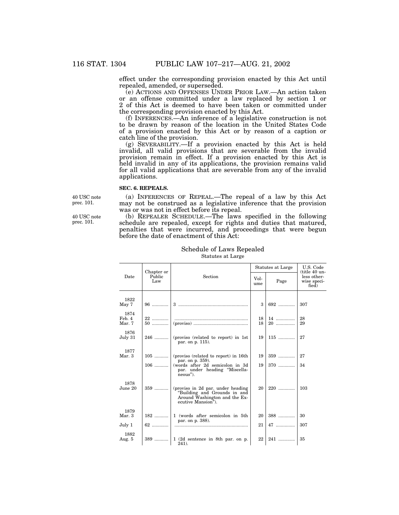effect under the corresponding provision enacted by this Act until repealed, amended, or superseded.

(e) ACTIONS AND OFFENSES UNDER PRIOR LAW.—An action taken or an offense committed under a law replaced by section 1 or 2 of this Act is deemed to have been taken or committed under the corresponding provision enacted by this Act.

(f) INFERENCES.—An inference of a legislative construction is not to be drawn by reason of the location in the United States Code of a provision enacted by this Act or by reason of a caption or catch line of the provision.

(g) SEVERABILITY.—If a provision enacted by this Act is held invalid, all valid provisions that are severable from the invalid provision remain in effect. If a provision enacted by this Act is held invalid in any of its applications, the provision remains valid for all valid applications that are severable from any of the invalid applications.

#### **SEC. 6. REPEALS.**

40 USC note prec. 101.

40 USC note prec. 101.

(a) INFERENCES OF REPEAL.—The repeal of a law by this Act may not be construed as a legislative inference that the provision was or was not in effect before its repeal.

(b) REPEALER SCHEDULE.—The laws specified in the following schedule are repealed, except for rights and duties that matured, penalties that were incurred, and proceedings that were begun before the date of enactment of this Act:

|                          | Chapter or    | Section                                                                                                                  | Statutes at Large |              | U.S. Code<br>(title 40 un-          |
|--------------------------|---------------|--------------------------------------------------------------------------------------------------------------------------|-------------------|--------------|-------------------------------------|
| Date                     | Public<br>Law |                                                                                                                          | Vol-<br>ume       | Page         | less other-<br>wise speci-<br>fied) |
| 1822<br>May 7            |               |                                                                                                                          | $\mathbf{R}$      | 692          | 307                                 |
| 1874<br>Feb. 4<br>Mar. 7 | $22$          |                                                                                                                          | 18<br>18          | $14$<br>$20$ | 28<br>29                            |
| 1876<br>July 31          |               | par. on p. 115).                                                                                                         | 19                | $115$        | 27                                  |
| 1877<br>Mar. 3           | $105$         | (proviso (related to report) in 16th<br>par. on p. 359).                                                                 | 19                | 359          | 27                                  |
|                          | $106$         | (words after 2d semicolon in 3d<br>par. under heading "Miscella-<br>neous").                                             | 19                | 370          | 34                                  |
| 1878<br>June 20          | 359           | (proviso in 2d par. under heading<br>"Building and Grounds in and<br>Around Washington and the Ex-<br>ecutive Mansion"). | 20                | $220$        | 103                                 |
| 1879<br>Mar. 3           | $182$         | 1 (words after semicolon in 5th                                                                                          | 20                | 388          | 30                                  |
| July 1                   | $62$          | par. on p. 388).                                                                                                         | 21                | 47           | 307                                 |
| 1882<br>Aug. 5           |               | $389$   1 (2d sentence in 8th par. on p.<br>241.                                                                         | 22                | 241          | 35                                  |

#### Schedule of Laws Repealed Statutes at Large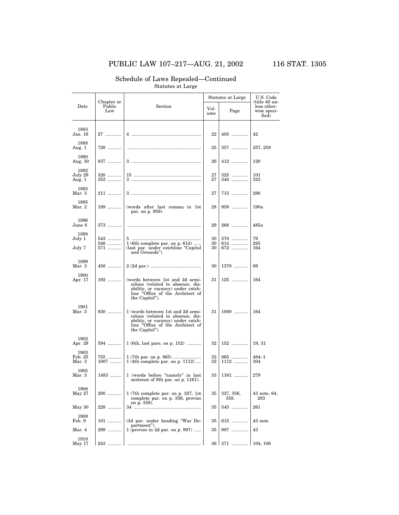# PUBLIC LAW 107–217—AUG. 21, 2002 116 STAT. 1305

|                           | Chapter or<br>Public<br>Law | Section                                                                                                                                                          | Statutes at Large |                   | U.S. Code                                           |
|---------------------------|-----------------------------|------------------------------------------------------------------------------------------------------------------------------------------------------------------|-------------------|-------------------|-----------------------------------------------------|
| Date                      |                             |                                                                                                                                                                  | Vol-<br>ume       | Page              | title 40 un-<br>less other-<br>wise speci-<br>fied) |
| 1883<br>Jan. 16           | 27                          |                                                                                                                                                                  | 22                | 405               | 42                                                  |
| 1888<br>Aug. 1            | 728                         |                                                                                                                                                                  | 25                | 357               | 257, 258                                            |
| 1890<br>Aug. 30           | 837                         |                                                                                                                                                                  | 26                | 412               | 120                                                 |
| 1892<br>July 29<br>Aug. 1 | 320<br>352                  |                                                                                                                                                                  | 27<br>27          | 325<br>340        | 101<br>323                                          |
| 1893<br>Mar. 3            | 211                         |                                                                                                                                                                  | 27                | 715               | 286                                                 |
| 1895<br>Mar. 2            | 189                         | (words after last comma in 1st)<br>par. on p. 959).                                                                                                              | 28                | 959               | 190a                                                |
| 1896<br>June 8            | 373                         |                                                                                                                                                                  | 29                | 268               | 485a                                                |
| 1898<br>July 1<br>July 7  | 543<br>546<br>571           | $1(6th \text{ complete par. on } p. 614) \dots$<br>(last par. under catchline "Capitol<br>and Grounds").                                                         | 30<br>30<br>30    | 570<br>614<br>672 | 79<br>285<br>164                                    |
| 1899<br>Mar. 3            | $458$                       |                                                                                                                                                                  | 30                | 1378              | 89                                                  |
| 1900<br>Apr. 17           | 192                         | (words between 1st and 2d semi-<br>colons (related to absence, dis-<br>ability, or vacancy) under catch-<br>line "Office of the Architect of<br>the Capitol").   | 31                | 125               | 164                                                 |
| 1901<br>Mar. 3            | 830                         | 1 (words between 1st and 2d semi-<br>colons (related to absence, dis-<br>ability, or vacancy) under catch-<br>line "Office of the Architect of<br>the Capitol"). | 31                | $1000$            | 164                                                 |
| 1902<br>Apr. 28           | 594                         | 1 (6th, last pars. on p. 152)                                                                                                                                    | 32                | 152               | 19, 31                                              |
| 1903<br>Feb. 25<br>Mar. 3 | 755<br>1007                 | $1(4th \text{ complete par. on p. } 1112) \dots$                                                                                                                 | 32<br>32          | 865<br>1112       | $484 - 1$<br>304                                    |
| 1905<br>Mar. 3            | 1483                        | 1 (words before "namely" in last<br>sentence of 9th par. on p. 1161).                                                                                            | 33                | 1161              | 279                                                 |
| 1908<br>May 27            | 200                         | $1$ (7th complete par. on p. 327, 1st<br>complete par. on p. 356, proviso                                                                                        | 35                | 327, 356,<br>358. | 43 note, 64,<br>283                                 |
| May 30                    | 228                         | on p. 358).                                                                                                                                                      | 35                | 545               | 261                                                 |
| 1909<br>Feb. 9            | $101$                       | (3d par. under heading "War De-                                                                                                                                  | 35                | 615               | 43 note                                             |
| Mar. 4                    | 299                         | partment").<br>1 (proviso in 2d par. on p. 997)                                                                                                                  | 35                | 997               | 43                                                  |
| 1910<br>May 17            | 243                         |                                                                                                                                                                  | 36 I              | 371               | 104, 106                                            |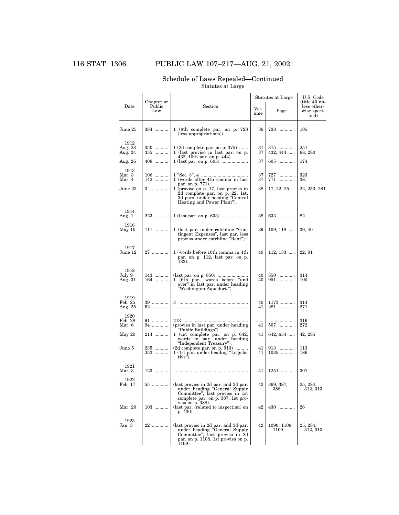# 116 STAT. 1306 PUBLIC LAW 107–217—AUG. 21, 2002

|                            |                             |                                                                                                                                                         | Statutes at Large |                      | U.S. Code<br>(title 40 un-          |
|----------------------------|-----------------------------|---------------------------------------------------------------------------------------------------------------------------------------------------------|-------------------|----------------------|-------------------------------------|
| Date                       | Chapter or<br>Public<br>Law | Section                                                                                                                                                 | Vol-<br>ume       | Page                 | less other-<br>wise speci-<br>fied) |
| June 25                    | 384                         | 1 (8th complete par. on p. 728)<br>(less appropriations)).                                                                                              | 36                | 728                  | 105                                 |
| 1912<br>Aug. 23<br>Aug. 24 | 350<br>355                  | $1(2d$ complete par. on p. 375)<br>1 (last proviso in last par. on p.<br>432, 10th par. on p. 444).                                                     | 37<br>37          | 375<br>432, 444      | 251<br>68, 280                      |
| Aug. 26                    | 408                         |                                                                                                                                                         | 37                | 605                  | 174                                 |
| 1913<br>Mar. 3<br>Mar. 4   | $106$<br>142                | 1 (words after 4th comma in last<br>par. on p. 771).                                                                                                    | 37<br>37          | 727<br>771           | 323<br>38.                          |
| June 23                    | 3                           | 1 (proviso on p. 17, last proviso in<br>2d complete par. on p. 22, 1st,<br>3d pars. under heading "Central"<br>Heating and Power Plant").               | 38                | $17, 22, 25$         | 22, 253, 281                        |
| 1914<br>Aug. 1             | 223                         |                                                                                                                                                         | 38                | 633                  | 82                                  |
| 1916<br>May 10             | 117                         | 1 (last par. under catchline "Con-<br>tingent Expenses", last par. less<br>proviso under catchline "Rent").                                             | 39                | $109, 118 \dots$     | 39, 40                              |
| 1917<br>June 12            | 27                          | 1 (words before 10th comma in 4th)<br>par. on p. 112, last par. on p.<br>133).                                                                          | 40                | $112, 133$           | 22, 91                              |
| 1918<br>July 9<br>Aug. 31  | 143<br>164                  | 1 (6th par., words before "and<br>over" in last par. under heading<br>"Washington Aqueduct.").                                                          | 40<br>40          | 850<br>951           | 314<br>100                          |
| 1919<br>Feb. 25<br>Aug. 25 | 39<br>52                    |                                                                                                                                                         | 40<br>41          | 1173<br>281          | 314<br>271                          |
| 1920<br>Feb. 28<br>Mar. 6  | 91<br>94                    | (proviso in last par. under heading)<br>"Public Buildings").                                                                                            | 41                | .<br>507             | 316<br>272                          |
| May 29                     | 214                         | 1 (1st complete par. on p. 642,<br>words in par. under heading                                                                                          | 41                | $642, 654$           | 42, 285                             |
| June 5                     | 235<br>253                  | "Independent Treasury").<br>$(2d$ complete par. on p. 913)<br>1 (1st par. under heading "Legisla-<br>tive").                                            | 41<br>41          | 913<br>1035          | 113<br>186                          |
| 1921<br>Mar. 3             | 123                         |                                                                                                                                                         | 41                | 1251                 | 307                                 |
| 1922<br>Feb. 17            | $55$                        | (last proviso in 2d par. and 3d par.<br>under heading "General Supply<br>Committee", last proviso in 1st<br>complete par. on p. 387, 1st pro-           | 42                | 369, 387,<br>388.    | 25, 284,<br>312, 313                |
| Mar. 20                    | $103$                       | viso on p. 388).<br>(last par. (related to inspection) on<br>p. $430$ ).                                                                                | 42                | 430                  | 26                                  |
| 1923<br>Jan. 3             | 22                          | (last proviso in 2d par. and 3d par.<br>under heading "General Supply<br>Committee", last proviso in 2d<br>par. on p. 1108, 1st proviso on p.<br>1109). | 42                | 1090, 1108,<br>1109. | 25, 284,<br>312, 313                |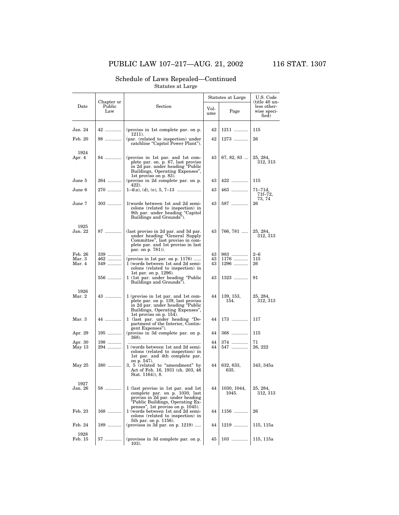# PUBLIC LAW 107–217—AUG. 21, 2002 116 STAT. 1307

#### Date Chapter or Public Law Section Statutes at Large U.S. Code<br>(title 40 unless otherwise speci-fied) Vol-Page Jan. 24 42 ............. (proviso in 1st complete par. on p. 1211). 42 1211 ........... 115 Feb. 20 98 ............... (par. (related to inspection) under<br>catchline "Capitol Power Plant"). 42 1273 ........... 26  $\begin{array}{c} \text{1924} \\ \text{Apr. 4} \end{array}$ Apr. 4 84 .............. (proviso in 1st par. and 1st com-<br>| plete par. on. p. 67, last proviso<br>| 2d par. under heading 'Public Buildings, Operating Expenses'', 1st proviso on p. 83).  $43 \big| 67, 82, 83 \dots$  $25, 284, 312, 313$ June  $5 \mid 264 \dots \dots \mid$  (proviso in 2d complete par. on p. 422). 43 422 ............. 115 June 6 270 ........... 1–4(a), (d), (e), 5, 7–13 ................... 43 463 ............. 71–71d, 71f–72, 73, 74 June 7 303 ........... 1(words between 1st and 2d semi-colons (related to inspection) in 9th par. under heading ''Capitol Buildings and Grounds''). 43 587 ............. 26  $$\rm 1925$   $\rm Jan.$   $22$ Jan. 22 87 ............. (last proviso in 2d par. and 3d par. under heading ''General Supply Committee'', last proviso in com-plete par. and 1st proviso in last par. on p. 781)).  $43 \mid 766, 781 \ldots$  $\begin{array}{c} 25, 284, \\ 312, 313 \end{array}$ Feb. 26 339 ........... .......................................................... 43 983 ............. 2–6 Mar. 3 462 ........... (proviso in 1st par. on p. 1176) ...... 43 1176 ........... 115 Mar. 4 549 ........... 1 (words between 1st and 2d semi-colons (related to inspection) in 1st par. on p. 1296). 1296 ......... 556 ............ 1 (1st par. under heading "Public<br>Buildings and Grounds"). 43 1323 ........... 91  $$\rm{1926}\,$  Mar.  $2$ Mar. 2 43 ............. 1 (proviso in 1st par. and 1st com-plete par. on p. 139, last proviso in 2d par. under heading ''Public Buildings, Operating Expenses'', 1st proviso on p. 154). Mar. 3 44 ............. 1 (last par. under heading ''De-partment of the Interior, Contin-gent Expenses''). 44 139, 153, 154. 25, 284, 312, 313 44 173 ............. 117 Apr. 29  $\vert$  195 ............ (proviso in 3d complete par. on p. 368). 44 368 ............. 115 Apr. 30 198 ........... .......................................................... 44 374 ............. 71 1 (words between 1st and 2d semicolons (related to inspection) in 1st par. and 4th complete par. on p. 547). 547 .............. May 25 380 ............ 3, 5 (related to "amendment" by<br>Act of Feb. 16, 1931 (ch. 203, 46<br>Stat. 1164)), 8. 44 632, 633, 635. 343, 345a 1927<br>Jan. 26 Jan. 26 58 ............. 1 (last proviso in 1st par. and 1st complete par. on p. 1030, last proviso in 2d par. under heading ''Public Buildings, Operating Ex-penses'', 1st proviso on p. 1045). 44 1030, 1044, 1045. 25, 284, 312, 313 Feb. 23 | 168 ........... | 1 (words between 1st and 2d semicolons (related to inspection) in 5th par. on p. 1156). 44 1156 ........... 26 Feb. 24 | 189 ........... (provisos in 3d par. on p. 1219) ..... | 44 | 1219 ........... | 115, 115a  $\begin{array}{c} 1928 \\ \text{Feb.} \ 15 \end{array}$ 57 ............... (provisos in 3d complete par. on p. 103). 45 103 ............. 115, 115a

# Schedule of Laws Repealed—Continued

Statutes at Large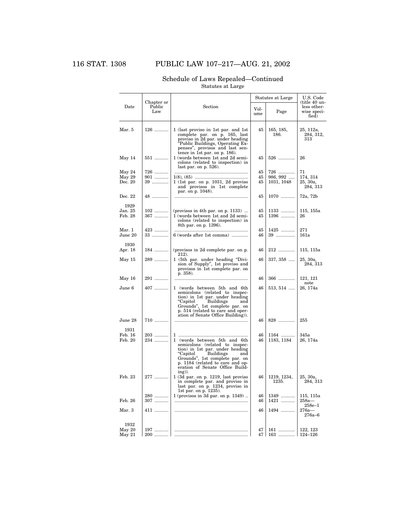# 116 STAT. 1308 PUBLIC LAW 107–217—AUG. 21, 2002

|                  | Chapter or    |                                                                                                                                                                                                                                                         | Statutes at Large |                      | U.S. Code<br>(title 40 un-          |
|------------------|---------------|---------------------------------------------------------------------------------------------------------------------------------------------------------------------------------------------------------------------------------------------------------|-------------------|----------------------|-------------------------------------|
| Date             | Public<br>Law | Section                                                                                                                                                                                                                                                 | Vol-<br>ume       | Page                 | less other-<br>wise speci-<br>fied) |
| Mar. 5           | $126$         | 1 (last proviso in 1st par. and 1st<br>complete par. on p. 165, last<br>proviso in 2d par. under heading<br>"Public Buildings, Operating Ex-<br>penses", provisos and last sen-                                                                         | 45                | 165, 185,<br>186.    | 25, 112a,<br>284, 312,<br>313       |
| May 14           | 551           | tence in 1st par. on $p. 186$ .<br>1 (words between 1st and 2d semi-<br>colons (related to inspection) in<br>last par. on $p. 526$ ).                                                                                                                   | 45                | 526                  | 26                                  |
| May 24           | 726           |                                                                                                                                                                                                                                                         | 45                | 726                  | 71                                  |
| May 29           | 901           |                                                                                                                                                                                                                                                         | 45                | 986, 992             | 174, 314                            |
| Dec. 20          | 39            | $1$ (1st par. on p. 1031, 2d proviso<br>and provisos in 1st complete<br>par. on p. 1048).                                                                                                                                                               | 45                | 1031, 1048           | 25, 30a,<br>284, 313                |
| Dec. 22          | 48            |                                                                                                                                                                                                                                                         | 45                | 1070                 | 72a, 72b                            |
| 1929<br>Jan. 25  | $102$         | (provisos in 4th par. on p. 1133)                                                                                                                                                                                                                       | 45                | 1133                 | 115, 155a                           |
| Feb. 28          | 367           | 1 (words between 1st and 2d semi-<br>colons (related to inspection) in<br>8th par. on p. 1396).                                                                                                                                                         | 45                | 1396                 | 26                                  |
| Mar. 1           | 423           |                                                                                                                                                                                                                                                         | 45                | 1425                 | 271                                 |
| June 20          | 33            | 6 (words after 1st comma)                                                                                                                                                                                                                               | 46                | 39                   | 161a                                |
| 1930<br>Apr. 18  | 184           | (provisos in 2d complete par. on p.<br>212).                                                                                                                                                                                                            | 46                | 212                  | 115, 115a                           |
| May 15           | 289           | 1 (5th par. under heading "Divi-<br>sion of Supply", 1st proviso and<br>provisos in 1st complete par. on<br>p. 358.                                                                                                                                     | 46                | 337, 358             | 25, 30a,<br>284, 313                |
| May 16           | 291           |                                                                                                                                                                                                                                                         | 46                | 366                  | 121, 121                            |
| June 6           | 407           | 1 (words between 5th and 6th<br>semicolons (related to inspec-<br>tion) in 1st par. under heading<br>"Capitol<br>Buildings<br>and<br>Grounds", 1st complete par. on<br>p. 514 (related to care and oper-<br>ation of Senate Office Building).           | 46                | $513, 514$           | note<br>26, 174a                    |
| June 28          | 710           |                                                                                                                                                                                                                                                         | 46                | 828                  | 255                                 |
| 1931<br>Feb. 16  | 203           |                                                                                                                                                                                                                                                         | 46                | 1164                 | 345a                                |
| Feb. 20          | 234           | 1 (words between 5th and 6th<br>semicolons (related to inspec-<br>tion) in 1st par. under heading<br>"Capitol<br>Buildings<br>and<br>Grounds", 1st complete par. on<br>p. 1184 (related to care and op-<br>eration of Senate Office Build-<br>$ing)$ ). | 46                | 1183, 1184           | 26, 174a                            |
| Feb. 23          | 277           | $1$ (3d par. on p. 1219, last proviso<br>in complete par. and proviso in<br>last par. on p. 1234, proviso in<br>1st par. on p. 1235).                                                                                                                   | 46                | 1219, 1234,<br>1235. | 25, 30a,<br>284, 313                |
| Feb. 26          | 280<br>307    | $1$ (provisos in 3d par. on p. 1349)                                                                                                                                                                                                                    | 46<br>46          | 1349<br>1421         | 115, 115a<br>$258a-$                |
| Mar. 3           | 411           |                                                                                                                                                                                                                                                         | 46                | 1494                 | $258e - 1$<br>$276a$ —<br>276a–6    |
| 1932             |               |                                                                                                                                                                                                                                                         |                   |                      |                                     |
| May 20<br>May 21 | 197<br>200    | .                                                                                                                                                                                                                                                       | 47<br>47          | 161<br>$163$         | 122, 123<br>124-126                 |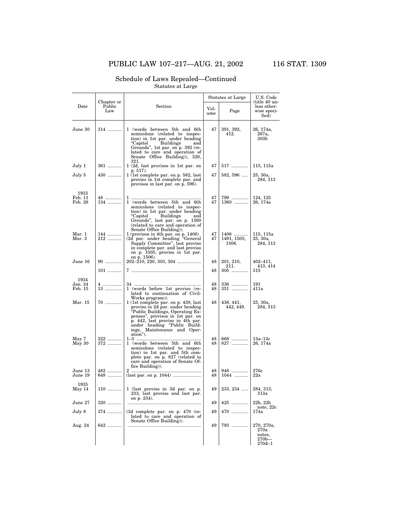# PUBLIC LAW 107–217—AUG. 21, 2002 116 STAT. 1309

#### Date Chapter or Public Law Section Statutes at Large U.S. Code<br>(title 40 unless otherwise speci-fied) Vol-Page June 30 314 ........... 1 (words between 5th and 6th semicolons (related to inspec-tion) in 1st par. under heading ''Capitol Buildings and Grounds'', 1st par. on p. 392 (re-lated to care and operation of Senate Office Building)), 320, 321. 47 391, 392, 412. 26, 174a, 267a, 303b July 1 361 ........... 1 (2d, last provisos in 1st par. on p. 517). July 5 430 ........... 1 (1st complete par. on p. 582, last 47 517 ............. 115, 115a proviso in 1st complete par. and provisos in last par. on p. 596).  $47 \mid 582, 596 \dots$ 284, 313  $\begin{array}{c} \text{1933} \\ \text{Feb. 11} \\ \text{Feb. 28} \end{array}$ Feb. 11 48 ............. 1 ....................................................... 47 799 ............. 124, 125 Feb. 28 134 ........... 1 (words between 5th and 6th semicolons (related to inspec-tion) in 1st par. under heading ''Capitol Buildings and Grounds'', last par. on p. 1360 (related to care and operation of Senate Office Building)). Mar. 1 144 ........... 1 (provisos in 4th par. on p. 1406) 47 1406 ........... 115, 115a Mar. 3 212 ........... (2d par. under heading ''General Supply Committee'', last proviso in complete par. and last proviso on p. 1505, proviso in 1st par. on p. 1506). June 16 90 ............. 202–210, 220, 303, 304 ................... 48 201, 210, 47 1360 ........... 26, 174a  $47 \mid 1491, 1505,$ 1506. 25, 30a, 284, 313  $211.$ <br>305 .... 402–411,  $\frac{413}{315}$ 101 ........... 7 ....................................................... 48 305 ............. 315  $\begin{array}{c} \text{1934} \\ \text{Jan. 24} \\ \text{Feb. 15} \end{array}$ Jan. 24 4 ............... 34 ..................................................... 48 336 ............. 191 Feb. 15 13 ............. 1 (words before 1st proviso (related to continuation of Civil-Works program)). Mar. 15 70 ............. 1 (1st complete par. on p. 438, last 353 ............<br>351 ............. Proviso in 2d par. under heading Ex-<br>
Public Buildings, Operating Ex-<br>
penses", proviso in 1st par. on<br>
p. 442, last proviso in 4th par.<br>
mder heading "Public Build-<br>
ings, Maintenance and Oper-<br>
1-3 ...................... 48 438, 441, 442, 449. 25, 30a, 284, 313 May 30 372 ........... 1 (words between 5th and 6th semicolons (related to inspec-tion) in 1st par. and 5th com-plete par. on p. 827 (related to care and operation of Senate Of-fice Building)).  $\begin{array}{c|c|c|c|c} \n 48 & 668 & \dots & 13a-13c \\ \n 48 & 827 & \dots & 26 & 174a \n \end{array}$ June 13 482 ........... 2 ....................................................... 48 948 ............. 276c June 19 648 ........... (last par. on p. 1044) ...................... 48 1044 ........... 22a  $$\rm{May}$ 14 May 14 110 ........... 1 (last proviso in 3d par. on p. 233, last proviso and last par. on p. 234). June 27 320 ........... .......................................................... 49 425 ............. 22b, 22b  $49 \mid 233, 234 \ldots$  $\begin{array}{c} 284, \, 313, \\ 313a \end{array}$  $\begin{array}{c}\n\text{note, } 22c \\
\text{note, } 22c\n\end{array}$ July 8 374 ........... (3d complete par. on p. 470 (related to care and operation of Senate Office Building)).  $49 \mid 470 \dots$ Aug. 24 642 ........... .......................................................... 49 793 ............. 270, 270a, 270a notes,<br>270<sub>b</sub>  $270d - 1$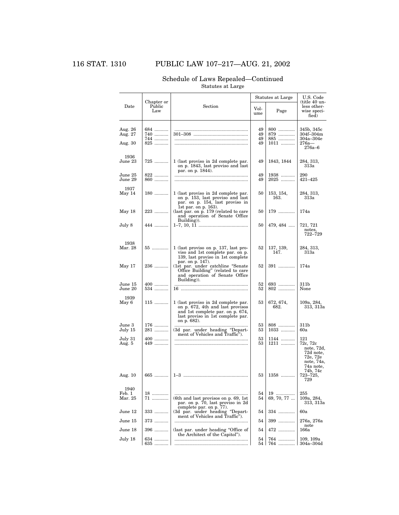# 116 STAT. 1310 PUBLIC LAW 107–217—AUG. 21, 2002

| Chapter or                    |                          |                                                                                                                                                                 | Statutes at Large    |                           | U.S. Code<br>title 40 un-                                                         |
|-------------------------------|--------------------------|-----------------------------------------------------------------------------------------------------------------------------------------------------------------|----------------------|---------------------------|-----------------------------------------------------------------------------------|
| Date                          | Public<br>Law            | Section                                                                                                                                                         | Vol-<br>ume          | Page                      | less other-<br>wise speci-<br>fied)                                               |
| Aug. 26<br>Aug. 27<br>Aug. 30 | 684<br>740<br>744<br>825 | 301–308 ……………………………………                                                                                                                                          | 49<br>49<br>49<br>49 | 800<br>879<br>885<br>1011 | 345b, 345c<br>304f–304m<br>304a–304e<br>$276a -$<br>$276a - 6$                    |
| 1936<br>June 23               | 725                      | 1 (last proviso in 2d complete par.<br>on p. 1843, last proviso and last<br>par. on p. 1844).                                                                   | 49                   | 1843, 1844                | 284, 313,<br>313a                                                                 |
| June 25<br>June 29            | 822<br>860               |                                                                                                                                                                 | 49<br>49             | 1938<br>2025              | 290<br>421-425                                                                    |
| 1937<br>May 14                | 180                      | 1 (last proviso in 2d complete par.<br>on p. 153, last proviso and last<br>par. on p. 154, last proviso in                                                      | 50                   | 153, 154,<br>163.         | 284, 313,<br>313a                                                                 |
| May 18                        | 223                      | 1st par. on p. 163).<br>(last par. on p. 179 (related to care<br>and operation of Senate Office                                                                 | 50                   | 179                       | 174a                                                                              |
| July 8                        | 444                      | Building).                                                                                                                                                      | 50                   | $479,484$                 | 721, 721<br>notes,<br>722–729                                                     |
| 1938<br>Mar. 28               | 55                       | 1 (last proviso on p. 137, last pro-<br>viso and 1st complete par. on p.<br>139, last proviso in 1st complete                                                   | 52                   | 137, 139,<br>147.         | 284, 313,<br>313a                                                                 |
| May 17                        | 236                      | par. on p. 147).<br>(1st par. under catchline "Senate"<br>Office Building" (related to care<br>and operation of Senate Office<br>Building).                     | 52                   | 391                       | 174a                                                                              |
| June 15<br>June 20            | 400<br>534               |                                                                                                                                                                 | 52<br>52             | 693<br>802                | 311b<br>None                                                                      |
| 1939<br>May 6                 | 115                      | 1 (last proviso in 2d complete par.<br>on p. 672, 4th and last provisos<br>and 1st complete par. on p. 674,<br>last proviso in 1st complete par.<br>on p. 682). | 53                   | 672, 674,<br>682.         | 109a, 284,<br>313, 313a                                                           |
| June 3<br>July 15             | 176<br>281               | (3d par. under heading "Depart-<br>ment of Vehicles and Traffic").                                                                                              | 53<br>53             | $808\,$<br>1033           | 311b<br>60a                                                                       |
| July 31<br>Aug. 5             | $400$<br>449             |                                                                                                                                                                 | 53<br>53             | 1144<br>1211              | 121<br>72c, 72c<br>note, 72d,<br>72d note,<br>72e, 72e<br>note, 74a,<br>74a note, |
| Aug. 10                       | 665                      |                                                                                                                                                                 | 53                   | 1358                      | 74b, 74c<br>723–725,<br>729                                                       |
| 1940<br>Feb. 1<br>Mar. 25     | 18<br>71                 | $(6th$ and last provisos on p. 69, 1st<br>par. on p. 70, last proviso in 2d<br>complete par. on p. 77).                                                         | 54<br>54             | 19<br>69, 70, 77          | 255<br>109a, 284,<br>313, 313a                                                    |
| June 12                       | 333                      | (3d par. under heading "Depart-                                                                                                                                 | 54                   | 334                       | 60a                                                                               |
| June 15                       | 373                      | ment of Vehicles and Traffic").                                                                                                                                 | 54                   | 399                       | 276a, 276a                                                                        |
| June 18                       | 396                      | (last par. under heading "Office of<br>the Architect of the Capitol").                                                                                          | 54                   | 472                       | note<br>166a                                                                      |
| July 18                       | 634<br>635               |                                                                                                                                                                 | 54<br>54 I           | 764<br>764                | 109, 109a<br>304a–304d                                                            |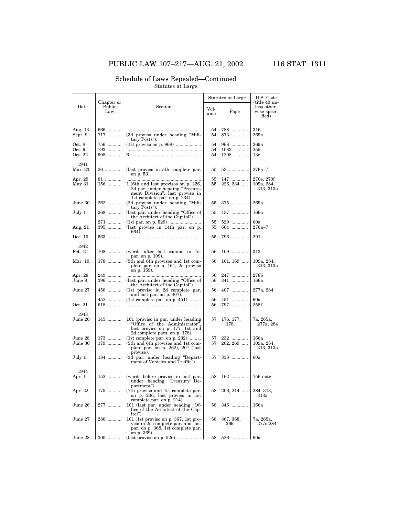# PUBLIC LAW 107–217—AUG. 21, 2002 116 STAT. 1311

#### Date Chapter or Public Law Section Statutes at Large | U.S. Code (title 40 unless otherwise speci-fied) Vol-Page Aug. 13 666 ........... .......................................................... 54 788 ............. 316 Sept. 9 717 ........... (3d proviso under heading ''Mili-tary Posts''). 54 873 ............. 269a Oct. 8 756 ........... (1st proviso on p. 968) .................... 54 968 ............. 269a Oct. 9 793 ........... .......................................................... 54 1083 ........... 255 1208 ...........  $\frac{1941}{\text{Mar. 23}}$ Mar. 23 26 ............. (last proviso in 5th complete par. on p. 53). 55 53 ............... 276a–7 Apr. 29 81 ............. .......................................................... 55 147 ............. 270e, 270f May 31 156 ........... 1 (6th and last provisos on p. 226, 2d par. under heading ''Procure-ment Division'', last proviso in 1st complete par. on p. 234). June 30 262 ........... (2d proviso under heading ''Mili-55 226, 234 ..... 109a, 284, 313, 313a tary Posts''). 55 375 ............. 269a July 1 268 ........... (last par. under heading ''Office of the Architect of the Capitol''). 55 457 ............. 166a 271 ........... (1st par. on p. 529) ......................... 55 529 ............. 60a Aug. 21 395 ........... (last proviso in 14th par. on p. 664).  $55 \mid 664 \dots$ Dec. 10 563 ........... .......................................................... 55 796 ............. 291  $\begin{array}{c} 1942 \\ \text{Feb. 21} \end{array}$ 108 ........... (words after last comma in 1st  $par.$  on p.  $109$ ). 56 109 ............. 313 Mar.  $10 \mid 178 \dots \mid (5th \text{ and } 6th \text{ provisos and } 1st \text{ com-}$ plete par. on p. 161, 2d proviso on p. 169). 56 161, 169 ..... 109a, 284, 313, 313a Apr. 28 249 ........... .......................................................... 56 247 ............. 278b June 8 396 ........... (last par. under heading ''Office of the Architect of the Capitol''). 56 341 ............. 166a June 27  $\begin{vmatrix} 450 \dots \end{vmatrix}$  (1st proviso in 2d complete par. 56 407 ............. 277a, 284 452 ........... (1st complete par. on p. 451) ......... 56 451 ............. 60a Oct. 21 618 ........... .......................................................... 56 797 ............. 258f  $$\rm \,1943$   $$\rm \,June$   $26$ 145 ............ 101 (proviso in par. under heading "Office of the Administrator", last proviso on p. 177, 1st and 2d complete pars. on p. 178). 57 176, 177, 178. 7a, 265a, 277a, 284 June 28 173 ........... (1st complete par. on p. 232) .......... 57 232 .............. 166a<br>June 30 179 ........... (5th and 6th provisos and 1st com- 57 262, 269 ..... 109a, June 30 179 ........... (5th and 6th provisos and 1st com-plete par. on p. 262), 201 (last proviso). 262, 269 ..... 109a, 284,<br>313, 313a July 1 184 ........... (3d par. under heading ''Depart-ment of Vehicles and Traffic''). 57 338 ............. 60a  $1944$ <br>Apr. 1 152 ............ (words before proviso in last par. under heading ''Treasury Department''). 58 162 ............. 756 note Apr. 22 175 ............ (7th proviso and 1st complete par.<br>
on p. 206, last proviso in 1st<br>
complete par. on p. 214).  $58 \mid 206, 214 \dots$  $284, 313,$ <br> $313a$ June 26 277 ........... 101 (last par. under heading ''Of-fice of the Architect of the Cap-itol''). 58 346 ............. 166a June 27 286 ........... 101 (1st proviso on p. 367, 1st pro-viso in 2d complete par. and last par. on p. 368, 1st complete par. on p. 369). 58 367, 368, 369. 7a, 265a, 277a,284 June 28 \ 300 ........... (last proviso on p. 526) ....................... 58 | 526 .............. 60a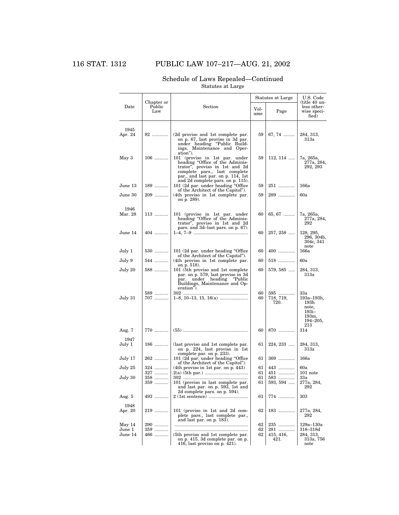# 116 STAT. 1312 PUBLIC LAW 107–217—AUG. 21, 2002

|                  |                             |                                                                                                                                                                                        | Statutes at Large |                          | U.S. Code                                                                    |
|------------------|-----------------------------|----------------------------------------------------------------------------------------------------------------------------------------------------------------------------------------|-------------------|--------------------------|------------------------------------------------------------------------------|
| Date             | Chapter or<br>Public<br>Law | Section                                                                                                                                                                                | Vol-<br>ume       | Page                     | (title 40 un-<br>less other-<br>wise speci-<br>fied)                         |
| 1945<br>Apr. 24  | 92                          | (2d proviso and 1st complete par.)<br>on p. 67, last proviso in 3d par.<br>under heading "Public Build-<br>ings, Maintenance and Oper-                                                 | 59                | $67, 74$                 | 284, 313,<br>313a                                                            |
| May 3            | 106                         | ation").<br>101 (proviso in 1st par. under<br>heading "Office of the Adminis-<br>trator", proviso in 1st and 2d<br>complete pars., last complete<br>par., and last par. on p. 114, 1st | 59                | 112, 114                 | 7a, 265a,<br>277a, 284,<br>292, 293                                          |
| June 13          | 189                         | and 2d complete pars. on p. 115).<br>101 (2d par. under heading "Office"                                                                                                               | 59                | 251                      | 166a                                                                         |
| June 30          | 209                         | of the Architect of the Capitol").<br>(4th proviso in 1st complete par.)<br>on p. 289).                                                                                                | 59                | 289                      | 60a                                                                          |
| 1946<br>Mar. 28  | 113                         | 101 (proviso in 1st par. under<br>heading "Office of the Adminis-<br>trator", proviso in 1st and 2d                                                                                    | 60                | 65, 67                   | 7a, 265a,<br>277a, 284,<br>292                                               |
| June 14          | 404                         | pars. and 3d-last pars. on p. 67).                                                                                                                                                     | 60                | 257, 258                 | 128, 295,<br>296, 304b,<br>304c, 341                                         |
| July 1           | 530                         | 101 (2d par. under heading "Office"                                                                                                                                                    | 60                | 400                      | note<br>166a                                                                 |
| July 9           | 544                         | of the Architect of the Capitol").<br>(4th proviso in 1st complete par.)                                                                                                               | 60                | 518                      | 60a                                                                          |
| July 20          | 588                         | on $p. 518$ ).<br>101 (5th proviso and 1st complete)<br>par. on p. 579, last proviso in 3d<br>heading<br>"Public<br>par.<br>under<br>Buildings, Maintenance and Op-<br>eration").      | 60                | $579,585$                | 284, 313,<br>313a                                                            |
| July 31          | 589<br>707                  |                                                                                                                                                                                        | 60<br>60          | 595<br>718, 719,<br>720. | 33a<br>193a–193h,<br>193h<br>note,<br>193i–<br>193m,<br>$194 - 205$ ,<br>213 |
| Aug. 7           | 770                         |                                                                                                                                                                                        | 60                | 870                      | 314                                                                          |
| 1947<br>July 1   | 186                         | (last proviso and 1st complete par.)<br>on p. 224, last proviso in 1st<br>complete par. on p. 233).                                                                                    | 61                | 224, 233                 | 284, 313,<br>313a                                                            |
| July 17          | 262                         | 101 (2d par. under heading "Office<br>of the Architect of the Capitol").                                                                                                               | 61                | 369                      | 166a                                                                         |
| July 25          | 324<br>327                  | $(4th$ proviso in 1st par. on p. 443)                                                                                                                                                  | 61<br>61          | 443<br>451               | 60a<br>$101$ note                                                            |
| July 30          | 358<br>359                  | 101 (proviso in last complete par.<br>and last par. on p. 593, 1st and                                                                                                                 | 61<br>61          | 583<br>$593, 594$        | 33a<br>277a, 284,<br>292                                                     |
| Aug. 5           | 493                         | 2d complete pars. on p. 594).                                                                                                                                                          | 61                | 774                      | 303                                                                          |
| 1948<br>Apr. 20  | 219                         | 101 (proviso in 1st and 2d com-<br>plete pars., last complete par.,<br>and last par. on p. 183).                                                                                       | 62                | 183                      | 277a, 284,<br>292                                                            |
| May 14<br>June 1 | 290<br>359                  |                                                                                                                                                                                        | 62<br>62          | 235<br>281               | 129a-130a<br>318–318d                                                        |
| June 14          | 466                         | (5th proviso and 1st complete par.<br>on p. 415, 3d complete par. on p.<br>416, last proviso on p. 421).                                                                               | 62                | 415, 416,<br>421.        | 284, 313,<br>313a, 756<br>note                                               |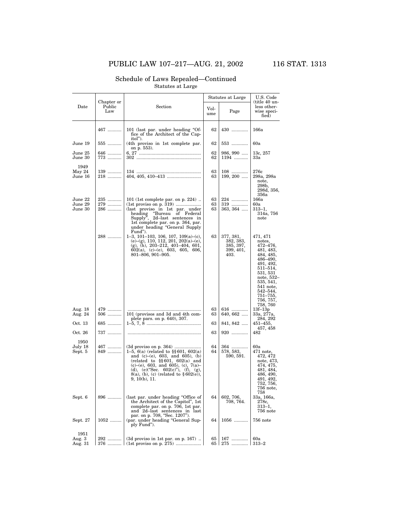# Schedule of Laws Repealed—Continued

Statutes at Large

|                               |                             |                                                                                                                                                                                                                                                                                          |                | Statutes at Large                                        | U.S. Code                                                                                                                                                                                            |
|-------------------------------|-----------------------------|------------------------------------------------------------------------------------------------------------------------------------------------------------------------------------------------------------------------------------------------------------------------------------------|----------------|----------------------------------------------------------|------------------------------------------------------------------------------------------------------------------------------------------------------------------------------------------------------|
| Date                          | Chapter or<br>Public<br>Law | Section                                                                                                                                                                                                                                                                                  | Vol-<br>ume    | Page                                                     | (title 40 un-<br>less other-<br>wise speci-<br>fied)                                                                                                                                                 |
|                               | 467                         | 101 (last par. under heading "Of-<br>fice of the Architect of the Cap-<br>itol").                                                                                                                                                                                                        | 62             | 430                                                      | 166a                                                                                                                                                                                                 |
| June 19                       | 555                         | (4th proviso in 1st complete par.<br>on p. $553$ ).                                                                                                                                                                                                                                      | 62             | 553                                                      | 60a                                                                                                                                                                                                  |
| June 25<br>June 30            | 646<br>773                  |                                                                                                                                                                                                                                                                                          | 62<br>62       | 986, 990<br>1194                                         | 13c, 257<br>33a                                                                                                                                                                                      |
| 1949<br>May 24<br>June 16     | 139<br>218                  |                                                                                                                                                                                                                                                                                          | 63<br>63       | 108<br>$199, 200$                                        | 276c<br>298a, 298a<br>note,<br>298b,<br>298d, 356,                                                                                                                                                   |
| June 22<br>June 29<br>June 30 | 235<br>279<br>286           | 101 (1st complete par. on $p. 224$ )<br>(last proviso in 1st par. under<br>"Bureau of Federal<br>heading<br>2d-last sentences in<br>Supply",<br>1st complete par. on p. 364, par.<br>under heading "General Supply<br>Fund").                                                            | 63<br>63<br>63 | 224<br>319<br>$363, 364$                                 | 356a<br>166a<br>60a<br>$313 - 1,$<br>314a, 756<br>note                                                                                                                                               |
|                               | 288                         | 1-3, 101-103, 106, 107, 109(a)-(c),<br>$(e)$ –(g), 110, 112, 201, 202(a)–(e),<br>$(g)$ , (h), 203-212, 401-404, 601,<br>$602(a)$ , (c)-(e), 603, 605, 606,<br>801–806, 901–905.                                                                                                          | 63             | 377, 381,<br>382, 383,<br>385, 397,<br>399, 401,<br>403. | 471, 471<br>notes,<br>472–476,<br>481, 483,<br>484, 485,<br>486–490,<br>491, 492,<br>511–514.<br>531, 531<br>note, 532-<br>535, 541,<br>$541$ note,<br>542–544,<br>751–755,<br>756, 757,<br>758, 760 |
| Aug. 18<br>Aug. 24            | 479<br>506                  | 101 (provisos and 3d and 4th com-                                                                                                                                                                                                                                                        | 63<br>63       | 616<br>640, 662                                          | $13f-13p$<br>33a, 277a,                                                                                                                                                                              |
| Oct. 13                       | 685                         | plete pars. on p. 640), 307.                                                                                                                                                                                                                                                             | 63             | 841, 842                                                 | 284, 292<br>$451 - 455,$                                                                                                                                                                             |
| Oct. 26                       | 737                         |                                                                                                                                                                                                                                                                                          | 63             | 920                                                      | 457, 458<br>482                                                                                                                                                                                      |
| 1950<br>July 18<br>Sept. 5    | 467<br>849                  | (3d proviso on p. 364)<br>1-5, 6(a) (related to $\S\S 601$ , 602(a)<br>and $(c)$ - $(e)$ , 603, and 605), $(b)$<br>(related to §§601, 602(a) and<br>(c)–(e), 603, and 605), (c), 7(a)–<br>(d), (e)("Sec. $602(c)$ "), (f), (g),<br>8(a), (b), (c) (related to §602(e)),<br>9, 10(b), 11. | 64<br>64       | 364<br>578, 583,<br>590, 591.                            | 60a<br>$471$ note,<br>472, 472<br>note, 473,<br>474, 475,<br>481, 484,<br>486, 490,<br>491, 492,<br>752, 756,<br>756 note,                                                                           |
| Sept. 6                       | 896                         | (last par. under heading "Office of<br>the Architect of the Capitol", 1st<br>complete par. on p. 706, 1st par.<br>and 2d-last sentences in last<br>par. on p. 708, "Sec. 1207").                                                                                                         | 64             | 602, 706,<br>708, 764.                                   | 758<br>33a, 166a,<br>278c,<br>313–1,<br>756 note                                                                                                                                                     |
| Sept. 27                      | $1052$                      | (par. under heading "General Sup-<br>ply Fund").                                                                                                                                                                                                                                         | 64             | 1056                                                     | 756 note                                                                                                                                                                                             |
| 1951<br>Aug. 3<br>Aug. 31     | 292<br>376                  | $(3d$ proviso in 1st par. on p. 167).                                                                                                                                                                                                                                                    | 65<br>65       | 167<br>275                                               | 60a<br>$313 - 2$                                                                                                                                                                                     |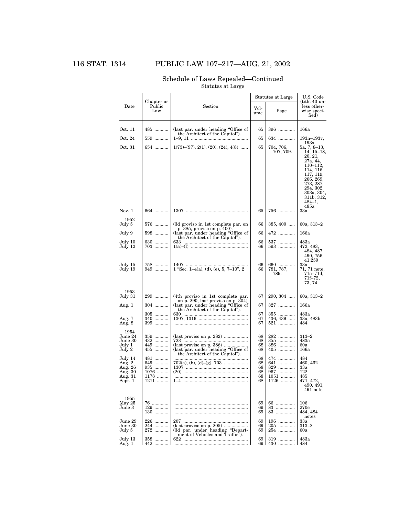# 116 STAT. 1314 PUBLIC LAW 107–217—AUG. 21, 2002

|                                                |                             |                                                                                                               | Statutes at Large    |                          | U.S. Code                                                                                                                                                              |
|------------------------------------------------|-----------------------------|---------------------------------------------------------------------------------------------------------------|----------------------|--------------------------|------------------------------------------------------------------------------------------------------------------------------------------------------------------------|
| Date                                           | Chapter or<br>Public<br>Law | Section                                                                                                       | Vol-<br>ume          | Page                     | (title 40 un-<br>less other-<br>wise speci-<br>fied)                                                                                                                   |
| Oct. 11                                        | 485                         | (last par. under heading "Office of                                                                           | 65                   | 396                      | 166a                                                                                                                                                                   |
| Oct. 24                                        | 559                         | the Architect of the Capitol").                                                                               | 65                   | 634                      | $193n - 193v,$                                                                                                                                                         |
| Oct. 31                                        | 654                         | $1(73)$ – $(97)$ , $2(1)$ , $(20)$ , $(24)$ , $4(8)$                                                          | 65                   | 704, 706,                | 193x<br>5a, 7, 8–13,                                                                                                                                                   |
|                                                |                             |                                                                                                               |                      | 707, 709.                | $14, 15-18,$<br>20, 21,<br>27a, 44,<br>$110 - 112,$<br>114, 116,<br>117, 119,<br>266, 269,<br>273, 287,<br>294, 302,<br>303a, 304,<br>311b, 312,<br>$484 - 1,$<br>485a |
| Nov. 1                                         | 664                         |                                                                                                               | 65                   | 756                      | 33a                                                                                                                                                                    |
| 1952<br>July 5                                 | 576                         | (3d proviso in 1st complete par. on                                                                           | 66                   | $385, 400$               | 60a, 313–2                                                                                                                                                             |
| July 9                                         | 598                         | p. 385, proviso on p. 400).<br>(last par. under heading "Office of<br>the Architect of the Capitol").         | 66                   | 472                      | 166a                                                                                                                                                                   |
| July 10<br>July 12                             | 630<br>703                  |                                                                                                               | 66<br>66             | 537<br>593               | 483a<br>472, 483,                                                                                                                                                      |
| July 15<br>July 19                             | 758<br>949                  | $1$ "Sec. $1-4(a)$ , (d), (e), 5, $7-10$ ", 2                                                                 | 66<br>66             | 660<br>781, 787,<br>789. | 484, 487,<br>490, 756,<br>41:259<br>33a<br>71, 71 note,<br>71a–71d,<br>71f-72,<br>73, 74                                                                               |
| 1953<br>July 31                                | 299                         | (4th proviso in 1st complete par.)                                                                            | 67                   | 290, 304                 | $60a, 313-2$                                                                                                                                                           |
| Aug. 1                                         | 304                         | on p. 290, last proviso on p. 304).<br>(last par. under heading "Office of<br>the Architect of the Capitol"). | 67                   | 327                      | 166a                                                                                                                                                                   |
| Aug. 7                                         | 305<br>340                  |                                                                                                               | 67<br>67             | 355<br>$436, 439$        | 483a<br>33a, 483b                                                                                                                                                      |
| Aug. 8                                         | 399                         |                                                                                                               | 67                   | 521                      | 484                                                                                                                                                                    |
| 1954<br>June 24<br>June 30<br>July 1<br>July 2 | 359<br>432<br>449<br>455    | (last proviso on p. 282)<br>(last par. under heading "Office of<br>the Architect of the Capitol").            | 68<br>68<br>68<br>68 | 282<br>355<br>386<br>405 | $313 - 2$<br>483a<br>60a<br>166a                                                                                                                                       |
| July 14<br>Aug. 2<br>Aug. 26                   | 481<br>649<br>935           |                                                                                                               | 68<br>68<br>68       | 474<br>641<br>829        | 484<br>460, 462<br>33a                                                                                                                                                 |
| Aug. 30<br>Aug. 31                             | 1076<br>1178                |                                                                                                               | 68<br>68             | 967<br>1051              | 122<br>485                                                                                                                                                             |
| Sept. 1                                        | 1211                        |                                                                                                               | 68                   | 1126                     | 471, 472,<br>490, 491,<br>491 note                                                                                                                                     |
| 1955<br>May 25<br>June 3                       | 76<br>129<br>130            |                                                                                                               | 69<br>69<br>69       | 66<br>83<br>83           | 106<br>270e<br>484, 484<br>notes                                                                                                                                       |
| June 29<br>June 30<br>July 5                   | 226<br>244<br>272           | (last proviso on p. 205)<br>(3d par. under heading "Depart-<br>ment of Vehicles and Traffic").                | 69<br>69<br>69       | 196<br>205<br>254        | 33a<br>$313 - 2$<br>60a                                                                                                                                                |
| July 13<br>Aug. 1                              | 358<br>442                  |                                                                                                               | 69<br>69 I           | 319<br>430               | 483a<br>484                                                                                                                                                            |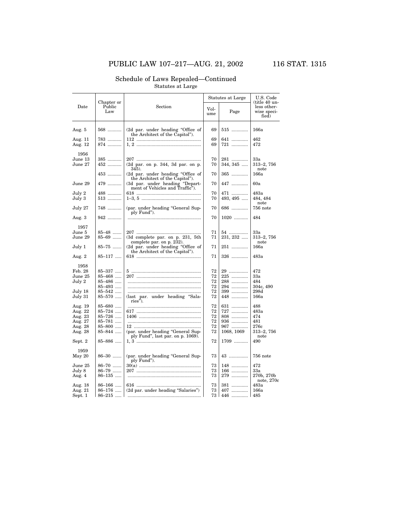### Schedule of Laws Repealed—Continued Statutes at Large

Date Chapter or Public Law Section Statutes at Large | U.S. Code (title 40 unless otherwise speci-fied) Vol-Page Aug. 5  $\begin{bmatrix} 568 \dots \\ -568 \end{bmatrix}$  (2d par. under heading "Office of 69 | 515 ............. | 166a Aug. 11 783 ........... 112 ................................................... 69 641 ............. 462 721 .............. 1956<br>June 13 June 13 | 385 ………… | 207 ……………………………………………… | 70 | 281 …………. | 33a June 27 | 452 ........... | (2d par. on p. 344, 3d par. on p. 345). 70 344, 345 ..... 313–2, 756 note<br>166a 453 ........... (2d par. under heading ''Office of the Architect of the Capitol''). 70 365 ............. June 29 479 ........... (3d par. under heading ''Depart-ment of Vehicles and Traffic''). 70 447 ............. 60a July 2 488 ........... 618 ................................................... 70 471 ............. 483a July 3 513 ........... 1–3, 5 ............................................... 70 493, 495 ..... 484, 484 note<br>756 note July 27 | 748 ........... | (par. under heading "General Supply Fund'').  $70 | 686 ...$ Aug. 3 942 ........... .......................................................... 70 1020 ........... 484  $\frac{1957}{\text{June 5}}$ June 5 85–48 ....... 207 ................................................... 71 54 ............... 33a June 29 85–69 ....... (3d complete par. on p. 231, 5th complete par. on p. 232). 71 231, 232 ..... 313–2, 756  $\begin{array}{c} \text{note} \\ \text{166a} \end{array}$ July 1  $\begin{bmatrix} 85-75 \dots \end{bmatrix}$  (2d par. under heading "Office of the Capitol").  $71 \mid 251 \dots$ Aug. 2 85–117 ..... 618 ................................................... 71 326 ............. 483a 1958<br>Feb. 28 Feb. 28 85–337 ..... 5 ....................................................... 72 29 ............... 472 June 25 85–468 ..... 207 ................................................... 72 225 ............. 33a July 2 85–486 ..... .......................................................... 72 288 ............. 484 85–493 ..... .......................................................... 72 294 ............. 304c, 490 July 18 85–542 ..... .......................................................... 72 399 ............. 298d July 31  $\Big| 85-570$  ..... (last par. under heading "Salaries''). 72 448 ............. 166a  $\text{Aug. 19} \quad \begin{array}{c} 85-680 \quad \dots \quad \dots \quad \dots \quad \dots \quad \dots \quad \dots \quad \dots \quad \text{72} \quad 631 \quad \dots \quad \dots \quad \text{488} \\ \text{Aug. 22} \quad \begin{array}{c} 85-724 \quad \dots \quad \quad \text{617} \end{array} \dots \quad \text{617} \quad \dots \quad \dots \quad \dots \quad \dots \quad \dots \quad \dots \quad \text{72} \quad 727 \quad \dots \quad \dots \quad \text{483a} \end{array}$ Aug. 22 85–724 ..... 617 ................................................... 72 727 ............. 483a Aug. 23 85–726 ..... 1406 ................................................. 72 808 ............. 474 Aug. 27 85–781 ..... .......................................................... 72 936 ............. 481 Aug. 28 85–800 ..... 12 ..................................................... 72 967 ............. 276c Aug. 28 85–844 ..... (par. under heading ''General Supply Fund'', last par. on p. 1069). 72 1068, 1069 313–2, 756 note<br>490 Sept. 2  $\begin{array}{|l|} 85–886 \dots | 1, 3 \dots | 1, 3 \dots | 1, 3 \dots | 1, 3 \dots | 72 \end{array}$  1709 .......  $$\,1959$$  May  $20$ 86–30 ....... (par. under heading "General Supply Fund''). 73 43 ............... 756 note June 25 86–70 ....... 30(a) ................................................. 73 148 ............. 472 July 8 86–79 ....... 207 ................................................... 73 166 ............. 33a Aug. 4 86–135 ..... .......................................................... 73 279 ............. 270b, 270b note, 270c Aug. 18 86–166 ..... 616 ................................................... 73 381 ............. 483a Aug. 21 86–176 ..... (2d par. under heading ''Salaries'') 73 407 ............. 166a Sept. 1 86–215 ..... .......................................................... 73 446 ............. 485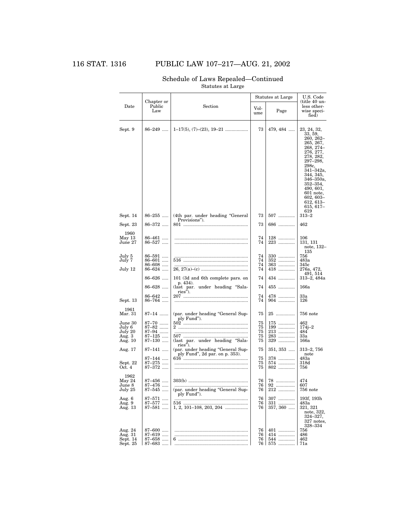# 116 STAT. 1316 PUBLIC LAW 107–217—AUG. 21, 2002

| Chapter or                                                 |                                                       |                                                                                | Statutes at Large          |                                 | U.S. Code<br>(title 40 un-                                                                                                             |
|------------------------------------------------------------|-------------------------------------------------------|--------------------------------------------------------------------------------|----------------------------|---------------------------------|----------------------------------------------------------------------------------------------------------------------------------------|
| Date                                                       | Public<br>Law                                         | Section                                                                        | Vol-<br>ume                | Page                            | less other-<br>wise speci-<br>fied)                                                                                                    |
| Sept. 9                                                    | 86–249                                                |                                                                                | 73                         | 479, 484                        | 23, 24, 32,<br>33, 59,<br>260, 262-<br>265, 267,<br>268, 274–<br>276, 277,<br>278, 282,<br>297-298,<br>298c,<br>341–342a,<br>344, 345, |
| Sept. 14                                                   | $86 - 255$                                            | (4th par. under heading "General                                               | 73                         | 507                             | 346–350a,<br>352–354,<br>490, 601,<br>601 note,<br>$602, 603 -$<br>$612, 613-$<br>$615, 617-$<br>619<br>$313 - 2$                      |
| Sept. 23                                                   | 86–372                                                | Provisions").                                                                  | 73                         | 686                             | 462                                                                                                                                    |
| 1960<br>May 13<br>June 27                                  | 86–461 ….<br>$86 - 527$                               |                                                                                | 74<br>74                   | 128<br>223                      | 106<br>131, 131<br>note, 132–<br>135                                                                                                   |
| July 5<br>July 7<br>July 12                                | 86–591  ….<br>86–601  ….<br>86–608<br>$86 - 624$      |                                                                                | 74<br>74<br>74<br>74       | 330<br>352<br>363<br>418        | 756<br>483a<br>345c<br>276a, 472,                                                                                                      |
|                                                            | 86–626 ….                                             | 101 (3d and 6th complete pars. on                                              | 74                         | 434                             | 491, 514<br>313–2, 484a                                                                                                                |
|                                                            | $86 - 628$                                            | p. 434).<br>(last par. under heading "Sala-                                    | 74                         | 455                             | 166a                                                                                                                                   |
| Sept. 13                                                   | 86–642 ….<br>$86 - 764$                               | ries").                                                                        | 74<br>74                   | 478<br>904                      | 33a<br>126                                                                                                                             |
| 1961<br>Mar. 31                                            | 87–14 …….                                             | (par. under heading "General Sup-<br>ply Fund").                               | 75                         | 25                              | 756 note                                                                                                                               |
| $_{\rm June~30}$<br>July 6<br>July 20<br>Aug. 3<br>Aug. 10 | 87–70 …….<br>$87 - 82$<br>87-94<br>87–125 …<br>87–130 | (last par. under heading "Sala-                                                | 75<br>75<br>75<br>75<br>75 | 175<br>199<br>213<br>283<br>329 | 462<br>$174j - 2$<br>484<br>33a<br>166a                                                                                                |
| Aug. 17                                                    | $87 - 141$                                            | ries").<br>(par. under heading "General Sup-<br>ply Fund", 2d par. on p. 353). | 75                         | $351, 353$                      | $313 - 2,756$<br>note                                                                                                                  |
| Sept. 22<br>Oct. 4                                         | 87–144  ….<br>$87 - 275$<br>$87 - 372$                |                                                                                | 75<br>75<br>75             | 378<br>574<br>802               | 483a<br>318d<br>756                                                                                                                    |
| 1962<br>May 24<br>June 8<br>July 25                        | $87 - 456$<br>87–476 ….<br>$87 - 545$                 | (par. under heading "General Sup-                                              | 76<br>76<br>76             | 78<br>92<br>212                 | 474<br>607<br>756 note                                                                                                                 |
| Aug. 6<br>Aug. 9<br>Aug. 13                                | $87 - 571$<br>$87 - 577$<br>$87 - 581$                | ply Fund").                                                                    | 76<br>76<br>76             | 307<br>331<br>357, 360          | 193f, 193h<br>483a<br>321, 321<br>note, 322,<br>$324 - 327,$<br>327 notes,                                                             |
| Aug. 24<br>Aug. 31<br>Sept. 14<br>Sept. 25                 | 87–600<br>87–619 …<br>$87 - 658$<br>$87 - 683$        |                                                                                | 76<br>76<br>76<br>76       | 401<br>414<br>544<br>575        | 328-334<br>756<br>486<br>462<br>71a                                                                                                    |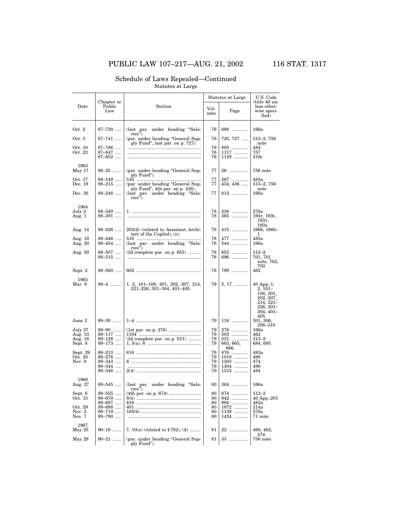#### Date Chapter or Public Law Section Statutes at Large U.S. Code<br>(title 40 unless otherwise speci-fied) Vol-Page Oct. 2 | 87–730 ..... | (last par. under heading "Sala-<br>ries"). 76 | 688 ............. | 166a Oct. 3 87–741 ..... (par. under heading ''General Supply Fund'', last par. on p. 727). 76 725, 727 ..... 313–2, 756  $\begin{array}{c} \text{note} \\ 484 \\ 757 \end{array}$ Oct. 10 87–786 ..... .......................................................... 76 805 ............. 484 Oct. 23 87–847 ..... .......................................................... 76 1117 ........... 757 87–852 ..... .......................................................... 76 1129 ........... 319c  $$\rm{May}$ 17 88–25 ....... (par. under heading "General Supply Fund''). Oct. 17 88–149 ..... 516 ................................................... 77 267 ............. 483a 77 26 ............... 756 note Dec. 19 | 88-215 ..... | (par. under heading "General Sup-Dec. 30 | 88–248 ..... | ply Fund", 4th par. on p. 436).<br>Dec. 30 | 88–248 ..... | (last par. under heading "Sala-77 434, 436 ..... 313–2, 756  $\frac{1}{166a}$ ries'').  $77 \, | \, 812 \, ...$  $\begin{array}{c} 1964 \\ \text{July 2} \\ \text{Aug. 1} \end{array}$ July 2 88–349 ..... 1 ....................................................... 78 238 ............. 276a Aug. 1 88–391 ..... .......................................................... 78 365 ............. 193r, 193t, 276a<br>193r, 193t,<br>193v,  $\frac{193x}{166b}$ , 166b-Aug. 14  $88-426$  .....  $203(d)$  (related to Assistant Archi-<br>tect of the Capitol), (e). 78 415 ............  $1 \over 483a$ Aug. 19 88–446 ..... 516 ................................................... 78 477 ............. 483a Aug. 20 88–454 ..... (last par. under heading ''Salaries' 78 544 ............. 166a Aug. 30 88–507 ..... (2d complete par. on p. 655) .......... 78 655 ............. 313–2 88–515 ..... .......................................................... 78 696 ............. 701, 701  $\begin{array}{c} 313 - 2 \\ 701, 701 \\ \text{note}, 702, \end{array}$  $\frac{703}{462}$ Sept. 2 88–560 ..... 602 ................................................... 78 799 ............. 462  $\frac{1965}{\text{Mar. } 9}$ Mar. 9 89–4 ......... 1, 2, 101–108, 201, 202, 207, 214, 221–226, 301–304, 401–405. 79 5, 17 ........... 40 App.:1, 2, 101– 108, 201, 202, 207,  $226, 301-$ <br> $304, 401-$ <br> $405$ June  $2 \begin{array}{|l} \n| 89–30 \dots 11.4 \dots 11.4 \dots 11.4 \dots 11.4 \dots 11.4 \dots 11.4 \dots 11.4 \dots 11.4 \dots 11.4 \dots 11.4 \dots 11.4 \dots 11.4 \dots 11.4 \dots 11.4 \dots 11.4 \dots 11.4 \dots 11.4 \dots 11.4 \dots 11.4 \dots 11.4 \dots 11.4 \dots 11.4 \dots 11.4 \dots 11.4 \dots 11.4 \dots 11.4 \dots 11.4 \dots 11.4 \$  $301, 306, 308-310$ <br>166a July 27 89–90 ....... (1st par. on p. 276) ......................... 79 276 ............. 166a Aug. 10 89–117 ..... 1104 ................................................. 79 503 ............. 462 Aug. 16 89–128 ..... (2d complete par. on p. 531) .......... 79 531 ............. 313–2 Sept. 8 89–173 ..... 1, 5(a), 6 .......................................... 79 663, 665,  $\frac{666}{876}$ 684, 685 Sept. 29 89–213 ..... 616 ................................................... 79 876 ............. 483a Oct. 20 89–276 ..... .......................................................... 79 1010 ........... 490 Nov. 8 89–343 ..... 6 ....................................................... 79 1303 ........... 474 89–344 ..... .......................................................... 79 1304 ........... 490 89–348 ..... 2(4) ................................................... 79 1312 ........... 484 1966<br>Aug. 27 89–545 ..... (last par. under heading "Salaries''). Sept. 6 89–555 ..... (4th par. on p. 674) ......................... 80 674 ............. 313–2 80 364 ............. 166a Oct. 15 89–670 ..... 8(b) ................................................... 80 942 ............. 40 App.:201 89–687 ..... 616 ................................................... 80 994 ............. 483a Oct. 29 89–698 ..... 401 ................................................... 80 1072 ........... 214a Nov. 2 89–719 ..... 105(b) ............................................... 80 1139 ........... 270a 1424 ...........  $$\,1967$  May  $25$ 90–19 ....... 7, 10(a) (related to §702), (d) ......... 81 | 22 ..............  $\frac{460}{474}$ May 29  $\Big|$  90–21 ....... (par. under heading "General Sup-81 33 ............... 756 note

ply Fund'').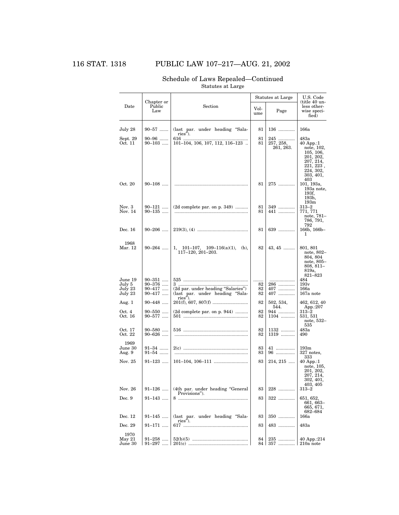## 116 STAT. 1318 PUBLIC LAW 107–217—AUG. 21, 2002

#### Date Chapter or Public Law Section Statutes at Large U.S. Code<br>(title 40 unless otherwise speci-fied) Vol-Page July 28 90–57 ....... (last par. under heading ''Sala-ries''). Sept. 29 90–96 ....... 616 ................................................... 81 245 ............. 483a 81 | 136 ............. | 166a Oct. 11 90–103 ..... 101–104, 106, 107, 112, 116–123 .. 81 257, 258, 261, 263. 40 App.:1 note, 102, 105, 106, 201, 202, 207, 214, 221, 223 , 224, 302, 303, 401,  $\frac{403}{101}$ , 193a. Oct. 20 90–108 ..... .......................................................... 81 275 ............. 101, 193a, 193a note, 193f, 193h,  $\frac{193m}{313-2}$ Nov. 3 90–121 ..... (2d complete par. on p. 349) .......... 81 349 ............. 313–2 Nov. 14 90–135 ..... .......................................................... 81 441 ............. 771, 771 note, 781– 786, 791,  $792$ <br>166b, 166b-Dec. 16 90–206 ..... 219(3), (4) ........................................ 81 639 ............. 166b, 166b– 1 1968<br>Mar. 12  $90-264$  ..... 1, 101–107, 109–116(a)(1), (b), 117–120, 201–203.  $82 \mid 43, 45 \dots \mid 801, 801$ note, 802– $804, 804$ note, 805–<br>808, 811–  $819a, 821-823$ <br>484 June 19 90–351 ..... 525 ................................................... ........ .................... 484 July 5 90–376 ..... 3 ....................................................... 82 286 ............. 193v July 23 90–417 ..... (2d par. under heading ''Salaries'') 82 407 ............. 166a July 23 90–417 ..... (last par. under heading "Sala $ries$ 82 407 ............. 167a note Aug. 1  $\begin{array}{|l|} 90-448 \dots \end{array}$   $\begin{array}{|l|} 201 \text{(f)} & 607, 807 \text{(f)} \dots \dots \dots \dots \dots \dots \quad 82 \begin{array}{|l|} 82 & 502, 534, \end{array}$ 544. 462, 612, 40  $\frac{\text{App.}:207}{313-2}$ Oct. 4 90–550 ..... (2d complete par. on p. 944) .......... 82 944 ............. 313–2 Oct. 16 90–577 ..... 501 ................................................... 82 1104 ........... 531, 531 note, 532–<br>535<br>483a Oct. 17 90–580 ..... 516 ................................................... 82 1132 ........... 483a Oct. 22 90–626 ..... .......................................................... 82 1319 ........... 490  $\begin{array}{c} 1969 \\ \text{June } 30 \\ \text{Aug. } 9 \end{array}$ June 30 91–34 ....... 2(c) ................................................... 83 41 ............... 193m 96 ...............  $333$ <br>40 App.:1 Nov. 25 91–123 ..... 101–104, 106–111 ........................... 83 214, 215 ..... 40 App.:1 note, 105, 201, 202, 207, 214, 302, 401, 403, 405 Nov. 26 91–126 ..... (4th par. under heading ''General Provisions''). 83 228 ............. 313–2 Dec. 9 91–143 ..... 8 ....................................................... 83 322 ............. 651, 652, 661, 663– 665, 671,  $682 - 684$ <br>166a Dec. 12 91–145 ..... (last par. under heading ''Sala-ries''). Dec. 29 91–171 ..... 617 ................................................... 83 483 ............. 483a  $83 \mid 350 \dots$  $\frac{1970}{\text{May }21}$ May 21 91–258 ..... 52(b)(5) ............................................ 84 235 ............. 40 App.:214 June 30 91–297 ..... 201(c) ............................................... 84 357 ............. 210a note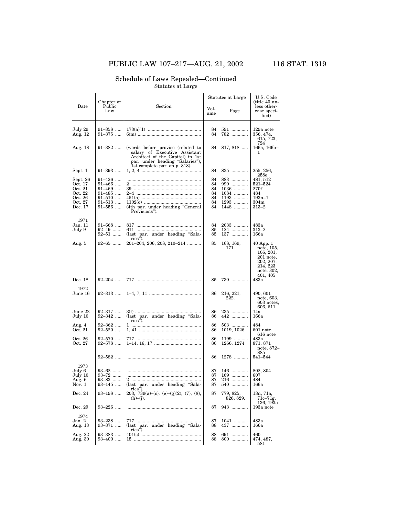#### Date Chapter or Public Law Section Statutes at Large U.S. Code<br>(title 40 unless otherwise speci-fied) Vol-Page July 29 91–358 ..... 173(a)(1) .......................................... 84 591 ............. 129a note Aug. 12 91–375 ..... 6(m) .................................................. 84 782 ............. 356, 474, 129a note<br>356, 474, 615, 723,  $724$ <br>166a, 166b-Aug. 18  $\begin{bmatrix} 91-382 \dots \\ 84 & 817, 818 \dots \\ 84 & 817, 818 \dots \\ 1 & 166a, 166 \end{bmatrix}$  (words before proviso (related to  $\begin{bmatrix} 84 & 817, 818 \dots \\ 817, 818 & \dots \\ 1 & 166a, 166 \end{bmatrix}$ <br>
Architect of the Capitol) in 1st<br>
par. under headin  $84 \mid 817, 818 \dots$ 1  $258e$ <br> $481,512$ <br> $521-524$ Sept. 26 91–426 ..... .......................................................... 84 883 ............. 481, 512 <table>\n<tbody>\n<tr>\n<th>Sept. 26</th>\n<th>91–426</th>\n<td>26</td>\n<td>27</td>\n</tr>\n<tr>\n<td>Oct. 17</td>\n<td>91–466</td>\n<td>2</td>\n<td>39</td>\n<td>30</td>\n<td>484</td>\n<td>883</td>\n<td>490</td>\n<td>521</td>\n</tr>\n<tr>\n<td>Oct. 21</td>\n<td>91–469</td>\n<td>39</td>\n<td>39</td>\n<td>30</td>\n<td>34</td>\n<td>84</td>\n<td>990</td>\n<td>32 Oct. 21 91–469 ..... 39 ..................................................... 84 1036 ........... 270f Oct. 22 91–485 ..... 2–4 ................................................... 84 1084 ........... 484 Oct. 26 91–510 ..... 451(a) ............................................... 84 1193 ........... 193n–1 Oct. 27 91–513 ..... 1102(o) ............................................. 84 1293 ........... 304m Dec. 17 91–556 ..... (4th par. under heading ''General Provisions''). 84 1448 .........  $\begin{array}{c} 1971 \\ {\rm Jan.~11} \\ {\rm July~9} \end{array}$ Jan. 11 91–668 ..... 817 ................................................... 84 2033 ........... 483a July 9 92–49 ....... 611 ................................................... 85 124 ............. 313–2 92–51 ....... (last par. under heading ''Sala-Aug. 5 92–65 ....... 201–204, 206, 208, 210–214 ........... 85 168, 169,  $\begin{array}{|c|c|c|c|}\n\hline\n124 & \dots & 313-2 \\
\hline\n137 & \dots & 166a\n\end{array}$  $168, 169,$ <br>171. 40 App.:1 note, 105, 106, 201, 201 note, 202, 207, 214, 223 note, 302, 401, 405 Dec. 18 92–204 ..... 717 ................................................... 85 730 ............. 483a  $\begin{array}{c} 1972 \\ \text{June} \ 16 \end{array}$ June 16 92–313 ..... 1–4, 7, 11 ......................................... 86 216, 221, 222. 490, 601 note, 603, 603 notes,  $\frac{606}{14a}$ June 22 92–317 ..... 3(f) .................................................... 86 235 ............. 14a July 10 92–342 ..... (last par. under heading ''Salaries''). 86 442 ............. 166a Aug. 4 92–362 ..... 1 ....................................................... 86 503 ............. 484 Oct. 21 92–520 ..... 1, 41 ................................................. 86 1019, 1026 601 note,  $\frac{616}{483a}$ <br>871, 871 Oct. 26 92–570 ..... 717 ................................................... 86 1199 ........... 483a Oct. 27 92–578 ..... 1–14, 16, 17 ..................................... 86 1266, 1274 871, 871 note, 872– $885$ <br>541–544 92–582 ..... .......................................................... 86 1278 ........... 541–544  $\frac{1973}{\mathrm{July}~6}$ July 6 93–62 ....... .......................................................... 87 146 ............. 802, 804 July 10 93–72 ....... .......................................................... 87 169 ............. 607 Aug. 6 93–83 ....... 2 ....................................................... 87 216 ............. 484 Nov. 1 93–145 ..... (last par. under heading ''Salaries''). Dec. 24 93–198 ..... 203, 739(a)–(c), (e)–(g)(2), (7), (8), 87 | 216 .............. | 484<br>87 | 540 .............. | 166a  $(h)$ – $(j)$ . 87 779, 825, 826, 829. Dec. 24  $\begin{bmatrix} 93-198 & \dots & 203, 739(a)-(c), (e)-(g)(2), (7), (8), & 87 & 779, 825, & 13n, 71a, (h-(1)), & (h)-(j). & (2, 193a) (2, 193a) (3, 193a) (3, 193a) (3, 193a) (3, 193a) (3, 193a) (3, 193a) (3, 193a) (3, 193a) (3, 193a) (3, 193a) (3, 193a) (3, 193a) (3, 1$  $\frac{1974}{$ Jan.  $2$ Jan. 2 93–238 ..... 717 ................................................... 87 1041 ........... 483a par. under heading ries").<br>401 $(c)$  ... 437 ............ Aug. 22 93–383 ..... 401(c) ............................................... 88 691 ............. 460 Aug. 30 93–400 ..... 15 ..................................................... 88 800 ............. 474, 487, 581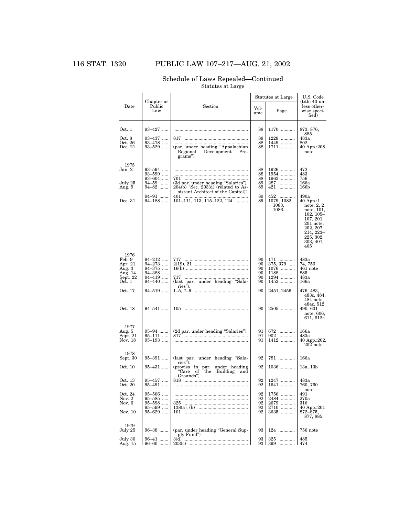# 116 STAT. 1320 PUBLIC LAW 107–217—AUG. 21, 2002

|                                                                                 |                                                                                               |                                                                                                                                                    |                                        | Statutes at Large                                                                                                          | U.S. Code                                                                                                                                                                                     |
|---------------------------------------------------------------------------------|-----------------------------------------------------------------------------------------------|----------------------------------------------------------------------------------------------------------------------------------------------------|----------------------------------------|----------------------------------------------------------------------------------------------------------------------------|-----------------------------------------------------------------------------------------------------------------------------------------------------------------------------------------------|
| Date                                                                            | Chapter or<br>Public<br>Law                                                                   | Section                                                                                                                                            | Vol-<br>ume                            | Page                                                                                                                       | title 40 un-<br>less other-<br>wise speci-<br>fied)                                                                                                                                           |
| Oct. 1<br>Oct.~8<br>Oct. 26<br>Dec. 21                                          | $93 - 427$<br>93–437<br>$93 - 478$<br>$93 - 529$                                              | (par. under heading "Appalachian<br>Regional<br>Development<br>Pro-<br>grams").                                                                    | 88<br>88<br>88<br>88                   | 1170<br>$1228$<br>1449<br>1711                                                                                             | 873, 876,<br>885<br>483a<br>802<br>40 App.:208<br>note                                                                                                                                        |
| 1975<br>Jan. 2<br>July 25<br>Aug. 9<br>Dec. 31                                  | $93 - 594$<br>$93 - 599$<br>$93 - 604$<br>94-59<br>94–82<br>94-91<br>$94 - 188$               | (3d par. under heading "Salaries")<br>$204(b)$ "Sec. $203(d)$ (related to As-<br>sistant Architect of the Capitol)".<br>101-111, 113, 115-122, 124 | 88<br>88<br>88<br>89<br>89<br>89<br>89 | 1926<br>1954<br>1963<br>287<br>421<br>452<br>1079, 1082,<br>1083,<br>1086.                                                 | 472<br>483<br>756<br>166a<br>166b<br>490a<br>$40$ App.:1<br>note, $2, 2$<br>note, 101,<br>$102, 105 -$<br>107, 201,<br>$201$ note,<br>202, 207,<br>214, 223-<br>225, 302,<br>303, 401,<br>405 |
| 1976<br>Feb. 9<br>Apr. 21<br>Aug. 3<br>Aug. 14<br>Sept. 22<br>Oct. 1<br>Oct. 17 | $94 - 212$<br>$94 - 273$<br>$94 - 375$<br>94–388<br>$94 - 419$<br>$94 - 440$<br>$94 - 519$    | (last par. under heading "Sala-<br>ries").                                                                                                         | 90<br>90<br>90<br>90<br>90<br>90<br>90 | $\begin{array}{c} 171 \ \ldots \\ 375, \, 379 \ \ldots \ldots \end{array}$<br>$1076$<br>1188<br>1294<br>1452<br>2451, 2456 | 483a<br>74, 756<br>$461$ note<br>885<br>483a<br>166a<br>476, 483,<br>483c, 484,<br>$484$ note,                                                                                                |
| Oct. 18                                                                         | 94-541                                                                                        |                                                                                                                                                    | 90                                     | 2505                                                                                                                       | 484c, 512<br>490, 601<br>note, 606,<br>611, 612a                                                                                                                                              |
| 1977<br>Aug. 5<br>Sept. 21<br>Nov. 18                                           | $95 - 94$<br>$95 - 111$<br>$95 - 193$                                                         | (2d par. under heading "Salaries")                                                                                                                 | 91<br>91<br>91                         | 672                                                                                                                        | 166a<br>483a<br>40 App.:202,<br>$202$ note                                                                                                                                                    |
| 1978<br>Sept. 30                                                                | $95 - 391$                                                                                    | (last par. under heading "Sala-                                                                                                                    | 92                                     | 781                                                                                                                        | 166a                                                                                                                                                                                          |
| Oct. 10                                                                         | $95 - 431$                                                                                    | ries").<br>(proviso in par. under heading<br>"Care of the Building<br>and                                                                          | 92                                     | 1036                                                                                                                       | 13a, 13b                                                                                                                                                                                      |
| Oct. 13<br>OCT. 20<br>Oct. 24<br>Nov. 2<br>Nov. 6<br>Nov. 10                    | $95 - 457$<br>90–491 ….<br>$95 - 506$<br>$95 - 585$<br>$95 - 598$<br>$95 - 599$<br>$95 - 629$ | Grounds").                                                                                                                                         | 92<br>92<br>92<br>92<br>92<br>92<br>92 | 1247<br>1041<br>1756<br>2484<br>2679<br>2710<br>3635                                                                       | 483a<br>760, 760<br>note<br>491<br>270a<br>316<br>40 App.:201<br>872-875,<br>877, 885                                                                                                         |
| 1979<br>July 25                                                                 | $96 - 38$                                                                                     | (par. under heading "General Sup-                                                                                                                  | 93                                     | 124                                                                                                                        | 756 note                                                                                                                                                                                      |
| July 30<br>Aug. 15                                                              | $96 - 41$<br>$96 - 60$                                                                        | ply Fund").                                                                                                                                        | 93<br>93 I                             | 325                                                                                                                        | 485<br>474                                                                                                                                                                                    |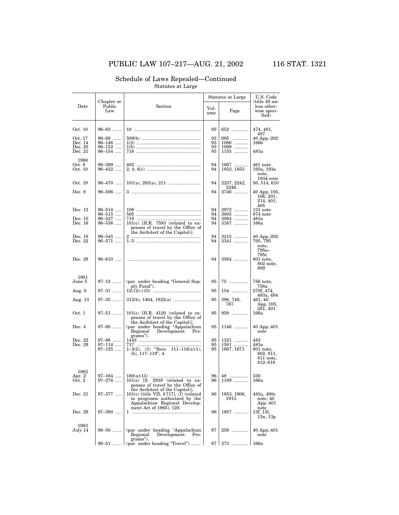#### Date Chapter or Public Law Section Statutes at Large U.S. Code (title 40 unless otherwise speci-fied) Vol-Page Oct. 10 96–83 ....... 10 ..................................................... 93 652 ............. 474, 481, 487 Oct. 17 96–88 ....... 509(b) ............................................... 93 695 ............. 40 App.:202 Dec. 14 96–146 ..... 1(2) ................................................... 93 1086 ........... 166b Dec. 20 96–152 ..... 1(b) ................................................... 93 1099 ........... Dec. 21 96–154 ..... 718 ................................................... 93 1155 ........... 483a  $\det 8\nOct. 8\nOct. 10$ Oct. 8 96–399 ..... 402 ................................................... 94 1667 ........... 461 note Oct. 10 96–432 ..... 2, 4, 6(c) ........................................... 94 1852, 1853 193a, 193a note, 193d note Oct. 19 96–470 ..... 101(a), 202(a), 211 .......................... 94 2237, 2242,  $2246.$ <br>2746 .... 50, 514, 610 Dec. 8 96–506 ..... 3 ....................................................... 94 2746 ........... 40 App.:105, 106, 201, 214, 401,  $\frac{405}{131}$  note Dec. 12 96–514 ..... 108 ................................................... 94 2972 ........... 131 note 96–515 ..... 505 ................................................... 94 3005 ........... 874 note Dec. 15 96–527 ..... 718 ................................................... 94 3084 ........... 483a Dec. 16 96–536 ..... 101(c) [H.R. 7593 (related to expenses of travel by the Office of the Architect of the Capitol)]. 94 3167 ........... 166a Dec. 18 96–545 ..... 2 ....................................................... 94 3215 ........... 40 App.:202 Dec. 22 96–571 ..... 1–5 ................................................... 94 3341 ........... 795, 795 note, 795a– 795c Dec. 28 96–610 ..... .......................................................... 94 3564 ........... 801 note, 802 note, 809  $$\frac{1981}{5}$$ 97–12 ....... (par. under heading "General Supply Fund''). Aug. 6 97–31 ....... 12(12)–(15) ...................................... 95 154 ............. 270f, 474, 95 75 ............... 756 note,  $756a$ <br> $270f, 474$ 483a, 484 461, 40 Aug. 13 97–35 ....... 313(b), 1404, 1822(a) ...................... 95 398, 749, 398, 749, 767. App.:105, 201, 401 Oct. 1 97–51 ....... 101(c) [H.R. 4120 (related to expenses of travel by the Office of penses of travel by the Office of the Architect of the Architect of the Architect of the Architect of the Architect of the Tro-<br>The Arc 95 959 ............. 166a grams''). Dec. 22 97–98 ....... 1443 ................................................. 95 1321 ........... 483 95 1146 ........... 40 App.:401 note Dec. 29 97–114 ..... 717 ................................................... 95 1581 ........... 483a 97–125 ..... 1–3(2), (3) ''Secs. 111–116(a)(1), (b), 117–119'', 4. 95 1667, 1671 801 note,<br>802, 811, 811 note, 812–819  $\begin{array}{c} 1982 \\ \text{Apr. } 2 \\ \text{Oct. } 2 \end{array}$  $\begin{array}{|c|c|c|c|c|c|} \hline 97–164 & \dots & 160(a)(13) & \dots & \dots & \dots & \dots & 96 & 48 & \dots & \dots & 330 & \dots & 36 & 1189 & \dots & \dots & 36 & 166a \end{array}$ Oct. 2  $97-276$  .....  $101(e)$  [S. 2939 (related to ex-<br>
the Architect of the Capitol)].<br>
Dec. 21  $97-377$  .....  $101(e)$  [title VII, § 717], (f) (related  $96$  [1189 ...........  $166a$ <br>
the Architect of the Capitol)].<br>
Dec. 48 ...............<br>1189 ........... 96 1853, 1906, 1913. 483a, 490c note, 40 App.:401 note<br>13f, 13l, 13n, 13p  $\begin{array}{c} 1983 \\ \text{July 14} \end{array}$ July 14 98–50 ....... (par under heading ''Appalachian Regional Development Programs").  $97 \mid 259 \dots$  $\underset{\text{note}}{\text{40 App.:}}401$ 98–51 ....... (par. under heading "Travel") ........ 97 | 273 .............. | 166a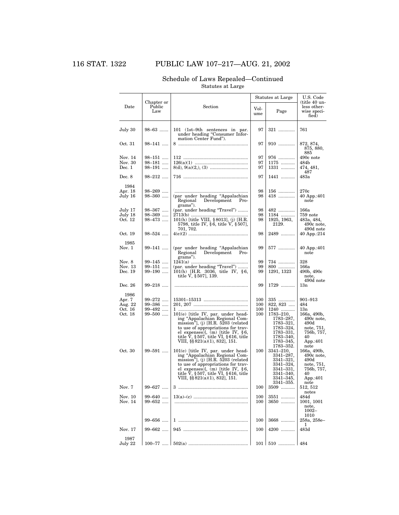# 116 STAT. 1322 PUBLIC LAW 107–217—AUG. 21, 2002

# Schedule of Laws Repealed—Continued

## Statutes at Large

|                                                 |                                                  |                                                                                                                                                                                                                                                                                 |                          | Statutes at Large                                                                                                                 | U.S. Code                                                                                                          |
|-------------------------------------------------|--------------------------------------------------|---------------------------------------------------------------------------------------------------------------------------------------------------------------------------------------------------------------------------------------------------------------------------------|--------------------------|-----------------------------------------------------------------------------------------------------------------------------------|--------------------------------------------------------------------------------------------------------------------|
| Date                                            | Chapter or<br>Public<br>Law                      | Section                                                                                                                                                                                                                                                                         | Vol-<br>ume              | Page                                                                                                                              | title 40 un-<br>less other-<br>wise speci-<br>fied)                                                                |
| July 30                                         | $98 - 63$                                        | 101 (1st-9th sentences in par.<br>under heading "Consumer Infor-<br>mation Center Fund").                                                                                                                                                                                       | 97                       | 321                                                                                                                               | 761                                                                                                                |
| Oct. 31                                         | $98 - 141$                                       |                                                                                                                                                                                                                                                                                 | 97                       | 910                                                                                                                               | 872, 874,<br>875, 880,                                                                                             |
| Nov. 14<br>Nov. 30<br>Dec. 1                    | 98–151 ….<br>$98 - 181$<br>$98 - 191$            |                                                                                                                                                                                                                                                                                 | 97<br>97<br>97           | 976<br>1175<br>1331                                                                                                               | 885<br>490c note<br>484b<br>474, 481,<br>487                                                                       |
| Dec. 8                                          | $98 - 212$                                       |                                                                                                                                                                                                                                                                                 | 97                       | 1441                                                                                                                              | 483a                                                                                                               |
| 1984<br>Apr. 18<br>July 16                      | $98 - 269$<br>$98 - 360$                         | (par under heading "Appalachian<br>Regional<br>Development<br>Pro-<br>grams").                                                                                                                                                                                                  | 98<br>98                 | 156<br>418                                                                                                                        | 270c<br>40 App.:401<br>note                                                                                        |
| July 17<br>July 18<br>Oct. 12                   | $98 - 367$<br>$98 - 369$<br>$98 - 473$           | (par. under heading "Travel")<br>2713(b)<br>101(h) [title VIII, §8013], (j) [H.R. 5798, title IV, §6, title V, §507],<br>701, 702.                                                                                                                                              | 98<br>98<br>98           | 482<br>1184<br>1925, 1963,<br>2129.                                                                                               | 166a<br>759 note<br>483a, 484,<br>490c note,<br>490d note                                                          |
| Oct. 19                                         | $98 - 524$                                       |                                                                                                                                                                                                                                                                                 | 98                       | 2489                                                                                                                              | 40 App.:214                                                                                                        |
| 1985<br>Nov. $1$                                | $99 - 141$                                       | (par under heading "Appalachian")<br>Regional Development<br>Pro-                                                                                                                                                                                                               | 99                       | 577                                                                                                                               | 40 App.:401<br>note                                                                                                |
| Nov. 8<br>Nov. 13<br>Dec. 19                    | 99–145<br>$99 - 151$<br>$99 - 190$               | grams").<br>(par. under heading "Travel")<br>101(h) [H.R. 3036, title IV, §6,<br>title V, §507], 139.                                                                                                                                                                           | 99<br>99<br>99           | 734<br>800<br>1291, 1323                                                                                                          | 328<br>166a<br>490b, 490c<br>note,                                                                                 |
| Dec. 26                                         | $99 - 218$                                       |                                                                                                                                                                                                                                                                                 | 99                       | 1729                                                                                                                              | 490d note<br>$_{13n}$                                                                                              |
| 1986<br>Apr. 7<br>Aug. 22<br>Oct. 16<br>Oct. 18 | $99 - 272$<br>99-386<br>$99 - 492$<br>$99 - 500$ | 101(e) [title IV, par. under head-<br>ing "Appalachian Regional Com-<br>mission"], $(j)$ [H.R. 5203 (related<br>to use of appropriations for trav-<br>el expenses)], $(m)$ [title IV, §6,<br>title V, $\S 507$ , title VI, $\S 616$ , title<br>VIII, §§ 821(a)(1), 832], 151.   | 100<br>100<br>100<br>100 | 335<br>$822, 823$<br>1240<br>1783-210,<br>1783–287,<br>1783-321,<br>1783–324,<br>1783–331,<br>1783-340,<br>1783–345,<br>1783–352. | 901-913<br>484<br>13n<br>166a, 490b,<br>$490c$ note,<br>490d<br>note, 751,<br>756b, 757,<br>40<br>App.:401<br>note |
| Oct. 30                                         | $99 - 591$                                       | $101(e)$ [title IV, par. under head-<br>ing "Appalachian Regional Com-<br>mission"], $(i)$ [H.R. 5203 (related<br>to use of appropriations for trav-<br>el expenses)], $(m)$ [title IV, §6,<br>title V, $\S 507$ , title VI, $\S 616$ , title<br>VIII, §§ 821(a)(1), 832], 151. | 100                      | $3341 - 210$ ,<br>3341–287,<br>3341–321,<br>3341-324,<br>3341–331,<br>3341–340,<br>3341–345,<br>3341-355.                         | 166a, 490b,<br>490c note,<br>490d<br>note, 751,<br>756b, 757,<br>40<br>App.:401                                    |
| Nov. 7                                          | $99 - 627$                                       |                                                                                                                                                                                                                                                                                 | 100                      | 3509                                                                                                                              | note<br>512, 512<br>notes                                                                                          |
| Nov. 10<br>Nov. 14                              | $99 - 640$<br>$99 - 652$                         |                                                                                                                                                                                                                                                                                 | 100<br>100               | 3551<br>3650                                                                                                                      | 484d<br>1001, 1001<br>note,                                                                                        |
|                                                 | $99 - 656$                                       |                                                                                                                                                                                                                                                                                 | 100                      | 3668                                                                                                                              | $1002 -$<br>1010<br>258a, 258e-<br>1                                                                               |
| Nov. 17                                         | $99 - 662$                                       |                                                                                                                                                                                                                                                                                 | 100                      | 4200                                                                                                                              | 483d                                                                                                               |
| 1987<br>July 22                                 |                                                  |                                                                                                                                                                                                                                                                                 | 101                      | 510                                                                                                                               | 484                                                                                                                |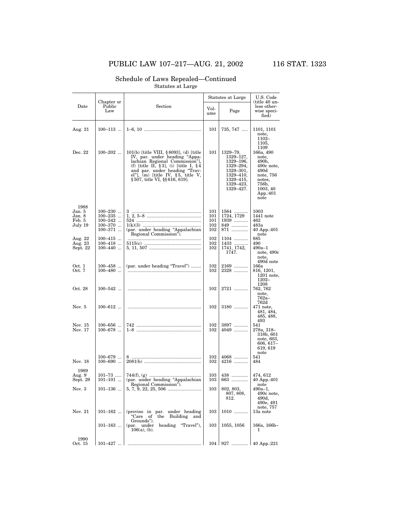|                            | Chapter or                 |                                                                                                                                                                                                                                                                    |                | Statutes at Large                                                                                                | U.S. Code<br>(title 40 un-                                                                                                |
|----------------------------|----------------------------|--------------------------------------------------------------------------------------------------------------------------------------------------------------------------------------------------------------------------------------------------------------------|----------------|------------------------------------------------------------------------------------------------------------------|---------------------------------------------------------------------------------------------------------------------------|
| Date                       | Public<br>Law              | Section                                                                                                                                                                                                                                                            | Vol-<br>ume    | Page                                                                                                             | less other-<br>wise speci-<br>fied)                                                                                       |
| Aug. 21                    | $100 - 113$                |                                                                                                                                                                                                                                                                    | 101            | $735, 747$                                                                                                       | 1101, 1101<br>note,<br>1102–<br>1105,                                                                                     |
| Dec. 22                    | $100 - 202$                | 101(b) [title VIII, §8093], (d) [title<br>IV, par. under heading "Appa-<br>lachian Regional Commission"],<br>(f) [title II, $\S 3$ ], (i) [title I, $\S 4$<br>and par. under heading "Trav-<br>el"], $(m)$ [title IV, §5, title V,<br>§507, title VI, §§616, 619]. | 101            | 1329–79,<br>1329–127.<br>1329–196,<br>1329–294,<br>1329-301,<br>1329-410,<br>1329-415,<br>1329–423,<br>1329–427. | 1109<br>166a, 490<br>note,<br>490b,<br>490c note,<br>490d<br>note, 756<br>notes,<br>756b,<br>1003, 40<br>App.:401<br>note |
| 1988<br>Jan. 5             | $100 - 230$                |                                                                                                                                                                                                                                                                    | 101            | 1564                                                                                                             | 1003                                                                                                                      |
| Jan. 8<br>Feb. 5           | $100 - 235$<br>$100 - 242$ |                                                                                                                                                                                                                                                                    | 101<br>101     | 1724, 1729<br>1939                                                                                               | 1441 note<br>462                                                                                                          |
| July 19                    | $100 - 370$<br>$100 - 371$ | (par. under heading "Appalachian<br>Regional Commission").                                                                                                                                                                                                         | 102<br>102     | 849<br>871                                                                                                       | 483a<br>40 App.:401<br>note                                                                                               |
| Aug. 22<br>Aug. 23         | $100 - 415$<br>$100 - 418$ |                                                                                                                                                                                                                                                                    | 102<br>102     | 1104<br>1433                                                                                                     | 885<br>490                                                                                                                |
| Sept. 22                   | $100 - 440$                |                                                                                                                                                                                                                                                                    | 102            | 1741, 1742,<br>1747.                                                                                             | $490a - 1$<br>note, 490c<br>note,                                                                                         |
| Oct. 1<br>Oct. 7           | $100 - 458$<br>$100 - 480$ | (par. under heading "Travel")                                                                                                                                                                                                                                      | 102<br>102     | 2169<br>2328                                                                                                     | 490d note<br>166a<br>816, 1201,<br>$1201$ note,<br>1202–                                                                  |
| Oct. 28                    | $100 - 542$                |                                                                                                                                                                                                                                                                    | 102            | 2721                                                                                                             | 1208<br>762, 762<br>note,<br>762a–                                                                                        |
| Nov. $5$                   | $100 - 612$                |                                                                                                                                                                                                                                                                    | 102            | 3180                                                                                                             | 762d<br>$471$ note,<br>481, 484,<br>485, 488,<br>493                                                                      |
| Nov. 15<br>Nov. 17         | $100 - 656$<br>$100 - 678$ |                                                                                                                                                                                                                                                                    | 102<br>102     | 3897<br>4049                                                                                                     | 541<br>278a, 318-<br>318b, 601<br>note, 603,<br>$606, 617-$<br>619, 619<br>note                                           |
| Nov. 18                    | $100 - 679$<br>$100 - 690$ |                                                                                                                                                                                                                                                                    | 102<br>102     | 4068<br>4216                                                                                                     | 541<br>484                                                                                                                |
| 1989<br>Aug. 9<br>Sept. 29 | $101 - 73$<br>$101 - 101$  | (par. under heading "Appalachian                                                                                                                                                                                                                                   | 103<br>$103\,$ | 438<br>663                                                                                                       | 474.612<br>40 App.:401                                                                                                    |
| Nov. 3                     | $101 - 136$                | Regional Commission").                                                                                                                                                                                                                                             | 103            | 802, 803,<br>807, 808,<br>812.                                                                                   | note<br>$490a-1,$<br>490c note,<br>490d,<br>490e, 491                                                                     |
| Nov. 21                    | $101 - 162$                | (proviso in par. under heading<br>"Care<br>the Building<br>оf<br>and<br>Grounds").                                                                                                                                                                                 | 103            | 1010                                                                                                             | note, 757<br>13a note                                                                                                     |
|                            | $101 - 163$                | (par. under<br>heading "Travel"),<br>$106(a)$ , (b).                                                                                                                                                                                                               | 103            | 1055, 1056                                                                                                       | 166a, 166b-<br>ı                                                                                                          |
| 1990<br>Oct. 15            | $101 - 427$                |                                                                                                                                                                                                                                                                    | 104            | 927                                                                                                              | 40 App.:221                                                                                                               |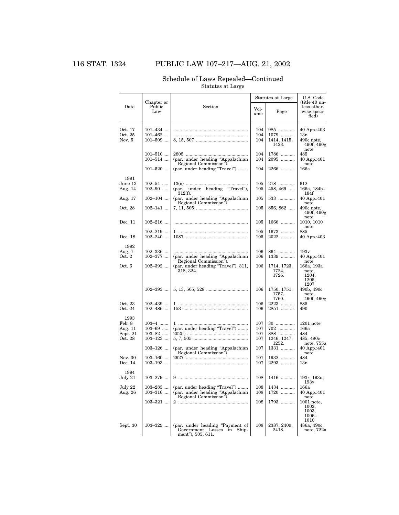# 116 STAT. 1324 PUBLIC LAW 107–217—AUG. 21, 2002

|                                                  | Chapter or                                           |                                                                                    |                          | Statutes at Large                   | U.S. Code<br>(title 40 un-                               |
|--------------------------------------------------|------------------------------------------------------|------------------------------------------------------------------------------------|--------------------------|-------------------------------------|----------------------------------------------------------|
| Date                                             | Public<br>Law                                        | Section                                                                            | Vol-<br>ume              | Page                                | less other-<br>wise speci-<br>fied)                      |
| Oct. 17<br>Oct. 25<br>Nov. 5                     | $101 - 434$<br>$101 - 462$<br>$101 - 509$            |                                                                                    | 104<br>104<br>104        | 985<br>1079<br>1414, 1415,<br>1423. | 40 App.:403<br>13n<br>490c note,<br>490f, 490g           |
|                                                  | $101 - 510$<br>$101 - 514$                           | (par. under heading "Appalachian                                                   | 104<br>104               | 1786<br>2095                        | note<br>485<br>40 App.:401<br>note                       |
|                                                  | $101 - 520$                                          | Regional Commission").<br>(par. under heading "Travel")                            | 104                      | 2266                                | 166a                                                     |
| 1991<br>June 13<br>Aug. 14                       | $102 - 54$<br>$102 - 90$                             | under heading "Travel"),<br>(par.                                                  | 105<br>105               | 278<br>458, 469                     | 612<br>166a, 184b-                                       |
| Aug. 17                                          | $102 - 104$                                          | $312(f)$ .<br>(par. under heading "Appalachian                                     | 105                      | 533                                 | 184f<br>40 App.:401                                      |
| Oct. 28                                          | $102 - 141$                                          | Regional Commission").                                                             | 105                      | $856, 862$                          | note<br>490c note,<br>490f, 490g                         |
| Dec. 11                                          | $102 - 216$                                          |                                                                                    | 105                      | 1666                                | note<br>1010, 1010<br>note                               |
| Dec. 18                                          | $102 - 219$<br>$102 - 240$                           |                                                                                    | 105<br>105               | 1673<br>2022                        | 885<br>40 App.:403                                       |
| 1992                                             |                                                      |                                                                                    |                          |                                     |                                                          |
| Aug. 7<br>Oct. 2                                 | $102 - 336$<br>$102 - 377$                           | (par. under heading "Appalachian<br>Regional Commission").                         | 106<br>106               | 864<br>1339                         | 193v<br>40 App.:401<br>note                              |
| Oct. 6                                           | $102 - 392$                                          | (par. under heading "Travel"), 311,<br>318, 324.                                   | 106                      | 1714, 1723,<br>1724,<br>1726.       | 166a, 193a<br>note,<br>1204,<br>1205,                    |
|                                                  | $102 - 393$                                          |                                                                                    | 106                      | 1750, 1751,<br>1757,<br>1760.       | 1207<br>490b, 490c<br>note,<br>490f, 490g                |
| Oct. 23<br>Oct. 24                               | $102 - 439$<br>$102 - 486$                           |                                                                                    | 106<br>106               | 2223<br>2851                        | 885<br>490                                               |
| 1993<br>Feb. 8<br>Aug. 11<br>Sept. 21<br>Oct. 28 | $103 - 4$<br>$103 - 69$<br>$103 - 82$<br>$103 - 123$ | (par. under heading "Travel")                                                      | 107<br>107<br>107<br>107 | 30<br>702<br>888<br>1246, 1247,     | $1201$ note<br>166a<br>484<br>485, 490c                  |
|                                                  | $103 - 126$                                          | (par. under heading "Appalachian<br>Regional Commission").                         | 107                      | 1252.<br>1331                       | note, 755a<br>40 App.:401<br>note                        |
| Nov. 30<br>Dec. 14                               | $103 - 160$<br>$103 - 193$                           |                                                                                    | 107<br>107               | 1932<br>2293                        | 484<br>13n                                               |
| 1994<br>July 21                                  | $103 - 279$                                          |                                                                                    | 108                      | 1416                                | 193r, 193u,                                              |
| July 22<br>Aug. 26                               | $103 - 283$<br>$103 - 316$                           | (par. under heading "Travel")<br>(par. under heading "Appalachian                  | 108<br>108               | 1434<br>1720                        | 193v<br>166a<br>40 App.:401                              |
|                                                  | $103 - 321$                                          | Regional Commission").                                                             | 108                      | 1793                                | note<br>1001 note,<br>1002,<br>1003,<br>$1006 -$<br>1010 |
| Sept. 30                                         | $103 - 329$                                          | (par. under heading "Payment of<br>Government Losses in Ship-<br>ment"), 505, 611. | 108                      | 2387, 2409,<br>2418.                | 486a, 490c<br>note, 722a                                 |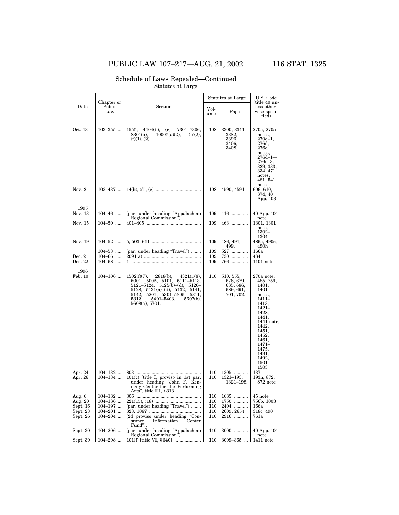|                                                       | Chapter or                                                              |                                                                                                                                                                                                                                                               |                                 | Statutes at Large                                             | U.S. Code<br>(title 40 un-                                                                                                                                                                                |
|-------------------------------------------------------|-------------------------------------------------------------------------|---------------------------------------------------------------------------------------------------------------------------------------------------------------------------------------------------------------------------------------------------------------|---------------------------------|---------------------------------------------------------------|-----------------------------------------------------------------------------------------------------------------------------------------------------------------------------------------------------------|
| Date                                                  | Public<br>Law                                                           | Section                                                                                                                                                                                                                                                       | Vol-<br>ume                     | Page                                                          | less other-<br>wise speci-<br>fied)                                                                                                                                                                       |
| Oct. 13                                               | $103 - 355$                                                             | 1555,<br>$4104(b)$ ,<br>7301-7306,<br>(c),<br>8301(b),<br>$10005(a)(2)$ ,<br>$(b)(2)$ ,<br>(f)(1), (2).                                                                                                                                                       | 108                             | 3300, 3341,<br>3382,<br>3396,<br>3406,<br>3408.               | 270a, 270a<br>notes,<br>$270d - 1,$<br>276d,<br>276d<br>notes,<br>276d–1-<br>$276d - 3,$<br>329, 333,<br>334, 471<br>notes,<br>481, 541<br>note                                                           |
| Nov. 2                                                | $103 - 437$                                                             |                                                                                                                                                                                                                                                               | 108                             | 4590, 4591                                                    | 606, 610,<br>874, 40<br>App.:403                                                                                                                                                                          |
| 1995<br>Nov. 13                                       | $104 - 46$                                                              | (par. under heading "Appalachian                                                                                                                                                                                                                              | 109                             | 416                                                           | 40 App.:401                                                                                                                                                                                               |
| Nov. 15                                               | $104 - 50$                                                              | Regional Commission").                                                                                                                                                                                                                                        | 109                             | 463                                                           | note<br>1301, 1301<br>note,<br>1302–<br>1304                                                                                                                                                              |
| Nov. 19                                               | $104 - 52$                                                              |                                                                                                                                                                                                                                                               | 109                             | 486, 491,<br>499.                                             | 486a, 490c,<br>490h                                                                                                                                                                                       |
| Dec. 21<br>Dec. 22                                    | $104 - 53$<br>$104 - 66$<br>$104 - 68$                                  | (par. under heading "Travel")                                                                                                                                                                                                                                 | 109<br>109<br>109               | 527<br>730<br>766                                             | 166a<br>484<br>$1101$ note                                                                                                                                                                                |
| 1996<br>Feb. 10                                       | $104 - 106$                                                             | $1502(f)(7)$ ,<br>$2818(b)$ ,<br>$4321(i)(8)$ ,<br>5001, 5002, 5101,<br>5111–5113,<br>$5121 - 5124$ , $5125(b) - (d)$ ,<br>5126–<br>5128, 5131(a)–(d), 5132, 5141,<br>5142, 5201, 5301–5305, 5311,<br>5312.<br>5401-5403,<br>$5607(b)$ ,<br>$5608(a)$ , 5701. | 110                             | 510, 555,<br>676, 679,<br>685, 686,<br>689, 691,<br>701, 702. | 270a note,<br>485, 759,<br>1401,<br>1401<br>notes,<br>1411–<br>1413,<br>1421–<br>1428.<br>1441,<br>1441 note,<br>1442,<br>1451,<br>1452,<br>1461,<br>1471–<br>1475,<br>1491,<br>1492,<br>$1501 -$<br>1503 |
| Apr. 24<br>Apr. 26                                    | $104 - 132$<br>$104 - 134$                                              | $101(c)$ [title I, proviso in 1st par.<br>under heading "John F. Ken-<br>nedy Center for the Performing<br>Arts", title III, $§ 313$ ].                                                                                                                       | 110<br>110                      | 1305<br>1321-193,<br>1321-198                                 | 137<br>193n, 872,<br>872 note                                                                                                                                                                             |
| Aug. 6<br>Aug. 20<br>Sept. 16<br>Sept. 23<br>Sept. 26 | $104 - 182$<br>$104 - 186$<br>$104 - 197$<br>$104 - 201$<br>$104 - 204$ | (par. under heading "Travel")<br>.<br>(2d proviso under heading "Con-<br>Information<br>sumer<br>Center<br>Fund").                                                                                                                                            | 110<br>110<br>110<br>110<br>110 | 1685<br>1750<br>2404<br>2609, 2654<br>2916                    | $45$ note<br>756b, 1003<br>166a<br>318c, 490<br>761a                                                                                                                                                      |
| Sept. 30                                              | $104 - 206$                                                             | (par. under heading "Appalachian<br>Regional Commission").                                                                                                                                                                                                    | 110                             | 3000                                                          | 40 App.:401<br>note                                                                                                                                                                                       |
| Sept. 30                                              | $104 - 208$                                                             |                                                                                                                                                                                                                                                               | 110                             | $3009 - 365$                                                  | 1411 note                                                                                                                                                                                                 |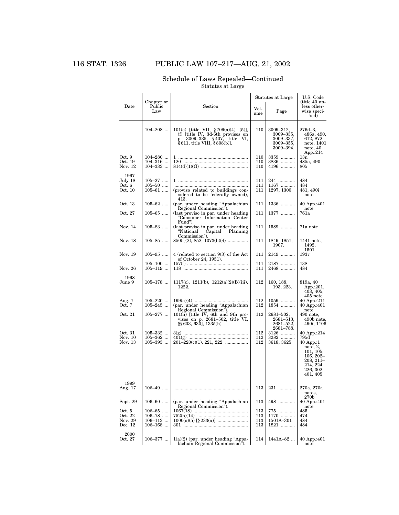# 116 STAT. 1326 PUBLIC LAW 107–217—AUG. 21, 2002

|                                      |                                           |                                                                                                                                          |                   | Statutes at Large                                                     | U.S. Code<br>(title 40 un-                                                                                                        |  |
|--------------------------------------|-------------------------------------------|------------------------------------------------------------------------------------------------------------------------------------------|-------------------|-----------------------------------------------------------------------|-----------------------------------------------------------------------------------------------------------------------------------|--|
| Date                                 | Chapter or<br>Public<br>Law               | Section                                                                                                                                  | Vol-<br>ume       | Page                                                                  | less other-<br>wise speci-<br>fied)                                                                                               |  |
|                                      | $104 - 208$                               | 101(e) [title VII, §709(a)(4), (5)],<br>(f) [title IV, 3d-6th provisos on<br>p. 3009-335, §407, title VI,<br>§611, title VIII, §808(b)]. | 110               | 3009–312,<br>$3009 - 335,$<br>3009-337,<br>$3009 - 355,$<br>3009-394. | 276d–3,<br>486a, 490,<br>612, 872<br>note, 1401<br>note, 40<br>App.:214                                                           |  |
| Oct. 9<br>Oct. 19<br>Nov. 12         | $104 - 280$<br>$104 - 316$<br>$104 - 333$ |                                                                                                                                          | 110<br>110<br>110 | 3359<br>3836<br>4196                                                  | $_{13n}$<br>485a, 490<br>805                                                                                                      |  |
| 1997<br>July 18<br>Oct. 6<br>Oct. 10 | $105 - 27$<br>$105 - 50$<br>$105 - 61$    | (proviso related to buildings con-<br>sidered to be federally owned),<br>413.                                                            | 111<br>111<br>111 | 244<br>1167<br>1297, 1300                                             | 484<br>484<br>481, 490i<br>note                                                                                                   |  |
| Oct. 13                              | $105 - 62$                                | (par. under heading "Appalachian<br>Regional Commission").                                                                               | 111               | 1336                                                                  | 40 App.:401<br>note                                                                                                               |  |
| Oct. 27                              | $105 - 65$                                | (last proviso in par. under heading<br>"Consumer Information Center<br>Fund").                                                           | 111               | 1377                                                                  | 761a                                                                                                                              |  |
| Nov. 14                              | $105 - 83$                                | (last proviso in par. under heading)<br>"National<br>Capital<br>Planning<br>Commission").                                                | 111               | 1589                                                                  | 71a note                                                                                                                          |  |
| Nov. 18                              | $105 - 85$                                | $850(f)(2)$ , 852, 1073(h)(4)                                                                                                            | 111               | 1849, 1851,<br>1907.                                                  | 1441 note,<br>1492,<br>1501                                                                                                       |  |
| Nov. 19                              | $105 - 95$                                | 4 (related to section $9(3)$ of the Act<br>of October 24, 1951).                                                                         | 111               | 2149                                                                  | 193v                                                                                                                              |  |
| Nov. 26                              | $105 - 100$<br>$105 - 119$                |                                                                                                                                          | 111<br>111        | 2187<br>2468                                                          | 138<br>484                                                                                                                        |  |
| 1998<br>June 9                       | $105 - 178$                               | 1117(c), 1211(b), 1212(a)(2)(B)(iii),<br>1222.                                                                                           | 112               | 160, 188,<br>193, 223.                                                | 819a, 40<br>App.:201,<br>403, 405,                                                                                                |  |
| Aug. 7<br>Oct. 7                     | $105 - 220$<br>$105 - 245$                | (par. under heading "Appalachian<br>Regional Commission").                                                                               | 112<br>112        | 1059<br>1854                                                          | $405$ note<br>40 App.:211<br>40 App.:401<br>note                                                                                  |  |
| Oct. 21                              | $105 - 277$                               | $101(h)$ [title IV, 6th and 9th pro-<br>visos on p. 2681–502, title VI,<br>$\S$ § 603, 630], 1335(h).                                    | 112               | 2681–502,<br>2681–513,<br>2681-522,<br>2681–788.                      | $490$ note,<br>490b note,<br>490i, 1106                                                                                           |  |
| Oct. 31<br>Nov. 10<br>Nov. 13        | $105 - 332$<br>$105 - 362$<br>$105 - 393$ |                                                                                                                                          | 112<br>112<br>112 | 3126<br>3282<br>3618, 3625                                            | 40 App.:214<br>795d<br>$40$ App.:1<br>note, 2,<br>101, 105,<br>$106, 202 -$<br>$208, 211 -$<br>214, 224,<br>226, 302,<br>401, 405 |  |
| 1999<br>Aug. 17                      | $106 - 49$                                |                                                                                                                                          | 113               | 231                                                                   | 270a, 270a<br>notes,                                                                                                              |  |
| Sept. 29                             | $106 - 60$                                | (par. under heading "Appalachian<br>Regional Commission").                                                                               | 113               | 498                                                                   | 270b<br>40 App.:401<br>note                                                                                                       |  |
| Oct. 5<br>Oct. 22                    | $106 - 65$<br>$106 - 78$                  |                                                                                                                                          | 113<br>113        | 775<br>1170                                                           | 485<br>474                                                                                                                        |  |
| Nov. 29<br>Dec. 12                   | $106 - 113$<br>$106 - 168$                |                                                                                                                                          | 113<br>113        | 1501A-301<br>1821                                                     | 484<br>484                                                                                                                        |  |
| 2000<br>Oct. 27                      | $106 - 377$                               | $1(a)(2)$ (par. under heading "Appa-<br>lachian Regional Commission").                                                                   | 114               | 1441A-82                                                              | 40 App.:401<br>note                                                                                                               |  |